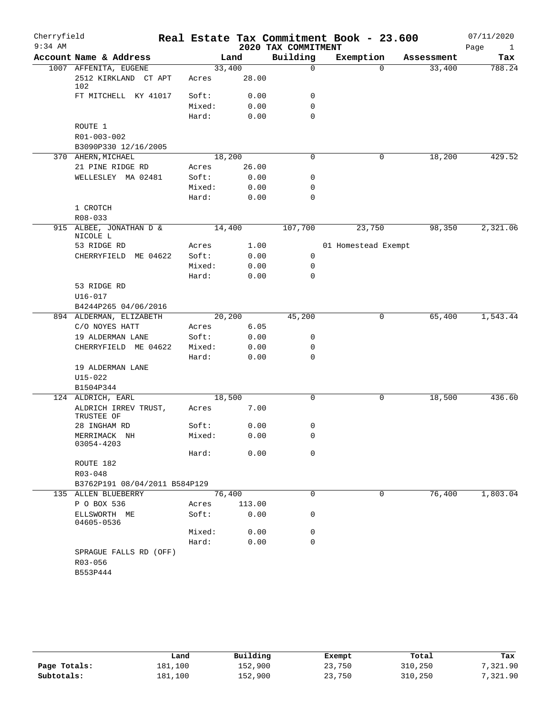| Cherryfield |                                                      |                 |        |                     | Real Estate Tax Commitment Book - 23.600 |            | 07/11/2020           |
|-------------|------------------------------------------------------|-----------------|--------|---------------------|------------------------------------------|------------|----------------------|
| $9:34$ AM   |                                                      |                 |        | 2020 TAX COMMITMENT |                                          |            | Page<br>$\mathbf{1}$ |
|             | Account Name & Address                               |                 | Land   | Building            | Exemption                                | Assessment | Tax                  |
|             | 1007 AFFENITA, EUGENE<br>2512 KIRKLAND CT APT<br>102 | 33,400<br>Acres | 28.00  | $\mathbf 0$         | $\Omega$                                 | 33,400     | 788.24               |
|             | FT MITCHELL KY 41017                                 | Soft:           | 0.00   | 0                   |                                          |            |                      |
|             |                                                      | Mixed:          | 0.00   | $\mathbf 0$         |                                          |            |                      |
|             |                                                      | Hard:           | 0.00   | $\mathbf 0$         |                                          |            |                      |
|             | ROUTE 1                                              |                 |        |                     |                                          |            |                      |
|             | R01-003-002                                          |                 |        |                     |                                          |            |                      |
|             | B3090P330 12/16/2005                                 |                 |        |                     |                                          |            |                      |
|             | 370 AHERN, MICHAEL                                   | 18,200          |        | $\mathbf 0$         | 0                                        | 18,200     | 429.52               |
|             | 21 PINE RIDGE RD                                     | Acres           | 26.00  |                     |                                          |            |                      |
|             | WELLESLEY MA 02481                                   | Soft:           | 0.00   | 0                   |                                          |            |                      |
|             |                                                      | Mixed:          | 0.00   | $\mathbf 0$         |                                          |            |                      |
|             |                                                      | Hard:           | 0.00   | $\mathbf 0$         |                                          |            |                      |
|             | 1 CROTCH                                             |                 |        |                     |                                          |            |                      |
|             | R08-033                                              |                 |        |                     |                                          |            |                      |
|             | 915 ALBEE, JONATHAN D &<br>NICOLE L                  | 14,400          |        | 107,700             | 23,750                                   | 98,350     | 2,321.06             |
|             | 53 RIDGE RD                                          | Acres           | 1.00   |                     | 01 Homestead Exempt                      |            |                      |
|             | CHERRYFIELD ME 04622                                 | Soft:           | 0.00   | 0                   |                                          |            |                      |
|             |                                                      | Mixed:          | 0.00   | 0                   |                                          |            |                      |
|             |                                                      | Hard:           | 0.00   | $\mathbf 0$         |                                          |            |                      |
|             | 53 RIDGE RD                                          |                 |        |                     |                                          |            |                      |
|             | U16-017                                              |                 |        |                     |                                          |            |                      |
|             | B4244P265 04/06/2016                                 |                 |        |                     |                                          |            |                      |
|             | 894 ALDERMAN, ELIZABETH                              | 20,200          |        | 45,200              | 0                                        | 65,400     | 1,543.44             |
|             | C/O NOYES HATT                                       | Acres           | 6.05   |                     |                                          |            |                      |
|             | 19 ALDERMAN LANE                                     | Soft:           | 0.00   | 0                   |                                          |            |                      |
|             | CHERRYFIELD ME 04622                                 | Mixed:          | 0.00   | 0                   |                                          |            |                      |
|             |                                                      | Hard:           | 0.00   | 0                   |                                          |            |                      |
|             | 19 ALDERMAN LANE                                     |                 |        |                     |                                          |            |                      |
|             | U15-022                                              |                 |        |                     |                                          |            |                      |
|             | B1504P344                                            |                 |        |                     |                                          |            |                      |
|             | 124 ALDRICH, EARL                                    | 18,500          |        | $\mathbf 0$         | 0                                        | 18,500     | 436.60               |
|             | ALDRICH IRREV TRUST,<br>TRUSTEE OF                   | Acres           | 7.00   |                     |                                          |            |                      |
|             | 28 INGHAM RD                                         | Soft:           | 0.00   | 0                   |                                          |            |                      |
|             | MERRIMACK NH<br>03054-4203                           | Mixed:          | 0.00   | 0                   |                                          |            |                      |
|             |                                                      | Hard:           | 0.00   | $\mathbf 0$         |                                          |            |                      |
|             | ROUTE 182                                            |                 |        |                     |                                          |            |                      |
|             | R03-048                                              |                 |        |                     |                                          |            |                      |
|             | B3762P191 08/04/2011 B584P129                        |                 |        |                     |                                          |            |                      |
|             | 135 ALLEN BLUEBERRY                                  | 76,400          |        | 0                   | 0                                        | 76,400     | 1,803.04             |
|             | P O BOX 536                                          | Acres           | 113.00 |                     |                                          |            |                      |
|             | ELLSWORTH ME<br>04605-0536                           | Soft:           | 0.00   | 0                   |                                          |            |                      |
|             |                                                      | Mixed:          | 0.00   | 0                   |                                          |            |                      |
|             |                                                      | Hard:           | 0.00   | $\mathbf 0$         |                                          |            |                      |
|             | SPRAGUE FALLS RD (OFF)<br>R03-056                    |                 |        |                     |                                          |            |                      |
|             | B553P444                                             |                 |        |                     |                                          |            |                      |
|             |                                                      |                 |        |                     |                                          |            |                      |

|              | Land    | Building | Exempt | Total   | Tax      |
|--------------|---------|----------|--------|---------|----------|
| Page Totals: | 181,100 | 152,900  | 23,750 | 310,250 | 7,321.90 |
| Subtotals:   | 181,100 | 152,900  | 23,750 | 310,250 | 7,321.90 |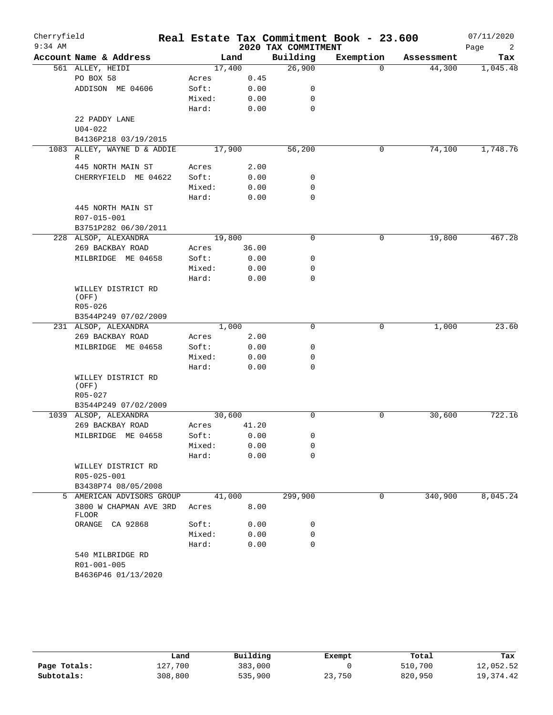| Cherryfield<br>$9:34$ AM |                                        |                |              | 2020 TAX COMMITMENT | Real Estate Tax Commitment Book - 23.600 |            | 07/11/2020<br>Page<br>2 |
|--------------------------|----------------------------------------|----------------|--------------|---------------------|------------------------------------------|------------|-------------------------|
|                          | Account Name & Address                 |                | Land         | Building            | Exemption                                | Assessment | Tax                     |
|                          | 561 ALLEY, HEIDI                       |                | 17,400       | 26,900              | $\Omega$                                 | 44,300     | 1,045.48                |
|                          | PO BOX 58                              | Acres          | 0.45         |                     |                                          |            |                         |
|                          | ADDISON ME 04606                       | Soft:          | 0.00         | 0                   |                                          |            |                         |
|                          |                                        | Mixed:         | 0.00         | 0                   |                                          |            |                         |
|                          |                                        | Hard:          | 0.00         | 0                   |                                          |            |                         |
|                          | 22 PADDY LANE                          |                |              |                     |                                          |            |                         |
|                          | $U04 - 022$                            |                |              |                     |                                          |            |                         |
|                          | B4136P218 03/19/2015                   |                |              |                     |                                          |            |                         |
|                          | 1083 ALLEY, WAYNE D & ADDIE<br>R       |                | 17,900       | 56,200              | 0                                        | 74,100     | 1,748.76                |
|                          | 445 NORTH MAIN ST                      | Acres          | 2.00         |                     |                                          |            |                         |
|                          | CHERRYFIELD ME 04622                   | Soft:          | 0.00         | 0                   |                                          |            |                         |
|                          |                                        | Mixed:         | 0.00         | 0                   |                                          |            |                         |
|                          |                                        | Hard:          | 0.00         | $\mathbf 0$         |                                          |            |                         |
|                          | 445 NORTH MAIN ST                      |                |              |                     |                                          |            |                         |
|                          | R07-015-001                            |                |              |                     |                                          |            |                         |
|                          | B3751P282 06/30/2011                   |                |              |                     |                                          |            |                         |
|                          | 228 ALSOP, ALEXANDRA                   |                | 19,800       | $\mathbf 0$         | 0                                        | 19,800     | 467.28                  |
|                          | 269 BACKBAY ROAD                       | Acres          | 36.00        |                     |                                          |            |                         |
|                          | MILBRIDGE ME 04658                     | Soft:          | 0.00         | 0                   |                                          |            |                         |
|                          |                                        | Mixed:         | 0.00         | 0                   |                                          |            |                         |
|                          |                                        | Hard:          | 0.00         | 0                   |                                          |            |                         |
|                          | WILLEY DISTRICT RD                     |                |              |                     |                                          |            |                         |
|                          | (OFF)                                  |                |              |                     |                                          |            |                         |
|                          | R05-026                                |                |              |                     |                                          |            |                         |
|                          | B3544P249 07/02/2009                   |                |              |                     |                                          |            |                         |
|                          | 231 ALSOP, ALEXANDRA                   |                | 1,000        | 0                   | 0                                        | 1,000      | 23.60                   |
|                          | 269 BACKBAY ROAD<br>MILBRIDGE ME 04658 | Acres<br>Soft: | 2.00<br>0.00 | 0                   |                                          |            |                         |
|                          |                                        | Mixed:         | 0.00         | 0                   |                                          |            |                         |
|                          |                                        | Hard:          | 0.00         | 0                   |                                          |            |                         |
|                          | WILLEY DISTRICT RD                     |                |              |                     |                                          |            |                         |
|                          | (OFF)                                  |                |              |                     |                                          |            |                         |
|                          | R05-027                                |                |              |                     |                                          |            |                         |
|                          | B3544P249 07/02/2009                   |                |              |                     |                                          |            |                         |
|                          | 1039 ALSOP, ALEXANDRA                  |                | 30,600       | $\mathbf 0$         | 0                                        | 30,600     | 722.16                  |
|                          | 269 BACKBAY ROAD                       | Acres          | 41.20        |                     |                                          |            |                         |
|                          | MILBRIDGE ME 04658                     | Soft:          | 0.00         | 0                   |                                          |            |                         |
|                          |                                        | Mixed:         | 0.00         | 0                   |                                          |            |                         |
|                          |                                        | Hard:          | 0.00         | 0                   |                                          |            |                         |
|                          | WILLEY DISTRICT RD                     |                |              |                     |                                          |            |                         |
|                          | R05-025-001                            |                |              |                     |                                          |            |                         |
|                          | B3438P74 08/05/2008                    |                |              |                     |                                          |            |                         |
| 5                        | AMERICAN ADVISORS GROUP                |                | 41,000       | 299,900             | 0                                        | 340,900    | 8,045.24                |
|                          | 3800 W CHAPMAN AVE 3RD<br>FLOOR        | Acres          | 8.00         |                     |                                          |            |                         |
|                          | ORANGE CA 92868                        | Soft:          | 0.00         | 0                   |                                          |            |                         |
|                          |                                        | Mixed:         | 0.00         | 0                   |                                          |            |                         |
|                          |                                        | Hard:          | 0.00         | 0                   |                                          |            |                         |
|                          | 540 MILBRIDGE RD                       |                |              |                     |                                          |            |                         |
|                          | R01-001-005                            |                |              |                     |                                          |            |                         |
|                          | B4636P46 01/13/2020                    |                |              |                     |                                          |            |                         |

|              | Land    | Building | Exempt | Total   | Tax         |
|--------------|---------|----------|--------|---------|-------------|
| Page Totals: | 127.700 | 383,000  |        | 510,700 | 12,052.52   |
| Subtotals:   | 308,800 | 535,900  | 23,750 | 820,950 | 19, 374. 42 |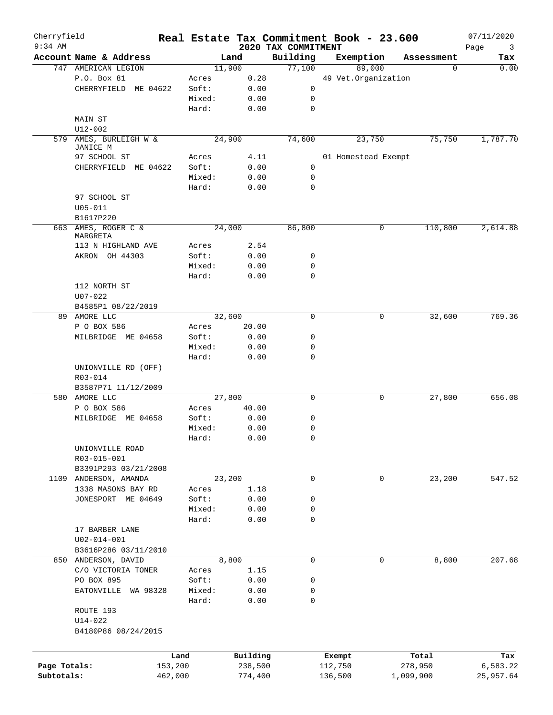| Cherryfield<br>$9:34$ AM |                        |         |          | 2020 TAX COMMITMENT | Real Estate Tax Commitment Book - 23.600 |   |            | 07/11/2020<br>3 |
|--------------------------|------------------------|---------|----------|---------------------|------------------------------------------|---|------------|-----------------|
|                          | Account Name & Address |         | Land     | Building            | Exemption                                |   | Assessment | Page<br>Tax     |
|                          | 747 AMERICAN LEGION    |         | 11,900   | 77,100              | 89,000                                   |   | 0          | 0.00            |
|                          | P.O. Box 81            | Acres   | 0.28     |                     | 49 Vet.Organization                      |   |            |                 |
|                          | CHERRYFIELD ME 04622   | Soft:   | 0.00     | 0                   |                                          |   |            |                 |
|                          |                        | Mixed:  | 0.00     | 0                   |                                          |   |            |                 |
|                          |                        | Hard:   | 0.00     | 0                   |                                          |   |            |                 |
|                          | MAIN ST                |         |          |                     |                                          |   |            |                 |
|                          | U12-002                |         |          |                     |                                          |   |            |                 |
| 579                      | AMES, BURLEIGH W &     |         | 24,900   | 74,600              | 23,750                                   |   | 75,750     | 1,787.70        |
|                          | JANICE M               |         |          |                     |                                          |   |            |                 |
|                          | 97 SCHOOL ST           | Acres   | 4.11     |                     | 01 Homestead Exempt                      |   |            |                 |
|                          | CHERRYFIELD ME 04622   | Soft:   | 0.00     | 0                   |                                          |   |            |                 |
|                          |                        | Mixed:  | 0.00     | 0                   |                                          |   |            |                 |
|                          |                        | Hard:   | 0.00     | 0                   |                                          |   |            |                 |
|                          | 97 SCHOOL ST           |         |          |                     |                                          |   |            |                 |
|                          | $U05 - 011$            |         |          |                     |                                          |   |            |                 |
|                          | B1617P220              |         |          |                     |                                          |   |            |                 |
|                          | 663 AMES, ROGER C &    |         | 24,000   | 86,800              |                                          | 0 | 110,800    | 2,614.88        |
|                          | MARGRETA               |         |          |                     |                                          |   |            |                 |
|                          | 113 N HIGHLAND AVE     | Acres   | 2.54     |                     |                                          |   |            |                 |
|                          | AKRON OH 44303         | Soft:   | 0.00     | 0                   |                                          |   |            |                 |
|                          |                        | Mixed:  | 0.00     | 0                   |                                          |   |            |                 |
|                          |                        | Hard:   | 0.00     | 0                   |                                          |   |            |                 |
|                          | 112 NORTH ST           |         |          |                     |                                          |   |            |                 |
|                          | $U07 - 022$            |         |          |                     |                                          |   |            |                 |
|                          | B4585P1 08/22/2019     |         |          |                     |                                          |   |            |                 |
| 89                       | AMORE LLC              |         | 32,600   | $\mathbf 0$         |                                          | 0 | 32,600     | 769.36          |
|                          | P O BOX 586            | Acres   | 20.00    |                     |                                          |   |            |                 |
|                          |                        |         |          | 0                   |                                          |   |            |                 |
|                          | MILBRIDGE ME 04658     | Soft:   | 0.00     |                     |                                          |   |            |                 |
|                          |                        | Mixed:  | 0.00     | 0                   |                                          |   |            |                 |
|                          |                        | Hard:   | 0.00     | $\mathbf 0$         |                                          |   |            |                 |
|                          | UNIONVILLE RD (OFF)    |         |          |                     |                                          |   |            |                 |
|                          | R03-014                |         |          |                     |                                          |   |            |                 |
|                          | B3587P71 11/12/2009    |         |          |                     |                                          |   |            |                 |
|                          | 580 AMORE LLC          |         | 27,800   | 0                   |                                          | 0 | 27,800     | 656.08          |
|                          | P O BOX 586            | Acres   | 40.00    |                     |                                          |   |            |                 |
|                          | MILBRIDGE ME 04658     | Soft:   | 0.00     | 0                   |                                          |   |            |                 |
|                          |                        | Mixed:  | 0.00     | 0                   |                                          |   |            |                 |
|                          |                        | Hard:   | 0.00     | 0                   |                                          |   |            |                 |
|                          | UNIONVILLE ROAD        |         |          |                     |                                          |   |            |                 |
|                          | R03-015-001            |         |          |                     |                                          |   |            |                 |
|                          | B3391P293 03/21/2008   |         |          |                     |                                          |   |            |                 |
| 1109                     | ANDERSON, AMANDA       |         | 23,200   | 0                   |                                          | 0 | 23,200     | 547.52          |
|                          | 1338 MASONS BAY RD     | Acres   | 1.18     |                     |                                          |   |            |                 |
|                          | JONESPORT ME 04649     | Soft:   | 0.00     | 0                   |                                          |   |            |                 |
|                          |                        | Mixed:  | 0.00     | 0                   |                                          |   |            |                 |
|                          |                        | Hard:   | 0.00     | 0                   |                                          |   |            |                 |
|                          | 17 BARBER LANE         |         |          |                     |                                          |   |            |                 |
|                          | $U02 - 014 - 001$      |         |          |                     |                                          |   |            |                 |
|                          | B3616P286 03/11/2010   |         |          |                     |                                          |   |            |                 |
|                          | 850 ANDERSON, DAVID    |         | 8,800    | 0                   |                                          | 0 | 8,800      | 207.68          |
|                          | C/O VICTORIA TONER     | Acres   | 1.15     |                     |                                          |   |            |                 |
|                          | PO BOX 895             | Soft:   | 0.00     | 0                   |                                          |   |            |                 |
|                          | EATONVILLE WA 98328    | Mixed:  | 0.00     | 0                   |                                          |   |            |                 |
|                          |                        | Hard:   | 0.00     | 0                   |                                          |   |            |                 |
|                          | ROUTE 193              |         |          |                     |                                          |   |            |                 |
|                          | $U14 - 022$            |         |          |                     |                                          |   |            |                 |
|                          | B4180P86 08/24/2015    |         |          |                     |                                          |   |            |                 |
|                          |                        |         |          |                     |                                          |   |            |                 |
|                          |                        |         |          |                     |                                          |   |            |                 |
|                          |                        | Land    | Building |                     | Exempt                                   |   | Total      | Tax             |
| Page Totals:             |                        | 153,200 | 238,500  |                     | 112,750                                  |   | 278,950    | 6,583.22        |
| Subtotals:               |                        | 462,000 | 774,400  |                     | 136,500                                  |   | 1,099,900  | 25,957.64       |
|                          |                        |         |          |                     |                                          |   |            |                 |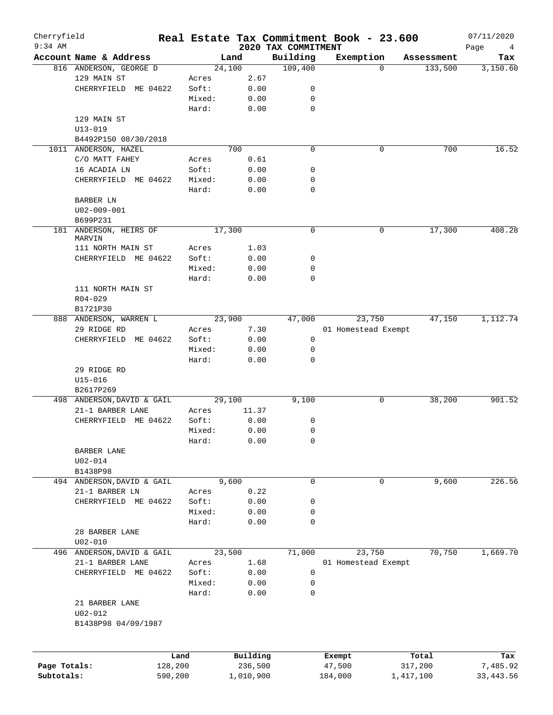| Cherryfield<br>$9:34$ AM |                                  |         |        |           |                                 | Real Estate Tax Commitment Book - 23.600 |            | 07/11/2020       |
|--------------------------|----------------------------------|---------|--------|-----------|---------------------------------|------------------------------------------|------------|------------------|
|                          | Account Name & Address           |         |        | Land      | 2020 TAX COMMITMENT<br>Building | Exemption                                | Assessment | Page<br>4<br>Tax |
|                          | 816 ANDERSON, GEORGE D           |         |        | 24,100    | 109,400                         | $\Omega$                                 | 133,500    | 3,150.60         |
|                          | 129 MAIN ST                      |         | Acres  | 2.67      |                                 |                                          |            |                  |
|                          | CHERRYFIELD<br>ME 04622          |         | Soft:  | 0.00      | 0                               |                                          |            |                  |
|                          |                                  |         | Mixed: | 0.00      | 0                               |                                          |            |                  |
|                          |                                  |         | Hard:  | 0.00      | $\mathbf 0$                     |                                          |            |                  |
|                          | 129 MAIN ST                      |         |        |           |                                 |                                          |            |                  |
|                          | $U13 - 019$                      |         |        |           |                                 |                                          |            |                  |
|                          | B4492P150 08/30/2018             |         |        |           |                                 |                                          |            |                  |
|                          | 1011 ANDERSON, HAZEL             |         |        | 700       | $\mathbf 0$                     | 0                                        | 700        | 16.52            |
|                          | C/O MATT FAHEY                   |         | Acres  | 0.61      |                                 |                                          |            |                  |
|                          | 16 ACADIA LN                     |         | Soft:  | 0.00      | 0                               |                                          |            |                  |
|                          | CHERRYFIELD ME 04622             |         | Mixed: | 0.00      | 0                               |                                          |            |                  |
|                          |                                  |         | Hard:  | 0.00      | 0                               |                                          |            |                  |
|                          |                                  |         |        |           |                                 |                                          |            |                  |
|                          | BARBER LN                        |         |        |           |                                 |                                          |            |                  |
|                          | $U02 - 009 - 001$                |         |        |           |                                 |                                          |            |                  |
|                          | B699P231                         |         |        |           |                                 |                                          |            |                  |
|                          | 181 ANDERSON, HEIRS OF<br>MARVIN |         |        | 17,300    | 0                               | 0                                        | 17,300     | 408.28           |
|                          | 111 NORTH MAIN ST                |         | Acres  | 1.03      |                                 |                                          |            |                  |
|                          | CHERRYFIELD ME 04622             |         | Soft:  | 0.00      | 0                               |                                          |            |                  |
|                          |                                  |         | Mixed: | 0.00      | 0                               |                                          |            |                  |
|                          |                                  |         |        |           | 0                               |                                          |            |                  |
|                          |                                  |         | Hard:  | 0.00      |                                 |                                          |            |                  |
|                          | 111 NORTH MAIN ST                |         |        |           |                                 |                                          |            |                  |
|                          | $R04 - 029$                      |         |        |           |                                 |                                          |            |                  |
|                          | B1721P30                         |         |        |           |                                 |                                          |            |                  |
|                          | 888 ANDERSON, WARREN L           |         |        | 23,900    | 47,000                          | 23,750                                   | 47,150     | 1,112.74         |
|                          | 29 RIDGE RD                      |         | Acres  | 7.30      |                                 | 01 Homestead Exempt                      |            |                  |
|                          | CHERRYFIELD<br>ME 04622          |         | Soft:  | 0.00      | 0                               |                                          |            |                  |
|                          |                                  |         | Mixed: | 0.00      | 0                               |                                          |            |                  |
|                          |                                  |         | Hard:  | 0.00      | 0                               |                                          |            |                  |
|                          | 29 RIDGE RD                      |         |        |           |                                 |                                          |            |                  |
|                          | $U15 - 016$                      |         |        |           |                                 |                                          |            |                  |
|                          | B2617P269                        |         |        |           |                                 |                                          |            |                  |
|                          | 498 ANDERSON, DAVID & GAIL       |         |        | 29,100    | 9,100                           | 0                                        | 38,200     | 901.52           |
|                          | 21-1 BARBER LANE                 |         | Acres  | 11.37     |                                 |                                          |            |                  |
|                          | CHERRYFIELD ME 04622             |         | Soft:  | 0.00      | 0                               |                                          |            |                  |
|                          |                                  |         | Mixed: | 0.00      | $\mathbf 0$                     |                                          |            |                  |
|                          |                                  |         | Hard:  | 0.00      | 0                               |                                          |            |                  |
|                          | BARBER LANE                      |         |        |           |                                 |                                          |            |                  |
|                          | $U02 - 014$                      |         |        |           |                                 |                                          |            |                  |
|                          | B1438P98                         |         |        |           |                                 |                                          |            |                  |
|                          | 494 ANDERSON, DAVID & GAIL       |         |        | 9,600     | $\mathbf 0$                     | $\mathbf 0$                              | 9,600      | 226.56           |
|                          | 21-1 BARBER LN                   |         | Acres  | 0.22      |                                 |                                          |            |                  |
|                          | CHERRYFIELD ME 04622             |         | Soft:  | 0.00      | 0                               |                                          |            |                  |
|                          |                                  |         | Mixed: | 0.00      | 0                               |                                          |            |                  |
|                          |                                  |         | Hard:  | 0.00      | 0                               |                                          |            |                  |
|                          | 28 BARBER LANE                   |         |        |           |                                 |                                          |            |                  |
|                          | $U02 - 010$                      |         |        |           |                                 |                                          |            |                  |
|                          | 496 ANDERSON, DAVID & GAIL       |         |        | 23,500    | 71,000                          | 23,750                                   | 70,750     | 1,669.70         |
|                          | 21-1 BARBER LANE                 |         | Acres  | 1.68      |                                 | 01 Homestead Exempt                      |            |                  |
|                          | CHERRYFIELD ME 04622             |         | Soft:  | 0.00      | 0                               |                                          |            |                  |
|                          |                                  |         | Mixed: | 0.00      | 0                               |                                          |            |                  |
|                          |                                  |         | Hard:  | 0.00      | 0                               |                                          |            |                  |
|                          | 21 BARBER LANE                   |         |        |           |                                 |                                          |            |                  |
|                          | $U02 - 012$                      |         |        |           |                                 |                                          |            |                  |
|                          | B1438P98 04/09/1987              |         |        |           |                                 |                                          |            |                  |
|                          |                                  |         |        |           |                                 |                                          |            |                  |
|                          |                                  | Land    |        | Building  |                                 | Exempt                                   | Total      | Tax              |
| Page Totals:             |                                  | 128,200 |        | 236,500   |                                 | 47,500                                   | 317,200    | 7,485.92         |
| Subtotals:               |                                  | 590,200 |        | 1,010,900 |                                 | 184,000                                  | 1,417,100  | 33, 443.56       |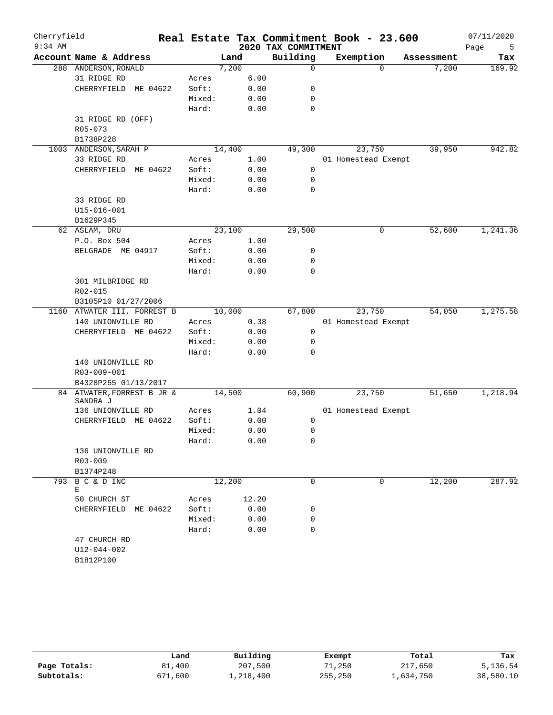| Cherryfield |                              |                 |              |                     | Real Estate Tax Commitment Book - 23.600 |            | 07/11/2020 |
|-------------|------------------------------|-----------------|--------------|---------------------|------------------------------------------|------------|------------|
| $9:34$ AM   |                              |                 |              | 2020 TAX COMMITMENT |                                          |            | Page<br>5  |
|             | Account Name & Address       |                 | Land         | Building            | Exemption                                | Assessment | Tax        |
|             | 288 ANDERSON, RONALD         |                 | 7,200        | 0                   | $\Omega$                                 | 7,200      | 169.92     |
|             | 31 RIDGE RD                  | Acres           | 6.00         |                     |                                          |            |            |
|             | CHERRYFIELD<br>ME 04622      | Soft:           | 0.00         | 0                   |                                          |            |            |
|             |                              | Mixed:          | 0.00         | 0                   |                                          |            |            |
|             |                              | Hard:           | 0.00         | $\mathbf 0$         |                                          |            |            |
|             | 31 RIDGE RD (OFF)<br>R05-073 |                 |              |                     |                                          |            |            |
|             | B1738P228                    |                 |              |                     |                                          |            |            |
| 1003        | ANDERSON, SARAH P            | 14,400          |              | 49,300              | 23,750                                   | 39,950     | 942.82     |
|             | 33 RIDGE RD                  | Acres           | 1.00         |                     | 01 Homestead Exempt                      |            |            |
|             | CHERRYFIELD<br>ME 04622      | Soft:           | 0.00         | $\mathbf 0$         |                                          |            |            |
|             |                              | Mixed:          | 0.00         | 0                   |                                          |            |            |
|             |                              | Hard:           | 0.00         | $\mathbf 0$         |                                          |            |            |
|             | 33 RIDGE RD                  |                 |              |                     |                                          |            |            |
|             | $U15 - 016 - 001$            |                 |              |                     |                                          |            |            |
|             | B1629P345                    |                 |              |                     |                                          |            |            |
|             | 62 ASLAM, DRU                | 23,100          |              | 29,500              | 0                                        | 52,600     | 1,241.36   |
|             | P.O. Box 504                 | Acres           | 1.00         |                     |                                          |            |            |
|             | BELGRADE ME 04917            | Soft:           | 0.00         | 0                   |                                          |            |            |
|             |                              | Mixed:          | 0.00         | 0                   |                                          |            |            |
|             |                              | Hard:           | 0.00         | $\mathbf 0$         |                                          |            |            |
|             | 301 MILBRIDGE RD             |                 |              |                     |                                          |            |            |
|             | R02-015                      |                 |              |                     |                                          |            |            |
|             | B3105P10 01/27/2006          |                 |              |                     |                                          |            |            |
|             | 1160 ATWATER III, FORREST B  |                 | 10,000       | 67,800              | 23,750                                   | 54,050     | 1,275.58   |
|             | 140 UNIONVILLE RD            | Acres           | 0.38         |                     | 01 Homestead Exempt                      |            |            |
|             | CHERRYFIELD ME 04622         | Soft:           | 0.00         | 0                   |                                          |            |            |
|             |                              | Mixed:<br>Hard: | 0.00<br>0.00 | 0<br>$\Omega$       |                                          |            |            |
|             | 140 UNIONVILLE RD            |                 |              |                     |                                          |            |            |
|             | R03-009-001                  |                 |              |                     |                                          |            |            |
|             | B4328P255 01/13/2017         |                 |              |                     |                                          |            |            |
|             | 84 ATWATER, FORREST B JR &   |                 | 14,500       | 60,900              | 23,750                                   | 51,650     | 1,218.94   |
|             | SANDRA J                     |                 |              |                     |                                          |            |            |
|             | 136 UNIONVILLE RD            | Acres           | 1.04         |                     | 01 Homestead Exempt                      |            |            |
|             | ME 04622<br>CHERRYFIELD      | Soft:           | 0.00         | 0                   |                                          |            |            |
|             |                              | Mixed:          | 0.00         | 0                   |                                          |            |            |
|             |                              | Hard:           | 0.00         | 0                   |                                          |            |            |
|             | 136 UNIONVILLE RD            |                 |              |                     |                                          |            |            |
|             | $R03 - 009$                  |                 |              |                     |                                          |            |            |
|             | B1374P248                    |                 |              |                     |                                          |            |            |
|             | 793 B C & D INC<br>Е         | 12,200          |              | 0                   | 0                                        | 12,200     | 287.92     |
|             | 50 CHURCH ST                 | Acres           | 12.20        |                     |                                          |            |            |
|             | CHERRYFIELD ME 04622         | Soft:           | 0.00         | 0                   |                                          |            |            |
|             |                              | Mixed:          | 0.00         | 0                   |                                          |            |            |
|             |                              | Hard:           | 0.00         | $\Omega$            |                                          |            |            |
|             | 47 CHURCH RD                 |                 |              |                     |                                          |            |            |
|             | U12-044-002                  |                 |              |                     |                                          |            |            |
|             | B1812P100                    |                 |              |                     |                                          |            |            |

|              | Land    | Building  | Exempt  | Total     | Tax       |
|--------------|---------|-----------|---------|-----------|-----------|
| Page Totals: | 81,400  | 207,500   | 71,250  | 217,650   | 5,136.54  |
| Subtotals:   | 671,600 | 1,218,400 | 255,250 | l,634,750 | 38,580.10 |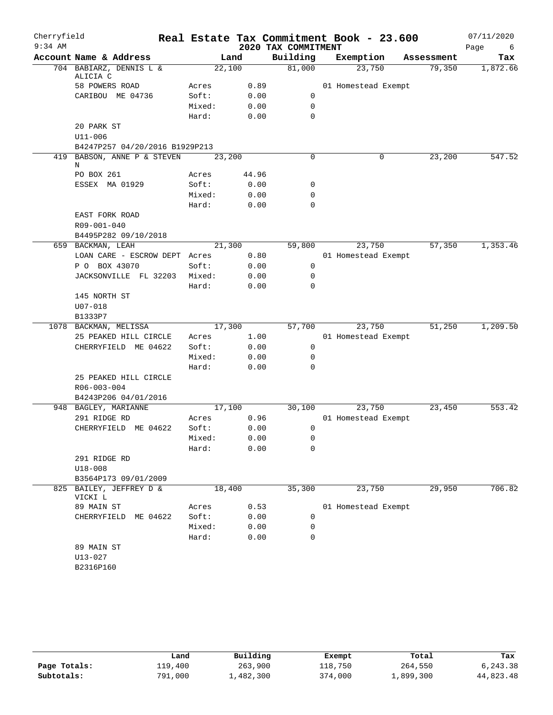| Cherryfield |                                     |                 |              |                     | Real Estate Tax Commitment Book - 23.600 |            | 07/11/2020  |
|-------------|-------------------------------------|-----------------|--------------|---------------------|------------------------------------------|------------|-------------|
| $9:34$ AM   |                                     |                 |              | 2020 TAX COMMITMENT |                                          |            | Page<br>- 6 |
|             | Account Name & Address              |                 | Land         | Building            | Exemption                                | Assessment | Tax         |
|             | 704 BABIARZ, DENNIS L &<br>ALICIA C | 22,100          |              | 81,000              | 23,750                                   | 79,350     | 1,872.66    |
|             | 58 POWERS ROAD                      | Acres           | 0.89         |                     | 01 Homestead Exempt                      |            |             |
|             | CARIBOU ME 04736                    | Soft:           | 0.00         | 0                   |                                          |            |             |
|             |                                     | Mixed:          | 0.00         | $\mathbf 0$         |                                          |            |             |
|             |                                     | Hard:           | 0.00         | 0                   |                                          |            |             |
|             | 20 PARK ST                          |                 |              |                     |                                          |            |             |
|             | U11-006                             |                 |              |                     |                                          |            |             |
|             | B4247P257 04/20/2016 B1929P213      |                 |              |                     |                                          |            |             |
|             | 419 BABSON, ANNE P & STEVEN<br>Ν    | 23,200          |              | 0                   | 0                                        | 23,200     | 547.52      |
|             | PO BOX 261                          | Acres           | 44.96        |                     |                                          |            |             |
|             | ESSEX MA 01929                      | Soft:           | 0.00         | 0                   |                                          |            |             |
|             |                                     | Mixed:          | 0.00         | 0                   |                                          |            |             |
|             |                                     | Hard:           | 0.00         | 0                   |                                          |            |             |
|             | EAST FORK ROAD                      |                 |              |                     |                                          |            |             |
|             | R09-001-040                         |                 |              |                     |                                          |            |             |
|             | B4495P282 09/10/2018                |                 |              |                     |                                          |            |             |
|             | 659 BACKMAN, LEAH                   | 21,300          |              | 59,800              | 23,750                                   | 57,350     | 1,353.46    |
|             | LOAN CARE - ESCROW DEPT Acres       |                 | 0.80         |                     | 01 Homestead Exempt                      |            |             |
|             | P O BOX 43070                       | Soft:           | 0.00         | 0                   |                                          |            |             |
|             | JACKSONVILLE FL 32203               | Mixed:          | 0.00         | 0                   |                                          |            |             |
|             |                                     | Hard:           | 0.00         | 0                   |                                          |            |             |
|             | 145 NORTH ST                        |                 |              |                     |                                          |            |             |
|             | $U07 - 018$                         |                 |              |                     |                                          |            |             |
|             | B1333P7                             |                 |              |                     |                                          |            |             |
|             | 1078 BACKMAN, MELISSA               | 17,300          |              | 57,700              | 23,750                                   | 51,250     | 1,209.50    |
|             | 25 PEAKED HILL CIRCLE               | Acres           | 1.00         |                     | 01 Homestead Exempt                      |            |             |
|             | CHERRYFIELD ME 04622                | Soft:           | 0.00         | 0                   |                                          |            |             |
|             |                                     | Mixed:<br>Hard: | 0.00<br>0.00 | 0<br>0              |                                          |            |             |
|             | 25 PEAKED HILL CIRCLE               |                 |              |                     |                                          |            |             |
|             | R06-003-004                         |                 |              |                     |                                          |            |             |
|             | B4243P206 04/01/2016                |                 |              |                     |                                          |            |             |
|             | 948 BAGLEY, MARIANNE                | 17,100          |              | 30,100              | 23,750                                   | 23,450     | 553.42      |
|             | 291 RIDGE RD                        | Acres           | 0.96         |                     | 01 Homestead Exempt                      |            |             |
|             | CHERRYFIELD ME 04622                | Soft:           | 0.00         | 0                   |                                          |            |             |
|             |                                     | Mixed:          | 0.00         | 0                   |                                          |            |             |
|             |                                     | Hard:           | 0.00         | 0                   |                                          |            |             |
|             | 291 RIDGE RD                        |                 |              |                     |                                          |            |             |
|             | $U18 - 008$                         |                 |              |                     |                                          |            |             |
|             | B3564P173 09/01/2009                |                 |              |                     |                                          |            |             |
|             | 825 BAILEY, JEFFREY D &<br>VICKI L  | 18,400          |              | 35,300              | 23,750                                   | 29,950     | 706.82      |
|             | 89 MAIN ST                          | Acres           | 0.53         |                     | 01 Homestead Exempt                      |            |             |
|             | CHERRYFIELD ME 04622                | Soft:           | 0.00         | 0                   |                                          |            |             |
|             |                                     | Mixed:          | 0.00         | 0                   |                                          |            |             |
|             |                                     | Hard:           | 0.00         | 0                   |                                          |            |             |
|             | 89 MAIN ST                          |                 |              |                     |                                          |            |             |
|             | $U13 - 027$                         |                 |              |                     |                                          |            |             |
|             | B2316P160                           |                 |              |                     |                                          |            |             |
|             |                                     |                 |              |                     |                                          |            |             |

|              | Land    | Building  | Exempt  | Total     | Tax       |
|--------------|---------|-----------|---------|-----------|-----------|
| Page Totals: | 119,400 | 263,900   | 118,750 | 264,550   | 6,243.38  |
| Subtotals:   | 791,000 | 1,482,300 | 374,000 | 1,899,300 | 44,823.48 |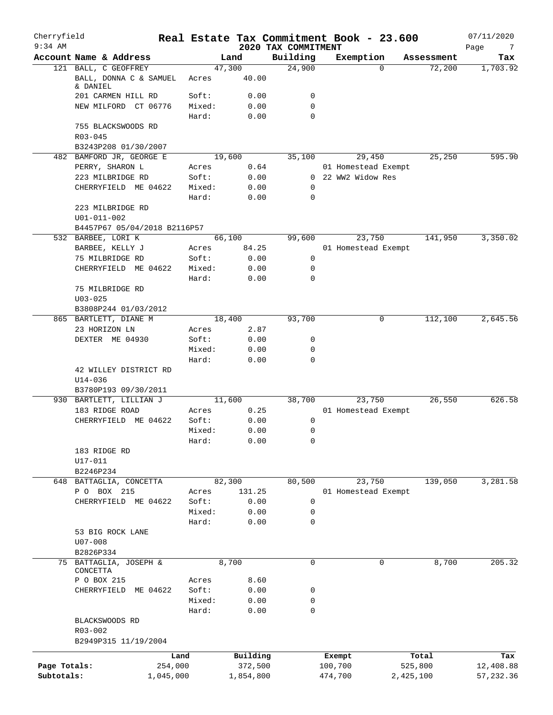| Cherryfield<br>$9:34$ AM |                                        |                 |                | 2020 TAX COMMITMENT | Real Estate Tax Commitment Book - 23.600 |            | 07/11/2020<br>Page<br>7 |
|--------------------------|----------------------------------------|-----------------|----------------|---------------------|------------------------------------------|------------|-------------------------|
|                          | Account Name & Address                 |                 | Land           | Building            | Exemption                                | Assessment | Tax                     |
|                          | 121 BALL, C GEOFFREY                   |                 | 47,300         | 24,900              | $\Omega$                                 | 72,200     | 1,703.92                |
|                          | BALL, DONNA C & SAMUEL<br>& DANIEL     | Acres           | 40.00          |                     |                                          |            |                         |
|                          | 201 CARMEN HILL RD                     | Soft:           | 0.00           | 0                   |                                          |            |                         |
|                          | NEW MILFORD CT 06776                   | Mixed:<br>Hard: | 0.00<br>0.00   | $\mathbf 0$<br>0    |                                          |            |                         |
|                          | 755 BLACKSWOODS RD                     |                 |                |                     |                                          |            |                         |
|                          | $R03 - 045$                            |                 |                |                     |                                          |            |                         |
|                          | B3243P208 01/30/2007                   |                 |                |                     |                                          |            |                         |
|                          | 482 BAMFORD JR, GEORGE E               |                 | 19,600         | 35,100              | 29,450                                   | 25,250     | 595.90                  |
|                          | PERRY, SHARON L                        | Acres           | 0.64           |                     | 01 Homestead Exempt                      |            |                         |
|                          | 223 MILBRIDGE RD                       | Soft:           | 0.00           |                     | 0 22 WW2 Widow Res                       |            |                         |
|                          | CHERRYFIELD ME 04622                   | Mixed:<br>Hard: | 0.00<br>0.00   | 0<br>0              |                                          |            |                         |
|                          | 223 MILBRIDGE RD                       |                 |                |                     |                                          |            |                         |
|                          | $U01 - 011 - 002$                      |                 |                |                     |                                          |            |                         |
|                          | B4457P67 05/04/2018 B2116P57           |                 |                |                     |                                          |            |                         |
|                          | 532 BARBEE, LORI K                     |                 | 66,100         | 99,600              | 23,750                                   | 141,950    | 3,350.02                |
|                          | BARBEE, KELLY J                        | Acres           | 84.25          |                     | 01 Homestead Exempt                      |            |                         |
|                          | 75 MILBRIDGE RD                        | Soft:           | 0.00           | 0                   |                                          |            |                         |
|                          | CHERRYFIELD ME 04622                   | Mixed:          | 0.00           | 0                   |                                          |            |                         |
|                          |                                        | Hard:           | 0.00           | 0                   |                                          |            |                         |
|                          | 75 MILBRIDGE RD                        |                 |                |                     |                                          |            |                         |
|                          | $U03 - 025$                            |                 |                |                     |                                          |            |                         |
|                          | B3808P244 01/03/2012                   |                 |                |                     | 0                                        |            |                         |
|                          | 865 BARTLETT, DIANE M<br>23 HORIZON LN |                 | 18,400<br>2.87 | 93,700              |                                          | 112,100    | 2,645.56                |
|                          | DEXTER ME 04930                        | Acres<br>Soft:  | 0.00           | 0                   |                                          |            |                         |
|                          |                                        | Mixed:          | 0.00           | 0                   |                                          |            |                         |
|                          |                                        | Hard:           | 0.00           | 0                   |                                          |            |                         |
|                          | 42 WILLEY DISTRICT RD<br>$U14 - 036$   |                 |                |                     |                                          |            |                         |
|                          | B3780P193 09/30/2011                   |                 |                |                     |                                          |            |                         |
|                          | 930 BARTLETT, LILLIAN J                |                 | 11,600         | 38,700              | 23,750                                   | 26,550     | 626.58                  |
|                          | 183 RIDGE ROAD                         | Acres           | 0.25           |                     | 01 Homestead Exempt                      |            |                         |
|                          | CHERRYFIELD ME 04622                   | Soft:           | 0.00           | 0                   |                                          |            |                         |
|                          |                                        | Mixed:          | 0.00           | 0                   |                                          |            |                         |
|                          |                                        | Hard:           | 0.00           | 0                   |                                          |            |                         |
|                          | 183 RIDGE RD                           |                 |                |                     |                                          |            |                         |
|                          | $U17 - 011$                            |                 |                |                     |                                          |            |                         |
|                          | B2246P234                              |                 |                |                     |                                          |            |                         |
|                          | 648 BATTAGLIA, CONCETTA                |                 | 82,300         | 80,500              | 23,750                                   | 139,050    | 3,281.58                |
|                          | P O BOX 215                            | Acres           | 131.25         |                     | 01 Homestead Exempt                      |            |                         |
|                          | CHERRYFIELD ME 04622                   | Soft:<br>Mixed: | 0.00           | 0<br>0              |                                          |            |                         |
|                          |                                        | Hard:           | 0.00<br>0.00   | 0                   |                                          |            |                         |
|                          | 53 BIG ROCK LANE                       |                 |                |                     |                                          |            |                         |
|                          | $U07 - 008$                            |                 |                |                     |                                          |            |                         |
|                          | B2826P334                              |                 |                |                     |                                          |            |                         |
|                          | 75 BATTAGLIA, JOSEPH &                 |                 | 8,700          | $\mathbf 0$         | 0                                        | 8,700      | 205.32                  |
|                          | CONCETTA                               |                 |                |                     |                                          |            |                         |
|                          | P O BOX 215                            | Acres           | 8.60           |                     |                                          |            |                         |
|                          | CHERRYFIELD ME 04622                   | Soft:           | 0.00           | 0                   |                                          |            |                         |
|                          |                                        | Mixed:          | 0.00           | 0                   |                                          |            |                         |
|                          |                                        | Hard:           | 0.00           | 0                   |                                          |            |                         |
|                          | BLACKSWOODS RD                         |                 |                |                     |                                          |            |                         |
|                          | R03-002                                |                 |                |                     |                                          |            |                         |
|                          | B2949P315 11/19/2004                   |                 |                |                     |                                          |            |                         |
|                          |                                        | Land            | Building       |                     | Exempt                                   | Total      | Tax                     |
| Page Totals:             | 254,000                                |                 | 372,500        |                     | 100,700                                  | 525,800    | 12,408.88               |
| Subtotals:               | 1,045,000                              |                 | 1,854,800      |                     | 474,700                                  | 2,425,100  | 57, 232.36              |
|                          |                                        |                 |                |                     |                                          |            |                         |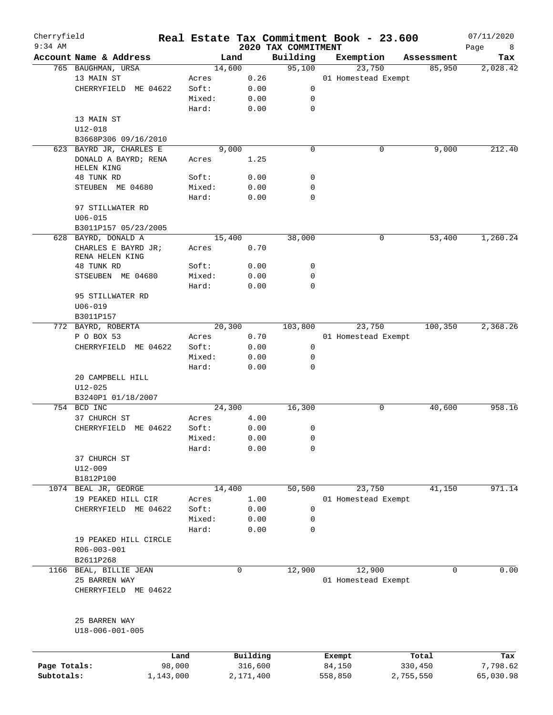| Cherryfield<br>$9:34$ AM |                         |        |        |          | Real Estate Tax Commitment Book - 23.600 |           |                     |            | 07/11/2020       |
|--------------------------|-------------------------|--------|--------|----------|------------------------------------------|-----------|---------------------|------------|------------------|
|                          | Account Name & Address  |        | Land   |          | 2020 TAX COMMITMENT<br>Building          | Exemption |                     | Assessment | Page<br>8<br>Tax |
|                          | 765 BAUGHMAN, URSA      |        | 14,600 |          | 95,100                                   |           | 23,750              | 85,950     | 2,028.42         |
|                          | 13 MAIN ST              | Acres  |        | 0.26     |                                          |           | 01 Homestead Exempt |            |                  |
|                          | CHERRYFIELD ME 04622    | Soft:  |        | 0.00     | 0                                        |           |                     |            |                  |
|                          |                         |        |        |          |                                          |           |                     |            |                  |
|                          |                         | Mixed: |        | 0.00     | 0                                        |           |                     |            |                  |
|                          |                         | Hard:  |        | 0.00     | $\mathbf 0$                              |           |                     |            |                  |
|                          | 13 MAIN ST              |        |        |          |                                          |           |                     |            |                  |
|                          | $U12 - 018$             |        |        |          |                                          |           |                     |            |                  |
|                          | B3668P306 09/16/2010    |        |        |          |                                          |           |                     |            |                  |
|                          | 623 BAYRD JR, CHARLES E |        | 9,000  |          | $\mathbf 0$                              |           | 0                   | 9,000      | 212.40           |
|                          | DONALD A BAYRD; RENA    | Acres  |        | 1.25     |                                          |           |                     |            |                  |
|                          | HELEN KING              |        |        |          |                                          |           |                     |            |                  |
|                          | 48 TUNK RD              | Soft:  |        | 0.00     | 0                                        |           |                     |            |                  |
|                          | STEUBEN ME 04680        | Mixed: |        | 0.00     | $\mathbf 0$                              |           |                     |            |                  |
|                          |                         | Hard:  |        | 0.00     | $\mathbf 0$                              |           |                     |            |                  |
|                          | 97 STILLWATER RD        |        |        |          |                                          |           |                     |            |                  |
|                          | $U06 - 015$             |        |        |          |                                          |           |                     |            |                  |
|                          | B3011P157 05/23/2005    |        |        |          |                                          |           |                     |            |                  |
|                          | 628 BAYRD, DONALD A     |        | 15,400 |          | 38,000                                   |           | 0                   | 53,400     | 1,260.24         |
|                          | CHARLES E BAYRD JR;     | Acres  |        | 0.70     |                                          |           |                     |            |                  |
|                          | RENA HELEN KING         |        |        |          |                                          |           |                     |            |                  |
|                          | 48 TUNK RD              | Soft:  |        | 0.00     | 0                                        |           |                     |            |                  |
|                          | STSEUBEN ME 04680       | Mixed: |        | 0.00     | 0                                        |           |                     |            |                  |
|                          |                         | Hard:  |        | 0.00     | $\mathbf 0$                              |           |                     |            |                  |
|                          | 95 STILLWATER RD        |        |        |          |                                          |           |                     |            |                  |
|                          | $U06 - 019$             |        |        |          |                                          |           |                     |            |                  |
|                          | B3011P157               |        |        |          |                                          |           |                     |            |                  |
|                          | 772 BAYRD, ROBERTA      |        | 20,300 |          | 103,800                                  |           | 23,750              | 100,350    | 2,368.26         |
|                          | P O BOX 53              | Acres  |        | 0.70     |                                          |           | 01 Homestead Exempt |            |                  |
|                          | CHERRYFIELD ME 04622    | Soft:  |        | 0.00     | 0                                        |           |                     |            |                  |
|                          |                         |        |        |          |                                          |           |                     |            |                  |
|                          |                         | Mixed: |        | 0.00     | $\mathbf 0$                              |           |                     |            |                  |
|                          |                         | Hard:  |        | 0.00     | $\mathbf 0$                              |           |                     |            |                  |
|                          | 20 CAMPBELL HILL        |        |        |          |                                          |           |                     |            |                  |
|                          | $U12 - 025$             |        |        |          |                                          |           |                     |            |                  |
|                          | B3240P1 01/18/2007      |        |        |          |                                          |           |                     |            |                  |
|                          | 754 BCD INC             |        | 24,300 |          | 16,300                                   |           | 0                   | 40,600     | 958.16           |
|                          | 37 CHURCH ST            | Acres  |        | 4.00     |                                          |           |                     |            |                  |
|                          | CHERRYFIELD ME 04622    | Soft:  |        | 0.00     | 0                                        |           |                     |            |                  |
|                          |                         | Mixed: |        | 0.00     | 0                                        |           |                     |            |                  |
|                          |                         | Hard:  |        | 0.00     | 0                                        |           |                     |            |                  |
|                          | 37 CHURCH ST            |        |        |          |                                          |           |                     |            |                  |
|                          | $U12 - 009$             |        |        |          |                                          |           |                     |            |                  |
|                          | B1812P100               |        |        |          |                                          |           |                     |            |                  |
|                          | 1074 BEAL JR, GEORGE    |        | 14,400 |          | 50,500                                   |           | 23,750              | 41,150     | 971.14           |
|                          | 19 PEAKED HILL CIR      | Acres  |        | 1.00     |                                          |           | 01 Homestead Exempt |            |                  |
|                          | CHERRYFIELD ME 04622    | Soft:  |        | 0.00     | 0                                        |           |                     |            |                  |
|                          |                         | Mixed: |        | 0.00     | $\mathbf 0$                              |           |                     |            |                  |
|                          |                         |        |        |          |                                          |           |                     |            |                  |
|                          |                         | Hard:  |        | 0.00     | $\mathbf 0$                              |           |                     |            |                  |
|                          | 19 PEAKED HILL CIRCLE   |        |        |          |                                          |           |                     |            |                  |
|                          | R06-003-001             |        |        |          |                                          |           |                     |            |                  |
|                          | B2611P268               |        |        |          |                                          |           |                     |            |                  |
|                          | 1166 BEAL, BILLIE JEAN  |        |        | 0        | 12,900                                   |           | 12,900              | 0          | 0.00             |
|                          | 25 BARREN WAY           |        |        |          |                                          |           | 01 Homestead Exempt |            |                  |
|                          | CHERRYFIELD ME 04622    |        |        |          |                                          |           |                     |            |                  |
|                          | 25 BARREN WAY           |        |        |          |                                          |           |                     |            |                  |
|                          | U18-006-001-005         |        |        |          |                                          |           |                     |            |                  |
|                          |                         | Land   |        | Building |                                          | Exempt    |                     | Total      |                  |
| Page Totals:             |                         | 98,000 |        | 316,600  |                                          | 84,150    |                     | 330,450    | Tax<br>7,798.62  |
|                          |                         |        |        |          |                                          |           |                     |            |                  |

**Subtotals:** 1,143,000 2,171,400 558,850 2,755,550 65,030.98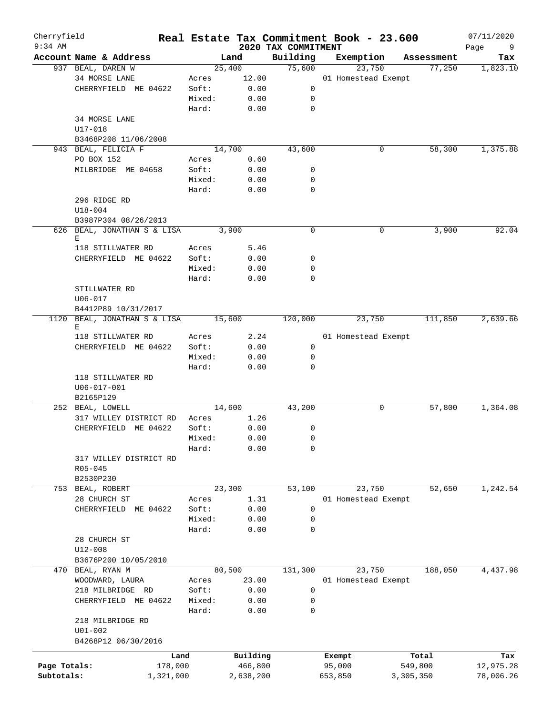| Cherryfield<br>$9:34$ AM |                             |        |           | 2020 TAX COMMITMENT | Real Estate Tax Commitment Book - 23.600 |            | 07/11/2020<br>Page<br>9 |
|--------------------------|-----------------------------|--------|-----------|---------------------|------------------------------------------|------------|-------------------------|
|                          | Account Name & Address      |        | Land      | Building            | Exemption                                | Assessment | Tax                     |
|                          | 937 BEAL, DAREN W           |        | 25,400    | 75,600              | 23,750                                   | 77,250     | 1,823.10                |
|                          | 34 MORSE LANE               | Acres  | 12.00     |                     | 01 Homestead Exempt                      |            |                         |
|                          | CHERRYFIELD ME 04622        | Soft:  | 0.00      | 0                   |                                          |            |                         |
|                          |                             | Mixed: | 0.00      | 0                   |                                          |            |                         |
|                          |                             | Hard:  | 0.00      | 0                   |                                          |            |                         |
|                          | 34 MORSE LANE               |        |           |                     |                                          |            |                         |
|                          | U17-018                     |        |           |                     |                                          |            |                         |
|                          | B3468P208 11/06/2008        |        |           |                     |                                          |            |                         |
|                          | 943 BEAL, FELICIA F         |        | 14,700    | 43,600              | 0                                        | 58,300     | 1,375.88                |
|                          |                             |        |           |                     |                                          |            |                         |
|                          | PO BOX 152                  | Acres  | 0.60      |                     |                                          |            |                         |
|                          | MILBRIDGE ME 04658          | Soft:  | 0.00      | 0                   |                                          |            |                         |
|                          |                             | Mixed: | 0.00      | 0                   |                                          |            |                         |
|                          |                             | Hard:  | 0.00      | 0                   |                                          |            |                         |
|                          | 296 RIDGE RD                |        |           |                     |                                          |            |                         |
|                          | $U18 - 004$                 |        |           |                     |                                          |            |                         |
|                          | B3987P304 08/26/2013        |        |           |                     |                                          |            |                         |
|                          | 626 BEAL, JONATHAN S & LISA |        | 3,900     | 0                   | 0                                        | 3,900      | 92.04                   |
|                          | Е                           |        |           |                     |                                          |            |                         |
|                          | 118 STILLWATER RD           | Acres  | 5.46      |                     |                                          |            |                         |
|                          | CHERRYFIELD ME 04622        | Soft:  | 0.00      | 0                   |                                          |            |                         |
|                          |                             | Mixed: | 0.00      | 0                   |                                          |            |                         |
|                          |                             | Hard:  | 0.00      | 0                   |                                          |            |                         |
|                          | STILLWATER RD               |        |           |                     |                                          |            |                         |
|                          | $U06 - 017$                 |        |           |                     |                                          |            |                         |
|                          | B4412P89 10/31/2017         |        |           |                     |                                          |            |                         |
| 1120                     | BEAL, JONATHAN S & LISA     |        | 15,600    | 120,000             | 23,750                                   | 111,850    | 2,639.66                |
|                          | Е                           |        |           |                     |                                          |            |                         |
|                          | 118 STILLWATER RD           | Acres  | 2.24      |                     | 01 Homestead Exempt                      |            |                         |
|                          | CHERRYFIELD ME 04622        | Soft:  | 0.00      | 0                   |                                          |            |                         |
|                          |                             | Mixed: | 0.00      | 0                   |                                          |            |                         |
|                          |                             | Hard:  | 0.00      | $\Omega$            |                                          |            |                         |
|                          | 118 STILLWATER RD           |        |           |                     |                                          |            |                         |
|                          | $U06 - 017 - 001$           |        |           |                     |                                          |            |                         |
|                          | B2165P129                   |        |           |                     |                                          |            |                         |
|                          | 252 BEAL, LOWELL            |        | 14,600    | 43,200              | 0                                        | 57,800     | 1,364.08                |
|                          | 317 WILLEY DISTRICT RD      | Acres  | 1.26      |                     |                                          |            |                         |
|                          | CHERRYFIELD ME 04622        | Soft:  | 0.00      | 0                   |                                          |            |                         |
|                          |                             | Mixed: | 0.00      | 0                   |                                          |            |                         |
|                          |                             | Hard:  | 0.00      | 0                   |                                          |            |                         |
|                          | 317 WILLEY DISTRICT RD      |        |           |                     |                                          |            |                         |
|                          | $R05 - 045$                 |        |           |                     |                                          |            |                         |
|                          | B2530P230                   |        |           |                     |                                          |            |                         |
|                          | 753 BEAL, ROBERT            |        | 23,300    | 53,100              | 23,750                                   | 52,650     | 1,242.54                |
|                          | 28 CHURCH ST                | Acres  | 1.31      |                     | 01 Homestead Exempt                      |            |                         |
|                          | CHERRYFIELD ME 04622        | Soft:  | 0.00      | 0                   |                                          |            |                         |
|                          |                             | Mixed: | 0.00      | 0                   |                                          |            |                         |
|                          |                             | Hard:  | 0.00      | 0                   |                                          |            |                         |
|                          | 28 CHURCH ST                |        |           |                     |                                          |            |                         |
|                          | $U12 - 008$                 |        |           |                     |                                          |            |                         |
|                          | B3676P200 10/05/2010        |        |           |                     |                                          |            |                         |
| 470                      | BEAL, RYAN M                |        | 80,500    | 131,300             | 23,750                                   | 188,050    | 4,437.98                |
|                          | WOODWARD, LAURA             | Acres  | 23.00     |                     | 01 Homestead Exempt                      |            |                         |
|                          | 218 MILBRIDGE RD            | Soft:  | 0.00      | 0                   |                                          |            |                         |
|                          | CHERRYFIELD ME 04622        | Mixed: | 0.00      | 0                   |                                          |            |                         |
|                          |                             | Hard:  | 0.00      | 0                   |                                          |            |                         |
|                          | 218 MILBRIDGE RD            |        |           |                     |                                          |            |                         |
|                          | $U01 - 002$                 |        |           |                     |                                          |            |                         |
|                          | B4268P12 06/30/2016         |        |           |                     |                                          |            |                         |
|                          |                             |        |           |                     |                                          |            |                         |
|                          | Land                        |        | Building  |                     | Exempt                                   | Total      | Tax                     |
| Page Totals:             | 178,000                     |        | 466,800   |                     | 95,000                                   | 549,800    | 12,975.28               |
| Subtotals:               | 1,321,000                   |        | 2,638,200 |                     | 653,850                                  | 3,305,350  | 78,006.26               |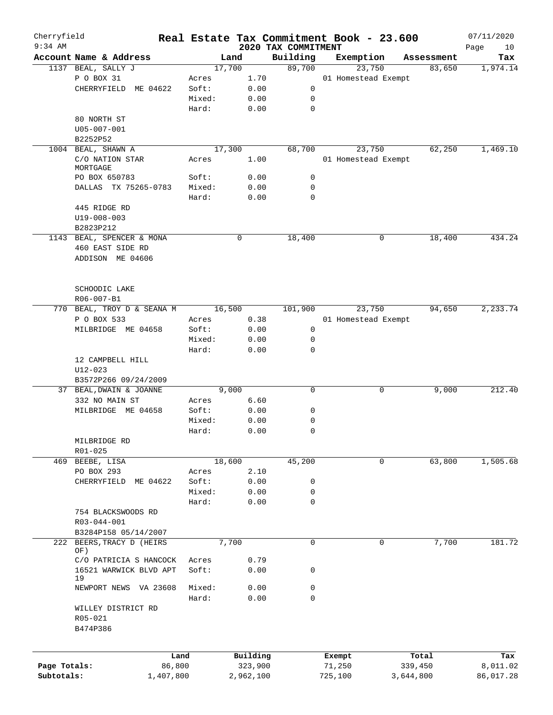| Cherryfield<br>$9:34$ AM |                                                 |           |        |              |                                 | Real Estate Tax Commitment Book - 23.600 |            | 07/11/2020        |
|--------------------------|-------------------------------------------------|-----------|--------|--------------|---------------------------------|------------------------------------------|------------|-------------------|
|                          | Account Name & Address                          |           | Land   |              | 2020 TAX COMMITMENT<br>Building |                                          | Assessment | Page<br>10<br>Tax |
|                          | 1137 BEAL, SALLY J                              |           | 17,700 |              | 89,700                          | Exemption<br>23,750                      | 83,650     | 1,974.14          |
|                          | P O BOX 31                                      | Acres     |        | 1.70         |                                 | 01 Homestead Exempt                      |            |                   |
|                          | CHERRYFIELD ME 04622                            | Soft:     |        | 0.00         | 0                               |                                          |            |                   |
|                          |                                                 |           | Mixed: | 0.00         | 0                               |                                          |            |                   |
|                          |                                                 |           |        |              |                                 |                                          |            |                   |
|                          |                                                 | Hard:     |        | 0.00         | $\mathbf 0$                     |                                          |            |                   |
|                          | 80 NORTH ST                                     |           |        |              |                                 |                                          |            |                   |
|                          | U05-007-001                                     |           |        |              |                                 |                                          |            |                   |
|                          | B2252P52                                        |           |        |              |                                 |                                          |            |                   |
|                          | 1004 BEAL, SHAWN A                              |           | 17,300 |              | 68,700                          | 23,750                                   | 62,250     | 1,469.10          |
|                          | C/O NATION STAR<br>MORTGAGE                     | Acres     |        | 1.00         |                                 | 01 Homestead Exempt                      |            |                   |
|                          | PO BOX 650783                                   | Soft:     |        | 0.00         | 0                               |                                          |            |                   |
|                          | DALLAS TX 75265-0783                            | Hard:     | Mixed: | 0.00<br>0.00 | 0<br>$\mathbf 0$                |                                          |            |                   |
|                          | 445 RIDGE RD                                    |           |        |              |                                 |                                          |            |                   |
|                          | $U19 - 008 - 003$                               |           |        |              |                                 |                                          |            |                   |
|                          | B2823P212                                       |           |        |              |                                 |                                          |            |                   |
|                          | 1143 BEAL, SPENCER & MONA                       |           |        | 0            | 18,400                          | 0                                        | 18,400     | 434.24            |
|                          | 460 EAST SIDE RD                                |           |        |              |                                 |                                          |            |                   |
|                          | ADDISON ME 04606                                |           |        |              |                                 |                                          |            |                   |
|                          | SCHOODIC LAKE                                   |           |        |              |                                 |                                          |            |                   |
|                          | R06-007-B1                                      |           |        |              |                                 |                                          |            |                   |
|                          | 770 BEAL, TROY D & SEANA M                      |           | 16,500 |              | 101,900                         | 23,750                                   | 94,650     | 2,233.74          |
|                          | P O BOX 533                                     | Acres     |        | 0.38         |                                 | 01 Homestead Exempt                      |            |                   |
|                          | MILBRIDGE ME 04658                              | Soft:     |        | 0.00         | 0                               |                                          |            |                   |
|                          |                                                 |           | Mixed: | 0.00         | 0                               |                                          |            |                   |
|                          |                                                 | Hard:     |        |              | $\mathbf 0$                     |                                          |            |                   |
|                          |                                                 |           |        | 0.00         |                                 |                                          |            |                   |
|                          | 12 CAMPBELL HILL                                |           |        |              |                                 |                                          |            |                   |
|                          | $U12 - 023$                                     |           |        |              |                                 |                                          |            |                   |
|                          | B3572P266 09/24/2009<br>37 BEAL, DWAIN & JOANNE |           |        |              | $\mathbf 0$                     | 0                                        |            | 212.40            |
|                          |                                                 |           | 9,000  | 6.60         |                                 |                                          | 9,000      |                   |
|                          | 332 NO MAIN ST                                  | Acres     |        |              | 0                               |                                          |            |                   |
|                          | MILBRIDGE ME 04658                              | Soft:     |        | 0.00         |                                 |                                          |            |                   |
|                          |                                                 |           | Mixed: | 0.00         | 0                               |                                          |            |                   |
|                          |                                                 | Hard:     |        | 0.00         | 0                               |                                          |            |                   |
|                          | MILBRIDGE RD                                    |           |        |              |                                 |                                          |            |                   |
|                          | R01-025                                         |           |        |              |                                 |                                          |            |                   |
|                          | 469 BEEBE, LISA                                 |           | 18,600 |              | 45,200                          | 0                                        | 63,800     | 1,505.68          |
|                          | PO BOX 293                                      | Acres     |        | 2.10         |                                 |                                          |            |                   |
|                          | CHERRYFIELD<br>ME 04622                         | Soft:     |        | 0.00         | 0                               |                                          |            |                   |
|                          |                                                 |           | Mixed: | 0.00         | 0                               |                                          |            |                   |
|                          |                                                 | Hard:     |        | 0.00         | $\mathbf 0$                     |                                          |            |                   |
|                          | 754 BLACKSWOODS RD                              |           |        |              |                                 |                                          |            |                   |
|                          | R03-044-001                                     |           |        |              |                                 |                                          |            |                   |
|                          | B3284P158 05/14/2007                            |           |        |              |                                 |                                          |            |                   |
|                          | 222 BEERS, TRACY D (HEIRS                       |           | 7,700  |              | $\mathbf 0$                     | 0                                        | 7,700      | 181.72            |
|                          | OF)                                             |           |        |              |                                 |                                          |            |                   |
|                          | C/O PATRICIA S HANCOCK                          | Acres     |        | 0.79         |                                 |                                          |            |                   |
|                          | 16521 WARWICK BLVD APT<br>19                    | Soft:     |        | 0.00         | 0                               |                                          |            |                   |
|                          | NEWPORT NEWS VA 23608                           |           | Mixed: | 0.00         | $\mathbf 0$                     |                                          |            |                   |
|                          |                                                 | Hard:     |        | 0.00         | $\mathbf 0$                     |                                          |            |                   |
|                          |                                                 |           |        |              |                                 |                                          |            |                   |
|                          | WILLEY DISTRICT RD                              |           |        |              |                                 |                                          |            |                   |
|                          | R05-021<br>B474P386                             |           |        |              |                                 |                                          |            |                   |
|                          |                                                 |           |        |              |                                 |                                          |            |                   |
|                          |                                                 | Land      |        | Building     |                                 | Exempt                                   | Total      | Tax               |
| Page Totals:             |                                                 | 86,800    |        | 323,900      |                                 | 71,250                                   | 339,450    | 8,011.02          |
| Subtotals:               |                                                 | 1,407,800 |        | 2,962,100    |                                 | 725,100                                  | 3,644,800  | 86,017.28         |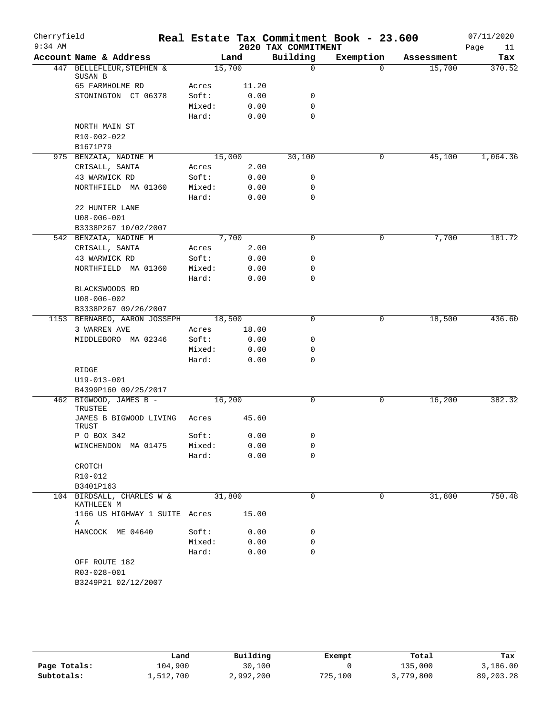| Cherryfield<br>$9:34$ AM |                                                     |        |       | 2020 TAX COMMITMENT | Real Estate Tax Commitment Book - 23.600 |            | 07/11/2020<br>Page<br>11 |
|--------------------------|-----------------------------------------------------|--------|-------|---------------------|------------------------------------------|------------|--------------------------|
|                          | Account Name & Address                              |        | Land  | Building            | Exemption                                | Assessment | Tax                      |
|                          | 447 BELLEFLEUR, STEPHEN &                           | 15,700 |       | $\mathbf 0$         | $\Omega$                                 | 15,700     | 370.52                   |
|                          | SUSAN B<br>65 FARMHOLME RD                          | Acres  | 11.20 |                     |                                          |            |                          |
|                          | STONINGTON CT 06378                                 | Soft:  | 0.00  | 0                   |                                          |            |                          |
|                          |                                                     | Mixed: | 0.00  | 0                   |                                          |            |                          |
|                          |                                                     | Hard:  | 0.00  | 0                   |                                          |            |                          |
|                          | NORTH MAIN ST                                       |        |       |                     |                                          |            |                          |
|                          | R10-002-022                                         |        |       |                     |                                          |            |                          |
|                          | B1671P79                                            |        |       |                     |                                          |            |                          |
|                          | 975 BENZAIA, NADINE M                               | 15,000 |       | 30,100              | 0                                        | 45,100     | 1,064.36                 |
|                          | CRISALL, SANTA                                      | Acres  | 2.00  |                     |                                          |            |                          |
|                          | 43 WARWICK RD                                       | Soft:  | 0.00  | 0                   |                                          |            |                          |
|                          | NORTHFIELD MA 01360                                 | Mixed: | 0.00  | 0                   |                                          |            |                          |
|                          |                                                     | Hard:  | 0.00  | $\mathbf 0$         |                                          |            |                          |
|                          | 22 HUNTER LANE                                      |        |       |                     |                                          |            |                          |
|                          | $U08 - 006 - 001$                                   |        |       |                     |                                          |            |                          |
|                          | B3338P267 10/02/2007                                |        |       |                     |                                          |            |                          |
|                          | 542 BENZAIA, NADINE M                               |        | 7,700 | 0                   | 0                                        | 7,700      | 181.72                   |
|                          | CRISALL, SANTA                                      |        | 2.00  |                     |                                          |            |                          |
|                          | 43 WARWICK RD                                       | Acres  |       | 0                   |                                          |            |                          |
|                          |                                                     | Soft:  | 0.00  | 0                   |                                          |            |                          |
|                          | NORTHFIELD MA 01360                                 | Mixed: | 0.00  | 0                   |                                          |            |                          |
|                          |                                                     | Hard:  | 0.00  |                     |                                          |            |                          |
|                          | BLACKSWOODS RD                                      |        |       |                     |                                          |            |                          |
|                          | $U08 - 006 - 002$                                   |        |       |                     |                                          |            |                          |
|                          | B3338P267 09/26/2007                                | 18,500 |       | $\mathbf 0$         | 0                                        | 18,500     | 436.60                   |
|                          | 1153 BERNABEO, AARON JOSSEPH                        |        |       |                     |                                          |            |                          |
|                          | 3 WARREN AVE                                        | Acres  | 18.00 |                     |                                          |            |                          |
|                          | MIDDLEBORO MA 02346                                 | Soft:  | 0.00  | 0                   |                                          |            |                          |
|                          |                                                     | Mixed: | 0.00  | 0                   |                                          |            |                          |
|                          |                                                     | Hard:  | 0.00  | 0                   |                                          |            |                          |
|                          | RIDGE                                               |        |       |                     |                                          |            |                          |
|                          | U19-013-001                                         |        |       |                     |                                          |            |                          |
|                          | B4399P160 09/25/2017                                |        |       |                     |                                          |            |                          |
|                          | 462 BIGWOOD, JAMES B -<br>TRUSTEE                   | 16,200 |       | $\mathbf 0$         | 0                                        | 16,200     | 382.32                   |
|                          | JAMES B BIGWOOD LIVING<br>TRUST                     | Acres  | 45.60 |                     |                                          |            |                          |
|                          | P O BOX 342                                         | Soft:  | 0.00  | 0                   |                                          |            |                          |
|                          | WINCHENDON MA 01475                                 | Mixed: | 0.00  | 0                   |                                          |            |                          |
|                          |                                                     | Hard:  | 0.00  | $\Omega$            |                                          |            |                          |
|                          | CROTCH                                              |        |       |                     |                                          |            |                          |
|                          | R10-012                                             |        |       |                     |                                          |            |                          |
|                          | B3401P163                                           |        |       |                     |                                          |            |                          |
|                          | 104 BIRDSALL, CHARLES W &<br>KATHLEEN M             | 31,800 |       | $\mathbf 0$         | $\Omega$                                 | 31,800     | 750.48                   |
|                          | 1166 US HIGHWAY 1 SUITE Acres<br>Α                  |        | 15.00 |                     |                                          |            |                          |
|                          | HANCOCK ME 04640                                    | Soft:  | 0.00  | 0                   |                                          |            |                          |
|                          |                                                     | Mixed: | 0.00  | 0                   |                                          |            |                          |
|                          |                                                     | Hard:  | 0.00  | $\Omega$            |                                          |            |                          |
|                          | OFF ROUTE 182<br>R03-028-001<br>B3249P21 02/12/2007 |        |       |                     |                                          |            |                          |

|              | Land      | Building  | Exempt  | Total     | Tax       |
|--------------|-----------|-----------|---------|-----------|-----------|
| Page Totals: | 104,900   | 30,100    |         | 135,000   | 3,186.00  |
| Subtotals:   | 1,512,700 | 2,992,200 | 725,100 | 3,779,800 | 89,203.28 |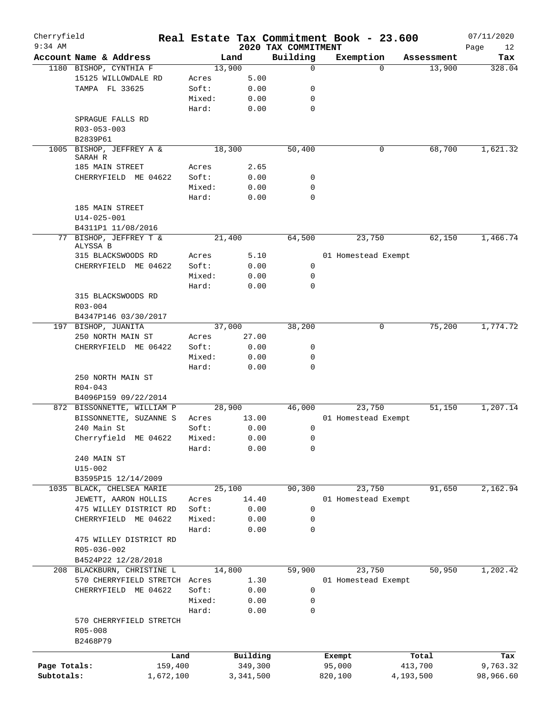| Cherryfield  |                                 |           |        |           |                                 | Real Estate Tax Commitment Book - 23.600 |            | 07/11/2020        |
|--------------|---------------------------------|-----------|--------|-----------|---------------------------------|------------------------------------------|------------|-------------------|
| $9:34$ AM    | Account Name & Address          |           |        | Land      | 2020 TAX COMMITMENT<br>Building | Exemption                                | Assessment | Page<br>12<br>Tax |
|              | 1180 BISHOP, CYNTHIA F          |           | 13,900 |           | 0                               | $\Omega$                                 | 13,900     | 328.04            |
|              | 15125 WILLOWDALE RD             |           | Acres  | 5.00      |                                 |                                          |            |                   |
|              | TAMPA FL 33625                  |           | Soft:  | 0.00      | 0                               |                                          |            |                   |
|              |                                 |           | Mixed: | 0.00      | 0                               |                                          |            |                   |
|              |                                 |           | Hard:  | 0.00      | 0                               |                                          |            |                   |
|              |                                 |           |        |           |                                 |                                          |            |                   |
|              | SPRAGUE FALLS RD                |           |        |           |                                 |                                          |            |                   |
|              | R03-053-003                     |           |        |           |                                 |                                          |            |                   |
|              | B2839P61<br>BISHOP, JEFFREY A & |           | 18,300 |           | 50,400                          |                                          | 68,700     |                   |
| 1005         | SARAH R                         |           |        |           |                                 | 0                                        |            | 1,621.32          |
|              | 185 MAIN STREET                 |           | Acres  | 2.65      |                                 |                                          |            |                   |
|              | CHERRYFIELD ME 04622            |           | Soft:  | 0.00      | 0                               |                                          |            |                   |
|              |                                 |           | Mixed: | 0.00      | 0                               |                                          |            |                   |
|              |                                 |           | Hard:  | 0.00      | 0                               |                                          |            |                   |
|              | 185 MAIN STREET                 |           |        |           |                                 |                                          |            |                   |
|              | $U14 - 025 - 001$               |           |        |           |                                 |                                          |            |                   |
|              | B4311P1 11/08/2016              |           |        |           |                                 |                                          |            |                   |
|              | 77 BISHOP, JEFFREY T &          |           |        |           |                                 |                                          | 62,150     |                   |
|              | ALYSSA B                        |           | 21,400 |           | 64,500                          | 23,750                                   |            | 1,466.74          |
|              | 315 BLACKSWOODS RD              |           | Acres  | 5.10      |                                 | 01 Homestead Exempt                      |            |                   |
|              | CHERRYFIELD ME 04622            |           | Soft:  | 0.00      | 0                               |                                          |            |                   |
|              |                                 |           | Mixed: | 0.00      | 0                               |                                          |            |                   |
|              |                                 |           | Hard:  | 0.00      | $\Omega$                        |                                          |            |                   |
|              | 315 BLACKSWOODS RD              |           |        |           |                                 |                                          |            |                   |
|              |                                 |           |        |           |                                 |                                          |            |                   |
|              | $R03 - 004$                     |           |        |           |                                 |                                          |            |                   |
|              | B4347P146 03/30/2017            |           |        |           |                                 |                                          |            | 1,774.72          |
|              | 197 BISHOP, JUANITA             |           | 37,000 |           | 38,200                          | 0                                        | 75,200     |                   |
|              | 250 NORTH MAIN ST               |           | Acres  | 27.00     |                                 |                                          |            |                   |
|              | CHERRYFIELD ME 06422            |           | Soft:  | 0.00      | 0                               |                                          |            |                   |
|              |                                 |           | Mixed: | 0.00      | 0                               |                                          |            |                   |
|              |                                 |           | Hard:  | 0.00      | 0                               |                                          |            |                   |
|              | 250 NORTH MAIN ST               |           |        |           |                                 |                                          |            |                   |
|              | $R04 - 043$                     |           |        |           |                                 |                                          |            |                   |
|              | B4096P159 09/22/2014            |           |        |           |                                 |                                          |            |                   |
|              | 872 BISSONNETTE, WILLIAM P      |           | 28,900 |           | 46,000                          | 23,750                                   | 51,150     | 1,207.14          |
|              | BISSONNETTE, SUZANNE S          |           | Acres  | 13.00     |                                 | 01 Homestead Exempt                      |            |                   |
|              | 240 Main St                     |           | Soft:  | 0.00      | 0                               |                                          |            |                   |
|              | Cherryfield ME 04622 Mixed:     |           |        | 0.00      | 0                               |                                          |            |                   |
|              |                                 |           | Hard:  | 0.00      | 0                               |                                          |            |                   |
|              | 240 MAIN ST                     |           |        |           |                                 |                                          |            |                   |
|              | $U15 - 002$                     |           |        |           |                                 |                                          |            |                   |
|              | B3595P15 12/14/2009             |           |        |           |                                 |                                          |            |                   |
|              | 1035 BLACK, CHELSEA MARIE       |           | 25,100 |           | 90,300                          | 23,750                                   | 91,650     | 2,162.94          |
|              | JEWETT, AARON HOLLIS            |           | Acres  | 14.40     |                                 | 01 Homestead Exempt                      |            |                   |
|              | 475 WILLEY DISTRICT RD          |           | Soft:  | 0.00      | 0                               |                                          |            |                   |
|              | CHERRYFIELD ME 04622            |           | Mixed: | 0.00      | 0                               |                                          |            |                   |
|              |                                 |           | Hard:  | 0.00      | 0                               |                                          |            |                   |
|              | 475 WILLEY DISTRICT RD          |           |        |           |                                 |                                          |            |                   |
|              | R05-036-002                     |           |        |           |                                 |                                          |            |                   |
|              | B4524P22 12/28/2018             |           |        |           |                                 |                                          |            |                   |
|              | 208 BLACKBURN, CHRISTINE L      |           | 14,800 |           | 59,900                          | 23,750                                   | 50,950     | 1,202.42          |
|              | 570 CHERRYFIELD STRETCH Acres   |           |        | 1.30      |                                 | 01 Homestead Exempt                      |            |                   |
|              | CHERRYFIELD ME 04622            |           | Soft:  | 0.00      | 0                               |                                          |            |                   |
|              |                                 |           | Mixed: | 0.00      | 0                               |                                          |            |                   |
|              |                                 |           | Hard:  | 0.00      | 0                               |                                          |            |                   |
|              | 570 CHERRYFIELD STRETCH         |           |        |           |                                 |                                          |            |                   |
|              | R05-008                         |           |        |           |                                 |                                          |            |                   |
|              | B2468P79                        |           |        |           |                                 |                                          |            |                   |
|              |                                 |           |        |           |                                 |                                          |            |                   |
|              |                                 | Land      |        | Building  |                                 | Exempt                                   | Total      | Tax               |
| Page Totals: |                                 | 159,400   |        | 349,300   |                                 | 95,000                                   | 413,700    | 9,763.32          |
| Subtotals:   |                                 | 1,672,100 |        | 3,341,500 |                                 | 820,100                                  | 4,193,500  | 98,966.60         |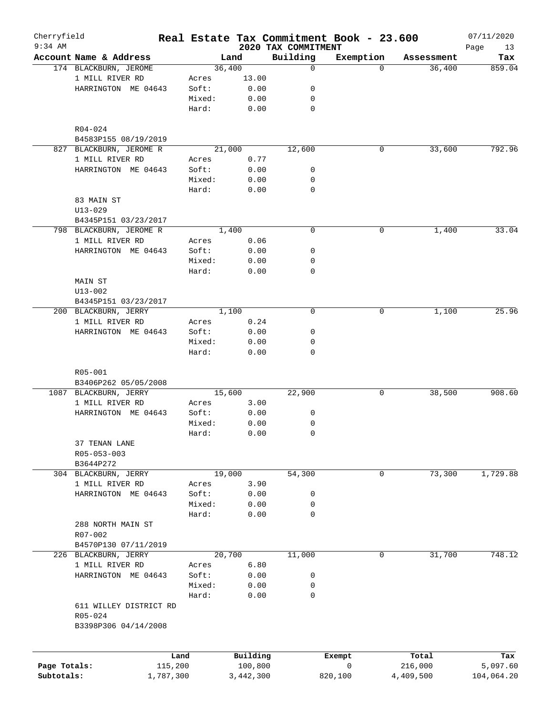| Cherryfield<br>$9:34$ AM   |                         |        |           | 2020 TAX COMMITMENT | Real Estate Tax Commitment Book - 23.600 |            | 07/11/2020        |
|----------------------------|-------------------------|--------|-----------|---------------------|------------------------------------------|------------|-------------------|
|                            | Account Name & Address  |        | Land      | Building            | Exemption                                | Assessment | Page<br>13<br>Tax |
|                            | 174 BLACKBURN, JEROME   |        | 36,400    | 0                   | $\Omega$                                 | 36,400     | 859.04            |
|                            | 1 MILL RIVER RD         | Acres  | 13.00     |                     |                                          |            |                   |
|                            | HARRINGTON ME 04643     | Soft:  | 0.00      | 0                   |                                          |            |                   |
|                            |                         | Mixed: | 0.00      | 0                   |                                          |            |                   |
|                            |                         |        |           | 0                   |                                          |            |                   |
|                            |                         | Hard:  | 0.00      |                     |                                          |            |                   |
|                            | R04-024                 |        |           |                     |                                          |            |                   |
|                            | B4583P155 08/19/2019    |        |           |                     |                                          |            |                   |
| 827                        | BLACKBURN, JEROME R     |        | 21,000    | 12,600              | 0                                        | 33,600     | 792.96            |
|                            | 1 MILL RIVER RD         | Acres  | 0.77      |                     |                                          |            |                   |
|                            | HARRINGTON ME 04643     | Soft:  | 0.00      | 0                   |                                          |            |                   |
|                            |                         | Mixed: | 0.00      | 0                   |                                          |            |                   |
|                            |                         | Hard:  | 0.00      | $\mathbf 0$         |                                          |            |                   |
|                            | 83 MAIN ST              |        |           |                     |                                          |            |                   |
|                            | $U13 - 029$             |        |           |                     |                                          |            |                   |
|                            | B4345P151 03/23/2017    |        |           |                     |                                          |            |                   |
|                            | 798 BLACKBURN, JEROME R |        | 1,400     | 0                   | 0                                        | 1,400      | 33.04             |
|                            | 1 MILL RIVER RD         | Acres  | 0.06      |                     |                                          |            |                   |
|                            | HARRINGTON ME 04643     | Soft:  | 0.00      | 0                   |                                          |            |                   |
|                            |                         | Mixed: | 0.00      | 0                   |                                          |            |                   |
|                            |                         | Hard:  | 0.00      | 0                   |                                          |            |                   |
|                            | MAIN ST                 |        |           |                     |                                          |            |                   |
|                            | $U13 - 002$             |        |           |                     |                                          |            |                   |
|                            | B4345P151 03/23/2017    |        |           |                     |                                          |            |                   |
|                            | 200 BLACKBURN, JERRY    |        | 1,100     | 0                   | 0                                        | 1,100      | 25.96             |
|                            | 1 MILL RIVER RD         | Acres  | 0.24      |                     |                                          |            |                   |
|                            | HARRINGTON ME 04643     | Soft:  | 0.00      | 0                   |                                          |            |                   |
|                            |                         | Mixed: | 0.00      | 0                   |                                          |            |                   |
|                            |                         | Hard:  | 0.00      | 0                   |                                          |            |                   |
|                            | $R05 - 001$             |        |           |                     |                                          |            |                   |
|                            | B3406P262 05/05/2008    |        |           |                     |                                          |            |                   |
|                            | 1087 BLACKBURN, JERRY   |        | 15,600    | 22,900              | 0                                        | 38,500     | 908.60            |
|                            | 1 MILL RIVER RD         | Acres  | 3.00      |                     |                                          |            |                   |
|                            | HARRINGTON ME 04643     | Soft:  | 0.00      | 0                   |                                          |            |                   |
|                            |                         | Mixed: | 0.00      | 0                   |                                          |            |                   |
|                            |                         | Hard:  | 0.00      | 0                   |                                          |            |                   |
|                            | 37 TENAN LANE           |        |           |                     |                                          |            |                   |
|                            | R05-053-003             |        |           |                     |                                          |            |                   |
|                            | B3644P272               |        |           |                     |                                          |            |                   |
|                            | 304 BLACKBURN, JERRY    |        | 19,000    | 54,300              | 0                                        | 73,300     | 1,729.88          |
|                            | 1 MILL RIVER RD         | Acres  | 3.90      |                     |                                          |            |                   |
|                            | HARRINGTON ME 04643     | Soft:  | 0.00      | 0                   |                                          |            |                   |
|                            |                         | Mixed: | 0.00      | 0                   |                                          |            |                   |
|                            |                         | Hard:  | 0.00      | $\mathbf 0$         |                                          |            |                   |
|                            | 288 NORTH MAIN ST       |        |           |                     |                                          |            |                   |
|                            | R07-002                 |        |           |                     |                                          |            |                   |
|                            | B4570P130 07/11/2019    |        |           |                     |                                          |            |                   |
|                            |                         |        |           |                     |                                          |            | 748.12            |
|                            | 226 BLACKBURN, JERRY    |        | 20,700    | 11,000              | 0                                        | 31,700     |                   |
|                            | 1 MILL RIVER RD         | Acres  | 6.80      |                     |                                          |            |                   |
|                            | HARRINGTON ME 04643     | Soft:  | 0.00      | 0                   |                                          |            |                   |
|                            |                         | Mixed: | 0.00      | 0                   |                                          |            |                   |
|                            |                         | Hard:  | 0.00      | $\mathbf 0$         |                                          |            |                   |
|                            | 611 WILLEY DISTRICT RD  |        |           |                     |                                          |            |                   |
|                            | R05-024                 |        |           |                     |                                          |            |                   |
|                            | B3398P306 04/14/2008    |        |           |                     |                                          |            |                   |
|                            |                         |        |           |                     |                                          |            |                   |
|                            |                         | Land   | Building  |                     | Exempt<br>0                              | Total      | Tax               |
| Page Totals:<br>Subtotals: | 115,200                 |        | 100,800   |                     |                                          | 216,000    | 5,097.60          |
|                            | 1,787,300               |        | 3,442,300 |                     | 820,100                                  | 4,409,500  | 104,064.20        |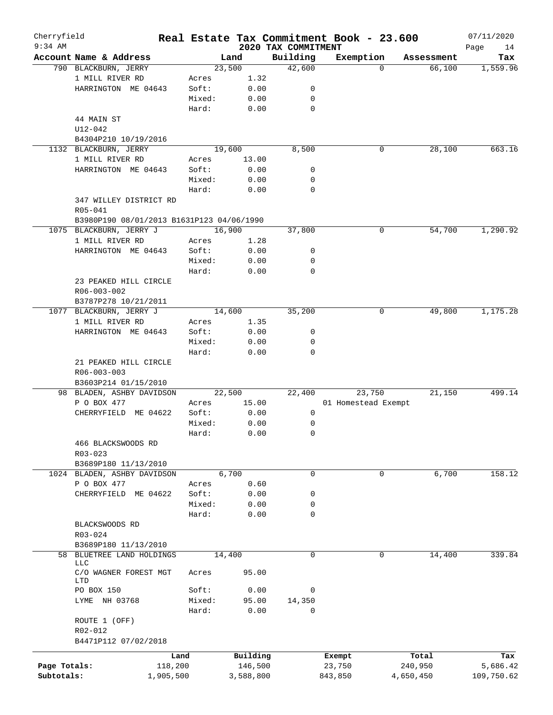| Cherryfield<br>$9:34$ AM |                                                              |         |           |                                 | Real Estate Tax Commitment Book - 23.600 |                      | 07/11/2020      |
|--------------------------|--------------------------------------------------------------|---------|-----------|---------------------------------|------------------------------------------|----------------------|-----------------|
|                          | Account Name & Address                                       |         | Land      | 2020 TAX COMMITMENT<br>Building |                                          |                      | Page<br>14      |
|                          | 790 BLACKBURN, JERRY                                         |         | 23,500    | 42,600                          | Exemption<br>$\Omega$                    | Assessment<br>66,100 | Tax<br>1,559.96 |
|                          | 1 MILL RIVER RD                                              | Acres   | 1.32      |                                 |                                          |                      |                 |
|                          | HARRINGTON ME 04643                                          | Soft:   | 0.00      | 0                               |                                          |                      |                 |
|                          |                                                              | Mixed:  |           | 0                               |                                          |                      |                 |
|                          |                                                              |         | 0.00      |                                 |                                          |                      |                 |
|                          |                                                              | Hard:   | 0.00      | $\mathbf 0$                     |                                          |                      |                 |
|                          | 44 MAIN ST                                                   |         |           |                                 |                                          |                      |                 |
|                          | $U12 - 042$                                                  |         |           |                                 |                                          |                      |                 |
|                          | B4304P210 10/19/2016                                         |         |           |                                 |                                          |                      |                 |
|                          | 1132 BLACKBURN, JERRY                                        |         | 19,600    | 8,500                           | 0                                        | 28,100               | 663.16          |
|                          | 1 MILL RIVER RD                                              | Acres   | 13.00     |                                 |                                          |                      |                 |
|                          | HARRINGTON ME 04643                                          | Soft:   | 0.00      | 0                               |                                          |                      |                 |
|                          |                                                              | Mixed:  | 0.00      | 0                               |                                          |                      |                 |
|                          |                                                              | Hard:   | 0.00      | $\mathbf 0$                     |                                          |                      |                 |
|                          | 347 WILLEY DISTRICT RD                                       |         |           |                                 |                                          |                      |                 |
|                          | R05-041                                                      |         |           |                                 |                                          |                      |                 |
|                          | B3980P190 08/01/2013 B1631P123 04/06/1990                    |         |           |                                 |                                          |                      |                 |
|                          | 1075 BLACKBURN, JERRY J                                      |         | 16,900    | 37,800                          | 0                                        | 54,700               | 1,290.92        |
|                          | 1 MILL RIVER RD                                              | Acres   | 1.28      |                                 |                                          |                      |                 |
|                          | HARRINGTON ME 04643                                          | Soft:   | 0.00      | 0                               |                                          |                      |                 |
|                          |                                                              | Mixed:  | 0.00      | 0                               |                                          |                      |                 |
|                          |                                                              | Hard:   | 0.00      | $\mathbf 0$                     |                                          |                      |                 |
|                          | 23 PEAKED HILL CIRCLE                                        |         |           |                                 |                                          |                      |                 |
|                          | R06-003-002                                                  |         |           |                                 |                                          |                      |                 |
|                          | B3787P278 10/21/2011                                         |         |           |                                 |                                          |                      |                 |
|                          | 1077 BLACKBURN, JERRY J                                      |         | 14,600    | 35,200                          | 0                                        | 49,800               | 1,175.28        |
|                          | 1 MILL RIVER RD                                              | Acres   | 1.35      |                                 |                                          |                      |                 |
|                          | HARRINGTON ME 04643                                          | Soft:   | 0.00      | 0                               |                                          |                      |                 |
|                          |                                                              | Mixed:  | 0.00      | 0                               |                                          |                      |                 |
|                          |                                                              | Hard:   | 0.00      | $\mathbf 0$                     |                                          |                      |                 |
|                          | 21 PEAKED HILL CIRCLE<br>R06-003-003<br>B3603P214 01/15/2010 |         |           |                                 |                                          |                      |                 |
|                          | 98 BLADEN, ASHBY DAVIDSON                                    |         | 22,500    | 22,400                          | 23,750                                   | 21,150               | 499.14          |
|                          | P O BOX 477                                                  | Acres   | 15.00     |                                 | 01 Homestead Exempt                      |                      |                 |
|                          | CHERRYFIELD ME 04622                                         | Soft:   | 0.00      | 0                               |                                          |                      |                 |
|                          |                                                              | Mixed:  | 0.00      | 0                               |                                          |                      |                 |
|                          |                                                              | Hard:   | 0.00      | 0                               |                                          |                      |                 |
|                          | 466 BLACKSWOODS RD                                           |         |           |                                 |                                          |                      |                 |
|                          |                                                              |         |           |                                 |                                          |                      |                 |
|                          | $R03 - 023$                                                  |         |           |                                 |                                          |                      |                 |
|                          | B3689P180 11/13/2010                                         |         |           |                                 |                                          |                      |                 |
|                          | 1024 BLADEN, ASHBY DAVIDSON                                  |         | 6,700     | 0                               | 0                                        | 6,700                | 158.12          |
|                          | P O BOX 477                                                  | Acres   | 0.60      |                                 |                                          |                      |                 |
|                          | CHERRYFIELD<br>ME 04622                                      | Soft:   | 0.00      | 0                               |                                          |                      |                 |
|                          |                                                              | Mixed:  | 0.00      | 0                               |                                          |                      |                 |
|                          |                                                              | Hard:   | 0.00      | 0                               |                                          |                      |                 |
|                          | BLACKSWOODS RD                                               |         |           |                                 |                                          |                      |                 |
|                          | R03-024                                                      |         |           |                                 |                                          |                      |                 |
|                          | B3689P180 11/13/2010                                         |         |           |                                 |                                          |                      |                 |
|                          | 58 BLUETREE LAND HOLDINGS                                    |         | 14,400    | 0                               | 0                                        | 14,400               | 339.84          |
|                          | <b>LLC</b><br>C/O WAGNER FOREST MGT<br>LTD                   | Acres   | 95.00     |                                 |                                          |                      |                 |
|                          | PO BOX 150                                                   | Soft:   | 0.00      | 0                               |                                          |                      |                 |
|                          | LYME NH 03768                                                | Mixed:  | 95.00     | 14,350                          |                                          |                      |                 |
|                          |                                                              |         |           | 0                               |                                          |                      |                 |
|                          |                                                              | Hard:   | 0.00      |                                 |                                          |                      |                 |
|                          | ROUTE 1 (OFF)                                                |         |           |                                 |                                          |                      |                 |
|                          | R02-012                                                      |         |           |                                 |                                          |                      |                 |
|                          | B4471P112 07/02/2018                                         |         |           |                                 |                                          |                      |                 |
|                          |                                                              | Land    | Building  |                                 | Exempt                                   | Total                | Tax             |
| Page Totals:             |                                                              | 118,200 | 146,500   |                                 | 23,750                                   | 240,950              | 5,686.42        |
| Subtotals:               | 1,905,500                                                    |         | 3,588,800 |                                 | 843,850                                  | 4,650,450            | 109,750.62      |
|                          |                                                              |         |           |                                 |                                          |                      |                 |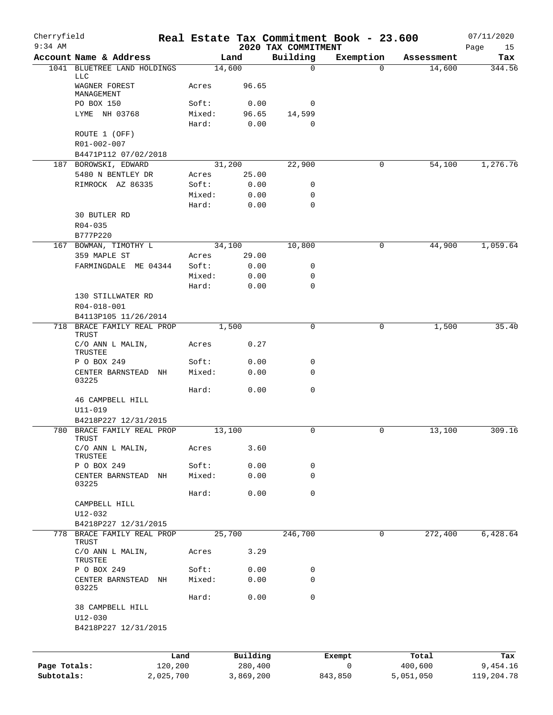| Cherryfield<br>$9:34$ AM |                                                                |           |                 |              |                                 | Real Estate Tax Commitment Book - 23.600 |            | 07/11/2020        |
|--------------------------|----------------------------------------------------------------|-----------|-----------------|--------------|---------------------------------|------------------------------------------|------------|-------------------|
|                          | Account Name & Address                                         |           |                 | Land         | 2020 TAX COMMITMENT<br>Building | Exemption                                | Assessment | Page<br>15<br>Tax |
| 1041                     | BLUETREE LAND HOLDINGS                                         |           | 14,600          |              | 0                               | $\Omega$                                 | 14,600     | 344.56            |
|                          | <b>LLC</b><br>WAGNER FOREST<br>MANAGEMENT                      |           | Acres           | 96.65        |                                 |                                          |            |                   |
|                          | PO BOX 150                                                     |           | Soft:           | 0.00         | 0                               |                                          |            |                   |
|                          | LYME NH 03768                                                  |           | Mixed:          | 96.65        | 14,599                          |                                          |            |                   |
|                          |                                                                |           | Hard:           | 0.00         | 0                               |                                          |            |                   |
|                          | ROUTE 1 (OFF)                                                  |           |                 |              |                                 |                                          |            |                   |
|                          | R01-002-007<br>B4471P112 07/02/2018                            |           |                 |              |                                 |                                          |            |                   |
|                          | 187 BOROWSKI, EDWARD                                           |           | 31,200          |              | 22,900                          | 0                                        | 54,100     | 1,276.76          |
|                          | 5480 N BENTLEY DR                                              |           | Acres           | 25.00        |                                 |                                          |            |                   |
|                          | RIMROCK AZ 86335                                               |           | Soft:           | 0.00         | 0                               |                                          |            |                   |
|                          |                                                                |           | Mixed:          | 0.00         | 0                               |                                          |            |                   |
|                          | 30 BUTLER RD                                                   |           | Hard:           | 0.00         | 0                               |                                          |            |                   |
|                          | $R04 - 035$                                                    |           |                 |              |                                 |                                          |            |                   |
|                          | B777P220                                                       |           |                 |              |                                 |                                          |            |                   |
|                          | 167 BOWMAN, TIMOTHY L                                          |           | 34,100          |              | 10,800                          | 0                                        | 44,900     | 1,059.64          |
|                          | 359 MAPLE ST                                                   |           | Acres           | 29.00        |                                 |                                          |            |                   |
|                          | FARMINGDALE ME 04344                                           |           | Soft:           | 0.00         | 0                               |                                          |            |                   |
|                          |                                                                |           | Mixed:<br>Hard: | 0.00<br>0.00 | 0<br>0                          |                                          |            |                   |
|                          | 130 STILLWATER RD                                              |           |                 |              |                                 |                                          |            |                   |
|                          | R04-018-001                                                    |           |                 |              |                                 |                                          |            |                   |
|                          | B4113P105 11/26/2014                                           |           |                 |              |                                 |                                          |            |                   |
|                          | 718 BRACE FAMILY REAL PROP<br>TRUST                            |           |                 | 1,500        | 0                               | 0                                        | 1,500      | 35.40             |
|                          | C/O ANN L MALIN,<br>TRUSTEE                                    |           | Acres           | 0.27         |                                 |                                          |            |                   |
|                          | P O BOX 249                                                    |           | Soft:           | 0.00         | 0                               |                                          |            |                   |
|                          | CENTER BARNSTEAD<br>03225                                      | ΝH        | Mixed:          | 0.00         | 0                               |                                          |            |                   |
|                          |                                                                |           | Hard:           | 0.00         | 0                               |                                          |            |                   |
|                          | 46 CAMPBELL HILL<br>$U11 - 019$                                |           |                 |              |                                 |                                          |            |                   |
|                          | B4218P227 12/31/2015                                           |           |                 |              |                                 |                                          |            |                   |
| 780                      | BRACE FAMILY REAL PROP<br>TRUST                                |           | 13,100          |              | 0                               | 0                                        | 13,100     | 309.16            |
|                          | C/O ANN L MALIN,<br>TRUSTEE                                    |           | Acres           | 3.60         |                                 |                                          |            |                   |
|                          | P O BOX 249                                                    |           | Soft:           | 0.00         | 0                               |                                          |            |                   |
|                          | CENTER BARNSTEAD<br>03225                                      | ΝH        | Mixed:          | 0.00         | 0                               |                                          |            |                   |
|                          |                                                                |           | Hard:           | 0.00         | 0                               |                                          |            |                   |
|                          | CAMPBELL HILL                                                  |           |                 |              |                                 |                                          |            |                   |
|                          | $U12 - 032$                                                    |           |                 |              |                                 |                                          |            |                   |
|                          | B4218P227 12/31/2015                                           |           |                 |              |                                 |                                          |            |                   |
|                          | 778 BRACE FAMILY REAL PROP<br><b>TRUST</b><br>C/O ANN L MALIN, |           | 25,700          | 3.29         | 246,700                         | 0                                        | 272,400    | 6,428.64          |
|                          | TRUSTEE                                                        |           | Acres           |              |                                 |                                          |            |                   |
|                          | P O BOX 249<br>CENTER BARNSTEAD NH                             |           | Soft:<br>Mixed: | 0.00<br>0.00 | 0<br>$\mathbf 0$                |                                          |            |                   |
|                          | 03225                                                          |           |                 |              |                                 |                                          |            |                   |
|                          | 38 CAMPBELL HILL<br>$U12 - 030$                                |           | Hard:           | 0.00         | 0                               |                                          |            |                   |
|                          | B4218P227 12/31/2015                                           |           |                 |              |                                 |                                          |            |                   |
|                          |                                                                | Land      |                 | Building     |                                 | Exempt                                   | Total      | Tax               |
| Page Totals:             |                                                                | 120,200   |                 | 280,400      |                                 | 0                                        | 400,600    | 9,454.16          |
| Subtotals:               |                                                                | 2,025,700 |                 | 3,869,200    |                                 | 843,850                                  | 5,051,050  | 119,204.78        |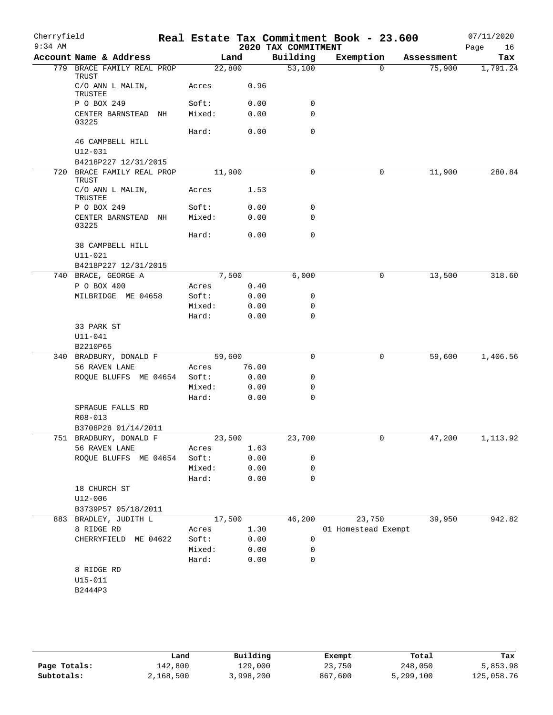| Cherryfield<br>$9:34$ AM |                                     |        |        | 2020 TAX COMMITMENT | Real Estate Tax Commitment Book - 23.600 |            | 07/11/2020<br>Page<br>16 |
|--------------------------|-------------------------------------|--------|--------|---------------------|------------------------------------------|------------|--------------------------|
|                          | Account Name & Address              |        | Land   | Building            | Exemption                                | Assessment | Tax                      |
|                          | 779 BRACE FAMILY REAL PROP<br>TRUST | 22,800 |        | 53,100              | $\Omega$                                 | 75,900     | 1,791.24                 |
|                          | C/O ANN L MALIN,<br>TRUSTEE         | Acres  | 0.96   |                     |                                          |            |                          |
|                          | P O BOX 249                         | Soft:  | 0.00   | 0                   |                                          |            |                          |
|                          | CENTER BARNSTEAD NH<br>03225        | Mixed: | 0.00   | 0                   |                                          |            |                          |
|                          |                                     | Hard:  | 0.00   | 0                   |                                          |            |                          |
|                          | 46 CAMPBELL HILL<br>U12-031         |        |        |                     |                                          |            |                          |
|                          | B4218P227 12/31/2015                |        |        |                     |                                          |            |                          |
|                          | 720 BRACE FAMILY REAL PROP<br>TRUST | 11,900 |        | $\mathbf 0$         | 0                                        | 11,900     | 280.84                   |
|                          | C/O ANN L MALIN,<br>TRUSTEE         | Acres  | 1.53   |                     |                                          |            |                          |
|                          | P O BOX 249                         | Soft:  | 0.00   | 0                   |                                          |            |                          |
|                          | CENTER BARNSTEAD NH<br>03225        | Mixed: | 0.00   | 0                   |                                          |            |                          |
|                          |                                     | Hard:  | 0.00   | $\mathbf 0$         |                                          |            |                          |
|                          | 38 CAMPBELL HILL<br>U11-021         |        |        |                     |                                          |            |                          |
|                          | B4218P227 12/31/2015                |        |        |                     |                                          |            |                          |
|                          | 740 BRACE, GEORGE A                 |        | 7,500  | 6,000               | 0                                        | 13,500     | 318.60                   |
|                          | P O BOX 400                         | Acres  | 0.40   |                     |                                          |            |                          |
|                          | MILBRIDGE ME 04658                  | Soft:  | 0.00   | 0                   |                                          |            |                          |
|                          |                                     | Mixed: | 0.00   | 0                   |                                          |            |                          |
|                          | 33 PARK ST<br>U11-041<br>B2210P65   | Hard:  | 0.00   | $\mathbf 0$         |                                          |            |                          |
|                          | 340 BRADBURY, DONALD F              | 59,600 |        | 0                   | 0                                        | 59,600     | 1,406.56                 |
|                          | 56 RAVEN LANE                       | Acres  | 76.00  |                     |                                          |            |                          |
|                          | ROQUE BLUFFS ME 04654               | Soft:  | 0.00   | 0                   |                                          |            |                          |
|                          |                                     | Mixed: | 0.00   | 0                   |                                          |            |                          |
|                          | SPRAGUE FALLS RD<br>R08-013         | Hard:  | 0.00   | 0                   |                                          |            |                          |
|                          | B3708P28 01/14/2011                 |        |        |                     |                                          |            |                          |
|                          | 751 BRADBURY, DONALD F              | 23,500 |        | 23,700              | 0                                        | 47,200     | 1,113.92                 |
|                          | 56 RAVEN LANE                       | Acres  | 1.63   |                     |                                          |            |                          |
|                          | ROQUE BLUFFS ME 04654               | Soft:  | 0.00   | 0                   |                                          |            |                          |
|                          |                                     | Mixed: | 0.00   | $\mathbf 0$         |                                          |            |                          |
|                          |                                     | Hard:  | 0.00   | 0                   |                                          |            |                          |
|                          | 18 CHURCH ST<br>$U12 - 006$         |        |        |                     |                                          |            |                          |
|                          | B3739P57 05/18/2011                 |        |        |                     |                                          |            |                          |
|                          | 883 BRADLEY, JUDITH L               |        | 17,500 | 46,200              | 23,750                                   | 39,950     | 942.82                   |
|                          | 8 RIDGE RD                          | Acres  | 1.30   |                     | 01 Homestead Exempt                      |            |                          |
|                          | CHERRYFIELD ME 04622                | Soft:  | 0.00   | 0                   |                                          |            |                          |
|                          |                                     | Mixed: | 0.00   | 0                   |                                          |            |                          |
|                          |                                     | Hard:  | 0.00   | 0                   |                                          |            |                          |
|                          | 8 RIDGE RD                          |        |        |                     |                                          |            |                          |
|                          | $U15 - 011$                         |        |        |                     |                                          |            |                          |
|                          | B2444P3                             |        |        |                     |                                          |            |                          |
|                          |                                     |        |        |                     |                                          |            |                          |

|              | Land      | Building | Exempt  | Total     | Tax        |
|--------------|-----------|----------|---------|-----------|------------|
| Page Totals: | 142,800   | 129,000  | 23,750  | 248,050   | 5,853.98   |
| Subtotals:   | 2,168,500 | ,998,200 | 867,600 | 5,299,100 | 125,058.76 |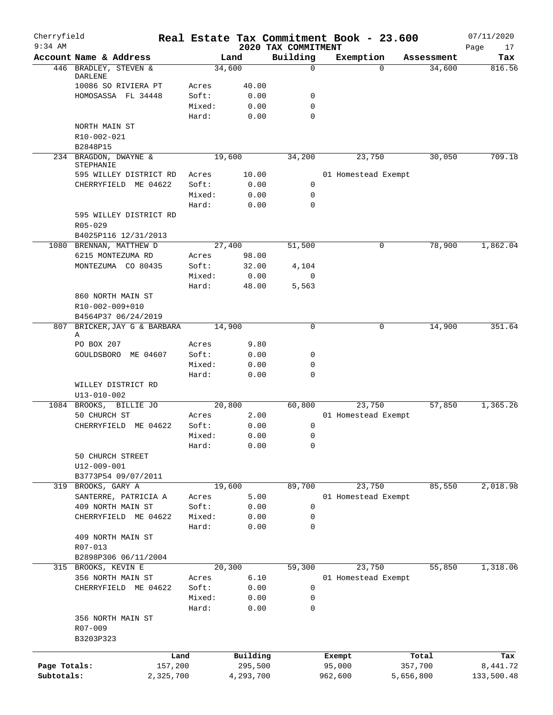| Cherryfield<br>$9:34$ AM |                                                 |                |               | 2020 TAX COMMITMENT | Real Estate Tax Commitment Book - 23.600 |            | 07/11/2020<br>17<br>Page |
|--------------------------|-------------------------------------------------|----------------|---------------|---------------------|------------------------------------------|------------|--------------------------|
|                          | Account Name & Address                          |                | Land          | Building            | Exemption                                | Assessment | Tax                      |
|                          | 446 BRADLEY, STEVEN &                           |                | 34,600        | 0                   | $\Omega$                                 | 34,600     | 816.56                   |
|                          | DARLENE<br>10086 SO RIVIERA PT                  |                | 40.00         |                     |                                          |            |                          |
|                          | HOMOSASSA FL 34448                              | Acres<br>Soft: | 0.00          | 0                   |                                          |            |                          |
|                          |                                                 | Mixed:         | 0.00          | 0                   |                                          |            |                          |
|                          |                                                 | Hard:          | 0.00          | 0                   |                                          |            |                          |
|                          | NORTH MAIN ST                                   |                |               |                     |                                          |            |                          |
|                          | R10-002-021                                     |                |               |                     |                                          |            |                          |
|                          | B2848P15                                        |                |               |                     |                                          |            |                          |
|                          | 234 BRAGDON, DWAYNE &                           |                | 19,600        | 34,200              | 23,750                                   | 30,050     | 709.18                   |
|                          | STEPHANIE                                       |                |               |                     |                                          |            |                          |
|                          | 595 WILLEY DISTRICT RD                          | Acres          | 10.00         |                     | 01 Homestead Exempt                      |            |                          |
|                          | CHERRYFIELD ME 04622                            | Soft:          | 0.00          | 0                   |                                          |            |                          |
|                          |                                                 | Mixed:         | 0.00          | 0                   |                                          |            |                          |
|                          |                                                 | Hard:          | 0.00          | $\mathbf 0$         |                                          |            |                          |
|                          | 595 WILLEY DISTRICT RD                          |                |               |                     |                                          |            |                          |
|                          | $R05 - 029$                                     |                |               |                     |                                          |            |                          |
|                          | B4025P116 12/31/2013<br>1080 BRENNAN, MATTHEW D |                |               | 51,500              | 0                                        | 78,900     | 1,862.04                 |
|                          | 6215 MONTEZUMA RD                               |                | 27,400        |                     |                                          |            |                          |
|                          | MONTEZUMA CO 80435                              | Acres<br>Soft: | 98.00         |                     |                                          |            |                          |
|                          |                                                 | Mixed:         | 32.00         | 4,104<br>0          |                                          |            |                          |
|                          |                                                 | Hard:          | 0.00<br>48.00 | 5,563               |                                          |            |                          |
|                          | 860 NORTH MAIN ST                               |                |               |                     |                                          |            |                          |
|                          |                                                 |                |               |                     |                                          |            |                          |
|                          | R10-002-009+010<br>B4564P37 06/24/2019          |                |               |                     |                                          |            |                          |
| 807                      | BRICKER, JAY G & BARBARA                        |                | 14,900        | 0                   | 0                                        | 14,900     | 351.64                   |
|                          | Α                                               |                |               |                     |                                          |            |                          |
|                          | PO BOX 207                                      | Acres          | 9.80          |                     |                                          |            |                          |
|                          | GOULDSBORO ME 04607                             | Soft:          | 0.00          | 0                   |                                          |            |                          |
|                          |                                                 | Mixed:         | 0.00          | 0                   |                                          |            |                          |
|                          |                                                 | Hard:          | 0.00          | 0                   |                                          |            |                          |
|                          | WILLEY DISTRICT RD                              |                |               |                     |                                          |            |                          |
|                          | $U13 - 010 - 002$                               |                |               |                     |                                          |            |                          |
|                          | 1084 BROOKS, BILLIE JO                          |                | 20,800        | 60,800              | 23,750                                   | 57,850     | 1,365.26                 |
|                          | 50 CHURCH ST                                    | Acres          | 2.00          |                     | 01 Homestead Exempt                      |            |                          |
|                          | CHERRYFIELD ME 04622                            | Soft:          | 0.00          | 0                   |                                          |            |                          |
|                          |                                                 | Mixed:         | 0.00          | 0                   |                                          |            |                          |
|                          |                                                 | Hard:          | 0.00          | 0                   |                                          |            |                          |
|                          | 50 CHURCH STREET                                |                |               |                     |                                          |            |                          |
|                          | $U12 - 009 - 001$                               |                |               |                     |                                          |            |                          |
|                          | B3773P54 09/07/2011                             |                |               |                     |                                          |            |                          |
|                          | 319 BROOKS, GARY A                              |                | 19,600        | 89,700              | 23,750                                   | 85,550     | 2,018.98                 |
|                          | SANTERRE, PATRICIA A                            | Acres          | 5.00          |                     | 01 Homestead Exempt                      |            |                          |
|                          | 409 NORTH MAIN ST                               | Soft:          | 0.00          | 0                   |                                          |            |                          |
|                          | CHERRYFIELD ME 04622                            | Mixed:         | 0.00          | 0                   |                                          |            |                          |
|                          |                                                 | Hard:          | 0.00          | 0                   |                                          |            |                          |
|                          | 409 NORTH MAIN ST                               |                |               |                     |                                          |            |                          |
|                          | R07-013                                         |                |               |                     |                                          |            |                          |
|                          | B2898P306 06/11/2004                            |                |               |                     |                                          |            |                          |
|                          | 315 BROOKS, KEVIN E                             |                | 20,300        | 59,300              | 23,750                                   | 55,850     | 1,318.06                 |
|                          | 356 NORTH MAIN ST                               | Acres          | 6.10          |                     | 01 Homestead Exempt                      |            |                          |
|                          | CHERRYFIELD ME 04622                            | Soft:          | 0.00          | 0                   |                                          |            |                          |
|                          |                                                 | Mixed:         | 0.00          | 0                   |                                          |            |                          |
|                          |                                                 | Hard:          | 0.00          | 0                   |                                          |            |                          |
|                          | 356 NORTH MAIN ST                               |                |               |                     |                                          |            |                          |
|                          | R07-009                                         |                |               |                     |                                          |            |                          |
|                          | B3203P323                                       |                |               |                     |                                          |            |                          |
|                          |                                                 | Land           | Building      |                     | Exempt                                   | Total      | Tax                      |
| Page Totals:             | 157,200                                         |                | 295,500       |                     | 95,000                                   | 357,700    | 8,441.72                 |
| Subtotals:               | 2,325,700                                       |                | 4,293,700     |                     | 962,600                                  | 5,656,800  | 133,500.48               |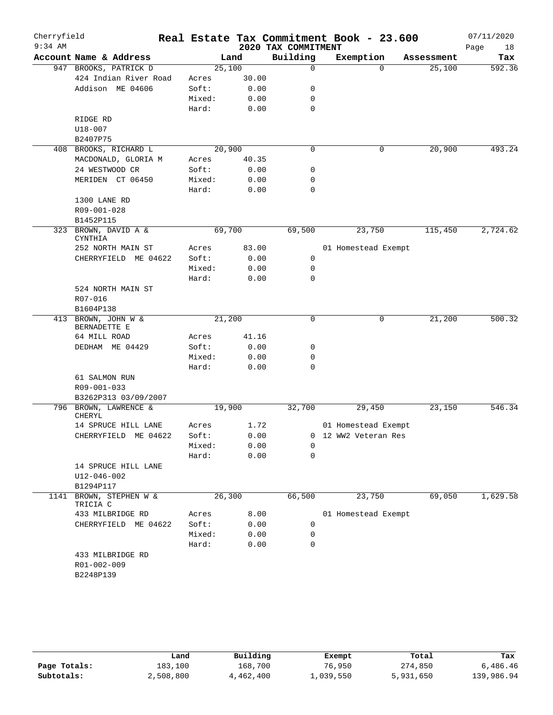| Cherryfield |                                     |        |       |                     | Real Estate Tax Commitment Book - 23.600 |            | 07/11/2020 |
|-------------|-------------------------------------|--------|-------|---------------------|------------------------------------------|------------|------------|
| $9:34$ AM   |                                     |        |       | 2020 TAX COMMITMENT |                                          |            | Page<br>18 |
|             | Account Name & Address              |        | Land  | Building            | Exemption                                | Assessment | Tax        |
|             | 947 BROOKS, PATRICK D               | 25,100 |       | $\mathbf 0$         | $\Omega$                                 | 25,100     | 592.36     |
|             | 424 Indian River Road               | Acres  | 30.00 |                     |                                          |            |            |
|             | Addison ME 04606                    | Soft:  | 0.00  | 0                   |                                          |            |            |
|             |                                     | Mixed: | 0.00  | 0                   |                                          |            |            |
|             |                                     | Hard:  | 0.00  | $\mathbf 0$         |                                          |            |            |
|             | RIDGE RD                            |        |       |                     |                                          |            |            |
|             | U18-007                             |        |       |                     |                                          |            |            |
|             | B2407P75                            |        |       |                     |                                          |            |            |
|             | 408 BROOKS, RICHARD L               | 20,900 |       | $\mathbf 0$         | 0                                        | 20,900     | 493.24     |
|             | MACDONALD, GLORIA M                 | Acres  | 40.35 |                     |                                          |            |            |
|             | 24 WESTWOOD CR                      | Soft:  | 0.00  | 0                   |                                          |            |            |
|             | MERIDEN CT 06450                    | Mixed: | 0.00  | 0                   |                                          |            |            |
|             |                                     | Hard:  | 0.00  | 0                   |                                          |            |            |
|             | 1300 LANE RD                        |        |       |                     |                                          |            |            |
|             | R09-001-028                         |        |       |                     |                                          |            |            |
|             | B1452P115                           |        |       |                     |                                          |            |            |
| 323         | BROWN, DAVID A &<br>CYNTHIA         | 69,700 |       | 69,500              | 23,750                                   | 115,450    | 2,724.62   |
|             | 252 NORTH MAIN ST                   | Acres  | 83.00 |                     | 01 Homestead Exempt                      |            |            |
|             | CHERRYFIELD ME 04622                | Soft:  | 0.00  | 0                   |                                          |            |            |
|             |                                     | Mixed: | 0.00  | 0                   |                                          |            |            |
|             |                                     | Hard:  | 0.00  | 0                   |                                          |            |            |
|             | 524 NORTH MAIN ST                   |        |       |                     |                                          |            |            |
|             | R07-016                             |        |       |                     |                                          |            |            |
|             | B1604P138                           |        |       |                     |                                          |            |            |
|             | 413 BROWN, JOHN W &<br>BERNADETTE E | 21,200 |       | $\mathbf 0$         | 0                                        | 21,200     | 500.32     |
|             | 64 MILL ROAD                        | Acres  | 41.16 |                     |                                          |            |            |
|             | DEDHAM ME 04429                     | Soft:  | 0.00  | 0                   |                                          |            |            |
|             |                                     | Mixed: | 0.00  | 0                   |                                          |            |            |
|             |                                     | Hard:  | 0.00  | $\mathbf 0$         |                                          |            |            |
|             | 61 SALMON RUN                       |        |       |                     |                                          |            |            |
|             | R09-001-033                         |        |       |                     |                                          |            |            |
|             | B3262P313 03/09/2007                |        |       |                     |                                          |            |            |
|             | 796 BROWN, LAWRENCE &               | 19,900 |       | 32,700              | 29,450                                   | 23,150     | 546.34     |
|             | CHERYL                              |        |       |                     |                                          |            |            |
|             | 14 SPRUCE HILL LANE                 | Acres  | 1.72  |                     | 01 Homestead Exempt                      |            |            |
|             | CHERRYFIELD ME 04622                | Soft:  | 0.00  |                     | 0 12 WW2 Veteran Res                     |            |            |
|             |                                     | Mixed: | 0.00  | 0<br>0              |                                          |            |            |
|             |                                     | Hard:  | 0.00  |                     |                                          |            |            |
|             | 14 SPRUCE HILL LANE                 |        |       |                     |                                          |            |            |
|             | U12-046-002<br>B1294P117            |        |       |                     |                                          |            |            |
|             | BROWN, STEPHEN W &                  | 26,300 |       | 66,500              | 23,750                                   | 69,050     | 1,629.58   |
| 1141        | TRICIA C                            |        |       |                     |                                          |            |            |
|             | 433 MILBRIDGE RD                    | Acres  | 8.00  |                     | 01 Homestead Exempt                      |            |            |
|             | CHERRYFIELD ME 04622                | Soft:  | 0.00  | 0                   |                                          |            |            |
|             |                                     | Mixed: | 0.00  | 0                   |                                          |            |            |
|             |                                     | Hard:  | 0.00  | 0                   |                                          |            |            |
|             | 433 MILBRIDGE RD                    |        |       |                     |                                          |            |            |
|             | R01-002-009                         |        |       |                     |                                          |            |            |
|             | B2248P139                           |        |       |                     |                                          |            |            |
|             |                                     |        |       |                     |                                          |            |            |

|              | Land      | Building  | Exempt    | Total     | Tax        |
|--------------|-----------|-----------|-----------|-----------|------------|
| Page Totals: | 183,100   | 168,700   | 76,950    | 274,850   | 6,486.46   |
| Subtotals:   | 2,508,800 | 4,462,400 | 1,039,550 | 5,931,650 | 139,986.94 |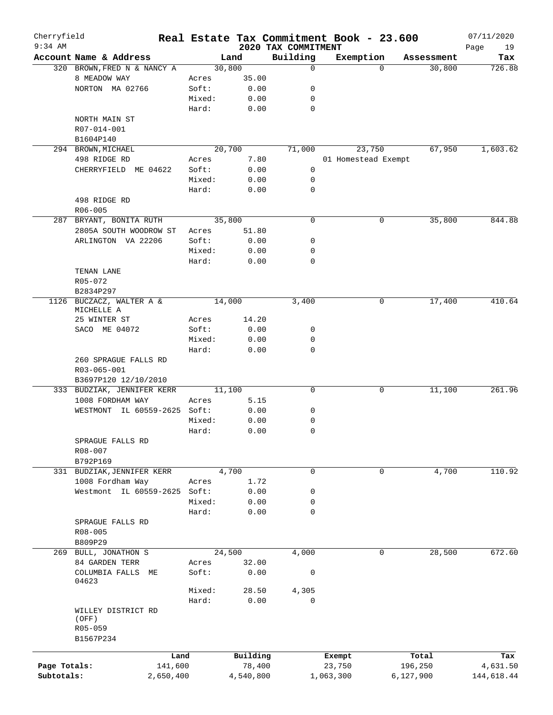| Cherryfield<br>$9:34$ AM |                              |                |           | 2020 TAX COMMITMENT | Real Estate Tax Commitment Book - 23.600 |                       | 07/11/2020        |
|--------------------------|------------------------------|----------------|-----------|---------------------|------------------------------------------|-----------------------|-------------------|
|                          | Account Name & Address       |                | Land      | Building            | Exemption                                | Assessment            | Page<br>19<br>Tax |
|                          | 320 BROWN, FRED N & NANCY A  |                | 30,800    | 0                   |                                          | 30,800<br>$\Omega$    | 726.88            |
|                          | 8 MEADOW WAY                 | Acres          | 35.00     |                     |                                          |                       |                   |
|                          | NORTON MA 02766              | Soft:          | 0.00      | 0                   |                                          |                       |                   |
|                          |                              | Mixed:         | 0.00      | 0                   |                                          |                       |                   |
|                          |                              | Hard:          | 0.00      | $\mathbf 0$         |                                          |                       |                   |
|                          | NORTH MAIN ST                |                |           |                     |                                          |                       |                   |
|                          | R07-014-001                  |                |           |                     |                                          |                       |                   |
|                          | B1604P140                    |                |           |                     |                                          |                       |                   |
|                          | 294 BROWN, MICHAEL           |                | 20,700    | 71,000              | 23,750                                   | 67,950                | 1,603.62          |
|                          | 498 RIDGE RD                 | Acres          | 7.80      |                     | 01 Homestead Exempt                      |                       |                   |
|                          | CHERRYFIELD ME 04622         | Soft:          | 0.00      | 0                   |                                          |                       |                   |
|                          |                              | Mixed:         | 0.00      | 0                   |                                          |                       |                   |
|                          |                              | Hard:          | 0.00      | 0                   |                                          |                       |                   |
|                          | 498 RIDGE RD                 |                |           |                     |                                          |                       |                   |
|                          | $R06 - 005$                  |                |           |                     |                                          |                       |                   |
|                          | 287 BRYANT, BONITA RUTH      |                | 35,800    | 0                   |                                          | 35,800<br>0           | 844.88            |
|                          | 2805A SOUTH WOODROW ST       |                | 51.80     |                     |                                          |                       |                   |
|                          |                              | Acres<br>Soft: |           | 0                   |                                          |                       |                   |
|                          | ARLINGTON VA 22206           |                | 0.00      |                     |                                          |                       |                   |
|                          |                              | Mixed:         | 0.00      | 0                   |                                          |                       |                   |
|                          |                              | Hard:          | 0.00      | 0                   |                                          |                       |                   |
|                          | TENAN LANE                   |                |           |                     |                                          |                       |                   |
|                          | R05-072                      |                |           |                     |                                          |                       |                   |
|                          | B2834P297                    |                |           |                     |                                          |                       |                   |
| 1126                     | BUCZACZ, WALTER A &          |                | 14,000    | 3,400               |                                          | 0<br>17,400           | 410.64            |
|                          | MICHELLE A                   |                | 14.20     |                     |                                          |                       |                   |
|                          | 25 WINTER ST                 | Acres          |           |                     |                                          |                       |                   |
|                          | SACO ME 04072                | Soft:          | 0.00      | 0                   |                                          |                       |                   |
|                          |                              | Mixed:         | 0.00      | 0                   |                                          |                       |                   |
|                          |                              | Hard:          | 0.00      | $\mathbf 0$         |                                          |                       |                   |
|                          | 260 SPRAGUE FALLS RD         |                |           |                     |                                          |                       |                   |
|                          | R03-065-001                  |                |           |                     |                                          |                       |                   |
|                          | B3697P120 12/10/2010         |                |           |                     |                                          |                       |                   |
|                          | 333 BUDZIAK, JENNIFER KERR   |                | 11,100    | 0                   |                                          | 0<br>11,100           | 261.96            |
|                          | 1008 FORDHAM WAY             | Acres          | 5.15      |                     |                                          |                       |                   |
|                          | WESTMONT IL 60559-2625 Soft: |                | 0.00      | 0                   |                                          |                       |                   |
|                          |                              | Mixed:         | 0.00      | 0                   |                                          |                       |                   |
|                          |                              | Hard:          | 0.00      | 0                   |                                          |                       |                   |
|                          | SPRAGUE FALLS RD             |                |           |                     |                                          |                       |                   |
|                          | $R08 - 007$                  |                |           |                     |                                          |                       |                   |
|                          | B792P169                     |                |           |                     |                                          |                       |                   |
|                          | 331 BUDZIAK, JENNIFER KERR   |                | 4,700     | 0                   |                                          | 4,700<br>0            | 110.92            |
|                          | 1008 Fordham Way             | Acres          | 1.72      |                     |                                          |                       |                   |
|                          | Westmont IL 60559-2625       | Soft:          | 0.00      | 0                   |                                          |                       |                   |
|                          |                              | Mixed:         | 0.00      | 0                   |                                          |                       |                   |
|                          |                              | Hard:          | 0.00      | 0                   |                                          |                       |                   |
|                          | SPRAGUE FALLS RD             |                |           |                     |                                          |                       |                   |
|                          | $R08 - 005$                  |                |           |                     |                                          |                       |                   |
|                          | B809P29                      |                |           |                     |                                          |                       |                   |
|                          | 269 BULL, JONATHON S         |                | 24,500    | 4,000               |                                          | $\mathbf 0$<br>28,500 | 672.60            |
|                          | 84 GARDEN TERR               | Acres          | 32.00     |                     |                                          |                       |                   |
|                          | COLUMBIA FALLS ME<br>04623   | Soft:          | 0.00      | $\mathsf 0$         |                                          |                       |                   |
|                          |                              | Mixed:         | 28.50     | 4,305               |                                          |                       |                   |
|                          |                              | Hard:          | 0.00      | $\mathbf 0$         |                                          |                       |                   |
|                          | WILLEY DISTRICT RD           |                |           |                     |                                          |                       |                   |
|                          | (OFF)                        |                |           |                     |                                          |                       |                   |
|                          | R05-059                      |                |           |                     |                                          |                       |                   |
|                          | B1567P234                    |                |           |                     |                                          |                       |                   |
|                          |                              |                |           |                     |                                          |                       |                   |
|                          | Land                         |                | Building  |                     | Exempt                                   | Total                 | Tax               |
| Page Totals:             | 141,600                      |                | 78,400    |                     | 23,750                                   | 196,250               | 4,631.50          |
| Subtotals:               | 2,650,400                    |                | 4,540,800 |                     | 1,063,300                                | 6,127,900             | 144,618.44        |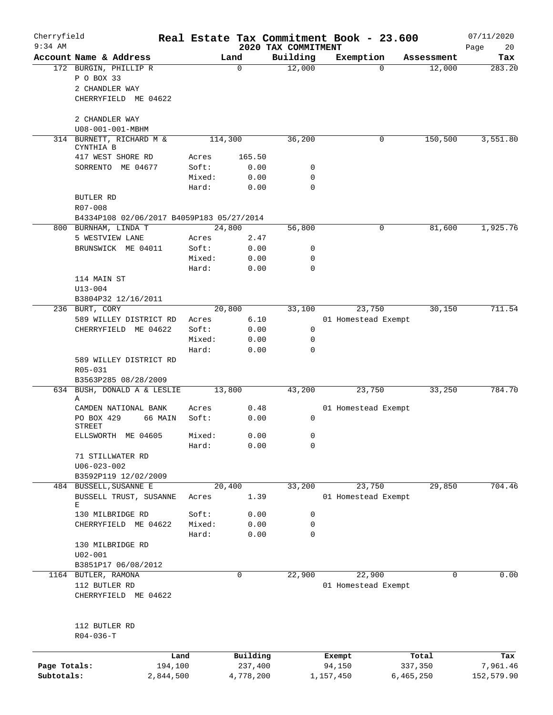| Cherryfield<br>$9:34$ AM |                                           |        |           |                                 | Real Estate Tax Commitment Book - 23.600 |             | 07/11/2020        |
|--------------------------|-------------------------------------------|--------|-----------|---------------------------------|------------------------------------------|-------------|-------------------|
|                          | Account Name & Address                    |        | Land      | 2020 TAX COMMITMENT<br>Building | Exemption                                | Assessment  | Page<br>20<br>Tax |
|                          | 172 BURGIN, PHILLIP R                     |        | 0         | 12,000                          | $\Omega$                                 | 12,000      | 283.20            |
|                          | P O BOX 33                                |        |           |                                 |                                          |             |                   |
|                          | 2 CHANDLER WAY                            |        |           |                                 |                                          |             |                   |
|                          | CHERRYFIELD ME 04622                      |        |           |                                 |                                          |             |                   |
|                          |                                           |        |           |                                 |                                          |             |                   |
|                          | 2 CHANDLER WAY<br>U08-001-001-MBHM        |        |           |                                 |                                          |             |                   |
|                          | 314 BURNETT, RICHARD M &                  |        | 114,300   | 36,200                          | 0                                        | 150,500     | 3,551.80          |
|                          | CYNTHIA B                                 |        |           |                                 |                                          |             |                   |
|                          | 417 WEST SHORE RD                         | Acres  | 165.50    |                                 |                                          |             |                   |
|                          | SORRENTO ME 04677                         | Soft:  | 0.00      | 0                               |                                          |             |                   |
|                          |                                           | Mixed: | 0.00      | 0                               |                                          |             |                   |
|                          |                                           | Hard:  | 0.00      | $\mathbf 0$                     |                                          |             |                   |
|                          | <b>BUTLER RD</b>                          |        |           |                                 |                                          |             |                   |
|                          | R07-008                                   |        |           |                                 |                                          |             |                   |
|                          | B4334P108 02/06/2017 B4059P183 05/27/2014 |        |           |                                 |                                          |             |                   |
|                          | 800 BURNHAM, LINDA T                      |        | 24,800    | 56,800                          | 0                                        | 81,600      | 1,925.76          |
|                          | 5 WESTVIEW LANE                           | Acres  | 2.47      |                                 |                                          |             |                   |
|                          | BRUNSWICK ME 04011                        | Soft:  | 0.00      | 0                               |                                          |             |                   |
|                          |                                           | Mixed: | 0.00      | $\mathbf 0$                     |                                          |             |                   |
|                          |                                           | Hard:  | 0.00      | $\Omega$                        |                                          |             |                   |
|                          | 114 MAIN ST                               |        |           |                                 |                                          |             |                   |
|                          | $U13 - 004$                               |        |           |                                 |                                          |             |                   |
|                          | B3804P32 12/16/2011                       |        |           |                                 |                                          |             |                   |
|                          | 236 BURT, CORY                            |        | 20,800    | 33,100                          | 23,750                                   | 30,150      | 711.54            |
|                          | 589 WILLEY DISTRICT RD                    | Acres  | 6.10      |                                 | 01 Homestead Exempt                      |             |                   |
|                          | CHERRYFIELD ME 04622                      | Soft:  | 0.00      | $\mathbf 0$                     |                                          |             |                   |
|                          |                                           | Mixed: | 0.00      | $\mathbf 0$                     |                                          |             |                   |
|                          |                                           | Hard:  | 0.00      | 0                               |                                          |             |                   |
|                          | 589 WILLEY DISTRICT RD                    |        |           |                                 |                                          |             |                   |
|                          | R05-031                                   |        |           |                                 |                                          |             |                   |
|                          | B3563P285 08/28/2009                      |        |           |                                 |                                          |             | 784.70            |
|                          | 634 BUSH, DONALD A & LESLIE<br>Α          |        | 13,800    | 43,200                          | 23,750                                   | 33,250      |                   |
|                          | CAMDEN NATIONAL BANK                      | Acres  | 0.48      |                                 | 01 Homestead Exempt                      |             |                   |
|                          | PO BOX 429<br>66 MAIN                     | Soft:  | 0.00      | 0                               |                                          |             |                   |
|                          | <b>STREET</b>                             |        |           |                                 |                                          |             |                   |
|                          | ELLSWORTH ME 04605                        | Mixed: | 0.00      | 0                               |                                          |             |                   |
|                          |                                           | Hard:  | 0.00      | $\mathbf 0$                     |                                          |             |                   |
|                          | 71 STILLWATER RD                          |        |           |                                 |                                          |             |                   |
|                          | $U06 - 023 - 002$                         |        |           |                                 |                                          |             |                   |
|                          | B3592P119 12/02/2009                      |        |           |                                 |                                          |             |                   |
|                          | 484 BUSSELL, SUSANNE E                    |        | 20,400    | 33,200                          | 23,750                                   | 29,850      | 704.46            |
|                          | BUSSELL TRUST, SUSANNE<br>Е               | Acres  | 1.39      |                                 | 01 Homestead Exempt                      |             |                   |
|                          | 130 MILBRIDGE RD                          | Soft:  | 0.00      | 0                               |                                          |             |                   |
|                          | CHERRYFIELD ME 04622                      | Mixed: | 0.00      | $\mathbf 0$                     |                                          |             |                   |
|                          |                                           | Hard:  | 0.00      | $\mathbf 0$                     |                                          |             |                   |
|                          | 130 MILBRIDGE RD                          |        |           |                                 |                                          |             |                   |
|                          | $U02 - 001$                               |        |           |                                 |                                          |             |                   |
|                          | B3851P17 06/08/2012                       |        |           |                                 |                                          |             |                   |
|                          | 1164 BUTLER, RAMONA                       |        | 0         | 22,900                          | 22,900                                   | $\mathbf 0$ | 0.00              |
|                          | 112 BUTLER RD                             |        |           |                                 | 01 Homestead Exempt                      |             |                   |
|                          | CHERRYFIELD ME 04622                      |        |           |                                 |                                          |             |                   |
|                          | 112 BUTLER RD                             |        |           |                                 |                                          |             |                   |
|                          | $R04 - 036 - T$                           |        |           |                                 |                                          |             |                   |
|                          |                                           | Land   | Building  |                                 | Exempt                                   | Total       | Tax               |
| Page Totals:             | 194,100                                   |        | 237,400   |                                 | 94,150                                   | 337,350     | 7,961.46          |
| Subtotals:               | 2,844,500                                 |        | 4,778,200 |                                 | 1,157,450                                | 6,465,250   | 152,579.90        |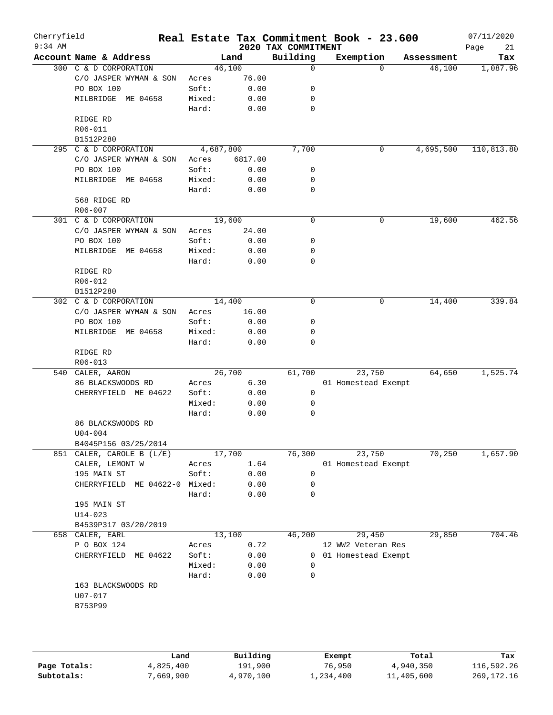| Cherryfield<br>$9:34$ AM |                           |           |         | 2020 TAX COMMITMENT | Real Estate Tax Commitment Book - 23.600 |          |            | 07/11/2020<br>Page<br>21 |
|--------------------------|---------------------------|-----------|---------|---------------------|------------------------------------------|----------|------------|--------------------------|
|                          | Account Name & Address    |           | Land    | Building            | Exemption                                |          | Assessment | Tax                      |
|                          | 300 C & D CORPORATION     | 46,100    |         | 0                   |                                          | $\Omega$ | 46,100     | 1,087.96                 |
|                          | C/O JASPER WYMAN & SON    | Acres     | 76.00   |                     |                                          |          |            |                          |
|                          | PO BOX 100                | Soft:     | 0.00    | 0                   |                                          |          |            |                          |
|                          | MILBRIDGE ME 04658        | Mixed:    | 0.00    | 0                   |                                          |          |            |                          |
|                          |                           | Hard:     | 0.00    | 0                   |                                          |          |            |                          |
|                          | RIDGE RD                  |           |         |                     |                                          |          |            |                          |
|                          | R06-011                   |           |         |                     |                                          |          |            |                          |
|                          | B1512P280                 |           |         |                     |                                          |          |            |                          |
|                          | 295 C & D CORPORATION     | 4,687,800 |         | 7,700               |                                          | 0        | 4,695,500  | 110,813.80               |
|                          | C/O JASPER WYMAN & SON    | Acres     | 6817.00 |                     |                                          |          |            |                          |
|                          | PO BOX 100                | Soft:     | 0.00    | 0                   |                                          |          |            |                          |
|                          | MILBRIDGE ME 04658        | Mixed:    | 0.00    | 0                   |                                          |          |            |                          |
|                          |                           | Hard:     | 0.00    | 0                   |                                          |          |            |                          |
|                          | 568 RIDGE RD              |           |         |                     |                                          |          |            |                          |
|                          | R06-007                   |           |         |                     |                                          |          |            |                          |
| 301                      | C & D CORPORATION         | 19,600    |         | $\mathbf 0$         | $\mathbf 0$                              |          | 19,600     | 462.56                   |
|                          | C/O JASPER WYMAN & SON    | Acres     | 24.00   |                     |                                          |          |            |                          |
|                          | PO BOX 100                | Soft:     | 0.00    | 0                   |                                          |          |            |                          |
|                          | MILBRIDGE ME 04658        | Mixed:    | 0.00    | 0                   |                                          |          |            |                          |
|                          |                           | Hard:     | 0.00    | 0                   |                                          |          |            |                          |
|                          | RIDGE RD                  |           |         |                     |                                          |          |            |                          |
|                          | R06-012                   |           |         |                     |                                          |          |            |                          |
|                          | B1512P280                 |           |         |                     |                                          |          |            |                          |
| 302                      | C & D CORPORATION         | 14,400    |         | 0                   |                                          | 0        | 14,400     | 339.84                   |
|                          | C/O JASPER WYMAN & SON    | Acres     | 16.00   |                     |                                          |          |            |                          |
|                          | PO BOX 100                | Soft:     | 0.00    | 0                   |                                          |          |            |                          |
|                          | MILBRIDGE ME 04658        | Mixed:    | 0.00    | 0                   |                                          |          |            |                          |
|                          |                           | Hard:     | 0.00    | $\mathbf 0$         |                                          |          |            |                          |
|                          | RIDGE RD                  |           |         |                     |                                          |          |            |                          |
|                          | R06-013                   |           |         |                     |                                          |          |            |                          |
| 540                      | CALER, AARON              | 26,700    |         | 61,700              | 23,750                                   |          | 64,650     | 1,525.74                 |
|                          | 86 BLACKSWOODS RD         | Acres     | 6.30    |                     | 01 Homestead Exempt                      |          |            |                          |
|                          | CHERRYFIELD ME 04622      | Soft:     | 0.00    | 0                   |                                          |          |            |                          |
|                          |                           | Mixed:    | 0.00    | 0                   |                                          |          |            |                          |
|                          |                           | Hard:     | 0.00    | 0                   |                                          |          |            |                          |
|                          | 86 BLACKSWOODS RD         |           |         |                     |                                          |          |            |                          |
|                          | $U04 - 004$               |           |         |                     |                                          |          |            |                          |
|                          | B4045P156 03/25/2014      |           |         |                     |                                          |          |            |                          |
|                          | 851 CALER, CAROLE B (L/E) | 17,700    |         | 76,300              | 23,750                                   |          | 70,250     | 1,657.90                 |
|                          | CALER, LEMONT W           | Acres     | 1.64    |                     | 01 Homestead Exempt                      |          |            |                          |
|                          | 195 MAIN ST               | Soft:     | 0.00    | $\mathbf 0$         |                                          |          |            |                          |
|                          |                           | Mixed:    |         | 0                   |                                          |          |            |                          |
|                          | CHERRYFIELD<br>ME 04622-0 |           | 0.00    |                     |                                          |          |            |                          |
|                          |                           | Hard:     | 0.00    | 0                   |                                          |          |            |                          |
|                          | 195 MAIN ST               |           |         |                     |                                          |          |            |                          |
|                          | $U14 - 023$               |           |         |                     |                                          |          |            |                          |
|                          | B4539P317 03/20/2019      |           |         |                     |                                          |          |            |                          |
|                          | 658 CALER, EARL           | 13,100    |         | 46,200              | 29,450                                   |          | 29,850     | 704.46                   |
|                          | P O BOX 124               | Acres     | 0.72    |                     | 12 WW2 Veteran Res                       |          |            |                          |
|                          | CHERRYFIELD<br>ME 04622   | Soft:     | 0.00    |                     | 0 01 Homestead Exempt                    |          |            |                          |
|                          |                           | Mixed:    | 0.00    | 0                   |                                          |          |            |                          |
|                          |                           | Hard:     | 0.00    | 0                   |                                          |          |            |                          |
|                          | 163 BLACKSWOODS RD        |           |         |                     |                                          |          |            |                          |
|                          | U07-017                   |           |         |                     |                                          |          |            |                          |
|                          | B753P99                   |           |         |                     |                                          |          |            |                          |
|                          |                           |           |         |                     |                                          |          |            |                          |
|                          |                           |           |         |                     |                                          |          |            |                          |
|                          |                           |           |         |                     |                                          |          |            |                          |
|                          |                           |           |         |                     |                                          |          |            |                          |

|              | Land      | Building  | Exempt    | Total      | Tax        |
|--------------|-----------|-----------|-----------|------------|------------|
| Page Totals: | 4,825,400 | 191,900   | 76,950    | 4,940,350  | 116,592.26 |
| Subtotals:   | 7,669,900 | 4,970,100 | 1,234,400 | 11,405,600 | 269,172.16 |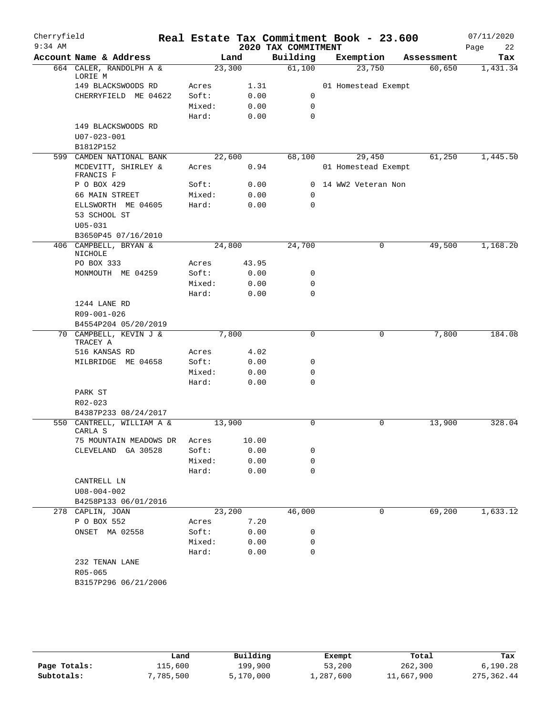| Cherryfield |                                                   |                |              |                     | Real Estate Tax Commitment Book - 23.600 |            | 07/11/2020 |
|-------------|---------------------------------------------------|----------------|--------------|---------------------|------------------------------------------|------------|------------|
| $9:34$ AM   |                                                   |                |              | 2020 TAX COMMITMENT |                                          |            | Page<br>22 |
|             | Account Name & Address                            |                | Land         | Building            | Exemption                                | Assessment | Tax        |
|             | 664 CALER, RANDOLPH A &<br>LORIE M                | 23,300         |              | 61,100              | 23,750                                   | 60,650     | 1,431.34   |
|             | 149 BLACKSWOODS RD                                | Acres          | 1.31         |                     | 01 Homestead Exempt                      |            |            |
|             | CHERRYFIELD ME 04622                              | Soft:          | 0.00         | 0                   |                                          |            |            |
|             |                                                   | Mixed:         | 0.00         | $\mathbf 0$         |                                          |            |            |
|             |                                                   | Hard:          | 0.00         | $\Omega$            |                                          |            |            |
|             | 149 BLACKSWOODS RD                                |                |              |                     |                                          |            |            |
|             | U07-023-001                                       |                |              |                     |                                          |            |            |
|             | B1812P152                                         |                |              |                     |                                          |            |            |
|             | 599 CAMDEN NATIONAL BANK                          | 22,600         |              | 68,100              | 29,450                                   | 61,250     | 1,445.50   |
|             | MCDEVITT, SHIRLEY &<br>FRANCIS F                  | Acres          | 0.94         |                     | 01 Homestead Exempt                      |            |            |
|             | P O BOX 429                                       | Soft:          | 0.00         |                     | 0 14 WW2 Veteran Non                     |            |            |
|             | 66 MAIN STREET                                    | Mixed:         | 0.00         | 0                   |                                          |            |            |
|             | ELLSWORTH ME 04605                                | Hard:          | 0.00         | 0                   |                                          |            |            |
|             | 53 SCHOOL ST                                      |                |              |                     |                                          |            |            |
|             | $U05 - 031$                                       |                |              |                     |                                          |            |            |
|             | B3650P45 07/16/2010                               |                |              |                     |                                          |            |            |
|             | 406 CAMPBELL, BRYAN &<br>NICHOLE                  | 24,800         |              | 24,700              | 0                                        | 49,500     | 1,168.20   |
|             | PO BOX 333                                        | Acres          | 43.95        |                     |                                          |            |            |
|             | MONMOUTH ME 04259                                 | Soft:          | 0.00         | 0                   |                                          |            |            |
|             |                                                   | Mixed:         | 0.00         | 0<br>$\mathbf 0$    |                                          |            |            |
|             | 1244 LANE RD                                      | Hard:          | 0.00         |                     |                                          |            |            |
|             | R09-001-026                                       |                |              |                     |                                          |            |            |
|             | B4554P204 05/20/2019                              |                |              |                     |                                          |            |            |
|             | 70 CAMPBELL, KEVIN J &                            |                | 7,800        | 0                   | 0                                        | 7,800      | 184.08     |
|             | TRACEY A                                          |                |              |                     |                                          |            |            |
|             | 516 KANSAS RD                                     | Acres          | 4.02         |                     |                                          |            |            |
|             | MILBRIDGE ME 04658                                | Soft:          | 0.00         | 0                   |                                          |            |            |
|             |                                                   | Mixed:         | 0.00         | 0                   |                                          |            |            |
|             |                                                   | Hard:          | 0.00         | $\Omega$            |                                          |            |            |
|             | PARK ST                                           |                |              |                     |                                          |            |            |
|             | R02-023                                           |                |              |                     |                                          |            |            |
|             | B4387P233 08/24/2017<br>550 CANTRELL, WILLIAM A & | 13,900         |              | 0                   | 0                                        | 13,900     | 328.04     |
|             | CARLA S                                           |                |              |                     |                                          |            |            |
|             | 75 MOUNTAIN MEADOWS DR                            | Acres          | 10.00        |                     |                                          |            |            |
|             | CLEVELAND GA 30528                                | Soft:          | 0.00         | 0                   |                                          |            |            |
|             |                                                   | Mixed:         | 0.00         | 0                   |                                          |            |            |
|             |                                                   | Hard:          | 0.00         | $\mathbf 0$         |                                          |            |            |
|             | CANTRELL LN                                       |                |              |                     |                                          |            |            |
|             | $U08 - 004 - 002$                                 |                |              |                     |                                          |            |            |
|             | B4258P133 06/01/2016                              |                |              |                     |                                          |            |            |
|             | 278 CAPLIN, JOAN                                  | 23,200         |              | 46,000              | 0                                        | 69,200     | 1,633.12   |
|             | P O BOX 552<br>ONSET MA 02558                     | Acres<br>Soft: | 7.20<br>0.00 | 0                   |                                          |            |            |
|             |                                                   | Mixed:         | 0.00         | 0                   |                                          |            |            |
|             |                                                   | Hard:          | 0.00         | 0                   |                                          |            |            |
|             | 232 TENAN LANE                                    |                |              |                     |                                          |            |            |
|             | $R05 - 065$                                       |                |              |                     |                                          |            |            |
|             | B3157P296 06/21/2006                              |                |              |                     |                                          |            |            |
|             |                                                   |                |              |                     |                                          |            |            |

|              | Land      | Building  | Exempt    | Total      | Tax        |
|--------------|-----------|-----------|-----------|------------|------------|
| Page Totals: | 115,600   | 199,900   | 53,200    | 262,300    | 6.190.28   |
| Subtotals:   | 7,785,500 | 5,170,000 | 1,287,600 | 11,667,900 | 275,362.44 |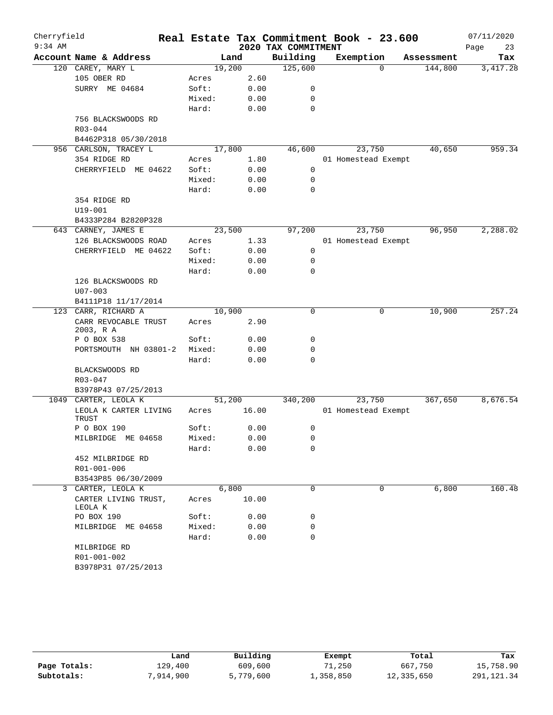| Cherryfield |                                       |        |        |       | Real Estate Tax Commitment Book - 23.600 |                     |          |            | 07/11/2020 |
|-------------|---------------------------------------|--------|--------|-------|------------------------------------------|---------------------|----------|------------|------------|
| $9:34$ AM   |                                       |        |        |       | 2020 TAX COMMITMENT                      |                     |          |            | Page<br>23 |
|             | Account Name & Address                |        | Land   |       | Building                                 | Exemption           |          | Assessment | Tax        |
|             | 120 CAREY, MARY L                     |        | 19,200 |       | 125,600                                  |                     | $\Omega$ | 144,800    | 3, 417.28  |
|             | 105 OBER RD                           | Acres  |        | 2.60  |                                          |                     |          |            |            |
|             | SURRY ME 04684                        | Soft:  |        | 0.00  | 0                                        |                     |          |            |            |
|             |                                       | Mixed: |        | 0.00  | 0                                        |                     |          |            |            |
|             |                                       | Hard:  |        | 0.00  | 0                                        |                     |          |            |            |
|             | 756 BLACKSWOODS RD                    |        |        |       |                                          |                     |          |            |            |
|             | R03-044                               |        |        |       |                                          |                     |          |            |            |
|             | B4462P318 05/30/2018                  |        | 17,800 |       | 46,600                                   |                     | 23,750   | 40,650     | 959.34     |
|             | 956 CARLSON, TRACEY L<br>354 RIDGE RD | Acres  |        | 1.80  |                                          | 01 Homestead Exempt |          |            |            |
|             | CHERRYFIELD ME 04622                  | Soft:  |        | 0.00  | 0                                        |                     |          |            |            |
|             |                                       | Mixed: |        | 0.00  | 0                                        |                     |          |            |            |
|             |                                       | Hard:  |        | 0.00  | 0                                        |                     |          |            |            |
|             | 354 RIDGE RD                          |        |        |       |                                          |                     |          |            |            |
|             | $U19 - 001$                           |        |        |       |                                          |                     |          |            |            |
|             | B4333P284 B2820P328                   |        |        |       |                                          |                     |          |            |            |
|             | 643 CARNEY, JAMES E                   |        | 23,500 |       | 97,200                                   |                     | 23,750   | 96,950     | 2,288.02   |
|             | 126 BLACKSWOODS ROAD                  | Acres  |        | 1.33  |                                          | 01 Homestead Exempt |          |            |            |
|             | CHERRYFIELD ME 04622                  | Soft:  |        | 0.00  | 0                                        |                     |          |            |            |
|             |                                       | Mixed: |        | 0.00  | 0                                        |                     |          |            |            |
|             |                                       | Hard:  |        | 0.00  | 0                                        |                     |          |            |            |
|             | 126 BLACKSWOODS RD                    |        |        |       |                                          |                     |          |            |            |
|             | $U07 - 003$                           |        |        |       |                                          |                     |          |            |            |
|             | B4111P18 11/17/2014                   |        |        |       |                                          |                     |          |            |            |
| 123         | CARR, RICHARD A                       |        | 10,900 |       | $\mathbf 0$                              |                     | 0        | 10,900     | 257.24     |
|             | CARR REVOCABLE TRUST<br>2003, R A     | Acres  |        | 2.90  |                                          |                     |          |            |            |
|             | P O BOX 538                           | Soft:  |        | 0.00  | 0                                        |                     |          |            |            |
|             | PORTSMOUTH NH 03801-2                 | Mixed: |        | 0.00  | 0                                        |                     |          |            |            |
|             |                                       | Hard:  |        | 0.00  | 0                                        |                     |          |            |            |
|             | BLACKSWOODS RD                        |        |        |       |                                          |                     |          |            |            |
|             | R03-047                               |        |        |       |                                          |                     |          |            |            |
|             | B3978P43 07/25/2013                   |        |        |       |                                          |                     |          |            |            |
|             | 1049 CARTER, LEOLA K                  |        | 51,200 |       | 340,200                                  |                     | 23,750   | 367,650    | 8,676.54   |
|             | LEOLA K CARTER LIVING<br>TRUST        | Acres  |        | 16.00 |                                          | 01 Homestead Exempt |          |            |            |
|             | P O BOX 190                           | Soft:  |        | 0.00  | 0                                        |                     |          |            |            |
|             | MILBRIDGE ME 04658                    | Mixed: |        | 0.00  | 0                                        |                     |          |            |            |
|             | 452 MILBRIDGE RD                      | Hard:  |        | 0.00  | 0                                        |                     |          |            |            |
|             | R01-001-006                           |        |        |       |                                          |                     |          |            |            |
|             | B3543P85 06/30/2009                   |        |        |       |                                          |                     |          |            |            |
|             | 3 CARTER, LEOLA K                     |        | 6,800  |       | $\Omega$                                 |                     | $\Omega$ | 6,800      | 160.48     |
|             | CARTER LIVING TRUST,<br>LEOLA K       | Acres  |        | 10.00 |                                          |                     |          |            |            |
|             | PO BOX 190                            | Soft:  |        | 0.00  | 0                                        |                     |          |            |            |
|             | MILBRIDGE ME 04658                    | Mixed: |        | 0.00  | 0                                        |                     |          |            |            |
|             |                                       | Hard:  |        | 0.00  | 0                                        |                     |          |            |            |
|             | MILBRIDGE RD                          |        |        |       |                                          |                     |          |            |            |
|             | R01-001-002                           |        |        |       |                                          |                     |          |            |            |
|             | B3978P31 07/25/2013                   |        |        |       |                                          |                     |          |            |            |

|              | Land      | Building  | Exempt    | Total      | Tax        |
|--------------|-----------|-----------|-----------|------------|------------|
| Page Totals: | 129,400   | 609,600   | 71,250    | 667,750    | 15,758.90  |
| Subtotals:   | 7,914,900 | 5,779,600 | 1,358,850 | 12,335,650 | 291,121.34 |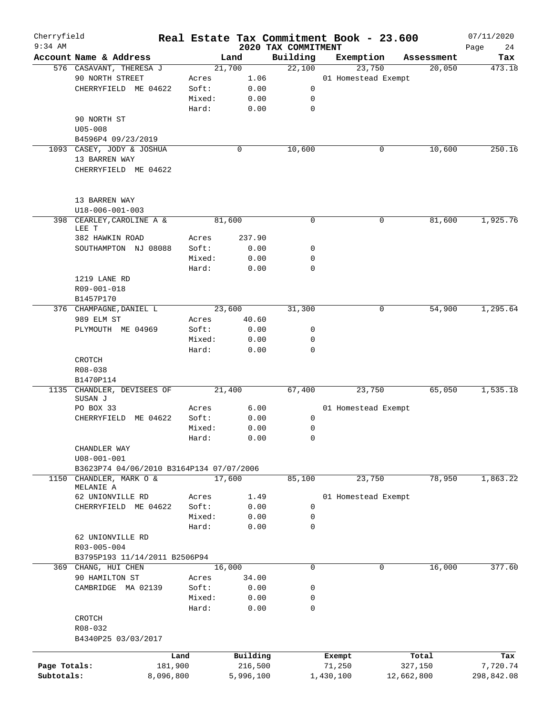| Cherryfield<br>$9:34$ AM |                                          |           |        |           | 2020 TAX COMMITMENT |             | Real Estate Tax Commitment Book - 23.600 |            | 07/11/2020<br>24<br>Page |
|--------------------------|------------------------------------------|-----------|--------|-----------|---------------------|-------------|------------------------------------------|------------|--------------------------|
|                          | Account Name & Address                   |           |        | Land      | Building            |             | Exemption                                | Assessment | Tax                      |
|                          | 576 CASAVANT, THERESA J                  |           | 21,700 |           | 22,100              |             | 23,750                                   | 20,050     | 473.18                   |
|                          | 90 NORTH STREET                          |           | Acres  | 1.06      |                     |             | 01 Homestead Exempt                      |            |                          |
|                          | CHERRYFIELD ME 04622                     |           | Soft:  | 0.00      |                     | $\mathbf 0$ |                                          |            |                          |
|                          |                                          |           | Mixed: | 0.00      |                     | 0           |                                          |            |                          |
|                          |                                          |           | Hard:  | 0.00      |                     | 0           |                                          |            |                          |
|                          | 90 NORTH ST                              |           |        |           |                     |             |                                          |            |                          |
|                          | $U05 - 008$                              |           |        |           |                     |             |                                          |            |                          |
|                          | B4596P4 09/23/2019                       |           |        |           |                     |             |                                          |            |                          |
|                          | 1093 CASEY, JODY & JOSHUA                |           |        | 0         | 10,600              |             | 0                                        | 10,600     | 250.16                   |
|                          | 13 BARREN WAY                            |           |        |           |                     |             |                                          |            |                          |
|                          | CHERRYFIELD ME 04622                     |           |        |           |                     |             |                                          |            |                          |
|                          | 13 BARREN WAY                            |           |        |           |                     |             |                                          |            |                          |
|                          | U18-006-001-003                          |           |        |           |                     |             |                                          |            |                          |
|                          | 398 CEARLEY, CAROLINE A &<br>LEE T       |           | 81,600 |           |                     | 0           | 0                                        | 81,600     | 1,925.76                 |
|                          | 382 HAWKIN ROAD                          |           | Acres  | 237.90    |                     |             |                                          |            |                          |
|                          | SOUTHAMPTON NJ 08088                     |           | Soft:  | 0.00      |                     | 0           |                                          |            |                          |
|                          |                                          |           | Mixed: | 0.00      |                     | 0           |                                          |            |                          |
|                          |                                          |           | Hard:  | 0.00      |                     | 0           |                                          |            |                          |
|                          | 1219 LANE RD                             |           |        |           |                     |             |                                          |            |                          |
|                          | R09-001-018                              |           |        |           |                     |             |                                          |            |                          |
|                          | B1457P170                                |           |        |           |                     |             |                                          |            |                          |
|                          | 376 CHAMPAGNE, DANIEL L                  |           | 23,600 |           | 31,300              |             | 0                                        | 54,900     | 1,295.64                 |
|                          | 989 ELM ST                               |           | Acres  | 40.60     |                     |             |                                          |            |                          |
|                          | PLYMOUTH ME 04969                        |           | Soft:  | 0.00      |                     | 0           |                                          |            |                          |
|                          |                                          |           | Mixed: | 0.00      |                     | 0           |                                          |            |                          |
|                          |                                          |           | Hard:  | 0.00      |                     | $\Omega$    |                                          |            |                          |
|                          | CROTCH                                   |           |        |           |                     |             |                                          |            |                          |
|                          | R08-038                                  |           |        |           |                     |             |                                          |            |                          |
|                          | B1470P114                                |           |        |           |                     |             |                                          |            |                          |
|                          | 1135 CHANDLER, DEVISEES OF               |           | 21,400 |           | 67,400              |             | 23,750                                   | 65,050     | 1,535.18                 |
|                          | SUSAN J<br>PO BOX 33                     |           | Acres  | 6.00      |                     |             | 01 Homestead Exempt                      |            |                          |
|                          | CHERRYFIELD ME 04622                     |           | Soft:  | 0.00      |                     | 0           |                                          |            |                          |
|                          |                                          |           | Mixed: | 0.00      |                     | 0           |                                          |            |                          |
|                          |                                          |           | Hard:  | 0.00      |                     | 0           |                                          |            |                          |
|                          | CHANDLER WAY                             |           |        |           |                     |             |                                          |            |                          |
|                          | $U08 - 001 - 001$                        |           |        |           |                     |             |                                          |            |                          |
|                          | B3623P74 04/06/2010 B3164P134 07/07/2006 |           |        |           |                     |             |                                          |            |                          |
| 1150                     | CHANDLER, MARK O &                       |           | 17,600 |           | 85,100              |             | 23,750                                   | 78,950     | 1,863.22                 |
|                          | MELANIE A                                |           |        |           |                     |             |                                          |            |                          |
|                          | 62 UNIONVILLE RD                         |           | Acres  | 1.49      |                     |             | 01 Homestead Exempt                      |            |                          |
|                          | CHERRYFIELD ME 04622                     |           | Soft:  | 0.00      |                     | 0           |                                          |            |                          |
|                          |                                          |           | Mixed: | 0.00      |                     | 0           |                                          |            |                          |
|                          |                                          |           | Hard:  | 0.00      |                     | 0           |                                          |            |                          |
|                          | 62 UNIONVILLE RD                         |           |        |           |                     |             |                                          |            |                          |
|                          | R03-005-004                              |           |        |           |                     |             |                                          |            |                          |
|                          | B3795P193 11/14/2011 B2506P94            |           |        |           |                     |             |                                          |            |                          |
|                          | 369 CHANG, HUI CHEN                      |           | 16,000 |           |                     | 0           | 0                                        | 16,000     | 377.60                   |
|                          | 90 HAMILTON ST                           |           | Acres  | 34.00     |                     |             |                                          |            |                          |
|                          | CAMBRIDGE MA 02139                       |           | Soft:  | 0.00      |                     | 0           |                                          |            |                          |
|                          |                                          |           | Mixed: | 0.00      |                     | 0           |                                          |            |                          |
|                          |                                          |           | Hard:  | 0.00      |                     | 0           |                                          |            |                          |
|                          | CROTCH                                   |           |        |           |                     |             |                                          |            |                          |
|                          | R08-032                                  |           |        |           |                     |             |                                          |            |                          |
|                          | B4340P25 03/03/2017                      |           |        |           |                     |             |                                          |            |                          |
|                          |                                          | Land      |        | Building  |                     |             | Exempt                                   | Total      | Tax                      |
| Page Totals:             |                                          | 181,900   |        | 216,500   |                     |             | 71,250                                   | 327,150    | 7,720.74                 |
| Subtotals:               |                                          | 8,096,800 |        | 5,996,100 |                     |             | 1,430,100                                | 12,662,800 | 298,842.08               |
|                          |                                          |           |        |           |                     |             |                                          |            |                          |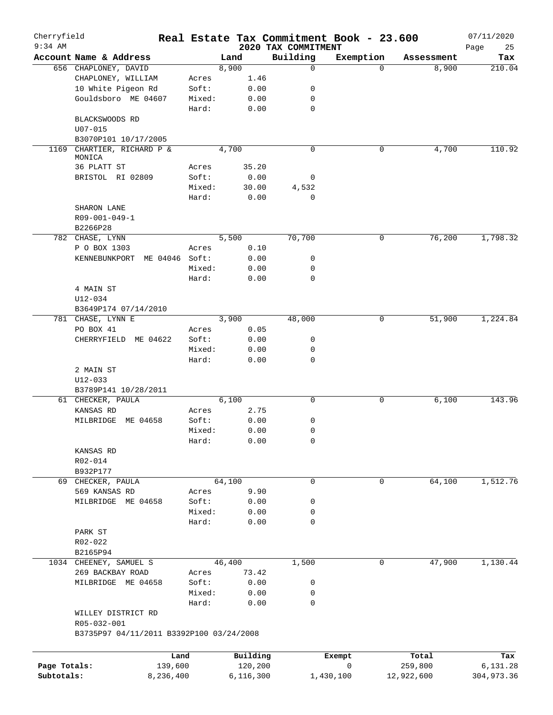| Cherryfield<br>$9:34$ AM |                                          |                 |             |              | 2020 TAX COMMITMENT | Real Estate Tax Commitment Book - 23.600 |            | 07/11/2020        |
|--------------------------|------------------------------------------|-----------------|-------------|--------------|---------------------|------------------------------------------|------------|-------------------|
|                          | Account Name & Address                   |                 | Land        |              | Building            | Exemption                                | Assessment | Page<br>25<br>Tax |
|                          | 656 CHAPLONEY, DAVID                     |                 | 8,900       |              | $\mathbf 0$         | $\Omega$                                 | 8,900      | 210.04            |
|                          | CHAPLONEY, WILLIAM                       | Acres           |             | 1.46         |                     |                                          |            |                   |
|                          | 10 White Pigeon Rd                       | Soft:           |             | 0.00         | 0                   |                                          |            |                   |
|                          | Gouldsboro ME 04607                      | Mixed:          |             | 0.00         | 0                   |                                          |            |                   |
|                          |                                          | Hard:           |             | 0.00         | $\mathbf 0$         |                                          |            |                   |
|                          | BLACKSWOODS RD                           |                 |             |              |                     |                                          |            |                   |
|                          | $U07 - 015$                              |                 |             |              |                     |                                          |            |                   |
|                          | B3070P101 10/17/2005                     |                 |             |              |                     |                                          |            |                   |
| 1169                     | CHARTIER, RICHARD P &                    |                 | 4,700       |              | $\mathbf 0$         | 0                                        | 4,700      | 110.92            |
|                          | MONICA                                   |                 |             |              |                     |                                          |            |                   |
|                          | 36 PLATT ST                              | Acres           | 35.20       |              |                     |                                          |            |                   |
|                          | BRISTOL RI 02809                         | Soft:           |             | 0.00         | 0                   |                                          |            |                   |
|                          |                                          | Mixed:          | 30.00       |              | 4,532               |                                          |            |                   |
|                          |                                          | Hard:           |             | 0.00         | 0                   |                                          |            |                   |
|                          | SHARON LANE                              |                 |             |              |                     |                                          |            |                   |
|                          | R09-001-049-1                            |                 |             |              |                     |                                          |            |                   |
|                          | B2266P28                                 |                 |             |              |                     |                                          |            |                   |
|                          | 782 CHASE, LYNN                          |                 | 5,500       |              | 70,700              | 0                                        | 76,200     | 1,798.32          |
|                          | P O BOX 1303                             | Acres           |             | 0.10         |                     |                                          |            |                   |
|                          | KENNEBUNKPORT<br>ME 04046 Soft:          |                 |             | 0.00         | 0                   |                                          |            |                   |
|                          |                                          | Mixed:          |             | 0.00         | $\mathbf 0$         |                                          |            |                   |
|                          |                                          | Hard:           |             | 0.00         | $\mathbf 0$         |                                          |            |                   |
|                          | 4 MAIN ST                                |                 |             |              |                     |                                          |            |                   |
|                          | $U12 - 034$                              |                 |             |              |                     |                                          |            |                   |
|                          | B3649P174 07/14/2010                     |                 |             |              |                     |                                          |            |                   |
|                          | 781 CHASE, LYNN E                        |                 | 3,900       |              | 48,000              | 0                                        | 51,900     | 1,224.84          |
|                          | PO BOX 41                                | Acres           | 0.05        |              |                     |                                          |            |                   |
|                          | CHERRYFIELD ME 04622                     | Soft:           |             | 0.00         | 0<br>0              |                                          |            |                   |
|                          |                                          | Mixed:<br>Hard: |             | 0.00<br>0.00 | $\mathbf 0$         |                                          |            |                   |
|                          | 2 MAIN ST                                |                 |             |              |                     |                                          |            |                   |
|                          | U12-033                                  |                 |             |              |                     |                                          |            |                   |
|                          | B3789P141 10/28/2011                     |                 |             |              |                     |                                          |            |                   |
|                          | 61 CHECKER, PAULA                        |                 | 6,100       |              | $\mathbf 0$         | 0                                        | 6,100      | 143.96            |
|                          | KANSAS RD                                | Acres           |             | 2.75         |                     |                                          |            |                   |
|                          | MILBRIDGE<br>ME 04658                    | Soft:           |             | 0.00         | 0                   |                                          |            |                   |
|                          |                                          | Mixed:          |             | 0.00         | $\mathbf 0$         |                                          |            |                   |
|                          |                                          | Hard:           |             | 0.00         | 0                   |                                          |            |                   |
|                          | KANSAS RD                                |                 |             |              |                     |                                          |            |                   |
|                          | R02-014                                  |                 |             |              |                     |                                          |            |                   |
|                          | B932P177                                 |                 |             |              |                     |                                          |            |                   |
|                          | 69 CHECKER, PAULA                        |                 | 64,100      |              | $\mathbf 0$         | $\mathbf 0$                              | 64,100     | 1,512.76          |
|                          | 569 KANSAS RD                            | Acres           |             | 9.90         |                     |                                          |            |                   |
|                          | MILBRIDGE ME 04658                       | Soft:           |             | 0.00         | 0                   |                                          |            |                   |
|                          |                                          | Mixed:          |             | 0.00         | 0                   |                                          |            |                   |
|                          |                                          | Hard:           |             | 0.00         | $\mathbf 0$         |                                          |            |                   |
|                          | PARK ST                                  |                 |             |              |                     |                                          |            |                   |
|                          | R02-022                                  |                 |             |              |                     |                                          |            |                   |
|                          | B2165P94                                 |                 |             |              |                     |                                          |            |                   |
|                          | 1034 CHEENEY, SAMUEL S                   |                 | 46,400      |              | 1,500               | $\mathbf 0$                              | 47,900     | 1,130.44          |
|                          | 269 BACKBAY ROAD                         | Acres           | 73.42       |              |                     |                                          |            |                   |
|                          | MILBRIDGE ME 04658                       | Soft:           |             | 0.00         | 0                   |                                          |            |                   |
|                          |                                          | Mixed:          |             | 0.00         | 0                   |                                          |            |                   |
|                          |                                          | Hard:           |             | 0.00         | $\mathbf 0$         |                                          |            |                   |
|                          | WILLEY DISTRICT RD                       |                 |             |              |                     |                                          |            |                   |
|                          | R05-032-001                              |                 |             |              |                     |                                          |            |                   |
|                          | B3735P97 04/11/2011 B3392P100 03/24/2008 |                 |             |              |                     |                                          |            |                   |
|                          |                                          |                 |             |              |                     |                                          |            |                   |
|                          |                                          | Land            | Building    |              |                     | Exempt                                   | Total      | Tax               |
| Page Totals:             | 139,600                                  |                 | 120,200     |              |                     | 0                                        | 259,800    | 6,131.28          |
| Subtotals:               | 8,236,400                                |                 | 6, 116, 300 |              |                     | 1,430,100                                | 12,922,600 | 304,973.36        |
|                          |                                          |                 |             |              |                     |                                          |            |                   |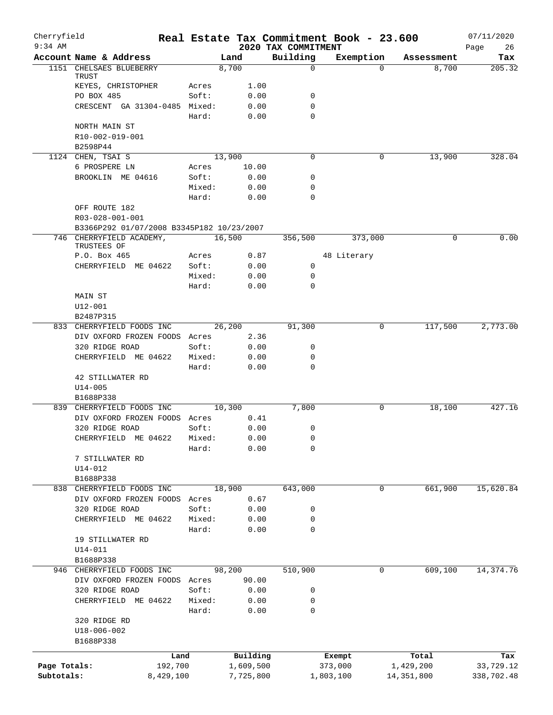| Cherryfield<br>$9:34$ AM |                                           |        |              | 2020 TAX COMMITMENT | Real Estate Tax Commitment Book - 23.600 |            | 07/11/2020<br>26<br>Page |
|--------------------------|-------------------------------------------|--------|--------------|---------------------|------------------------------------------|------------|--------------------------|
|                          | Account Name & Address                    |        | Land         | Building            | Exemption                                | Assessment | Tax                      |
|                          | 1151 CHELSAES BLUEBERRY                   |        | 8,700        | 0                   | $\Omega$                                 | 8,700      | 205.32                   |
|                          | TRUST                                     |        |              |                     |                                          |            |                          |
|                          | KEYES, CHRISTOPHER                        | Acres  | 1.00         |                     |                                          |            |                          |
|                          | PO BOX 485                                | Soft:  | 0.00         | 0                   |                                          |            |                          |
|                          | CRESCENT GA 31304-0485 Mixed:             | Hard:  | 0.00<br>0.00 | 0<br>$\Omega$       |                                          |            |                          |
|                          | NORTH MAIN ST                             |        |              |                     |                                          |            |                          |
|                          | R10-002-019-001                           |        |              |                     |                                          |            |                          |
|                          | B2598P44                                  |        |              |                     |                                          |            |                          |
|                          | 1124 CHEN, TSAI S                         |        | 13,900       | $\Omega$            | 0                                        | 13,900     | 328.04                   |
|                          | 6 PROSPERE LN                             | Acres  | 10.00        |                     |                                          |            |                          |
|                          | BROOKLIN ME 04616                         | Soft:  | 0.00         | 0                   |                                          |            |                          |
|                          |                                           | Mixed: | 0.00         | 0                   |                                          |            |                          |
|                          |                                           | Hard:  | 0.00         | $\Omega$            |                                          |            |                          |
|                          | OFF ROUTE 182                             |        |              |                     |                                          |            |                          |
|                          | R03-028-001-001                           |        |              |                     |                                          |            |                          |
|                          | B3366P292 01/07/2008 B3345P182 10/23/2007 |        |              |                     |                                          |            |                          |
|                          | 746 CHERRYFIELD ACADEMY,<br>TRUSTEES OF   |        | 16,500       | 356,500             | 373,000                                  | $\Omega$   | 0.00                     |
|                          | P.O. Box 465                              | Acres  | 0.87         |                     | 48 Literary                              |            |                          |
|                          | CHERRYFIELD ME 04622                      | Soft:  | 0.00         | 0                   |                                          |            |                          |
|                          |                                           | Mixed: | 0.00         | 0                   |                                          |            |                          |
|                          |                                           | Hard:  | 0.00         | 0                   |                                          |            |                          |
|                          | MAIN ST                                   |        |              |                     |                                          |            |                          |
|                          | U12-001                                   |        |              |                     |                                          |            |                          |
|                          | B2487P315                                 |        |              |                     |                                          |            |                          |
|                          | 833 CHERRYFIELD FOODS INC                 |        | 26,200       | 91,300              | 0                                        | 117,500    | 2,773.00                 |
|                          | DIV OXFORD FROZEN FOODS Acres             |        | 2.36         |                     |                                          |            |                          |
|                          | 320 RIDGE ROAD                            | Soft:  | 0.00         | 0                   |                                          |            |                          |
|                          | CHERRYFIELD ME 04622                      | Mixed: | 0.00         | 0                   |                                          |            |                          |
|                          |                                           | Hard:  | 0.00         | $\mathbf 0$         |                                          |            |                          |
|                          | 42 STILLWATER RD                          |        |              |                     |                                          |            |                          |
|                          | $U14 - 005$                               |        |              |                     |                                          |            |                          |
|                          | B1688P338                                 |        |              |                     |                                          |            |                          |
|                          | 839 CHERRYFIELD FOODS INC                 |        | 10,300       | 7,800               | 0                                        | 18,100     | 427.16                   |
|                          | DIV OXFORD FROZEN FOODS Acres             |        | 0.41         |                     |                                          |            |                          |
|                          | 320 RIDGE ROAD                            | Soft:  | 0.00<br>0.00 | 0                   |                                          |            |                          |
|                          | CHERRYFIELD ME 04622 Mixed:               |        |              | $\mathsf 0$<br>0    |                                          |            |                          |
|                          | 7 STILLWATER RD                           | Hard:  | 0.00         |                     |                                          |            |                          |
|                          | $U14 - 012$                               |        |              |                     |                                          |            |                          |
|                          | B1688P338                                 |        |              |                     |                                          |            |                          |
|                          | 838 CHERRYFIELD FOODS INC                 |        | 18,900       | 643,000             | 0                                        | 661,900    | 15,620.84                |
|                          | DIV OXFORD FROZEN FOODS Acres             |        | 0.67         |                     |                                          |            |                          |
|                          | 320 RIDGE ROAD                            | Soft:  | 0.00         | 0                   |                                          |            |                          |
|                          | CHERRYFIELD ME 04622                      | Mixed: | 0.00         | 0                   |                                          |            |                          |
|                          |                                           | Hard:  | 0.00         | 0                   |                                          |            |                          |
|                          | 19 STILLWATER RD                          |        |              |                     |                                          |            |                          |
|                          | $U14 - 011$                               |        |              |                     |                                          |            |                          |
|                          | B1688P338                                 |        |              |                     |                                          |            |                          |
|                          | 946 CHERRYFIELD FOODS INC                 |        | 98,200       | 510,900             | 0                                        | 609,100    | 14, 374. 76              |
|                          | DIV OXFORD FROZEN FOODS Acres             |        | 90.00        |                     |                                          |            |                          |
|                          | 320 RIDGE ROAD                            | Soft:  | 0.00         | 0                   |                                          |            |                          |
|                          | CHERRYFIELD ME 04622                      | Mixed: | 0.00         | 0                   |                                          |            |                          |
|                          |                                           | Hard:  | 0.00         | 0                   |                                          |            |                          |
|                          | 320 RIDGE RD                              |        |              |                     |                                          |            |                          |
|                          | U18-006-002                               |        |              |                     |                                          |            |                          |
|                          | B1688P338                                 |        |              |                     |                                          |            |                          |
|                          | Land                                      |        | Building     |                     | Exempt                                   | Total      | Tax                      |
| Page Totals:             | 192,700                                   |        | 1,609,500    |                     | 373,000                                  | 1,429,200  | 33,729.12                |
| Subtotals:               | 8,429,100                                 |        | 7,725,800    |                     | 1,803,100                                | 14,351,800 | 338,702.48               |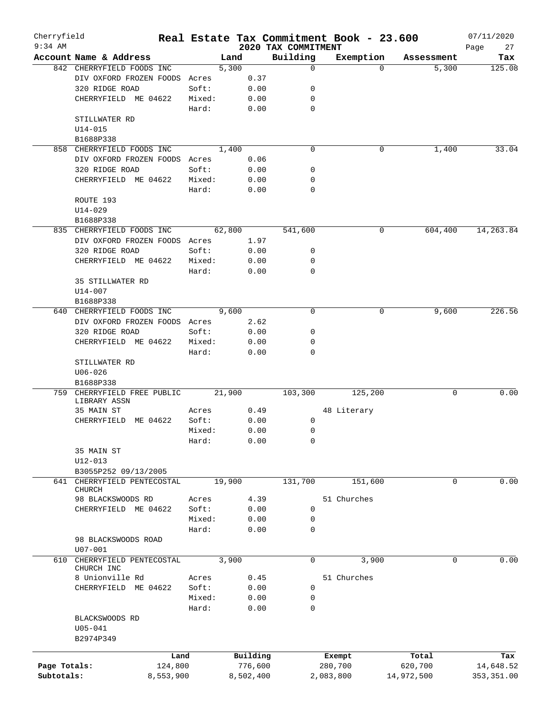| Cherryfield  |                                         |           |        |        |           |                     | Real Estate Tax Commitment Book - 23.600 |          |             | 07/11/2020  |
|--------------|-----------------------------------------|-----------|--------|--------|-----------|---------------------|------------------------------------------|----------|-------------|-------------|
| $9:34$ AM    |                                         |           |        |        |           | 2020 TAX COMMITMENT |                                          |          |             | 27<br>Page  |
|              | Account Name & Address                  |           |        | Land   |           | Building            | Exemption                                |          | Assessment  | Tax         |
|              | 842 CHERRYFIELD FOODS INC               |           |        | 5,300  |           | $\mathbf 0$         |                                          | $\Omega$ | 5,300       | 125.08      |
|              | DIV OXFORD FROZEN FOODS                 |           | Acres  |        | 0.37      |                     |                                          |          |             |             |
|              | 320 RIDGE ROAD                          |           | Soft:  |        | 0.00      | 0                   |                                          |          |             |             |
|              | CHERRYFIELD ME 04622                    |           | Mixed: |        | 0.00      | 0                   |                                          |          |             |             |
|              |                                         |           | Hard:  |        | 0.00      | 0                   |                                          |          |             |             |
|              | STILLWATER RD                           |           |        |        |           |                     |                                          |          |             |             |
|              | $U14 - 015$                             |           |        |        |           |                     |                                          |          |             |             |
|              | B1688P338                               |           |        |        |           |                     |                                          |          |             |             |
| 858          | CHERRYFIELD FOODS INC                   |           |        | 1,400  |           | $\mathbf 0$         |                                          | 0        | 1,400       | 33.04       |
|              | DIV OXFORD FROZEN FOODS Acres           |           |        |        | 0.06      |                     |                                          |          |             |             |
|              | 320 RIDGE ROAD                          |           | Soft:  |        | 0.00      | 0                   |                                          |          |             |             |
|              | CHERRYFIELD ME 04622                    |           | Mixed: |        | 0.00      | 0                   |                                          |          |             |             |
|              |                                         |           | Hard:  |        | 0.00      | $\Omega$            |                                          |          |             |             |
|              | ROUTE 193                               |           |        |        |           |                     |                                          |          |             |             |
|              | $U14 - 029$                             |           |        |        |           |                     |                                          |          |             |             |
|              | B1688P338                               |           |        |        |           |                     |                                          |          |             |             |
| 835          | CHERRYFIELD FOODS INC                   |           |        | 62,800 |           | 541,600             |                                          | 0        | 604,400     | 14, 263.84  |
|              | DIV OXFORD FROZEN FOODS Acres           |           |        |        | 1.97      |                     |                                          |          |             |             |
|              | 320 RIDGE ROAD                          |           | Soft:  |        | 0.00      | 0                   |                                          |          |             |             |
|              | CHERRYFIELD ME 04622                    |           | Mixed: |        | 0.00      | 0                   |                                          |          |             |             |
|              |                                         |           | Hard:  |        | 0.00      | 0                   |                                          |          |             |             |
|              | 35 STILLWATER RD                        |           |        |        |           |                     |                                          |          |             |             |
|              | U14-007                                 |           |        |        |           |                     |                                          |          |             |             |
|              | B1688P338                               |           |        |        |           |                     |                                          |          |             |             |
| 640          | CHERRYFIELD FOODS INC                   |           |        | 9,600  |           | $\mathbf 0$         |                                          | 0        | 9,600       | 226.56      |
|              | DIV OXFORD FROZEN FOODS Acres           |           |        |        | 2.62      |                     |                                          |          |             |             |
|              | 320 RIDGE ROAD                          |           | Soft:  |        | 0.00      | 0                   |                                          |          |             |             |
|              | CHERRYFIELD ME 04622                    |           |        |        |           | 0                   |                                          |          |             |             |
|              |                                         |           | Mixed: |        | 0.00      | 0                   |                                          |          |             |             |
|              |                                         |           | Hard:  |        | 0.00      |                     |                                          |          |             |             |
|              | STILLWATER RD                           |           |        |        |           |                     |                                          |          |             |             |
|              | $U06 - 026$<br>B1688P338                |           |        |        |           |                     |                                          |          |             |             |
| 759          |                                         |           |        | 21,900 |           |                     |                                          |          | 0           | 0.00        |
|              | CHERRYFIELD FREE PUBLIC<br>LIBRARY ASSN |           |        |        |           | 103,300             | 125,200                                  |          |             |             |
|              | 35 MAIN ST                              |           | Acres  |        | 0.49      |                     | 48 Literary                              |          |             |             |
|              | CHERRYFIELD                             | ME 04622  | Soft:  |        | 0.00      | 0                   |                                          |          |             |             |
|              |                                         |           | Mixed: |        | 0.00      | 0                   |                                          |          |             |             |
|              |                                         |           | Hard:  |        | 0.00      | 0                   |                                          |          |             |             |
|              | 35 MAIN ST                              |           |        |        |           |                     |                                          |          |             |             |
|              | $U12 - 013$                             |           |        |        |           |                     |                                          |          |             |             |
|              | B3055P252 09/13/2005                    |           |        |        |           |                     |                                          |          |             |             |
| 641          | CHERRYFIELD PENTECOSTAL                 |           |        | 19,900 |           | 131,700             | 151,600                                  |          | 0           | 0.00        |
|              | <b>CHURCH</b>                           |           |        |        |           |                     |                                          |          |             |             |
|              | 98 BLACKSWOODS RD                       |           | Acres  |        | 4.39      |                     | 51 Churches                              |          |             |             |
|              | CHERRYFIELD ME 04622                    |           | Soft:  |        | 0.00      | 0                   |                                          |          |             |             |
|              |                                         |           | Mixed: |        | 0.00      | 0                   |                                          |          |             |             |
|              |                                         |           | Hard:  |        | 0.00      | 0                   |                                          |          |             |             |
|              | 98 BLACKSWOODS ROAD                     |           |        |        |           |                     |                                          |          |             |             |
|              | $U07 - 001$                             |           |        |        |           |                     |                                          |          |             |             |
| 610          | CHERRYFIELD PENTECOSTAL                 |           |        | 3,900  |           | 0                   |                                          | 3,900    | $\mathbf 0$ | 0.00        |
|              | CHURCH INC                              |           |        |        |           |                     |                                          |          |             |             |
|              | 8 Unionville Rd                         |           | Acres  |        | 0.45      |                     | 51 Churches                              |          |             |             |
|              | CHERRYFIELD ME 04622                    |           | Soft:  |        | 0.00      | 0                   |                                          |          |             |             |
|              |                                         |           | Mixed: |        | 0.00      | 0                   |                                          |          |             |             |
|              |                                         |           | Hard:  |        | 0.00      | 0                   |                                          |          |             |             |
|              | BLACKSWOODS RD                          |           |        |        |           |                     |                                          |          |             |             |
|              | $U05 - 041$                             |           |        |        |           |                     |                                          |          |             |             |
|              | B2974P349                               |           |        |        |           |                     |                                          |          |             |             |
|              |                                         |           |        |        |           |                     |                                          |          |             |             |
|              |                                         | Land      |        |        | Building  |                     | Exempt                                   |          | Total       | Tax         |
| Page Totals: |                                         | 124,800   |        |        | 776,600   |                     | 280,700                                  |          | 620,700     | 14,648.52   |
| Subtotals:   |                                         | 8,553,900 |        |        | 8,502,400 |                     | 2,083,800                                |          | 14,972,500  | 353, 351.00 |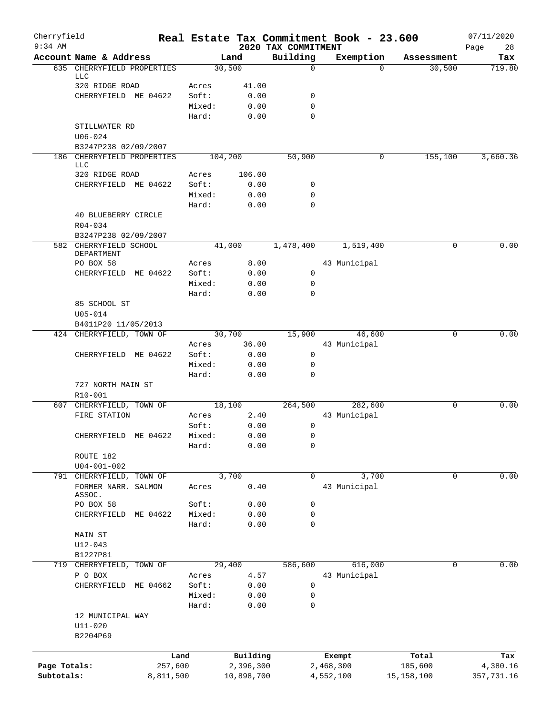| Cherryfield<br>$9:34$ AM |                                      |           |        |            | 2020 TAX COMMITMENT | Real Estate Tax Commitment Book - 23.600 |                    | 07/11/2020        |
|--------------------------|--------------------------------------|-----------|--------|------------|---------------------|------------------------------------------|--------------------|-------------------|
|                          | Account Name & Address               |           |        | Land       | Building            | Exemption                                | Assessment         | 28<br>Page<br>Tax |
|                          | 635 CHERRYFIELD PROPERTIES           |           |        | 30,500     | $\mathbf 0$         |                                          | 30,500<br>$\Omega$ | 719.80            |
|                          | <b>LLC</b><br>320 RIDGE ROAD         |           | Acres  | 41.00      |                     |                                          |                    |                   |
|                          | CHERRYFIELD ME 04622                 |           | Soft:  | 0.00       | 0                   |                                          |                    |                   |
|                          |                                      |           | Mixed: | 0.00       | 0                   |                                          |                    |                   |
|                          |                                      |           | Hard:  | 0.00       | $\Omega$            |                                          |                    |                   |
|                          | STILLWATER RD                        |           |        |            |                     |                                          |                    |                   |
|                          | $U06 - 024$                          |           |        |            |                     |                                          |                    |                   |
|                          | B3247P238 02/09/2007                 |           |        |            |                     |                                          |                    |                   |
|                          | 186 CHERRYFIELD PROPERTIES<br>LLC    |           |        | 104,200    | 50,900              |                                          | 0<br>155,100       | 3,660.36          |
|                          | 320 RIDGE ROAD                       |           | Acres  | 106.00     |                     |                                          |                    |                   |
|                          | CHERRYFIELD ME 04622                 |           | Soft:  | 0.00       | 0                   |                                          |                    |                   |
|                          |                                      |           | Mixed: | 0.00       | 0                   |                                          |                    |                   |
|                          |                                      |           | Hard:  | 0.00       | 0                   |                                          |                    |                   |
|                          | 40 BLUEBERRY CIRCLE                  |           |        |            |                     |                                          |                    |                   |
|                          | R04-034                              |           |        |            |                     |                                          |                    |                   |
|                          | B3247P238 02/09/2007                 |           |        |            |                     |                                          |                    |                   |
|                          | 582 CHERRYFIELD SCHOOL<br>DEPARTMENT |           |        | 41,000     | 1,478,400           | 1,519,400                                |                    | 0.00<br>0         |
|                          | PO BOX 58                            |           | Acres  | 8.00       |                     | 43 Municipal                             |                    |                   |
|                          | CHERRYFIELD ME 04622                 |           | Soft:  | 0.00       | $\mathbf 0$         |                                          |                    |                   |
|                          |                                      |           | Mixed: | 0.00       | 0                   |                                          |                    |                   |
|                          |                                      |           | Hard:  | 0.00       | 0                   |                                          |                    |                   |
|                          | 85 SCHOOL ST                         |           |        |            |                     |                                          |                    |                   |
|                          | $U05 - 014$                          |           |        |            |                     |                                          |                    |                   |
|                          | B4011P20 11/05/2013                  |           |        |            |                     |                                          |                    |                   |
|                          | 424 CHERRYFIELD, TOWN OF             |           |        | 30,700     | 15,900              | 46,600                                   |                    | 0.00<br>0         |
|                          |                                      |           | Acres  | 36.00      |                     | 43 Municipal                             |                    |                   |
|                          | CHERRYFIELD ME 04622                 |           | Soft:  | 0.00       | 0                   |                                          |                    |                   |
|                          |                                      |           | Mixed: | 0.00       | 0                   |                                          |                    |                   |
|                          |                                      |           | Hard:  | 0.00       | 0                   |                                          |                    |                   |
|                          | 727 NORTH MAIN ST                    |           |        |            |                     |                                          |                    |                   |
|                          | R10-001                              |           |        |            |                     |                                          |                    |                   |
|                          | 607 CHERRYFIELD, TOWN OF             |           |        | 18,100     | 264,500             | 282,600                                  |                    | 0.00<br>0         |
|                          | FIRE STATION                         |           | Acres  | 2.40       |                     | 43 Municipal                             |                    |                   |
|                          |                                      |           | Soft:  | 0.00       | 0                   |                                          |                    |                   |
|                          | CHERRYFIELD ME 04622                 |           | Mixed: | 0.00       | $\mathbf{0}$        |                                          |                    |                   |
|                          |                                      |           | Hard:  | 0.00       | 0                   |                                          |                    |                   |
|                          | ROUTE 182                            |           |        |            |                     |                                          |                    |                   |
|                          | $U04 - 001 - 002$                    |           |        |            |                     |                                          |                    |                   |
|                          | 791 CHERRYFIELD, TOWN OF             |           |        | 3,700      | $\Omega$            | 3,700                                    |                    | 0<br>0.00         |
|                          | FORMER NARR. SALMON<br>ASSOC.        |           | Acres  | 0.40       |                     | 43 Municipal                             |                    |                   |
|                          | PO BOX 58                            |           | Soft:  | 0.00       | 0                   |                                          |                    |                   |
|                          | CHERRYFIELD                          | ME 04622  | Mixed: | 0.00       | 0                   |                                          |                    |                   |
|                          |                                      |           | Hard:  | 0.00       | 0                   |                                          |                    |                   |
|                          | MAIN ST<br>$U12 - 043$               |           |        |            |                     |                                          |                    |                   |
|                          | B1227P81                             |           |        |            |                     |                                          |                    |                   |
| 719                      | CHERRYFIELD, TOWN OF                 |           |        | 29,400     | 586,600             | 616,000                                  |                    | 0.00<br>0         |
|                          | P O BOX                              |           | Acres  | 4.57       |                     | 43 Municipal                             |                    |                   |
|                          | CHERRYFIELD                          | ME 04662  | Soft:  | 0.00       | 0                   |                                          |                    |                   |
|                          |                                      |           | Mixed: | 0.00       | 0                   |                                          |                    |                   |
|                          |                                      |           | Hard:  | 0.00       | $\mathbf 0$         |                                          |                    |                   |
|                          | 12 MUNICIPAL WAY                     |           |        |            |                     |                                          |                    |                   |
|                          | $U11 - 020$                          |           |        |            |                     |                                          |                    |                   |
|                          | B2204P69                             |           |        |            |                     |                                          |                    |                   |
|                          |                                      |           |        |            |                     |                                          |                    |                   |
|                          |                                      | Land      |        | Building   |                     | Exempt                                   | Total              | Tax               |
| Page Totals:             |                                      | 257,600   |        | 2,396,300  |                     | 2,468,300                                | 185,600            | 4,380.16          |
| Subtotals:               |                                      | 8,811,500 |        | 10,898,700 |                     | 4,552,100                                | 15, 158, 100       | 357,731.16        |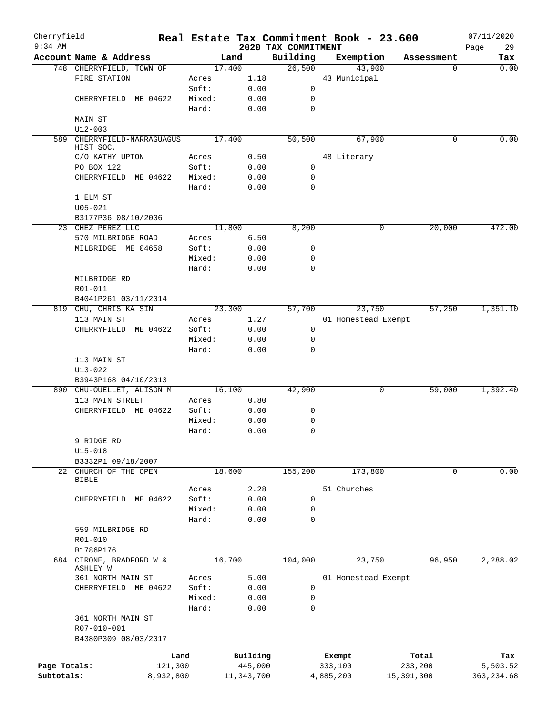| Cherryfield<br>$9:34$ AM |                             |        |              | 2020 TAX COMMITMENT | Real Estate Tax Commitment Book - 23.600 |            | 07/11/2020<br>29 |
|--------------------------|-----------------------------|--------|--------------|---------------------|------------------------------------------|------------|------------------|
|                          | Account Name & Address      |        | Land         | Building            | Exemption                                | Assessment | Page<br>Tax      |
|                          | 748 CHERRYFIELD, TOWN OF    | 17,400 |              | 26,500              | 43,900                                   | 0          | 0.00             |
|                          | FIRE STATION                | Acres  | 1.18         |                     | 43 Municipal                             |            |                  |
|                          |                             | Soft:  | 0.00         | 0                   |                                          |            |                  |
|                          | CHERRYFIELD ME 04622        | Mixed: | 0.00         | 0                   |                                          |            |                  |
|                          |                             | Hard:  | 0.00         | 0                   |                                          |            |                  |
|                          | MAIN ST                     |        |              |                     |                                          |            |                  |
|                          | $U12 - 003$                 |        |              |                     |                                          |            |                  |
|                          | 589 CHERRYFIELD-NARRAGUAGUS | 17,400 |              | 50,500              | 67,900                                   | 0          | 0.00             |
|                          | HIST SOC.                   |        |              |                     |                                          |            |                  |
|                          | C/O KATHY UPTON             | Acres  | 0.50         |                     | 48 Literary                              |            |                  |
|                          | PO BOX 122                  | Soft:  | 0.00         | 0                   |                                          |            |                  |
|                          | CHERRYFIELD ME 04622        | Mixed: | 0.00         | 0                   |                                          |            |                  |
|                          |                             | Hard:  | 0.00         | $\mathbf 0$         |                                          |            |                  |
|                          | 1 ELM ST                    |        |              |                     |                                          |            |                  |
|                          | $U05 - 021$                 |        |              |                     |                                          |            |                  |
|                          | B3177P36 08/10/2006         |        |              |                     |                                          |            |                  |
|                          | 23 CHEZ PEREZ LLC           | 11,800 |              | 8,200               | 0                                        | 20,000     | 472.00           |
|                          | 570 MILBRIDGE ROAD          | Acres  | 6.50         |                     |                                          |            |                  |
|                          | MILBRIDGE ME 04658          | Soft:  | 0.00         | 0                   |                                          |            |                  |
|                          |                             | Mixed: | 0.00         | 0                   |                                          |            |                  |
|                          |                             | Hard:  | 0.00         | 0                   |                                          |            |                  |
|                          | MILBRIDGE RD                |        |              |                     |                                          |            |                  |
|                          | R01-011                     |        |              |                     |                                          |            |                  |
|                          | B4041P261 03/11/2014        |        |              |                     |                                          |            |                  |
|                          | 819 CHU, CHRIS KA SIN       |        | 23,300       | 57,700              | 23,750                                   | 57,250     | 1,351.10         |
|                          | 113 MAIN ST                 | Acres  | 1.27         |                     | 01 Homestead Exempt                      |            |                  |
|                          | CHERRYFIELD ME 04622        | Soft:  | 0.00         | 0                   |                                          |            |                  |
|                          |                             | Mixed: | 0.00         | 0                   |                                          |            |                  |
|                          |                             | Hard:  | 0.00         | $\mathbf 0$         |                                          |            |                  |
|                          | 113 MAIN ST                 |        |              |                     |                                          |            |                  |
|                          | $U13 - 022$                 |        |              |                     |                                          |            |                  |
|                          | B3943P168 04/10/2013        |        |              |                     |                                          |            |                  |
|                          | 890 CHU-OUELLET, ALISON M   | 16,100 |              | 42,900              | 0                                        | 59,000     | 1,392.40         |
|                          | 113 MAIN STREET             | Acres  | 0.80         |                     |                                          |            |                  |
|                          | CHERRYFIELD ME 04622        | Soft:  | 0.00         | 0                   |                                          |            |                  |
|                          |                             | Mixed: | 0.00         | 0                   |                                          |            |                  |
|                          |                             | Hard:  | 0.00         | 0                   |                                          |            |                  |
|                          | 9 RIDGE RD                  |        |              |                     |                                          |            |                  |
|                          | U15-018                     |        |              |                     |                                          |            |                  |
|                          | B3332P1 09/18/2007          |        |              |                     |                                          |            |                  |
|                          | 22 CHURCH OF THE OPEN       | 18,600 |              | 155,200             | 173,800                                  | 0          | 0.00             |
|                          | <b>BIBLE</b>                |        |              |                     |                                          |            |                  |
|                          |                             | Acres  | 2.28         |                     | 51 Churches                              |            |                  |
|                          | CHERRYFIELD ME 04622        | Soft:  | 0.00         | 0                   |                                          |            |                  |
|                          |                             | Mixed: | 0.00         | 0                   |                                          |            |                  |
|                          |                             | Hard:  | 0.00         | $\mathbf 0$         |                                          |            |                  |
|                          | 559 MILBRIDGE RD            |        |              |                     |                                          |            |                  |
|                          | R01-010                     |        |              |                     |                                          |            |                  |
|                          | B1786P176                   |        |              |                     |                                          |            |                  |
|                          | 684 CIRONE, BRADFORD W &    | 16,700 |              | 104,000             | 23,750                                   | 96,950     | 2,288.02         |
|                          | ASHLEY W                    |        |              |                     |                                          |            |                  |
|                          | 361 NORTH MAIN ST           | Acres  | 5.00         |                     | 01 Homestead Exempt                      |            |                  |
|                          | CHERRYFIELD ME 04622        | Soft:  | 0.00         | 0                   |                                          |            |                  |
|                          |                             | Mixed: | 0.00         | 0                   |                                          |            |                  |
|                          |                             | Hard:  | 0.00         | 0                   |                                          |            |                  |
|                          | 361 NORTH MAIN ST           |        |              |                     |                                          |            |                  |
|                          | R07-010-001                 |        |              |                     |                                          |            |                  |
|                          | B4380P309 08/03/2017        |        |              |                     |                                          |            |                  |
|                          | Land                        |        | Building     |                     | Exempt                                   | Total      | Tax              |
| Page Totals:             | 121,300                     |        | 445,000      |                     | 333,100                                  | 233,200    | 5,503.52         |
| Subtotals:               | 8,932,800                   |        | 11, 343, 700 |                     | 4,885,200                                | 15,391,300 | 363, 234.68      |
|                          |                             |        |              |                     |                                          |            |                  |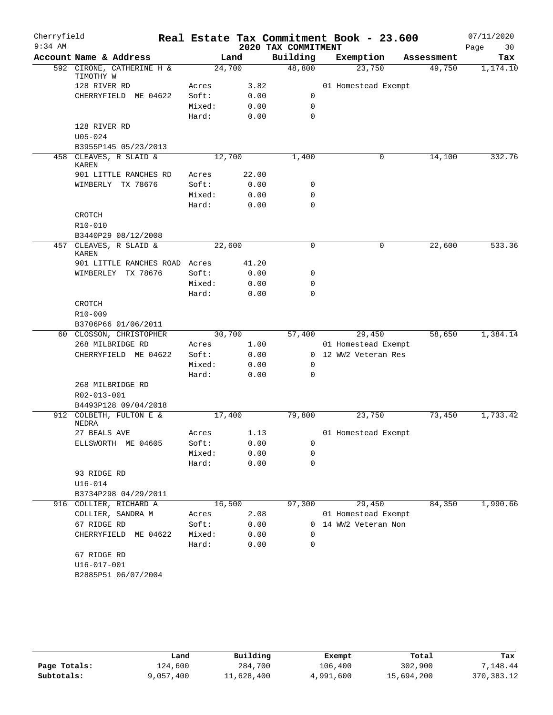| Cherryfield |                                        |        |       |                     | Real Estate Tax Commitment Book - 23.600 |            | 07/11/2020 |
|-------------|----------------------------------------|--------|-------|---------------------|------------------------------------------|------------|------------|
| $9:34$ AM   |                                        |        |       | 2020 TAX COMMITMENT |                                          |            | Page<br>30 |
|             | Account Name & Address                 |        | Land  | Building            | Exemption                                | Assessment | Tax        |
|             | 592 CIRONE, CATHERINE H &<br>TIMOTHY W | 24,700 |       | 48,800              | 23,750                                   | 49,750     | 1,174.10   |
|             | 128 RIVER RD                           | Acres  | 3.82  |                     | 01 Homestead Exempt                      |            |            |
|             | CHERRYFIELD ME 04622                   | Soft:  | 0.00  | 0                   |                                          |            |            |
|             |                                        | Mixed: | 0.00  | $\mathbf 0$         |                                          |            |            |
|             |                                        | Hard:  | 0.00  | $\mathbf 0$         |                                          |            |            |
|             | 128 RIVER RD                           |        |       |                     |                                          |            |            |
|             | $U05 - 024$                            |        |       |                     |                                          |            |            |
|             | B3955P145 05/23/2013                   |        |       |                     |                                          |            |            |
|             | 458 CLEAVES, R SLAID &<br><b>KAREN</b> | 12,700 |       | 1,400               | 0                                        | 14,100     | 332.76     |
|             | 901 LITTLE RANCHES RD                  | Acres  | 22.00 |                     |                                          |            |            |
|             | WIMBERLY TX 78676                      | Soft:  | 0.00  | 0                   |                                          |            |            |
|             |                                        | Mixed: | 0.00  | $\mathbf 0$         |                                          |            |            |
|             |                                        | Hard:  | 0.00  | $\mathbf 0$         |                                          |            |            |
|             | CROTCH                                 |        |       |                     |                                          |            |            |
|             | R10-010                                |        |       |                     |                                          |            |            |
|             | B3440P29 08/12/2008                    |        |       |                     |                                          |            |            |
| 457         | CLEAVES, R SLAID &<br>KAREN            | 22,600 |       | $\mathbf 0$         | 0                                        | 22,600     | 533.36     |
|             | 901 LITTLE RANCHES ROAD Acres          |        | 41.20 |                     |                                          |            |            |
|             | WIMBERLEY TX 78676                     | Soft:  | 0.00  | $\mathbf 0$         |                                          |            |            |
|             |                                        | Mixed: | 0.00  | $\mathbf 0$         |                                          |            |            |
|             |                                        | Hard:  | 0.00  | $\mathbf 0$         |                                          |            |            |
|             | CROTCH                                 |        |       |                     |                                          |            |            |
|             | R10-009                                |        |       |                     |                                          |            |            |
|             | B3706P66 01/06/2011                    |        |       |                     |                                          |            |            |
|             | 60 CLOSSON, CHRISTOPHER                | 30,700 |       | 57,400              | 29,450                                   | 58,650     | 1,384.14   |
|             | 268 MILBRIDGE RD                       | Acres  | 1.00  |                     | 01 Homestead Exempt                      |            |            |
|             | CHERRYFIELD ME 04622                   | Soft:  | 0.00  |                     | 0 12 WW2 Veteran Res                     |            |            |
|             |                                        | Mixed: | 0.00  | 0                   |                                          |            |            |
|             |                                        | Hard:  | 0.00  | $\mathbf 0$         |                                          |            |            |
|             | 268 MILBRIDGE RD<br>R02-013-001        |        |       |                     |                                          |            |            |
|             | B4493P128 09/04/2018                   |        |       |                     |                                          |            |            |
|             | 912 COLBETH, FULTON E &<br>NEDRA       | 17,400 |       | 79,800              | 23,750                                   | 73,450     | 1,733.42   |
|             | 27 BEALS AVE                           | Acres  | 1.13  |                     | 01 Homestead Exempt                      |            |            |
|             | ELLSWORTH ME 04605                     | Soft:  | 0.00  | 0                   |                                          |            |            |
|             |                                        | Mixed: | 0.00  | 0                   |                                          |            |            |
|             |                                        | Hard:  | 0.00  | $\mathbf 0$         |                                          |            |            |
|             | 93 RIDGE RD                            |        |       |                     |                                          |            |            |
|             | $U16 - 014$                            |        |       |                     |                                          |            |            |
|             | B3734P298 04/29/2011                   |        |       |                     |                                          |            |            |
|             | 916 COLLIER, RICHARD A                 | 16,500 |       | 97,300              | 29,450                                   | 84,350     | 1,990.66   |
|             | COLLIER, SANDRA M                      | Acres  | 2.08  |                     | 01 Homestead Exempt                      |            |            |
|             | 67 RIDGE RD                            | Soft:  | 0.00  | $\mathbf{0}$        | 14 WW2 Veteran Non                       |            |            |
|             | CHERRYFIELD<br>ME 04622                | Mixed: | 0.00  | 0                   |                                          |            |            |
|             |                                        | Hard:  | 0.00  | $\mathbf 0$         |                                          |            |            |
|             | 67 RIDGE RD                            |        |       |                     |                                          |            |            |
|             | $U16 - 017 - 001$                      |        |       |                     |                                          |            |            |
|             | B2885P51 06/07/2004                    |        |       |                     |                                          |            |            |

|              | Land      | Building   | Exempt    | Total      | Tax          |
|--------------|-----------|------------|-----------|------------|--------------|
| Page Totals: | 124,600   | 284,700    | 106,400   | 302,900    | 7,148.44     |
| Subtotals:   | 9,057,400 | 11,628,400 | 4,991,600 | 15,694,200 | 370, 383. 12 |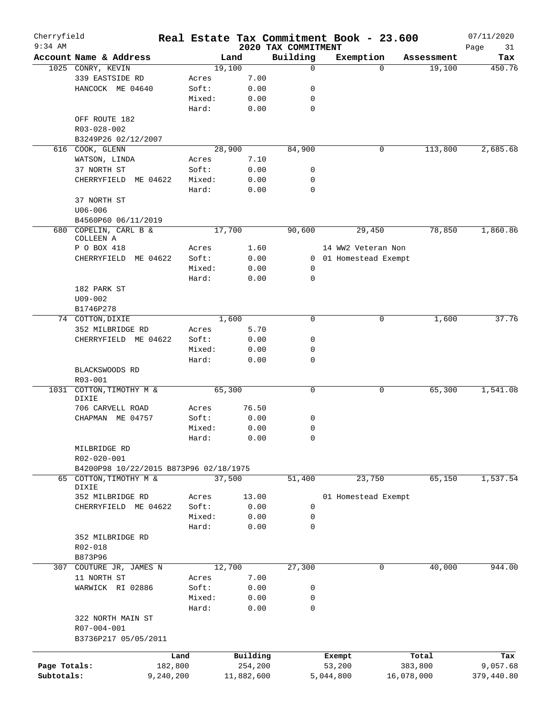| Cherryfield  |                                        |           |        |            |       |                                 | Real Estate Tax Commitment Book - 23.600 |            |            | 07/11/2020        |
|--------------|----------------------------------------|-----------|--------|------------|-------|---------------------------------|------------------------------------------|------------|------------|-------------------|
| $9:34$ AM    | Account Name & Address                 |           |        | Land       |       | 2020 TAX COMMITMENT<br>Building | Exemption                                |            | Assessment | Page<br>31<br>Tax |
|              | 1025 CONRY, KEVIN                      |           |        | 19,100     |       | $\mathbf 0$                     |                                          | $\Omega$   | 19,100     | 450.76            |
|              | 339 EASTSIDE RD                        |           | Acres  |            | 7.00  |                                 |                                          |            |            |                   |
|              | HANCOCK ME 04640                       |           | Soft:  |            | 0.00  | 0                               |                                          |            |            |                   |
|              |                                        |           | Mixed: |            | 0.00  | $\mathbf 0$                     |                                          |            |            |                   |
|              |                                        |           | Hard:  |            | 0.00  | $\mathbf 0$                     |                                          |            |            |                   |
|              |                                        |           |        |            |       |                                 |                                          |            |            |                   |
|              | OFF ROUTE 182                          |           |        |            |       |                                 |                                          |            |            |                   |
|              | R03-028-002                            |           |        |            |       |                                 |                                          |            |            |                   |
|              | B3249P26 02/12/2007                    |           |        |            |       |                                 |                                          |            |            |                   |
|              | 616 COOK, GLENN                        |           |        | 28,900     |       | 84,900                          |                                          | 0          | 113,800    | 2,685.68          |
|              | WATSON, LINDA                          |           | Acres  |            | 7.10  |                                 |                                          |            |            |                   |
|              | 37 NORTH ST                            |           | Soft:  |            | 0.00  | 0                               |                                          |            |            |                   |
|              | CHERRYFIELD ME 04622                   |           | Mixed: |            | 0.00  | $\mathbf 0$                     |                                          |            |            |                   |
|              |                                        |           | Hard:  |            | 0.00  | $\mathbf 0$                     |                                          |            |            |                   |
|              | 37 NORTH ST                            |           |        |            |       |                                 |                                          |            |            |                   |
|              | $U06 - 006$                            |           |        |            |       |                                 |                                          |            |            |                   |
|              | B4560P60 06/11/2019                    |           |        |            |       |                                 |                                          |            |            |                   |
| 680          | COPELIN, CARL B &                      |           |        | 17,700     |       | 90,600                          | 29,450                                   |            | 78,850     | 1,860.86          |
|              | COLLEEN A                              |           |        |            |       |                                 |                                          |            |            |                   |
|              | P O BOX 418                            |           | Acres  |            | 1.60  |                                 | 14 WW2 Veteran Non                       |            |            |                   |
|              | CHERRYFIELD ME 04622                   |           | Soft:  |            | 0.00  |                                 | 0 01 Homestead Exempt                    |            |            |                   |
|              |                                        |           | Mixed: |            | 0.00  | 0                               |                                          |            |            |                   |
|              |                                        |           | Hard:  |            | 0.00  | 0                               |                                          |            |            |                   |
|              | 182 PARK ST                            |           |        |            |       |                                 |                                          |            |            |                   |
|              | $U09 - 002$                            |           |        |            |       |                                 |                                          |            |            |                   |
|              | B1746P278                              |           |        |            |       |                                 |                                          |            |            |                   |
|              | 74 COTTON, DIXIE                       |           |        | 1,600      |       | $\mathbf 0$                     |                                          | 0          | 1,600      | 37.76             |
|              | 352 MILBRIDGE RD                       |           | Acres  |            | 5.70  |                                 |                                          |            |            |                   |
|              | CHERRYFIELD ME 04622                   |           | Soft:  |            | 0.00  | $\mathbf 0$                     |                                          |            |            |                   |
|              |                                        |           | Mixed: |            | 0.00  | 0                               |                                          |            |            |                   |
|              |                                        |           | Hard:  |            | 0.00  | 0                               |                                          |            |            |                   |
|              | BLACKSWOODS RD                         |           |        |            |       |                                 |                                          |            |            |                   |
|              | R03-001                                |           |        |            |       |                                 |                                          |            |            |                   |
|              |                                        |           |        | 65,300     |       | 0                               |                                          | 0          | 65,300     | 1,541.08          |
| 1031         | COTTON, TIMOTHY M &<br>DIXIE           |           |        |            |       |                                 |                                          |            |            |                   |
|              | 706 CARVELL ROAD                       |           | Acres  |            | 76.50 |                                 |                                          |            |            |                   |
|              | CHAPMAN ME 04757                       |           | Soft:  |            | 0.00  | 0                               |                                          |            |            |                   |
|              |                                        |           | Mixed: |            | 0.00  | 0                               |                                          |            |            |                   |
|              |                                        |           | Hard:  |            | 0.00  | $\mathbf 0$                     |                                          |            |            |                   |
|              |                                        |           |        |            |       |                                 |                                          |            |            |                   |
|              | MILBRIDGE RD                           |           |        |            |       |                                 |                                          |            |            |                   |
|              | R02-020-001                            |           |        |            |       |                                 |                                          |            |            |                   |
|              | B4200P98 10/22/2015 B873P96 02/18/1975 |           |        |            |       |                                 |                                          |            |            |                   |
|              | 65 COTTON, TIMOTHY M &<br>DIXIE        |           |        | 37,500     |       | 51,400                          | 23,750                                   |            | 65,150     | 1,537.54          |
|              | 352 MILBRIDGE RD                       |           | Acres  |            | 13.00 |                                 | 01 Homestead Exempt                      |            |            |                   |
|              |                                        |           |        |            |       |                                 |                                          |            |            |                   |
|              | CHERRYFIELD ME 04622                   |           | Soft:  |            | 0.00  | 0                               |                                          |            |            |                   |
|              |                                        |           | Mixed: |            | 0.00  | 0                               |                                          |            |            |                   |
|              |                                        |           | Hard:  |            | 0.00  | 0                               |                                          |            |            |                   |
|              | 352 MILBRIDGE RD                       |           |        |            |       |                                 |                                          |            |            |                   |
|              | R02-018                                |           |        |            |       |                                 |                                          |            |            |                   |
|              | B873P96                                |           |        |            |       |                                 |                                          |            |            |                   |
| 307          | COUTURE JR, JAMES N                    |           |        | 12,700     |       | 27,300                          |                                          | 0          | 40,000     | 944.00            |
|              | 11 NORTH ST                            |           | Acres  |            | 7.00  |                                 |                                          |            |            |                   |
|              | WARWICK RI 02886                       |           | Soft:  |            | 0.00  | 0                               |                                          |            |            |                   |
|              |                                        |           | Mixed: |            | 0.00  | 0                               |                                          |            |            |                   |
|              |                                        |           | Hard:  |            | 0.00  | $\mathbf 0$                     |                                          |            |            |                   |
|              | 322 NORTH MAIN ST                      |           |        |            |       |                                 |                                          |            |            |                   |
|              | R07-004-001                            |           |        |            |       |                                 |                                          |            |            |                   |
|              | B3736P217 05/05/2011                   |           |        |            |       |                                 |                                          |            |            |                   |
|              |                                        |           |        |            |       |                                 |                                          |            |            |                   |
|              |                                        | Land      |        | Building   |       |                                 | Exempt                                   |            | Total      | Tax               |
| Page Totals: |                                        | 182,800   |        | 254,200    |       |                                 | 53,200                                   |            | 383,800    | 9,057.68          |
| Subtotals:   |                                        | 9,240,200 |        | 11,882,600 |       |                                 | 5,044,800                                | 16,078,000 |            | 379,440.80        |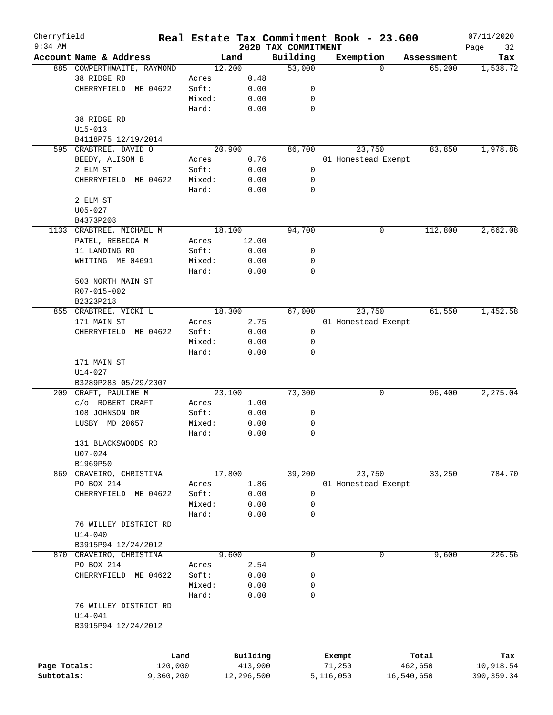| Cherryfield<br>$9:34$ AM |                            |        |            | 2020 TAX COMMITMENT | Real Estate Tax Commitment Book - 23.600 |            | 07/11/2020        |
|--------------------------|----------------------------|--------|------------|---------------------|------------------------------------------|------------|-------------------|
|                          | Account Name & Address     |        | Land       | Building            | Exemption                                | Assessment | Page<br>32<br>Tax |
|                          | 885 COWPERTHWAITE, RAYMOND |        | 12,200     | 53,000              | $\Omega$                                 | 65,200     | 1,538.72          |
|                          | 38 RIDGE RD                | Acres  | 0.48       |                     |                                          |            |                   |
|                          | CHERRYFIELD ME 04622       | Soft:  | 0.00       | 0                   |                                          |            |                   |
|                          |                            | Mixed: | 0.00       | 0                   |                                          |            |                   |
|                          |                            | Hard:  | 0.00       | 0                   |                                          |            |                   |
|                          | 38 RIDGE RD                |        |            |                     |                                          |            |                   |
|                          | $U15 - 013$                |        |            |                     |                                          |            |                   |
|                          | B4118P75 12/19/2014        |        |            |                     |                                          |            |                   |
|                          | 595 CRABTREE, DAVID O      |        | 20,900     | 86,700              | 23,750                                   | 83,850     | 1,978.86          |
|                          |                            |        |            |                     |                                          |            |                   |
|                          | BEEDY, ALISON B            | Acres  | 0.76       |                     | 01 Homestead Exempt                      |            |                   |
|                          | 2 ELM ST                   | Soft:  | 0.00       | 0                   |                                          |            |                   |
|                          | CHERRYFIELD ME 04622       | Mixed: | 0.00       | 0                   |                                          |            |                   |
|                          |                            | Hard:  | 0.00       | 0                   |                                          |            |                   |
|                          | 2 ELM ST                   |        |            |                     |                                          |            |                   |
|                          | $U05 - 027$                |        |            |                     |                                          |            |                   |
|                          | B4373P208                  |        |            |                     |                                          |            |                   |
|                          | 1133 CRABTREE, MICHAEL M   |        | 18,100     | 94,700              | 0                                        | 112,800    | 2,662.08          |
|                          | PATEL, REBECCA M           | Acres  | 12.00      |                     |                                          |            |                   |
|                          | 11 LANDING RD              | Soft:  | 0.00       | 0                   |                                          |            |                   |
|                          | WHITING ME 04691           | Mixed: | 0.00       | 0                   |                                          |            |                   |
|                          |                            | Hard:  | 0.00       | $\mathbf 0$         |                                          |            |                   |
|                          | 503 NORTH MAIN ST          |        |            |                     |                                          |            |                   |
|                          | R07-015-002                |        |            |                     |                                          |            |                   |
|                          | B2323P218                  |        |            |                     |                                          |            |                   |
| 855                      | CRABTREE, VICKI L          |        | 18,300     | 67,000              | 23,750                                   | 61,550     | 1,452.58          |
|                          | 171 MAIN ST                | Acres  | 2.75       |                     | 01 Homestead Exempt                      |            |                   |
|                          | CHERRYFIELD ME 04622       | Soft:  | 0.00       | 0                   |                                          |            |                   |
|                          |                            | Mixed: | 0.00       | 0                   |                                          |            |                   |
|                          |                            | Hard:  | 0.00       | 0                   |                                          |            |                   |
|                          | 171 MAIN ST                |        |            |                     |                                          |            |                   |
|                          | U14-027                    |        |            |                     |                                          |            |                   |
|                          | B3289P283 05/29/2007       |        |            |                     |                                          |            |                   |
|                          | 209 CRAFT, PAULINE M       |        | 23,100     | 73,300              | 0                                        | 96,400     | 2,275.04          |
|                          | c/o ROBERT CRAFT           | Acres  | 1.00       |                     |                                          |            |                   |
|                          | 108 JOHNSON DR             | Soft:  | 0.00       | 0                   |                                          |            |                   |
|                          | LUSBY MD 20657             | Mixed: | 0.00       | 0                   |                                          |            |                   |
|                          |                            | Hard:  | 0.00       | 0                   |                                          |            |                   |
|                          | 131 BLACKSWOODS RD         |        |            |                     |                                          |            |                   |
|                          | U07-024                    |        |            |                     |                                          |            |                   |
|                          | B1969P50                   |        |            |                     |                                          |            |                   |
| 869                      | CRAVEIRO, CHRISTINA        |        | 17,800     | 39,200              | 23,750                                   | 33,250     | 784.70            |
|                          | PO BOX 214                 | Acres  | 1.86       |                     | 01 Homestead Exempt                      |            |                   |
|                          | CHERRYFIELD ME 04622       | Soft:  | 0.00       | 0                   |                                          |            |                   |
|                          |                            | Mixed: | 0.00       | 0                   |                                          |            |                   |
|                          |                            | Hard:  | 0.00       | 0                   |                                          |            |                   |
|                          |                            |        |            |                     |                                          |            |                   |
|                          | 76 WILLEY DISTRICT RD      |        |            |                     |                                          |            |                   |
|                          | $U14 - 040$                |        |            |                     |                                          |            |                   |
|                          | B3915P94 12/24/2012        |        |            |                     |                                          |            |                   |
|                          | 870 CRAVEIRO, CHRISTINA    |        | 9,600      | $\mathbf 0$         | 0                                        | 9,600      | 226.56            |
|                          | PO BOX 214                 | Acres  | 2.54       |                     |                                          |            |                   |
|                          | CHERRYFIELD ME 04622       | Soft:  | 0.00       | 0                   |                                          |            |                   |
|                          |                            | Mixed: | 0.00       | 0                   |                                          |            |                   |
|                          |                            | Hard:  | 0.00       | 0                   |                                          |            |                   |
|                          | 76 WILLEY DISTRICT RD      |        |            |                     |                                          |            |                   |
|                          | $U14 - 041$                |        |            |                     |                                          |            |                   |
|                          | B3915P94 12/24/2012        |        |            |                     |                                          |            |                   |
|                          |                            |        |            |                     |                                          |            |                   |
|                          |                            |        |            |                     |                                          |            |                   |
|                          |                            | Land   | Building   |                     | Exempt                                   | Total      | Tax               |
| Page Totals:             | 120,000                    |        | 413,900    |                     | 71,250                                   | 462,650    | 10,918.54         |
| Subtotals:               | 9,360,200                  |        | 12,296,500 |                     | 5,116,050                                | 16,540,650 | 390, 359.34       |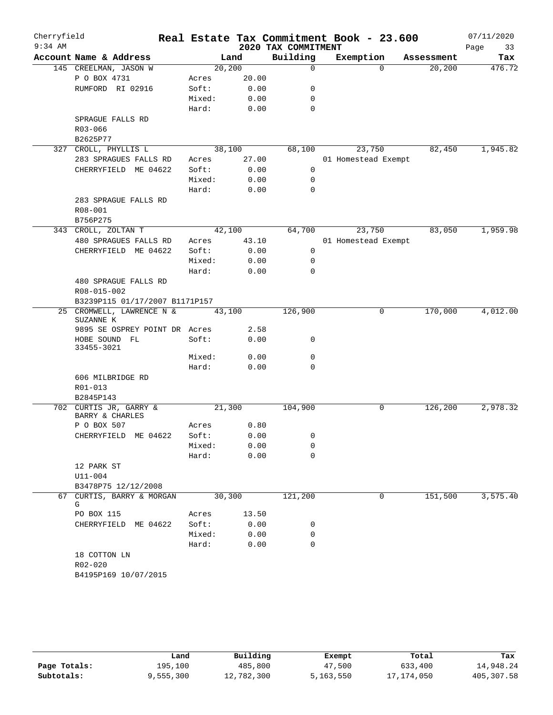| Cherryfield |                                           |         |       | Real Estate Tax Commitment Book - 23.600 |                     |           |            | 07/11/2020 |          |
|-------------|-------------------------------------------|---------|-------|------------------------------------------|---------------------|-----------|------------|------------|----------|
| $9:34$ AM   |                                           |         |       | 2020 TAX COMMITMENT                      |                     |           |            | Page       | 33       |
|             | Account Name & Address                    |         | Land  | Building                                 |                     | Exemption | Assessment |            | Tax      |
|             | 145 CREELMAN, JASON W                     | 20, 200 |       | $\Omega$                                 |                     | $\Omega$  | 20,200     |            | 476.72   |
|             | P O BOX 4731                              | Acres   | 20.00 |                                          |                     |           |            |            |          |
|             | RUMFORD RI 02916                          | Soft:   | 0.00  | 0                                        |                     |           |            |            |          |
|             |                                           | Mixed:  | 0.00  | 0                                        |                     |           |            |            |          |
|             |                                           | Hard:   | 0.00  | 0                                        |                     |           |            |            |          |
|             | SPRAGUE FALLS RD                          |         |       |                                          |                     |           |            |            |          |
|             | R03-066<br>B2625P77                       |         |       |                                          |                     |           |            |            |          |
|             | 327 CROLL, PHYLLIS L                      | 38,100  |       | 68,100                                   |                     | 23,750    | 82,450     |            | 1,945.82 |
|             | 283 SPRAGUES FALLS RD                     | Acres   | 27.00 |                                          | 01 Homestead Exempt |           |            |            |          |
|             | CHERRYFIELD ME 04622                      | Soft:   | 0.00  | 0                                        |                     |           |            |            |          |
|             |                                           | Mixed:  | 0.00  | 0                                        |                     |           |            |            |          |
|             |                                           | Hard:   | 0.00  | 0                                        |                     |           |            |            |          |
|             | 283 SPRAGUE FALLS RD                      |         |       |                                          |                     |           |            |            |          |
|             | R08-001                                   |         |       |                                          |                     |           |            |            |          |
|             | B756P275                                  |         |       |                                          |                     |           |            |            |          |
|             | 343 CROLL, ZOLTAN T                       | 42,100  |       | 64,700                                   |                     | 23,750    | 83,050     |            | 1,959.98 |
|             | 480 SPRAGUES FALLS RD                     | Acres   | 43.10 |                                          | 01 Homestead Exempt |           |            |            |          |
|             | CHERRYFIELD ME 04622                      | Soft:   | 0.00  | $\mathbf 0$                              |                     |           |            |            |          |
|             |                                           | Mixed:  | 0.00  | 0                                        |                     |           |            |            |          |
|             |                                           | Hard:   | 0.00  | $\mathbf 0$                              |                     |           |            |            |          |
|             | 480 SPRAGUE FALLS RD                      |         |       |                                          |                     |           |            |            |          |
|             | R08-015-002                               |         |       |                                          |                     |           |            |            |          |
|             | B3239P115 01/17/2007 B1171P157            |         |       |                                          |                     |           |            |            |          |
|             | 25 CROMWELL, LAWRENCE N &                 | 43,100  |       | 126,900                                  |                     | 0         | 170,000    |            | 4,012.00 |
|             | SUZANNE K                                 |         |       |                                          |                     |           |            |            |          |
|             | 9895 SE OSPREY POINT DR Acres             |         | 2.58  |                                          |                     |           |            |            |          |
|             | HOBE SOUND FL<br>33455-3021               | Soft:   | 0.00  | 0                                        |                     |           |            |            |          |
|             |                                           | Mixed:  | 0.00  | 0                                        |                     |           |            |            |          |
|             |                                           | Hard:   | 0.00  | 0                                        |                     |           |            |            |          |
|             | 606 MILBRIDGE RD                          |         |       |                                          |                     |           |            |            |          |
|             | R01-013                                   |         |       |                                          |                     |           |            |            |          |
|             | B2845P143                                 |         |       |                                          |                     |           |            |            |          |
|             | 702 CURTIS JR, GARRY &<br>BARRY & CHARLES | 21,300  |       | 104,900                                  |                     | 0         | 126,200    |            | 2,978.32 |
|             | P O BOX 507                               | Acres   | 0.80  |                                          |                     |           |            |            |          |
|             | CHERRYFIELD ME 04622                      | Soft:   | 0.00  | $\mathbf{0}$                             |                     |           |            |            |          |
|             |                                           | Mixed:  | 0.00  | 0                                        |                     |           |            |            |          |
|             |                                           | Hard:   | 0.00  | 0                                        |                     |           |            |            |          |
|             | 12 PARK ST                                |         |       |                                          |                     |           |            |            |          |
|             | $U11 - 004$                               |         |       |                                          |                     |           |            |            |          |
|             | B3478P75 12/12/2008                       |         |       |                                          |                     |           |            |            |          |
|             | 67 CURTIS, BARRY & MORGAN<br>G            | 30,300  |       | 121,200                                  |                     | 0         | 151,500    |            | 3,575.40 |
|             | PO BOX 115                                | Acres   | 13.50 |                                          |                     |           |            |            |          |
|             | CHERRYFIELD ME 04622                      | Soft:   | 0.00  | 0                                        |                     |           |            |            |          |
|             |                                           | Mixed:  | 0.00  | 0                                        |                     |           |            |            |          |
|             |                                           | Hard:   | 0.00  | 0                                        |                     |           |            |            |          |
|             | 18 COTTON LN                              |         |       |                                          |                     |           |            |            |          |
|             | R02-020                                   |         |       |                                          |                     |           |            |            |          |
|             | B4195P169 10/07/2015                      |         |       |                                          |                     |           |            |            |          |

|              | Land      | Building   | Exempt    | Total        | Tax        |
|--------------|-----------|------------|-----------|--------------|------------|
| Page Totals: | 195,100   | 485,800    | 47,500    | 633,400      | 14,948.24  |
| Subtotals:   | 9,555,300 | 12,782,300 | 5,163,550 | 17, 174, 050 | 405,307.58 |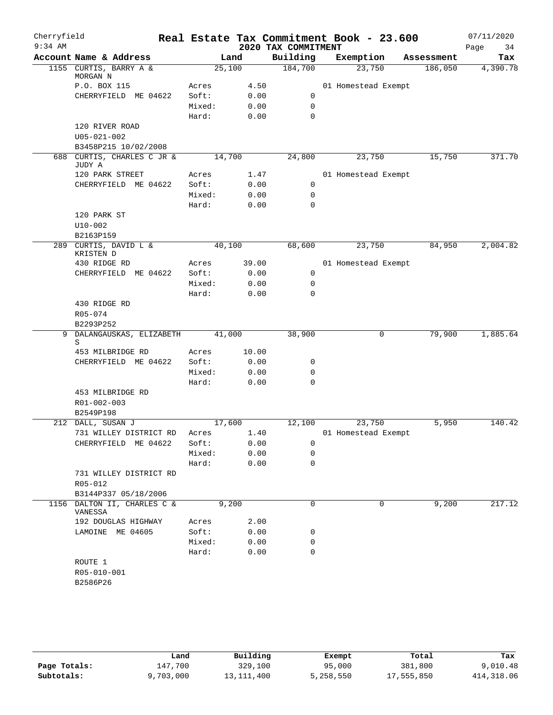| Cherryfield |                                      |        |       |                     | Real Estate Tax Commitment Book - 23.600 |   |            | 07/11/2020 |
|-------------|--------------------------------------|--------|-------|---------------------|------------------------------------------|---|------------|------------|
| $9:34$ AM   |                                      |        |       | 2020 TAX COMMITMENT |                                          |   |            | Page<br>34 |
|             | Account Name & Address               |        | Land  | Building            | Exemption                                |   | Assessment | Tax        |
|             | 1155 CURTIS, BARRY A &<br>MORGAN N   | 25,100 |       | 184,700             | 23,750                                   |   | 186,050    | 4,390.78   |
|             | P.O. BOX 115                         | Acres  | 4.50  |                     | 01 Homestead Exempt                      |   |            |            |
|             | CHERRYFIELD ME 04622                 | Soft:  | 0.00  | 0                   |                                          |   |            |            |
|             |                                      | Mixed: | 0.00  | $\mathbf 0$         |                                          |   |            |            |
|             |                                      | Hard:  | 0.00  | $\mathbf 0$         |                                          |   |            |            |
|             | 120 RIVER ROAD                       |        |       |                     |                                          |   |            |            |
|             | $U05 - 021 - 002$                    |        |       |                     |                                          |   |            |            |
|             | B3458P215 10/02/2008                 |        |       |                     |                                          |   |            |            |
|             | 688 CURTIS, CHARLES C JR &<br>JUDY A | 14,700 |       | 24,800              | 23,750                                   |   | 15,750     | 371.70     |
|             | 120 PARK STREET                      | Acres  | 1.47  |                     | 01 Homestead Exempt                      |   |            |            |
|             | CHERRYFIELD ME 04622                 | Soft:  | 0.00  | 0                   |                                          |   |            |            |
|             |                                      | Mixed: | 0.00  | 0                   |                                          |   |            |            |
|             |                                      | Hard:  | 0.00  | $\mathbf 0$         |                                          |   |            |            |
|             | 120 PARK ST                          |        |       |                     |                                          |   |            |            |
|             | $U10 - 002$                          |        |       |                     |                                          |   |            |            |
|             | B2163P159                            |        |       |                     |                                          |   |            |            |
|             | 289 CURTIS, DAVID L &<br>KRISTEN D   | 40,100 |       | 68,600              | 23,750                                   |   | 84,950     | 2,004.82   |
|             | 430 RIDGE RD                         | Acres  | 39.00 |                     | 01 Homestead Exempt                      |   |            |            |
|             | CHERRYFIELD ME 04622                 | Soft:  | 0.00  | $\mathbf 0$         |                                          |   |            |            |
|             |                                      | Mixed: | 0.00  | $\mathbf 0$         |                                          |   |            |            |
|             |                                      | Hard:  | 0.00  | $\mathbf 0$         |                                          |   |            |            |
|             | 430 RIDGE RD                         |        |       |                     |                                          |   |            |            |
|             | R05-074                              |        |       |                     |                                          |   |            |            |
|             | B2293P252                            |        |       |                     |                                          |   |            |            |
|             | 9 DALANGAUSKAS, ELIZABETH<br>S       | 41,000 |       | 38,900              |                                          | 0 | 79,900     | 1,885.64   |
|             | 453 MILBRIDGE RD                     | Acres  | 10.00 |                     |                                          |   |            |            |
|             | CHERRYFIELD ME 04622                 | Soft:  | 0.00  | 0                   |                                          |   |            |            |
|             |                                      | Mixed: | 0.00  | 0                   |                                          |   |            |            |
|             |                                      | Hard:  | 0.00  | $\Omega$            |                                          |   |            |            |
|             | 453 MILBRIDGE RD                     |        |       |                     |                                          |   |            |            |
|             | R01-002-003                          |        |       |                     |                                          |   |            |            |
|             | B2549P198                            |        |       |                     |                                          |   |            |            |
|             | 212 DALL, SUSAN J                    | 17,600 |       | 12,100              | 23,750                                   |   | 5,950      | 140.42     |
|             | 731 WILLEY DISTRICT RD               | Acres  | 1.40  |                     | 01 Homestead Exempt                      |   |            |            |
|             | CHERRYFIELD ME 04622                 | Soft:  | 0.00  | 0                   |                                          |   |            |            |
|             |                                      | Mixed: | 0.00  | 0                   |                                          |   |            |            |
|             |                                      | Hard:  | 0.00  | $\mathbf 0$         |                                          |   |            |            |
|             | 731 WILLEY DISTRICT RD               |        |       |                     |                                          |   |            |            |
|             | R05-012<br>B3144P337 05/18/2006      |        |       |                     |                                          |   |            |            |
|             | 1156 DALTON II, CHARLES C &          |        | 9,200 | $\mathbf 0$         |                                          | 0 | 9,200      | 217.12     |
|             | VANESSA                              |        |       |                     |                                          |   |            |            |
|             | 192 DOUGLAS HIGHWAY                  | Acres  | 2.00  |                     |                                          |   |            |            |
|             | LAMOINE ME 04605                     | Soft:  | 0.00  | 0                   |                                          |   |            |            |
|             |                                      | Mixed: | 0.00  | 0                   |                                          |   |            |            |
|             |                                      | Hard:  | 0.00  | $\mathbf 0$         |                                          |   |            |            |
|             | ROUTE 1                              |        |       |                     |                                          |   |            |            |
|             | R05-010-001                          |        |       |                     |                                          |   |            |            |
|             | B2586P26                             |        |       |                     |                                          |   |            |            |
|             |                                      |        |       |                     |                                          |   |            |            |

|              | Land      | Building     | Exempt    | Total      | Tax        |
|--------------|-----------|--------------|-----------|------------|------------|
| Page Totals: | 147,700   | 329,100      | 95,000    | 381,800    | 9,010.48   |
| Subtotals:   | 9,703,000 | 13, 111, 400 | 5,258,550 | 17,555,850 | 414,318.06 |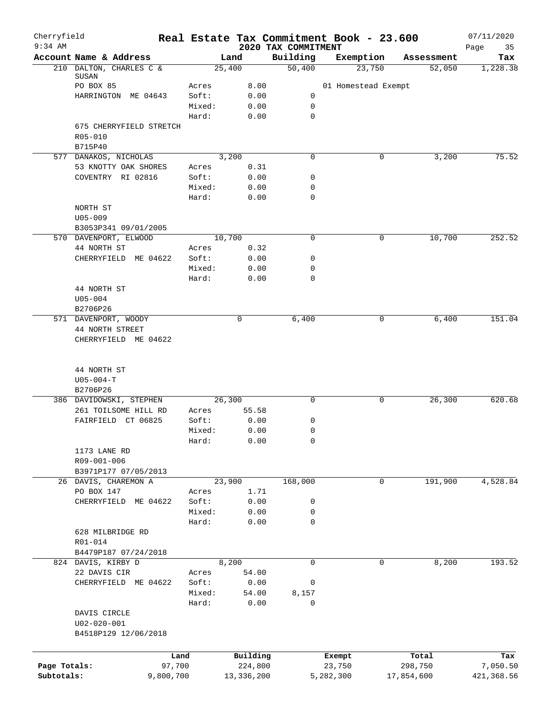| Cherryfield<br>$9:34$ AM |                                     |        |                     | 2020 TAX COMMITMENT | Real Estate Tax Commitment Book - 23.600 |                  | 07/11/2020        |
|--------------------------|-------------------------------------|--------|---------------------|---------------------|------------------------------------------|------------------|-------------------|
|                          | Account Name & Address              |        | Land                | Building            | Exemption                                | Assessment       | Page<br>35<br>Tax |
|                          | 210 DALTON, CHARLES C &             |        | 25,400              | 50,400              | 23,750                                   | 52,050           | 1,228.38          |
|                          | SUSAN<br>PO BOX 85                  | Acres  | 8.00                |                     | 01 Homestead Exempt                      |                  |                   |
|                          | HARRINGTON ME 04643                 | Soft:  | 0.00                | $\mathbf 0$         |                                          |                  |                   |
|                          |                                     | Mixed: | 0.00                | 0                   |                                          |                  |                   |
|                          |                                     | Hard:  | 0.00                | 0                   |                                          |                  |                   |
|                          | 675 CHERRYFIELD STRETCH             |        |                     |                     |                                          |                  |                   |
|                          | R05-010                             |        |                     |                     |                                          |                  |                   |
|                          | B715P40                             |        |                     |                     |                                          |                  |                   |
|                          | 577 DANAKOS, NICHOLAS               |        | 3,200               | 0                   | 0                                        | 3,200            | 75.52             |
|                          | 53 KNOTTY OAK SHORES                | Acres  | 0.31                |                     |                                          |                  |                   |
|                          | COVENTRY RI 02816                   | Soft:  | 0.00                | 0                   |                                          |                  |                   |
|                          |                                     | Mixed: | 0.00                | 0                   |                                          |                  |                   |
|                          |                                     | Hard:  | 0.00                | $\mathbf 0$         |                                          |                  |                   |
|                          | NORTH ST                            |        |                     |                     |                                          |                  |                   |
|                          | $U05 - 009$<br>B3053P341 09/01/2005 |        |                     |                     |                                          |                  |                   |
|                          | 570 DAVENPORT, ELWOOD               |        | 10,700              | $\mathbf 0$         | 0                                        | 10,700           | 252.52            |
|                          | 44 NORTH ST                         | Acres  | 0.32                |                     |                                          |                  |                   |
|                          | CHERRYFIELD ME 04622                | Soft:  | 0.00                | 0                   |                                          |                  |                   |
|                          |                                     | Mixed: | 0.00                | 0                   |                                          |                  |                   |
|                          |                                     | Hard:  | 0.00                | 0                   |                                          |                  |                   |
|                          | 44 NORTH ST                         |        |                     |                     |                                          |                  |                   |
|                          | $U05 - 004$                         |        |                     |                     |                                          |                  |                   |
|                          | B2706P26                            |        |                     |                     |                                          |                  |                   |
|                          | 571 DAVENPORT, WOODY                |        | 0                   | 6,400               | 0                                        | 6,400            | 151.04            |
|                          | 44 NORTH STREET                     |        |                     |                     |                                          |                  |                   |
|                          | CHERRYFIELD ME 04622                |        |                     |                     |                                          |                  |                   |
|                          | 44 NORTH ST                         |        |                     |                     |                                          |                  |                   |
|                          | $U05 - 004 - T$                     |        |                     |                     |                                          |                  |                   |
|                          | B2706P26                            |        |                     |                     |                                          |                  |                   |
|                          | 386 DAVIDOWSKI, STEPHEN             |        | 26, 300             | 0                   | 0                                        | 26, 300          | 620.68            |
|                          | 261 TOILSOME HILL RD                | Acres  | 55.58               |                     |                                          |                  |                   |
|                          | FAIRFIELD CT 06825                  | Soft:  | 0.00                | 0                   |                                          |                  |                   |
|                          |                                     | Mixed: | 0.00                | 0                   |                                          |                  |                   |
|                          |                                     | Hard:  | 0.00                | 0                   |                                          |                  |                   |
|                          | 1173 LANE RD                        |        |                     |                     |                                          |                  |                   |
|                          | R09-001-006                         |        |                     |                     |                                          |                  |                   |
|                          | B3971P177 07/05/2013                |        |                     |                     | 0                                        |                  |                   |
|                          | 26 DAVIS, CHAREMON A<br>PO BOX 147  | Acres  | 23,900<br>1.71      | 168,000             |                                          | 191,900          | 4,528.84          |
|                          | CHERRYFIELD ME 04622                | Soft:  | 0.00                | 0                   |                                          |                  |                   |
|                          |                                     | Mixed: | 0.00                | 0                   |                                          |                  |                   |
|                          |                                     | Hard:  | 0.00                | 0                   |                                          |                  |                   |
|                          | 628 MILBRIDGE RD                    |        |                     |                     |                                          |                  |                   |
|                          | R01-014                             |        |                     |                     |                                          |                  |                   |
|                          | B4479P187 07/24/2018                |        |                     |                     |                                          |                  |                   |
|                          | 824 DAVIS, KIRBY D                  |        | 8,200               | $\mathbf 0$         | $\mathbf 0$                              | 8,200            | 193.52            |
|                          | 22 DAVIS CIR                        | Acres  | 54.00               |                     |                                          |                  |                   |
|                          | CHERRYFIELD ME 04622                | Soft:  | 0.00                | 0                   |                                          |                  |                   |
|                          |                                     | Mixed: | 54.00               | 8,157               |                                          |                  |                   |
|                          |                                     | Hard:  | 0.00                | 0                   |                                          |                  |                   |
|                          | DAVIS CIRCLE                        |        |                     |                     |                                          |                  |                   |
|                          | $U02 - 020 - 001$                   |        |                     |                     |                                          |                  |                   |
|                          | B4518P129 12/06/2018                |        |                     |                     |                                          |                  |                   |
|                          |                                     |        |                     |                     |                                          |                  |                   |
| Page Totals:             | Land<br>97,700                      |        | Building<br>224,800 |                     | Exempt<br>23,750                         | Total<br>298,750 | Tax<br>7,050.50   |
| Subtotals:               | 9,800,700                           |        | 13,336,200          |                     | 5,282,300                                | 17,854,600       | 421,368.56        |
|                          |                                     |        |                     |                     |                                          |                  |                   |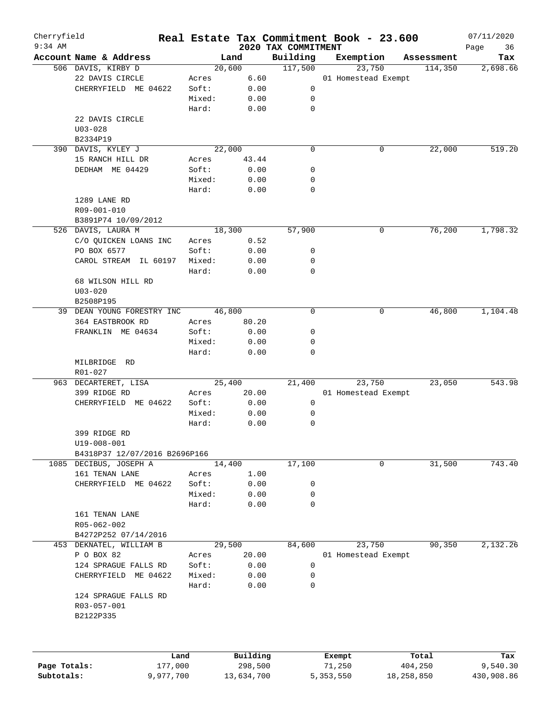| Cherryfield  |                               |                |        |              | Real Estate Tax Commitment Book - 23.600 |                     |        |            | 07/11/2020        |
|--------------|-------------------------------|----------------|--------|--------------|------------------------------------------|---------------------|--------|------------|-------------------|
| $9:34$ AM    | Account Name & Address        |                |        | Land         | 2020 TAX COMMITMENT<br>Building          | Exemption           |        | Assessment | Page<br>36<br>Tax |
|              | 506 DAVIS, KIRBY D            |                | 20,600 |              | 117,500                                  |                     | 23,750 | 114,350    | 2,698.66          |
|              | 22 DAVIS CIRCLE               | Acres          |        | 6.60         |                                          | 01 Homestead Exempt |        |            |                   |
|              | CHERRYFIELD ME 04622          | Soft:          |        | 0.00         | 0                                        |                     |        |            |                   |
|              |                               | Mixed:         |        | 0.00         | 0                                        |                     |        |            |                   |
|              |                               | Hard:          |        | 0.00         | 0                                        |                     |        |            |                   |
|              | 22 DAVIS CIRCLE               |                |        |              |                                          |                     |        |            |                   |
|              | $U03 - 028$                   |                |        |              |                                          |                     |        |            |                   |
|              | B2334P19                      |                |        |              |                                          |                     |        |            |                   |
|              | 390 DAVIS, KYLEY J            |                | 22,000 |              | $\mathbf 0$                              |                     | 0      | 22,000     | 519.20            |
|              | 15 RANCH HILL DR              | Acres          |        | 43.44        |                                          |                     |        |            |                   |
|              | DEDHAM ME 04429               | Soft:          |        | 0.00         | 0                                        |                     |        |            |                   |
|              |                               | Mixed:         |        | 0.00         | 0                                        |                     |        |            |                   |
|              |                               | Hard:          |        | 0.00         | 0                                        |                     |        |            |                   |
|              | 1289 LANE RD                  |                |        |              |                                          |                     |        |            |                   |
|              | R09-001-010                   |                |        |              |                                          |                     |        |            |                   |
|              | B3891P74 10/09/2012           |                |        |              |                                          |                     |        |            |                   |
|              | 526 DAVIS, LAURA M            |                | 18,300 |              | 57,900                                   |                     | 0      | 76,200     | 1,798.32          |
|              | C/O QUICKEN LOANS INC         | Acres          |        | 0.52         |                                          |                     |        |            |                   |
|              | PO BOX 6577                   | Soft:          |        | 0.00         | 0                                        |                     |        |            |                   |
|              | CAROL STREAM IL 60197         | Mixed:         |        | 0.00         | 0                                        |                     |        |            |                   |
|              |                               | Hard:          |        | 0.00         | $\mathbf 0$                              |                     |        |            |                   |
|              | 68 WILSON HILL RD             |                |        |              |                                          |                     |        |            |                   |
|              | $U03 - 020$                   |                |        |              |                                          |                     |        |            |                   |
|              | B2508P195                     |                |        |              |                                          |                     |        |            |                   |
|              | 39 DEAN YOUNG FORESTRY INC    |                | 46,800 |              | 0                                        |                     | 0      | 46,800     | 1,104.48          |
|              | 364 EASTBROOK RD              | Acres          |        | 80.20        |                                          |                     |        |            |                   |
|              | FRANKLIN ME 04634             | Soft:          |        | 0.00         | 0                                        |                     |        |            |                   |
|              |                               | Mixed:         |        | 0.00         | 0                                        |                     |        |            |                   |
|              |                               | Hard:          |        | 0.00         | $\mathbf 0$                              |                     |        |            |                   |
|              | MILBRIDGE RD                  |                |        |              |                                          |                     |        |            |                   |
|              | R01-027                       |                |        |              |                                          |                     |        |            |                   |
|              | 963 DECARTERET, LISA          |                | 25,400 |              | 21,400                                   |                     | 23,750 | 23,050     | 543.98            |
|              | 399 RIDGE RD                  | Acres          |        | 20.00        |                                          | 01 Homestead Exempt |        |            |                   |
|              | CHERRYFIELD ME 04622          | Soft:          |        | 0.00         | 0                                        |                     |        |            |                   |
|              |                               | Mixed:         |        | 0.00         | 0                                        |                     |        |            |                   |
|              |                               | Hard:          |        | 0.00         | 0                                        |                     |        |            |                   |
|              | 399 RIDGE RD                  |                |        |              |                                          |                     |        |            |                   |
|              | $U19 - 008 - 001$             |                |        |              |                                          |                     |        |            |                   |
|              | B4318P37 12/07/2016 B2696P166 |                |        |              |                                          |                     |        |            |                   |
|              | 1085 DECIBUS, JOSEPH A        |                | 14,400 |              | 17,100                                   |                     | 0      | 31,500     | 743.40            |
|              | 161 TENAN LANE                | Acres<br>Soft: |        | 1.00         |                                          |                     |        |            |                   |
|              | CHERRYFIELD ME 04622          | Mixed:         |        | 0.00<br>0.00 | 0<br>0                                   |                     |        |            |                   |
|              |                               | Hard:          |        | 0.00         | 0                                        |                     |        |            |                   |
|              | 161 TENAN LANE                |                |        |              |                                          |                     |        |            |                   |
|              | R05-062-002                   |                |        |              |                                          |                     |        |            |                   |
|              | B4272P252 07/14/2016          |                |        |              |                                          |                     |        |            |                   |
|              | 453 DEKNATEL, WILLIAM B       |                | 29,500 |              | 84,600                                   |                     | 23,750 | 90,350     | 2,132.26          |
|              | P O BOX 82                    | Acres          |        | 20.00        |                                          | 01 Homestead Exempt |        |            |                   |
|              | 124 SPRAGUE FALLS RD          | Soft:          |        | 0.00         | 0                                        |                     |        |            |                   |
|              | CHERRYFIELD ME 04622          | Mixed:         |        | 0.00         | 0                                        |                     |        |            |                   |
|              |                               | Hard:          |        | 0.00         | $\mathbf 0$                              |                     |        |            |                   |
|              | 124 SPRAGUE FALLS RD          |                |        |              |                                          |                     |        |            |                   |
|              | R03-057-001                   |                |        |              |                                          |                     |        |            |                   |
|              | B2122P335                     |                |        |              |                                          |                     |        |            |                   |
|              |                               |                |        |              |                                          |                     |        |            |                   |
|              |                               |                |        | Building     |                                          | Exempt              |        | Total      | Tax               |
| Page Totals: |                               | 177,000        |        | 298,500      |                                          | 71,250              |        | 404,250    | 9,540.30          |
| Subtotals:   |                               | 9,977,700      |        | 13,634,700   |                                          | 5, 353, 550         |        | 18,258,850 | 430,908.86        |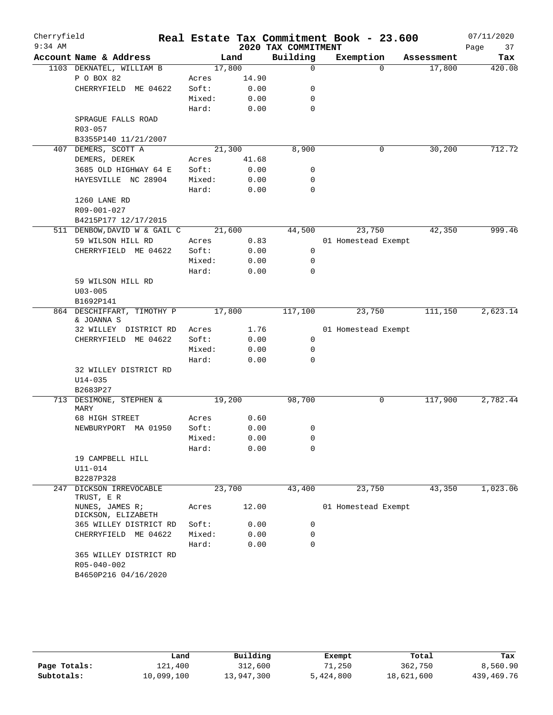| Cherryfield<br>$9:34$ AM |                                          |        |       | 2020 TAX COMMITMENT | Real Estate Tax Commitment Book - 23.600 |            | 07/11/2020<br>Page<br>37 |
|--------------------------|------------------------------------------|--------|-------|---------------------|------------------------------------------|------------|--------------------------|
|                          | Account Name & Address                   |        | Land  | Building            | Exemption                                | Assessment | Tax                      |
|                          | 1103 DEKNATEL, WILLIAM B                 | 17,800 |       | $\mathbf 0$         | $\Omega$                                 | 17,800     | 420.08                   |
|                          | P O BOX 82                               | Acres  | 14.90 |                     |                                          |            |                          |
|                          | CHERRYFIELD ME 04622                     | Soft:  | 0.00  | 0                   |                                          |            |                          |
|                          |                                          | Mixed: | 0.00  | 0                   |                                          |            |                          |
|                          |                                          | Hard:  | 0.00  | $\mathbf 0$         |                                          |            |                          |
|                          | SPRAGUE FALLS ROAD                       |        |       |                     |                                          |            |                          |
|                          | R03-057                                  |        |       |                     |                                          |            |                          |
|                          | B3355P140 11/21/2007                     |        |       |                     |                                          |            |                          |
| 407                      | DEMERS, SCOTT A                          | 21,300 |       | 8,900               | 0                                        | 30,200     | 712.72                   |
|                          | DEMERS, DEREK                            | Acres  | 41.68 |                     |                                          |            |                          |
|                          | 3685 OLD HIGHWAY 64 E                    | Soft:  | 0.00  | 0                   |                                          |            |                          |
|                          | HAYESVILLE NC 28904                      | Mixed: | 0.00  | 0                   |                                          |            |                          |
|                          |                                          | Hard:  | 0.00  | 0                   |                                          |            |                          |
|                          | 1260 LANE RD                             |        |       |                     |                                          |            |                          |
|                          | R09-001-027                              |        |       |                     |                                          |            |                          |
|                          | B4215P177 12/17/2015                     |        |       |                     |                                          |            |                          |
|                          | 511 DENBOW, DAVID W & GAIL C             | 21,600 |       | 44,500              | 23,750                                   | 42,350     | 999.46                   |
|                          | 59 WILSON HILL RD                        | Acres  | 0.83  |                     | 01 Homestead Exempt                      |            |                          |
|                          | CHERRYFIELD ME 04622                     | Soft:  | 0.00  | 0                   |                                          |            |                          |
|                          |                                          | Mixed: | 0.00  | 0                   |                                          |            |                          |
|                          |                                          | Hard:  | 0.00  | 0                   |                                          |            |                          |
|                          | 59 WILSON HILL RD                        |        |       |                     |                                          |            |                          |
|                          | $U03 - 005$                              |        |       |                     |                                          |            |                          |
|                          | B1692P141                                |        |       |                     |                                          |            |                          |
|                          | 864 DESCHIFFART, TIMOTHY P<br>& JOANNA S | 17,800 |       | 117,100             | 23,750                                   | 111,150    | 2,623.14                 |
|                          | 32 WILLEY DISTRICT RD                    | Acres  | 1.76  |                     | 01 Homestead Exempt                      |            |                          |
|                          | CHERRYFIELD ME 04622                     | Soft:  | 0.00  | $\mathbf 0$         |                                          |            |                          |
|                          |                                          | Mixed: | 0.00  | 0                   |                                          |            |                          |
|                          |                                          | Hard:  | 0.00  | 0                   |                                          |            |                          |
|                          | 32 WILLEY DISTRICT RD                    |        |       |                     |                                          |            |                          |
|                          | $U14 - 035$                              |        |       |                     |                                          |            |                          |
|                          | B2683P27                                 |        |       |                     |                                          |            |                          |
|                          | 713 DESIMONE, STEPHEN &<br>MARY          | 19,200 |       | 98,700              | 0                                        | 117,900    | 2,782.44                 |
|                          | 68 HIGH STREET                           | Acres  | 0.60  |                     |                                          |            |                          |
|                          | NEWBURYPORT MA 01950                     | Soft:  | 0.00  | 0                   |                                          |            |                          |
|                          |                                          | Mixed: | 0.00  | 0                   |                                          |            |                          |
|                          |                                          | Hard:  | 0.00  | 0                   |                                          |            |                          |
|                          | 19 CAMPBELL HILL                         |        |       |                     |                                          |            |                          |
|                          | U11-014                                  |        |       |                     |                                          |            |                          |
|                          | B2287P328                                |        |       |                     |                                          |            |                          |
|                          | 247 DICKSON IRREVOCABLE                  | 23,700 |       | 43,400              | 23,750                                   | 43,350     | 1,023.06                 |
|                          | TRUST, E R                               |        |       |                     |                                          |            |                          |
|                          | NUNES, JAMES R;<br>DICKSON, ELIZABETH    | Acres  | 12.00 |                     | 01 Homestead Exempt                      |            |                          |
|                          | 365 WILLEY DISTRICT RD                   | Soft:  | 0.00  | 0                   |                                          |            |                          |
|                          | CHERRYFIELD ME 04622                     | Mixed: | 0.00  | 0                   |                                          |            |                          |
|                          |                                          | Hard:  | 0.00  | 0                   |                                          |            |                          |
|                          | 365 WILLEY DISTRICT RD                   |        |       |                     |                                          |            |                          |
|                          | R05-040-002                              |        |       |                     |                                          |            |                          |
|                          | B4650P216 04/16/2020                     |        |       |                     |                                          |            |                          |
|                          |                                          |        |       |                     |                                          |            |                          |

|              | Land       | Building   | Exempt    | Total      | Tax          |
|--------------|------------|------------|-----------|------------|--------------|
| Page Totals: | 121,400    | 312,600    | 71,250    | 362,750    | 8,560.90     |
| Subtotals:   | 10,099,100 | 13,947,300 | 5,424,800 | 18,621,600 | 439, 469. 76 |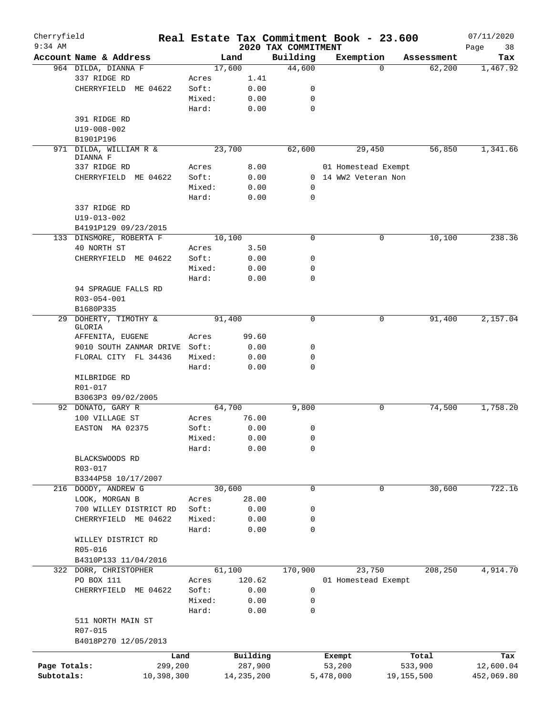| Cherryfield  |                                     |        |              |                                 |           | Real Estate Tax Commitment Book - 23.600 |            | 07/11/2020        |
|--------------|-------------------------------------|--------|--------------|---------------------------------|-----------|------------------------------------------|------------|-------------------|
| $9:34$ AM    | Account Name & Address              |        | Land         | 2020 TAX COMMITMENT<br>Building |           | Exemption                                | Assessment | Page<br>38<br>Tax |
|              | 964 DILDA, DIANNA F                 |        | 17,600       | 44,600                          |           | $\Omega$                                 | 62,200     | 1,467.92          |
|              | 337 RIDGE RD                        | Acres  | 1.41         |                                 |           |                                          |            |                   |
|              | CHERRYFIELD ME 04622                | Soft:  | 0.00         | 0                               |           |                                          |            |                   |
|              |                                     | Mixed: | 0.00         | 0                               |           |                                          |            |                   |
|              |                                     | Hard:  | 0.00         | $\mathbf 0$                     |           |                                          |            |                   |
|              | 391 RIDGE RD                        |        |              |                                 |           |                                          |            |                   |
|              |                                     |        |              |                                 |           |                                          |            |                   |
|              | U19-008-002                         |        |              |                                 |           |                                          |            |                   |
|              | B1901P196<br>971 DILDA, WILLIAM R & |        | 23,700       | 62,600                          |           | 29,450                                   | 56,850     | 1,341.66          |
|              | DIANNA F                            |        |              |                                 |           |                                          |            |                   |
|              | 337 RIDGE RD                        | Acres  | 8.00         |                                 |           | 01 Homestead Exempt                      |            |                   |
|              | CHERRYFIELD ME 04622                | Soft:  | 0.00         |                                 |           | 0 14 WW2 Veteran Non                     |            |                   |
|              |                                     | Mixed: | 0.00         | 0                               |           |                                          |            |                   |
|              |                                     | Hard:  | 0.00         | 0                               |           |                                          |            |                   |
|              | 337 RIDGE RD                        |        |              |                                 |           |                                          |            |                   |
|              | $U19 - 013 - 002$                   |        |              |                                 |           |                                          |            |                   |
|              | B4191P129 09/23/2015                |        |              |                                 |           |                                          |            |                   |
|              |                                     |        | 10,100       | 0                               |           | 0                                        |            | 238.36            |
|              | 133 DINSMORE, ROBERTA F             |        |              |                                 |           |                                          | 10,100     |                   |
|              | 40 NORTH ST                         | Acres  | 3.50         |                                 |           |                                          |            |                   |
|              | CHERRYFIELD ME 04622                | Soft:  | 0.00         | 0                               |           |                                          |            |                   |
|              |                                     | Mixed: | 0.00         | 0                               |           |                                          |            |                   |
|              |                                     | Hard:  | 0.00         | 0                               |           |                                          |            |                   |
|              | 94 SPRAGUE FALLS RD                 |        |              |                                 |           |                                          |            |                   |
|              | R03-054-001                         |        |              |                                 |           |                                          |            |                   |
|              | B1680P335                           |        |              |                                 |           |                                          |            |                   |
|              | 29 DOHERTY, TIMOTHY &<br>GLORIA     |        | 91,400       | 0                               |           | 0                                        | 91,400     | 2,157.04          |
|              | AFFENITA, EUGENE                    | Acres  | 99.60        |                                 |           |                                          |            |                   |
|              | 9010 SOUTH ZANMAR DRIVE Soft:       |        | 0.00         | 0                               |           |                                          |            |                   |
|              | FLORAL CITY FL 34436                | Mixed: | 0.00         | 0                               |           |                                          |            |                   |
|              |                                     | Hard:  | 0.00         | 0                               |           |                                          |            |                   |
|              |                                     |        |              |                                 |           |                                          |            |                   |
|              | MILBRIDGE RD                        |        |              |                                 |           |                                          |            |                   |
|              | R01-017<br>B3063P3 09/02/2005       |        |              |                                 |           |                                          |            |                   |
|              | 92 DONATO, GARY R                   |        | 64,700       | 9,800                           |           | 0                                        | 74,500     | 1,758.20          |
|              | 100 VILLAGE ST                      | Acres  | 76.00        |                                 |           |                                          |            |                   |
|              |                                     | Soft:  |              |                                 |           |                                          |            |                   |
|              | EASTON MA 02375                     |        | 0.00         | 0                               |           |                                          |            |                   |
|              |                                     | Mixed: | 0.00         | 0                               |           |                                          |            |                   |
|              |                                     | Hard:  | 0.00         | 0                               |           |                                          |            |                   |
|              | BLACKSWOODS RD                      |        |              |                                 |           |                                          |            |                   |
|              | R03-017                             |        |              |                                 |           |                                          |            |                   |
|              | B3344P58 10/17/2007                 |        |              |                                 |           |                                          |            |                   |
|              | 216 DOODY, ANDREW G                 |        | 30,600       | 0                               |           | 0                                        | 30,600     | 722.16            |
|              | LOOK, MORGAN B                      | Acres  | 28.00        |                                 |           |                                          |            |                   |
|              | 700 WILLEY DISTRICT RD              | Soft:  | 0.00         | 0                               |           |                                          |            |                   |
|              | CHERRYFIELD ME 04622                | Mixed: | 0.00         | 0                               |           |                                          |            |                   |
|              |                                     | Hard:  | 0.00         | 0                               |           |                                          |            |                   |
|              | WILLEY DISTRICT RD                  |        |              |                                 |           |                                          |            |                   |
|              | R05-016                             |        |              |                                 |           |                                          |            |                   |
|              | B4310P133 11/04/2016                |        |              |                                 |           |                                          |            |                   |
|              | 322 DORR, CHRISTOPHER               |        | 61,100       | 170,900                         |           | 23,750                                   | 208,250    | 4,914.70          |
|              | PO BOX 111                          | Acres  | 120.62       |                                 |           | 01 Homestead Exempt                      |            |                   |
|              | CHERRYFIELD ME 04622                | Soft:  | 0.00         | 0                               |           |                                          |            |                   |
|              |                                     | Mixed: | 0.00         | 0                               |           |                                          |            |                   |
|              |                                     | Hard:  | 0.00         | 0                               |           |                                          |            |                   |
|              | 511 NORTH MAIN ST                   |        |              |                                 |           |                                          |            |                   |
|              | R07-015                             |        |              |                                 |           |                                          |            |                   |
|              | B4018P270 12/05/2013                |        |              |                                 |           |                                          |            |                   |
|              | Land                                |        | Building     |                                 |           | Exempt                                   | Total      | Tax               |
| Page Totals: | 299,200                             |        | 287,900      |                                 |           | 53,200                                   | 533,900    | 12,600.04         |
| Subtotals:   | 10,398,300                          |        | 14, 235, 200 |                                 | 5,478,000 |                                          | 19,155,500 | 452,069.80        |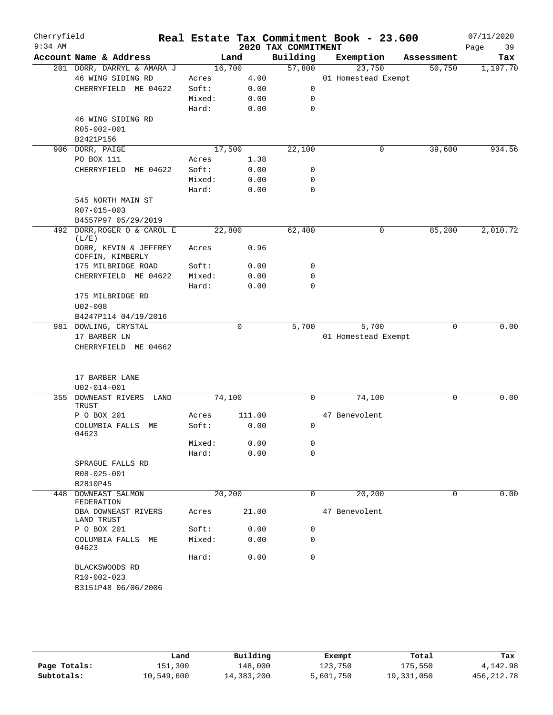| Cherryfield<br>$9:34$ AM |                                           |        |        | 2020 TAX COMMITMENT | Real Estate Tax Commitment Book - 23.600 |            | 07/11/2020<br>39<br>Page |
|--------------------------|-------------------------------------------|--------|--------|---------------------|------------------------------------------|------------|--------------------------|
|                          | Account Name & Address                    |        | Land   | Building            | Exemption                                | Assessment | Tax                      |
|                          | 201 DORR, DARRYL & AMARA J                |        | 16,700 | 57,800              | 23,750                                   | 50,750     | 1,197.70                 |
|                          | 46 WING SIDING RD                         | Acres  | 4.00   |                     | 01 Homestead Exempt                      |            |                          |
|                          | CHERRYFIELD ME 04622                      | Soft:  | 0.00   | 0                   |                                          |            |                          |
|                          |                                           | Mixed: | 0.00   | $\mathbf 0$         |                                          |            |                          |
|                          |                                           | Hard:  | 0.00   | $\mathbf 0$         |                                          |            |                          |
|                          | 46 WING SIDING RD                         |        |        |                     |                                          |            |                          |
|                          | R05-002-001                               |        |        |                     |                                          |            |                          |
|                          | B2421P156                                 |        |        |                     |                                          |            |                          |
|                          | 906 DORR, PAIGE                           |        | 17,500 | 22,100              | 0                                        | 39,600     | 934.56                   |
|                          | PO BOX 111                                | Acres  | 1.38   |                     |                                          |            |                          |
|                          | CHERRYFIELD ME 04622                      | Soft:  | 0.00   | 0                   |                                          |            |                          |
|                          |                                           | Mixed: | 0.00   | 0                   |                                          |            |                          |
|                          |                                           | Hard:  | 0.00   | $\mathbf 0$         |                                          |            |                          |
|                          | 545 NORTH MAIN ST                         |        |        |                     |                                          |            |                          |
|                          | R07-015-003                               |        |        |                     |                                          |            |                          |
|                          | B4557P97 05/29/2019                       |        |        |                     |                                          |            |                          |
|                          | 492 DORR, ROGER O & CAROL E               |        | 22,800 | 62,400              | 0                                        | 85,200     | 2,010.72                 |
|                          | (L/E)                                     |        |        |                     |                                          |            |                          |
|                          | DORR, KEVIN & JEFFREY<br>COFFIN, KIMBERLY | Acres  | 0.96   |                     |                                          |            |                          |
|                          | 175 MILBRIDGE ROAD                        | Soft:  | 0.00   | 0                   |                                          |            |                          |
|                          | CHERRYFIELD ME 04622                      | Mixed: | 0.00   | 0                   |                                          |            |                          |
|                          |                                           | Hard:  | 0.00   | $\mathbf 0$         |                                          |            |                          |
|                          | 175 MILBRIDGE RD                          |        |        |                     |                                          |            |                          |
|                          | $U02 - 008$                               |        |        |                     |                                          |            |                          |
|                          | B4247P114 04/19/2016                      |        |        |                     |                                          |            |                          |
|                          | 981 DOWLING, CRYSTAL                      |        | 0      | 5,700               | 5,700                                    | 0          | 0.00                     |
|                          | 17 BARBER LN                              |        |        |                     | 01 Homestead Exempt                      |            |                          |
|                          | CHERRYFIELD ME 04662                      |        |        |                     |                                          |            |                          |
|                          |                                           |        |        |                     |                                          |            |                          |
|                          |                                           |        |        |                     |                                          |            |                          |
|                          | 17 BARBER LANE                            |        |        |                     |                                          |            |                          |
|                          | $U02 - 014 - 001$                         |        |        |                     |                                          |            |                          |
| 355                      | DOWNEAST RIVERS<br>LAND<br>TRUST          |        | 74,100 | $\mathbf 0$         | 74,100                                   | 0          | 0.00                     |
|                          | P O BOX 201                               | Acres  | 111.00 |                     | 47 Benevolent                            |            |                          |
|                          | COLUMBIA FALLS ME<br>04623                | Soft:  | 0.00   | 0                   |                                          |            |                          |
|                          |                                           | Mixed: | 0.00   | 0                   |                                          |            |                          |
|                          |                                           | Hard:  | 0.00   | $\mathbf 0$         |                                          |            |                          |
|                          | SPRAGUE FALLS RD                          |        |        |                     |                                          |            |                          |
|                          | R08-025-001                               |        |        |                     |                                          |            |                          |
|                          | B2810P45                                  |        |        |                     |                                          |            |                          |
|                          | 448 DOWNEAST SALMON                       |        | 20,200 | 0                   | 20,200                                   | 0          | 0.00                     |
|                          | FEDERATION<br>DBA DOWNEAST RIVERS         | Acres  | 21.00  |                     | 47 Benevolent                            |            |                          |
|                          | LAND TRUST<br>P O BOX 201                 | Soft:  | 0.00   | 0                   |                                          |            |                          |
|                          | COLUMBIA FALLS ME                         | Mixed: | 0.00   | 0                   |                                          |            |                          |
|                          | 04623                                     | Hard:  | 0.00   | $\mathbf 0$         |                                          |            |                          |
|                          | BLACKSWOODS RD                            |        |        |                     |                                          |            |                          |
|                          | R10-002-023                               |        |        |                     |                                          |            |                          |
|                          | B3151P48 06/06/2006                       |        |        |                     |                                          |            |                          |
|                          |                                           |        |        |                     |                                          |            |                          |
|                          |                                           |        |        |                     |                                          |            |                          |

|              | Land       | Building   | Exempt    | Total      | Tax         |
|--------------|------------|------------|-----------|------------|-------------|
| Page Totals: | 151,300    | 148,000    | 123,750   | 175,550    | 4,142.98    |
| Subtotals:   | 10,549,600 | 14,383,200 | 5,601,750 | 19,331,050 | 456, 212.78 |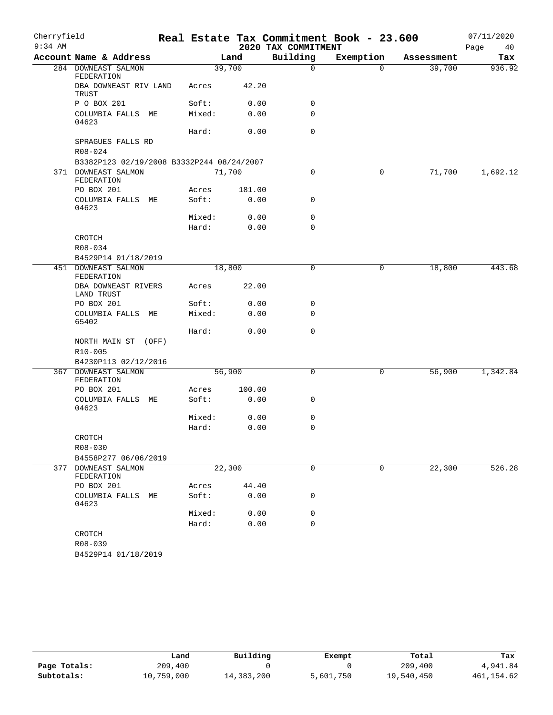| Cherryfield |                                             |        |        |                     | Real Estate Tax Commitment Book - 23.600 |            | 07/11/2020 |
|-------------|---------------------------------------------|--------|--------|---------------------|------------------------------------------|------------|------------|
| $9:34$ AM   |                                             |        |        | 2020 TAX COMMITMENT |                                          |            | 40<br>Page |
|             | Account Name & Address                      |        | Land   | Building            | Exemption                                | Assessment | Tax        |
|             | 284 DOWNEAST SALMON<br>FEDERATION           | 39,700 |        | 0                   | $\Omega$                                 | 39,700     | 936.92     |
|             | DBA DOWNEAST RIV LAND<br>TRUST              | Acres  | 42.20  |                     |                                          |            |            |
|             | P O BOX 201                                 | Soft:  | 0.00   | 0                   |                                          |            |            |
|             | COLUMBIA FALLS ME<br>04623                  | Mixed: | 0.00   | 0                   |                                          |            |            |
|             |                                             | Hard:  | 0.00   | 0                   |                                          |            |            |
|             | SPRAGUES FALLS RD<br>$R08 - 024$            |        |        |                     |                                          |            |            |
|             | B3382P123 02/19/2008 B3332P244 08/24/2007   |        |        |                     |                                          |            |            |
|             | 371 DOWNEAST SALMON<br>FEDERATION           | 71,700 |        | 0                   | 0                                        | 71,700     | 1,692.12   |
|             | PO BOX 201                                  | Acres  | 181.00 |                     |                                          |            |            |
|             | COLUMBIA FALLS ME<br>04623                  | Soft:  | 0.00   | 0                   |                                          |            |            |
|             |                                             | Mixed: | 0.00   | 0                   |                                          |            |            |
|             |                                             | Hard:  | 0.00   | 0                   |                                          |            |            |
|             | CROTCH                                      |        |        |                     |                                          |            |            |
|             | R08-034                                     |        |        |                     |                                          |            |            |
|             | B4529P14 01/18/2019                         |        |        |                     |                                          |            |            |
|             | 451 DOWNEAST SALMON<br>FEDERATION           | 18,800 |        | 0                   | $\mathsf{O}$                             | 18,800     | 443.68     |
|             | DBA DOWNEAST RIVERS<br>LAND TRUST           | Acres  | 22.00  |                     |                                          |            |            |
|             | PO BOX 201                                  | Soft:  | 0.00   | 0                   |                                          |            |            |
|             | COLUMBIA FALLS ME<br>65402                  | Mixed: | 0.00   | 0                   |                                          |            |            |
|             |                                             | Hard:  | 0.00   | 0                   |                                          |            |            |
|             | NORTH MAIN ST (OFF)                         |        |        |                     |                                          |            |            |
|             | R10-005                                     |        |        |                     |                                          |            |            |
|             | B4230P113 02/12/2016                        |        |        |                     |                                          |            |            |
|             | 367 DOWNEAST SALMON<br>FEDERATION           | 56,900 |        | 0                   | 0                                        | 56,900     | 1,342.84   |
|             | PO BOX 201                                  | Acres  | 100.00 |                     |                                          |            |            |
|             | COLUMBIA FALLS ME<br>04623                  | Soft:  | 0.00   | 0                   |                                          |            |            |
|             |                                             | Mixed: | 0.00   | 0                   |                                          |            |            |
|             |                                             | Hard:  | 0.00   | 0                   |                                          |            |            |
|             | CROTCH                                      |        |        |                     |                                          |            |            |
|             | R08-030                                     |        |        |                     |                                          |            |            |
|             | B4558P277 06/06/2019<br>377 DOWNEAST SALMON | 22,300 |        | 0                   | 0                                        |            | 526.28     |
|             | FEDERATION                                  |        | 44.40  |                     |                                          | 22,300     |            |
|             | PO BOX 201                                  | Acres  | 0.00   |                     |                                          |            |            |
|             | COLUMBIA FALLS<br>МE<br>04623               | Soft:  |        | 0                   |                                          |            |            |
|             |                                             | Mixed: | 0.00   | 0                   |                                          |            |            |
|             |                                             | Hard:  | 0.00   | 0                   |                                          |            |            |
|             | CROTCH<br>R08-039                           |        |        |                     |                                          |            |            |
|             | B4529P14 01/18/2019                         |        |        |                     |                                          |            |            |

|              | Land       | Building   | Exempt    | Total      | Tax         |
|--------------|------------|------------|-----------|------------|-------------|
| Page Totals: | 209,400    |            |           | 209,400    | 4,941.84    |
| Subtotals:   | 10,759,000 | 14,383,200 | 5,601,750 | 19,540,450 | 461, 154.62 |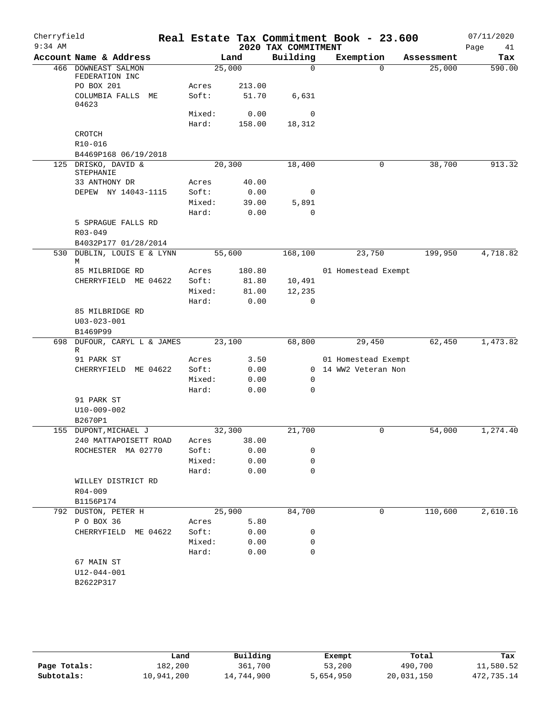| Cherryfield<br>$9:34$ AM |                                             |                 |               | 2020 TAX COMMITMENT   | Real Estate Tax Commitment Book - 23.600 |            | 07/11/2020<br>Page<br>41 |
|--------------------------|---------------------------------------------|-----------------|---------------|-----------------------|------------------------------------------|------------|--------------------------|
|                          | Account Name & Address                      |                 | Land          | Building              | Exemption                                | Assessment | Tax                      |
|                          | 466 DOWNEAST SALMON<br>FEDERATION INC       | 25,000          |               | $\mathbf 0$           | $\Omega$                                 | 25,000     | 590.00                   |
|                          | PO BOX 201                                  | Acres           | 213.00        |                       |                                          |            |                          |
|                          | COLUMBIA FALLS ME<br>04623                  | Soft:           | 51.70         | 6,631                 |                                          |            |                          |
|                          |                                             | Mixed:          | 0.00          | $\mathbf 0$           |                                          |            |                          |
|                          |                                             | Hard:           | 158.00        | 18,312                |                                          |            |                          |
|                          | CROTCH                                      |                 |               |                       |                                          |            |                          |
|                          | R10-016                                     |                 |               |                       |                                          |            |                          |
|                          | B4469P168 06/19/2018<br>125 DRISKO, DAVID & | 20,300          |               | 18,400                | 0                                        | 38,700     | 913.32                   |
|                          | STEPHANIE                                   |                 |               |                       |                                          |            |                          |
|                          | 33 ANTHONY DR                               | Acres           | 40.00         |                       |                                          |            |                          |
|                          | DEPEW NY 14043-1115                         | Soft:           | 0.00          | 0                     |                                          |            |                          |
|                          |                                             | Mixed:          | 39.00         | 5,891                 |                                          |            |                          |
|                          |                                             | Hard:           | 0.00          | 0                     |                                          |            |                          |
|                          | 5 SPRAGUE FALLS RD<br>R03-049               |                 |               |                       |                                          |            |                          |
|                          | B4032P177 01/28/2014                        |                 |               |                       |                                          |            |                          |
| 530                      | DUBLIN, LOUIS E & LYNN<br>М                 | 55,600          |               | 168,100               | 23,750                                   | 199,950    | 4,718.82                 |
|                          | 85 MILBRIDGE RD                             | Acres           | 180.80        |                       | 01 Homestead Exempt                      |            |                          |
|                          | CHERRYFIELD ME 04622                        | Soft:           | 81.80         | 10,491                |                                          |            |                          |
|                          |                                             | Mixed:<br>Hard: | 81.00<br>0.00 | 12,235<br>$\mathbf 0$ |                                          |            |                          |
|                          | 85 MILBRIDGE RD                             |                 |               |                       |                                          |            |                          |
|                          | $U03 - 023 - 001$                           |                 |               |                       |                                          |            |                          |
|                          | B1469P99                                    |                 |               |                       |                                          |            |                          |
|                          | 698 DUFOUR, CARYL L & JAMES                 | 23,100          |               | 68,800                | 29,450                                   | 62,450     | 1,473.82                 |
|                          | R<br>91 PARK ST                             | Acres           | 3.50          |                       | 01 Homestead Exempt                      |            |                          |
|                          | CHERRYFIELD<br>ME 04622                     | Soft:           | 0.00          |                       | 0 14 WW2 Veteran Non                     |            |                          |
|                          |                                             | Mixed:          | 0.00          | 0                     |                                          |            |                          |
|                          |                                             | Hard:           | 0.00          | $\mathbf 0$           |                                          |            |                          |
|                          | 91 PARK ST                                  |                 |               |                       |                                          |            |                          |
|                          | $U10 - 009 - 002$                           |                 |               |                       |                                          |            |                          |
|                          | B2670P1                                     |                 |               |                       |                                          |            |                          |
|                          | 155 DUPONT, MICHAEL J                       | 32,300          |               | 21,700                | 0                                        | 54,000     | 1,274.40                 |
|                          | 240 MATTAPOISETT ROAD                       | Acres           | 38.00         |                       |                                          |            |                          |
|                          | ROCHESTER MA 02770                          | Soft:           | 0.00          | 0                     |                                          |            |                          |
|                          |                                             | Mixed:<br>Hard: | 0.00          | 0<br>$\mathbf 0$      |                                          |            |                          |
|                          | WILLEY DISTRICT RD                          |                 | 0.00          |                       |                                          |            |                          |
|                          | $R04 - 009$                                 |                 |               |                       |                                          |            |                          |
|                          | B1156P174                                   |                 |               |                       |                                          |            |                          |
|                          | 792 DUSTON, PETER H                         | 25,900          |               | 84,700                | 0                                        | 110,600    | 2,610.16                 |
|                          | P O BOX 36                                  | Acres           | 5.80          |                       |                                          |            |                          |
|                          | CHERRYFIELD ME 04622                        | Soft:           | 0.00          | 0                     |                                          |            |                          |
|                          |                                             | Mixed:          | 0.00          | 0                     |                                          |            |                          |
|                          |                                             | Hard:           | 0.00          | $\mathbf 0$           |                                          |            |                          |
|                          | 67 MAIN ST                                  |                 |               |                       |                                          |            |                          |
|                          | U12-044-001                                 |                 |               |                       |                                          |            |                          |
|                          | B2622P317                                   |                 |               |                       |                                          |            |                          |
|                          |                                             |                 |               |                       |                                          |            |                          |

|              | Land       | Building   | Exempt    | Total      | Tax        |
|--------------|------------|------------|-----------|------------|------------|
| Page Totals: | 182,200    | 361,700    | 53,200    | 490,700    | 11,580.52  |
| Subtotals:   | 10,941,200 | 14,744,900 | 5,654,950 | 20,031,150 | 472,735.14 |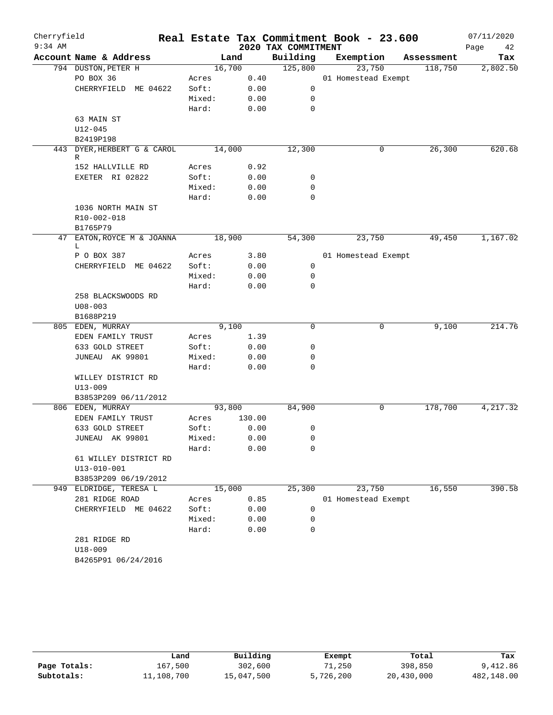| Cherryfield<br>$9:34$ AM |                                     |        |        | 2020 TAX COMMITMENT | Real Estate Tax Commitment Book - 23.600 |            | 07/11/2020<br>Page<br>42 |
|--------------------------|-------------------------------------|--------|--------|---------------------|------------------------------------------|------------|--------------------------|
|                          | Account Name & Address              |        | Land   | Building            | Exemption                                | Assessment | Tax                      |
|                          | 794 DUSTON, PETER H                 |        | 16,700 | 125,800             | 23,750                                   | 118,750    | 2,802.50                 |
|                          | PO BOX 36                           | Acres  | 0.40   |                     | 01 Homestead Exempt                      |            |                          |
|                          | CHERRYFIELD ME 04622                | Soft:  | 0.00   | 0                   |                                          |            |                          |
|                          |                                     | Mixed: | 0.00   | 0                   |                                          |            |                          |
|                          |                                     | Hard:  | 0.00   | $\mathbf 0$         |                                          |            |                          |
|                          | 63 MAIN ST                          |        |        |                     |                                          |            |                          |
|                          | $U12 - 045$                         |        |        |                     |                                          |            |                          |
|                          | B2419P198                           |        |        |                     |                                          |            |                          |
|                          | 443 DYER, HERBERT G & CAROL         |        | 14,000 | 12,300              | 0                                        | 26,300     | 620.68                   |
|                          | R                                   |        |        |                     |                                          |            |                          |
|                          | 152 HALLVILLE RD                    | Acres  | 0.92   |                     |                                          |            |                          |
|                          | EXETER RI 02822                     | Soft:  | 0.00   | 0                   |                                          |            |                          |
|                          |                                     | Mixed: | 0.00   | 0                   |                                          |            |                          |
|                          |                                     | Hard:  | 0.00   | 0                   |                                          |            |                          |
|                          | 1036 NORTH MAIN ST                  |        |        |                     |                                          |            |                          |
|                          | R10-002-018                         |        |        |                     |                                          |            |                          |
|                          | B1765P79                            |        |        |                     |                                          |            |                          |
|                          | 47 EATON, ROYCE M & JOANNA          |        | 18,900 | 54,300              | 23,750                                   | 49,450     | 1,167.02                 |
|                          | L                                   | Acres  | 3.80   |                     |                                          |            |                          |
|                          | P O BOX 387<br>CHERRYFIELD ME 04622 | Soft:  | 0.00   | 0                   | 01 Homestead Exempt                      |            |                          |
|                          |                                     | Mixed: | 0.00   | 0                   |                                          |            |                          |
|                          |                                     | Hard:  | 0.00   | $\Omega$            |                                          |            |                          |
|                          | 258 BLACKSWOODS RD                  |        |        |                     |                                          |            |                          |
|                          | $U08 - 003$                         |        |        |                     |                                          |            |                          |
|                          | B1688P219                           |        |        |                     |                                          |            |                          |
|                          | 805 EDEN, MURRAY                    |        | 9,100  | 0                   | 0                                        | 9,100      | 214.76                   |
|                          | EDEN FAMILY TRUST                   | Acres  | 1.39   |                     |                                          |            |                          |
|                          | 633 GOLD STREET                     | Soft:  | 0.00   | 0                   |                                          |            |                          |
|                          | JUNEAU AK 99801                     | Mixed: | 0.00   | 0                   |                                          |            |                          |
|                          |                                     | Hard:  | 0.00   | 0                   |                                          |            |                          |
|                          | WILLEY DISTRICT RD                  |        |        |                     |                                          |            |                          |
|                          | $U13 - 009$                         |        |        |                     |                                          |            |                          |
|                          | B3853P209 06/11/2012                |        |        |                     |                                          |            |                          |
|                          | 806 EDEN, MURRAY                    |        | 93,800 | 84,900              | 0                                        | 178,700    | 4,217.32                 |
|                          | EDEN FAMILY TRUST                   | Acres  | 130.00 |                     |                                          |            |                          |
|                          | 633 GOLD STREET                     | Soft:  | 0.00   | 0                   |                                          |            |                          |
|                          | JUNEAU AK 99801                     | Mixed: | 0.00   | 0                   |                                          |            |                          |
|                          |                                     | Hard:  | 0.00   | 0                   |                                          |            |                          |
|                          | 61 WILLEY DISTRICT RD               |        |        |                     |                                          |            |                          |
|                          | $U13 - 010 - 001$                   |        |        |                     |                                          |            |                          |
|                          | B3853P209 06/19/2012                |        |        |                     |                                          |            |                          |
| 949                      | ELDRIDGE, TERESA L                  |        | 15,000 | 25,300              | 23,750                                   | 16,550     | 390.58                   |
|                          | 281 RIDGE ROAD                      | Acres  | 0.85   |                     | 01 Homestead Exempt                      |            |                          |
|                          | CHERRYFIELD ME 04622                | Soft:  | 0.00   | 0                   |                                          |            |                          |
|                          |                                     | Mixed: | 0.00   | 0                   |                                          |            |                          |
|                          |                                     | Hard:  | 0.00   | $\mathbf 0$         |                                          |            |                          |
|                          | 281 RIDGE RD                        |        |        |                     |                                          |            |                          |
|                          | U18-009                             |        |        |                     |                                          |            |                          |
|                          | B4265P91 06/24/2016                 |        |        |                     |                                          |            |                          |
|                          |                                     |        |        |                     |                                          |            |                          |

|              | Land       | Building   | Exempt    | Total      | Tax        |
|--------------|------------|------------|-----------|------------|------------|
| Page Totals: | 167,500    | 302,600    | 71,250    | 398,850    | 9,412.86   |
| Subtotals:   | 11,108,700 | 15,047,500 | 5,726,200 | 20,430,000 | 482,148.00 |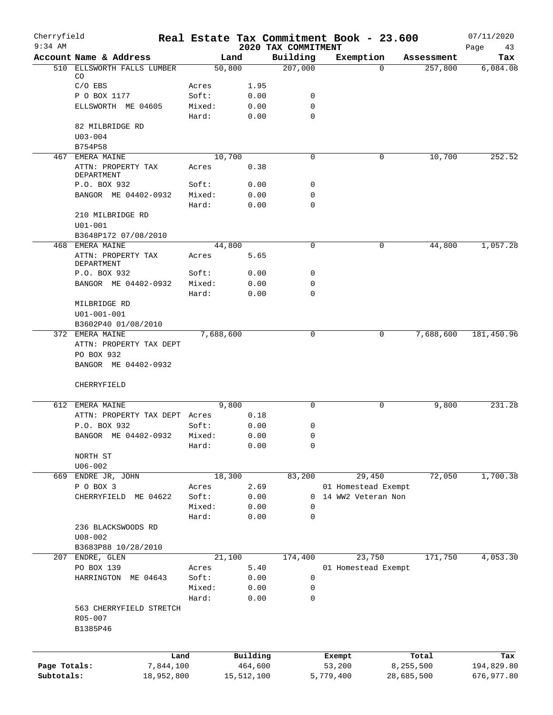| Cherryfield<br>$9:34$ AM |                                  |           |            | 2020 TAX COMMITMENT | Real Estate Tax Commitment Book - 23.600 |            | 07/11/2020<br>Page<br>43 |
|--------------------------|----------------------------------|-----------|------------|---------------------|------------------------------------------|------------|--------------------------|
|                          | Account Name & Address           |           | Land       | Building            | Exemption                                | Assessment | Tax                      |
| 510                      | ELLSWORTH FALLS LUMBER           |           | 50,800     | 207,000             | $\Omega$                                 | 257,800    | 6,084.08                 |
|                          | CO                               |           |            |                     |                                          |            |                          |
|                          | $C/O$ EBS                        | Acres     | 1.95       |                     |                                          |            |                          |
|                          | P O BOX 1177                     | Soft:     | 0.00       | 0                   |                                          |            |                          |
|                          | ELLSWORTH ME 04605               | Mixed:    | 0.00       | $\mathbf 0$         |                                          |            |                          |
|                          |                                  | Hard:     | 0.00       | $\mathbf 0$         |                                          |            |                          |
|                          | 82 MILBRIDGE RD                  |           |            |                     |                                          |            |                          |
|                          | $U03 - 004$                      |           |            |                     |                                          |            |                          |
|                          | B754P58                          |           |            |                     |                                          |            |                          |
|                          | 467 EMERA MAINE                  |           | 10,700     | 0                   | 0                                        | 10,700     | 252.52                   |
|                          | ATTN: PROPERTY TAX<br>DEPARTMENT | Acres     | 0.38       |                     |                                          |            |                          |
|                          | P.O. BOX 932                     | Soft:     | 0.00       | $\mathbf 0$         |                                          |            |                          |
|                          | BANGOR ME 04402-0932             | Mixed:    | 0.00       | $\mathbf 0$         |                                          |            |                          |
|                          |                                  | Hard:     | 0.00       | $\mathbf 0$         |                                          |            |                          |
|                          | 210 MILBRIDGE RD                 |           |            |                     |                                          |            |                          |
|                          | $U01 - 001$                      |           |            |                     |                                          |            |                          |
|                          | B3648P172 07/08/2010             |           |            |                     |                                          |            |                          |
|                          | 468 EMERA MAINE                  |           | 44,800     | $\mathbf 0$         | 0                                        | 44,800     | 1,057.28                 |
|                          | ATTN: PROPERTY TAX               | Acres     | 5.65       |                     |                                          |            |                          |
|                          | DEPARTMENT                       |           |            |                     |                                          |            |                          |
|                          | P.O. BOX 932                     | Soft:     | 0.00       | $\mathbf 0$         |                                          |            |                          |
|                          | BANGOR ME 04402-0932             | Mixed:    | 0.00       | 0                   |                                          |            |                          |
|                          |                                  | Hard:     | 0.00       | $\mathbf 0$         |                                          |            |                          |
|                          | MILBRIDGE RD                     |           |            |                     |                                          |            |                          |
|                          | $U01 - 001 - 001$                |           |            |                     |                                          |            |                          |
|                          | B3602P40 01/08/2010              |           |            |                     |                                          |            |                          |
|                          | 372 EMERA MAINE                  | 7,688,600 |            | 0                   | 0                                        | 7,688,600  | 181,450.96               |
|                          | ATTN: PROPERTY TAX DEPT          |           |            |                     |                                          |            |                          |
|                          | PO BOX 932                       |           |            |                     |                                          |            |                          |
|                          | BANGOR ME 04402-0932             |           |            |                     |                                          |            |                          |
|                          | CHERRYFIELD                      |           |            |                     |                                          |            |                          |
|                          | 612 EMERA MAINE                  |           | 9,800      | $\Omega$            | 0                                        | 9,800      | 231.28                   |
|                          | ATTN: PROPERTY TAX DEPT Acres    |           | 0.18       |                     |                                          |            |                          |
|                          | P.O. BOX 932                     | Soft:     | 0.00       | 0                   |                                          |            |                          |
|                          | BANGOR ME 04402-0932 Mixed:      |           | 0.00       | 0                   |                                          |            |                          |
|                          |                                  | Hard:     | 0.00       | $\mathbf 0$         |                                          |            |                          |
|                          | NORTH ST                         |           |            |                     |                                          |            |                          |
|                          | $U06 - 002$                      |           |            |                     |                                          |            |                          |
|                          | 669 ENDRE JR, JOHN               |           | 18,300     | 83,200              | 29,450                                   | 72,050     | 1,700.38                 |
|                          | P O BOX 3                        | Acres     | 2.69       |                     | 01 Homestead Exempt                      |            |                          |
|                          | CHERRYFIELD<br>ME 04622          | Soft:     | 0.00       | 0                   | 14 WW2 Veteran Non                       |            |                          |
|                          |                                  | Mixed:    | 0.00       | $\mathbf 0$         |                                          |            |                          |
|                          |                                  | Hard:     | 0.00       | 0                   |                                          |            |                          |
|                          | 236 BLACKSWOODS RD               |           |            |                     |                                          |            |                          |
|                          | $U08 - 002$                      |           |            |                     |                                          |            |                          |
|                          | B3683P88 10/28/2010              |           |            |                     |                                          |            |                          |
|                          | 207 ENDRE, GLEN                  |           | 21,100     | 174,400             | 23,750                                   | 171,750    | 4,053.30                 |
|                          | PO BOX 139                       | Acres     | 5.40       |                     | 01 Homestead Exempt                      |            |                          |
|                          | HARRINGTON ME 04643              | Soft:     | 0.00       | 0                   |                                          |            |                          |
|                          |                                  | Mixed:    | 0.00       | 0                   |                                          |            |                          |
|                          |                                  | Hard:     | 0.00       | 0                   |                                          |            |                          |
|                          | 563 CHERRYFIELD STRETCH          |           |            |                     |                                          |            |                          |
|                          | R05-007                          |           |            |                     |                                          |            |                          |
|                          | B1385P46                         |           |            |                     |                                          |            |                          |
|                          |                                  |           |            |                     |                                          |            |                          |
|                          | Land                             |           | Building   |                     | Exempt                                   | Total      | Tax                      |
| Page Totals:             | 7,844,100                        |           | 464,600    |                     | 53,200                                   | 8,255,500  | 194,829.80               |
| Subtotals:               | 18,952,800                       |           | 15,512,100 |                     | 5,779,400                                | 28,685,500 | 676,977.80               |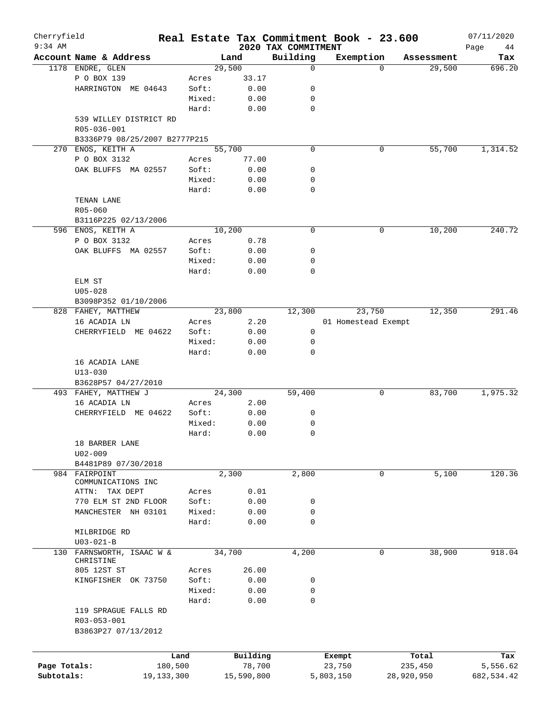| Cherryfield<br>$9:34$ AM |                                                            |        |            | 2020 TAX COMMITMENT | Real Estate Tax Commitment Book - 23.600 |                       | 07/11/2020        |
|--------------------------|------------------------------------------------------------|--------|------------|---------------------|------------------------------------------|-----------------------|-------------------|
|                          | Account Name & Address                                     |        | Land       | Building            | Exemption                                | Assessment            | Page<br>44<br>Tax |
|                          | 1178 ENDRE, GLEN                                           |        | 29,500     | 0                   |                                          | 29,500<br>$\Omega$    | 696.20            |
|                          | P O BOX 139                                                | Acres  | 33.17      |                     |                                          |                       |                   |
|                          | HARRINGTON ME 04643                                        | Soft:  | 0.00       | 0                   |                                          |                       |                   |
|                          |                                                            | Mixed: | 0.00       | 0                   |                                          |                       |                   |
|                          |                                                            | Hard:  | 0.00       | 0                   |                                          |                       |                   |
|                          | 539 WILLEY DISTRICT RD<br>R05-036-001                      |        |            |                     |                                          |                       |                   |
|                          | B3336P79 08/25/2007 B2777P215                              |        |            |                     |                                          |                       |                   |
|                          | 270 ENOS, KEITH A                                          |        | 55,700     | 0                   |                                          | 55,700<br>0           | 1,314.52          |
|                          | P O BOX 3132                                               | Acres  | 77.00      |                     |                                          |                       |                   |
|                          | OAK BLUFFS MA 02557                                        | Soft:  | 0.00       | 0                   |                                          |                       |                   |
|                          |                                                            | Mixed: | 0.00       | 0                   |                                          |                       |                   |
|                          |                                                            | Hard:  | 0.00       | 0                   |                                          |                       |                   |
|                          | TENAN LANE                                                 |        |            |                     |                                          |                       |                   |
|                          | R05-060                                                    |        |            |                     |                                          |                       |                   |
|                          |                                                            |        |            |                     |                                          |                       |                   |
|                          | B3116P225 02/13/2006                                       |        |            |                     |                                          |                       |                   |
|                          | 596 ENOS, KEITH A                                          |        | 10,200     | $\mathbf 0$         | 0                                        | 10,200                | 240.72            |
|                          | P O BOX 3132                                               | Acres  | 0.78       |                     |                                          |                       |                   |
|                          | OAK BLUFFS MA 02557                                        | Soft:  | 0.00       | 0                   |                                          |                       |                   |
|                          |                                                            | Mixed: | 0.00       | 0                   |                                          |                       |                   |
|                          |                                                            | Hard:  | 0.00       | $\mathbf 0$         |                                          |                       |                   |
|                          | ELM ST                                                     |        |            |                     |                                          |                       |                   |
|                          | $U05 - 028$                                                |        |            |                     |                                          |                       |                   |
|                          | B3098P352 01/10/2006                                       |        |            |                     |                                          |                       |                   |
|                          | 828 FAHEY, MATTHEW                                         |        | 23,800     | 12,300              | 23,750                                   | 12,350                | 291.46            |
|                          | 16 ACADIA LN                                               | Acres  | 2.20       |                     | 01 Homestead Exempt                      |                       |                   |
|                          | CHERRYFIELD ME 04622                                       | Soft:  | 0.00       | 0                   |                                          |                       |                   |
|                          |                                                            | Mixed: | 0.00       | 0                   |                                          |                       |                   |
|                          |                                                            | Hard:  | 0.00       | 0                   |                                          |                       |                   |
|                          | 16 ACADIA LANE<br>$U13 - 030$                              |        |            |                     |                                          |                       |                   |
|                          | B3628P57 04/27/2010                                        |        |            |                     |                                          |                       |                   |
|                          | 493 FAHEY, MATTHEW J                                       |        | 24,300     | 59,400              | 0                                        | 83,700                | 1,975.32          |
|                          | 16 ACADIA LN                                               | Acres  | 2.00       |                     |                                          |                       |                   |
|                          | CHERRYFIELD ME 04622                                       | Soft:  | 0.00       | 0                   |                                          |                       |                   |
|                          |                                                            | Mixed: | 0.00       | 0                   |                                          |                       |                   |
|                          |                                                            | Hard:  | 0.00       | 0                   |                                          |                       |                   |
|                          | 18 BARBER LANE                                             |        |            |                     |                                          |                       |                   |
|                          | $U02 - 009$                                                |        |            |                     |                                          |                       |                   |
|                          | B4481P89 07/30/2018                                        |        |            |                     |                                          |                       |                   |
|                          | 984 FAIRPOINT                                              |        | 2,300      | 2,800               | 0                                        | 5,100                 | 120.36            |
|                          | COMMUNICATIONS INC                                         |        |            |                     |                                          |                       |                   |
|                          | ATTN:<br>TAX DEPT                                          | Acres  | 0.01       |                     |                                          |                       |                   |
|                          | 770 ELM ST 2ND FLOOR                                       | Soft:  | 0.00       | 0                   |                                          |                       |                   |
|                          | MANCHESTER NH 03101                                        | Mixed: | 0.00       | 0                   |                                          |                       |                   |
|                          |                                                            | Hard:  | 0.00       | $\mathbf 0$         |                                          |                       |                   |
|                          | MILBRIDGE RD                                               |        |            |                     |                                          |                       |                   |
|                          | $U03 - 021 - B$                                            |        |            |                     |                                          |                       |                   |
| 130                      | FARNSWORTH, ISAAC W &<br>CHRISTINE                         |        | 34,700     | 4,200               |                                          | $\mathbf 0$<br>38,900 | 918.04            |
|                          | 805 12ST ST                                                | Acres  | 26.00      |                     |                                          |                       |                   |
|                          | KINGFISHER OK 73750                                        | Soft:  | 0.00       | 0                   |                                          |                       |                   |
|                          |                                                            | Mixed: | 0.00       | 0                   |                                          |                       |                   |
|                          |                                                            | Hard:  | 0.00       | 0                   |                                          |                       |                   |
|                          | 119 SPRAGUE FALLS RD<br>R03-053-001<br>B3863P27 07/13/2012 |        |            |                     |                                          |                       |                   |
|                          |                                                            |        |            |                     |                                          |                       |                   |
|                          |                                                            | Land   | Building   |                     | Exempt                                   | Total                 | Tax               |
| Page Totals:             | 180,500                                                    |        | 78,700     |                     | 23,750                                   | 235,450               | 5,556.62          |
| Subtotals:               | 19, 133, 300                                               |        | 15,590,800 |                     | 5,803,150                                | 28,920,950            | 682,534.42        |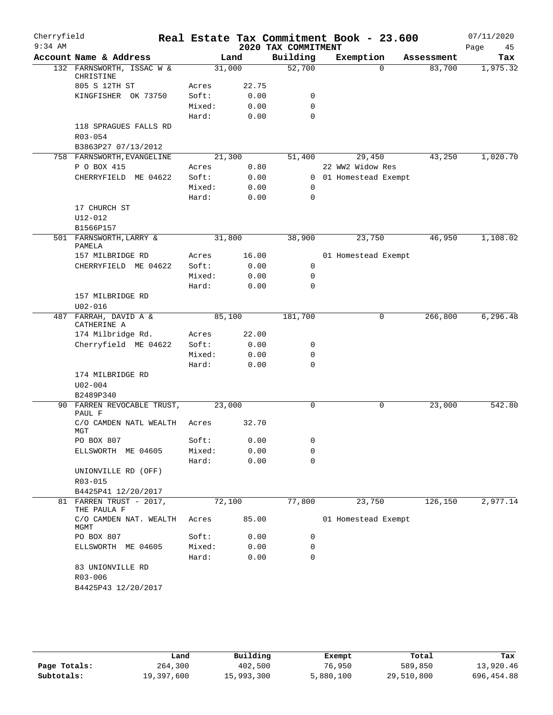| Cherryfield |                                                |                 |       |                     | Real Estate Tax Commitment Book - 23.600 |          |            | 07/11/2020 |
|-------------|------------------------------------------------|-----------------|-------|---------------------|------------------------------------------|----------|------------|------------|
| $9:34$ AM   |                                                |                 |       | 2020 TAX COMMITMENT |                                          |          |            | Page<br>45 |
|             | Account Name & Address                         |                 | Land  | Building            | Exemption                                |          | Assessment | Tax        |
|             | 132 FARNSWORTH, ISSAC W &<br>CHRISTINE         | 31,000          |       | 52,700              |                                          | $\Omega$ | 83,700     | 1,975.32   |
|             | 805 S 12TH ST                                  | Acres           | 22.75 |                     |                                          |          |            |            |
|             | KINGFISHER OK 73750                            | Soft:           | 0.00  | 0                   |                                          |          |            |            |
|             |                                                | Mixed:          | 0.00  | 0                   |                                          |          |            |            |
|             |                                                | Hard:           | 0.00  | $\mathbf 0$         |                                          |          |            |            |
|             | 118 SPRAGUES FALLS RD                          |                 |       |                     |                                          |          |            |            |
|             | $R03 - 054$                                    |                 |       |                     |                                          |          |            |            |
|             | B3863P27 07/13/2012                            |                 |       |                     |                                          |          |            |            |
|             | 758 FARNSWORTH, EVANGELINE                     | 21,300          |       | 51,400              | 29,450                                   |          | 43,250     | 1,020.70   |
|             | P O BOX 415                                    | Acres           | 0.80  |                     | 22 WW2 Widow Res                         |          |            |            |
|             | CHERRYFIELD ME 04622                           | Soft:           | 0.00  |                     | 0 01 Homestead Exempt                    |          |            |            |
|             |                                                | Mixed:<br>Hard: | 0.00  | 0<br>$\mathbf 0$    |                                          |          |            |            |
|             | 17 CHURCH ST                                   |                 | 0.00  |                     |                                          |          |            |            |
|             | U12-012                                        |                 |       |                     |                                          |          |            |            |
|             | B1566P157                                      |                 |       |                     |                                          |          |            |            |
|             | 501 FARNSWORTH, LARRY &                        | 31,800          |       | 38,900              | 23,750                                   |          | 46,950     | 1,108.02   |
|             | PAMELA                                         |                 |       |                     |                                          |          |            |            |
|             | 157 MILBRIDGE RD                               | Acres           | 16.00 |                     | 01 Homestead Exempt                      |          |            |            |
|             | CHERRYFIELD ME 04622                           | Soft:           | 0.00  | 0                   |                                          |          |            |            |
|             |                                                | Mixed:          | 0.00  | 0                   |                                          |          |            |            |
|             |                                                | Hard:           | 0.00  | 0                   |                                          |          |            |            |
|             | 157 MILBRIDGE RD                               |                 |       |                     |                                          |          |            |            |
|             | $U02 - 016$                                    |                 |       |                     |                                          |          |            |            |
| 487         | FARRAH, DAVID A &<br>CATHERINE A               | 85,100          |       | 181,700             |                                          | 0        | 266,800    | 6, 296.48  |
|             | 174 Milbridge Rd.                              | Acres           | 22.00 |                     |                                          |          |            |            |
|             | Cherryfield ME 04622                           | Soft:           | 0.00  | 0                   |                                          |          |            |            |
|             |                                                | Mixed:          | 0.00  | 0                   |                                          |          |            |            |
|             |                                                | Hard:           | 0.00  | $\mathbf 0$         |                                          |          |            |            |
|             | 174 MILBRIDGE RD                               |                 |       |                     |                                          |          |            |            |
|             | $U02 - 004$                                    |                 |       |                     |                                          |          |            |            |
|             | B2489P340                                      |                 |       |                     |                                          |          |            |            |
|             | 90 FARREN REVOCABLE TRUST,<br>PAUL F           | 23,000          |       | 0                   |                                          | 0        | 23,000     | 542.80     |
|             | C/O CAMDEN NATL WEALTH                         | Acres           | 32.70 |                     |                                          |          |            |            |
|             | MGT                                            |                 |       |                     |                                          |          |            |            |
|             | PO BOX 807                                     | Soft:           | 0.00  | 0                   |                                          |          |            |            |
|             | ELLSWORTH ME 04605                             | Mixed:          | 0.00  | 0                   |                                          |          |            |            |
|             |                                                | Hard:           | 0.00  | 0                   |                                          |          |            |            |
|             | UNIONVILLE RD (OFF)                            |                 |       |                     |                                          |          |            |            |
|             | R03-015                                        |                 |       |                     |                                          |          |            |            |
|             | B4425P41 12/20/2017<br>81 FARREN TRUST - 2017, |                 |       | 77,800              |                                          |          |            |            |
|             | THE PAULA F                                    | 72,100          |       |                     | 23,750                                   |          | 126,150    | 2,977.14   |
|             | C/O CAMDEN NAT. WEALTH                         | Acres           | 85.00 |                     | 01 Homestead Exempt                      |          |            |            |
|             | MGMT<br>PO BOX 807                             | Soft:           | 0.00  | 0                   |                                          |          |            |            |
|             | ELLSWORTH ME 04605                             | Mixed:          | 0.00  | 0                   |                                          |          |            |            |
|             |                                                | Hard:           | 0.00  | 0                   |                                          |          |            |            |
|             | 83 UNIONVILLE RD                               |                 |       |                     |                                          |          |            |            |
|             | R03-006                                        |                 |       |                     |                                          |          |            |            |
|             | B4425P43 12/20/2017                            |                 |       |                     |                                          |          |            |            |
|             |                                                |                 |       |                     |                                          |          |            |            |

|              | Land       | Building   | Exempt    | Total      | Tax        |
|--------------|------------|------------|-----------|------------|------------|
| Page Totals: | 264,300    | 402,500    | 76,950    | 589,850    | 13,920.46  |
| Subtotals:   | 19,397,600 | 15,993,300 | 5,880,100 | 29,510,800 | 696,454.88 |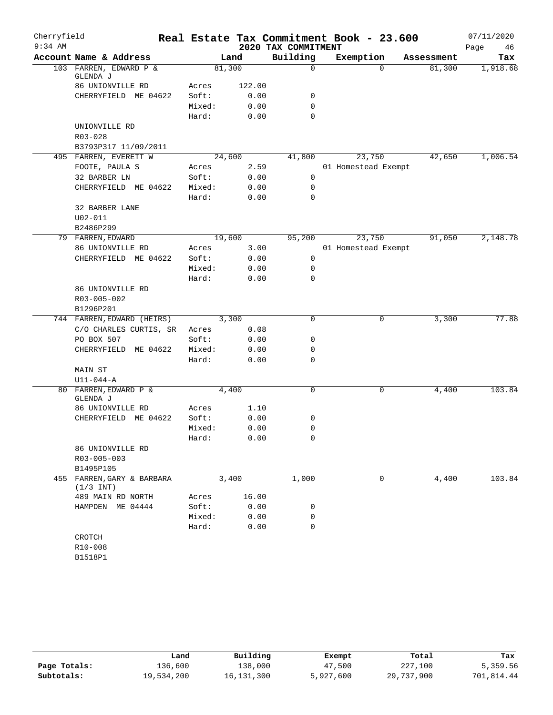| Cherryfield |                                           |                 |              |                     | Real Estate Tax Commitment Book - 23.600 |            | 07/11/2020 |
|-------------|-------------------------------------------|-----------------|--------------|---------------------|------------------------------------------|------------|------------|
| $9:34$ AM   |                                           |                 |              | 2020 TAX COMMITMENT |                                          |            | Page<br>46 |
|             | Account Name & Address                    |                 | Land         | Building            | Exemption                                | Assessment | Tax        |
|             | 103 FARREN, EDWARD P &<br>GLENDA J        | 81,300          |              | 0                   | $\Omega$                                 | 81,300     | 1,918.68   |
|             | 86 UNIONVILLE RD                          | Acres           | 122.00       |                     |                                          |            |            |
|             | CHERRYFIELD ME 04622                      | Soft:           | 0.00         | 0                   |                                          |            |            |
|             |                                           | Mixed:          | 0.00         | 0                   |                                          |            |            |
|             |                                           | Hard:           | 0.00         | $\Omega$            |                                          |            |            |
|             | UNIONVILLE RD                             |                 |              |                     |                                          |            |            |
|             | R03-028                                   |                 |              |                     |                                          |            |            |
|             | B3793P317 11/09/2011                      |                 |              |                     |                                          |            |            |
|             | 495 FARREN, EVERETT W                     | 24,600          |              | 41,800              | 23,750                                   | 42,650     | 1,006.54   |
|             | FOOTE, PAULA S                            | Acres           | 2.59         |                     | 01 Homestead Exempt                      |            |            |
|             | 32 BARBER LN                              | Soft:           | 0.00         | $\mathbf 0$         |                                          |            |            |
|             | CHERRYFIELD ME 04622                      | Mixed:          | 0.00         | 0                   |                                          |            |            |
|             |                                           | Hard:           | 0.00         | 0                   |                                          |            |            |
|             | 32 BARBER LANE                            |                 |              |                     |                                          |            |            |
|             | $U02 - 011$                               |                 |              |                     |                                          |            |            |
|             | B2486P299                                 |                 |              |                     |                                          |            |            |
|             | 79 FARREN, EDWARD                         | 19,600          |              | 95,200              | 23,750                                   | 91,050     | 2,148.78   |
|             | 86 UNIONVILLE RD                          | Acres           | 3.00         |                     | 01 Homestead Exempt                      |            |            |
|             | CHERRYFIELD ME 04622                      | Soft:           | 0.00         | 0                   |                                          |            |            |
|             |                                           | Mixed:          | 0.00         | 0                   |                                          |            |            |
|             |                                           | Hard:           | 0.00         | $\Omega$            |                                          |            |            |
|             | 86 UNIONVILLE RD                          |                 |              |                     |                                          |            |            |
|             | R03-005-002                               |                 |              |                     |                                          |            |            |
|             | B1296P201                                 |                 |              |                     |                                          |            | 77.88      |
|             | 744 FARREN, EDWARD (HEIRS)                | 3,300           |              | $\Omega$            | 0                                        | 3,300      |            |
|             | C/O CHARLES CURTIS, SR<br>PO BOX 507      | Acres<br>Soft:  | 0.08<br>0.00 | 0                   |                                          |            |            |
|             |                                           |                 |              | 0                   |                                          |            |            |
|             | CHERRYFIELD ME 04622                      | Mixed:<br>Hard: | 0.00<br>0.00 | 0                   |                                          |            |            |
|             | MAIN ST                                   |                 |              |                     |                                          |            |            |
|             | $U11-044-A$                               |                 |              |                     |                                          |            |            |
|             | 80 FARREN, EDWARD P &                     | 4,400           |              | 0                   | 0                                        | 4,400      | 103.84     |
|             | GLENDA J                                  |                 |              |                     |                                          |            |            |
|             | 86 UNIONVILLE RD                          | Acres           | 1.10         |                     |                                          |            |            |
|             | CHERRYFIELD ME 04622                      | Soft:           | 0.00         | 0                   |                                          |            |            |
|             |                                           | Mixed:          | 0.00         | 0                   |                                          |            |            |
|             |                                           | Hard:           | 0.00         | $\Omega$            |                                          |            |            |
|             | 86 UNIONVILLE RD                          |                 |              |                     |                                          |            |            |
|             | R03-005-003                               |                 |              |                     |                                          |            |            |
|             | B1495P105                                 |                 |              |                     |                                          |            |            |
|             | 455 FARREN, GARY & BARBARA<br>$(1/3$ INT) |                 | 3,400        | 1,000               | 0                                        | 4,400      | 103.84     |
|             | 489 MAIN RD NORTH                         | Acres           | 16.00        |                     |                                          |            |            |
|             | HAMPDEN ME 04444                          | Soft:           | 0.00         | 0                   |                                          |            |            |
|             |                                           | Mixed:          | 0.00         | 0                   |                                          |            |            |
|             |                                           | Hard:           | 0.00         | 0                   |                                          |            |            |
|             | CROTCH                                    |                 |              |                     |                                          |            |            |
|             | R10-008                                   |                 |              |                     |                                          |            |            |
|             | B1518P1                                   |                 |              |                     |                                          |            |            |

|              | Land       | Building   | Exempt    | Total      | Tax        |
|--------------|------------|------------|-----------|------------|------------|
| Page Totals: | 136,600    | 138,000    | 47,500    | 227,100    | 5,359.56   |
| Subtotals:   | 19,534,200 | 16,131,300 | 5,927,600 | 29,737,900 | 701,814.44 |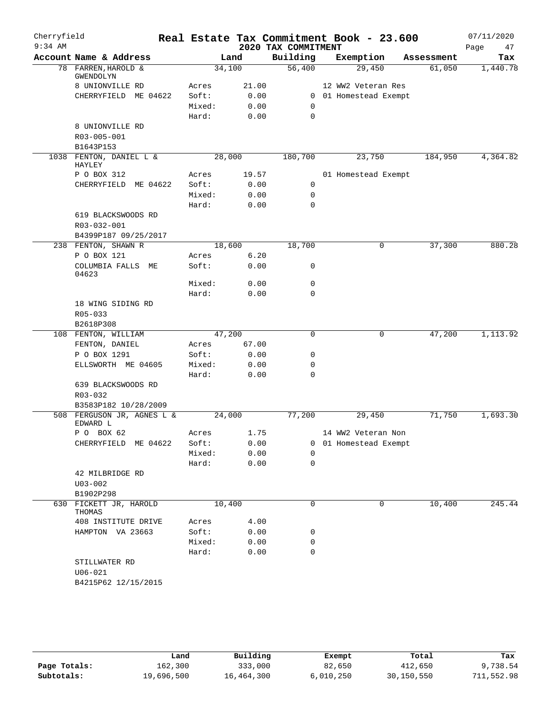| Cherryfield |                                    |                 |              |                     | Real Estate Tax Commitment Book - 23.600 |            | 07/11/2020 |
|-------------|------------------------------------|-----------------|--------------|---------------------|------------------------------------------|------------|------------|
| $9:34$ AM   |                                    |                 |              | 2020 TAX COMMITMENT |                                          |            | 47<br>Page |
|             | Account Name & Address             |                 | Land         | Building            | Exemption                                | Assessment | Tax        |
|             | 78 FARREN, HAROLD &<br>GWENDOLYN   | 34,100          |              | 56,400              | 29,450                                   | 61,050     | 1,440.78   |
|             | 8 UNIONVILLE RD                    | Acres           | 21.00        |                     | 12 WW2 Veteran Res                       |            |            |
|             | CHERRYFIELD ME 04622               | Soft:           | 0.00         |                     | 0 01 Homestead Exempt                    |            |            |
|             |                                    | Mixed:          | 0.00         | 0                   |                                          |            |            |
|             |                                    | Hard:           | 0.00         | $\mathbf 0$         |                                          |            |            |
|             | 8 UNIONVILLE RD                    |                 |              |                     |                                          |            |            |
|             | R03-005-001                        |                 |              |                     |                                          |            |            |
|             | B1643P153                          |                 |              |                     |                                          |            |            |
|             | 1038 FENTON, DANIEL L &<br>HAYLEY  | 28,000          |              | 180,700             | 23,750<br>184,950                        |            | 4,364.82   |
|             | P O BOX 312                        | Acres           | 19.57        |                     | 01 Homestead Exempt                      |            |            |
|             | CHERRYFIELD<br>ME 04622            | Soft:           | 0.00         | 0                   |                                          |            |            |
|             |                                    | Mixed:          | 0.00         | 0                   |                                          |            |            |
|             |                                    | Hard:           | 0.00         | $\mathbf 0$         |                                          |            |            |
|             | 619 BLACKSWOODS RD                 |                 |              |                     |                                          |            |            |
|             | R03-032-001                        |                 |              |                     |                                          |            |            |
|             | B4399P187 09/25/2017               |                 |              | 18,700              |                                          |            |            |
|             | 238 FENTON, SHAWN R<br>P O BOX 121 | 18,600          | 6.20         |                     | 0                                        | 37,300     | 880.28     |
|             | COLUMBIA FALLS ME<br>04623         | Acres<br>Soft:  | 0.00         | 0                   |                                          |            |            |
|             |                                    | Mixed:          | 0.00         | $\mathbf 0$         |                                          |            |            |
|             |                                    | Hard:           | 0.00         | $\mathbf 0$         |                                          |            |            |
|             | 18 WING SIDING RD                  |                 |              |                     |                                          |            |            |
|             | R05-033                            |                 |              |                     |                                          |            |            |
|             | B2618P308                          |                 |              |                     |                                          |            |            |
|             | 108 FENTON, WILLIAM                | 47,200          |              | $\mathbf 0$         | 0                                        | 47,200     | 1,113.92   |
|             | FENTON, DANIEL                     | Acres           | 67.00        |                     |                                          |            |            |
|             | P O BOX 1291                       | Soft:           | 0.00         | 0                   |                                          |            |            |
|             | ELLSWORTH ME 04605                 | Mixed:          | 0.00         | $\mathbf 0$         |                                          |            |            |
|             |                                    | Hard:           | 0.00         | $\mathbf 0$         |                                          |            |            |
|             | 639 BLACKSWOODS RD                 |                 |              |                     |                                          |            |            |
|             | R03-032                            |                 |              |                     |                                          |            |            |
|             | B3583P182 10/28/2009               |                 |              |                     |                                          |            |            |
| 508         | FERGUSON JR, AGNES L &<br>EDWARD L | 24,000          |              | 77,200              | 29,450                                   | 71,750     | 1,693.30   |
|             | P O BOX 62                         | Acres           | 1.75         |                     | 14 WW2 Veteran Non                       |            |            |
|             | CHERRYFIELD ME 04622               | Soft:           | 0.00         |                     | 0 01 Homestead Exempt                    |            |            |
|             |                                    | Mixed:          | 0.00         | 0                   |                                          |            |            |
|             |                                    | Hard:           | 0.00         | $\mathbf 0$         |                                          |            |            |
|             | 42 MILBRIDGE RD                    |                 |              |                     |                                          |            |            |
|             | $U03 - 002$                        |                 |              |                     |                                          |            |            |
|             | B1902P298                          |                 |              |                     |                                          |            |            |
|             | 630 FICKETT JR, HAROLD<br>THOMAS   | 10,400          |              | 0                   | 0                                        | 10,400     | 245.44     |
|             | 408 INSTITUTE DRIVE                | Acres           | 4.00         |                     |                                          |            |            |
|             | HAMPTON VA 23663                   | Soft:           | 0.00         | 0                   |                                          |            |            |
|             |                                    | Mixed:<br>Hard: | 0.00<br>0.00 | 0<br>$\mathbf 0$    |                                          |            |            |
|             | STILLWATER RD                      |                 |              |                     |                                          |            |            |
|             | $U06 - 021$                        |                 |              |                     |                                          |            |            |
|             | B4215P62 12/15/2015                |                 |              |                     |                                          |            |            |
|             |                                    |                 |              |                     |                                          |            |            |

|              | Land       | Building   | Exempt    | Total      | Tax        |
|--------------|------------|------------|-----------|------------|------------|
| Page Totals: | 162,300    | 333,000    | 82,650    | 412,650    | 9,738.54   |
| Subtotals:   | 19,696,500 | 16,464,300 | 6,010,250 | 30,150,550 | 711,552.98 |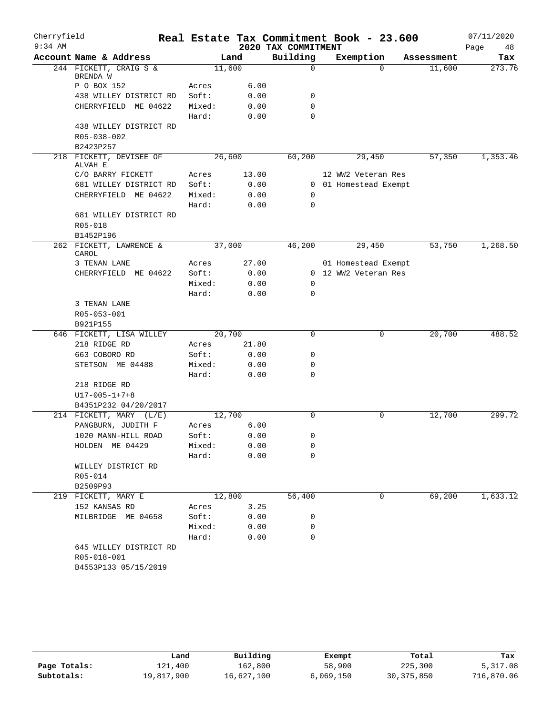| Cherryfield |                                                               |        |        |                     | Real Estate Tax Commitment Book - 23.600 |            | 07/11/2020 |
|-------------|---------------------------------------------------------------|--------|--------|---------------------|------------------------------------------|------------|------------|
| $9:34$ AM   |                                                               |        |        | 2020 TAX COMMITMENT |                                          |            | Page<br>48 |
|             | Account Name & Address                                        |        | Land   | Building            | Exemption                                | Assessment | Tax        |
|             | 244 FICKETT, CRAIG S &<br>BRENDA W                            |        | 11,600 | $\mathbf 0$         | $\Omega$                                 | 11,600     | 273.76     |
|             | P O BOX 152                                                   | Acres  | 6.00   |                     |                                          |            |            |
|             | 438 WILLEY DISTRICT RD                                        | Soft:  | 0.00   | 0                   |                                          |            |            |
|             | CHERRYFIELD ME 04622                                          | Mixed: | 0.00   | $\mathbf 0$         |                                          |            |            |
|             |                                                               | Hard:  | 0.00   | $\Omega$            |                                          |            |            |
|             | 438 WILLEY DISTRICT RD                                        |        |        |                     |                                          |            |            |
|             | R05-038-002                                                   |        |        |                     |                                          |            |            |
|             | B2423P257                                                     |        |        |                     |                                          |            |            |
|             | 218 FICKETT, DEVISEE OF<br>ALVAH E                            |        | 26,600 | 60,200              | 29,450                                   | 57,350     | 1,353.46   |
|             | C/O BARRY FICKETT                                             | Acres  | 13.00  |                     | 12 WW2 Veteran Res                       |            |            |
|             | 681 WILLEY DISTRICT RD                                        | Soft:  | 0.00   |                     | 0 01 Homestead Exempt                    |            |            |
|             | CHERRYFIELD ME 04622                                          | Mixed: | 0.00   | 0                   |                                          |            |            |
|             |                                                               | Hard:  | 0.00   | $\mathbf 0$         |                                          |            |            |
|             | 681 WILLEY DISTRICT RD                                        |        |        |                     |                                          |            |            |
|             | R05-018                                                       |        |        |                     |                                          |            |            |
|             | B1452P196                                                     |        |        |                     |                                          |            |            |
|             | 262 FICKETT, LAWRENCE &<br>CAROL                              |        | 37,000 | 46,200              | 29,450                                   | 53,750     | 1,268.50   |
|             | 3 TENAN LANE                                                  | Acres  | 27.00  |                     | 01 Homestead Exempt                      |            |            |
|             | CHERRYFIELD ME 04622                                          | Soft:  | 0.00   |                     | 0 12 WW2 Veteran Res                     |            |            |
|             |                                                               | Mixed: | 0.00   | 0                   |                                          |            |            |
|             |                                                               | Hard:  | 0.00   | 0                   |                                          |            |            |
|             | 3 TENAN LANE<br>R05-053-001<br>B921P155                       |        |        |                     |                                          |            |            |
|             | 646 FICKETT, LISA WILLEY                                      |        | 20,700 | 0                   | 0                                        | 20,700     | 488.52     |
|             | 218 RIDGE RD                                                  | Acres  | 21.80  |                     |                                          |            |            |
|             | 663 COBORO RD                                                 | Soft:  | 0.00   | 0                   |                                          |            |            |
|             | STETSON ME 04488                                              | Mixed: | 0.00   | 0                   |                                          |            |            |
|             |                                                               | Hard:  | 0.00   | 0                   |                                          |            |            |
|             | 218 RIDGE RD                                                  |        |        |                     |                                          |            |            |
|             | $U17 - 005 - 1 + 7 + 8$                                       |        |        |                     |                                          |            |            |
|             | B4351P232 04/20/2017                                          |        |        |                     |                                          |            |            |
|             | 214 FICKETT, MARY (L/E)                                       |        | 12,700 | $\Omega$            | 0                                        | 12,700     | 299.72     |
|             | PANGBURN, JUDITH F                                            | Acres  | 6.00   |                     |                                          |            |            |
|             | 1020 MANN-HILL ROAD                                           | Soft:  | 0.00   | 0                   |                                          |            |            |
|             | HOLDEN ME 04429                                               | Mixed: | 0.00   | 0                   |                                          |            |            |
|             |                                                               | Hard:  | 0.00   | 0                   |                                          |            |            |
|             | WILLEY DISTRICT RD                                            |        |        |                     |                                          |            |            |
|             | R05-014                                                       |        |        |                     |                                          |            |            |
|             | B2509P93                                                      |        |        |                     |                                          |            |            |
|             | 219 FICKETT, MARY E                                           |        | 12,800 | 56,400              | 0                                        | 69,200     | 1,633.12   |
|             | 152 KANSAS RD                                                 | Acres  | 3.25   |                     |                                          |            |            |
|             | MILBRIDGE ME 04658                                            | Soft:  | 0.00   | 0                   |                                          |            |            |
|             |                                                               | Mixed: | 0.00   | 0                   |                                          |            |            |
|             |                                                               | Hard:  | 0.00   | 0                   |                                          |            |            |
|             | 645 WILLEY DISTRICT RD<br>R05-018-001<br>B4553P133 05/15/2019 |        |        |                     |                                          |            |            |

|              | Land       | Building   | Exempt    | Total        | Tax        |
|--------------|------------|------------|-----------|--------------|------------|
| Page Totals: | 121,400    | 162,800    | 58,900    | 225,300      | 5,317.08   |
| Subtotals:   | 19,817,900 | 16,627,100 | 6,069,150 | 30, 375, 850 | 716,870.06 |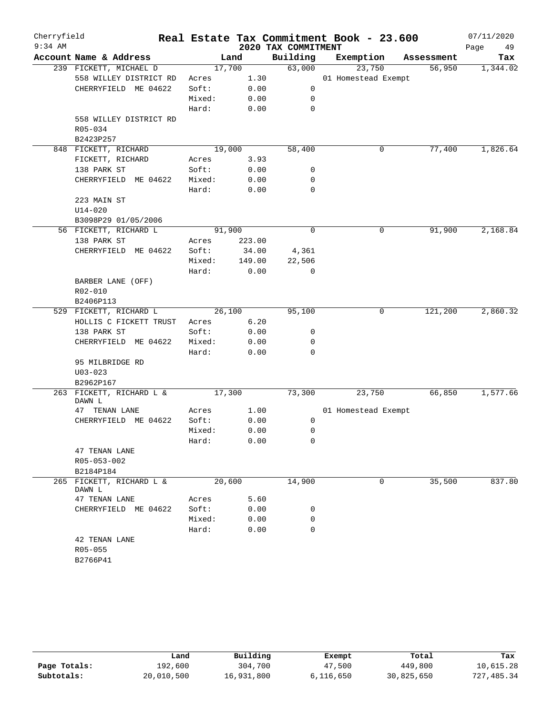| Cherryfield |                          |                 |        |                     | Real Estate Tax Commitment Book - 23.600 |            | 07/11/2020 |
|-------------|--------------------------|-----------------|--------|---------------------|------------------------------------------|------------|------------|
| $9:34$ AM   |                          |                 |        | 2020 TAX COMMITMENT |                                          |            | Page<br>49 |
|             | Account Name & Address   |                 | Land   | Building            | Exemption                                | Assessment | Tax        |
|             | 239 FICKETT, MICHAEL D   |                 | 17,700 | 63,000              | 23,750                                   | 56,950     | 1,344.02   |
|             | 558 WILLEY DISTRICT RD   | Acres           | 1.30   |                     | 01 Homestead Exempt                      |            |            |
|             | CHERRYFIELD ME 04622     | Soft:           | 0.00   | 0                   |                                          |            |            |
|             |                          | Mixed:          | 0.00   | 0                   |                                          |            |            |
|             |                          | Hard:           | 0.00   | 0                   |                                          |            |            |
|             | 558 WILLEY DISTRICT RD   |                 |        |                     |                                          |            |            |
|             | R05-034                  |                 |        |                     |                                          |            |            |
|             | B2423P257                |                 |        |                     |                                          |            |            |
|             | 848 FICKETT, RICHARD     |                 | 19,000 | 58,400              | 0                                        | 77,400     | 1,826.64   |
|             | FICKETT, RICHARD         | Acres           | 3.93   |                     |                                          |            |            |
|             | 138 PARK ST              | Soft:           | 0.00   | 0                   |                                          |            |            |
|             | CHERRYFIELD ME 04622     | Mixed:          | 0.00   | 0                   |                                          |            |            |
|             |                          | Hard:           | 0.00   | $\mathbf 0$         |                                          |            |            |
|             | 223 MAIN ST              |                 |        |                     |                                          |            |            |
|             | $U14 - 020$              |                 |        |                     |                                          |            |            |
|             | B3098P29 01/05/2006      |                 |        |                     |                                          |            |            |
|             | 56 FICKETT, RICHARD L    |                 | 91,900 | $\mathbf 0$         | 0                                        | 91,900     | 2,168.84   |
|             | 138 PARK ST              | Acres           | 223.00 |                     |                                          |            |            |
|             | CHERRYFIELD ME 04622     | Soft:           | 34.00  | 4,361               |                                          |            |            |
|             |                          | Mixed:          | 149.00 | 22,506              |                                          |            |            |
|             |                          | Hard:           | 0.00   | 0                   |                                          |            |            |
|             | BARBER LANE (OFF)        |                 |        |                     |                                          |            |            |
|             | R02-010                  |                 |        |                     |                                          |            |            |
|             | B2406P113                |                 |        |                     |                                          |            |            |
|             | 529 FICKETT, RICHARD L   |                 | 26,100 | 95,100              | 0                                        | 121,200    | 2,860.32   |
|             | HOLLIS C FICKETT TRUST   | Acres           | 6.20   |                     |                                          |            |            |
|             | 138 PARK ST              | Soft:           | 0.00   | 0                   |                                          |            |            |
|             | CHERRYFIELD ME 04622     | Mixed:          | 0.00   | 0                   |                                          |            |            |
|             |                          | Hard:           | 0.00   | $\Omega$            |                                          |            |            |
|             | 95 MILBRIDGE RD          |                 |        |                     |                                          |            |            |
|             | $U03 - 023$              |                 |        |                     |                                          |            |            |
|             | B2962P167                |                 |        |                     |                                          |            |            |
|             | 263 FICKETT, RICHARD L & |                 | 17,300 | 73,300              | 23,750                                   | 66,850     | 1,577.66   |
|             | DAWN L                   |                 |        |                     |                                          |            |            |
|             | 47 TENAN LANE            | Acres           | 1.00   |                     | 01 Homestead Exempt                      |            |            |
|             | CHERRYFIELD ME 04622     | Soft:           | 0.00   | 0                   |                                          |            |            |
|             |                          | Mixed:          | 0.00   | 0                   |                                          |            |            |
|             |                          | Hard:           | 0.00   | 0                   |                                          |            |            |
|             | 47 TENAN LANE            |                 |        |                     |                                          |            |            |
|             | R05-053-002              |                 |        |                     |                                          |            |            |
|             | B2184P184                |                 |        |                     |                                          |            |            |
|             | 265 FICKETT, RICHARD L & |                 | 20,600 | 14,900              | 0                                        | 35,500     | 837.80     |
|             | DAWN L<br>47 TENAN LANE  |                 | 5.60   |                     |                                          |            |            |
|             |                          | Acres           |        |                     |                                          |            |            |
|             | CHERRYFIELD ME 04622     | Soft:<br>Mixed: | 0.00   | 0<br>0              |                                          |            |            |
|             |                          | Hard:           | 0.00   | $\mathbf 0$         |                                          |            |            |
|             |                          |                 | 0.00   |                     |                                          |            |            |
|             | 42 TENAN LANE<br>R05-055 |                 |        |                     |                                          |            |            |
|             |                          |                 |        |                     |                                          |            |            |
|             | B2766P41                 |                 |        |                     |                                          |            |            |

|              | Land       | Building   | Exempt    | Total      | Tax        |
|--------------|------------|------------|-----------|------------|------------|
| Page Totals: | 192,600    | 304,700    | 47,500    | 449,800    | 10,615.28  |
| Subtotals:   | 20,010,500 | 16,931,800 | 6,116,650 | 30,825,650 | 727,485.34 |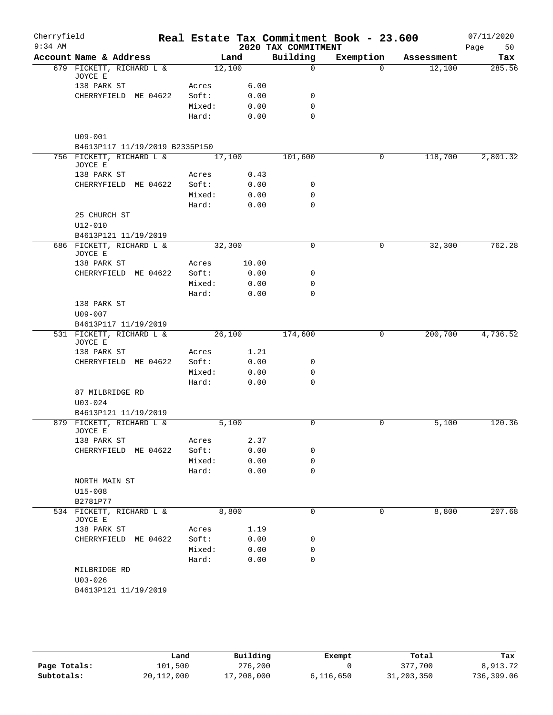| Cherryfield<br>$9:34$ AM |                                               |        |        | 2020 TAX COMMITMENT | Real Estate Tax Commitment Book - 23.600 |            | 07/11/2020<br>50<br>Page |
|--------------------------|-----------------------------------------------|--------|--------|---------------------|------------------------------------------|------------|--------------------------|
|                          | Account Name & Address                        |        | Land   | Building            | Exemption                                | Assessment | Tax                      |
|                          | 679 FICKETT, RICHARD L &<br>JOYCE E           | 12,100 |        | $\mathsf{O}$        | $\Omega$                                 | 12,100     | 285.56                   |
|                          | 138 PARK ST                                   | Acres  | 6.00   |                     |                                          |            |                          |
|                          | CHERRYFIELD ME 04622                          | Soft:  | 0.00   | 0                   |                                          |            |                          |
|                          |                                               | Mixed: | 0.00   | $\mathbf 0$         |                                          |            |                          |
|                          |                                               | Hard:  | 0.00   | $\Omega$            |                                          |            |                          |
|                          | $U09 - 001$<br>B4613P117 11/19/2019 B2335P150 |        |        |                     |                                          |            |                          |
|                          | 756 FICKETT, RICHARD L &                      | 17,100 |        | 101,600             | 0                                        | 118,700    | 2,801.32                 |
|                          | JOYCE E                                       |        |        |                     |                                          |            |                          |
|                          | 138 PARK ST                                   | Acres  | 0.43   |                     |                                          |            |                          |
|                          | CHERRYFIELD ME 04622                          | Soft:  | 0.00   | 0                   |                                          |            |                          |
|                          |                                               | Mixed: | 0.00   | 0                   |                                          |            |                          |
|                          |                                               | Hard:  | 0.00   | $\mathbf 0$         |                                          |            |                          |
|                          | 25 CHURCH ST<br>$U12 - 010$                   |        |        |                     |                                          |            |                          |
|                          | B4613P121 11/19/2019                          |        |        |                     |                                          |            |                          |
|                          | 686 FICKETT, RICHARD L &<br>JOYCE E           | 32,300 |        | $\mathbf 0$         | 0                                        | 32,300     | 762.28                   |
|                          | 138 PARK ST                                   | Acres  | 10.00  |                     |                                          |            |                          |
|                          | CHERRYFIELD ME 04622                          | Soft:  | 0.00   | 0                   |                                          |            |                          |
|                          |                                               | Mixed: | 0.00   | 0                   |                                          |            |                          |
|                          |                                               | Hard:  | 0.00   | $\Omega$            |                                          |            |                          |
|                          | 138 PARK ST                                   |        |        |                     |                                          |            |                          |
|                          | U09-007                                       |        |        |                     |                                          |            |                          |
|                          | B4613P117 11/19/2019                          |        |        |                     |                                          |            |                          |
|                          | 531 FICKETT, RICHARD L &<br>JOYCE E           |        | 26,100 |                     | 0                                        | 200,700    | 4,736.52                 |
|                          | 138 PARK ST                                   | Acres  | 1.21   |                     |                                          |            |                          |
|                          | CHERRYFIELD ME 04622                          | Soft:  | 0.00   | 0                   |                                          |            |                          |
|                          |                                               | Mixed: | 0.00   | $\mathbf 0$         |                                          |            |                          |
|                          |                                               | Hard:  | 0.00   | $\Omega$            |                                          |            |                          |
|                          | 87 MILBRIDGE RD                               |        |        |                     |                                          |            |                          |
|                          | $U03 - 024$                                   |        |        |                     |                                          |            |                          |
|                          | B4613P121 11/19/2019                          |        |        |                     |                                          |            |                          |
|                          | 879 FICKETT, RICHARD L &<br>JOYCE E           |        | 5,100  | 0                   | 0                                        | 5,100      | 120.36                   |
|                          | 138 PARK ST                                   | Acres  | 2.37   |                     |                                          |            |                          |
|                          | CHERRYFIELD ME 04622                          | Soft:  | 0.00   | 0                   |                                          |            |                          |
|                          |                                               | Mixed: | 0.00   | 0                   |                                          |            |                          |
|                          |                                               | Hard:  | 0.00   | $\mathbf 0$         |                                          |            |                          |
|                          | NORTH MAIN ST<br>$U15 - 008$                  |        |        |                     |                                          |            |                          |
|                          | B2781P77                                      |        | 8,800  | $\mathbf 0$         | 0                                        |            | 207.68                   |
|                          | 534 FICKETT, RICHARD L &<br>JOYCE E           |        |        |                     |                                          | 8,800      |                          |
|                          | 138 PARK ST                                   | Acres  | 1.19   |                     |                                          |            |                          |
|                          | CHERRYFIELD ME 04622                          | Soft:  | 0.00   | 0                   |                                          |            |                          |
|                          |                                               | Mixed: | 0.00   | 0<br>$\mathbf 0$    |                                          |            |                          |
|                          |                                               | Hard:  | 0.00   |                     |                                          |            |                          |
|                          | MILBRIDGE RD<br>$U03 - 026$                   |        |        |                     |                                          |            |                          |
|                          | B4613P121 11/19/2019                          |        |        |                     |                                          |            |                          |

|              | Land       | Building   | Exempt    | Total        | Tax        |
|--------------|------------|------------|-----------|--------------|------------|
| Page Totals: | 101,500    | 276,200    |           | 377,700      | 8,913.72   |
| Subtotals:   | 20,112,000 | 17,208,000 | 6,116,650 | 31, 203, 350 | 736,399.06 |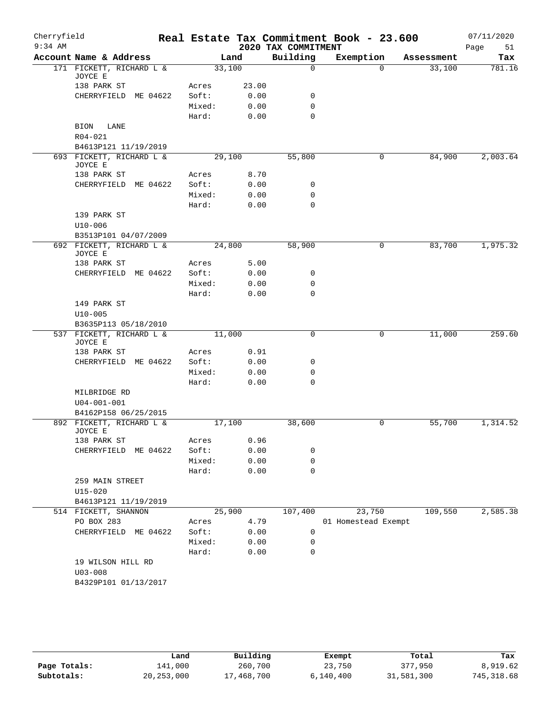| Cherryfield<br>$9:34$ AM |                                     |        |        | 2020 TAX COMMITMENT | Real Estate Tax Commitment Book - 23.600 |            | 07/11/2020<br>51<br>Page |
|--------------------------|-------------------------------------|--------|--------|---------------------|------------------------------------------|------------|--------------------------|
|                          | Account Name & Address              |        | Land   | Building            | Exemption                                | Assessment | Tax                      |
|                          | 171 FICKETT, RICHARD L &<br>JOYCE E |        | 33,100 | 0                   | $\Omega$                                 | 33,100     | 781.16                   |
|                          | 138 PARK ST                         | Acres  | 23.00  |                     |                                          |            |                          |
|                          | CHERRYFIELD ME 04622                | Soft:  | 0.00   | 0                   |                                          |            |                          |
|                          |                                     | Mixed: | 0.00   | $\mathbf 0$         |                                          |            |                          |
|                          |                                     | Hard:  | 0.00   | $\mathbf 0$         |                                          |            |                          |
|                          | LANE<br>BION                        |        |        |                     |                                          |            |                          |
|                          | R04-021                             |        |        |                     |                                          |            |                          |
|                          | B4613P121 11/19/2019                |        |        |                     |                                          |            |                          |
|                          | 693 FICKETT, RICHARD L &<br>JOYCE E |        | 29,100 | 55,800              | 0                                        | 84,900     | 2,003.64                 |
|                          | 138 PARK ST                         | Acres  | 8.70   |                     |                                          |            |                          |
|                          | CHERRYFIELD ME 04622                | Soft:  | 0.00   | 0                   |                                          |            |                          |
|                          |                                     | Mixed: | 0.00   | 0                   |                                          |            |                          |
|                          |                                     | Hard:  | 0.00   | $\mathbf 0$         |                                          |            |                          |
|                          | 139 PARK ST                         |        |        |                     |                                          |            |                          |
|                          | $U10 - 006$                         |        |        |                     |                                          |            |                          |
|                          | B3513P101 04/07/2009                |        |        |                     |                                          |            |                          |
|                          | 692 FICKETT, RICHARD L &<br>JOYCE E |        | 24,800 | 58,900              | 0                                        | 83,700     | 1,975.32                 |
|                          | 138 PARK ST                         | Acres  | 5.00   |                     |                                          |            |                          |
|                          | CHERRYFIELD<br>ME 04622             | Soft:  | 0.00   | 0                   |                                          |            |                          |
|                          |                                     | Mixed: | 0.00   | $\mathbf 0$         |                                          |            |                          |
|                          |                                     | Hard:  | 0.00   | $\mathbf 0$         |                                          |            |                          |
|                          | 149 PARK ST                         |        |        |                     |                                          |            |                          |
|                          | $U10 - 005$                         |        |        |                     |                                          |            |                          |
|                          | B3635P113 05/18/2010                |        |        |                     |                                          |            |                          |
|                          | 537 FICKETT, RICHARD L &<br>JOYCE E |        | 11,000 | $\mathbf 0$         | 0                                        | 11,000     | 259.60                   |
|                          | 138 PARK ST                         | Acres  | 0.91   |                     |                                          |            |                          |
|                          | CHERRYFIELD ME 04622                | Soft:  | 0.00   | 0                   |                                          |            |                          |
|                          |                                     | Mixed: | 0.00   | 0                   |                                          |            |                          |
|                          |                                     | Hard:  | 0.00   | $\mathbf 0$         |                                          |            |                          |
|                          | MILBRIDGE RD                        |        |        |                     |                                          |            |                          |
|                          | $U04 - 001 - 001$                   |        |        |                     |                                          |            |                          |
|                          | B4162P158 06/25/2015                |        |        |                     |                                          |            |                          |
|                          | 892 FICKETT, RICHARD L &<br>JOYCE E |        | 17,100 | 38,600              | 0                                        | 55,700     | 1,314.52                 |
|                          | 138 PARK ST                         | Acres  | 0.96   |                     |                                          |            |                          |
|                          | CHERRYFIELD<br>ME 04622             | Soft:  | 0.00   | 0                   |                                          |            |                          |
|                          |                                     | Mixed: | 0.00   | $\mathbf 0$         |                                          |            |                          |
|                          |                                     | Hard:  | 0.00   | $\mathbf 0$         |                                          |            |                          |
|                          | 259 MAIN STREET                     |        |        |                     |                                          |            |                          |
|                          | $U15 - 020$                         |        |        |                     |                                          |            |                          |
|                          | B4613P121 11/19/2019                |        |        |                     |                                          |            |                          |
|                          | 514 FICKETT, SHANNON                |        | 25,900 | 107,400             | 23,750                                   | 109,550    | 2,585.38                 |
|                          | PO BOX 283                          | Acres  | 4.79   |                     | 01 Homestead Exempt                      |            |                          |
|                          | CHERRYFIELD ME 04622                | Soft:  | 0.00   | 0                   |                                          |            |                          |
|                          |                                     | Mixed: | 0.00   | 0                   |                                          |            |                          |
|                          |                                     | Hard:  | 0.00   | $\mathbf 0$         |                                          |            |                          |
|                          | 19 WILSON HILL RD                   |        |        |                     |                                          |            |                          |
|                          | $U03 - 008$                         |        |        |                     |                                          |            |                          |
|                          | B4329P101 01/13/2017                |        |        |                     |                                          |            |                          |
|                          |                                     |        |        |                     |                                          |            |                          |

|              | Land         | Building   | Exempt    | Total      | Tax        |
|--------------|--------------|------------|-----------|------------|------------|
| Page Totals: | 141,000      | 260,700    | 23,750    | 377,950    | 8,919.62   |
| Subtotals:   | 20, 253, 000 | 17,468,700 | 6,140,400 | 31,581,300 | 745,318.68 |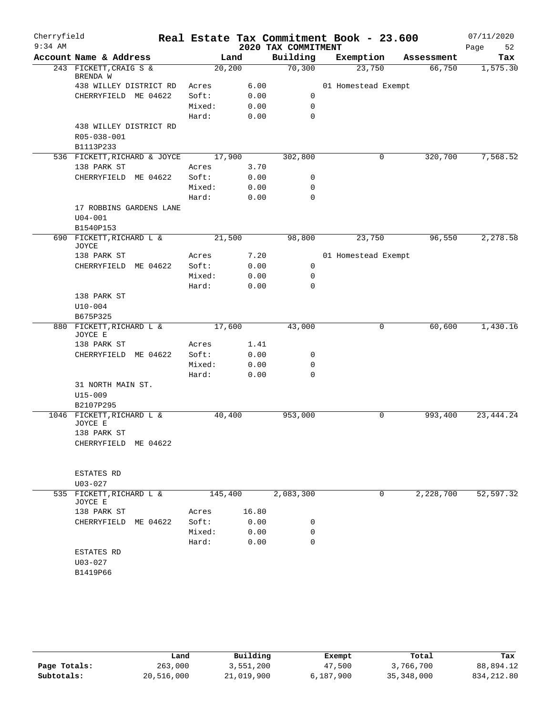| Cherryfield |                                             |                |       |                     | Real Estate Tax Commitment Book - 23.600 |            | 07/11/2020  |
|-------------|---------------------------------------------|----------------|-------|---------------------|------------------------------------------|------------|-------------|
| $9:34$ AM   |                                             |                |       | 2020 TAX COMMITMENT |                                          |            | 52<br>Page  |
|             | Account Name & Address                      |                | Land  | Building            | Exemption                                | Assessment | Tax         |
|             | 243 FICKETT, CRAIG S &<br>BRENDA W          | 20, 200        |       | 70,300              | 23,750                                   | 66,750     | 1,575.30    |
|             | 438 WILLEY DISTRICT RD                      | Acres          | 6.00  |                     | 01 Homestead Exempt                      |            |             |
|             | CHERRYFIELD ME 04622                        | Soft:          | 0.00  | 0                   |                                          |            |             |
|             |                                             | Mixed:         | 0.00  | 0                   |                                          |            |             |
|             |                                             | Hard:          | 0.00  | $\mathbf 0$         |                                          |            |             |
|             | 438 WILLEY DISTRICT RD                      |                |       |                     |                                          |            |             |
|             | R05-038-001                                 |                |       |                     |                                          |            |             |
|             | B1113P233                                   |                |       |                     |                                          |            |             |
|             | 536 FICKETT, RICHARD & JOYCE<br>138 PARK ST | 17,900         | 3.70  | 302,800             | $\mathbf 0$                              | 320,700    | 7,568.52    |
|             | CHERRYFIELD ME 04622                        | Acres<br>Soft: | 0.00  | 0                   |                                          |            |             |
|             |                                             | Mixed:         | 0.00  | $\mathbf 0$         |                                          |            |             |
|             |                                             | Hard:          | 0.00  | $\mathbf 0$         |                                          |            |             |
|             | 17 ROBBINS GARDENS LANE                     |                |       |                     |                                          |            |             |
|             | $U04 - 001$                                 |                |       |                     |                                          |            |             |
|             | B1540P153                                   |                |       |                     |                                          |            |             |
|             | 690 FICKETT, RICHARD L &<br>JOYCE           | 21,500         |       | 98,800              | 23,750                                   | 96,550     | 2,278.58    |
|             | 138 PARK ST                                 | Acres          | 7.20  |                     | 01 Homestead Exempt                      |            |             |
|             | CHERRYFIELD ME 04622                        | Soft:          | 0.00  | 0                   |                                          |            |             |
|             |                                             | Mixed:         | 0.00  | 0                   |                                          |            |             |
|             |                                             | Hard:          | 0.00  | $\mathbf 0$         |                                          |            |             |
|             | 138 PARK ST                                 |                |       |                     |                                          |            |             |
|             | $U10 - 004$                                 |                |       |                     |                                          |            |             |
|             | B675P325<br>880 FICKETT, RICHARD L &        | 17,600         |       | 43,000              | 0                                        | 60,600     | 1,430.16    |
|             | JOYCE E                                     |                |       |                     |                                          |            |             |
|             | 138 PARK ST                                 | Acres          | 1.41  |                     |                                          |            |             |
|             | CHERRYFIELD ME 04622                        | Soft:          | 0.00  | 0                   |                                          |            |             |
|             |                                             | Mixed:         | 0.00  | $\mathbf 0$         |                                          |            |             |
|             |                                             | Hard:          | 0.00  | 0                   |                                          |            |             |
|             | 31 NORTH MAIN ST.                           |                |       |                     |                                          |            |             |
|             | $U15 - 009$                                 |                |       |                     |                                          |            |             |
|             | B2107P295                                   |                |       |                     |                                          |            |             |
|             | 1046 FICKETT, RICHARD L &<br>JOYCE E        | 40,400         |       | 953,000             | 0                                        | 993,400    | 23, 444. 24 |
|             | 138 PARK ST                                 |                |       |                     |                                          |            |             |
|             | CHERRYFIELD ME 04622                        |                |       |                     |                                          |            |             |
|             | ESTATES RD                                  |                |       |                     |                                          |            |             |
|             | $U03 - 027$                                 |                |       |                     |                                          |            |             |
|             | 535 FICKETT, RICHARD L &<br>JOYCE E         | 145,400        |       | 2,083,300           | $\mathbf 0$                              | 2,228,700  | 52,597.32   |
|             | 138 PARK ST                                 | Acres          | 16.80 |                     |                                          |            |             |
|             | CHERRYFIELD ME 04622                        | Soft:          | 0.00  | 0                   |                                          |            |             |
|             |                                             | Mixed:         | 0.00  | 0                   |                                          |            |             |
|             |                                             | Hard:          | 0.00  | 0                   |                                          |            |             |
|             | ESTATES RD                                  |                |       |                     |                                          |            |             |
|             | $U03 - 027$<br>B1419P66                     |                |       |                     |                                          |            |             |
|             |                                             |                |       |                     |                                          |            |             |
|             |                                             |                |       |                     |                                          |            |             |

|              | Land       | Building   | Exempt    | Total        | Tax          |
|--------------|------------|------------|-----------|--------------|--------------|
| Page Totals: | 263,000    | 3,551,200  | 47,500    | 3,766,700    | 88,894.12    |
| Subtotals:   | 20,516,000 | 21,019,900 | 6,187,900 | 35, 348, 000 | 834, 212, 80 |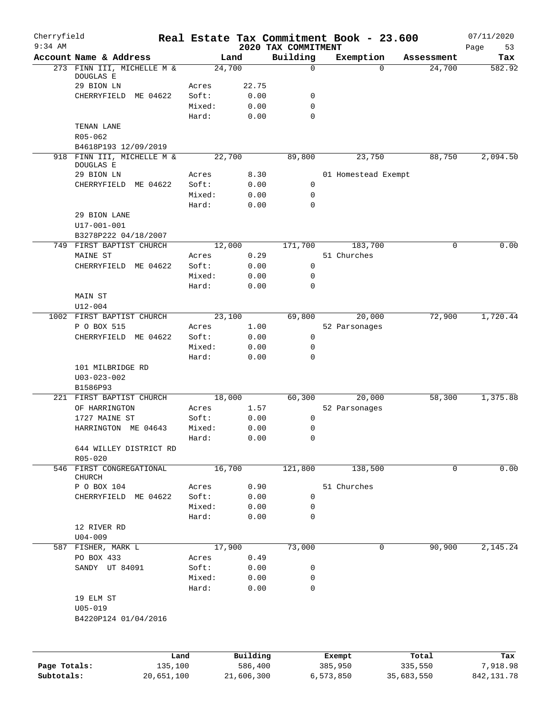| Cherryfield<br>$9:34$ AM |                                    |                 |            | 2020 TAX COMMITMENT | Real Estate Tax Commitment Book - 23.600 |                    | 07/11/2020        |
|--------------------------|------------------------------------|-----------------|------------|---------------------|------------------------------------------|--------------------|-------------------|
|                          | Account Name & Address             | Land            |            | Building            | Exemption                                | Assessment         | Page<br>53<br>Tax |
|                          | 273 FINN III, MICHELLE M &         | 24,700          |            | $\mathbf 0$         |                                          | 24,700<br>$\Omega$ | 582.92            |
|                          | DOUGLAS E                          |                 |            |                     |                                          |                    |                   |
|                          | 29 BION LN                         | Acres           | 22.75      |                     |                                          |                    |                   |
|                          | CHERRYFIELD ME 04622               | Soft:           | 0.00       | 0                   |                                          |                    |                   |
|                          |                                    | Mixed:          | 0.00       | 0                   |                                          |                    |                   |
|                          |                                    | Hard:           | 0.00       | $\Omega$            |                                          |                    |                   |
|                          | TENAN LANE<br>R05-062              |                 |            |                     |                                          |                    |                   |
|                          | B4618P193 12/09/2019               |                 |            |                     |                                          |                    |                   |
|                          | 918 FINN III, MICHELLE M &         | 22,700          |            | 89,800              | 23,750                                   | 88,750             | 2,094.50          |
|                          | DOUGLAS E                          |                 |            |                     |                                          |                    |                   |
|                          | 29 BION LN                         | Acres           | 8.30       |                     | 01 Homestead Exempt                      |                    |                   |
|                          | CHERRYFIELD<br>ME 04622            | Soft:           | 0.00       | 0                   |                                          |                    |                   |
|                          |                                    | Mixed:          | 0.00       | 0                   |                                          |                    |                   |
|                          |                                    | Hard:           | 0.00       | $\mathbf 0$         |                                          |                    |                   |
|                          | 29 BION LANE                       |                 |            |                     |                                          |                    |                   |
|                          | $U17 - 001 - 001$                  |                 |            |                     |                                          |                    |                   |
|                          | B3278P222 04/18/2007               |                 |            |                     |                                          |                    |                   |
|                          | 749 FIRST BAPTIST CHURCH           | 12,000          |            | 171,700             | 183,700                                  | 0                  | 0.00              |
|                          | MAINE ST                           | Acres           | 0.29       |                     | 51 Churches                              |                    |                   |
|                          | CHERRYFIELD ME 04622               | Soft:           | 0.00       | 0                   |                                          |                    |                   |
|                          |                                    | Mixed:<br>Hard: | 0.00       | 0<br>$\Omega$       |                                          |                    |                   |
|                          |                                    |                 | 0.00       |                     |                                          |                    |                   |
|                          | MAIN ST<br>$U12 - 004$             |                 |            |                     |                                          |                    |                   |
|                          | 1002 FIRST BAPTIST CHURCH          | 23,100          |            | 69,800              | 20,000                                   | 72,900             | 1,720.44          |
|                          | P O BOX 515                        | Acres           | 1.00       |                     | 52 Parsonages                            |                    |                   |
|                          | CHERRYFIELD ME 04622               | Soft:           | 0.00       | 0                   |                                          |                    |                   |
|                          |                                    | Mixed:          | 0.00       | 0                   |                                          |                    |                   |
|                          |                                    | Hard:           | 0.00       | 0                   |                                          |                    |                   |
|                          | 101 MILBRIDGE RD                   |                 |            |                     |                                          |                    |                   |
|                          | $U03 - 023 - 002$                  |                 |            |                     |                                          |                    |                   |
|                          | B1586P93                           |                 |            |                     |                                          |                    |                   |
|                          | 221 FIRST BAPTIST CHURCH           | 18,000          |            | 60,300              | 20,000                                   | 58,300             | 1,375.88          |
|                          | OF HARRINGTON                      | Acres           | 1.57       |                     | 52 Parsonages                            |                    |                   |
|                          | 1727 MAINE ST                      | Soft:           | 0.00       | 0                   |                                          |                    |                   |
|                          | HARRINGTON ME 04643                | Mixed:          | 0.00       | 0                   |                                          |                    |                   |
|                          |                                    | Hard:           | 0.00       | $\mathbf 0$         |                                          |                    |                   |
|                          | 644 WILLEY DISTRICT RD             |                 |            |                     |                                          |                    |                   |
|                          | $R05 - 020$                        |                 |            |                     |                                          |                    |                   |
|                          | 546 FIRST CONGREGATIONAL<br>CHURCH | 16,700          |            | 121,800             | 138,500                                  | 0                  | 0.00              |
|                          | P O BOX 104                        | Acres           | 0.90       |                     | 51 Churches                              |                    |                   |
|                          | CHERRYFIELD ME 04622               | Soft:           | 0.00       | 0                   |                                          |                    |                   |
|                          |                                    | Mixed:          | 0.00       | 0                   |                                          |                    |                   |
|                          |                                    | Hard:           | 0.00       | 0                   |                                          |                    |                   |
|                          | 12 RIVER RD                        |                 |            |                     |                                          |                    |                   |
|                          | $U04 - 009$                        |                 |            |                     |                                          |                    |                   |
|                          | 587 FISHER, MARK L                 | 17,900          |            | 73,000              |                                          | 90,900<br>0        | 2,145.24          |
|                          | PO BOX 433                         | Acres           | 0.49       |                     |                                          |                    |                   |
|                          | SANDY UT 84091                     | Soft:           | 0.00       | 0                   |                                          |                    |                   |
|                          |                                    | Mixed:          | 0.00       | 0                   |                                          |                    |                   |
|                          |                                    | Hard:           | 0.00       | $\mathbf 0$         |                                          |                    |                   |
|                          | 19 ELM ST                          |                 |            |                     |                                          |                    |                   |
|                          | $U05 - 019$                        |                 |            |                     |                                          |                    |                   |
|                          | B4220P124 01/04/2016               |                 |            |                     |                                          |                    |                   |
|                          |                                    |                 |            |                     |                                          |                    |                   |
|                          |                                    | Land            | Building   |                     | Exempt                                   | Total              | Tax               |
| Page Totals:             | 135,100                            |                 | 586,400    |                     | 385,950                                  | 335,550            | 7,918.98          |
| Subtotals:               | 20,651,100                         |                 | 21,606,300 |                     | 6,573,850                                | 35,683,550         | 842, 131.78       |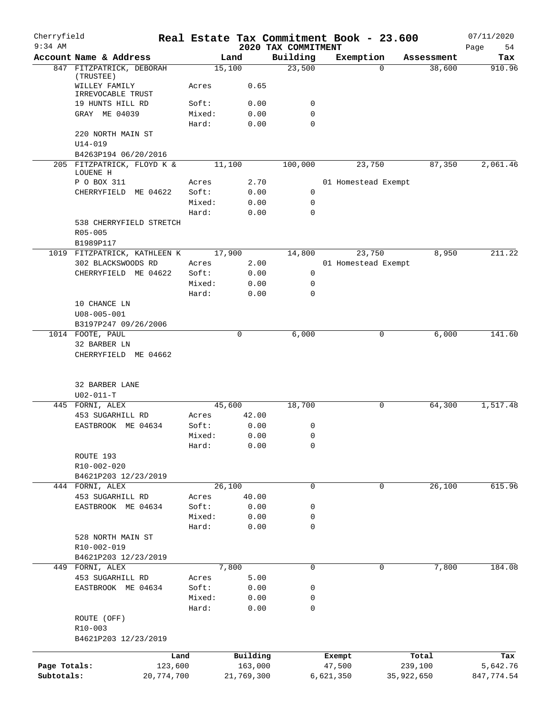| Cherryfield<br>$9:34$ AM |                                                 |        |                     | Real Estate Tax Commitment Book - 23.600 |                  |                     |                  | 07/11/2020        |
|--------------------------|-------------------------------------------------|--------|---------------------|------------------------------------------|------------------|---------------------|------------------|-------------------|
|                          | Account Name & Address                          |        | Land                | 2020 TAX COMMITMENT<br>Building          |                  | Exemption           | Assessment       | Page<br>54<br>Tax |
|                          | 847 FITZPATRICK, DEBORAH                        |        | 15,100              | 23,500                                   |                  | $\Omega$            | 38,600           | 910.96            |
|                          | (TRUSTEE)<br>WILLEY FAMILY<br>IRREVOCABLE TRUST | Acres  | 0.65                |                                          |                  |                     |                  |                   |
|                          | 19 HUNTS HILL RD                                | Soft:  | 0.00                | 0                                        |                  |                     |                  |                   |
|                          | GRAY ME 04039                                   | Mixed: | 0.00                | 0                                        |                  |                     |                  |                   |
|                          |                                                 | Hard:  | 0.00                | $\mathbf 0$                              |                  |                     |                  |                   |
|                          | 220 NORTH MAIN ST                               |        |                     |                                          |                  |                     |                  |                   |
|                          | $U14 - 019$                                     |        |                     |                                          |                  |                     |                  |                   |
|                          | B4263P194 06/20/2016                            |        |                     |                                          |                  |                     |                  |                   |
|                          | 205 FITZPATRICK, FLOYD K &<br>LOUENE H          |        | 11,100              | 100,000                                  |                  | 23,750              | 87,350           | 2,061.46          |
|                          | P O BOX 311                                     | Acres  | 2.70                |                                          |                  | 01 Homestead Exempt |                  |                   |
|                          | CHERRYFIELD<br>ME 04622                         | Soft:  | 0.00                | 0                                        |                  |                     |                  |                   |
|                          |                                                 | Mixed: | 0.00                | 0                                        |                  |                     |                  |                   |
|                          |                                                 | Hard:  | 0.00                | $\mathbf 0$                              |                  |                     |                  |                   |
|                          | 538 CHERRYFIELD STRETCH                         |        |                     |                                          |                  |                     |                  |                   |
|                          | R05-005                                         |        |                     |                                          |                  |                     |                  |                   |
|                          | B1989P117                                       |        |                     |                                          |                  |                     |                  |                   |
|                          | 1019 FITZPATRICK, KATHLEEN K                    |        | 17,900              | 14,800                                   |                  | 23,750              | 8,950            | 211.22            |
|                          | 302 BLACKSWOODS RD                              | Acres  | 2.00                |                                          |                  | 01 Homestead Exempt |                  |                   |
|                          | CHERRYFIELD ME 04622                            | Soft:  | 0.00                | 0                                        |                  |                     |                  |                   |
|                          |                                                 | Mixed: | 0.00                | 0                                        |                  |                     |                  |                   |
|                          |                                                 | Hard:  | 0.00                | $\mathbf 0$                              |                  |                     |                  |                   |
|                          | 10 CHANCE LN                                    |        |                     |                                          |                  |                     |                  |                   |
|                          | $U08 - 005 - 001$                               |        |                     |                                          |                  |                     |                  |                   |
|                          | B3197P247 09/26/2006                            |        |                     |                                          |                  |                     |                  |                   |
|                          | 1014 FOOTE, PAUL                                |        | 0                   | 6,000                                    |                  | 0                   | 6,000            | 141.60            |
|                          | 32 BARBER LN<br>CHERRYFIELD ME 04662            |        |                     |                                          |                  |                     |                  |                   |
|                          | 32 BARBER LANE                                  |        |                     |                                          |                  |                     |                  |                   |
|                          | $U02 - 011 - T$<br>445 FORNI, ALEX              |        | 45,600              | 18,700                                   |                  | 0                   | 64,300           | 1,517.48          |
|                          | 453 SUGARHILL RD                                | Acres  | 42.00               |                                          |                  |                     |                  |                   |
|                          | EASTBROOK ME 04634                              | Soft:  | 0.00                | 0                                        |                  |                     |                  |                   |
|                          |                                                 | Mixed: | 0.00                | 0                                        |                  |                     |                  |                   |
|                          |                                                 | Hard:  | 0.00                | $\mathbf 0$                              |                  |                     |                  |                   |
|                          | ROUTE 193                                       |        |                     |                                          |                  |                     |                  |                   |
|                          | R10-002-020                                     |        |                     |                                          |                  |                     |                  |                   |
|                          | B4621P203 12/23/2019                            |        |                     |                                          |                  |                     |                  |                   |
|                          | 444 FORNI, ALEX                                 |        | 26,100              | $\mathbf 0$                              |                  | 0                   | 26,100           | 615.96            |
|                          | 453 SUGARHILL RD                                | Acres  | 40.00               |                                          |                  |                     |                  |                   |
|                          | EASTBROOK ME 04634                              | Soft:  | 0.00                | 0                                        |                  |                     |                  |                   |
|                          |                                                 | Mixed: | 0.00                | 0                                        |                  |                     |                  |                   |
|                          |                                                 | Hard:  | 0.00                | 0                                        |                  |                     |                  |                   |
|                          | 528 NORTH MAIN ST                               |        |                     |                                          |                  |                     |                  |                   |
|                          | R10-002-019                                     |        |                     |                                          |                  |                     |                  |                   |
|                          | B4621P203 12/23/2019                            |        |                     |                                          |                  |                     |                  |                   |
|                          | 449 FORNI, ALEX                                 |        | 7,800               | 0                                        |                  | 0                   | 7,800            | 184.08            |
|                          | 453 SUGARHILL RD                                | Acres  | 5.00                |                                          |                  |                     |                  |                   |
|                          | EASTBROOK ME 04634                              | Soft:  | 0.00                | 0                                        |                  |                     |                  |                   |
|                          |                                                 | Mixed: | 0.00                | 0                                        |                  |                     |                  |                   |
|                          |                                                 | Hard:  | 0.00                | 0                                        |                  |                     |                  |                   |
|                          | ROUTE (OFF)                                     |        |                     |                                          |                  |                     |                  |                   |
|                          | R10-003                                         |        |                     |                                          |                  |                     |                  |                   |
|                          | B4621P203 12/23/2019                            |        |                     |                                          |                  |                     |                  |                   |
|                          |                                                 |        |                     |                                          |                  |                     |                  |                   |
| Page Totals:             | 123,600                                         | Land   | Building<br>163,000 |                                          | Exempt<br>47,500 |                     | Total<br>239,100 | Tax<br>5,642.76   |
| Subtotals:               | 20,774,700                                      |        | 21,769,300          |                                          | 6,621,350        |                     | 35,922,650       | 847,774.54        |
|                          |                                                 |        |                     |                                          |                  |                     |                  |                   |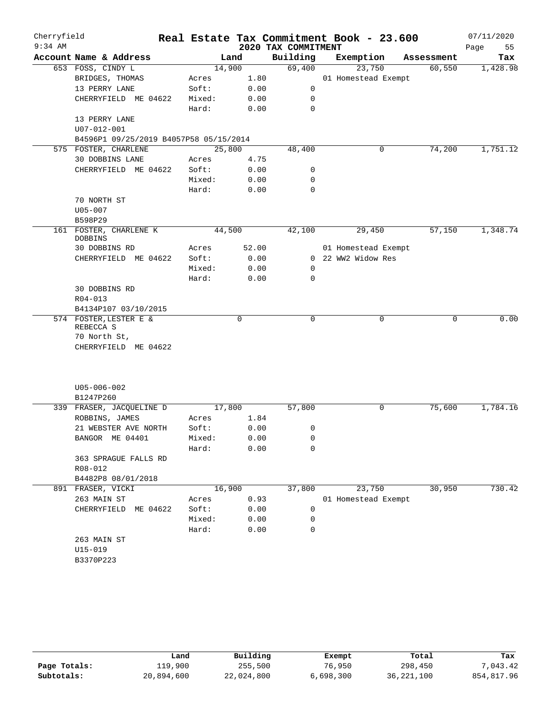| Cherryfield |                                        |        |        |                     | Real Estate Tax Commitment Book - 23.600 |   |            | 07/11/2020 |
|-------------|----------------------------------------|--------|--------|---------------------|------------------------------------------|---|------------|------------|
| $9:34$ AM   |                                        |        |        | 2020 TAX COMMITMENT |                                          |   |            | Page<br>55 |
|             | Account Name & Address                 |        | Land   | Building            | Exemption                                |   | Assessment | Tax        |
|             | 653 FOSS, CINDY L                      |        | 14,900 | 69,400              | 23,750                                   |   | 60,550     | 1,428.98   |
|             | BRIDGES, THOMAS                        | Acres  | 1.80   |                     | 01 Homestead Exempt                      |   |            |            |
|             | 13 PERRY LANE                          | Soft:  | 0.00   | $\mathsf{O}$        |                                          |   |            |            |
|             | CHERRYFIELD ME 04622                   | Mixed: | 0.00   | 0                   |                                          |   |            |            |
|             |                                        | Hard:  | 0.00   | 0                   |                                          |   |            |            |
|             | 13 PERRY LANE                          |        |        |                     |                                          |   |            |            |
|             | U07-012-001                            |        |        |                     |                                          |   |            |            |
|             | B4596P1 09/25/2019 B4057P58 05/15/2014 |        |        |                     |                                          |   |            |            |
|             | 575 FOSTER, CHARLENE                   |        | 25,800 | 48,400              |                                          | 0 | 74,200     | 1,751.12   |
|             | 30 DOBBINS LANE                        | Acres  | 4.75   |                     |                                          |   |            |            |
|             | CHERRYFIELD ME 04622                   | Soft:  | 0.00   | 0                   |                                          |   |            |            |
|             |                                        | Mixed: | 0.00   | 0                   |                                          |   |            |            |
|             |                                        | Hard:  | 0.00   | 0                   |                                          |   |            |            |
|             | 70 NORTH ST                            |        |        |                     |                                          |   |            |            |
|             | $U05 - 007$                            |        |        |                     |                                          |   |            |            |
|             | B598P29                                |        |        |                     |                                          |   |            |            |
|             | 161 FOSTER, CHARLENE K<br>DOBBINS      |        | 44,500 | 42,100              | 29,450                                   |   | 57,150     | 1,348.74   |
|             | 30 DOBBINS RD                          | Acres  | 52.00  |                     | 01 Homestead Exempt                      |   |            |            |
|             | CHERRYFIELD ME 04622                   | Soft:  | 0.00   |                     | 0 22 WW2 Widow Res                       |   |            |            |
|             |                                        | Mixed: | 0.00   | 0                   |                                          |   |            |            |
|             |                                        | Hard:  | 0.00   | 0                   |                                          |   |            |            |
|             | 30 DOBBINS RD                          |        |        |                     |                                          |   |            |            |
|             | $R04 - 013$                            |        |        |                     |                                          |   |            |            |
|             | B4134P107 03/10/2015                   |        |        |                     |                                          |   |            |            |
|             | 574 FOSTER, LESTER E &                 |        | 0      | 0                   |                                          | 0 | 0          | 0.00       |
|             | REBECCA S                              |        |        |                     |                                          |   |            |            |
|             | 70 North St,                           |        |        |                     |                                          |   |            |            |
|             | CHERRYFIELD ME 04622                   |        |        |                     |                                          |   |            |            |
|             |                                        |        |        |                     |                                          |   |            |            |
|             |                                        |        |        |                     |                                          |   |            |            |
|             | $U05 - 006 - 002$                      |        |        |                     |                                          |   |            |            |
|             | B1247P260                              |        |        |                     |                                          |   |            |            |
|             | 339 FRASER, JACQUELINE D               |        | 17,800 | 57,800              |                                          | 0 | 75,600     | 1,784.16   |
|             | ROBBINS, JAMES                         | Acres  | 1.84   |                     |                                          |   |            |            |
|             | 21 WEBSTER AVE NORTH                   | Soft:  | 0.00   | 0                   |                                          |   |            |            |
|             | BANGOR ME 04401                        | Mixed: | 0.00   | 0                   |                                          |   |            |            |
|             |                                        | Hard:  | 0.00   | 0                   |                                          |   |            |            |
|             | 363 SPRAGUE FALLS RD                   |        |        |                     |                                          |   |            |            |
|             | R08-012                                |        |        |                     |                                          |   |            |            |
|             | B4482P8 08/01/2018                     |        |        |                     |                                          |   |            |            |
|             | 891 FRASER, VICKI                      |        | 16,900 | 37,800              | 23,750                                   |   | 30,950     | 730.42     |
|             | 263 MAIN ST                            | Acres  | 0.93   |                     | 01 Homestead Exempt                      |   |            |            |
|             | CHERRYFIELD ME 04622                   | Soft:  | 0.00   | 0                   |                                          |   |            |            |
|             |                                        | Mixed: | 0.00   | 0                   |                                          |   |            |            |
|             |                                        | Hard:  | 0.00   | $\mathbf 0$         |                                          |   |            |            |
|             | 263 MAIN ST                            |        |        |                     |                                          |   |            |            |
|             | $U15 - 019$                            |        |        |                     |                                          |   |            |            |
|             | B3370P223                              |        |        |                     |                                          |   |            |            |
|             |                                        |        |        |                     |                                          |   |            |            |

|              | Land       | Building   | Exempt    | Total        | Tax        |
|--------------|------------|------------|-----------|--------------|------------|
| Page Totals: | 119,900    | 255,500    | 76,950    | 298,450      | 7,043.42   |
| Subtotals:   | 20,894,600 | 22,024,800 | 6,698,300 | 36, 221, 100 | 854,817.96 |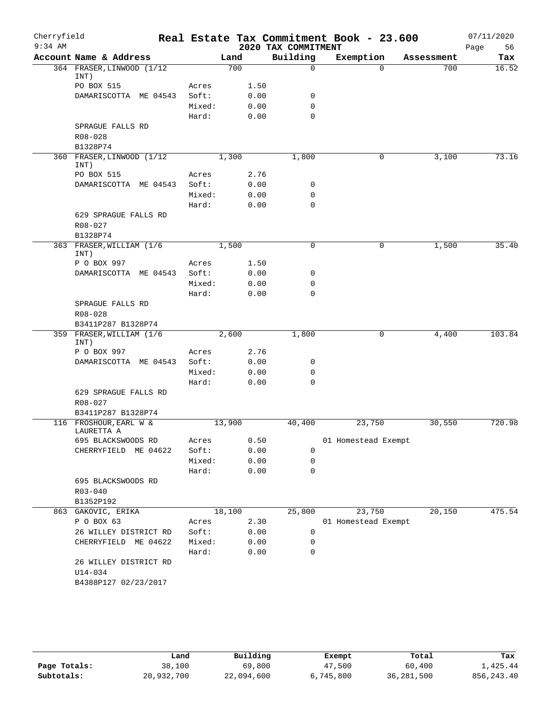| Cherryfield |                                   |                 |              |                     | Real Estate Tax Commitment Book - 23.600 |            | 07/11/2020 |
|-------------|-----------------------------------|-----------------|--------------|---------------------|------------------------------------------|------------|------------|
| $9:34$ AM   |                                   |                 |              | 2020 TAX COMMITMENT |                                          |            | 56<br>Page |
|             | Account Name & Address            |                 | Land         | Building            | Exemption                                | Assessment | Tax        |
|             | 364 FRASER, LINWOOD (1/12<br>INT) |                 | 700          | $\mathbf 0$         | $\Omega$                                 | 700        | 16.52      |
|             | PO BOX 515                        | Acres           | 1.50         |                     |                                          |            |            |
|             | DAMARISCOTTA ME 04543             | Soft:           | 0.00         | $\mathbf 0$         |                                          |            |            |
|             |                                   | Mixed:          | 0.00         | $\mathbf 0$         |                                          |            |            |
|             |                                   | Hard:           | 0.00         | $\mathbf 0$         |                                          |            |            |
|             | SPRAGUE FALLS RD                  |                 |              |                     |                                          |            |            |
|             | R08-028                           |                 |              |                     |                                          |            |            |
|             | B1328P74                          |                 |              |                     |                                          |            |            |
|             | 360 FRASER, LINWOOD (1/12         |                 | 1,300        | 1,800               | $\mathbf 0$                              | 3,100      | 73.16      |
|             | INT)                              |                 |              |                     |                                          |            |            |
|             | PO BOX 515                        | Acres           | 2.76         |                     |                                          |            |            |
|             | DAMARISCOTTA ME 04543             | Soft:<br>Mixed: | 0.00<br>0.00 | 0<br>0              |                                          |            |            |
|             |                                   | Hard:           |              | $\mathbf 0$         |                                          |            |            |
|             | 629 SPRAGUE FALLS RD              |                 | 0.00         |                     |                                          |            |            |
|             | $R08 - 027$                       |                 |              |                     |                                          |            |            |
|             | B1328P74                          |                 |              |                     |                                          |            |            |
|             | 363 FRASER, WILLIAM (1/6          |                 | 1,500        | $\mathbf 0$         | 0                                        | 1,500      | 35.40      |
|             | INT)                              |                 |              |                     |                                          |            |            |
|             | P O BOX 997                       | Acres           | 1.50         |                     |                                          |            |            |
|             | DAMARISCOTTA ME 04543             | Soft:           | 0.00         | 0                   |                                          |            |            |
|             |                                   | Mixed:          | 0.00         | $\mathbf 0$         |                                          |            |            |
|             |                                   | Hard:           | 0.00         | $\mathbf 0$         |                                          |            |            |
|             | SPRAGUE FALLS RD                  |                 |              |                     |                                          |            |            |
|             | R08-028                           |                 |              |                     |                                          |            |            |
|             | B3411P287 B1328P74                |                 |              |                     |                                          |            |            |
|             | 359 FRASER, WILLIAM (1/6          |                 | 2,600        | 1,800               | 0                                        | 4,400      | 103.84     |
|             | INT)<br>P O BOX 997               | Acres           | 2.76         |                     |                                          |            |            |
|             | DAMARISCOTTA ME 04543             | Soft:           | 0.00         | 0                   |                                          |            |            |
|             |                                   | Mixed:          | 0.00         | $\mathbf 0$         |                                          |            |            |
|             |                                   | Hard:           | 0.00         | $\Omega$            |                                          |            |            |
|             | 629 SPRAGUE FALLS RD              |                 |              |                     |                                          |            |            |
|             | $R08 - 027$                       |                 |              |                     |                                          |            |            |
|             | B3411P287 B1328P74                |                 |              |                     |                                          |            |            |
|             | 116 FROSHOUR, EARL W &            |                 | 13,900       | 40,400              | 23,750                                   | 30,550     | 720.98     |
|             | LAURETTA A                        |                 |              |                     |                                          |            |            |
|             | 695 BLACKSWOODS RD                | Acres           | 0.50         |                     | 01 Homestead Exempt                      |            |            |
|             | CHERRYFIELD ME 04622              | Soft:           | 0.00         | 0                   |                                          |            |            |
|             |                                   | Mixed:          | 0.00         | 0                   |                                          |            |            |
|             |                                   | Hard:           | 0.00         | $\mathbf 0$         |                                          |            |            |
|             | 695 BLACKSWOODS RD                |                 |              |                     |                                          |            |            |
|             | $R03 - 040$                       |                 |              |                     |                                          |            |            |
|             | B1352P192                         |                 |              |                     |                                          |            |            |
| 863         | GAKOVIC, ERIKA<br>P O BOX 63      |                 | 18,100       | 25,800              | 23,750                                   | 20,150     | 475.54     |
|             | 26 WILLEY DISTRICT RD             | Acres<br>Soft:  | 2.30<br>0.00 | 0                   | 01 Homestead Exempt                      |            |            |
|             | CHERRYFIELD ME 04622              | Mixed:          | 0.00         | 0                   |                                          |            |            |
|             |                                   | Hard:           | 0.00         | 0                   |                                          |            |            |
|             | 26 WILLEY DISTRICT RD             |                 |              |                     |                                          |            |            |
|             | $U14 - 034$                       |                 |              |                     |                                          |            |            |
|             | B4388P127 02/23/2017              |                 |              |                     |                                          |            |            |
|             |                                   |                 |              |                     |                                          |            |            |
|             |                                   |                 |              |                     |                                          |            |            |

|              | Land       | Building   | Exempt    | Total        | Tax          |
|--------------|------------|------------|-----------|--------------|--------------|
| Page Totals: | 38,100     | 69,800     | 47,500    | 60,400       | 1,425.44     |
| Subtotals:   | 20,932,700 | 22,094,600 | 6,745,800 | 36, 281, 500 | 856, 243, 40 |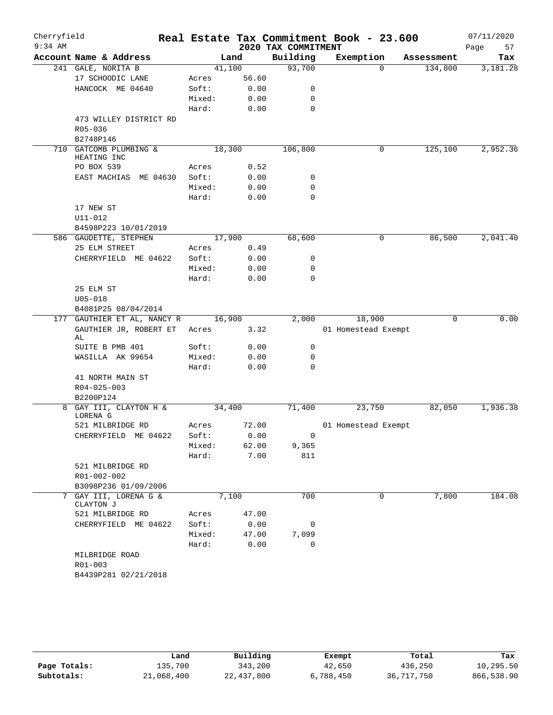| Cherryfield<br>$9:34$ AM |                                          |                |               | 2020 TAX COMMITMENT | Real Estate Tax Commitment Book - 23.600 |            | 07/11/2020<br>Page<br>57 |
|--------------------------|------------------------------------------|----------------|---------------|---------------------|------------------------------------------|------------|--------------------------|
|                          | Account Name & Address                   | Land           |               | Building            | Exemption                                | Assessment | Tax                      |
|                          | 241 GALE, NORITA B                       | 41,100         |               | 93,700              | $\Omega$                                 | 134,800    | 3,181.28                 |
|                          | 17 SCHOODIC LANE                         | Acres          | 56.60         |                     |                                          |            |                          |
|                          | HANCOCK ME 04640                         | Soft:          | 0.00          | 0                   |                                          |            |                          |
|                          |                                          | Mixed:         | 0.00          | 0                   |                                          |            |                          |
|                          |                                          | Hard:          | 0.00          | 0                   |                                          |            |                          |
|                          | 473 WILLEY DISTRICT RD                   |                |               |                     |                                          |            |                          |
|                          | R05-036                                  |                |               |                     |                                          |            |                          |
|                          | B2748P146                                |                |               |                     |                                          |            |                          |
| 710                      | GATCOMB PLUMBING &                       | 18,300         |               | 106,800             | 0                                        | 125,100    | 2,952.36                 |
|                          | HEATING INC                              |                |               |                     |                                          |            |                          |
|                          | PO BOX 539                               | Acres          | 0.52          |                     |                                          |            |                          |
|                          | EAST MACHIAS ME 04630                    | Soft:          | 0.00          | 0                   |                                          |            |                          |
|                          |                                          | Mixed:         | 0.00          | 0                   |                                          |            |                          |
|                          |                                          | Hard:          | 0.00          | $\mathbf 0$         |                                          |            |                          |
|                          | 17 NEW ST                                |                |               |                     |                                          |            |                          |
|                          | U11-012                                  |                |               |                     |                                          |            |                          |
|                          | B4598P223 10/01/2019                     |                |               |                     |                                          |            |                          |
|                          | 586 GAUDETTE, STEPHEN                    | 17,900         |               | 68,600              | 0                                        | 86,500     | 2,041.40                 |
|                          | 25 ELM STREET                            | Acres          | 0.49          |                     |                                          |            |                          |
|                          | CHERRYFIELD ME 04622                     | Soft:          | 0.00          | 0                   |                                          |            |                          |
|                          |                                          | Mixed:         | 0.00          | 0<br>0              |                                          |            |                          |
|                          | 25 ELM ST                                | Hard:          | 0.00          |                     |                                          |            |                          |
|                          | $U05 - 018$                              |                |               |                     |                                          |            |                          |
|                          | B4081P25 08/04/2014                      |                |               |                     |                                          |            |                          |
|                          | 177 GAUTHIER ET AL, NANCY R              | 16,900         |               | 2,000               | 18,900                                   | $\Omega$   | 0.00                     |
|                          | GAUTHIER JR, ROBERT ET                   | Acres          | 3.32          |                     | 01 Homestead Exempt                      |            |                          |
|                          | AL                                       |                |               |                     |                                          |            |                          |
|                          | SUITE B PMB 401                          | Soft:          | 0.00          | 0                   |                                          |            |                          |
|                          | WASILLA AK 99654                         | Mixed:         | 0.00          | 0                   |                                          |            |                          |
|                          |                                          | Hard:          | 0.00          | 0                   |                                          |            |                          |
|                          | 41 NORTH MAIN ST                         |                |               |                     |                                          |            |                          |
|                          | $R04 - 025 - 003$                        |                |               |                     |                                          |            |                          |
|                          | B2200P124                                |                |               |                     |                                          |            |                          |
| 8                        | GAY III, CLAYTON H &                     | 34,400         |               | 71,400              | 23,750                                   | 82,050     | 1,936.38                 |
|                          | LORENA G                                 |                |               |                     | 01 Homestead Exempt                      |            |                          |
|                          | 521 MILBRIDGE RD<br>CHERRYFIELD ME 04622 | Acres<br>Soft: | 72.00<br>0.00 | 0                   |                                          |            |                          |
|                          |                                          | Mixed:         | 62.00         | 9,365               |                                          |            |                          |
|                          |                                          | Hard:          | 7.00          | 811                 |                                          |            |                          |
|                          | 521 MILBRIDGE RD                         |                |               |                     |                                          |            |                          |
|                          | R01-002-002                              |                |               |                     |                                          |            |                          |
|                          | B3098P236 01/09/2006                     |                |               |                     |                                          |            |                          |
| 7                        | GAY III, LORENA G &                      | 7,100          |               | 700                 | 0                                        | 7,800      | 184.08                   |
|                          | CLAYTON J                                |                |               |                     |                                          |            |                          |
|                          | 521 MILBRIDGE RD                         | Acres          | 47.00         |                     |                                          |            |                          |
|                          | CHERRYFIELD ME 04622                     | Soft:          | 0.00          | 0                   |                                          |            |                          |
|                          |                                          | Mixed:         | 47.00         | 7,099               |                                          |            |                          |
|                          |                                          | Hard:          | 0.00          | 0                   |                                          |            |                          |
|                          | MILBRIDGE ROAD                           |                |               |                     |                                          |            |                          |
|                          | R01-003                                  |                |               |                     |                                          |            |                          |
|                          | B4439P281 02/21/2018                     |                |               |                     |                                          |            |                          |
|                          |                                          |                |               |                     |                                          |            |                          |

|              | Land       | Building   | Exempt    | Total      | Tax        |
|--------------|------------|------------|-----------|------------|------------|
| Page Totals: | 135,700    | 343,200    | 42,650    | 436,250    | 10,295.50  |
| Subtotals:   | 21,068,400 | 22,437,800 | 6,788,450 | 36,717,750 | 866,538.90 |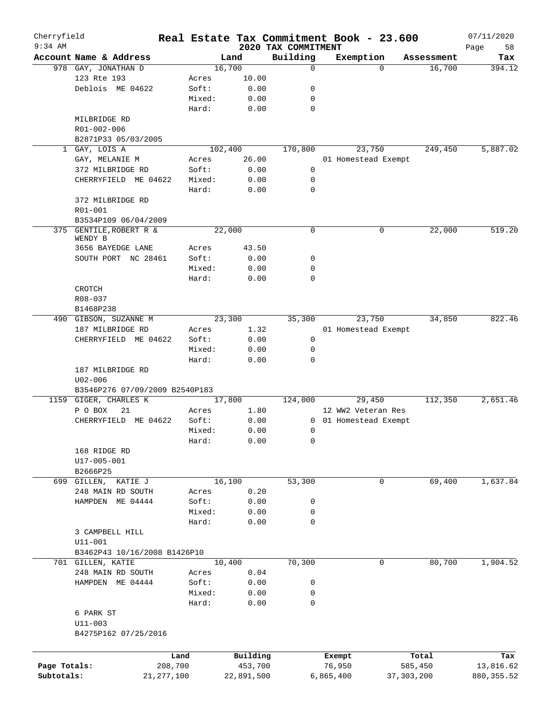| Cherryfield<br>$9:34$ AM |                                    |              |         |            |                                 | Real Estate Tax Commitment Book - 23.600 |              |            | 07/11/2020        |
|--------------------------|------------------------------------|--------------|---------|------------|---------------------------------|------------------------------------------|--------------|------------|-------------------|
|                          | Account Name & Address             |              | Land    |            | 2020 TAX COMMITMENT<br>Building | Exemption                                |              | Assessment | 58<br>Page<br>Tax |
|                          | 978 GAY, JONATHAN D                |              | 16,700  |            | 0                               | $\Omega$                                 |              | 16,700     | 394.12            |
|                          | 123 Rte 193                        |              | Acres   | 10.00      |                                 |                                          |              |            |                   |
|                          | Deblois ME 04622                   |              | Soft:   | 0.00       | 0                               |                                          |              |            |                   |
|                          |                                    |              | Mixed:  | 0.00       | 0                               |                                          |              |            |                   |
|                          |                                    |              | Hard:   | 0.00       | 0                               |                                          |              |            |                   |
|                          | MILBRIDGE RD                       |              |         |            |                                 |                                          |              |            |                   |
|                          |                                    |              |         |            |                                 |                                          |              |            |                   |
|                          | R01-002-006<br>B2871P33 05/03/2005 |              |         |            |                                 |                                          |              |            |                   |
|                          | GAY, LOIS A                        |              | 102,400 |            |                                 | 23,750                                   |              | 249,450    | 5,887.02          |
| $\mathbf{1}$             |                                    |              |         |            | 170,800                         |                                          |              |            |                   |
|                          | GAY, MELANIE M                     |              | Acres   | 26.00      |                                 | 01 Homestead Exempt                      |              |            |                   |
|                          | 372 MILBRIDGE RD                   |              | Soft:   | 0.00       | 0                               |                                          |              |            |                   |
|                          | CHERRYFIELD ME 04622               |              | Mixed:  | 0.00       | 0                               |                                          |              |            |                   |
|                          |                                    |              | Hard:   | 0.00       | 0                               |                                          |              |            |                   |
|                          | 372 MILBRIDGE RD                   |              |         |            |                                 |                                          |              |            |                   |
|                          | R01-001                            |              |         |            |                                 |                                          |              |            |                   |
|                          | B3534P109 06/04/2009               |              |         |            |                                 |                                          |              |            |                   |
|                          | 375 GENTILE, ROBERT R &            |              | 22,000  |            | $\mathbf 0$                     |                                          | 0            | 22,000     | 519.20            |
|                          | WENDY B<br>3656 BAYEDGE LANE       |              | Acres   | 43.50      |                                 |                                          |              |            |                   |
|                          |                                    |              |         |            |                                 |                                          |              |            |                   |
|                          | SOUTH PORT NC 28461                |              | Soft:   | 0.00       | 0                               |                                          |              |            |                   |
|                          |                                    |              | Mixed:  | 0.00       | 0                               |                                          |              |            |                   |
|                          |                                    |              | Hard:   | 0.00       | 0                               |                                          |              |            |                   |
|                          | CROTCH                             |              |         |            |                                 |                                          |              |            |                   |
|                          | R08-037                            |              |         |            |                                 |                                          |              |            |                   |
|                          | B1468P238                          |              |         |            |                                 |                                          |              |            |                   |
|                          | 490 GIBSON, SUZANNE M              |              | 23,300  |            | 35,300                          | 23,750                                   |              | 34,850     | 822.46            |
|                          | 187 MILBRIDGE RD                   |              | Acres   | 1.32       |                                 | 01 Homestead Exempt                      |              |            |                   |
|                          | CHERRYFIELD ME 04622               |              | Soft:   | 0.00       | $\mathbf 0$                     |                                          |              |            |                   |
|                          |                                    |              | Mixed:  | 0.00       | 0                               |                                          |              |            |                   |
|                          |                                    |              | Hard:   | 0.00       | 0                               |                                          |              |            |                   |
|                          | 187 MILBRIDGE RD                   |              |         |            |                                 |                                          |              |            |                   |
|                          | $U02 - 006$                        |              |         |            |                                 |                                          |              |            |                   |
|                          | B3546P276 07/09/2009 B2540P183     |              |         |            |                                 |                                          |              |            |                   |
|                          | 1159 GIGER, CHARLES K              |              | 17,800  |            | 124,000                         | 29,450                                   |              | 112,350    | 2,651.46          |
|                          | P O BOX<br>21                      |              | Acres   | 1.80       |                                 | 12 WW2 Veteran Res                       |              |            |                   |
|                          | CHERRYFIELD ME 04622               |              | Soft:   | 0.00       |                                 | 0 01 Homestead Exempt                    |              |            |                   |
|                          |                                    |              | Mixed:  | 0.00       | 0                               |                                          |              |            |                   |
|                          |                                    |              | Hard:   | 0.00       | 0                               |                                          |              |            |                   |
|                          | 168 RIDGE RD                       |              |         |            |                                 |                                          |              |            |                   |
|                          | U17-005-001                        |              |         |            |                                 |                                          |              |            |                   |
|                          | B2666P25                           |              |         |            |                                 |                                          |              |            |                   |
| 699                      | GILLEN,<br>KATIE J                 |              | 16,100  |            | 53,300                          | 0                                        |              | 69,400     | 1,637.84          |
|                          | 248 MAIN RD SOUTH                  |              | Acres   | 0.20       |                                 |                                          |              |            |                   |
|                          | HAMPDEN<br>ME 04444                |              | Soft:   | 0.00       | 0                               |                                          |              |            |                   |
|                          |                                    |              | Mixed:  | 0.00       | 0                               |                                          |              |            |                   |
|                          |                                    |              | Hard:   | 0.00       | 0                               |                                          |              |            |                   |
|                          | 3 CAMPBELL HILL                    |              |         |            |                                 |                                          |              |            |                   |
|                          | $U11 - 001$                        |              |         |            |                                 |                                          |              |            |                   |
|                          | B3462P43 10/16/2008 B1426P10       |              |         |            |                                 |                                          |              |            |                   |
|                          | 701 GILLEN, KATIE                  |              | 10,400  |            | 70,300                          | 0                                        |              | 80,700     | 1,904.52          |
|                          | 248 MAIN RD SOUTH                  |              | Acres   | 0.04       |                                 |                                          |              |            |                   |
|                          | HAMPDEN ME 04444                   |              | Soft:   | 0.00       | 0                               |                                          |              |            |                   |
|                          |                                    |              | Mixed:  | 0.00       | 0                               |                                          |              |            |                   |
|                          |                                    |              | Hard:   | 0.00       | 0                               |                                          |              |            |                   |
|                          | 6 PARK ST                          |              |         |            |                                 |                                          |              |            |                   |
|                          | $U11 - 003$                        |              |         |            |                                 |                                          |              |            |                   |
|                          | B4275P162 07/25/2016               |              |         |            |                                 |                                          |              |            |                   |
|                          |                                    |              |         |            |                                 |                                          |              |            |                   |
|                          |                                    | Land         |         | Building   |                                 | Exempt                                   |              | Total      | Tax               |
| Page Totals:             |                                    | 208,700      |         | 453,700    |                                 | 76,950                                   |              | 585,450    | 13,816.62         |
| Subtotals:               |                                    | 21, 277, 100 |         | 22,891,500 |                                 | 6,865,400                                | 37, 303, 200 |            | 880, 355.52       |
|                          |                                    |              |         |            |                                 |                                          |              |            |                   |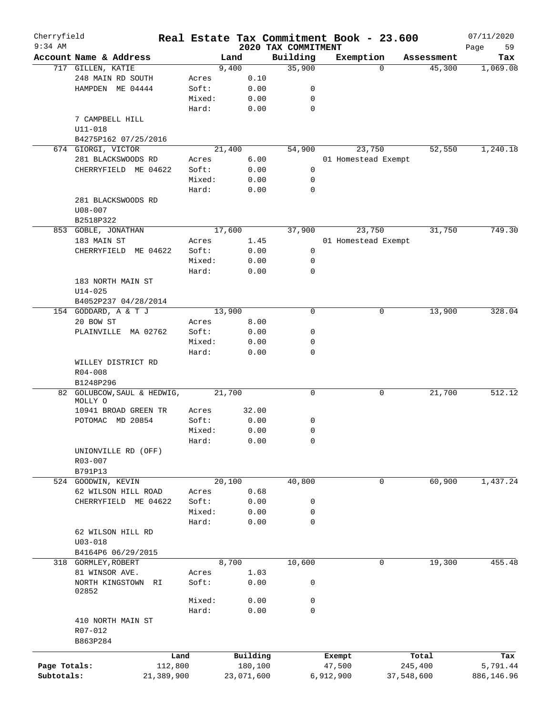| Cherryfield  |                             |        |            |                                 | Real Estate Tax Commitment Book - 23.600 |            | 07/11/2020        |
|--------------|-----------------------------|--------|------------|---------------------------------|------------------------------------------|------------|-------------------|
| $9:34$ AM    | Account Name & Address      |        | Land       | 2020 TAX COMMITMENT<br>Building | Exemption                                | Assessment | Page<br>59<br>Tax |
|              | 717 GILLEN, KATIE           |        | 9,400      | 35,900                          | $\Omega$                                 | 45,300     | 1,069.08          |
|              | 248 MAIN RD SOUTH           | Acres  | 0.10       |                                 |                                          |            |                   |
|              | HAMPDEN ME 04444            | Soft:  | 0.00       | 0                               |                                          |            |                   |
|              |                             | Mixed: | 0.00       | 0                               |                                          |            |                   |
|              |                             | Hard:  | 0.00       | $\mathbf 0$                     |                                          |            |                   |
|              | 7 CAMPBELL HILL             |        |            |                                 |                                          |            |                   |
|              | U11-018                     |        |            |                                 |                                          |            |                   |
|              |                             |        |            |                                 |                                          |            |                   |
|              | B4275P162 07/25/2016        |        |            |                                 |                                          |            |                   |
|              | 674 GIORGI, VICTOR          |        | 21,400     | 54,900                          | 23,750                                   | 52,550     | 1,240.18          |
|              | 281 BLACKSWOODS RD          | Acres  | 6.00       |                                 | 01 Homestead Exempt                      |            |                   |
|              | CHERRYFIELD ME 04622        | Soft:  | 0.00       | 0                               |                                          |            |                   |
|              |                             | Mixed: | 0.00       | 0                               |                                          |            |                   |
|              |                             | Hard:  | 0.00       | 0                               |                                          |            |                   |
|              | 281 BLACKSWOODS RD          |        |            |                                 |                                          |            |                   |
|              | $U08 - 007$                 |        |            |                                 |                                          |            |                   |
|              | B2518P322                   |        |            |                                 |                                          |            |                   |
|              | 853 GOBLE, JONATHAN         |        | 17,600     | 37,900                          | 23,750                                   | 31,750     | 749.30            |
|              | 183 MAIN ST                 | Acres  | 1.45       |                                 | 01 Homestead Exempt                      |            |                   |
|              | CHERRYFIELD<br>ME 04622     | Soft:  | 0.00       | 0                               |                                          |            |                   |
|              |                             | Mixed: | 0.00       | 0                               |                                          |            |                   |
|              |                             | Hard:  | 0.00       | 0                               |                                          |            |                   |
|              | 183 NORTH MAIN ST           |        |            |                                 |                                          |            |                   |
|              | $U14 - 025$                 |        |            |                                 |                                          |            |                   |
|              | B4052P237 04/28/2014        |        |            |                                 |                                          |            |                   |
|              |                             |        | 13,900     | $\mathbf 0$                     | 0                                        | 13,900     | 328.04            |
|              | 154 GODDARD, A & T J        |        |            |                                 |                                          |            |                   |
|              | 20 BOW ST                   | Acres  | 8.00       |                                 |                                          |            |                   |
|              | PLAINVILLE MA 02762         | Soft:  | 0.00       | 0                               |                                          |            |                   |
|              |                             | Mixed: | 0.00       | 0                               |                                          |            |                   |
|              |                             | Hard:  | 0.00       | $\mathbf 0$                     |                                          |            |                   |
|              | WILLEY DISTRICT RD          |        |            |                                 |                                          |            |                   |
|              | $R04 - 008$                 |        |            |                                 |                                          |            |                   |
|              | B1248P296                   |        |            |                                 |                                          |            |                   |
|              | 82 GOLUBCOW, SAUL & HEDWIG, |        | 21,700     | 0                               | 0                                        | 21,700     | 512.12            |
|              | MOLLY O                     |        |            |                                 |                                          |            |                   |
|              | 10941 BROAD GREEN TR        | Acres  | 32.00      |                                 |                                          |            |                   |
|              | POTOMAC MD 20854            | Soft:  | 0.00       | 0                               |                                          |            |                   |
|              |                             | Mixed: | 0.00       | $\mathbf 0$                     |                                          |            |                   |
|              |                             | Hard:  | 0.00       | 0                               |                                          |            |                   |
|              | UNIONVILLE RD (OFF)         |        |            |                                 |                                          |            |                   |
|              | R03-007                     |        |            |                                 |                                          |            |                   |
|              | B791P13                     |        |            |                                 |                                          |            |                   |
|              | 524 GOODWIN, KEVIN          |        | 20,100     | 40,800                          | 0                                        | 60,900     | 1,437.24          |
|              | 62 WILSON HILL ROAD         | Acres  | 0.68       |                                 |                                          |            |                   |
|              | CHERRYFIELD ME 04622        | Soft:  | 0.00       | 0                               |                                          |            |                   |
|              |                             | Mixed: | 0.00       | 0                               |                                          |            |                   |
|              |                             | Hard:  | 0.00       | 0                               |                                          |            |                   |
|              | 62 WILSON HILL RD           |        |            |                                 |                                          |            |                   |
|              | $U03 - 018$                 |        |            |                                 |                                          |            |                   |
|              |                             |        |            |                                 |                                          |            |                   |
|              | B4164P6 06/29/2015          |        |            |                                 |                                          |            |                   |
|              | 318 GORMLEY, ROBERT         |        | 8,700      | 10,600                          | 0                                        | 19,300     | 455.48            |
|              | 81 WINSOR AVE.              | Acres  | 1.03       |                                 |                                          |            |                   |
|              | NORTH KINGSTOWN<br>RI       | Soft:  | 0.00       | 0                               |                                          |            |                   |
|              | 02852                       |        |            |                                 |                                          |            |                   |
|              |                             | Mixed: | 0.00       | 0                               |                                          |            |                   |
|              |                             | Hard:  | 0.00       | $\mathbf 0$                     |                                          |            |                   |
|              | 410 NORTH MAIN ST           |        |            |                                 |                                          |            |                   |
|              | R07-012                     |        |            |                                 |                                          |            |                   |
|              | B863P284                    |        |            |                                 |                                          |            |                   |
|              |                             | Land   | Building   |                                 | Exempt                                   | Total      | Tax               |
| Page Totals: | 112,800                     |        | 180,100    |                                 | 47,500                                   | 245,400    | 5,791.44          |
| Subtotals:   | 21,389,900                  |        | 23,071,600 |                                 | 6,912,900                                | 37,548,600 | 886,146.96        |
|              |                             |        |            |                                 |                                          |            |                   |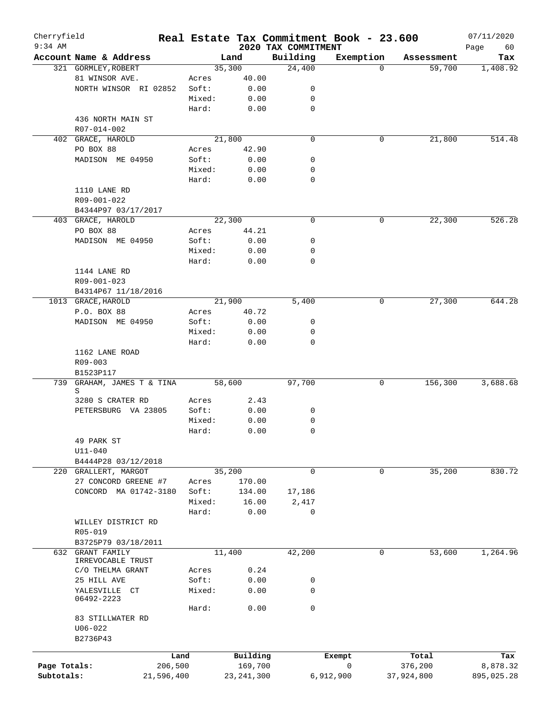| Cherryfield<br>$9:34$ AM |                                            |            |        |              |                                 | Real Estate Tax Commitment Book - 23.600 |            | 07/11/2020        |
|--------------------------|--------------------------------------------|------------|--------|--------------|---------------------------------|------------------------------------------|------------|-------------------|
|                          | Account Name & Address                     |            |        | Land         | 2020 TAX COMMITMENT<br>Building | Exemption                                | Assessment | Page<br>60<br>Tax |
|                          | 321 GORMLEY, ROBERT                        |            |        | 35,300       | 24,400                          | $\Omega$                                 | 59,700     | 1,408.92          |
|                          | 81 WINSOR AVE.                             |            | Acres  | 40.00        |                                 |                                          |            |                   |
|                          | NORTH WINSOR RI 02852                      |            | Soft:  | 0.00         | 0                               |                                          |            |                   |
|                          |                                            |            | Mixed: | 0.00         | 0                               |                                          |            |                   |
|                          |                                            |            | Hard:  | 0.00         | 0                               |                                          |            |                   |
|                          | 436 NORTH MAIN ST                          |            |        |              |                                 |                                          |            |                   |
|                          | R07-014-002                                |            |        |              |                                 |                                          |            |                   |
|                          | 402 GRACE, HAROLD                          |            |        | 21,800       | $\mathbf 0$                     | 0                                        | 21,800     | 514.48            |
|                          | PO BOX 88                                  |            | Acres  | 42.90        |                                 |                                          |            |                   |
|                          | MADISON ME 04950                           |            | Soft:  | 0.00         | 0                               |                                          |            |                   |
|                          |                                            |            | Mixed: | 0.00         | 0                               |                                          |            |                   |
|                          |                                            |            | Hard:  | 0.00         | $\mathbf 0$                     |                                          |            |                   |
|                          | 1110 LANE RD                               |            |        |              |                                 |                                          |            |                   |
|                          | R09-001-022                                |            |        |              |                                 |                                          |            |                   |
|                          | B4344P97 03/17/2017                        |            |        |              |                                 |                                          |            |                   |
|                          | 403 GRACE, HAROLD                          |            |        | 22,300       | $\mathbf 0$                     | 0                                        | 22,300     | 526.28            |
|                          | PO BOX 88                                  |            | Acres  | 44.21        |                                 |                                          |            |                   |
|                          | MADISON ME 04950                           |            | Soft:  | 0.00         | 0                               |                                          |            |                   |
|                          |                                            |            | Mixed: | 0.00         | 0                               |                                          |            |                   |
|                          |                                            |            | Hard:  | 0.00         | $\mathbf 0$                     |                                          |            |                   |
|                          | 1144 LANE RD                               |            |        |              |                                 |                                          |            |                   |
|                          | R09-001-023                                |            |        |              |                                 |                                          |            |                   |
|                          | B4314P67 11/18/2016                        |            |        |              |                                 |                                          |            |                   |
|                          | 1013 GRACE, HAROLD                         |            |        | 21,900       | 5,400                           | 0                                        | 27,300     | 644.28            |
|                          | P.O. BOX 88                                |            | Acres  | 40.72        |                                 |                                          |            |                   |
|                          | MADISON ME 04950                           |            | Soft:  | 0.00         | 0                               |                                          |            |                   |
|                          |                                            |            | Mixed: | 0.00         | 0                               |                                          |            |                   |
|                          |                                            |            | Hard:  | 0.00         | $\mathbf 0$                     |                                          |            |                   |
|                          | 1162 LANE ROAD                             |            |        |              |                                 |                                          |            |                   |
|                          | R09-003                                    |            |        |              |                                 |                                          |            |                   |
|                          | B1523P117                                  |            |        |              |                                 |                                          |            |                   |
| 739                      | GRAHAM, JAMES T & TINA                     |            |        | 58,600       | 97,700                          | 0                                        | 156,300    | 3,688.68          |
|                          | S                                          |            |        |              |                                 |                                          |            |                   |
|                          | 3280 S CRATER RD                           |            | Acres  | 2.43         |                                 |                                          |            |                   |
|                          | PETERSBURG VA 23805                        |            | Soft:  | 0.00         | 0                               |                                          |            |                   |
|                          |                                            |            | Mixed: | 0.00         | 0                               |                                          |            |                   |
|                          |                                            |            | Hard:  | 0.00         | $\mathbf 0$                     |                                          |            |                   |
|                          | 49 PARK ST                                 |            |        |              |                                 |                                          |            |                   |
|                          | $U11 - 040$                                |            |        |              |                                 |                                          |            |                   |
|                          | B4444P28 03/12/2018                        |            |        |              |                                 |                                          |            |                   |
|                          | 220 GRALLERT, MARGOT                       |            |        | 35,200       | 0                               | 0                                        | 35,200     | 830.72            |
|                          | 27 CONCORD GREENE #7                       |            | Acres  | 170.00       |                                 |                                          |            |                   |
|                          | CONCORD MA 01742-3180                      |            | Soft:  | 134.00       | 17,186                          |                                          |            |                   |
|                          |                                            |            | Mixed: | 16.00        | 2,417                           |                                          |            |                   |
|                          |                                            |            | Hard:  | 0.00         | $\mathbf 0$                     |                                          |            |                   |
|                          | WILLEY DISTRICT RD                         |            |        |              |                                 |                                          |            |                   |
|                          | R05-019                                    |            |        |              |                                 |                                          |            |                   |
|                          | B3725P79 03/18/2011<br><b>GRANT FAMILY</b> |            |        |              |                                 |                                          |            |                   |
| 632                      | IRREVOCABLE TRUST                          |            |        | 11,400       | 42,200                          | 0                                        | 53,600     | 1,264.96          |
|                          | C/O THELMA GRANT                           |            | Acres  | 0.24         |                                 |                                          |            |                   |
|                          | 25 HILL AVE                                |            | Soft:  | 0.00         | 0                               |                                          |            |                   |
|                          | YALESVILLE CT                              |            | Mixed: | 0.00         | $\mathbf 0$                     |                                          |            |                   |
|                          | 06492-2223                                 |            |        |              |                                 |                                          |            |                   |
|                          |                                            |            | Hard:  | 0.00         | $\mathbf 0$                     |                                          |            |                   |
|                          | 83 STILLWATER RD                           |            |        |              |                                 |                                          |            |                   |
|                          | $U06 - 022$                                |            |        |              |                                 |                                          |            |                   |
|                          | B2736P43                                   |            |        |              |                                 |                                          |            |                   |
|                          |                                            |            |        |              |                                 |                                          |            |                   |
|                          |                                            | Land       |        | Building     |                                 | Exempt                                   | Total      | Tax               |
| Page Totals:             |                                            | 206,500    |        | 169,700      |                                 | 0                                        | 376,200    | 8,878.32          |
| Subtotals:               |                                            | 21,596,400 |        | 23, 241, 300 |                                 | 6,912,900                                | 37,924,800 | 895,025.28        |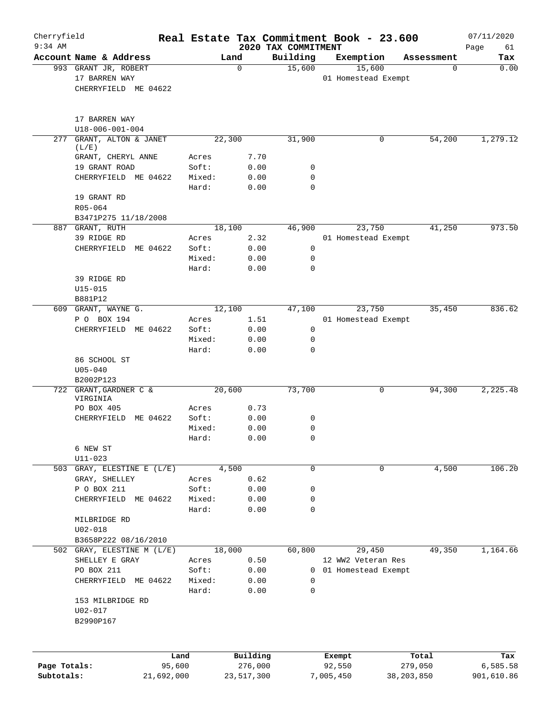| Cherryfield<br>$9:34$ AM |                                     |                 |              | 2020 TAX COMMITMENT | Real Estate Tax Commitment Book - 23.600 |            | 07/11/2020<br>Page<br>61 |
|--------------------------|-------------------------------------|-----------------|--------------|---------------------|------------------------------------------|------------|--------------------------|
|                          | Account Name & Address              |                 | Land         | Building            | Exemption                                | Assessment | Tax                      |
|                          | 993 GRANT JR, ROBERT                |                 | $\mathbf 0$  | 15,600              | 15,600                                   | 0          | 0.00                     |
|                          | 17 BARREN WAY                       |                 |              |                     | 01 Homestead Exempt                      |            |                          |
|                          | CHERRYFIELD ME 04622                |                 |              |                     |                                          |            |                          |
|                          | 17 BARREN WAY                       |                 |              |                     |                                          |            |                          |
|                          | U18-006-001-004                     |                 |              |                     |                                          |            |                          |
| 277                      | GRANT, ALTON & JANET                |                 | 22,300       | 31,900              | 0                                        | 54,200     | 1,279.12                 |
|                          | (L/E)                               |                 |              |                     |                                          |            |                          |
|                          | GRANT, CHERYL ANNE                  | Acres           | 7.70         |                     |                                          |            |                          |
|                          | 19 GRANT ROAD                       | Soft:           | 0.00         | 0                   |                                          |            |                          |
|                          | CHERRYFIELD ME 04622                | Mixed:          | 0.00         | 0                   |                                          |            |                          |
|                          |                                     | Hard:           | 0.00         | 0                   |                                          |            |                          |
|                          | 19 GRANT RD                         |                 |              |                     |                                          |            |                          |
|                          | R05-064                             |                 |              |                     |                                          |            |                          |
|                          | B3471P275 11/18/2008                |                 |              |                     |                                          |            |                          |
|                          | 887 GRANT, RUTH                     |                 | 18,100       | 46,900              | 23,750                                   | 41,250     | 973.50                   |
|                          | 39 RIDGE RD                         | Acres           | 2.32         |                     | 01 Homestead Exempt                      |            |                          |
|                          | CHERRYFIELD ME 04622                | Soft:           | 0.00         | 0                   |                                          |            |                          |
|                          |                                     | Mixed:          | 0.00         | 0                   |                                          |            |                          |
|                          |                                     | Hard:           | 0.00         | 0                   |                                          |            |                          |
|                          | 39 RIDGE RD                         |                 |              |                     |                                          |            |                          |
|                          | $U15 - 015$                         |                 |              |                     |                                          |            |                          |
|                          | B881P12                             |                 |              |                     |                                          |            |                          |
|                          | 609 GRANT, WAYNE G.                 |                 | 12,100       | 47,100              | 23,750                                   | 35,450     | 836.62                   |
|                          | P O BOX 194<br>CHERRYFIELD ME 04622 | Acres<br>Soft:  | 1.51<br>0.00 | 0                   | 01 Homestead Exempt                      |            |                          |
|                          |                                     | Mixed:          | 0.00         | 0                   |                                          |            |                          |
|                          |                                     | Hard:           | 0.00         | 0                   |                                          |            |                          |
|                          | 86 SCHOOL ST                        |                 |              |                     |                                          |            |                          |
|                          | $U05 - 040$                         |                 |              |                     |                                          |            |                          |
|                          | B2002P123                           |                 |              |                     |                                          |            |                          |
|                          | 722 GRANT, GARDNER C &              |                 | 20,600       | 73,700              | 0                                        | 94,300     | 2, 225.48                |
|                          | VIRGINIA                            |                 |              |                     |                                          |            |                          |
|                          | PO BOX 405                          | Acres           | 0.73         |                     |                                          |            |                          |
|                          | ME 04622<br>CHERRYFIELD             | Soft:           | 0.00         | 0                   |                                          |            |                          |
|                          |                                     | Mixed:          | 0.00         | 0                   |                                          |            |                          |
|                          |                                     | Hard:           | 0.00         | $\Omega$            |                                          |            |                          |
|                          | 6 NEW ST                            |                 |              |                     |                                          |            |                          |
|                          | $U11 - 023$                         |                 |              |                     |                                          |            |                          |
| 503                      | GRAY, ELESTINE E (L/E)              |                 | 4,500        | $\mathbf 0$         | 0                                        | 4,500      | 106.20                   |
|                          | GRAY, SHELLEY                       | Acres           | 0.62         |                     |                                          |            |                          |
|                          | P O BOX 211<br>CHERRYFIELD ME 04622 | Soft:<br>Mixed: | 0.00<br>0.00 | 0<br>0              |                                          |            |                          |
|                          |                                     | Hard:           | 0.00         | 0                   |                                          |            |                          |
|                          | MILBRIDGE RD                        |                 |              |                     |                                          |            |                          |
|                          | $U02 - 018$                         |                 |              |                     |                                          |            |                          |
|                          | B3658P222 08/16/2010                |                 |              |                     |                                          |            |                          |
|                          | 502 GRAY, ELESTINE M (L/E)          |                 | 18,000       | 60,800              | 29,450                                   | 49,350     | 1,164.66                 |
|                          | SHELLEY E GRAY                      | Acres           | 0.50         |                     | 12 WW2 Veteran Res                       |            |                          |
|                          | PO BOX 211                          | Soft:           | 0.00         | 0                   | 01 Homestead Exempt                      |            |                          |
|                          | CHERRYFIELD ME 04622                | Mixed:          | 0.00         | 0                   |                                          |            |                          |
|                          |                                     | Hard:           | 0.00         | 0                   |                                          |            |                          |
|                          | 153 MILBRIDGE RD                    |                 |              |                     |                                          |            |                          |
|                          | $U02 - 017$                         |                 |              |                     |                                          |            |                          |
|                          | B2990P167                           |                 |              |                     |                                          |            |                          |
|                          |                                     |                 |              |                     |                                          |            |                          |
|                          |                                     | Land            | Building     |                     | Exempt                                   | Total      | Tax                      |
| Page Totals:             |                                     | 95,600          | 276,000      |                     | 92,550                                   | 279,050    | 6,585.58                 |
| Subtotals:               |                                     | 21,692,000      | 23,517,300   |                     | 7,005,450                                | 38,203,850 | 901,610.86               |
|                          |                                     |                 |              |                     |                                          |            |                          |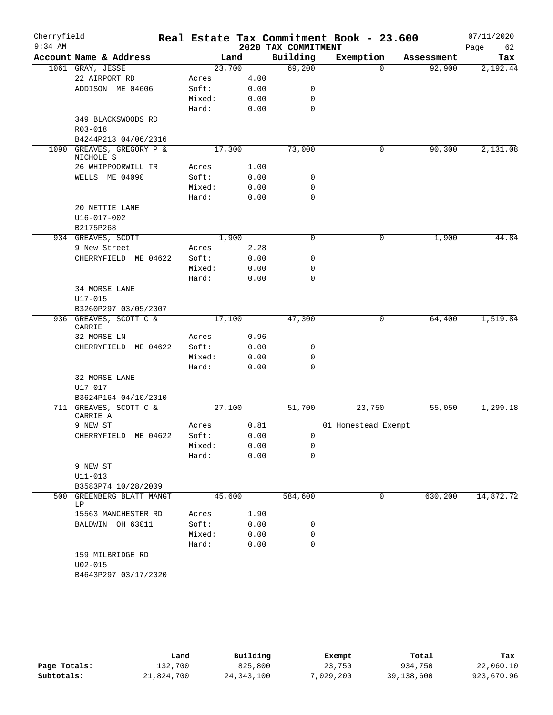| Cherryfield<br>$9:34$ AM |                                                |                 |      | 2020 TAX COMMITMENT | Real Estate Tax Commitment Book - 23.600 |            | 07/11/2020<br>Page<br>62 |
|--------------------------|------------------------------------------------|-----------------|------|---------------------|------------------------------------------|------------|--------------------------|
|                          | Account Name & Address                         | Land            |      | Building            | Exemption                                | Assessment | Tax                      |
|                          | 1061 GRAY, JESSE                               | 23,700          |      | 69,200              | 0                                        | 92,900     | 2,192.44                 |
|                          | 22 AIRPORT RD                                  | Acres           | 4.00 |                     |                                          |            |                          |
|                          | ADDISON ME 04606                               | Soft:           | 0.00 | 0                   |                                          |            |                          |
|                          |                                                | Mixed:          | 0.00 | 0                   |                                          |            |                          |
|                          |                                                | Hard:           | 0.00 | $\mathbf 0$         |                                          |            |                          |
|                          | 349 BLACKSWOODS RD                             |                 |      |                     |                                          |            |                          |
|                          | R03-018                                        |                 |      |                     |                                          |            |                          |
|                          | B4244P213 04/06/2016                           |                 |      |                     |                                          |            |                          |
| 1090                     | GREAVES, GREGORY P &<br>NICHOLE S              | 17,300          |      | 73,000              | 0                                        | 90,300     | 2,131.08                 |
|                          | 26 WHIPPOORWILL TR                             | Acres           | 1.00 |                     |                                          |            |                          |
|                          | WELLS ME 04090                                 | Soft:           | 0.00 | 0                   |                                          |            |                          |
|                          |                                                | Mixed:          | 0.00 | 0                   |                                          |            |                          |
|                          |                                                | Hard:           | 0.00 | 0                   |                                          |            |                          |
|                          | 20 NETTIE LANE                                 |                 |      |                     |                                          |            |                          |
|                          | $U16 - 017 - 002$                              |                 |      |                     |                                          |            |                          |
|                          | B2175P268                                      |                 |      |                     |                                          |            |                          |
|                          | 934 GREAVES, SCOTT                             | 1,900           |      | 0                   | 0                                        | 1,900      | 44.84                    |
|                          | 9 New Street                                   | Acres           | 2.28 |                     |                                          |            |                          |
|                          | CHERRYFIELD ME 04622                           | Soft:           | 0.00 | 0                   |                                          |            |                          |
|                          |                                                | Mixed:          | 0.00 | 0                   |                                          |            |                          |
|                          |                                                | Hard:           | 0.00 | 0                   |                                          |            |                          |
|                          | 34 MORSE LANE                                  |                 |      |                     |                                          |            |                          |
|                          | $U17 - 015$                                    |                 |      |                     |                                          |            |                          |
|                          | B3260P297 03/05/2007                           |                 |      |                     |                                          |            |                          |
|                          | 936 GREAVES, SCOTT C &                         | 17,100          |      | 47,300              | 0                                        | 64,400     | 1,519.84                 |
|                          | CARRIE                                         |                 |      |                     |                                          |            |                          |
|                          | 32 MORSE LN                                    | Acres           | 0.96 |                     |                                          |            |                          |
|                          | CHERRYFIELD ME 04622                           | Soft:           | 0.00 | 0                   |                                          |            |                          |
|                          |                                                | Mixed:          | 0.00 | 0                   |                                          |            |                          |
|                          |                                                | Hard:           | 0.00 | $\mathbf 0$         |                                          |            |                          |
|                          | 32 MORSE LANE<br>U17-017                       |                 |      |                     |                                          |            |                          |
|                          | B3624P164 04/10/2010                           |                 |      |                     |                                          |            |                          |
|                          | 711 GREAVES, SCOTT C &<br>CARRIE A<br>9 NEW ST | 27,100<br>Acres | 0.81 | 51,700              | 23,750<br>01 Homestead Exempt            | 55,050     | 1,299.18                 |
|                          | CHERRYFIELD ME 04622                           | Soft:           | 0.00 | 0                   |                                          |            |                          |
|                          |                                                | Mixed:          | 0.00 | 0                   |                                          |            |                          |
|                          |                                                | Hard:           | 0.00 | 0                   |                                          |            |                          |
|                          | 9 NEW ST                                       |                 |      |                     |                                          |            |                          |
|                          | $U11 - 013$                                    |                 |      |                     |                                          |            |                          |
|                          | B3583P74 10/28/2009                            |                 |      |                     |                                          |            |                          |
| 500                      | GREENBERG BLATT MANGT                          | 45,600          |      | 584,600             | $\mathbf 0$                              | 630, 200   | 14,872.72                |
|                          | LΡ                                             |                 |      |                     |                                          |            |                          |
|                          | 15563 MANCHESTER RD                            | Acres           | 1.90 |                     |                                          |            |                          |
|                          | BALDWIN OH 63011                               | Soft:           | 0.00 | 0                   |                                          |            |                          |
|                          |                                                | Mixed:          | 0.00 | 0                   |                                          |            |                          |
|                          |                                                | Hard:           | 0.00 | 0                   |                                          |            |                          |
|                          | 159 MILBRIDGE RD                               |                 |      |                     |                                          |            |                          |
|                          | $U02 - 015$                                    |                 |      |                     |                                          |            |                          |
|                          | B4643P297 03/17/2020                           |                 |      |                     |                                          |            |                          |
|                          |                                                |                 |      |                     |                                          |            |                          |

|              |            | Building     |           | Total      | Tax        |  |
|--------------|------------|--------------|-----------|------------|------------|--|
|              | Land       |              | Exempt    |            |            |  |
| Page Totals: | 132,700    | 825,800      | 23,750    | 934,750    | 22,060.10  |  |
| Subtotals:   | 21,824,700 | 24, 343, 100 | 7,029,200 | 39,138,600 | 923,670.96 |  |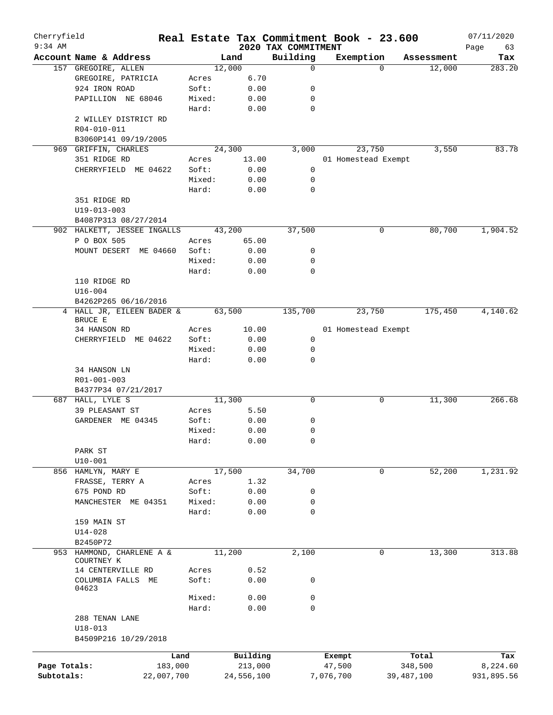| Cherryfield<br>$9:34$ AM |                             |            |            | 2020 TAX COMMITMENT | Real Estate Tax Commitment Book - 23.600 |                    | 07/11/2020        |
|--------------------------|-----------------------------|------------|------------|---------------------|------------------------------------------|--------------------|-------------------|
|                          | Account Name & Address      |            | Land       | Building            | Exemption                                | Assessment         | Page<br>63<br>Tax |
|                          | 157 GREGOIRE, ALLEN         |            | 12,000     | 0                   |                                          | 12,000<br>$\Omega$ | 283.20            |
|                          | GREGOIRE, PATRICIA          | Acres      | 6.70       |                     |                                          |                    |                   |
|                          | 924 IRON ROAD               | Soft:      | 0.00       | 0                   |                                          |                    |                   |
|                          | PAPILLION NE 68046          | Mixed:     | 0.00       | 0                   |                                          |                    |                   |
|                          |                             | Hard:      | 0.00       | 0                   |                                          |                    |                   |
|                          | 2 WILLEY DISTRICT RD        |            |            |                     |                                          |                    |                   |
|                          | R04-010-011                 |            |            |                     |                                          |                    |                   |
|                          | B3060P141 09/19/2005        |            |            |                     |                                          |                    |                   |
| 969                      | GRIFFIN, CHARLES            |            | 24,300     | 3,000               | 23,750                                   | 3,550              | 83.78             |
|                          | 351 RIDGE RD                |            |            |                     |                                          |                    |                   |
|                          |                             | Acres      | 13.00      |                     | 01 Homestead Exempt                      |                    |                   |
|                          | CHERRYFIELD ME 04622        | Soft:      | 0.00       | 0                   |                                          |                    |                   |
|                          |                             | Mixed:     | 0.00       | 0                   |                                          |                    |                   |
|                          |                             | Hard:      | 0.00       | $\mathbf 0$         |                                          |                    |                   |
|                          | 351 RIDGE RD                |            |            |                     |                                          |                    |                   |
|                          | $U19 - 013 - 003$           |            |            |                     |                                          |                    |                   |
|                          | B4087P313 08/27/2014        |            |            |                     |                                          |                    |                   |
|                          | 902 HALKETT, JESSEE INGALLS |            | 43,200     | 37,500              |                                          | 0<br>80,700        | 1,904.52          |
|                          | P O BOX 505                 | Acres      | 65.00      |                     |                                          |                    |                   |
|                          | MOUNT DESERT ME 04660       | Soft:      | 0.00       | 0                   |                                          |                    |                   |
|                          |                             | Mixed:     | 0.00       | 0                   |                                          |                    |                   |
|                          |                             | Hard:      | 0.00       | $\mathbf 0$         |                                          |                    |                   |
|                          | 110 RIDGE RD                |            |            |                     |                                          |                    |                   |
|                          | $U16 - 004$                 |            |            |                     |                                          |                    |                   |
|                          | B4262P265 06/16/2016        |            |            |                     |                                          |                    |                   |
|                          | 4 HALL JR, EILEEN BADER &   |            | 63,500     | 135,700             | 23,750                                   | 175,450            | 4,140.62          |
|                          | BRUCE E                     |            |            |                     |                                          |                    |                   |
|                          | 34 HANSON RD                | Acres      | 10.00      |                     | 01 Homestead Exempt                      |                    |                   |
|                          | CHERRYFIELD ME 04622        | Soft:      | 0.00       | 0                   |                                          |                    |                   |
|                          |                             | Mixed:     | 0.00       | 0                   |                                          |                    |                   |
|                          |                             | Hard:      | 0.00       | 0                   |                                          |                    |                   |
|                          | 34 HANSON LN                |            |            |                     |                                          |                    |                   |
|                          | R01-001-003                 |            |            |                     |                                          |                    |                   |
|                          | B4377P34 07/21/2017         |            |            |                     |                                          |                    |                   |
|                          | 687 HALL, LYLE S            |            | 11,300     | 0                   |                                          | 11,300<br>0        | 266.68            |
|                          | 39 PLEASANT ST              | Acres      | 5.50       |                     |                                          |                    |                   |
|                          | GARDENER ME 04345           | Soft:      | 0.00       | 0                   |                                          |                    |                   |
|                          |                             | Mixed:     | 0.00       | 0                   |                                          |                    |                   |
|                          |                             |            |            |                     |                                          |                    |                   |
|                          |                             | Hard:      | 0.00       | 0                   |                                          |                    |                   |
|                          | PARK ST                     |            |            |                     |                                          |                    |                   |
|                          | $U10 - 001$                 |            |            |                     |                                          |                    |                   |
|                          | 856 HAMLYN, MARY E          |            | 17,500     | 34,700              |                                          | 0<br>52,200        | 1,231.92          |
|                          | FRASSE, TERRY A             | Acres      | 1.32       |                     |                                          |                    |                   |
|                          | 675 POND RD                 | Soft:      | 0.00       | 0                   |                                          |                    |                   |
|                          | MANCHESTER ME 04351         | Mixed:     | 0.00       | 0                   |                                          |                    |                   |
|                          |                             | Hard:      | 0.00       | $\mathbf 0$         |                                          |                    |                   |
|                          | 159 MAIN ST                 |            |            |                     |                                          |                    |                   |
|                          | $U14 - 028$                 |            |            |                     |                                          |                    |                   |
|                          | B2450P72                    |            |            |                     |                                          |                    |                   |
|                          | 953 HAMMOND, CHARLENE A &   |            | 11,200     | 2,100               |                                          | 0<br>13,300        | 313.88            |
|                          | COURTNEY K                  |            |            |                     |                                          |                    |                   |
|                          | 14 CENTERVILLE RD           | Acres      | 0.52       |                     |                                          |                    |                   |
|                          | COLUMBIA FALLS ME           | Soft:      | 0.00       | 0                   |                                          |                    |                   |
|                          | 04623                       |            |            |                     |                                          |                    |                   |
|                          |                             | Mixed:     | 0.00       | 0                   |                                          |                    |                   |
|                          |                             | Hard:      | 0.00       | 0                   |                                          |                    |                   |
|                          | 288 TENAN LANE              |            |            |                     |                                          |                    |                   |
|                          | $U18 - 013$                 |            |            |                     |                                          |                    |                   |
|                          | B4509P216 10/29/2018        |            |            |                     |                                          |                    |                   |
|                          |                             |            |            |                     |                                          |                    |                   |
|                          |                             | Land       | Building   |                     | Exempt                                   | Total              | Tax               |
| Page Totals:             |                             | 183,000    | 213,000    |                     | 47,500                                   | 348,500            | 8,224.60          |
| Subtotals:               |                             | 22,007,700 | 24,556,100 |                     | 7,076,700                                | 39,487,100         | 931,895.56        |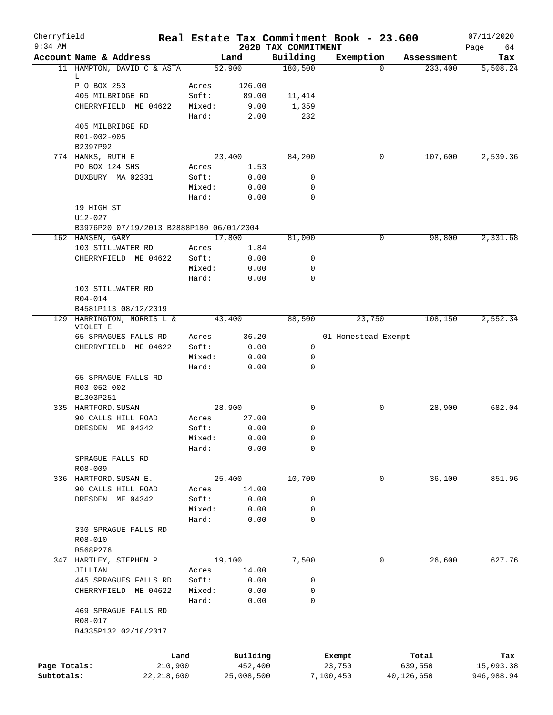| Cherryfield<br>$9:34$ AM |                                          |                 |                     |                                 | Real Estate Tax Commitment Book - 23.600 |                       | 07/11/2020              |
|--------------------------|------------------------------------------|-----------------|---------------------|---------------------------------|------------------------------------------|-----------------------|-------------------------|
|                          | Account Name & Address                   |                 | Land                | 2020 TAX COMMITMENT<br>Building | Exemption                                | Assessment            | Page<br>64<br>Tax       |
|                          | 11 HAMPTON, DAVID C & ASTA               |                 | 52,900              | 180,500                         | $\Omega$                                 | 233,400               | 5,508.24                |
|                          | L                                        |                 |                     |                                 |                                          |                       |                         |
|                          | P O BOX 253                              | Acres           | 126.00              |                                 |                                          |                       |                         |
|                          | 405 MILBRIDGE RD                         | Soft:           | 89.00               | 11,414                          |                                          |                       |                         |
|                          | CHERRYFIELD ME 04622                     | Mixed:          | 9.00                | 1,359                           |                                          |                       |                         |
|                          |                                          | Hard:           | 2.00                | 232                             |                                          |                       |                         |
|                          | 405 MILBRIDGE RD                         |                 |                     |                                 |                                          |                       |                         |
|                          | R01-002-005<br>B2397P92                  |                 |                     |                                 |                                          |                       |                         |
|                          | 774 HANKS, RUTH E                        |                 | 23,400              | 84,200                          | 0                                        | 107,600               | 2,539.36                |
|                          | PO BOX 124 SHS                           | Acres           | 1.53                |                                 |                                          |                       |                         |
|                          | DUXBURY MA 02331                         | Soft:           | 0.00                | 0                               |                                          |                       |                         |
|                          |                                          | Mixed:          | 0.00                | $\mathbf 0$                     |                                          |                       |                         |
|                          |                                          | Hard:           | 0.00                | $\mathbf 0$                     |                                          |                       |                         |
|                          | 19 HIGH ST                               |                 |                     |                                 |                                          |                       |                         |
|                          | U12-027                                  |                 |                     |                                 |                                          |                       |                         |
|                          | B3976P20 07/19/2013 B2888P180 06/01/2004 |                 |                     |                                 |                                          |                       |                         |
|                          | 162 HANSEN, GARY                         |                 | 17,800              | 81,000                          | 0                                        | 98,800                | 2,331.68                |
|                          | 103 STILLWATER RD                        | Acres           | 1.84                |                                 |                                          |                       |                         |
|                          | CHERRYFIELD ME 04622                     | Soft:           | 0.00                | 0                               |                                          |                       |                         |
|                          |                                          | Mixed:<br>Hard: | 0.00<br>0.00        | $\mathbf 0$<br>$\mathbf 0$      |                                          |                       |                         |
|                          | 103 STILLWATER RD                        |                 |                     |                                 |                                          |                       |                         |
|                          | R04-014                                  |                 |                     |                                 |                                          |                       |                         |
|                          | B4581P113 08/12/2019                     |                 |                     |                                 |                                          |                       |                         |
|                          | 129 HARRINGTON, NORRIS L &               |                 | 43,400              | 88,500                          | 23,750                                   | 108,150               | 2,552.34                |
|                          | VIOLET E                                 |                 |                     |                                 |                                          |                       |                         |
|                          | 65 SPRAGUES FALLS RD                     | Acres           | 36.20               |                                 | 01 Homestead Exempt                      |                       |                         |
|                          | CHERRYFIELD ME 04622                     | Soft:           | 0.00                | 0                               |                                          |                       |                         |
|                          |                                          | Mixed:<br>Hard: | 0.00                | $\mathbf 0$<br>$\mathbf 0$      |                                          |                       |                         |
|                          | 65 SPRAGUE FALLS RD                      |                 | 0.00                |                                 |                                          |                       |                         |
|                          | R03-052-002                              |                 |                     |                                 |                                          |                       |                         |
|                          | B1303P251                                |                 |                     |                                 |                                          |                       |                         |
|                          | 335 HARTFORD, SUSAN                      |                 | 28,900              | $\mathbf 0$                     | 0                                        | 28,900                | 682.04                  |
|                          | 90 CALLS HILL ROAD                       | Acres           | 27.00               |                                 |                                          |                       |                         |
|                          | DRESDEN ME 04342                         | Soft:           | 0.00                | 0                               |                                          |                       |                         |
|                          |                                          | Mixed:          | 0.00                | 0                               |                                          |                       |                         |
|                          |                                          | Hard:           | 0.00                | 0                               |                                          |                       |                         |
|                          | SPRAGUE FALLS RD                         |                 |                     |                                 |                                          |                       |                         |
|                          | $R08 - 009$                              |                 |                     |                                 |                                          |                       |                         |
|                          | 336 HARTFORD, SUSAN E.                   |                 | 25,400              | 10,700                          | 0                                        | 36,100                | 851.96                  |
|                          | 90 CALLS HILL ROAD<br>DRESDEN ME 04342   | Acres<br>Soft:  | 14.00<br>0.00       | 0                               |                                          |                       |                         |
|                          |                                          | Mixed:          | 0.00                | 0                               |                                          |                       |                         |
|                          |                                          | Hard:           | 0.00                | $\mathbf 0$                     |                                          |                       |                         |
|                          | 330 SPRAGUE FALLS RD                     |                 |                     |                                 |                                          |                       |                         |
|                          | R08-010                                  |                 |                     |                                 |                                          |                       |                         |
|                          | B568P276                                 |                 |                     |                                 |                                          |                       |                         |
| 347                      | HARTLEY, STEPHEN P                       |                 | 19,100              | 7,500                           | 0                                        | 26,600                | 627.76                  |
|                          | JILLIAN                                  | Acres           | 14.00               |                                 |                                          |                       |                         |
|                          | 445 SPRAGUES FALLS RD                    | Soft:           | 0.00                | 0                               |                                          |                       |                         |
|                          | CHERRYFIELD ME 04622                     | Mixed:          | 0.00                | 0                               |                                          |                       |                         |
|                          |                                          | Hard:           | 0.00                | 0                               |                                          |                       |                         |
|                          | 469 SPRAGUE FALLS RD                     |                 |                     |                                 |                                          |                       |                         |
|                          | R08-017                                  |                 |                     |                                 |                                          |                       |                         |
|                          | B4335P132 02/10/2017                     |                 |                     |                                 |                                          |                       |                         |
|                          |                                          |                 |                     |                                 |                                          |                       |                         |
| Page Totals:             | 210,900                                  | Land            | Building<br>452,400 |                                 | Exempt<br>23,750                         | Total                 | Tax                     |
| Subtotals:               | 22,218,600                               |                 | 25,008,500          |                                 | 7,100,450                                | 639,550<br>40,126,650 | 15,093.38<br>946,988.94 |
|                          |                                          |                 |                     |                                 |                                          |                       |                         |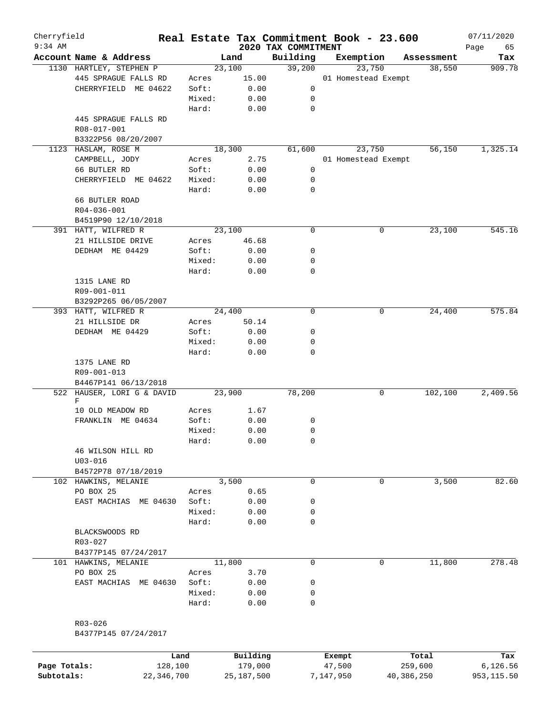| Cherryfield<br>$9:34$ AM |                                            |        |          | 2020 TAX COMMITMENT | Real Estate Tax Commitment Book - 23.600 |            | 07/11/2020        |
|--------------------------|--------------------------------------------|--------|----------|---------------------|------------------------------------------|------------|-------------------|
|                          | Account Name & Address                     |        | Land     | Building            | Exemption                                | Assessment | Page<br>65<br>Tax |
|                          | 1130 HARTLEY, STEPHEN P                    |        | 23,100   | 39,200              | 23,750                                   | 38,550     | 909.78            |
|                          | 445 SPRAGUE FALLS RD                       | Acres  | 15.00    |                     | 01 Homestead Exempt                      |            |                   |
|                          | CHERRYFIELD ME 04622                       | Soft:  | 0.00     | 0                   |                                          |            |                   |
|                          |                                            | Mixed: |          | 0                   |                                          |            |                   |
|                          |                                            |        | 0.00     | $\mathbf 0$         |                                          |            |                   |
|                          |                                            | Hard:  | 0.00     |                     |                                          |            |                   |
|                          | 445 SPRAGUE FALLS RD                       |        |          |                     |                                          |            |                   |
|                          | R08-017-001                                |        |          |                     |                                          |            |                   |
|                          | B3322P56 08/20/2007<br>1123 HASLAM, ROSE M |        |          |                     | 23,750                                   |            |                   |
|                          |                                            |        | 18,300   | 61,600              |                                          | 56,150     | 1,325.14          |
|                          | CAMPBELL, JODY                             | Acres  | 2.75     |                     | 01 Homestead Exempt                      |            |                   |
|                          | 66 BUTLER RD                               | Soft:  | 0.00     | 0<br>0              |                                          |            |                   |
|                          | CHERRYFIELD ME 04622                       | Mixed: | 0.00     | $\mathbf 0$         |                                          |            |                   |
|                          |                                            | Hard:  | 0.00     |                     |                                          |            |                   |
|                          | 66 BUTLER ROAD                             |        |          |                     |                                          |            |                   |
|                          | R04-036-001                                |        |          |                     |                                          |            |                   |
|                          | B4519P90 12/10/2018                        |        |          |                     |                                          |            |                   |
|                          | 391 HATT, WILFRED R                        |        | 23,100   | $\mathbf 0$         | 0                                        | 23,100     | 545.16            |
|                          | 21 HILLSIDE DRIVE                          | Acres  | 46.68    |                     |                                          |            |                   |
|                          | DEDHAM ME 04429                            | Soft:  | 0.00     | 0                   |                                          |            |                   |
|                          |                                            | Mixed: | 0.00     | 0                   |                                          |            |                   |
|                          |                                            | Hard:  | 0.00     | 0                   |                                          |            |                   |
|                          | 1315 LANE RD                               |        |          |                     |                                          |            |                   |
|                          | R09-001-011                                |        |          |                     |                                          |            |                   |
|                          | B3292P265 06/05/2007                       |        |          |                     |                                          |            |                   |
|                          | 393 HATT, WILFRED R                        |        | 24,400   | $\mathbf 0$         | 0                                        | 24,400     | 575.84            |
|                          | 21 HILLSIDE DR                             | Acres  | 50.14    |                     |                                          |            |                   |
|                          | DEDHAM ME 04429                            | Soft:  | 0.00     | 0                   |                                          |            |                   |
|                          |                                            | Mixed: | 0.00     | 0                   |                                          |            |                   |
|                          |                                            | Hard:  | 0.00     | $\mathbf 0$         |                                          |            |                   |
|                          | 1375 LANE RD                               |        |          |                     |                                          |            |                   |
|                          | R09-001-013                                |        |          |                     |                                          |            |                   |
|                          | B4467P141 06/13/2018                       |        |          |                     |                                          |            |                   |
|                          | 522 HAUSER, LORI G & DAVID                 |        | 23,900   | 78,200              | 0                                        | 102,100    | 2,409.56          |
|                          | F                                          |        |          |                     |                                          |            |                   |
|                          | 10 OLD MEADOW RD                           | Acres  | 1.67     |                     |                                          |            |                   |
|                          | FRANKLIN ME 04634                          | Soft:  | 0.00     | 0                   |                                          |            |                   |
|                          |                                            | Mixed: | 0.00     | 0                   |                                          |            |                   |
|                          |                                            | Hard:  | 0.00     | 0                   |                                          |            |                   |
|                          | 46 WILSON HILL RD                          |        |          |                     |                                          |            |                   |
|                          | $U03 - 016$                                |        |          |                     |                                          |            |                   |
|                          | B4572P78 07/18/2019                        |        |          |                     |                                          |            |                   |
|                          | 102 HAWKINS, MELANIE                       |        | 3,500    | $\mathbf 0$         | 0                                        | 3,500      | 82.60             |
|                          | PO BOX 25                                  | Acres  | 0.65     |                     |                                          |            |                   |
|                          | EAST MACHIAS ME 04630                      | Soft:  | 0.00     | 0                   |                                          |            |                   |
|                          |                                            | Mixed: | 0.00     | 0                   |                                          |            |                   |
|                          |                                            | Hard:  | 0.00     | 0                   |                                          |            |                   |
|                          | BLACKSWOODS RD                             |        |          |                     |                                          |            |                   |
|                          | R03-027                                    |        |          |                     |                                          |            |                   |
|                          | B4377P145 07/24/2017                       |        |          |                     |                                          |            |                   |
|                          | 101 HAWKINS, MELANIE                       |        | 11,800   | $\mathbf 0$         | $\Omega$                                 | 11,800     | 278.48            |
|                          | PO BOX 25                                  | Acres  | 3.70     |                     |                                          |            |                   |
|                          | EAST MACHIAS ME 04630                      | Soft:  | 0.00     | 0                   |                                          |            |                   |
|                          |                                            | Mixed: | 0.00     | 0                   |                                          |            |                   |
|                          |                                            | Hard:  | 0.00     | 0                   |                                          |            |                   |
|                          |                                            |        |          |                     |                                          |            |                   |
|                          | R03-026                                    |        |          |                     |                                          |            |                   |
|                          | B4377P145 07/24/2017                       |        |          |                     |                                          |            |                   |
|                          |                                            |        |          |                     |                                          |            |                   |
|                          |                                            | Land   | Building |                     | Exempt                                   | Total      | Tax               |

|              | Land       | <b>Building</b> | Exempt    | тосат      | rax.       |
|--------------|------------|-----------------|-----------|------------|------------|
| Page Totals: | 128,100    | 179,000         | 47,500    | 259,600    | 6,126.56   |
| Subtotals:   | 22,346,700 | 25,187,500      | 7,147,950 | 40,386,250 | 953,115.50 |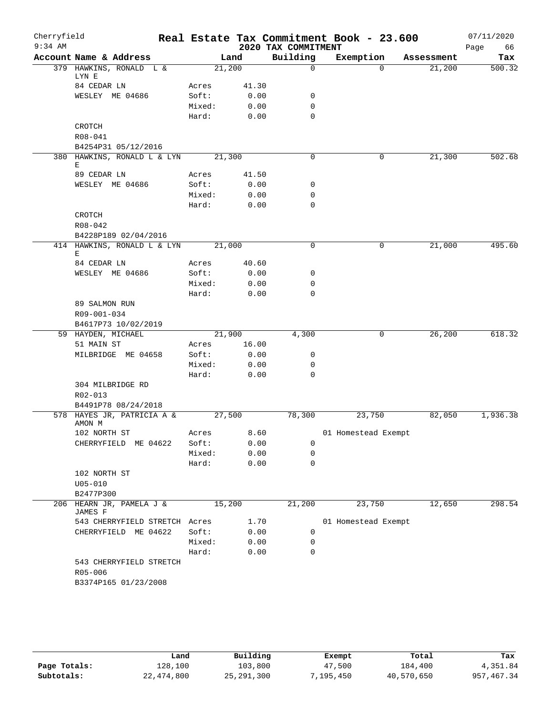| Cherryfield<br>$9:34$ AM |                                      |        |        | 2020 TAX COMMITMENT | Real Estate Tax Commitment Book - 23.600 |            | 07/11/2020<br>66<br>Page |
|--------------------------|--------------------------------------|--------|--------|---------------------|------------------------------------------|------------|--------------------------|
|                          | Account Name & Address               |        | Land   | Building            | Exemption                                | Assessment | Tax                      |
|                          | 379 HAWKINS, RONALD L &              |        | 21,200 | $\mathbf 0$         | $\Omega$                                 | 21,200     | 500.32                   |
|                          | LYN E<br>84 CEDAR LN                 | Acres  | 41.30  |                     |                                          |            |                          |
|                          | WESLEY ME 04686                      | Soft:  | 0.00   | $\mathsf{O}$        |                                          |            |                          |
|                          |                                      | Mixed: | 0.00   | 0                   |                                          |            |                          |
|                          |                                      | Hard:  | 0.00   | $\mathbf 0$         |                                          |            |                          |
|                          | CROTCH                               |        |        |                     |                                          |            |                          |
|                          | R08-041                              |        |        |                     |                                          |            |                          |
|                          | B4254P31 05/12/2016                  |        |        |                     |                                          |            |                          |
|                          | 380 HAWKINS, RONALD L & LYN          |        | 21,300 | 0                   | 0                                        | 21,300     | 502.68                   |
|                          | Е                                    |        |        |                     |                                          |            |                          |
|                          | 89 CEDAR LN                          | Acres  | 41.50  |                     |                                          |            |                          |
|                          | WESLEY ME 04686                      | Soft:  | 0.00   | 0                   |                                          |            |                          |
|                          |                                      | Mixed: | 0.00   | 0                   |                                          |            |                          |
|                          |                                      | Hard:  | 0.00   | 0                   |                                          |            |                          |
|                          | <b>CROTCH</b>                        |        |        |                     |                                          |            |                          |
|                          | R08-042                              |        |        |                     |                                          |            |                          |
|                          | B4228P189 02/04/2016                 |        |        |                     |                                          |            |                          |
|                          | 414 HAWKINS, RONALD L & LYN          |        | 21,000 | $\mathbf 0$         | 0                                        | 21,000     | 495.60                   |
|                          | Е<br>84 CEDAR LN                     | Acres  | 40.60  |                     |                                          |            |                          |
|                          | WESLEY ME 04686                      | Soft:  | 0.00   | 0                   |                                          |            |                          |
|                          |                                      | Mixed: | 0.00   | 0                   |                                          |            |                          |
|                          |                                      | Hard:  | 0.00   | 0                   |                                          |            |                          |
|                          | 89 SALMON RUN                        |        |        |                     |                                          |            |                          |
|                          | R09-001-034                          |        |        |                     |                                          |            |                          |
|                          | B4617P73 10/02/2019                  |        |        |                     |                                          |            |                          |
|                          | 59 HAYDEN, MICHAEL                   |        | 21,900 | 4,300               | 0                                        | 26, 200    | 618.32                   |
|                          | 51 MAIN ST                           | Acres  | 16.00  |                     |                                          |            |                          |
|                          | MILBRIDGE ME 04658                   | Soft:  | 0.00   | 0                   |                                          |            |                          |
|                          |                                      | Mixed: | 0.00   | 0                   |                                          |            |                          |
|                          |                                      | Hard:  | 0.00   | 0                   |                                          |            |                          |
|                          | 304 MILBRIDGE RD                     |        |        |                     |                                          |            |                          |
|                          | R02-013                              |        |        |                     |                                          |            |                          |
|                          | B4491P78 08/24/2018                  |        |        |                     |                                          |            |                          |
|                          | 578 HAYES JR, PATRICIA A &<br>AMON M |        | 27,500 | 78,300              | 23,750                                   | 82,050     | 1,936.38                 |
|                          | 102 NORTH ST                         | Acres  | 8.60   |                     | 01 Homestead Exempt                      |            |                          |
|                          | CHERRYFIELD ME 04622                 | Soft:  | 0.00   | 0                   |                                          |            |                          |
|                          |                                      | Mixed: | 0.00   | 0                   |                                          |            |                          |
|                          |                                      | Hard:  | 0.00   | 0                   |                                          |            |                          |
|                          | 102 NORTH ST                         |        |        |                     |                                          |            |                          |
|                          | $U05 - 010$                          |        |        |                     |                                          |            |                          |
|                          | B2477P300                            |        |        |                     |                                          |            |                          |
|                          | 206 HEARN JR, PAMELA J &<br>JAMES F  |        | 15,200 | 21,200              | 23,750                                   | 12,650     | 298.54                   |
|                          | 543 CHERRYFIELD STRETCH Acres        |        | 1.70   |                     | 01 Homestead Exempt                      |            |                          |
|                          | CHERRYFIELD ME 04622                 | Soft:  | 0.00   | 0                   |                                          |            |                          |
|                          |                                      | Mixed: | 0.00   | 0                   |                                          |            |                          |
|                          |                                      | Hard:  | 0.00   | 0                   |                                          |            |                          |
|                          | 543 CHERRYFIELD STRETCH              |        |        |                     |                                          |            |                          |
|                          | R05-006                              |        |        |                     |                                          |            |                          |
|                          | B3374P165 01/23/2008                 |        |        |                     |                                          |            |                          |
|                          |                                      |        |        |                     |                                          |            |                          |
|                          |                                      |        |        |                     |                                          |            |                          |

|              | Land       | Building     | Exempt    | Total      | Tax         |
|--------------|------------|--------------|-----------|------------|-------------|
| Page Totals: | 128,100    | 103,800      | 47,500    | 184,400    | 4,351.84    |
| Subtotals:   | 22,474,800 | 25, 291, 300 | 7,195,450 | 40,570,650 | 957, 467.34 |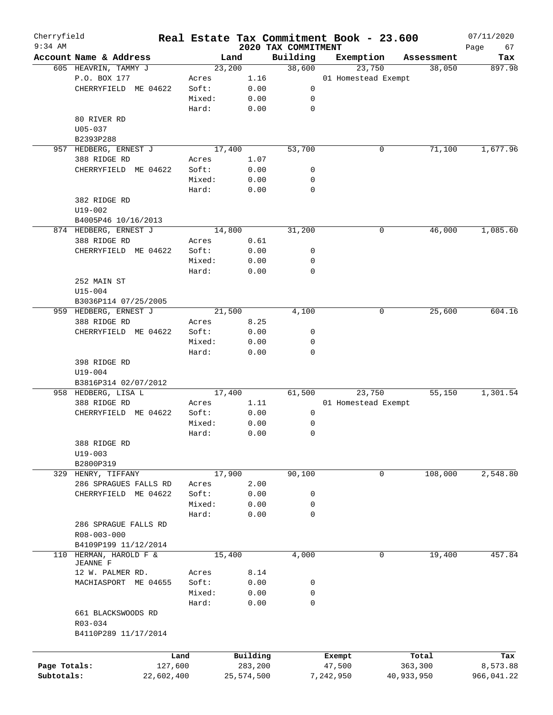| Cherryfield  |                         |            |        |            |                                 | Real Estate Tax Commitment Book - 23.600 |            | 07/11/2020        |
|--------------|-------------------------|------------|--------|------------|---------------------------------|------------------------------------------|------------|-------------------|
| $9:34$ AM    | Account Name & Address  |            |        | Land       | 2020 TAX COMMITMENT<br>Building | Exemption                                | Assessment | Page<br>67<br>Tax |
|              | 605 HEAVRIN, TAMMY J    |            |        | 23,200     | 38,600                          | 23,750                                   | 38,050     | 897.98            |
|              | P.O. BOX 177            |            | Acres  | 1.16       |                                 | 01 Homestead Exempt                      |            |                   |
|              | CHERRYFIELD ME 04622    |            | Soft:  | 0.00       | 0                               |                                          |            |                   |
|              |                         |            | Mixed: |            |                                 |                                          |            |                   |
|              |                         |            |        | 0.00       | 0                               |                                          |            |                   |
|              |                         |            | Hard:  | 0.00       | 0                               |                                          |            |                   |
|              | 80 RIVER RD             |            |        |            |                                 |                                          |            |                   |
|              | $U05 - 037$             |            |        |            |                                 |                                          |            |                   |
|              | B2393P288               |            |        |            |                                 |                                          |            |                   |
|              | 957 HEDBERG, ERNEST J   |            |        | 17,400     | 53,700                          | 0                                        | 71,100     | 1,677.96          |
|              | 388 RIDGE RD            |            | Acres  | 1.07       |                                 |                                          |            |                   |
|              | CHERRYFIELD ME 04622    |            | Soft:  | 0.00       | 0                               |                                          |            |                   |
|              |                         |            | Mixed: | 0.00       | 0                               |                                          |            |                   |
|              |                         |            | Hard:  | 0.00       | 0                               |                                          |            |                   |
|              | 382 RIDGE RD            |            |        |            |                                 |                                          |            |                   |
|              | $U19 - 002$             |            |        |            |                                 |                                          |            |                   |
|              | B4005P46 10/16/2013     |            |        |            |                                 |                                          |            |                   |
|              | 874 HEDBERG, ERNEST J   |            |        | 14,800     | 31,200                          | 0                                        | 46,000     | 1,085.60          |
|              | 388 RIDGE RD            |            | Acres  | 0.61       |                                 |                                          |            |                   |
|              | CHERRYFIELD ME 04622    |            | Soft:  | 0.00       | 0                               |                                          |            |                   |
|              |                         |            | Mixed: | 0.00       | 0                               |                                          |            |                   |
|              |                         |            | Hard:  | 0.00       | $\mathbf 0$                     |                                          |            |                   |
|              | 252 MAIN ST             |            |        |            |                                 |                                          |            |                   |
|              | $U15 - 004$             |            |        |            |                                 |                                          |            |                   |
|              | B3036P114 07/25/2005    |            |        |            |                                 |                                          |            |                   |
|              | 959 HEDBERG, ERNEST J   |            |        | 21,500     | 4,100                           | 0                                        | 25,600     | 604.16            |
|              | 388 RIDGE RD            |            | Acres  | 8.25       |                                 |                                          |            |                   |
|              | CHERRYFIELD ME 04622    |            | Soft:  | 0.00       | 0                               |                                          |            |                   |
|              |                         |            | Mixed: | 0.00       | 0                               |                                          |            |                   |
|              |                         |            | Hard:  | 0.00       | $\mathbf 0$                     |                                          |            |                   |
|              | 398 RIDGE RD            |            |        |            |                                 |                                          |            |                   |
|              | $U19 - 004$             |            |        |            |                                 |                                          |            |                   |
|              | B3816P314 02/07/2012    |            |        |            |                                 |                                          |            |                   |
|              | 958 HEDBERG, LISA L     |            |        | 17,400     | 61,500                          | 23,750                                   | 55,150     | 1,301.54          |
|              | 388 RIDGE RD            |            | Acres  | 1.11       |                                 | 01 Homestead Exempt                      |            |                   |
|              | CHERRYFIELD ME 04622    |            | Soft:  | 0.00       | 0                               |                                          |            |                   |
|              |                         |            | Mixed: | 0.00       | 0                               |                                          |            |                   |
|              |                         |            | Hard:  | 0.00       | 0                               |                                          |            |                   |
|              |                         |            |        |            |                                 |                                          |            |                   |
|              | 388 RIDGE RD            |            |        |            |                                 |                                          |            |                   |
|              | $U19 - 003$             |            |        |            |                                 |                                          |            |                   |
|              | B2800P319               |            |        |            |                                 |                                          |            |                   |
|              | 329 HENRY, TIFFANY      |            |        | 17,900     | 90,100                          | 0                                        | 108,000    | 2,548.80          |
|              | 286 SPRAGUES FALLS RD   |            | Acres  | 2.00       |                                 |                                          |            |                   |
|              | CHERRYFIELD ME 04622    |            | Soft:  | 0.00       | 0                               |                                          |            |                   |
|              |                         |            | Mixed: | 0.00       | 0                               |                                          |            |                   |
|              |                         |            | Hard:  | 0.00       | 0                               |                                          |            |                   |
|              | 286 SPRAGUE FALLS RD    |            |        |            |                                 |                                          |            |                   |
|              | R08-003-000             |            |        |            |                                 |                                          |            |                   |
|              | B4109P199 11/12/2014    |            |        |            |                                 |                                          |            |                   |
| 110          | HERMAN, HAROLD F &      |            |        | 15,400     | 4,000                           | 0                                        | 19,400     | 457.84            |
|              | <b>JEANNE F</b>         |            |        |            |                                 |                                          |            |                   |
|              | 12 W. PALMER RD.        |            | Acres  | 8.14       |                                 |                                          |            |                   |
|              | MACHIASPORT<br>ME 04655 |            | Soft:  | 0.00       | 0                               |                                          |            |                   |
|              |                         |            | Mixed: | 0.00       | 0                               |                                          |            |                   |
|              |                         |            | Hard:  | 0.00       | 0                               |                                          |            |                   |
|              | 661 BLACKSWOODS RD      |            |        |            |                                 |                                          |            |                   |
|              | R03-034                 |            |        |            |                                 |                                          |            |                   |
|              | B4110P289 11/17/2014    |            |        |            |                                 |                                          |            |                   |
|              |                         |            |        |            |                                 |                                          |            |                   |
|              |                         | Land       |        | Building   |                                 | Exempt                                   | Total      | Tax               |
| Page Totals: |                         | 127,600    |        | 283,200    |                                 | 47,500                                   | 363,300    | 8,573.88          |
| Subtotals:   |                         | 22,602,400 |        | 25,574,500 |                                 | 7,242,950                                | 40,933,950 | 966,041.22        |
|              |                         |            |        |            |                                 |                                          |            |                   |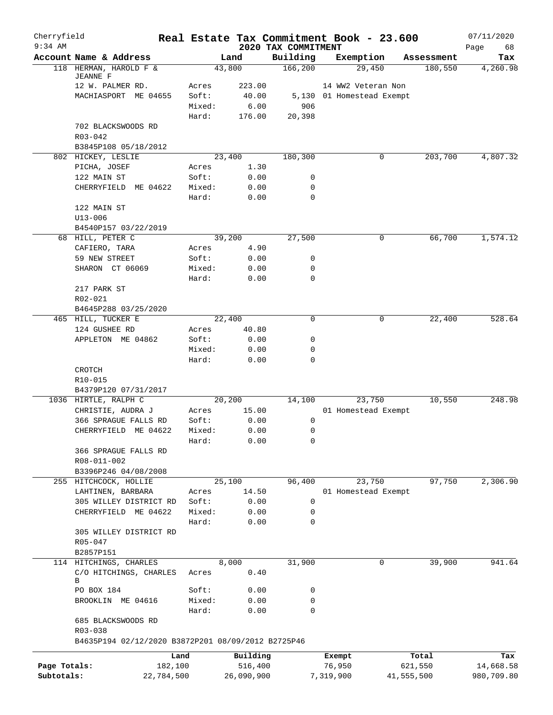| Cherryfield  |                                                    |                 |              | Real Estate Tax Commitment Book - 23.600 |                           |        |            | 07/11/2020        |
|--------------|----------------------------------------------------|-----------------|--------------|------------------------------------------|---------------------------|--------|------------|-------------------|
| $9:34$ AM    | Account Name & Address                             |                 | Land         | 2020 TAX COMMITMENT<br>Building          | Exemption                 |        | Assessment | Page<br>68<br>Tax |
|              | 118 HERMAN, HAROLD F &                             |                 | 43,800       | 166, 200                                 |                           | 29,450 | 180,550    | 4,260.98          |
|              | <b>JEANNE F</b>                                    |                 |              |                                          |                           |        |            |                   |
|              | 12 W. PALMER RD.                                   | Acres           | 223.00       |                                          | 14 WW2 Veteran Non        |        |            |                   |
|              | MACHIASPORT ME 04655                               | Soft:           | 40.00        |                                          | 5,130 01 Homestead Exempt |        |            |                   |
|              |                                                    | Mixed:          | 6.00         | 906                                      |                           |        |            |                   |
|              |                                                    | Hard:           | 176.00       | 20,398                                   |                           |        |            |                   |
|              | 702 BLACKSWOODS RD<br>$R03 - 042$                  |                 |              |                                          |                           |        |            |                   |
|              | B3845P108 05/18/2012                               |                 |              |                                          |                           |        |            |                   |
|              | 802 HICKEY, LESLIE                                 |                 | 23,400       | 180,300                                  |                           | 0      | 203,700    | 4,807.32          |
|              | PICHA, JOSEF                                       | Acres           | 1.30         |                                          |                           |        |            |                   |
|              | 122 MAIN ST                                        | Soft:           | 0.00         | 0                                        |                           |        |            |                   |
|              | CHERRYFIELD<br>ME 04622                            | Mixed:          | 0.00         | 0                                        |                           |        |            |                   |
|              |                                                    | Hard:           | 0.00         | 0                                        |                           |        |            |                   |
|              | 122 MAIN ST                                        |                 |              |                                          |                           |        |            |                   |
|              | U13-006                                            |                 |              |                                          |                           |        |            |                   |
|              | B4540P157 03/22/2019                               |                 |              |                                          |                           |        |            |                   |
|              | 68 HILL, PETER C                                   |                 | 39,200       | 27,500                                   |                           | 0      | 66,700     | 1,574.12          |
|              | CAFIERO, TARA                                      | Acres           | 4.90         |                                          |                           |        |            |                   |
|              | 59 NEW STREET                                      | Soft:           | 0.00         | 0                                        |                           |        |            |                   |
|              | SHARON CT 06069                                    | Mixed:          | 0.00         | 0                                        |                           |        |            |                   |
|              |                                                    | Hard:           | 0.00         | 0                                        |                           |        |            |                   |
|              | 217 PARK ST                                        |                 |              |                                          |                           |        |            |                   |
|              | R02-021                                            |                 |              |                                          |                           |        |            |                   |
|              | B4645P288 03/25/2020                               |                 |              |                                          |                           |        |            |                   |
|              | 465 HILL, TUCKER E                                 |                 | 22,400       | $\mathbf 0$                              |                           | 0      | 22,400     | 528.64            |
|              | 124 GUSHEE RD                                      | Acres           | 40.80        |                                          |                           |        |            |                   |
|              | APPLETON ME 04862                                  | Soft:           | 0.00         | 0<br>0                                   |                           |        |            |                   |
|              |                                                    | Mixed:<br>Hard: | 0.00<br>0.00 | 0                                        |                           |        |            |                   |
|              | CROTCH                                             |                 |              |                                          |                           |        |            |                   |
|              | R10-015                                            |                 |              |                                          |                           |        |            |                   |
|              | B4379P120 07/31/2017                               |                 |              |                                          |                           |        |            |                   |
|              | 1036 HIRTLE, RALPH C                               |                 | 20,200       | 14,100                                   |                           | 23,750 | 10,550     | 248.98            |
|              | CHRISTIE, AUDRA J                                  | Acres           | 15.00        |                                          | 01 Homestead Exempt       |        |            |                   |
|              | 366 SPRAGUE FALLS RD                               | Soft:           | 0.00         | 0                                        |                           |        |            |                   |
|              | CHERRYFIELD ME 04622                               | Mixed:          | 0.00         | 0                                        |                           |        |            |                   |
|              |                                                    | Hard:           | 0.00         | 0                                        |                           |        |            |                   |
|              | 366 SPRAGUE FALLS RD                               |                 |              |                                          |                           |        |            |                   |
|              | R08-011-002                                        |                 |              |                                          |                           |        |            |                   |
|              | B3396P246 04/08/2008                               |                 |              |                                          |                           |        |            |                   |
|              | 255 HITCHCOCK, HOLLIE                              |                 | 25,100       | 96,400                                   |                           | 23,750 | 97,750     | 2,306.90          |
|              | LAHTINEN, BARBARA                                  | Acres           | 14.50        |                                          | 01 Homestead Exempt       |        |            |                   |
|              | 305 WILLEY DISTRICT RD                             | Soft:           | 0.00         | 0                                        |                           |        |            |                   |
|              | CHERRYFIELD ME 04622                               | Mixed:          | 0.00         | 0                                        |                           |        |            |                   |
|              |                                                    | Hard:           | 0.00         | 0                                        |                           |        |            |                   |
|              | 305 WILLEY DISTRICT RD                             |                 |              |                                          |                           |        |            |                   |
|              | R05-047                                            |                 |              |                                          |                           |        |            |                   |
|              | B2857P151                                          |                 |              |                                          |                           |        |            |                   |
|              | 114 HITCHINGS, CHARLES                             |                 | 8,000        | 31,900                                   |                           | 0      | 39,900     | 941.64            |
|              | C/O HITCHINGS, CHARLES<br>В                        | Acres           | 0.40         |                                          |                           |        |            |                   |
|              | PO BOX 184                                         | Soft:           | 0.00         | 0                                        |                           |        |            |                   |
|              | BROOKLIN ME 04616                                  | Mixed:          | 0.00         | 0                                        |                           |        |            |                   |
|              |                                                    | Hard:           | 0.00         | 0                                        |                           |        |            |                   |
|              | 685 BLACKSWOODS RD                                 |                 |              |                                          |                           |        |            |                   |
|              | R03-038                                            |                 |              |                                          |                           |        |            |                   |
|              | B4635P194 02/12/2020 B3872P201 08/09/2012 B2725P46 |                 |              |                                          |                           |        |            |                   |
|              |                                                    | Land            | Building     |                                          | Exempt                    |        | Total      | Tax               |
| Page Totals: |                                                    | 182,100         | 516,400      |                                          | 76,950                    |        | 621,550    | 14,668.58         |
| Subtotals:   |                                                    | 22,784,500      | 26,090,900   |                                          | 7,319,900                 |        | 41,555,500 | 980,709.80        |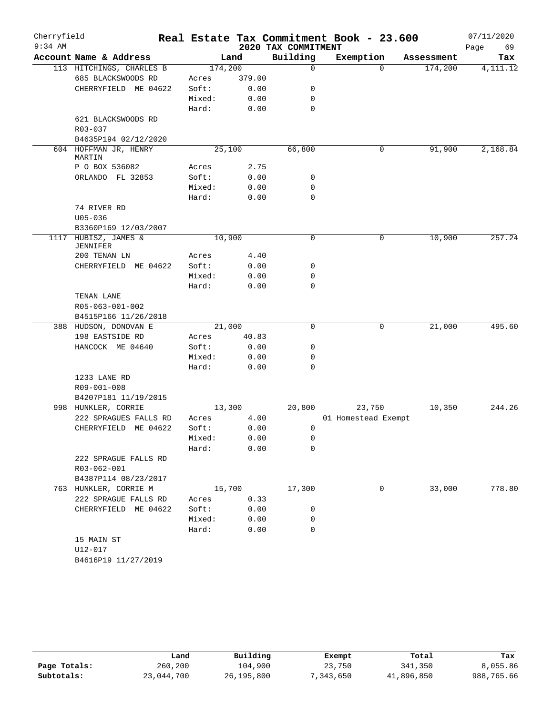| Cherryfield<br>$9:34$ AM |                                    |                 |        | 2020 TAX COMMITMENT | Real Estate Tax Commitment Book - 23.600 |            | 07/11/2020<br>Page<br>69 |
|--------------------------|------------------------------------|-----------------|--------|---------------------|------------------------------------------|------------|--------------------------|
|                          | Account Name & Address             |                 | Land   | Building            | Exemption                                | Assessment | Tax                      |
|                          | 113 HITCHINGS, CHARLES B           | 174,200         |        | $\mathbf 0$         | $\Omega$                                 | 174,200    | 4, 111. 12               |
|                          | 685 BLACKSWOODS RD                 | Acres           | 379.00 |                     |                                          |            |                          |
|                          | CHERRYFIELD ME 04622               | Soft:           | 0.00   | 0                   |                                          |            |                          |
|                          |                                    | Mixed:          | 0.00   | 0                   |                                          |            |                          |
|                          |                                    | Hard:           | 0.00   | $\mathbf 0$         |                                          |            |                          |
|                          | 621 BLACKSWOODS RD                 |                 |        |                     |                                          |            |                          |
|                          | R03-037                            |                 |        |                     |                                          |            |                          |
|                          | B4635P194 02/12/2020               |                 |        |                     |                                          |            |                          |
|                          | 604 HOFFMAN JR, HENRY              | 25,100          |        | 66,800              | 0                                        | 91,900     | 2,168.84                 |
|                          | MARTIN                             |                 |        |                     |                                          |            |                          |
|                          | P O BOX 536082                     | Acres           | 2.75   |                     |                                          |            |                          |
|                          | ORLANDO FL 32853                   | Soft:           | 0.00   | 0                   |                                          |            |                          |
|                          |                                    | Mixed:          | 0.00   | 0                   |                                          |            |                          |
|                          |                                    | Hard:           | 0.00   | 0                   |                                          |            |                          |
|                          | 74 RIVER RD                        |                 |        |                     |                                          |            |                          |
|                          | $U05 - 036$                        |                 |        |                     |                                          |            |                          |
|                          | B3360P169 12/03/2007               |                 |        |                     |                                          |            |                          |
| 1117                     | HUBISZ, JAMES &<br><b>JENNIFER</b> | 10,900          |        | $\mathbf 0$         | 0                                        | 10,900     | 257.24                   |
|                          | 200 TENAN LN                       | Acres           | 4.40   |                     |                                          |            |                          |
|                          | CHERRYFIELD ME 04622               | Soft:           | 0.00   | 0                   |                                          |            |                          |
|                          |                                    | Mixed:          | 0.00   | 0                   |                                          |            |                          |
|                          |                                    | Hard:           | 0.00   | $\mathbf 0$         |                                          |            |                          |
|                          | TENAN LANE                         |                 |        |                     |                                          |            |                          |
|                          | R05-063-001-002                    |                 |        |                     |                                          |            |                          |
|                          | B4515P166 11/26/2018               |                 |        |                     |                                          |            |                          |
|                          | 388 HUDSON, DONOVAN E              | 21,000          |        | 0                   | 0                                        | 21,000     | 495.60                   |
|                          | 198 EASTSIDE RD                    | Acres           | 40.83  |                     |                                          |            |                          |
|                          | HANCOCK ME 04640                   | Soft:           | 0.00   | 0                   |                                          |            |                          |
|                          |                                    | Mixed:          | 0.00   | 0                   |                                          |            |                          |
|                          |                                    | Hard:           | 0.00   | $\mathbf 0$         |                                          |            |                          |
|                          | 1233 LANE RD                       |                 |        |                     |                                          |            |                          |
|                          | R09-001-008                        |                 |        |                     |                                          |            |                          |
|                          | B4207P181 11/19/2015               |                 |        |                     |                                          |            |                          |
|                          | 998 HUNKLER, CORRIE                | 13,300          |        | 20,800              | 23,750                                   | 10,350     | 244.26                   |
|                          | 222 SPRAGUES FALLS RD              | Acres           | 4.00   |                     | 01 Homestead Exempt                      |            |                          |
|                          | CHERRYFIELD ME 04622               | Soft:           | 0.00   | 0                   |                                          |            |                          |
|                          |                                    | Mixed:          | 0.00   | 0                   |                                          |            |                          |
|                          |                                    | Hard:           | 0.00   | 0                   |                                          |            |                          |
|                          | 222 SPRAGUE FALLS RD               |                 |        |                     |                                          |            |                          |
|                          | R03-062-001                        |                 |        |                     |                                          |            |                          |
|                          | B4387P114 08/23/2017               |                 |        |                     |                                          |            |                          |
|                          | 763 HUNKLER, CORRIE M              |                 | 15,700 | 17,300              | 0                                        | 33,000     | 778.80                   |
|                          | 222 SPRAGUE FALLS RD               | Acres           | 0.33   |                     |                                          |            |                          |
|                          | CHERRYFIELD ME 04622               | Soft:           | 0.00   | 0                   |                                          |            |                          |
|                          |                                    | Mixed:<br>Hard: | 0.00   | 0<br>$\mathbf 0$    |                                          |            |                          |
|                          |                                    |                 | 0.00   |                     |                                          |            |                          |
|                          | 15 MAIN ST<br>$U12 - 017$          |                 |        |                     |                                          |            |                          |
|                          | B4616P19 11/27/2019                |                 |        |                     |                                          |            |                          |
|                          |                                    |                 |        |                     |                                          |            |                          |

|              | Land       | Building     | Exempt    | Total      | Tax        |
|--------------|------------|--------------|-----------|------------|------------|
| Page Totals: | 260,200    | 104,900      | 23,750    | 341,350    | 8,055.86   |
| Subtotals:   | 23,044,700 | 26, 195, 800 | 7,343,650 | 41,896,850 | 988,765.66 |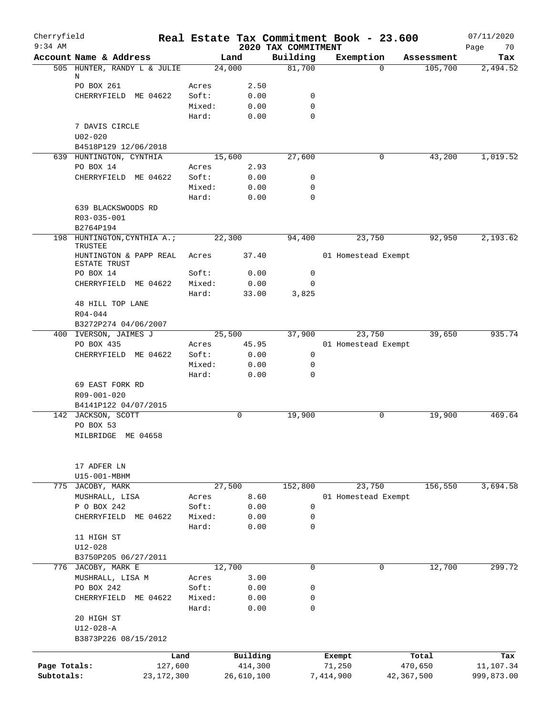| Cherryfield<br>$9:34$ AM |                                            |                 |              | 2020 TAX COMMITMENT | Real Estate Tax Commitment Book - 23.600 |            | 07/11/2020<br>70 |
|--------------------------|--------------------------------------------|-----------------|--------------|---------------------|------------------------------------------|------------|------------------|
|                          | Account Name & Address                     |                 | Land         | Building            | Exemption                                | Assessment | Page<br>Tax      |
|                          | 505 HUNTER, RANDY L & JULIE                |                 | 24,000       | 81,700              | $\Omega$                                 | 105,700    | 2,494.52         |
|                          | Ν                                          |                 |              |                     |                                          |            |                  |
|                          | PO BOX 261                                 | Acres           | 2.50         |                     |                                          |            |                  |
|                          | CHERRYFIELD ME 04622                       | Soft:<br>Mixed: | 0.00<br>0.00 | 0<br>0              |                                          |            |                  |
|                          |                                            | Hard:           | 0.00         | $\Omega$            |                                          |            |                  |
|                          | 7 DAVIS CIRCLE                             |                 |              |                     |                                          |            |                  |
|                          | $U02 - 020$                                |                 |              |                     |                                          |            |                  |
|                          | B4518P129 12/06/2018                       |                 |              |                     |                                          |            |                  |
|                          | 639 HUNTINGTON, CYNTHIA                    |                 | 15,600       | 27,600              | 0                                        | 43,200     | 1,019.52         |
|                          | PO BOX 14                                  | Acres           | 2.93         |                     |                                          |            |                  |
|                          | CHERRYFIELD ME 04622                       | Soft:           | 0.00         | 0                   |                                          |            |                  |
|                          |                                            | Mixed:          | 0.00         | 0                   |                                          |            |                  |
|                          |                                            | Hard:           | 0.00         | $\Omega$            |                                          |            |                  |
|                          | 639 BLACKSWOODS RD                         |                 |              |                     |                                          |            |                  |
|                          | R03-035-001                                |                 |              |                     |                                          |            |                  |
|                          | B2764P194                                  |                 |              |                     |                                          |            |                  |
|                          | 198 HUNTINGTON, CYNTHIA A.;<br>TRUSTEE     |                 | 22,300       | 94,400              | 23,750                                   | 92,950     | 2,193.62         |
|                          | HUNTINGTON & PAPP REAL                     | Acres           | 37.40        |                     | 01 Homestead Exempt                      |            |                  |
|                          | <b>ESTATE TRUST</b>                        |                 |              |                     |                                          |            |                  |
|                          | PO BOX 14                                  | Soft:           | 0.00         | $\mathbf 0$         |                                          |            |                  |
|                          | CHERRYFIELD ME 04622                       | Mixed:          | 0.00         | 0                   |                                          |            |                  |
|                          |                                            | Hard:           | 33.00        | 3,825               |                                          |            |                  |
|                          | 48 HILL TOP LANE                           |                 |              |                     |                                          |            |                  |
|                          | $R04 - 044$                                |                 |              |                     |                                          |            |                  |
|                          | B3272P274 04/06/2007                       |                 |              |                     |                                          |            |                  |
|                          | 400 IVERSON, JAIMES J                      |                 | 25,500       | 37,900              | 23,750                                   | 39,650     | 935.74           |
|                          | PO BOX 435                                 | Acres           | 45.95        |                     | 01 Homestead Exempt                      |            |                  |
|                          | CHERRYFIELD ME 04622                       | Soft:           | 0.00         | 0                   |                                          |            |                  |
|                          |                                            | Mixed:          | 0.00         | 0                   |                                          |            |                  |
|                          |                                            | Hard:           | 0.00         | 0                   |                                          |            |                  |
|                          | 69 EAST FORK RD                            |                 |              |                     |                                          |            |                  |
|                          | R09-001-020                                |                 |              |                     |                                          |            |                  |
|                          | B4141P122 04/07/2015<br>142 JACKSON, SCOTT |                 | 0            | 19,900              | 0                                        | 19,900     | 469.64           |
|                          | PO BOX 53                                  |                 |              |                     |                                          |            |                  |
|                          | MILBRIDGE ME 04658                         |                 |              |                     |                                          |            |                  |
|                          |                                            |                 |              |                     |                                          |            |                  |
|                          |                                            |                 |              |                     |                                          |            |                  |
|                          | 17 ADFER LN<br>U15-001-MBHM                |                 |              |                     |                                          |            |                  |
|                          | 775 JACOBY, MARK                           |                 | 27,500       | 152,800             | 23,750                                   | 156,550    | 3,694.58         |
|                          | MUSHRALL, LISA                             | Acres           | 8.60         |                     | 01 Homestead Exempt                      |            |                  |
|                          | P O BOX 242                                | Soft:           | 0.00         | 0                   |                                          |            |                  |
|                          | CHERRYFIELD<br>ME 04622                    | Mixed:          | 0.00         | 0                   |                                          |            |                  |
|                          |                                            | Hard:           | 0.00         | 0                   |                                          |            |                  |
|                          | 11 HIGH ST                                 |                 |              |                     |                                          |            |                  |
|                          | $U12 - 028$                                |                 |              |                     |                                          |            |                  |
|                          | B3750P205 06/27/2011                       |                 |              |                     |                                          |            |                  |
|                          | 776 JACOBY, MARK E                         |                 | 12,700       | $\mathbf 0$         | 0                                        | 12,700     | 299.72           |
|                          | MUSHRALL, LISA M                           | Acres           | 3.00         |                     |                                          |            |                  |
|                          | PO BOX 242                                 | Soft:           | 0.00         | 0                   |                                          |            |                  |
|                          | CHERRYFIELD ME 04622                       | Mixed:          | 0.00         | 0                   |                                          |            |                  |
|                          |                                            | Hard:           | 0.00         | 0                   |                                          |            |                  |
|                          | 20 HIGH ST                                 |                 |              |                     |                                          |            |                  |
|                          | $U12 - 028 - A$                            |                 |              |                     |                                          |            |                  |
|                          | B3873P226 08/15/2012                       |                 |              |                     |                                          |            |                  |
|                          |                                            | Land            | Building     |                     | Exempt                                   | Total      | Tax              |
| Page Totals:             | 127,600                                    |                 | 414,300      |                     | 71,250                                   | 470,650    | 11,107.34        |
| Subtotals:               | 23, 172, 300                               |                 | 26,610,100   |                     | 7,414,900                                | 42,367,500 | 999,873.00       |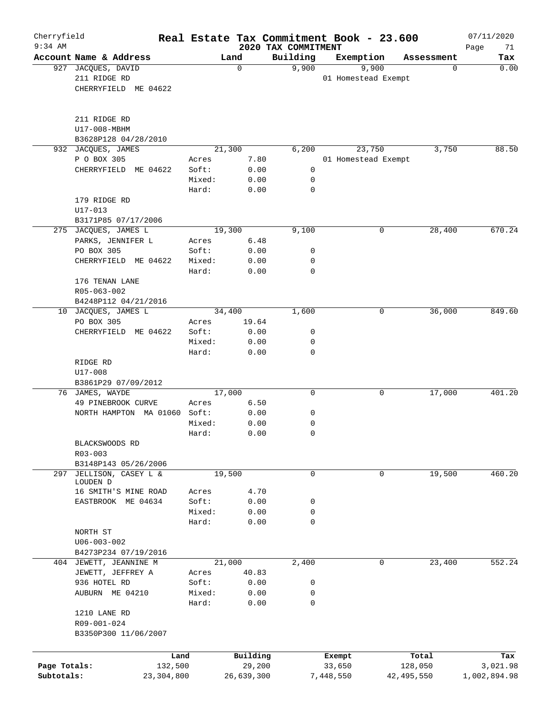| Cherryfield<br>$9:34$ AM |                        |         |            | 2020 TAX COMMITMENT | Real Estate Tax Commitment Book - 23.600 |              | 07/11/2020<br>Page<br>71 |
|--------------------------|------------------------|---------|------------|---------------------|------------------------------------------|--------------|--------------------------|
|                          | Account Name & Address |         | Land       | Building            | Exemption                                | Assessment   | Tax                      |
| 927                      | JACQUES, DAVID         |         | 0          | 9,900               | 9,900                                    | 0            | 0.00                     |
|                          | 211 RIDGE RD           |         |            |                     | 01 Homestead Exempt                      |              |                          |
|                          | CHERRYFIELD ME 04622   |         |            |                     |                                          |              |                          |
|                          |                        |         |            |                     |                                          |              |                          |
|                          |                        |         |            |                     |                                          |              |                          |
|                          | 211 RIDGE RD           |         |            |                     |                                          |              |                          |
|                          | U17-008-MBHM           |         |            |                     |                                          |              |                          |
|                          | B3628P128 04/28/2010   |         |            |                     |                                          |              |                          |
| 932                      | JACQUES, JAMES         |         | 21,300     | 6,200               | 23,750                                   | 3,750        | 88.50                    |
|                          | P O BOX 305            | Acres   | 7.80       |                     | 01 Homestead Exempt                      |              |                          |
|                          | CHERRYFIELD ME 04622   | Soft:   | 0.00       | 0                   |                                          |              |                          |
|                          |                        | Mixed:  | 0.00       | 0                   |                                          |              |                          |
|                          |                        | Hard:   | 0.00       | $\mathbf 0$         |                                          |              |                          |
|                          | 179 RIDGE RD           |         |            |                     |                                          |              |                          |
|                          | $U17 - 013$            |         |            |                     |                                          |              |                          |
|                          | B3171P85 07/17/2006    |         |            |                     |                                          |              |                          |
|                          | 275 JACQUES, JAMES L   |         | 19,300     | 9,100               | 0                                        | 28,400       | 670.24                   |
|                          | PARKS, JENNIFER L      | Acres   | 6.48       |                     |                                          |              |                          |
|                          | PO BOX 305             | Soft:   | 0.00       | 0                   |                                          |              |                          |
|                          | CHERRYFIELD ME 04622   | Mixed:  | 0.00       | 0                   |                                          |              |                          |
|                          |                        | Hard:   | 0.00       | 0                   |                                          |              |                          |
|                          | 176 TENAN LANE         |         |            |                     |                                          |              |                          |
|                          |                        |         |            |                     |                                          |              |                          |
|                          | R05-063-002            |         |            |                     |                                          |              |                          |
|                          | B4248P112 04/21/2016   |         |            |                     |                                          |              |                          |
| 10                       | JACQUES, JAMES L       |         | 34,400     | 1,600               |                                          | 36,000<br>0  | 849.60                   |
|                          | PO BOX 305             | Acres   | 19.64      |                     |                                          |              |                          |
|                          | CHERRYFIELD ME 04622   | Soft:   | 0.00       | 0                   |                                          |              |                          |
|                          |                        | Mixed:  | 0.00       | 0                   |                                          |              |                          |
|                          |                        | Hard:   | 0.00       | $\mathbf 0$         |                                          |              |                          |
|                          | RIDGE RD               |         |            |                     |                                          |              |                          |
|                          | U17-008                |         |            |                     |                                          |              |                          |
|                          | B3861P29 07/09/2012    |         |            |                     |                                          |              |                          |
|                          | 76 JAMES, WAYDE        |         | 17,000     | $\mathbf 0$         | 0                                        | 17,000       | 401.20                   |
|                          | 49 PINEBROOK CURVE     | Acres   | 6.50       |                     |                                          |              |                          |
|                          | NORTH HAMPTON MA 01060 | Soft:   | 0.00       | 0                   |                                          |              |                          |
|                          |                        | Mixed:  | 0.00       | 0                   |                                          |              |                          |
|                          |                        | Hard:   | 0.00       | $\mathbf 0$         |                                          |              |                          |
|                          | BLACKSWOODS RD         |         |            |                     |                                          |              |                          |
|                          | $R03 - 003$            |         |            |                     |                                          |              |                          |
|                          | B3148P143 05/26/2006   |         |            |                     |                                          |              |                          |
| 297                      | JELLISON, CASEY L &    |         | 19,500     | 0                   | 0                                        | 19,500       | 460.20                   |
|                          | LOUDEN D               |         |            |                     |                                          |              |                          |
|                          | 16 SMITH'S MINE ROAD   | Acres   | 4.70       |                     |                                          |              |                          |
|                          | EASTBROOK ME 04634     | Soft:   | 0.00       | 0                   |                                          |              |                          |
|                          |                        | Mixed:  | 0.00       | 0                   |                                          |              |                          |
|                          |                        | Hard:   | 0.00       | $\mathbf 0$         |                                          |              |                          |
|                          | NORTH ST               |         |            |                     |                                          |              |                          |
|                          | $U06 - 003 - 002$      |         |            |                     |                                          |              |                          |
|                          | B4273P234 07/19/2016   |         |            |                     |                                          |              |                          |
|                          | 404 JEWETT, JEANNINE M |         | 21,000     | 2,400               |                                          | 0<br>23,400  | 552.24                   |
|                          | JEWETT, JEFFREY A      | Acres   | 40.83      |                     |                                          |              |                          |
|                          | 936 HOTEL RD           | Soft:   | 0.00       | 0                   |                                          |              |                          |
|                          |                        |         |            |                     |                                          |              |                          |
|                          | AUBURN ME 04210        | Mixed:  | 0.00       | 0                   |                                          |              |                          |
|                          |                        | Hard:   | 0.00       | 0                   |                                          |              |                          |
|                          | 1210 LANE RD           |         |            |                     |                                          |              |                          |
|                          | R09-001-024            |         |            |                     |                                          |              |                          |
|                          | B3350P300 11/06/2007   |         |            |                     |                                          |              |                          |
|                          |                        |         |            |                     |                                          |              |                          |
|                          |                        | Land    | Building   |                     | Exempt                                   | Total        | Tax                      |
| Page Totals:             |                        | 132,500 | 29,200     |                     | 33,650                                   | 128,050      | 3,021.98                 |
| Subtotals:               | 23, 304, 800           |         | 26,639,300 |                     | 7,448,550                                | 42, 495, 550 | 1,002,894.98             |
|                          |                        |         |            |                     |                                          |              |                          |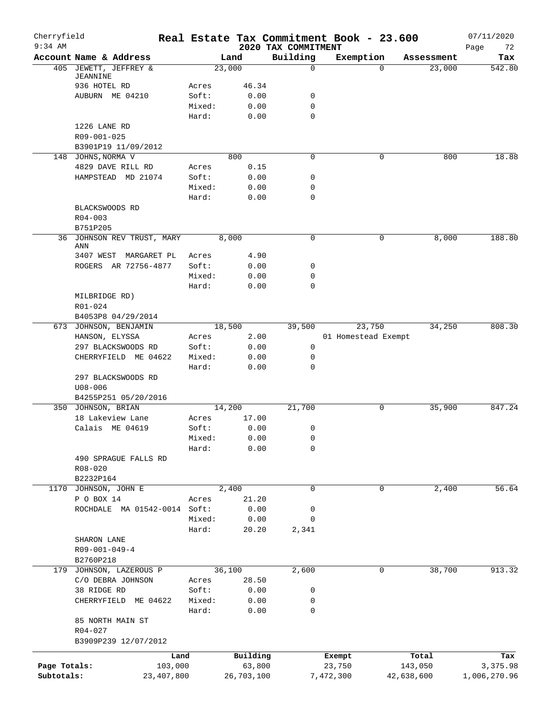| Cherryfield<br>$9:34$ AM |                                     |                 |              | 2020 TAX COMMITMENT | Real Estate Tax Commitment Book - 23.600 |            | 07/11/2020        |
|--------------------------|-------------------------------------|-----------------|--------------|---------------------|------------------------------------------|------------|-------------------|
|                          | Account Name & Address              |                 | Land         | Building            | Exemption                                | Assessment | Page<br>72<br>Tax |
|                          | 405 JEWETT, JEFFREY &               |                 | 23,000       | 0                   | $\Omega$                                 | 23,000     | 542.80            |
|                          | JEANNINE                            |                 |              |                     |                                          |            |                   |
|                          | 936 HOTEL RD                        | Acres           | 46.34        |                     |                                          |            |                   |
|                          | AUBURN ME 04210                     | Soft:           | 0.00         | 0                   |                                          |            |                   |
|                          |                                     | Mixed:<br>Hard: | 0.00<br>0.00 | $\mathbf 0$<br>0    |                                          |            |                   |
|                          | 1226 LANE RD                        |                 |              |                     |                                          |            |                   |
|                          | R09-001-025                         |                 |              |                     |                                          |            |                   |
|                          | B3901P19 11/09/2012                 |                 |              |                     |                                          |            |                   |
|                          | 148 JOHNS, NORMA V                  |                 | 800          | 0                   | 0                                        | 800        | 18.88             |
|                          | 4829 DAVE RILL RD                   | Acres           | 0.15         |                     |                                          |            |                   |
|                          | HAMPSTEAD MD 21074                  | Soft:           | 0.00         | 0                   |                                          |            |                   |
|                          |                                     | Mixed:          | 0.00         | 0                   |                                          |            |                   |
|                          |                                     | Hard:           | 0.00         | 0                   |                                          |            |                   |
|                          | BLACKSWOODS RD                      |                 |              |                     |                                          |            |                   |
|                          | $R04 - 003$                         |                 |              |                     |                                          |            |                   |
|                          | B751P205                            |                 |              |                     |                                          |            |                   |
|                          | 36 JOHNSON REV TRUST, MARY<br>ANN   |                 | 8,000        | 0                   | 0                                        | 8,000      | 188.80            |
|                          | 3407 WEST MARGARET PL               | Acres           | 4.90         |                     |                                          |            |                   |
|                          | ROGERS AR 72756-4877                | Soft:           | 0.00         | 0                   |                                          |            |                   |
|                          |                                     | Mixed:          | 0.00         | 0                   |                                          |            |                   |
|                          |                                     | Hard:           | 0.00         | $\Omega$            |                                          |            |                   |
|                          | MILBRIDGE RD)                       |                 |              |                     |                                          |            |                   |
|                          | R01-024                             |                 |              |                     |                                          |            |                   |
|                          | B4053P8 04/29/2014                  |                 |              |                     |                                          |            |                   |
|                          | 673 JOHNSON, BENJAMIN               |                 | 18,500       | 39,500              | 23,750                                   | 34,250     | 808.30            |
|                          | HANSON, ELYSSA                      | Acres           | 2.00         |                     | 01 Homestead Exempt                      |            |                   |
|                          | 297 BLACKSWOODS RD                  | Soft:           | 0.00         | 0                   |                                          |            |                   |
|                          | CHERRYFIELD ME 04622                | Mixed:          | 0.00         | 0                   |                                          |            |                   |
|                          |                                     | Hard:           | 0.00         | 0                   |                                          |            |                   |
|                          | 297 BLACKSWOODS RD                  |                 |              |                     |                                          |            |                   |
|                          | $U08 - 006$<br>B4255P251 05/20/2016 |                 |              |                     |                                          |            |                   |
|                          | 350 JOHNSON, BRIAN                  |                 | 14,200       | 21,700              | 0                                        | 35,900     | 847.24            |
|                          | 18 Lakeview Lane                    | Acres           | 17.00        |                     |                                          |            |                   |
|                          | Calais ME 04619                     | Soft:           | 0.00         | 0                   |                                          |            |                   |
|                          |                                     | Mixed:          | 0.00         | 0                   |                                          |            |                   |
|                          |                                     | Hard:           | 0.00         | 0                   |                                          |            |                   |
|                          | 490 SPRAGUE FALLS RD                |                 |              |                     |                                          |            |                   |
|                          | R08-020                             |                 |              |                     |                                          |            |                   |
|                          | B2232P164                           |                 |              |                     |                                          |            |                   |
|                          | 1170 JOHNSON, JOHN E                |                 | 2,400        | 0                   | 0                                        | 2,400      | 56.64             |
|                          | P O BOX 14                          | Acres           | 21.20        |                     |                                          |            |                   |
|                          | ROCHDALE MA 01542-0014 Soft:        |                 | 0.00         | 0                   |                                          |            |                   |
|                          |                                     | Mixed:          | 0.00         | 0                   |                                          |            |                   |
|                          |                                     | Hard:           | 20.20        | 2,341               |                                          |            |                   |
|                          | SHARON LANE                         |                 |              |                     |                                          |            |                   |
|                          | $R09 - 001 - 049 - 4$               |                 |              |                     |                                          |            |                   |
|                          | B2760P218                           |                 |              |                     |                                          |            |                   |
|                          | 179 JOHNSON, LAZEROUS P             |                 | 36,100       | 2,600               | 0                                        | 38,700     | 913.32            |
|                          | C/O DEBRA JOHNSON                   | Acres           | 28.50        |                     |                                          |            |                   |
|                          | 38 RIDGE RD                         | Soft:           | 0.00         | 0                   |                                          |            |                   |
|                          | CHERRYFIELD ME 04622                | Mixed:<br>Hard: | 0.00<br>0.00 | 0<br>0              |                                          |            |                   |
|                          | 85 NORTH MAIN ST                    |                 |              |                     |                                          |            |                   |
|                          | $R04 - 027$                         |                 |              |                     |                                          |            |                   |
|                          | B3909P239 12/07/2012                |                 |              |                     |                                          |            |                   |
|                          |                                     |                 |              |                     |                                          |            |                   |
|                          | Land                                |                 | Building     |                     | Exempt                                   | Total      | Tax               |
| Page Totals:             | 103,000                             |                 | 63,800       |                     | 23,750                                   | 143,050    | 3,375.98          |
| Subtotals:               | 23,407,800                          |                 | 26,703,100   |                     | 7,472,300                                | 42,638,600 | 1,006,270.96      |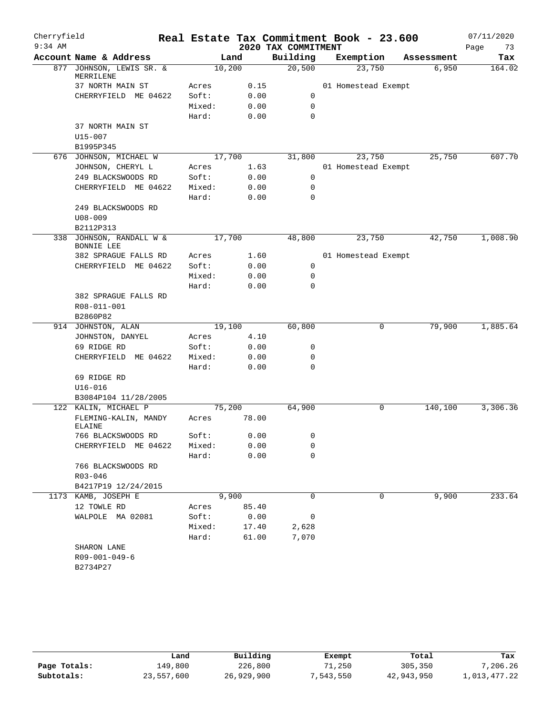| Cherryfield |                                               |        |        |                     | Real Estate Tax Commitment Book - 23.600 |            | 07/11/2020 |
|-------------|-----------------------------------------------|--------|--------|---------------------|------------------------------------------|------------|------------|
| $9:34$ AM   |                                               |        |        | 2020 TAX COMMITMENT |                                          |            | Page<br>73 |
|             | Account Name & Address                        |        | Land   | Building            | Exemption                                | Assessment | Tax        |
| 877         | JOHNSON, LEWIS SR. &<br>MERRILENE             | 10,200 |        | 20,500              | 23,750                                   | 6,950      | 164.02     |
|             | 37 NORTH MAIN ST                              | Acres  | 0.15   |                     | 01 Homestead Exempt                      |            |            |
|             | CHERRYFIELD ME 04622                          | Soft:  | 0.00   | 0                   |                                          |            |            |
|             |                                               | Mixed: | 0.00   | 0                   |                                          |            |            |
|             |                                               | Hard:  | 0.00   | 0                   |                                          |            |            |
|             | 37 NORTH MAIN ST                              |        |        |                     |                                          |            |            |
|             | U15-007                                       |        |        |                     |                                          |            |            |
|             | B1995P345                                     |        |        |                     |                                          |            |            |
|             | 676 JOHNSON, MICHAEL W                        |        | 17,700 | 31,800              | 23,750                                   | 25,750     | 607.70     |
|             | JOHNSON, CHERYL L                             | Acres  | 1.63   |                     | 01 Homestead Exempt                      |            |            |
|             | 249 BLACKSWOODS RD                            | Soft:  | 0.00   | $\mathbf 0$         |                                          |            |            |
|             | CHERRYFIELD ME 04622                          | Mixed: | 0.00   | 0                   |                                          |            |            |
|             |                                               | Hard:  | 0.00   | $\mathbf 0$         |                                          |            |            |
|             | 249 BLACKSWOODS RD                            |        |        |                     |                                          |            |            |
|             | $U08 - 009$                                   |        |        |                     |                                          |            |            |
|             | B2112P313                                     |        |        |                     |                                          |            |            |
|             | 338 JOHNSON, RANDALL W &<br><b>BONNIE LEE</b> | 17,700 |        | 48,800              | 23,750                                   | 42,750     | 1,008.90   |
|             | 382 SPRAGUE FALLS RD                          | Acres  | 1.60   |                     | 01 Homestead Exempt                      |            |            |
|             | CHERRYFIELD ME 04622                          | Soft:  | 0.00   | 0                   |                                          |            |            |
|             |                                               | Mixed: | 0.00   | 0                   |                                          |            |            |
|             |                                               | Hard:  | 0.00   | $\Omega$            |                                          |            |            |
|             | 382 SPRAGUE FALLS RD                          |        |        |                     |                                          |            |            |
|             | R08-011-001                                   |        |        |                     |                                          |            |            |
|             | B2860P82                                      |        |        |                     |                                          |            |            |
|             | 914 JOHNSTON, ALAN                            | 19,100 |        | 60,800              | 0                                        | 79,900     | 1,885.64   |
|             | JOHNSTON, DANYEL                              | Acres  | 4.10   |                     |                                          |            |            |
|             | 69 RIDGE RD                                   | Soft:  | 0.00   | 0                   |                                          |            |            |
|             | CHERRYFIELD ME 04622                          | Mixed: | 0.00   | 0                   |                                          |            |            |
|             |                                               | Hard:  | 0.00   | 0                   |                                          |            |            |
|             | 69 RIDGE RD                                   |        |        |                     |                                          |            |            |
|             | $U16 - 016$                                   |        |        |                     |                                          |            |            |
|             | B3084P104 11/28/2005                          |        |        |                     |                                          |            |            |
|             | 122 KALIN, MICHAEL P                          | 75,200 |        | 64,900              | 0                                        | 140,100    | 3,306.36   |
|             | FLEMING-KALIN, MANDY<br><b>ELAINE</b>         | Acres  | 78.00  |                     |                                          |            |            |
|             | 766 BLACKSWOODS RD                            | Soft:  | 0.00   | 0                   |                                          |            |            |
|             | CHERRYFIELD ME 04622                          | Mixed: | 0.00   | 0                   |                                          |            |            |
|             |                                               | Hard:  | 0.00   | $\mathbf 0$         |                                          |            |            |
|             | 766 BLACKSWOODS RD                            |        |        |                     |                                          |            |            |
|             | R03-046                                       |        |        |                     |                                          |            |            |
|             | B4217P19 12/24/2015                           |        |        |                     |                                          |            |            |
|             | 1173 KAMB, JOSEPH E                           |        | 9,900  | $\mathbf 0$         | 0                                        | 9,900      | 233.64     |
|             | 12 TOWLE RD                                   | Acres  | 85.40  |                     |                                          |            |            |
|             | WALPOLE MA 02081                              | Soft:  | 0.00   | 0                   |                                          |            |            |
|             |                                               | Mixed: | 17.40  | 2,628               |                                          |            |            |
|             |                                               | Hard:  | 61.00  | 7,070               |                                          |            |            |
|             | SHARON LANE                                   |        |        |                     |                                          |            |            |
|             | $R09 - 001 - 049 - 6$                         |        |        |                     |                                          |            |            |
|             | B2734P27                                      |        |        |                     |                                          |            |            |

|              | Land       | Building   | Exempt    | Total      | Tax          |
|--------------|------------|------------|-----------|------------|--------------|
| Page Totals: | 149,800    | 226,800    | 71,250    | 305,350    | 7,206.26     |
| Subtotals:   | 23,557,600 | 26,929,900 | 7,543,550 | 42,943,950 | 1,013,477.22 |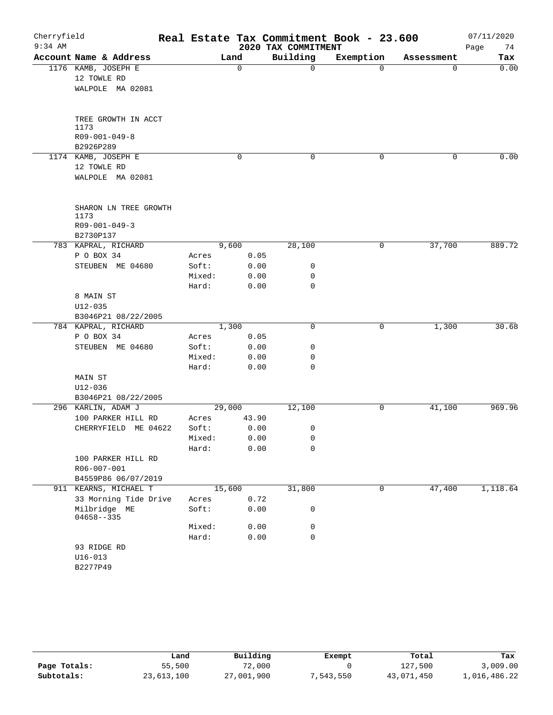| Cherryfield<br>$9:34$ AM |                                    |        |             | 2020 TAX COMMITMENT | Real Estate Tax Commitment Book - 23.600 |             | 07/11/2020<br>74<br>Page |
|--------------------------|------------------------------------|--------|-------------|---------------------|------------------------------------------|-------------|--------------------------|
|                          | Account Name & Address             |        | Land        | Building            | Exemption                                | Assessment  | Tax                      |
|                          | 1176 KAMB, JOSEPH E                |        | $\mathbf 0$ | 0                   | $\Omega$                                 | $\mathbf 0$ | 0.00                     |
|                          | 12 TOWLE RD                        |        |             |                     |                                          |             |                          |
|                          | WALPOLE MA 02081                   |        |             |                     |                                          |             |                          |
|                          | TREE GROWTH IN ACCT                |        |             |                     |                                          |             |                          |
|                          | 1173<br>$R09 - 001 - 049 - 8$      |        |             |                     |                                          |             |                          |
|                          | B2926P289                          |        |             |                     |                                          |             |                          |
|                          | 1174 KAMB, JOSEPH E                |        | 0           | 0                   | 0                                        | 0           | 0.00                     |
|                          | 12 TOWLE RD                        |        |             |                     |                                          |             |                          |
|                          | WALPOLE MA 02081                   |        |             |                     |                                          |             |                          |
|                          | SHARON LN TREE GROWTH              |        |             |                     |                                          |             |                          |
|                          | 1173                               |        |             |                     |                                          |             |                          |
|                          | $R09 - 001 - 049 - 3$<br>B2730P137 |        |             |                     |                                          |             |                          |
|                          | 783 KAPRAL, RICHARD                |        | 9,600       | 28,100              | 0                                        | 37,700      | 889.72                   |
|                          | P O BOX 34                         | Acres  | 0.05        |                     |                                          |             |                          |
|                          | STEUBEN ME 04680                   | Soft:  | 0.00        | 0                   |                                          |             |                          |
|                          |                                    | Mixed: | 0.00        | 0                   |                                          |             |                          |
|                          |                                    | Hard:  | 0.00        | 0                   |                                          |             |                          |
|                          | 8 MAIN ST                          |        |             |                     |                                          |             |                          |
|                          | $U12 - 035$                        |        |             |                     |                                          |             |                          |
|                          | B3046P21 08/22/2005                |        |             |                     |                                          |             |                          |
|                          | 784 KAPRAL, RICHARD                |        | 1,300       | 0                   | 0                                        | 1,300       | 30.68                    |
|                          | P O BOX 34                         | Acres  | 0.05        |                     |                                          |             |                          |
|                          | STEUBEN ME 04680                   | Soft:  | 0.00        | 0                   |                                          |             |                          |
|                          |                                    | Mixed: | 0.00        | 0                   |                                          |             |                          |
|                          |                                    | Hard:  | 0.00        | 0                   |                                          |             |                          |
|                          | MAIN ST                            |        |             |                     |                                          |             |                          |
|                          | $U12 - 036$<br>B3046P21 08/22/2005 |        |             |                     |                                          |             |                          |
|                          | 296 KARLIN, ADAM J                 |        | 29,000      | 12,100              | 0                                        | 41,100      | 969.96                   |
|                          | 100 PARKER HILL RD                 | Acres  | 43.90       |                     |                                          |             |                          |
|                          | CHERRYFIELD ME 04622               | Soft:  | 0.00        | 0                   |                                          |             |                          |
|                          |                                    | Mixed: | 0.00        | 0                   |                                          |             |                          |
|                          |                                    | Hard:  | 0.00        | 0                   |                                          |             |                          |
|                          | 100 PARKER HILL RD                 |        |             |                     |                                          |             |                          |
|                          | R06-007-001                        |        |             |                     |                                          |             |                          |
|                          | B4559P86 06/07/2019                |        |             |                     |                                          |             |                          |
|                          | 911 KEARNS, MICHAEL T              |        | 15,600      | 31,800              | 0                                        | 47,400      | 1,118.64                 |
|                          | 33 Morning Tide Drive              | Acres  | 0.72        |                     |                                          |             |                          |
|                          | Milbridge ME<br>$04658 - -335$     | Soft:  | 0.00        | 0                   |                                          |             |                          |
|                          |                                    | Mixed: | 0.00        | 0                   |                                          |             |                          |
|                          |                                    | Hard:  | 0.00        | 0                   |                                          |             |                          |
|                          | 93 RIDGE RD                        |        |             |                     |                                          |             |                          |
|                          | $U16 - 013$                        |        |             |                     |                                          |             |                          |
|                          | B2277P49                           |        |             |                     |                                          |             |                          |

|              | Land       | Building   | Exempt    | Total      | Tax          |
|--------------|------------|------------|-----------|------------|--------------|
| Page Totals: | 55,500     | 72,000     |           | 127,500    | 3,009.00     |
| Subtotals:   | 23,613,100 | 27,001,900 | 7,543,550 | 43,071,450 | 1,016,486.22 |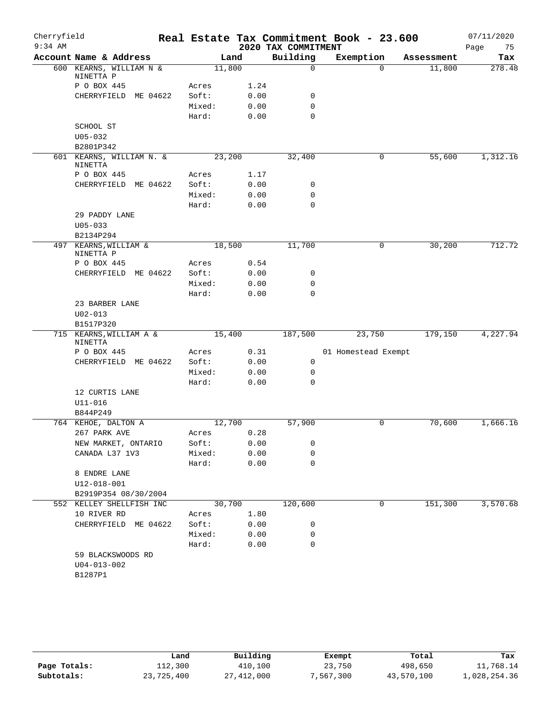| Cherryfield |                                      |        |      |                     | Real Estate Tax Commitment Book - 23.600 |            | 07/11/2020 |
|-------------|--------------------------------------|--------|------|---------------------|------------------------------------------|------------|------------|
| $9:34$ AM   |                                      |        |      | 2020 TAX COMMITMENT |                                          |            | 75<br>Page |
|             | Account Name & Address               | Land   |      | Building            | Exemption                                | Assessment | Tax        |
|             | 600 KEARNS, WILLIAM N &<br>NINETTA P | 11,800 |      | 0                   | $\Omega$                                 | 11,800     | 278.48     |
|             | P O BOX 445                          | Acres  | 1.24 |                     |                                          |            |            |
|             | CHERRYFIELD ME 04622                 | Soft:  | 0.00 | 0                   |                                          |            |            |
|             |                                      | Mixed: | 0.00 | $\mathbf 0$         |                                          |            |            |
|             |                                      | Hard:  | 0.00 | $\mathbf 0$         |                                          |            |            |
|             | SCHOOL ST                            |        |      |                     |                                          |            |            |
|             | $U05 - 032$                          |        |      |                     |                                          |            |            |
|             | B2801P342                            |        |      |                     |                                          |            |            |
|             | 601 KEARNS, WILLIAM N. &<br>NINETTA  | 23,200 |      | 32,400              | 0                                        | 55,600     | 1,312.16   |
|             | P O BOX 445                          | Acres  | 1.17 |                     |                                          |            |            |
|             | CHERRYFIELD<br>ME 04622              | Soft:  | 0.00 | 0                   |                                          |            |            |
|             |                                      | Mixed: | 0.00 | 0                   |                                          |            |            |
|             |                                      | Hard:  | 0.00 | $\mathbf 0$         |                                          |            |            |
|             | 29 PADDY LANE                        |        |      |                     |                                          |            |            |
|             | $U05 - 033$                          |        |      |                     |                                          |            |            |
|             | B2134P294                            |        |      |                     |                                          |            |            |
|             | 497 KEARNS, WILLIAM &                | 18,500 |      | 11,700              | 0                                        | 30,200     | 712.72     |
|             | NINETTA P                            |        |      |                     |                                          |            |            |
|             | P O BOX 445                          | Acres  | 0.54 |                     |                                          |            |            |
|             | CHERRYFIELD<br>ME 04622              | Soft:  | 0.00 | 0<br>$\mathbf 0$    |                                          |            |            |
|             |                                      | Mixed: | 0.00 | $\mathbf 0$         |                                          |            |            |
|             | 23 BARBER LANE                       | Hard:  | 0.00 |                     |                                          |            |            |
|             | $U02 - 013$                          |        |      |                     |                                          |            |            |
|             | B1517P320                            |        |      |                     |                                          |            |            |
|             | 715 KEARNS, WILLIAM A &              | 15,400 |      | 187,500             | 23,750                                   | 179,150    | 4,227.94   |
|             | NINETTA                              |        |      |                     |                                          |            |            |
|             | P O BOX 445                          | Acres  | 0.31 |                     | 01 Homestead Exempt                      |            |            |
|             | CHERRYFIELD ME 04622                 | Soft:  | 0.00 | 0                   |                                          |            |            |
|             |                                      | Mixed: | 0.00 | $\mathbf 0$         |                                          |            |            |
|             |                                      | Hard:  | 0.00 | $\Omega$            |                                          |            |            |
|             | 12 CURTIS LANE                       |        |      |                     |                                          |            |            |
|             | $U11 - 016$                          |        |      |                     |                                          |            |            |
|             | B844P249                             |        |      |                     |                                          |            |            |
|             | 764 KEHOE, DALTON A                  | 12,700 |      | 57,900              | 0                                        | 70,600     | 1,666.16   |
|             | 267 PARK AVE                         | Acres  | 0.28 |                     |                                          |            |            |
|             | NEW MARKET, ONTARIO                  | Soft:  | 0.00 | 0                   |                                          |            |            |
|             | CANADA L37 1V3                       | Mixed: | 0.00 | 0                   |                                          |            |            |
|             |                                      | Hard:  | 0.00 | $\mathbf 0$         |                                          |            |            |
|             | 8 ENDRE LANE                         |        |      |                     |                                          |            |            |
|             | U12-018-001                          |        |      |                     |                                          |            |            |
|             | B2919P354 08/30/2004                 |        |      |                     |                                          |            |            |
|             | 552 KELLEY SHELLFISH INC             | 30,700 |      | 120,600             | 0                                        | 151,300    | 3,570.68   |
|             | 10 RIVER RD                          | Acres  | 1.80 |                     |                                          |            |            |
|             | CHERRYFIELD ME 04622                 | Soft:  | 0.00 | 0                   |                                          |            |            |
|             |                                      | Mixed: | 0.00 | 0                   |                                          |            |            |
|             |                                      | Hard:  | 0.00 | $\mathbf 0$         |                                          |            |            |
|             | 59 BLACKSWOODS RD                    |        |      |                     |                                          |            |            |
|             | $U04 - 013 - 002$                    |        |      |                     |                                          |            |            |
|             | B1287P1                              |        |      |                     |                                          |            |            |
|             |                                      |        |      |                     |                                          |            |            |

|              | Land       | Building     | Exempt    | Total      | Tax          |
|--------------|------------|--------------|-----------|------------|--------------|
| Page Totals: | 112,300    | 410,100      | 23,750    | 498,650    | 11,768.14    |
| Subtotals:   | 23,725,400 | 27, 412, 000 | 7,567,300 | 43,570,100 | 1,028,254.36 |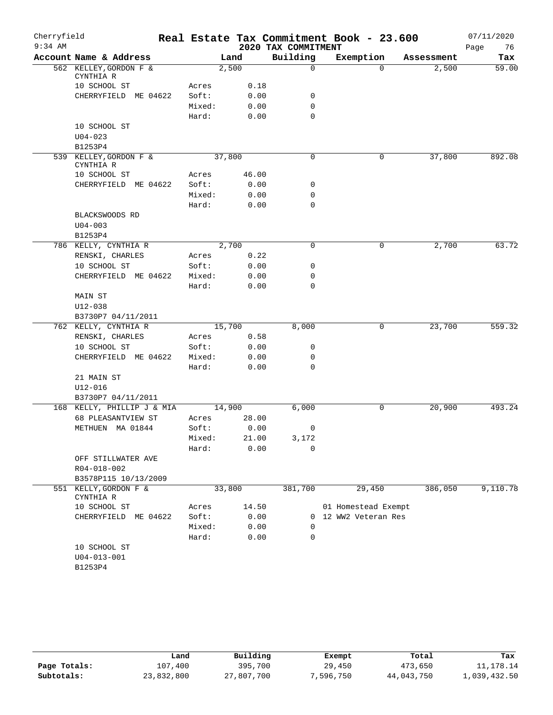| 2020 TAX COMMITMENT<br>Building<br>Account Name & Address<br>Exemption<br>Land<br>Tax<br>Assessment<br>562 KELLEY, GORDON F &<br>2,500<br>2,500<br>$\mathbf 0$<br>$\Omega$<br>CYNTHIA R<br>10 SCHOOL ST<br>0.18<br>Acres<br>Soft:<br>0.00<br>0<br>CHERRYFIELD ME 04622<br>Mixed:<br>0.00<br>0<br>$\Omega$<br>Hard:<br>0.00<br>10 SCHOOL ST<br>$U04 - 023$<br>B1253P4<br>37,800<br>37,800<br>539 KELLEY, GORDON F &<br>0<br>0<br>CYNTHIA R<br>46.00<br>10 SCHOOL ST<br>Acres<br>CHERRYFIELD ME 04622<br>Soft:<br>0.00<br>0<br>Mixed:<br>0.00<br>0<br>Hard:<br>0.00<br>0<br>BLACKSWOODS RD<br>$U04 - 003$<br>B1253P4<br>2,700<br>$\mathbf 0$<br>2,700<br>786 KELLY, CYNTHIA R<br>0<br>0.22<br>RENSKI, CHARLES<br>Acres<br>10 SCHOOL ST<br>Soft:<br>0.00<br>0<br>Mixed:<br>0.00<br>0<br>CHERRYFIELD ME 04622<br>Hard:<br>0.00<br>0<br>MAIN ST<br>$U12 - 038$<br>B3730P7 04/11/2011<br>15,700<br>8,000<br>23,700<br>762 KELLY, CYNTHIA R<br>0<br>RENSKI, CHARLES<br>0.58<br>Acres<br>10 SCHOOL ST<br>Soft:<br>0.00<br>0<br>CHERRYFIELD ME 04622<br>Mixed:<br>0.00<br>0<br>Hard:<br>0.00<br>0<br>21 MAIN ST<br>$U12 - 016$<br>B3730P7 04/11/2011<br>14,900<br>6,000<br>20,900<br>493.24<br>168 KELLY, PHILLIP J & MIA<br>0<br>68 PLEASANTVIEW ST<br>28.00<br>Acres<br>METHUEN MA 01844<br>Soft:<br>0.00<br>0<br>21.00<br>3,172<br>Mixed:<br>0.00<br>0<br>Hard:<br>OFF STILLWATER AVE<br>R04-018-002<br>B3578P115 10/13/2009<br>551 KELLY, GORDON F &<br>33,800<br>381,700<br>29,450<br>386,050<br>9,110.78<br>CYNTHIA R<br>10 SCHOOL ST<br>14.50<br>01 Homestead Exempt<br>Acres<br>Soft:<br>CHERRYFIELD ME 04622<br>0.00<br>12 WW2 Veteran Res<br>0<br>Mixed:<br>0.00<br>0<br>0.00<br>0<br>Hard:<br>10 SCHOOL ST<br>$U04 - 013 - 001$<br>B1253P4 | Cherryfield |  |  | Real Estate Tax Commitment Book - 23.600 | 07/11/2020 |
|----------------------------------------------------------------------------------------------------------------------------------------------------------------------------------------------------------------------------------------------------------------------------------------------------------------------------------------------------------------------------------------------------------------------------------------------------------------------------------------------------------------------------------------------------------------------------------------------------------------------------------------------------------------------------------------------------------------------------------------------------------------------------------------------------------------------------------------------------------------------------------------------------------------------------------------------------------------------------------------------------------------------------------------------------------------------------------------------------------------------------------------------------------------------------------------------------------------------------------------------------------------------------------------------------------------------------------------------------------------------------------------------------------------------------------------------------------------------------------------------------------------------------------------------------------------------------------------------------------------------------------------------------------------------------------------------------------------------------------------------|-------------|--|--|------------------------------------------|------------|
| 59.00<br>892.08<br>63.72<br>559.32                                                                                                                                                                                                                                                                                                                                                                                                                                                                                                                                                                                                                                                                                                                                                                                                                                                                                                                                                                                                                                                                                                                                                                                                                                                                                                                                                                                                                                                                                                                                                                                                                                                                                                           | $9:34$ AM   |  |  |                                          | 76<br>Page |
|                                                                                                                                                                                                                                                                                                                                                                                                                                                                                                                                                                                                                                                                                                                                                                                                                                                                                                                                                                                                                                                                                                                                                                                                                                                                                                                                                                                                                                                                                                                                                                                                                                                                                                                                              |             |  |  |                                          |            |
|                                                                                                                                                                                                                                                                                                                                                                                                                                                                                                                                                                                                                                                                                                                                                                                                                                                                                                                                                                                                                                                                                                                                                                                                                                                                                                                                                                                                                                                                                                                                                                                                                                                                                                                                              |             |  |  |                                          |            |
|                                                                                                                                                                                                                                                                                                                                                                                                                                                                                                                                                                                                                                                                                                                                                                                                                                                                                                                                                                                                                                                                                                                                                                                                                                                                                                                                                                                                                                                                                                                                                                                                                                                                                                                                              |             |  |  |                                          |            |
|                                                                                                                                                                                                                                                                                                                                                                                                                                                                                                                                                                                                                                                                                                                                                                                                                                                                                                                                                                                                                                                                                                                                                                                                                                                                                                                                                                                                                                                                                                                                                                                                                                                                                                                                              |             |  |  |                                          |            |
|                                                                                                                                                                                                                                                                                                                                                                                                                                                                                                                                                                                                                                                                                                                                                                                                                                                                                                                                                                                                                                                                                                                                                                                                                                                                                                                                                                                                                                                                                                                                                                                                                                                                                                                                              |             |  |  |                                          |            |
|                                                                                                                                                                                                                                                                                                                                                                                                                                                                                                                                                                                                                                                                                                                                                                                                                                                                                                                                                                                                                                                                                                                                                                                                                                                                                                                                                                                                                                                                                                                                                                                                                                                                                                                                              |             |  |  |                                          |            |
|                                                                                                                                                                                                                                                                                                                                                                                                                                                                                                                                                                                                                                                                                                                                                                                                                                                                                                                                                                                                                                                                                                                                                                                                                                                                                                                                                                                                                                                                                                                                                                                                                                                                                                                                              |             |  |  |                                          |            |
|                                                                                                                                                                                                                                                                                                                                                                                                                                                                                                                                                                                                                                                                                                                                                                                                                                                                                                                                                                                                                                                                                                                                                                                                                                                                                                                                                                                                                                                                                                                                                                                                                                                                                                                                              |             |  |  |                                          |            |
|                                                                                                                                                                                                                                                                                                                                                                                                                                                                                                                                                                                                                                                                                                                                                                                                                                                                                                                                                                                                                                                                                                                                                                                                                                                                                                                                                                                                                                                                                                                                                                                                                                                                                                                                              |             |  |  |                                          |            |
|                                                                                                                                                                                                                                                                                                                                                                                                                                                                                                                                                                                                                                                                                                                                                                                                                                                                                                                                                                                                                                                                                                                                                                                                                                                                                                                                                                                                                                                                                                                                                                                                                                                                                                                                              |             |  |  |                                          |            |
|                                                                                                                                                                                                                                                                                                                                                                                                                                                                                                                                                                                                                                                                                                                                                                                                                                                                                                                                                                                                                                                                                                                                                                                                                                                                                                                                                                                                                                                                                                                                                                                                                                                                                                                                              |             |  |  |                                          |            |
|                                                                                                                                                                                                                                                                                                                                                                                                                                                                                                                                                                                                                                                                                                                                                                                                                                                                                                                                                                                                                                                                                                                                                                                                                                                                                                                                                                                                                                                                                                                                                                                                                                                                                                                                              |             |  |  |                                          |            |
|                                                                                                                                                                                                                                                                                                                                                                                                                                                                                                                                                                                                                                                                                                                                                                                                                                                                                                                                                                                                                                                                                                                                                                                                                                                                                                                                                                                                                                                                                                                                                                                                                                                                                                                                              |             |  |  |                                          |            |
|                                                                                                                                                                                                                                                                                                                                                                                                                                                                                                                                                                                                                                                                                                                                                                                                                                                                                                                                                                                                                                                                                                                                                                                                                                                                                                                                                                                                                                                                                                                                                                                                                                                                                                                                              |             |  |  |                                          |            |
|                                                                                                                                                                                                                                                                                                                                                                                                                                                                                                                                                                                                                                                                                                                                                                                                                                                                                                                                                                                                                                                                                                                                                                                                                                                                                                                                                                                                                                                                                                                                                                                                                                                                                                                                              |             |  |  |                                          |            |
|                                                                                                                                                                                                                                                                                                                                                                                                                                                                                                                                                                                                                                                                                                                                                                                                                                                                                                                                                                                                                                                                                                                                                                                                                                                                                                                                                                                                                                                                                                                                                                                                                                                                                                                                              |             |  |  |                                          |            |
|                                                                                                                                                                                                                                                                                                                                                                                                                                                                                                                                                                                                                                                                                                                                                                                                                                                                                                                                                                                                                                                                                                                                                                                                                                                                                                                                                                                                                                                                                                                                                                                                                                                                                                                                              |             |  |  |                                          |            |
|                                                                                                                                                                                                                                                                                                                                                                                                                                                                                                                                                                                                                                                                                                                                                                                                                                                                                                                                                                                                                                                                                                                                                                                                                                                                                                                                                                                                                                                                                                                                                                                                                                                                                                                                              |             |  |  |                                          |            |
|                                                                                                                                                                                                                                                                                                                                                                                                                                                                                                                                                                                                                                                                                                                                                                                                                                                                                                                                                                                                                                                                                                                                                                                                                                                                                                                                                                                                                                                                                                                                                                                                                                                                                                                                              |             |  |  |                                          |            |
|                                                                                                                                                                                                                                                                                                                                                                                                                                                                                                                                                                                                                                                                                                                                                                                                                                                                                                                                                                                                                                                                                                                                                                                                                                                                                                                                                                                                                                                                                                                                                                                                                                                                                                                                              |             |  |  |                                          |            |
|                                                                                                                                                                                                                                                                                                                                                                                                                                                                                                                                                                                                                                                                                                                                                                                                                                                                                                                                                                                                                                                                                                                                                                                                                                                                                                                                                                                                                                                                                                                                                                                                                                                                                                                                              |             |  |  |                                          |            |
|                                                                                                                                                                                                                                                                                                                                                                                                                                                                                                                                                                                                                                                                                                                                                                                                                                                                                                                                                                                                                                                                                                                                                                                                                                                                                                                                                                                                                                                                                                                                                                                                                                                                                                                                              |             |  |  |                                          |            |
|                                                                                                                                                                                                                                                                                                                                                                                                                                                                                                                                                                                                                                                                                                                                                                                                                                                                                                                                                                                                                                                                                                                                                                                                                                                                                                                                                                                                                                                                                                                                                                                                                                                                                                                                              |             |  |  |                                          |            |
|                                                                                                                                                                                                                                                                                                                                                                                                                                                                                                                                                                                                                                                                                                                                                                                                                                                                                                                                                                                                                                                                                                                                                                                                                                                                                                                                                                                                                                                                                                                                                                                                                                                                                                                                              |             |  |  |                                          |            |
|                                                                                                                                                                                                                                                                                                                                                                                                                                                                                                                                                                                                                                                                                                                                                                                                                                                                                                                                                                                                                                                                                                                                                                                                                                                                                                                                                                                                                                                                                                                                                                                                                                                                                                                                              |             |  |  |                                          |            |
|                                                                                                                                                                                                                                                                                                                                                                                                                                                                                                                                                                                                                                                                                                                                                                                                                                                                                                                                                                                                                                                                                                                                                                                                                                                                                                                                                                                                                                                                                                                                                                                                                                                                                                                                              |             |  |  |                                          |            |
|                                                                                                                                                                                                                                                                                                                                                                                                                                                                                                                                                                                                                                                                                                                                                                                                                                                                                                                                                                                                                                                                                                                                                                                                                                                                                                                                                                                                                                                                                                                                                                                                                                                                                                                                              |             |  |  |                                          |            |
|                                                                                                                                                                                                                                                                                                                                                                                                                                                                                                                                                                                                                                                                                                                                                                                                                                                                                                                                                                                                                                                                                                                                                                                                                                                                                                                                                                                                                                                                                                                                                                                                                                                                                                                                              |             |  |  |                                          |            |
|                                                                                                                                                                                                                                                                                                                                                                                                                                                                                                                                                                                                                                                                                                                                                                                                                                                                                                                                                                                                                                                                                                                                                                                                                                                                                                                                                                                                                                                                                                                                                                                                                                                                                                                                              |             |  |  |                                          |            |
|                                                                                                                                                                                                                                                                                                                                                                                                                                                                                                                                                                                                                                                                                                                                                                                                                                                                                                                                                                                                                                                                                                                                                                                                                                                                                                                                                                                                                                                                                                                                                                                                                                                                                                                                              |             |  |  |                                          |            |
|                                                                                                                                                                                                                                                                                                                                                                                                                                                                                                                                                                                                                                                                                                                                                                                                                                                                                                                                                                                                                                                                                                                                                                                                                                                                                                                                                                                                                                                                                                                                                                                                                                                                                                                                              |             |  |  |                                          |            |
|                                                                                                                                                                                                                                                                                                                                                                                                                                                                                                                                                                                                                                                                                                                                                                                                                                                                                                                                                                                                                                                                                                                                                                                                                                                                                                                                                                                                                                                                                                                                                                                                                                                                                                                                              |             |  |  |                                          |            |
|                                                                                                                                                                                                                                                                                                                                                                                                                                                                                                                                                                                                                                                                                                                                                                                                                                                                                                                                                                                                                                                                                                                                                                                                                                                                                                                                                                                                                                                                                                                                                                                                                                                                                                                                              |             |  |  |                                          |            |
|                                                                                                                                                                                                                                                                                                                                                                                                                                                                                                                                                                                                                                                                                                                                                                                                                                                                                                                                                                                                                                                                                                                                                                                                                                                                                                                                                                                                                                                                                                                                                                                                                                                                                                                                              |             |  |  |                                          |            |
|                                                                                                                                                                                                                                                                                                                                                                                                                                                                                                                                                                                                                                                                                                                                                                                                                                                                                                                                                                                                                                                                                                                                                                                                                                                                                                                                                                                                                                                                                                                                                                                                                                                                                                                                              |             |  |  |                                          |            |
|                                                                                                                                                                                                                                                                                                                                                                                                                                                                                                                                                                                                                                                                                                                                                                                                                                                                                                                                                                                                                                                                                                                                                                                                                                                                                                                                                                                                                                                                                                                                                                                                                                                                                                                                              |             |  |  |                                          |            |
|                                                                                                                                                                                                                                                                                                                                                                                                                                                                                                                                                                                                                                                                                                                                                                                                                                                                                                                                                                                                                                                                                                                                                                                                                                                                                                                                                                                                                                                                                                                                                                                                                                                                                                                                              |             |  |  |                                          |            |
|                                                                                                                                                                                                                                                                                                                                                                                                                                                                                                                                                                                                                                                                                                                                                                                                                                                                                                                                                                                                                                                                                                                                                                                                                                                                                                                                                                                                                                                                                                                                                                                                                                                                                                                                              |             |  |  |                                          |            |
|                                                                                                                                                                                                                                                                                                                                                                                                                                                                                                                                                                                                                                                                                                                                                                                                                                                                                                                                                                                                                                                                                                                                                                                                                                                                                                                                                                                                                                                                                                                                                                                                                                                                                                                                              |             |  |  |                                          |            |
|                                                                                                                                                                                                                                                                                                                                                                                                                                                                                                                                                                                                                                                                                                                                                                                                                                                                                                                                                                                                                                                                                                                                                                                                                                                                                                                                                                                                                                                                                                                                                                                                                                                                                                                                              |             |  |  |                                          |            |
|                                                                                                                                                                                                                                                                                                                                                                                                                                                                                                                                                                                                                                                                                                                                                                                                                                                                                                                                                                                                                                                                                                                                                                                                                                                                                                                                                                                                                                                                                                                                                                                                                                                                                                                                              |             |  |  |                                          |            |
|                                                                                                                                                                                                                                                                                                                                                                                                                                                                                                                                                                                                                                                                                                                                                                                                                                                                                                                                                                                                                                                                                                                                                                                                                                                                                                                                                                                                                                                                                                                                                                                                                                                                                                                                              |             |  |  |                                          |            |
|                                                                                                                                                                                                                                                                                                                                                                                                                                                                                                                                                                                                                                                                                                                                                                                                                                                                                                                                                                                                                                                                                                                                                                                                                                                                                                                                                                                                                                                                                                                                                                                                                                                                                                                                              |             |  |  |                                          |            |
|                                                                                                                                                                                                                                                                                                                                                                                                                                                                                                                                                                                                                                                                                                                                                                                                                                                                                                                                                                                                                                                                                                                                                                                                                                                                                                                                                                                                                                                                                                                                                                                                                                                                                                                                              |             |  |  |                                          |            |
|                                                                                                                                                                                                                                                                                                                                                                                                                                                                                                                                                                                                                                                                                                                                                                                                                                                                                                                                                                                                                                                                                                                                                                                                                                                                                                                                                                                                                                                                                                                                                                                                                                                                                                                                              |             |  |  |                                          |            |
|                                                                                                                                                                                                                                                                                                                                                                                                                                                                                                                                                                                                                                                                                                                                                                                                                                                                                                                                                                                                                                                                                                                                                                                                                                                                                                                                                                                                                                                                                                                                                                                                                                                                                                                                              |             |  |  |                                          |            |
|                                                                                                                                                                                                                                                                                                                                                                                                                                                                                                                                                                                                                                                                                                                                                                                                                                                                                                                                                                                                                                                                                                                                                                                                                                                                                                                                                                                                                                                                                                                                                                                                                                                                                                                                              |             |  |  |                                          |            |
|                                                                                                                                                                                                                                                                                                                                                                                                                                                                                                                                                                                                                                                                                                                                                                                                                                                                                                                                                                                                                                                                                                                                                                                                                                                                                                                                                                                                                                                                                                                                                                                                                                                                                                                                              |             |  |  |                                          |            |

|              | Land       | Building   | Exempt    | Total      | Tax          |
|--------------|------------|------------|-----------|------------|--------------|
| Page Totals: | 107,400    | 395,700    | 29,450    | 473,650    | 11,178.14    |
| Subtotals:   | 23,832,800 | 27,807,700 | 7,596,750 | 44,043,750 | 1,039,432.50 |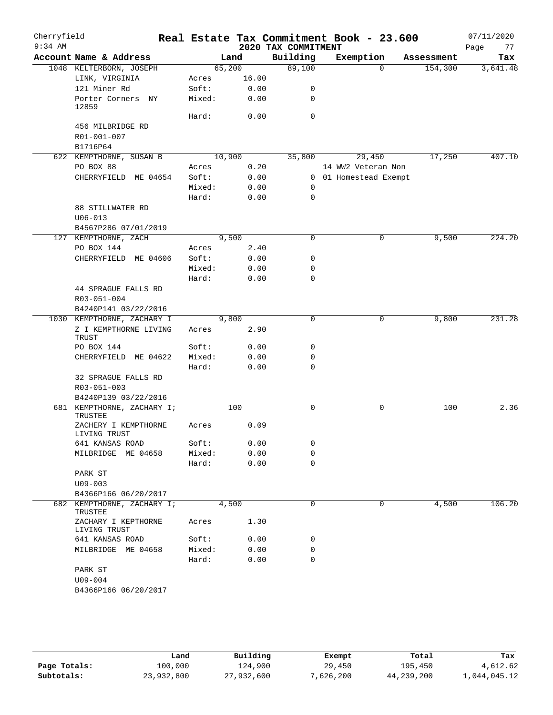| Cherryfield<br>$9:34$ AM |                                                               |                 |              | 2020 TAX COMMITMENT | Real Estate Tax Commitment Book - 23.600 |            | 07/11/2020<br>77<br>Page |
|--------------------------|---------------------------------------------------------------|-----------------|--------------|---------------------|------------------------------------------|------------|--------------------------|
|                          | Account Name & Address                                        |                 | Land         | Building            | Exemption                                | Assessment | Tax                      |
|                          | 1048 KELTERBORN, JOSEPH                                       | 65,200          |              | 89,100              | $\Omega$                                 | 154,300    | 3,641.48                 |
|                          | LINK, VIRGINIA                                                | Acres           | 16.00        |                     |                                          |            |                          |
|                          | 121 Miner Rd                                                  | Soft:           | 0.00         | 0                   |                                          |            |                          |
|                          | Porter Corners NY<br>12859                                    | Mixed:          | 0.00         | 0                   |                                          |            |                          |
|                          |                                                               | Hard:           | 0.00         | $\mathbf 0$         |                                          |            |                          |
|                          | 456 MILBRIDGE RD                                              |                 |              |                     |                                          |            |                          |
|                          | R01-001-007                                                   |                 |              |                     |                                          |            |                          |
|                          | B1716P64                                                      |                 |              |                     |                                          |            |                          |
|                          | 622 KEMPTHORNE, SUSAN B                                       | 10,900          |              | 35,800              | 29,450                                   | 17,250     | 407.10                   |
|                          | PO BOX 88                                                     | Acres           | 0.20         |                     | 14 WW2 Veteran Non                       |            |                          |
|                          | CHERRYFIELD ME 04654                                          | Soft:           | 0.00         | 0                   | 0 01 Homestead Exempt                    |            |                          |
|                          |                                                               | Mixed:<br>Hard: | 0.00<br>0.00 | $\mathbf 0$         |                                          |            |                          |
|                          | 88 STILLWATER RD                                              |                 |              |                     |                                          |            |                          |
|                          | $U06 - 013$                                                   |                 |              |                     |                                          |            |                          |
|                          | B4567P286 07/01/2019                                          |                 |              |                     |                                          |            |                          |
|                          | 127 KEMPTHORNE, ZACH                                          |                 | 9,500        | $\mathsf{O}$        | 0                                        | 9,500      | 224.20                   |
|                          | PO BOX 144                                                    | Acres           | 2.40         |                     |                                          |            |                          |
|                          | CHERRYFIELD ME 04606                                          | Soft:           | 0.00         | 0                   |                                          |            |                          |
|                          |                                                               | Mixed:          | 0.00         | 0                   |                                          |            |                          |
|                          |                                                               | Hard:           | 0.00         | 0                   |                                          |            |                          |
|                          | 44 SPRAGUE FALLS RD                                           |                 |              |                     |                                          |            |                          |
|                          | R03-051-004                                                   |                 |              |                     |                                          |            |                          |
|                          | B4240P141 03/22/2016                                          |                 |              |                     |                                          |            |                          |
|                          | 1030 KEMPTHORNE, ZACHARY I                                    |                 | 9,800        | $\Omega$            | 0                                        | 9,800      | 231.28                   |
|                          | Z I KEMPTHORNE LIVING<br>TRUST                                | Acres           | 2.90         |                     |                                          |            |                          |
|                          | PO BOX 144                                                    | Soft:           | 0.00         | 0                   |                                          |            |                          |
|                          | CHERRYFIELD ME 04622                                          | Mixed:          | 0.00         | 0                   |                                          |            |                          |
|                          |                                                               | Hard:           | 0.00         | $\mathbf 0$         |                                          |            |                          |
|                          | 32 SPRAGUE FALLS RD                                           |                 |              |                     |                                          |            |                          |
|                          | R03-051-003                                                   |                 |              |                     |                                          |            |                          |
|                          | B4240P139 03/22/2016                                          |                 |              | $\mathbf 0$         |                                          |            | 2.36                     |
|                          | 681 KEMPTHORNE, ZACHARY I;<br>TRUSTEE<br>ZACHERY I KEMPTHORNE |                 | 100          |                     | 0                                        | 100        |                          |
|                          | LIVING TRUST                                                  | Acres           | 0.09         |                     |                                          |            |                          |
|                          | 641 KANSAS ROAD<br>MILBRIDGE ME 04658                         | Soft:<br>Mixed: | 0.00         | 0<br>0              |                                          |            |                          |
|                          |                                                               | Hard:           | 0.00<br>0.00 | $\mathbf 0$         |                                          |            |                          |
|                          | PARK ST                                                       |                 |              |                     |                                          |            |                          |
|                          | $U09 - 003$                                                   |                 |              |                     |                                          |            |                          |
|                          | B4366P166 06/20/2017                                          |                 |              |                     |                                          |            |                          |
|                          | 682 KEMPTHORNE, ZACHARY I;<br>TRUSTEE                         |                 | 4,500        | 0                   | 0                                        | 4,500      | 106.20                   |
|                          | ZACHARY I KEPTHORNE<br>LIVING TRUST                           | Acres           | 1.30         |                     |                                          |            |                          |
|                          | 641 KANSAS ROAD                                               | Soft:           | 0.00         | 0                   |                                          |            |                          |
|                          | MILBRIDGE ME 04658                                            | Mixed:          | 0.00         | 0                   |                                          |            |                          |
|                          |                                                               | Hard:           | 0.00         | $\mathbf 0$         |                                          |            |                          |
|                          | PARK ST                                                       |                 |              |                     |                                          |            |                          |
|                          | U09-004                                                       |                 |              |                     |                                          |            |                          |
|                          | B4366P166 06/20/2017                                          |                 |              |                     |                                          |            |                          |

|              | Land       | Building   | Exempt    | Total      | Tax          |
|--------------|------------|------------|-----------|------------|--------------|
| Page Totals: | 100,000    | 124,900    | 29,450    | 195,450    | 4,612.62     |
| Subtotals:   | 23,932,800 | 27,932,600 | 7,626,200 | 44,239,200 | 1,044,045.12 |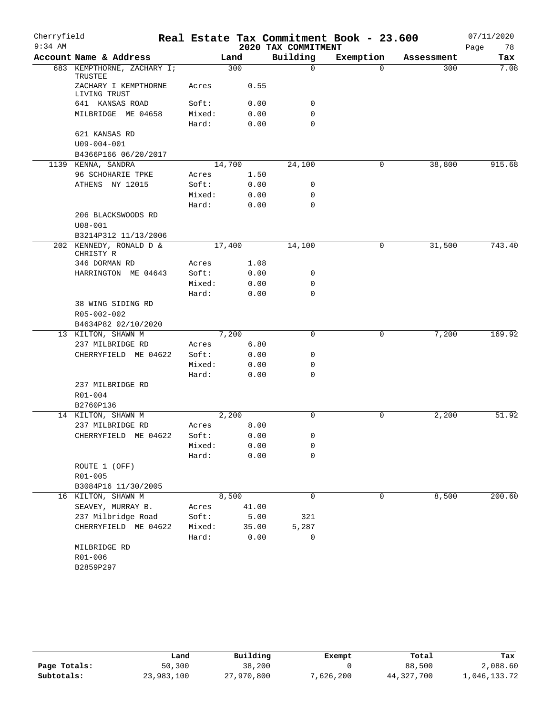| Cherryfield |                                                         |                 |              |                     | Real Estate Tax Commitment Book - 23.600 |            | 07/11/2020 |
|-------------|---------------------------------------------------------|-----------------|--------------|---------------------|------------------------------------------|------------|------------|
| $9:34$ AM   |                                                         |                 |              | 2020 TAX COMMITMENT |                                          |            | Page<br>78 |
|             | Account Name & Address                                  |                 | Land         | Building            | Exemption                                | Assessment | Tax        |
|             | 683 KEMPTHORNE, ZACHARY I;<br>TRUSTEE                   |                 | 300          | $\mathbf 0$         | $\Omega$                                 | 300        | 7.08       |
|             | ZACHARY I KEMPTHORNE<br>LIVING TRUST                    | Acres           | 0.55         |                     |                                          |            |            |
|             | 641 KANSAS ROAD                                         | Soft:           | 0.00         | 0                   |                                          |            |            |
|             | MILBRIDGE ME 04658                                      | Mixed:<br>Hard: | 0.00<br>0.00 | 0<br>$\Omega$       |                                          |            |            |
|             | 621 KANSAS RD                                           |                 |              |                     |                                          |            |            |
|             | $U09 - 004 - 001$                                       |                 |              |                     |                                          |            |            |
|             | B4366P166 06/20/2017                                    |                 |              |                     |                                          |            |            |
|             | 1139 KENNA, SANDRA                                      |                 | 14,700       | 24,100              | 0                                        | 38,800     | 915.68     |
|             | 96 SCHOHARIE TPKE                                       | Acres           | 1.50         |                     |                                          |            |            |
|             | ATHENS NY 12015                                         | Soft:           | 0.00         | 0                   |                                          |            |            |
|             |                                                         | Mixed:          | 0.00         | 0                   |                                          |            |            |
|             |                                                         | Hard:           | 0.00         | 0                   |                                          |            |            |
|             | 206 BLACKSWOODS RD<br>$U08 - 001$                       |                 |              |                     |                                          |            |            |
|             | B3214P312 11/13/2006                                    |                 |              |                     |                                          |            |            |
|             | 202 KENNEDY, RONALD D &<br>CHRISTY R                    |                 | 17,400       | 14,100              | 0                                        | 31,500     | 743.40     |
|             | 346 DORMAN RD                                           | Acres           | 1.08         |                     |                                          |            |            |
|             | HARRINGTON ME 04643                                     | Soft:           | 0.00         | 0                   |                                          |            |            |
|             |                                                         | Mixed:          | 0.00         | 0                   |                                          |            |            |
|             |                                                         | Hard:           | 0.00         | $\mathbf 0$         |                                          |            |            |
|             | 38 WING SIDING RD<br>R05-002-002<br>B4634P82 02/10/2020 |                 |              |                     |                                          |            |            |
|             | 13 KILTON, SHAWN M                                      |                 | 7,200        | $\mathbf 0$         | 0                                        | 7,200      | 169.92     |
|             | 237 MILBRIDGE RD                                        | Acres           | 6.80         |                     |                                          |            |            |
|             | CHERRYFIELD ME 04622                                    | Soft:           | 0.00         | 0                   |                                          |            |            |
|             |                                                         | Mixed:          | 0.00         | 0                   |                                          |            |            |
|             |                                                         | Hard:           | 0.00         | 0                   |                                          |            |            |
|             | 237 MILBRIDGE RD                                        |                 |              |                     |                                          |            |            |
|             | R01-004<br>B2760P136                                    |                 |              |                     |                                          |            |            |
|             | 14 KILTON, SHAWN M                                      |                 | 2,200        | $\mathbf 0$         | 0                                        | 2,200      | 51.92      |
|             | 237 MILBRIDGE RD                                        | Acres           | 8.00         |                     |                                          |            |            |
|             | CHERRYFIELD ME 04622                                    | Soft:           | 0.00         | 0                   |                                          |            |            |
|             |                                                         | Mixed:          | 0.00         | 0                   |                                          |            |            |
|             |                                                         | Hard:           | 0.00         | $\mathbf 0$         |                                          |            |            |
|             | ROUTE 1 (OFF)                                           |                 |              |                     |                                          |            |            |
|             | $R01 - 005$                                             |                 |              |                     |                                          |            |            |
|             | B3084P16 11/30/2005                                     |                 |              |                     |                                          |            |            |
|             | 16 KILTON, SHAWN M                                      |                 | 8,500        | $\mathbf 0$         | 0                                        | 8,500      | 200.60     |
|             | SEAVEY, MURRAY B.                                       | Acres           | 41.00        |                     |                                          |            |            |
|             | 237 Milbridge Road                                      | Soft:           | 5.00         | 321                 |                                          |            |            |
|             | CHERRYFIELD ME 04622                                    | Mixed:          | 35.00        | 5,287               |                                          |            |            |
|             |                                                         | Hard:           | 0.00         | 0                   |                                          |            |            |
|             | MILBRIDGE RD                                            |                 |              |                     |                                          |            |            |
|             | R01-006<br>B2859P297                                    |                 |              |                     |                                          |            |            |

|              | Land       | Building   | Exempt    | Total        | Tax          |
|--------------|------------|------------|-----------|--------------|--------------|
| Page Totals: | 50,300     | 38,200     |           | 88,500       | 2,088.60     |
| Subtotals:   | 23,983,100 | 27,970,800 | 7,626,200 | 44, 327, 700 | 1,046,133.72 |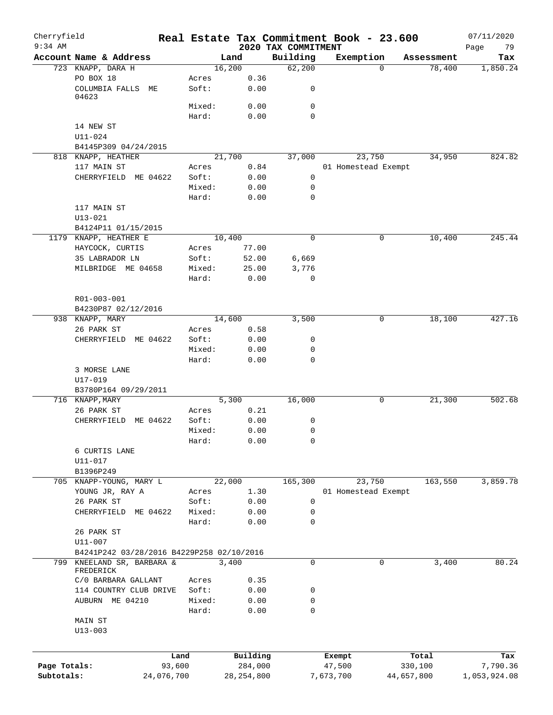| Cherryfield  |                                           |        |              |                                 | Real Estate Tax Commitment Book - 23.600 |            |            | 07/11/2020        |
|--------------|-------------------------------------------|--------|--------------|---------------------------------|------------------------------------------|------------|------------|-------------------|
| $9:34$ AM    | Account Name & Address                    |        | Land         | 2020 TAX COMMITMENT<br>Building | Exemption                                |            | Assessment | 79<br>Page<br>Tax |
|              | 723 KNAPP, DARA H                         |        | 16,200       | 62,200                          |                                          | $\Omega$   | 78,400     | 1,850.24          |
|              | PO BOX 18                                 | Acres  | 0.36         |                                 |                                          |            |            |                   |
|              | COLUMBIA FALLS ME<br>04623                | Soft:  | 0.00         | 0                               |                                          |            |            |                   |
|              |                                           | Mixed: | 0.00         | 0                               |                                          |            |            |                   |
|              |                                           | Hard:  | 0.00         | $\mathbf 0$                     |                                          |            |            |                   |
|              | 14 NEW ST                                 |        |              |                                 |                                          |            |            |                   |
|              | $U11 - 024$                               |        |              |                                 |                                          |            |            |                   |
|              | B4145P309 04/24/2015                      |        |              |                                 |                                          |            |            |                   |
|              | 818 KNAPP, HEATHER                        |        | 21,700       | 37,000                          | 23,750                                   |            | 34,950     | 824.82            |
|              | 117 MAIN ST                               | Acres  | 0.84         |                                 | 01 Homestead Exempt                      |            |            |                   |
|              | CHERRYFIELD ME 04622                      | Soft:  | 0.00         | 0                               |                                          |            |            |                   |
|              |                                           | Mixed: | 0.00         | $\mathbf 0$                     |                                          |            |            |                   |
|              |                                           | Hard:  | 0.00         | $\mathbf 0$                     |                                          |            |            |                   |
|              | 117 MAIN ST                               |        |              |                                 |                                          |            |            |                   |
|              | $U13 - 021$                               |        |              |                                 |                                          |            |            |                   |
|              | B4124P11 01/15/2015                       |        |              |                                 |                                          |            |            |                   |
|              | 1179 KNAPP, HEATHER E                     |        | 10,400       | 0                               |                                          | 0          | 10,400     | 245.44            |
|              | HAYCOCK, CURTIS                           | Acres  | 77.00        |                                 |                                          |            |            |                   |
|              | 35 LABRADOR LN                            | Soft:  | 52.00        | 6,669                           |                                          |            |            |                   |
|              | MILBRIDGE ME 04658                        | Mixed: | 25.00        | 3,776                           |                                          |            |            |                   |
|              |                                           | Hard:  | 0.00         | 0                               |                                          |            |            |                   |
|              |                                           |        |              |                                 |                                          |            |            |                   |
|              | R01-003-001                               |        |              |                                 |                                          |            |            |                   |
|              | B4230P87 02/12/2016                       |        |              |                                 |                                          |            |            |                   |
|              | 938 KNAPP, MARY                           |        | 14,600       | 3,500                           |                                          | 0          | 18,100     | 427.16            |
|              | 26 PARK ST                                | Acres  | 0.58         |                                 |                                          |            |            |                   |
|              | ME 04622<br>CHERRYFIELD                   | Soft:  | 0.00         | 0                               |                                          |            |            |                   |
|              |                                           | Mixed: | 0.00         | 0                               |                                          |            |            |                   |
|              |                                           | Hard:  | 0.00         | $\mathbf 0$                     |                                          |            |            |                   |
|              | 3 MORSE LANE                              |        |              |                                 |                                          |            |            |                   |
|              | U17-019                                   |        |              |                                 |                                          |            |            |                   |
|              | B3780P164 09/29/2011<br>716 KNAPP, MARY   |        | 5,300        | 16,000                          |                                          | 0          | 21,300     | 502.68            |
|              | 26 PARK ST                                | Acres  | 0.21         |                                 |                                          |            |            |                   |
|              | CHERRYFIELD<br>ME 04622                   | Soft:  | 0.00         | 0                               |                                          |            |            |                   |
|              |                                           | Mixed: | 0.00         | 0                               |                                          |            |            |                   |
|              |                                           | Hard:  | 0.00         | 0                               |                                          |            |            |                   |
|              | 6 CURTIS LANE                             |        |              |                                 |                                          |            |            |                   |
|              | U11-017                                   |        |              |                                 |                                          |            |            |                   |
|              | B1396P249                                 |        |              |                                 |                                          |            |            |                   |
|              | 705 KNAPP-YOUNG, MARY L                   |        | 22,000       | 165,300                         | 23,750                                   |            | 163,550    | 3,859.78          |
|              | YOUNG JR, RAY A                           | Acres  | 1.30         |                                 | 01 Homestead Exempt                      |            |            |                   |
|              | 26 PARK ST                                | Soft:  | 0.00         | $\mathbf 0$                     |                                          |            |            |                   |
|              | CHERRYFIELD ME 04622                      | Mixed: | 0.00         | 0                               |                                          |            |            |                   |
|              |                                           | Hard:  | 0.00         | 0                               |                                          |            |            |                   |
|              | 26 PARK ST                                |        |              |                                 |                                          |            |            |                   |
|              | U11-007                                   |        |              |                                 |                                          |            |            |                   |
|              | B4241P242 03/28/2016 B4229P258 02/10/2016 |        |              |                                 |                                          |            |            |                   |
| 799          | KNEELAND SR, BARBARA &                    |        | 3,400        | 0                               |                                          | 0          | 3,400      | 80.24             |
|              | FREDERICK                                 |        |              |                                 |                                          |            |            |                   |
|              | C/0 BARBARA GALLANT                       | Acres  | 0.35         |                                 |                                          |            |            |                   |
|              | 114 COUNTRY CLUB DRIVE                    | Soft:  | 0.00         | 0                               |                                          |            |            |                   |
|              | AUBURN ME 04210                           | Mixed: | 0.00         | 0                               |                                          |            |            |                   |
|              |                                           | Hard:  | 0.00         | 0                               |                                          |            |            |                   |
|              | MAIN ST                                   |        |              |                                 |                                          |            |            |                   |
|              | $U13 - 003$                               |        |              |                                 |                                          |            |            |                   |
|              |                                           |        |              |                                 |                                          |            |            |                   |
|              |                                           | Land   | Building     |                                 | Exempt                                   |            | Total      | Tax               |
| Page Totals: | 93,600                                    |        | 284,000      |                                 | 47,500                                   |            | 330,100    | 7,790.36          |
| Subtotals:   | 24,076,700                                |        | 28, 254, 800 |                                 | 7,673,700                                | 44,657,800 |            | 1,053,924.08      |
|              |                                           |        |              |                                 |                                          |            |            |                   |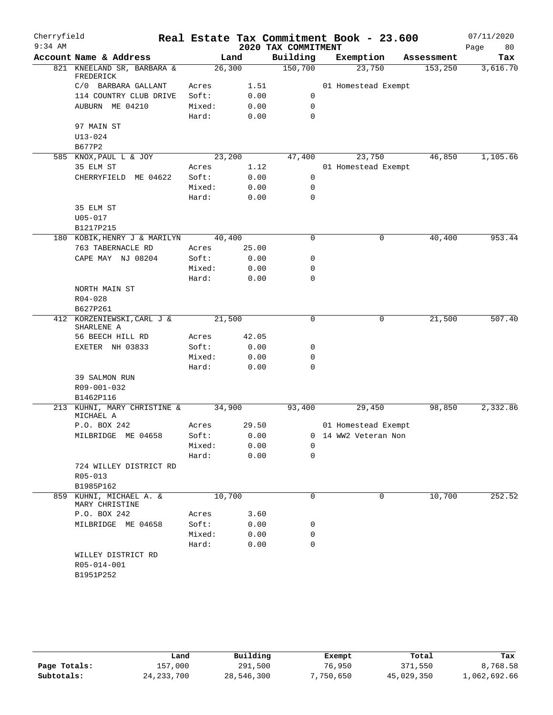| Cherryfield |                                          |        |       |                     | Real Estate Tax Commitment Book - 23.600 |            | 07/11/2020 |
|-------------|------------------------------------------|--------|-------|---------------------|------------------------------------------|------------|------------|
| $9:34$ AM   |                                          |        |       | 2020 TAX COMMITMENT |                                          |            | 80<br>Page |
|             | Account Name & Address                   |        | Land  | Building            | Exemption                                | Assessment | Tax        |
|             | 821 KNEELAND SR, BARBARA &<br>FREDERICK  | 26,300 |       | 150,700             | 23,750                                   | 153, 250   | 3,616.70   |
|             | C/0 BARBARA GALLANT                      | Acres  | 1.51  |                     | 01 Homestead Exempt                      |            |            |
|             | 114 COUNTRY CLUB DRIVE                   | Soft:  | 0.00  | 0                   |                                          |            |            |
|             | AUBURN ME 04210                          | Mixed: | 0.00  | 0                   |                                          |            |            |
|             |                                          | Hard:  | 0.00  | 0                   |                                          |            |            |
|             | 97 MAIN ST                               |        |       |                     |                                          |            |            |
|             | $U13 - 024$                              |        |       |                     |                                          |            |            |
|             | B677P2                                   |        |       |                     |                                          |            |            |
|             | 585 KNOX, PAUL L & JOY                   | 23,200 |       | 47,400              | 23,750                                   | 46,850     | 1,105.66   |
|             | 35 ELM ST                                | Acres  | 1.12  |                     | 01 Homestead Exempt                      |            |            |
|             | CHERRYFIELD ME 04622                     | Soft:  | 0.00  | 0                   |                                          |            |            |
|             |                                          | Mixed: | 0.00  | $\mathbf 0$         |                                          |            |            |
|             |                                          | Hard:  | 0.00  | $\mathbf 0$         |                                          |            |            |
|             | 35 ELM ST                                |        |       |                     |                                          |            |            |
|             | $U05 - 017$<br>B1217P215                 |        |       |                     |                                          |            |            |
|             | 180 KOBIK, HENRY J & MARILYN             | 40,400 |       | 0                   | 0                                        | 40,400     | 953.44     |
|             | 763 TABERNACLE RD                        | Acres  | 25.00 |                     |                                          |            |            |
|             | CAPE MAY NJ 08204                        | Soft:  | 0.00  | 0                   |                                          |            |            |
|             |                                          | Mixed: | 0.00  | 0                   |                                          |            |            |
|             |                                          | Hard:  | 0.00  | 0                   |                                          |            |            |
|             | NORTH MAIN ST                            |        |       |                     |                                          |            |            |
|             | $R04 - 028$                              |        |       |                     |                                          |            |            |
|             | B627P261                                 |        |       |                     |                                          |            |            |
|             | 412 KORZENIEWSKI, CARL J &               | 21,500 |       | $\mathbf 0$         | 0                                        | 21,500     | 507.40     |
|             | SHARLENE A<br>56 BEECH HILL RD           | Acres  | 42.05 |                     |                                          |            |            |
|             | EXETER NH 03833                          | Soft:  | 0.00  | 0                   |                                          |            |            |
|             |                                          | Mixed: | 0.00  | 0                   |                                          |            |            |
|             |                                          | Hard:  | 0.00  | $\mathbf 0$         |                                          |            |            |
|             | 39 SALMON RUN                            |        |       |                     |                                          |            |            |
|             | R09-001-032                              |        |       |                     |                                          |            |            |
|             | B1462P116                                |        |       |                     |                                          |            |            |
|             | 213 KUHNI, MARY CHRISTINE &<br>MICHAEL A | 34,900 |       | 93,400              | 29,450                                   | 98,850     | 2,332.86   |
|             | P.O. BOX 242                             | Acres  | 29.50 |                     | 01 Homestead Exempt                      |            |            |
|             | MILBRIDGE ME 04658                       | Soft:  | 0.00  |                     | 0 14 WW2 Veteran Non                     |            |            |
|             |                                          | Mixed: | 0.00  | 0                   |                                          |            |            |
|             |                                          | Hard:  | 0.00  | 0                   |                                          |            |            |
|             | 724 WILLEY DISTRICT RD                   |        |       |                     |                                          |            |            |
|             | R05-013                                  |        |       |                     |                                          |            |            |
|             | B1985P162                                |        |       | 0                   | $\Omega$                                 | 10,700     |            |
| 859         | KUHNI, MICHAEL A. &<br>MARY CHRISTINE    | 10,700 |       |                     |                                          |            | 252.52     |
|             | P.O. BOX 242                             | Acres  | 3.60  |                     |                                          |            |            |
|             | MILBRIDGE ME 04658                       | Soft:  | 0.00  | 0                   |                                          |            |            |
|             |                                          | Mixed: | 0.00  | 0                   |                                          |            |            |
|             |                                          | Hard:  | 0.00  | 0                   |                                          |            |            |
|             | WILLEY DISTRICT RD                       |        |       |                     |                                          |            |            |
|             | R05-014-001                              |        |       |                     |                                          |            |            |
|             | B1951P252                                |        |       |                     |                                          |            |            |
|             |                                          |        |       |                     |                                          |            |            |

|              | Land         | Building   | Exempt    | Total      | Tax          |
|--------------|--------------|------------|-----------|------------|--------------|
| Page Totals: | 157,000      | 291,500    | 76,950    | 371,550    | 8,768.58     |
| Subtotals:   | 24, 233, 700 | 28,546,300 | 7,750,650 | 45,029,350 | 1,062,692.66 |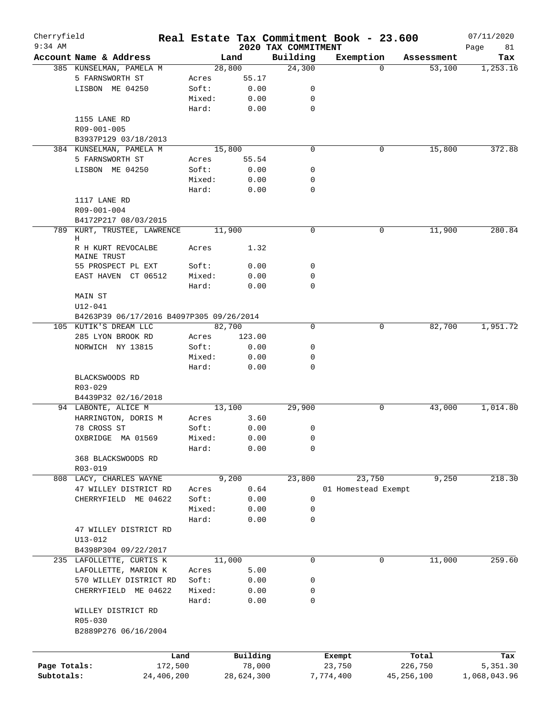| Cherryfield<br>$9:34$ AM |                                                |                |                    |                                 | Real Estate Tax Commitment Book - 23.600 |              |            | 07/11/2020        |
|--------------------------|------------------------------------------------|----------------|--------------------|---------------------------------|------------------------------------------|--------------|------------|-------------------|
|                          | Account Name & Address                         |                | Land               | 2020 TAX COMMITMENT<br>Building | Exemption                                |              | Assessment | Page<br>81<br>Tax |
|                          | 385 KUNSELMAN, PAMELA M                        |                | 28,800             | 24,300                          |                                          | $\Omega$     | 53,100     | 1,253.16          |
|                          | 5 FARNSWORTH ST                                | Acres          | 55.17              |                                 |                                          |              |            |                   |
|                          | LISBON ME 04250                                | Soft:          | 0.00               | 0                               |                                          |              |            |                   |
|                          |                                                | Mixed:         | 0.00               | 0                               |                                          |              |            |                   |
|                          |                                                | Hard:          | 0.00               | 0                               |                                          |              |            |                   |
|                          | 1155 LANE RD                                   |                |                    |                                 |                                          |              |            |                   |
|                          | R09-001-005                                    |                |                    |                                 |                                          |              |            |                   |
|                          |                                                |                |                    |                                 |                                          |              |            |                   |
|                          | B3937P129 03/18/2013                           |                |                    |                                 |                                          |              |            |                   |
|                          | 384 KUNSELMAN, PAMELA M                        |                | 15,800             | $\mathbf 0$                     |                                          | 0            | 15,800     | 372.88            |
|                          | 5 FARNSWORTH ST                                | Acres          | 55.54              |                                 |                                          |              |            |                   |
|                          | LISBON ME 04250                                | Soft:          | 0.00               | 0                               |                                          |              |            |                   |
|                          |                                                | Mixed:         | 0.00               | 0                               |                                          |              |            |                   |
|                          |                                                | Hard:          | 0.00               | 0                               |                                          |              |            |                   |
|                          | 1117 LANE RD                                   |                |                    |                                 |                                          |              |            |                   |
|                          | R09-001-004                                    |                |                    |                                 |                                          |              |            |                   |
|                          | B4172P217 08/03/2015                           |                |                    |                                 |                                          |              |            |                   |
|                          | 789 KURT, TRUSTEE, LAWRENCE                    |                | 11,900             | 0                               |                                          | 0            | 11,900     | 280.84            |
|                          | Н<br>R H KURT REVOCALBE<br>MAINE TRUST         | Acres          | 1.32               |                                 |                                          |              |            |                   |
|                          | 55 PROSPECT PL EXT                             | Soft:          | 0.00               | 0                               |                                          |              |            |                   |
|                          | EAST HAVEN CT 06512                            | Mixed:         | 0.00               | 0                               |                                          |              |            |                   |
|                          |                                                | Hard:          |                    | $\mathbf 0$                     |                                          |              |            |                   |
|                          |                                                |                | 0.00               |                                 |                                          |              |            |                   |
|                          | MAIN ST                                        |                |                    |                                 |                                          |              |            |                   |
|                          | $U12 - 041$                                    |                |                    |                                 |                                          |              |            |                   |
|                          | B4263P39 06/17/2016 B4097P305 09/26/2014       |                |                    |                                 |                                          |              |            |                   |
|                          | 105 KUTIK'S DREAM LLC                          |                | 82,700             | 0                               |                                          | 0            | 82,700     | 1,951.72          |
|                          | 285 LYON BROOK RD                              | Acres          | 123.00             |                                 |                                          |              |            |                   |
|                          | NORWICH NY 13815                               | Soft:          | 0.00               | 0                               |                                          |              |            |                   |
|                          |                                                | Mixed:         | 0.00               | 0                               |                                          |              |            |                   |
|                          |                                                | Hard:          | 0.00               | 0                               |                                          |              |            |                   |
|                          | BLACKSWOODS RD                                 |                |                    |                                 |                                          |              |            |                   |
|                          | R03-029                                        |                |                    |                                 |                                          |              |            |                   |
|                          | B4439P32 02/16/2018                            |                |                    |                                 |                                          |              |            |                   |
|                          | 94 LABONTE, ALICE M                            |                | 13,100             | 29,900                          |                                          | $\mathbf 0$  | 43,000     | 1,014.80          |
|                          | HARRINGTON, DORIS M                            | Acres          | 3.60               |                                 |                                          |              |            |                   |
|                          | 78 CROSS ST                                    | Soft:          | 0.00               | 0                               |                                          |              |            |                   |
|                          | OXBRIDGE MA 01569                              | Mixed:         | 0.00               | $\mathsf 0$                     |                                          |              |            |                   |
|                          |                                                | Hard:          | 0.00               | 0                               |                                          |              |            |                   |
|                          | 368 BLACKSWOODS RD                             |                |                    |                                 |                                          |              |            |                   |
|                          | R03-019                                        |                |                    |                                 |                                          |              |            |                   |
|                          | 808 LACY, CHARLES WAYNE                        |                | 9,200              | 23,800                          | 23,750                                   |              | 9,250      | 218.30            |
|                          | 47 WILLEY DISTRICT RD                          | Acres          | 0.64               |                                 | 01 Homestead Exempt                      |              |            |                   |
|                          | CHERRYFIELD ME 04622                           | Soft:          | 0.00               | 0                               |                                          |              |            |                   |
|                          |                                                | Mixed:         | 0.00               | 0                               |                                          |              |            |                   |
|                          |                                                | Hard:          | 0.00               | 0                               |                                          |              |            |                   |
|                          | 47 WILLEY DISTRICT RD                          |                |                    |                                 |                                          |              |            |                   |
|                          | $U13 - 012$                                    |                |                    |                                 |                                          |              |            |                   |
|                          | B4398P304 09/22/2017                           |                |                    |                                 |                                          |              |            |                   |
|                          | 235 LAFOLLETTE, CURTIS K                       |                | 11,000             | 0                               |                                          | 0            | 11,000     | 259.60            |
|                          |                                                |                |                    |                                 |                                          |              |            |                   |
|                          | LAFOLLETTE, MARION K<br>570 WILLEY DISTRICT RD | Acres<br>Soft: | 5.00<br>0.00       | 0                               |                                          |              |            |                   |
|                          |                                                |                |                    |                                 |                                          |              |            |                   |
|                          | CHERRYFIELD ME 04622                           | Mixed:         | 0.00               | 0                               |                                          |              |            |                   |
|                          |                                                | Hard:          | 0.00               | 0                               |                                          |              |            |                   |
|                          | WILLEY DISTRICT RD<br>R05-030                  |                |                    |                                 |                                          |              |            |                   |
|                          | B2889P276 06/16/2004                           |                |                    |                                 |                                          |              |            |                   |
|                          |                                                |                |                    |                                 |                                          |              |            |                   |
|                          |                                                | Land           | Building<br>78,000 |                                 | Exempt                                   |              | Total      | Tax               |
| Page Totals:             |                                                | 172,500        |                    |                                 | 23,750                                   |              | 226,750    | 5,351.30          |
| Subtotals:               | 24,406,200                                     |                | 28,624,300         |                                 | 7,774,400                                | 45, 256, 100 |            | 1,068,043.96      |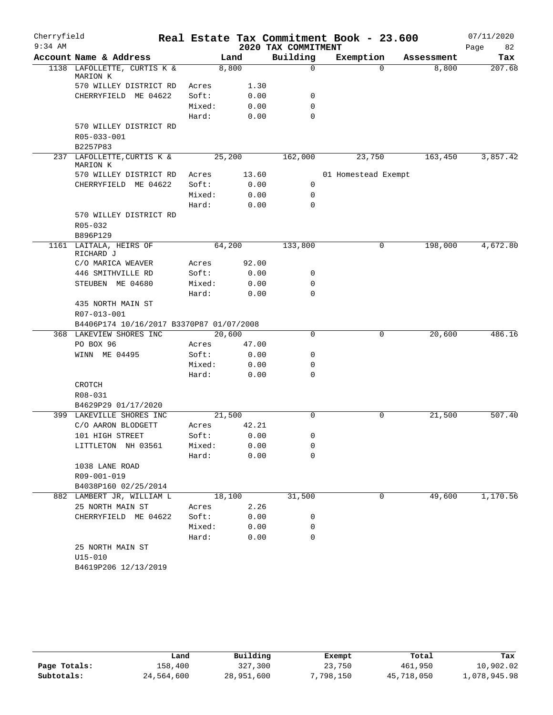| Cherryfield |                                          |        |        |                     | Real Estate Tax Commitment Book - 23.600 |            | 07/11/2020 |
|-------------|------------------------------------------|--------|--------|---------------------|------------------------------------------|------------|------------|
| $9:34$ AM   |                                          |        |        | 2020 TAX COMMITMENT |                                          |            | 82<br>Page |
|             | Account Name & Address                   |        | Land   | Building            | Exemption                                | Assessment | Tax        |
|             | 1138 LAFOLLETTE, CURTIS K &<br>MARION K  |        | 8,800  | 0                   | $\Omega$                                 | 8,800      | 207.68     |
|             | 570 WILLEY DISTRICT RD                   | Acres  | 1.30   |                     |                                          |            |            |
|             | CHERRYFIELD ME 04622                     | Soft:  | 0.00   | 0                   |                                          |            |            |
|             |                                          | Mixed: | 0.00   | $\mathbf 0$         |                                          |            |            |
|             |                                          | Hard:  | 0.00   | $\Omega$            |                                          |            |            |
|             | 570 WILLEY DISTRICT RD                   |        |        |                     |                                          |            |            |
|             | R05-033-001                              |        |        |                     |                                          |            |            |
|             | B2257P83                                 |        |        |                     |                                          |            |            |
|             | 237 LAFOLLETTE, CURTIS K &<br>MARION K   |        | 25,200 | 162,000             | 23,750                                   | 163,450    | 3,857.42   |
|             | 570 WILLEY DISTRICT RD                   | Acres  | 13.60  |                     | 01 Homestead Exempt                      |            |            |
|             | CHERRYFIELD ME 04622                     | Soft:  | 0.00   | 0                   |                                          |            |            |
|             |                                          | Mixed: | 0.00   | 0                   |                                          |            |            |
|             |                                          | Hard:  | 0.00   | $\mathbf 0$         |                                          |            |            |
|             | 570 WILLEY DISTRICT RD                   |        |        |                     |                                          |            |            |
|             | R05-032                                  |        |        |                     |                                          |            |            |
|             | B896P129                                 |        |        |                     |                                          |            |            |
|             | 1161 LAITALA, HEIRS OF<br>RICHARD J      |        | 64,200 | 133,800             | 0                                        | 198,000    | 4,672.80   |
|             | C/O MARICA WEAVER                        | Acres  | 92.00  |                     |                                          |            |            |
|             | 446 SMITHVILLE RD                        | Soft:  | 0.00   | 0                   |                                          |            |            |
|             | STEUBEN ME 04680                         | Mixed: | 0.00   | $\mathbf 0$         |                                          |            |            |
|             |                                          | Hard:  | 0.00   | $\mathbf 0$         |                                          |            |            |
|             | 435 NORTH MAIN ST                        |        |        |                     |                                          |            |            |
|             | R07-013-001                              |        |        |                     |                                          |            |            |
|             | B4406P174 10/16/2017 B3370P87 01/07/2008 |        |        |                     |                                          |            |            |
|             | 368 LAKEVIEW SHORES INC                  |        | 20,600 | $\mathbf 0$         | 0                                        | 20,600     | 486.16     |
|             | PO BOX 96                                | Acres  | 47.00  |                     |                                          |            |            |
|             | WINN ME 04495                            | Soft:  | 0.00   | 0                   |                                          |            |            |
|             |                                          | Mixed: | 0.00   | $\mathbf 0$         |                                          |            |            |
|             |                                          | Hard:  | 0.00   | $\mathbf 0$         |                                          |            |            |
|             | CROTCH                                   |        |        |                     |                                          |            |            |
|             | R08-031                                  |        |        |                     |                                          |            |            |
|             | B4629P29 01/17/2020                      |        |        |                     |                                          |            |            |
|             | 399 LAKEVILLE SHORES INC                 |        | 21,500 | $\Omega$            | 0                                        | 21,500     | 507.40     |
|             | C/O AARON BLODGETT                       | Acres  | 42.21  |                     |                                          |            |            |
|             | 101 HIGH STREET                          | Soft:  | 0.00   | 0                   |                                          |            |            |
|             | LITTLETON NH 03561                       | Mixed: | 0.00   | 0                   |                                          |            |            |
|             |                                          | Hard:  | 0.00   | 0                   |                                          |            |            |
|             | 1038 LANE ROAD                           |        |        |                     |                                          |            |            |
|             | R09-001-019                              |        |        |                     |                                          |            |            |
|             | B4038P160 02/25/2014                     |        |        |                     |                                          |            |            |
|             | 882 LAMBERT JR, WILLIAM L                |        | 18,100 | 31,500              | 0                                        | 49,600     | 1,170.56   |
|             | 25 NORTH MAIN ST                         | Acres  | 2.26   |                     |                                          |            |            |
|             | CHERRYFIELD ME 04622                     | Soft:  | 0.00   | 0                   |                                          |            |            |
|             |                                          | Mixed: | 0.00   | 0                   |                                          |            |            |
|             |                                          | Hard:  | 0.00   | 0                   |                                          |            |            |
|             | 25 NORTH MAIN ST                         |        |        |                     |                                          |            |            |
|             | $U15 - 010$<br>B4619P206 12/13/2019      |        |        |                     |                                          |            |            |
|             |                                          |        |        |                     |                                          |            |            |

|              | Land       | Building   | Exempt    | Total      | Tax          |
|--------------|------------|------------|-----------|------------|--------------|
| Page Totals: | 158,400    | 327,300    | 23,750    | 461,950    | 10,902.02    |
| Subtotals:   | 24,564,600 | 28,951,600 | 7,798,150 | 45,718,050 | 1,078,945.98 |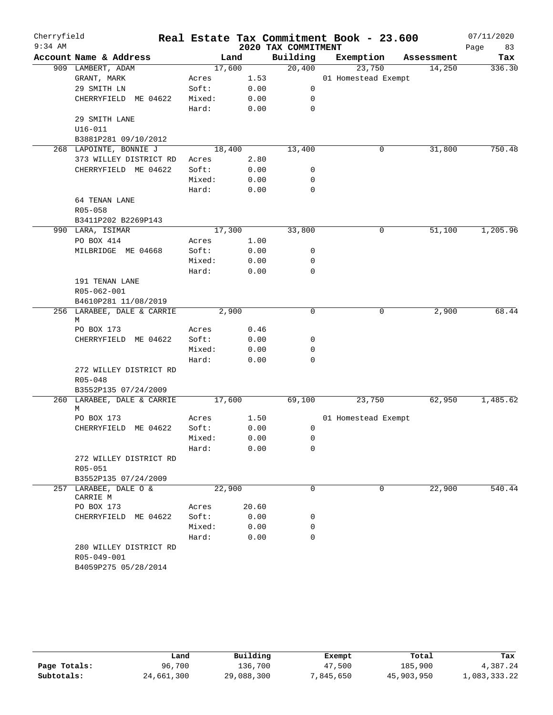| Cherryfield<br>$9:34$ AM |                            |                |        | 2020 TAX COMMITMENT | Real Estate Tax Commitment Book - 23.600 |            | 07/11/2020<br>Page<br>83 |
|--------------------------|----------------------------|----------------|--------|---------------------|------------------------------------------|------------|--------------------------|
|                          | Account Name & Address     |                | Land   | Building            | Exemption                                | Assessment | Tax                      |
|                          | 909 LAMBERT, ADAM          |                | 17,600 | 20,400              | 23,750                                   | 14,250     | 336.30                   |
|                          | GRANT, MARK                | Acres          | 1.53   |                     | 01 Homestead Exempt                      |            |                          |
|                          | 29 SMITH LN                | Soft:          | 0.00   | 0                   |                                          |            |                          |
|                          | CHERRYFIELD ME 04622       | Mixed:         | 0.00   | 0                   |                                          |            |                          |
|                          |                            | Hard:          | 0.00   | $\mathbf 0$         |                                          |            |                          |
|                          | 29 SMITH LANE              |                |        |                     |                                          |            |                          |
|                          | $U16 - 011$                |                |        |                     |                                          |            |                          |
|                          | B3881P281 09/10/2012       |                |        |                     |                                          |            |                          |
|                          | 268 LAPOINTE, BONNIE J     |                | 18,400 | 13,400              | 0                                        | 31,800     | 750.48                   |
|                          | 373 WILLEY DISTRICT RD     | Acres          | 2.80   |                     |                                          |            |                          |
|                          | CHERRYFIELD ME 04622       | Soft:          | 0.00   | 0                   |                                          |            |                          |
|                          |                            | Mixed:         | 0.00   | 0                   |                                          |            |                          |
|                          |                            | Hard:          | 0.00   | 0                   |                                          |            |                          |
|                          | 64 TENAN LANE              |                |        |                     |                                          |            |                          |
|                          | R05-058                    |                |        |                     |                                          |            |                          |
|                          | B3411P202 B2269P143        |                |        |                     |                                          |            |                          |
|                          | 990 LARA, ISIMAR           |                | 17,300 | 33,800              | 0                                        | 51,100     | 1,205.96                 |
|                          | PO BOX 414                 | Acres          | 1.00   |                     |                                          |            |                          |
|                          | MILBRIDGE ME 04668         | Soft:          | 0.00   | 0                   |                                          |            |                          |
|                          |                            | Mixed:         | 0.00   | 0                   |                                          |            |                          |
|                          |                            | Hard:          | 0.00   | $\mathbf 0$         |                                          |            |                          |
|                          | 191 TENAN LANE             |                |        |                     |                                          |            |                          |
|                          | R05-062-001                |                |        |                     |                                          |            |                          |
|                          | B4610P281 11/08/2019       |                |        |                     |                                          |            |                          |
|                          | 256 LARABEE, DALE & CARRIE |                | 2,900  | 0                   | 0                                        | 2,900      | 68.44                    |
|                          | M<br>PO BOX 173            |                | 0.46   |                     |                                          |            |                          |
|                          | CHERRYFIELD ME 04622       | Acres<br>Soft: | 0.00   | 0                   |                                          |            |                          |
|                          |                            | Mixed:         | 0.00   | 0                   |                                          |            |                          |
|                          |                            | Hard:          | 0.00   | 0                   |                                          |            |                          |
|                          | 272 WILLEY DISTRICT RD     |                |        |                     |                                          |            |                          |
|                          | $R05 - 048$                |                |        |                     |                                          |            |                          |
|                          | B3552P135 07/24/2009       |                |        |                     |                                          |            |                          |
|                          | 260 LARABEE, DALE & CARRIE |                | 17,600 | 69,100              | 23,750                                   | 62,950     | 1,485.62                 |
|                          | М                          |                |        |                     |                                          |            |                          |
|                          | PO BOX 173                 | Acres          | 1.50   |                     | 01 Homestead Exempt                      |            |                          |
|                          | CHERRYFIELD ME 04622       | Soft:          | 0.00   | 0                   |                                          |            |                          |
|                          |                            | Mixed:         | 0.00   | 0                   |                                          |            |                          |
|                          |                            | Hard:          | 0.00   | 0                   |                                          |            |                          |
|                          | 272 WILLEY DISTRICT RD     |                |        |                     |                                          |            |                          |
|                          | R05-051                    |                |        |                     |                                          |            |                          |
|                          | B3552P135 07/24/2009       |                |        |                     |                                          |            |                          |
|                          | 257 LARABEE, DALE O &      |                | 22,900 | 0                   | 0                                        | 22,900     | 540.44                   |
|                          | CARRIE M                   |                |        |                     |                                          |            |                          |
|                          | PO BOX 173                 | Acres          | 20.60  |                     |                                          |            |                          |
|                          | CHERRYFIELD ME 04622       | Soft:          | 0.00   | 0                   |                                          |            |                          |
|                          |                            | Mixed:         | 0.00   | 0                   |                                          |            |                          |
|                          |                            | Hard:          | 0.00   | $\mathbf 0$         |                                          |            |                          |
|                          | 280 WILLEY DISTRICT RD     |                |        |                     |                                          |            |                          |
|                          | R05-049-001                |                |        |                     |                                          |            |                          |
|                          | B4059P275 05/28/2014       |                |        |                     |                                          |            |                          |

|              | Land       | Building   | Exempt    | Total      | Tax          |
|--------------|------------|------------|-----------|------------|--------------|
| Page Totals: | 96,700     | 136,700    | 47,500    | 185,900    | 4,387.24     |
| Subtotals:   | 24,661,300 | 29,088,300 | 7,845,650 | 45,903,950 | 1,083,333.22 |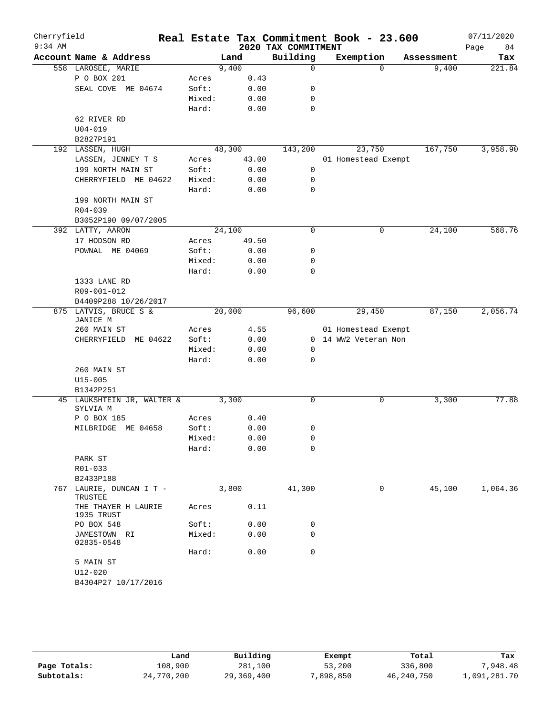| Cherryfield |                                        |                |              |                     | Real Estate Tax Commitment Book - 23.600 |            | 07/11/2020 |
|-------------|----------------------------------------|----------------|--------------|---------------------|------------------------------------------|------------|------------|
| $9:34$ AM   |                                        |                |              | 2020 TAX COMMITMENT |                                          |            | Page<br>84 |
|             | Account Name & Address                 |                | Land         | Building            | Exemption                                | Assessment | Tax        |
|             | 558 LAROSEE, MARIE                     |                | 9,400        | $\mathbf 0$         | $\Omega$                                 | 9,400      | 221.84     |
|             | P O BOX 201                            | Acres<br>Soft: | 0.43         | 0                   |                                          |            |            |
|             | SEAL COVE ME 04674                     | Mixed:         | 0.00<br>0.00 | 0                   |                                          |            |            |
|             |                                        | Hard:          | 0.00         | 0                   |                                          |            |            |
|             | 62 RIVER RD                            |                |              |                     |                                          |            |            |
|             | $U04 - 019$                            |                |              |                     |                                          |            |            |
|             | B2827P191                              |                |              |                     |                                          |            |            |
|             | 192 LASSEN, HUGH                       |                | 48,300       | 143,200             | 23,750                                   | 167,750    | 3,958.90   |
|             | LASSEN, JENNEY T S                     | Acres          | 43.00        |                     | 01 Homestead Exempt                      |            |            |
|             | 199 NORTH MAIN ST                      | Soft:          | 0.00         | 0                   |                                          |            |            |
|             | CHERRYFIELD ME 04622                   | Mixed:         | 0.00         | 0                   |                                          |            |            |
|             |                                        | Hard:          | 0.00         | 0                   |                                          |            |            |
|             | 199 NORTH MAIN ST                      |                |              |                     |                                          |            |            |
|             | $R04 - 039$                            |                |              |                     |                                          |            |            |
|             | B3052P190 09/07/2005                   |                |              |                     |                                          |            |            |
|             | 392 LATTY, AARON                       |                | 24,100       | 0                   | 0                                        | 24,100     | 568.76     |
|             | 17 HODSON RD                           | Acres          | 49.50        |                     |                                          |            |            |
|             | POWNAL ME 04069                        | Soft:          | 0.00         | 0                   |                                          |            |            |
|             |                                        | Mixed:         | 0.00         | 0                   |                                          |            |            |
|             |                                        | Hard:          | 0.00         | 0                   |                                          |            |            |
|             | 1333 LANE RD                           |                |              |                     |                                          |            |            |
|             | R09-001-012                            |                |              |                     |                                          |            |            |
|             | B4409P288 10/26/2017                   |                |              |                     |                                          |            |            |
|             | 875 LATVIS, BRUCE S &<br>JANICE M      |                | 20,000       | 96,600              | 29,450                                   | 87,150     | 2,056.74   |
|             | 260 MAIN ST                            | Acres          | 4.55         |                     | 01 Homestead Exempt                      |            |            |
|             | ME 04622<br>CHERRYFIELD                | Soft:          | 0.00         | 0                   | 14 WW2 Veteran Non                       |            |            |
|             |                                        | Mixed:         | 0.00         | 0                   |                                          |            |            |
|             |                                        | Hard:          | 0.00         | 0                   |                                          |            |            |
|             | 260 MAIN ST                            |                |              |                     |                                          |            |            |
|             | $U15 - 005$                            |                |              |                     |                                          |            |            |
|             | B1342P251                              |                |              |                     |                                          |            |            |
|             | 45 LAUKSHTEIN JR, WALTER &<br>SYLVIA M |                | 3,300        | 0                   | 0                                        | 3,300      | 77.88      |
|             | P O BOX 185                            | Acres          | 0.40         |                     |                                          |            |            |
|             | MILBRIDGE ME 04658                     | Soft:          | 0.00         | 0                   |                                          |            |            |
|             |                                        | Mixed:         | 0.00         | 0                   |                                          |            |            |
|             |                                        | Hard:          | 0.00         | 0                   |                                          |            |            |
|             | PARK ST                                |                |              |                     |                                          |            |            |
|             | R01-033                                |                |              |                     |                                          |            |            |
|             | B2433P188                              |                |              |                     |                                          |            |            |
|             | 767 LAURIE, DUNCAN I T -<br>TRUSTEE    |                | 3,800        | 41,300              | 0                                        | 45,100     | 1,064.36   |
|             | THE THAYER H LAURIE<br>1935 TRUST      | Acres          | 0.11         |                     |                                          |            |            |
|             | PO BOX 548                             | Soft:          | 0.00         | 0                   |                                          |            |            |
|             | JAMESTOWN RI<br>02835-0548             | Mixed:         | 0.00         | 0                   |                                          |            |            |
|             |                                        | Hard:          | 0.00         | $\mathbf 0$         |                                          |            |            |
|             | 5 MAIN ST                              |                |              |                     |                                          |            |            |
|             | $U12 - 020$                            |                |              |                     |                                          |            |            |
|             | B4304P27 10/17/2016                    |                |              |                     |                                          |            |            |

|              | Land       | Building   | Exempt   | Total      | Tax          |
|--------------|------------|------------|----------|------------|--------------|
| Page Totals: | 108,900    | 281,100    | 53,200   | 336,800    | ,948.48      |
| Subtotals:   | 24,770,200 | 29,369,400 | ,898,850 | 46,240,750 | 1,091,281.70 |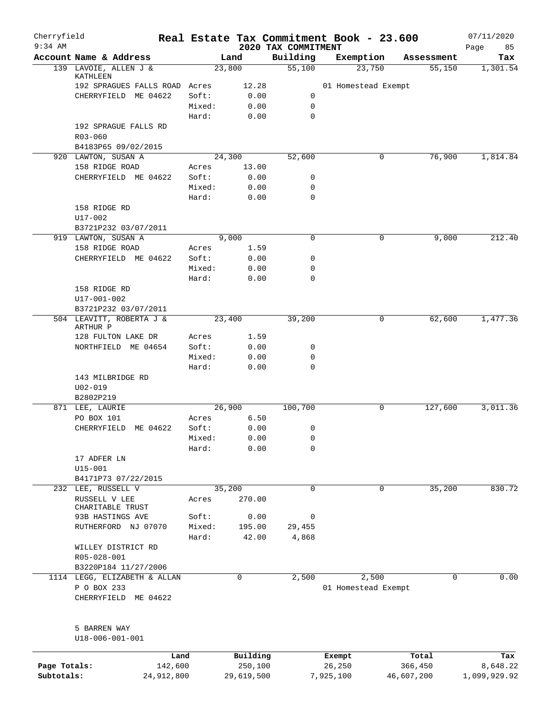| Cherryfield<br>$9:34$ AM   |                                             |        |                       |                                 | Real Estate Tax Commitment Book - 23.600 |                       | 07/11/2020               |
|----------------------------|---------------------------------------------|--------|-----------------------|---------------------------------|------------------------------------------|-----------------------|--------------------------|
|                            | Account Name & Address                      |        | Land                  | 2020 TAX COMMITMENT<br>Building | Exemption                                | Assessment            | Page<br>85<br>Tax        |
|                            | 139 LAVOIE, ALLEN J &                       |        | 23,800                | 55,100                          | 23,750                                   | 55,150                | 1,301.54                 |
|                            | KATHLEEN<br>192 SPRAGUES FALLS ROAD Acres   |        | 12.28                 |                                 | 01 Homestead Exempt                      |                       |                          |
|                            | ME 04622<br>CHERRYFIELD                     | Soft:  | 0.00                  | 0                               |                                          |                       |                          |
|                            |                                             | Mixed: | 0.00                  | 0                               |                                          |                       |                          |
|                            |                                             | Hard:  | 0.00                  | 0                               |                                          |                       |                          |
|                            | 192 SPRAGUE FALLS RD                        |        |                       |                                 |                                          |                       |                          |
|                            | $R03 - 060$                                 |        |                       |                                 |                                          |                       |                          |
|                            | B4183P65 09/02/2015                         |        |                       |                                 |                                          |                       |                          |
|                            | 920 LAWTON, SUSAN A                         |        | 24,300                | 52,600                          | 0                                        | 76,900                | 1,814.84                 |
|                            | 158 RIDGE ROAD                              | Acres  | 13.00                 |                                 |                                          |                       |                          |
|                            | CHERRYFIELD ME 04622                        | Soft:  | 0.00                  | 0                               |                                          |                       |                          |
|                            |                                             | Mixed: | 0.00                  | 0                               |                                          |                       |                          |
|                            |                                             | Hard:  | 0.00                  | 0                               |                                          |                       |                          |
|                            | 158 RIDGE RD                                |        |                       |                                 |                                          |                       |                          |
|                            | U17-002                                     |        |                       |                                 |                                          |                       |                          |
|                            | B3721P232 03/07/2011<br>919 LAWTON, SUSAN A |        | 9.000                 | $\mathbf 0$                     | 0                                        | 9,000                 | 212.40                   |
|                            | 158 RIDGE ROAD                              | Acres  | 1.59                  |                                 |                                          |                       |                          |
|                            | CHERRYFIELD ME 04622                        | Soft:  | 0.00                  | 0                               |                                          |                       |                          |
|                            |                                             | Mixed: | 0.00                  | 0                               |                                          |                       |                          |
|                            |                                             | Hard:  | 0.00                  | 0                               |                                          |                       |                          |
|                            | 158 RIDGE RD                                |        |                       |                                 |                                          |                       |                          |
|                            | U17-001-002                                 |        |                       |                                 |                                          |                       |                          |
|                            | B3721P232 03/07/2011                        |        |                       |                                 |                                          |                       |                          |
|                            | 504 LEAVITT, ROBERTA J &<br>ARTHUR P        |        | 23,400                | 39,200                          | 0                                        | 62,600                | 1,477.36                 |
|                            | 128 FULTON LAKE DR                          | Acres  | 1.59                  |                                 |                                          |                       |                          |
|                            | NORTHFIELD ME 04654                         | Soft:  | 0.00                  | 0                               |                                          |                       |                          |
|                            |                                             | Mixed: | 0.00                  | 0                               |                                          |                       |                          |
|                            |                                             | Hard:  | 0.00                  | 0                               |                                          |                       |                          |
|                            | 143 MILBRIDGE RD                            |        |                       |                                 |                                          |                       |                          |
|                            | $U02 - 019$                                 |        |                       |                                 |                                          |                       |                          |
|                            | B2802P219<br>871 LEE, LAURIE                |        | 26,900                | 100,700                         | 0                                        | 127,600               | 3,011.36                 |
|                            | PO BOX 101                                  | Acres  | 6.50                  |                                 |                                          |                       |                          |
|                            | ME 04622<br>CHERRYFIELD                     | Soft:  | 0.00                  | 0                               |                                          |                       |                          |
|                            |                                             | Mixed: | 0.00                  | $\Omega$                        |                                          |                       |                          |
|                            |                                             | Hard:  | 0.00                  | 0                               |                                          |                       |                          |
|                            | 17 ADFER LN                                 |        |                       |                                 |                                          |                       |                          |
|                            | $U15 - 001$                                 |        |                       |                                 |                                          |                       |                          |
|                            | B4171P73 07/22/2015                         |        |                       |                                 |                                          |                       |                          |
|                            | 232 LEE, RUSSELL V                          |        | 35,200                | $\mathbf 0$                     | $\mathbf 0$                              | 35,200                | 830.72                   |
|                            | RUSSELL V LEE                               | Acres  | 270.00                |                                 |                                          |                       |                          |
|                            | CHARITABLE TRUST                            |        |                       |                                 |                                          |                       |                          |
|                            | 93B HASTINGS AVE                            | Soft:  | 0.00                  | 0                               |                                          |                       |                          |
|                            | RUTHERFORD NJ 07070                         | Mixed: | 195.00                | 29,455                          |                                          |                       |                          |
|                            | WILLEY DISTRICT RD                          | Hard:  | 42.00                 | 4,868                           |                                          |                       |                          |
|                            | R05-028-001                                 |        |                       |                                 |                                          |                       |                          |
|                            | B3220P184 11/27/2006                        |        |                       |                                 |                                          |                       |                          |
|                            | 1114 LEGG, ELIZABETH & ALLAN                |        | 0                     | 2,500                           | 2,500                                    | $\Omega$              | 0.00                     |
|                            | P O BOX 233                                 |        |                       |                                 | 01 Homestead Exempt                      |                       |                          |
|                            | CHERRYFIELD ME 04622                        |        |                       |                                 |                                          |                       |                          |
|                            | 5 BARREN WAY                                |        |                       |                                 |                                          |                       |                          |
|                            | U18-006-001-001                             |        |                       |                                 |                                          |                       |                          |
|                            | Land                                        |        | Building              |                                 | Exempt                                   | Total                 | Tax                      |
| Page Totals:<br>Subtotals: | 142,600<br>24,912,800                       |        | 250,100<br>29,619,500 |                                 | 26,250<br>7,925,100                      | 366,450<br>46,607,200 | 8,648.22<br>1,099,929.92 |
|                            |                                             |        |                       |                                 |                                          |                       |                          |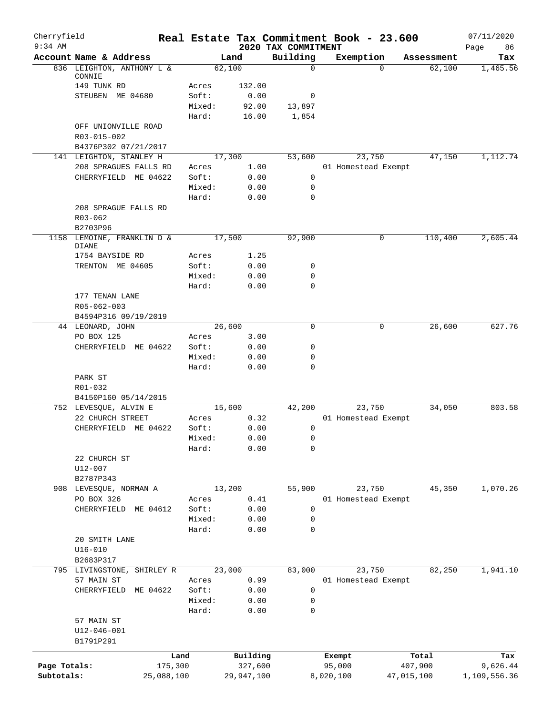| Cherryfield<br>$9:34$ AM |                                     |            |                 |                |                                 | Real Estate Tax Commitment Book - 23.600 |          |            | 07/11/2020        |
|--------------------------|-------------------------------------|------------|-----------------|----------------|---------------------------------|------------------------------------------|----------|------------|-------------------|
|                          | Account Name & Address              |            |                 | Land           | 2020 TAX COMMITMENT<br>Building | Exemption                                |          | Assessment | Page<br>86<br>Tax |
|                          | 836 LEIGHTON, ANTHONY L &           |            |                 | 62,100         | $\mathbf 0$                     |                                          | $\Omega$ | 62,100     | 1,465.56          |
|                          | CONNIE                              |            |                 |                |                                 |                                          |          |            |                   |
|                          | 149 TUNK RD<br>STEUBEN ME 04680     |            | Acres           | 132.00<br>0.00 |                                 |                                          |          |            |                   |
|                          |                                     |            | Soft:<br>Mixed: | 92.00          | 0<br>13,897                     |                                          |          |            |                   |
|                          |                                     |            | Hard:           | 16.00          | 1,854                           |                                          |          |            |                   |
|                          | OFF UNIONVILLE ROAD                 |            |                 |                |                                 |                                          |          |            |                   |
|                          | R03-015-002                         |            |                 |                |                                 |                                          |          |            |                   |
|                          | B4376P302 07/21/2017                |            |                 |                |                                 |                                          |          |            |                   |
|                          | 141 LEIGHTON, STANLEY H             |            |                 | 17,300         | 53,600                          |                                          | 23,750   | 47,150     | 1,112.74          |
|                          | 208 SPRAGUES FALLS RD               |            | Acres           | 1.00           |                                 | 01 Homestead Exempt                      |          |            |                   |
|                          | CHERRYFIELD ME 04622                |            | Soft:           | 0.00           | 0                               |                                          |          |            |                   |
|                          |                                     |            | Mixed:          | 0.00           | 0                               |                                          |          |            |                   |
|                          |                                     |            | Hard:           | 0.00           | 0                               |                                          |          |            |                   |
|                          | 208 SPRAGUE FALLS RD                |            |                 |                |                                 |                                          |          |            |                   |
|                          | R03-062<br>B2703P96                 |            |                 |                |                                 |                                          |          |            |                   |
| 1158                     | LEMOINE, FRANKLIN D &               |            |                 | 17,500         | 92,900                          |                                          | 0        | 110,400    | 2,605.44          |
|                          | <b>DIANE</b>                        |            |                 |                |                                 |                                          |          |            |                   |
|                          | 1754 BAYSIDE RD                     |            | Acres           | 1.25           |                                 |                                          |          |            |                   |
|                          | TRENTON ME 04605                    |            | Soft:           | 0.00           | 0                               |                                          |          |            |                   |
|                          |                                     |            | Mixed:          | 0.00           | 0                               |                                          |          |            |                   |
|                          |                                     |            | Hard:           | 0.00           | $\mathbf 0$                     |                                          |          |            |                   |
|                          | 177 TENAN LANE                      |            |                 |                |                                 |                                          |          |            |                   |
|                          | R05-062-003<br>B4594P316 09/19/2019 |            |                 |                |                                 |                                          |          |            |                   |
|                          | 44 LEONARD, JOHN                    |            |                 | 26,600         | $\mathbf 0$                     |                                          | 0        | 26,600     | 627.76            |
|                          | PO BOX 125                          |            | Acres           | 3.00           |                                 |                                          |          |            |                   |
|                          | CHERRYFIELD ME 04622                |            | Soft:           | 0.00           | 0                               |                                          |          |            |                   |
|                          |                                     |            | Mixed:          | 0.00           | 0                               |                                          |          |            |                   |
|                          |                                     |            | Hard:           | 0.00           | 0                               |                                          |          |            |                   |
|                          | PARK ST                             |            |                 |                |                                 |                                          |          |            |                   |
|                          | R01-032                             |            |                 |                |                                 |                                          |          |            |                   |
|                          | B4150P160 05/14/2015                |            |                 |                |                                 |                                          |          |            |                   |
|                          | 752 LEVESQUE, ALVIN E               |            |                 | 15,600         | 42,200                          |                                          | 23,750   | 34,050     | 803.58            |
|                          | 22 CHURCH STREET                    |            | Acres           | 0.32           |                                 | 01 Homestead Exempt                      |          |            |                   |
|                          | CHERRYFIELD ME 04622                |            | Soft:<br>Mixed: | 0.00<br>0.00   | 0<br>$\Omega$                   |                                          |          |            |                   |
|                          |                                     |            | Hard:           | 0.00           | 0                               |                                          |          |            |                   |
|                          | 22 CHURCH ST                        |            |                 |                |                                 |                                          |          |            |                   |
|                          | $U12 - 007$                         |            |                 |                |                                 |                                          |          |            |                   |
|                          | B2787P343                           |            |                 |                |                                 |                                          |          |            |                   |
|                          | 908 LEVESQUE, NORMAN A              |            |                 | 13,200         | 55,900                          |                                          | 23,750   | 45,350     | 1,070.26          |
|                          | PO BOX 326                          |            | Acres           | 0.41           |                                 | 01 Homestead Exempt                      |          |            |                   |
|                          | CHERRYFIELD ME 04612                |            | Soft:           | 0.00           | 0                               |                                          |          |            |                   |
|                          |                                     |            | Mixed:          | 0.00           | 0                               |                                          |          |            |                   |
|                          |                                     |            | Hard:           | 0.00           | 0                               |                                          |          |            |                   |
|                          | 20 SMITH LANE                       |            |                 |                |                                 |                                          |          |            |                   |
|                          | $U16 - 010$<br>B2683P317            |            |                 |                |                                 |                                          |          |            |                   |
|                          | 795 LIVINGSTONE, SHIRLEY R          |            |                 | 23,000         | 83,000                          |                                          | 23,750   | 82,250     | 1,941.10          |
|                          | 57 MAIN ST                          |            | Acres           | 0.99           |                                 | 01 Homestead Exempt                      |          |            |                   |
|                          | CHERRYFIELD                         | ME 04622   | Soft:           | 0.00           | 0                               |                                          |          |            |                   |
|                          |                                     |            | Mixed:          | 0.00           | 0                               |                                          |          |            |                   |
|                          |                                     |            | Hard:           | 0.00           | 0                               |                                          |          |            |                   |
|                          | 57 MAIN ST                          |            |                 |                |                                 |                                          |          |            |                   |
|                          | $U12 - 046 - 001$                   |            |                 |                |                                 |                                          |          |            |                   |
|                          | B1791P291                           |            |                 |                |                                 |                                          |          |            |                   |
|                          |                                     | Land       |                 | Building       |                                 | Exempt                                   |          | Total      | Tax               |
| Page Totals:             |                                     | 175,300    |                 | 327,600        |                                 | 95,000                                   |          | 407,900    | 9,626.44          |
| Subtotals:               |                                     | 25,088,100 |                 | 29,947,100     |                                 | 8,020,100                                |          | 47,015,100 | 1,109,556.36      |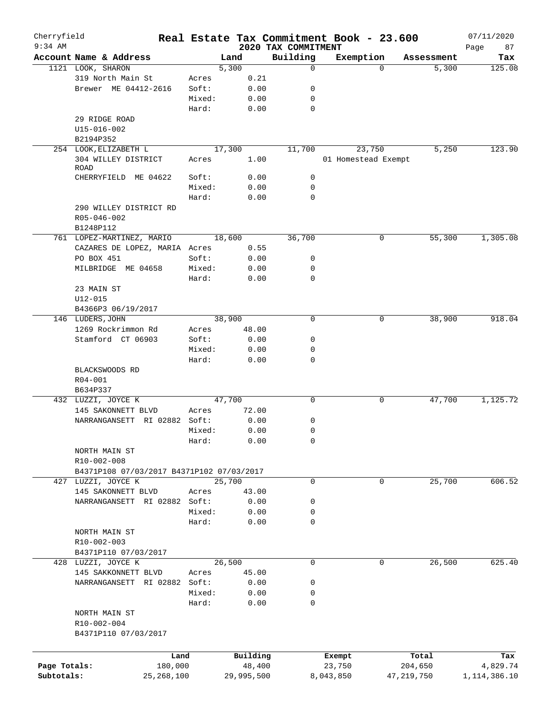| Cherryfield<br>$9:34$ AM |                                           |              |        |            |        | 2020 TAX COMMITMENT | Real Estate Tax Commitment Book - 23.600 |             |              | 07/11/2020        |
|--------------------------|-------------------------------------------|--------------|--------|------------|--------|---------------------|------------------------------------------|-------------|--------------|-------------------|
|                          | Account Name & Address                    |              |        | Land       |        | Building            | Exemption                                |             | Assessment   | Page<br>87<br>Tax |
|                          | 1121 LOOK, SHARON                         |              |        | 5,300      |        | $\mathbf 0$         |                                          | $\Omega$    | 5,300        | 125.08            |
|                          | 319 North Main St                         |              | Acres  |            | 0.21   |                     |                                          |             |              |                   |
|                          | Brewer ME 04412-2616                      |              | Soft:  |            | 0.00   | 0                   |                                          |             |              |                   |
|                          |                                           |              | Mixed: |            | 0.00   | 0                   |                                          |             |              |                   |
|                          |                                           |              | Hard:  |            | 0.00   | 0                   |                                          |             |              |                   |
|                          | 29 RIDGE ROAD                             |              |        |            |        |                     |                                          |             |              |                   |
|                          | U15-016-002                               |              |        |            |        |                     |                                          |             |              |                   |
|                          | B2194P352                                 |              |        |            |        |                     |                                          |             |              |                   |
|                          | 254 LOOK, ELIZABETH L                     |              |        | 17,300     |        | 11,700              | 23,750                                   |             | 5,250        | 123.90            |
|                          | 304 WILLEY DISTRICT                       |              |        |            |        |                     |                                          |             |              |                   |
|                          | <b>ROAD</b>                               |              | Acres  |            | 1.00   |                     | 01 Homestead Exempt                      |             |              |                   |
|                          | CHERRYFIELD ME 04622                      |              | Soft:  |            | 0.00   | 0                   |                                          |             |              |                   |
|                          |                                           |              | Mixed: |            | 0.00   | $\mathbf 0$         |                                          |             |              |                   |
|                          |                                           |              | Hard:  |            | 0.00   | 0                   |                                          |             |              |                   |
|                          |                                           |              |        |            |        |                     |                                          |             |              |                   |
|                          | 290 WILLEY DISTRICT RD                    |              |        |            |        |                     |                                          |             |              |                   |
|                          | R05-046-002                               |              |        |            |        |                     |                                          |             |              |                   |
|                          | B1248P112                                 |              |        |            |        |                     |                                          |             |              |                   |
|                          | 761 LOPEZ-MARTINEZ, MARIO                 |              |        | 18,600     |        | 36,700              |                                          | 0           | 55, 300      | 1,305.08          |
|                          | CAZARES DE LOPEZ, MARIA Acres             |              |        |            | 0.55   |                     |                                          |             |              |                   |
|                          | PO BOX 451                                |              | Soft:  |            | 0.00   | 0                   |                                          |             |              |                   |
|                          | MILBRIDGE ME 04658                        |              | Mixed: |            | 0.00   | $\mathbf 0$         |                                          |             |              |                   |
|                          |                                           |              | Hard:  |            | 0.00   | 0                   |                                          |             |              |                   |
|                          | 23 MAIN ST                                |              |        |            |        |                     |                                          |             |              |                   |
|                          | $U12 - 015$                               |              |        |            |        |                     |                                          |             |              |                   |
|                          | B4366P3 06/19/2017                        |              |        |            |        |                     |                                          |             |              |                   |
|                          | 146 LUDERS, JOHN                          |              |        | 38,900     |        | 0                   |                                          | 0           | 38,900       | 918.04            |
|                          | 1269 Rockrimmon Rd                        |              | Acres  |            | 48.00  |                     |                                          |             |              |                   |
|                          | Stamford CT 06903                         |              | Soft:  |            | 0.00   | 0                   |                                          |             |              |                   |
|                          |                                           |              | Mixed: |            | 0.00   | 0                   |                                          |             |              |                   |
|                          |                                           |              | Hard:  |            | 0.00   | 0                   |                                          |             |              |                   |
|                          | BLACKSWOODS RD                            |              |        |            |        |                     |                                          |             |              |                   |
|                          | R04-001                                   |              |        |            |        |                     |                                          |             |              |                   |
|                          |                                           |              |        |            |        |                     |                                          |             |              |                   |
|                          | B634P337                                  |              |        |            |        |                     |                                          |             |              |                   |
|                          | 432 LUZZI, JOYCE K                        |              |        | 47,700     |        | 0                   |                                          | 0           | 47,700       | 1,125.72          |
|                          | 145 SAKONNETT BLVD                        |              | Acres  |            | 72.00  |                     |                                          |             |              |                   |
|                          | NARRANGANSETT RI 02882 Soft:              |              |        |            | 0.00   | 0                   |                                          |             |              |                   |
|                          |                                           |              | Mixed: |            | 0.00   | 0                   |                                          |             |              |                   |
|                          |                                           |              | Hard:  |            | 0.00   | 0                   |                                          |             |              |                   |
|                          | NORTH MAIN ST                             |              |        |            |        |                     |                                          |             |              |                   |
|                          | R10-002-008                               |              |        |            |        |                     |                                          |             |              |                   |
|                          | B4371P108 07/03/2017 B4371P102 07/03/2017 |              |        |            |        |                     |                                          |             |              |                   |
|                          | 427 LUZZI, JOYCE K                        |              |        | 25,700     |        | $\mathbf 0$         |                                          | 0           | 25,700       | 606.52            |
|                          | 145 SAKONNETT BLVD                        |              | Acres  |            | 43.00  |                     |                                          |             |              |                   |
|                          | NARRANGANSETT RI 02882 Soft:              |              |        |            | 0.00   | 0                   |                                          |             |              |                   |
|                          |                                           |              | Mixed: |            | 0.00   | 0                   |                                          |             |              |                   |
|                          |                                           |              | Hard:  |            | 0.00   | 0                   |                                          |             |              |                   |
|                          | NORTH MAIN ST                             |              |        |            |        |                     |                                          |             |              |                   |
|                          | R10-002-003                               |              |        |            |        |                     |                                          |             |              |                   |
|                          | B4371P110 07/03/2017                      |              |        |            |        |                     |                                          |             |              |                   |
|                          | 428 LUZZI, JOYCE K                        |              |        | 26,500     |        | $\mathbf 0$         |                                          | $\mathbf 0$ | 26,500       | 625.40            |
|                          | 145 SAKKONNETT BLVD                       |              | Acres  |            | 45.00  |                     |                                          |             |              |                   |
|                          |                                           |              |        |            |        |                     |                                          |             |              |                   |
|                          | NARRANGANSETT RI 02882 Soft:              |              |        |            | 0.00   | 0                   |                                          |             |              |                   |
|                          |                                           |              | Mixed: |            | 0.00   | 0                   |                                          |             |              |                   |
|                          |                                           |              | Hard:  |            | 0.00   | 0                   |                                          |             |              |                   |
|                          | NORTH MAIN ST                             |              |        |            |        |                     |                                          |             |              |                   |
|                          | R10-002-004                               |              |        |            |        |                     |                                          |             |              |                   |
|                          | B4371P110 07/03/2017                      |              |        |            |        |                     |                                          |             |              |                   |
|                          |                                           |              |        |            |        |                     |                                          |             |              |                   |
|                          |                                           | Land         |        | Building   |        |                     | Exempt                                   |             | Total        | Tax               |
| Page Totals:             |                                           | 180,000      |        |            | 48,400 |                     | 23,750                                   |             | 204,650      | 4,829.74          |
| Subtotals:               |                                           | 25, 268, 100 |        | 29,995,500 |        |                     | 8,043,850                                |             | 47, 219, 750 | 1, 114, 386.10    |
|                          |                                           |              |        |            |        |                     |                                          |             |              |                   |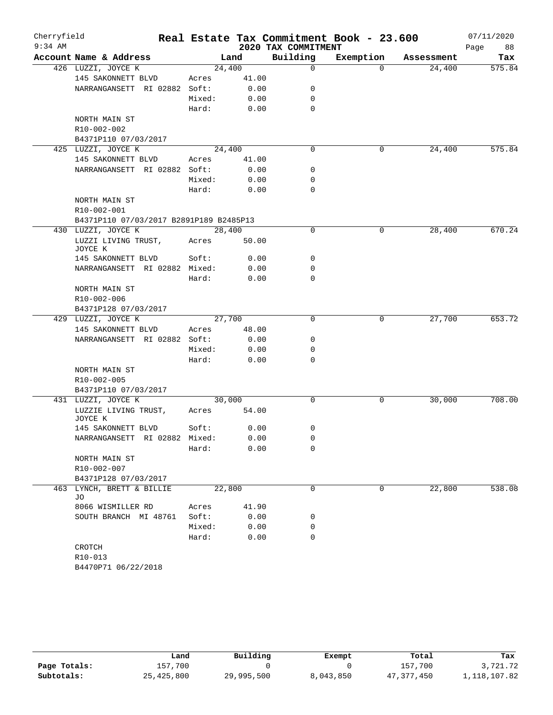| Cherryfield<br>$9:34$ AM |                                         |        |              | 2020 TAX COMMITMENT | Real Estate Tax Commitment Book - 23.600 |            | 07/11/2020<br>Page<br>88 |
|--------------------------|-----------------------------------------|--------|--------------|---------------------|------------------------------------------|------------|--------------------------|
|                          | Account Name & Address                  |        | Land         | Building            | Exemption                                | Assessment | Tax                      |
|                          | 426 LUZZI, JOYCE K                      | 24,400 |              | $\mathbf 0$         | $\Omega$                                 | 24,400     | 575.84                   |
|                          | 145 SAKONNETT BLVD                      | Acres  | 41.00        |                     |                                          |            |                          |
|                          | NARRANGANSETT RI 02882 Soft:            |        | 0.00         | 0                   |                                          |            |                          |
|                          |                                         | Mixed: | 0.00         | 0                   |                                          |            |                          |
|                          |                                         | Hard:  | 0.00         | $\mathbf 0$         |                                          |            |                          |
|                          | NORTH MAIN ST                           |        |              |                     |                                          |            |                          |
|                          | R10-002-002                             |        |              |                     |                                          |            |                          |
|                          | B4371P110 07/03/2017                    |        |              |                     |                                          |            |                          |
|                          | 425 LUZZI, JOYCE K                      | 24,400 |              | $\mathbf 0$         | 0                                        | 24,400     | 575.84                   |
|                          | 145 SAKONNETT BLVD                      | Acres  | 41.00        |                     |                                          |            |                          |
|                          | NARRANGANSETT RI 02882 Soft:            |        | 0.00         | 0                   |                                          |            |                          |
|                          |                                         | Mixed: | 0.00         | 0                   |                                          |            |                          |
|                          |                                         | Hard:  | 0.00         | $\mathbf 0$         |                                          |            |                          |
|                          | NORTH MAIN ST                           |        |              |                     |                                          |            |                          |
|                          | R10-002-001                             |        |              |                     |                                          |            |                          |
|                          | B4371P110 07/03/2017 B2891P189 B2485P13 |        |              |                     |                                          |            |                          |
|                          | 430 LUZZI, JOYCE K                      | 28,400 |              | 0                   | 0                                        | 28,400     | 670.24                   |
|                          | LUZZI LIVING TRUST,                     | Acres  | 50.00        |                     |                                          |            |                          |
|                          | JOYCE K                                 |        |              | 0                   |                                          |            |                          |
|                          | 145 SAKONNETT BLVD                      | Soft:  | 0.00<br>0.00 | 0                   |                                          |            |                          |
|                          | NARRANGANSETT RI 02882 Mixed:           | Hard:  | 0.00         | $\Omega$            |                                          |            |                          |
|                          | NORTH MAIN ST                           |        |              |                     |                                          |            |                          |
|                          | R10-002-006                             |        |              |                     |                                          |            |                          |
|                          | B4371P128 07/03/2017                    |        |              |                     |                                          |            |                          |
|                          | 429 LUZZI, JOYCE K                      | 27,700 |              | $\Omega$            | 0                                        | 27,700     | 653.72                   |
|                          | 145 SAKONNETT BLVD                      | Acres  | 48.00        |                     |                                          |            |                          |
|                          | NARRANGANSETT RI 02882 Soft:            |        | 0.00         | 0                   |                                          |            |                          |
|                          |                                         | Mixed: | 0.00         | 0                   |                                          |            |                          |
|                          |                                         | Hard:  | 0.00         | 0                   |                                          |            |                          |
|                          | NORTH MAIN ST                           |        |              |                     |                                          |            |                          |
|                          | R10-002-005                             |        |              |                     |                                          |            |                          |
|                          | B4371P110 07/03/2017                    |        |              |                     |                                          |            |                          |
|                          | 431 LUZZI, JOYCE K                      | 30,000 |              | 0                   | 0                                        | 30,000     | 708.00                   |
|                          | LUZZIE LIVING TRUST,<br>JOYCE K         | Acres  | 54.00        |                     |                                          |            |                          |
|                          | 145 SAKONNETT BLVD                      | Soft:  | 0.00         | 0                   |                                          |            |                          |
|                          | NARRANGANSETT RI 02882 Mixed:           |        | 0.00         | 0                   |                                          |            |                          |
|                          |                                         | Hard:  | 0.00         | 0                   |                                          |            |                          |
|                          | NORTH MAIN ST                           |        |              |                     |                                          |            |                          |
|                          | R10-002-007                             |        |              |                     |                                          |            |                          |
|                          | B4371P128 07/03/2017                    |        |              |                     |                                          |            |                          |
|                          | 463 LYNCH, BRETT & BILLIE<br>JO         | 22,800 |              | $\Omega$            | 0                                        | 22,800     | 538.08                   |
|                          | 8066 WISMILLER RD                       | Acres  | 41.90        |                     |                                          |            |                          |
|                          | SOUTH BRANCH MI 48761                   | Soft:  | 0.00         | 0                   |                                          |            |                          |
|                          |                                         | Mixed: | 0.00         | 0                   |                                          |            |                          |
|                          |                                         | Hard:  | 0.00         | 0                   |                                          |            |                          |
|                          | CROTCH                                  |        |              |                     |                                          |            |                          |
|                          | R10-013<br>B4470P71 06/22/2018          |        |              |                     |                                          |            |                          |
|                          |                                         |        |              |                     |                                          |            |                          |

|              | Land       | Building   | Exempt    | Total      | Tax          |
|--------------|------------|------------|-----------|------------|--------------|
| Page Totals: | 157,700    |            |           | 157,700    | 3,721.72     |
| Subtotals:   | 25,425,800 | 29,995,500 | 8,043,850 | 47,377,450 | 1,118,107.82 |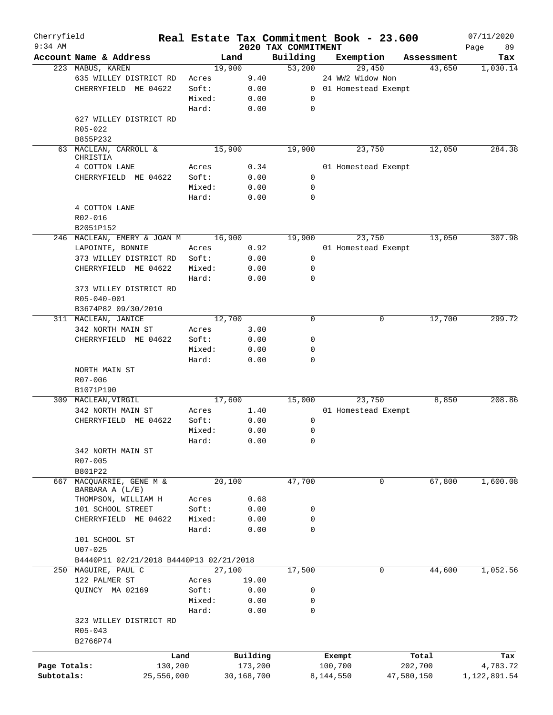| Cherryfield<br>$9:34$ AM |                                         |        |            |                                 |           | Real Estate Tax Commitment Book - 23.600 |            | 07/11/2020        |
|--------------------------|-----------------------------------------|--------|------------|---------------------------------|-----------|------------------------------------------|------------|-------------------|
|                          | Account Name & Address                  |        | Land       | 2020 TAX COMMITMENT<br>Building |           | Exemption                                | Assessment | 89<br>Page<br>Tax |
|                          | 223 MABUS, KAREN                        |        | 19,900     | 53,200                          |           | 29,450                                   | 43,650     | 1,030.14          |
|                          | 635 WILLEY DISTRICT RD                  | Acres  | 9.40       |                                 |           | 24 WW2 Widow Non                         |            |                   |
|                          | CHERRYFIELD ME 04622                    | Soft:  | 0.00       |                                 |           | 0 01 Homestead Exempt                    |            |                   |
|                          |                                         | Mixed: | 0.00       | 0                               |           |                                          |            |                   |
|                          |                                         | Hard:  | 0.00       | $\mathbf 0$                     |           |                                          |            |                   |
|                          |                                         |        |            |                                 |           |                                          |            |                   |
|                          | 627 WILLEY DISTRICT RD                  |        |            |                                 |           |                                          |            |                   |
|                          | R05-022                                 |        |            |                                 |           |                                          |            |                   |
|                          | B855P232<br>63 MACLEAN, CARROLL &       |        | 15,900     | 19,900                          |           | 23,750                                   | 12,050     | 284.38            |
|                          | CHRISTIA                                |        |            |                                 |           |                                          |            |                   |
|                          | 4 COTTON LANE                           | Acres  | 0.34       |                                 |           | 01 Homestead Exempt                      |            |                   |
|                          | CHERRYFIELD ME 04622                    | Soft:  | 0.00       | 0                               |           |                                          |            |                   |
|                          |                                         | Mixed: | 0.00       | 0                               |           |                                          |            |                   |
|                          |                                         | Hard:  | 0.00       | 0                               |           |                                          |            |                   |
|                          | 4 COTTON LANE                           |        |            |                                 |           |                                          |            |                   |
|                          | R02-016                                 |        |            |                                 |           |                                          |            |                   |
|                          | B2051P152                               |        |            |                                 |           |                                          |            |                   |
|                          | 246 MACLEAN, EMERY & JOAN M             |        | 16,900     | 19,900                          |           | 23,750                                   | 13,050     | 307.98            |
|                          | LAPOINTE, BONNIE                        |        | 0.92       |                                 |           |                                          |            |                   |
|                          |                                         | Acres  |            |                                 |           | 01 Homestead Exempt                      |            |                   |
|                          | 373 WILLEY DISTRICT RD                  | Soft:  | 0.00       | 0                               |           |                                          |            |                   |
|                          | CHERRYFIELD ME 04622                    | Mixed: | 0.00       | 0                               |           |                                          |            |                   |
|                          |                                         | Hard:  | 0.00       | 0                               |           |                                          |            |                   |
|                          | 373 WILLEY DISTRICT RD                  |        |            |                                 |           |                                          |            |                   |
|                          | R05-040-001                             |        |            |                                 |           |                                          |            |                   |
|                          | B3674P82 09/30/2010                     |        |            |                                 |           |                                          |            |                   |
|                          | 311 MACLEAN, JANICE                     |        | 12,700     | $\Omega$                        |           | 0                                        | 12,700     | 299.72            |
|                          | 342 NORTH MAIN ST                       | Acres  | 3.00       |                                 |           |                                          |            |                   |
|                          | CHERRYFIELD ME 04622                    | Soft:  | 0.00       | 0                               |           |                                          |            |                   |
|                          |                                         | Mixed: | 0.00       | 0                               |           |                                          |            |                   |
|                          |                                         | Hard:  | 0.00       | 0                               |           |                                          |            |                   |
|                          | NORTH MAIN ST                           |        |            |                                 |           |                                          |            |                   |
|                          | R07-006                                 |        |            |                                 |           |                                          |            |                   |
|                          | B1071P190                               |        |            |                                 |           |                                          |            |                   |
|                          | 309 MACLEAN, VIRGIL                     |        | 17,600     | 15,000                          |           | 23,750                                   | 8,850      | 208.86            |
|                          | 342 NORTH MAIN ST                       | Acres  | 1.40       |                                 |           | 01 Homestead Exempt                      |            |                   |
|                          | CHERRYFIELD ME 04622                    | Soft:  | 0.00       | 0                               |           |                                          |            |                   |
|                          |                                         | Mixed: | 0.00       | 0                               |           |                                          |            |                   |
|                          |                                         | Hard:  | 0.00       | 0                               |           |                                          |            |                   |
|                          | 342 NORTH MAIN ST                       |        |            |                                 |           |                                          |            |                   |
|                          | R07-005                                 |        |            |                                 |           |                                          |            |                   |
|                          | B801P22                                 |        |            |                                 |           |                                          |            |                   |
| 667                      | MACQUARRIE, GENE M &                    |        | 20,100     | 47,700                          |           | 0                                        | 67,800     | 1,600.08          |
|                          | BARBARA A (L/E)                         |        |            |                                 |           |                                          |            |                   |
|                          | THOMPSON, WILLIAM H                     | Acres  | 0.68       |                                 |           |                                          |            |                   |
|                          | 101 SCHOOL STREET                       | Soft:  | 0.00       | 0                               |           |                                          |            |                   |
|                          | CHERRYFIELD ME 04622                    | Mixed: | 0.00       | 0                               |           |                                          |            |                   |
|                          |                                         | Hard:  | 0.00       | 0                               |           |                                          |            |                   |
|                          | 101 SCHOOL ST                           |        |            |                                 |           |                                          |            |                   |
|                          | $U07 - 025$                             |        |            |                                 |           |                                          |            |                   |
|                          | B4440P11 02/21/2018 B4440P13 02/21/2018 |        |            |                                 |           |                                          |            |                   |
|                          | 250 MAGUIRE, PAUL C                     |        | 27,100     | 17,500                          |           | 0                                        | 44,600     | 1,052.56          |
|                          | 122 PALMER ST                           | Acres  | 19.00      |                                 |           |                                          |            |                   |
|                          | QUINCY MA 02169                         | Soft:  | 0.00       | 0                               |           |                                          |            |                   |
|                          |                                         | Mixed: | 0.00       | 0                               |           |                                          |            |                   |
|                          |                                         | Hard:  | 0.00       | $\mathbf 0$                     |           |                                          |            |                   |
|                          | 323 WILLEY DISTRICT RD                  |        |            |                                 |           |                                          |            |                   |
|                          | $R05 - 043$                             |        |            |                                 |           |                                          |            |                   |
|                          | B2766P74                                |        |            |                                 |           |                                          |            |                   |
|                          |                                         |        |            |                                 |           |                                          |            |                   |
|                          |                                         | Land   | Building   |                                 | Exempt    |                                          | Total      | Tax               |
| Page Totals:             | 130,200                                 |        | 173,200    |                                 | 100,700   |                                          | 202,700    | 4,783.72          |
| Subtotals:               | 25,556,000                              |        | 30,168,700 |                                 | 8,144,550 |                                          | 47,580,150 | 1,122,891.54      |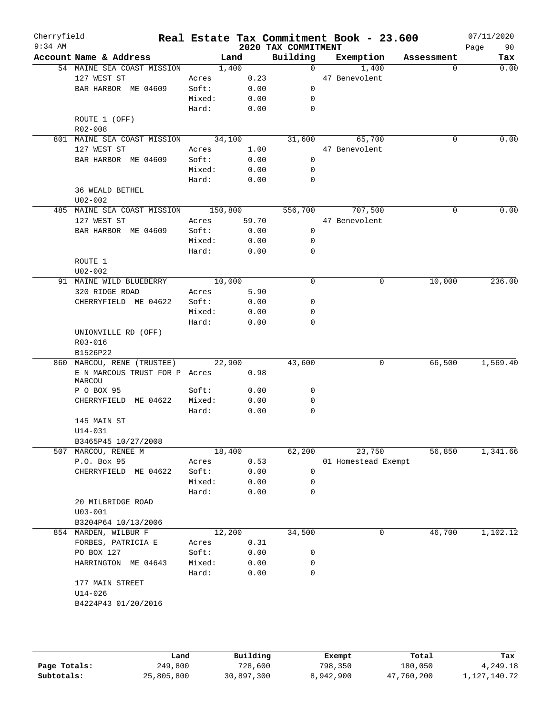| Cherryfield<br>$9:34$ AM |                                     |        |       | 2020 TAX COMMITMENT | Real Estate Tax Commitment Book - 23.600 |             | 07/11/2020<br>90<br>Page |
|--------------------------|-------------------------------------|--------|-------|---------------------|------------------------------------------|-------------|--------------------------|
|                          | Account Name & Address              | Land   |       | Building            | Exemption                                | Assessment  | Tax                      |
|                          | 54 MAINE SEA COAST MISSION          | 1,400  |       | $\overline{0}$      | 1,400                                    |             | 0.00<br>$\Omega$         |
|                          | 127 WEST ST                         | Acres  | 0.23  |                     | 47 Benevolent                            |             |                          |
|                          | BAR HARBOR ME 04609                 | Soft:  | 0.00  | 0                   |                                          |             |                          |
|                          |                                     | Mixed: | 0.00  | 0                   |                                          |             |                          |
|                          |                                     | Hard:  | 0.00  | 0                   |                                          |             |                          |
|                          | ROUTE 1 (OFF)                       |        |       |                     |                                          |             |                          |
|                          | R02-008                             |        |       |                     |                                          |             |                          |
|                          | 801 MAINE SEA COAST MISSION 34,100  |        |       | 31,600              | 65,700                                   | $\Omega$    | 0.00                     |
|                          | 127 WEST ST                         | Acres  | 1.00  |                     | 47 Benevolent                            |             |                          |
|                          | BAR HARBOR ME 04609                 | Soft:  | 0.00  | $\overline{0}$      |                                          |             |                          |
|                          |                                     | Mixed: | 0.00  | 0                   |                                          |             |                          |
|                          |                                     | Hard:  | 0.00  | 0                   |                                          |             |                          |
|                          | 36 WEALD BETHEL                     |        |       |                     |                                          |             |                          |
|                          | $U02 - 002$                         |        |       |                     |                                          |             |                          |
|                          | 485 MAINE SEA COAST MISSION 150,800 |        |       |                     | 556,700 707,500                          | $\Omega$    | 0.00                     |
|                          | 127 WEST ST                         | Acres  | 59.70 |                     | 47 Benevolent                            |             |                          |
|                          | BAR HARBOR ME 04609                 | Soft:  | 0.00  | 0                   |                                          |             |                          |
|                          |                                     | Mixed: | 0.00  | 0                   |                                          |             |                          |
|                          |                                     | Hard:  | 0.00  | 0                   |                                          |             |                          |
|                          | ROUTE 1                             |        |       |                     |                                          |             |                          |
|                          | U02-002                             |        |       |                     |                                          |             |                          |
|                          | 91 MAINE WILD BLUEBERRY             | 10,000 |       | 0                   |                                          | 10,000<br>0 | 236.00                   |
|                          | 320 RIDGE ROAD                      | Acres  | 5.90  |                     |                                          |             |                          |
|                          | CHERRYFIELD ME 04622                | Soft:  | 0.00  | 0                   |                                          |             |                          |
|                          |                                     | Mixed: | 0.00  | 0                   |                                          |             |                          |
|                          |                                     | Hard:  | 0.00  | 0                   |                                          |             |                          |
|                          | UNIONVILLE RD (OFF)                 |        |       |                     |                                          |             |                          |
|                          | R03-016                             |        |       |                     |                                          |             |                          |
|                          | B1526P22                            |        |       |                     |                                          |             |                          |
|                          | 860 MARCOU, RENE (TRUSTEE)          | 22,900 |       | 43,600              |                                          | 66,500<br>0 | 1,569.40                 |
|                          | E N MARCOUS TRUST FOR P Acres       |        | 0.98  |                     |                                          |             |                          |
|                          | MARCOU                              |        |       |                     |                                          |             |                          |
|                          | P O BOX 95                          | Soft:  | 0.00  | 0                   |                                          |             |                          |
|                          | CHERRYFIELD ME 04622                | Mixed: | 0.00  | 0                   |                                          |             |                          |
|                          |                                     | Hard:  | 0.00  | 0                   |                                          |             |                          |
|                          | 145 MAIN ST                         |        |       |                     |                                          |             |                          |
|                          | $U14 - 031$                         |        |       |                     |                                          |             |                          |
|                          | B3465P45 10/27/2008                 |        |       |                     |                                          |             |                          |
|                          | 507 MARCOU, RENEE M                 | 18,400 |       | 62,200              | 23,750                                   | 56,850      | 1,341.66                 |
|                          | P.O. Box 95                         | Acres  | 0.53  |                     | 01 Homestead Exempt                      |             |                          |
|                          | CHERRYFIELD ME 04622                | Soft:  | 0.00  | 0                   |                                          |             |                          |
|                          |                                     | Mixed: | 0.00  | 0                   |                                          |             |                          |
|                          |                                     | Hard:  | 0.00  | 0                   |                                          |             |                          |
|                          | 20 MILBRIDGE ROAD                   |        |       |                     |                                          |             |                          |
|                          | $U03 - 001$                         |        |       |                     |                                          |             |                          |
|                          | B3204P64 10/13/2006                 |        |       |                     |                                          |             |                          |
|                          | 854 MARDEN, WILBUR F                | 12,200 |       | 34,500              |                                          | 46,700<br>0 | 1,102.12                 |
|                          | FORBES, PATRICIA E                  | Acres  | 0.31  |                     |                                          |             |                          |
|                          | PO BOX 127                          | Soft:  | 0.00  | 0                   |                                          |             |                          |
|                          | HARRINGTON ME 04643                 | Mixed: | 0.00  | 0                   |                                          |             |                          |
|                          |                                     | Hard:  | 0.00  | 0                   |                                          |             |                          |
|                          | 177 MAIN STREET                     |        |       |                     |                                          |             |                          |
|                          | U14-026                             |        |       |                     |                                          |             |                          |
|                          | B4224P43 01/20/2016                 |        |       |                     |                                          |             |                          |
|                          |                                     |        |       |                     |                                          |             |                          |
|                          |                                     |        |       |                     |                                          |             |                          |
|                          |                                     |        |       |                     |                                          |             |                          |
|                          |                                     |        |       |                     |                                          |             |                          |

|              | Land       | Building   | Exempt    | Total      | Tax          |
|--------------|------------|------------|-----------|------------|--------------|
| Page Totals: | 249,800    | 728,600    | 798,350   | 180,050    | 4,249.18     |
| Subtotals:   | 25,805,800 | 30,897,300 | 8,942,900 | 47,760,200 | 1,127,140.72 |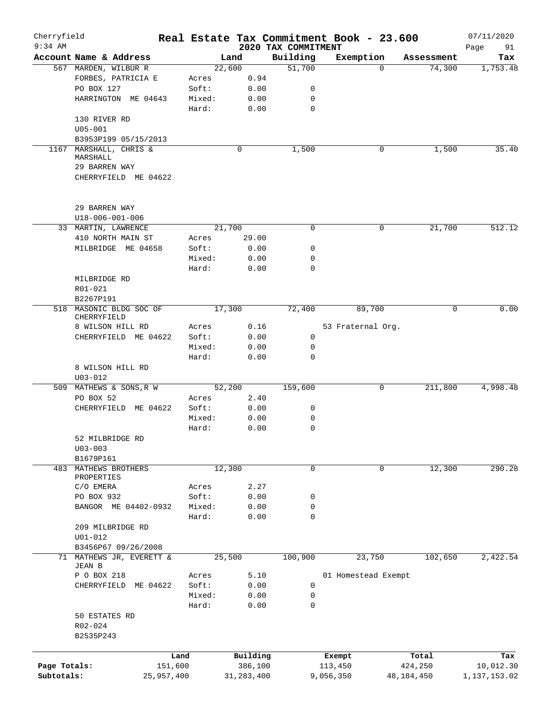| Cherryfield<br>$9:34$ AM |                                        |         |              |                                 | Real Estate Tax Commitment Book - 23.600 |              | 07/11/2020        |
|--------------------------|----------------------------------------|---------|--------------|---------------------------------|------------------------------------------|--------------|-------------------|
|                          | Account Name & Address                 |         | Land         | 2020 TAX COMMITMENT<br>Building | Exemption                                | Assessment   | Page<br>91<br>Tax |
|                          | 567 MARDEN, WILBUR R                   |         | 22,600       | 51,700                          | 0                                        | 74,300       | 1,753.48          |
|                          | FORBES, PATRICIA E                     | Acres   | 0.94         |                                 |                                          |              |                   |
|                          | PO BOX 127                             | Soft:   | 0.00         | 0                               |                                          |              |                   |
|                          | HARRINGTON ME 04643                    | Mixed:  | 0.00         | 0                               |                                          |              |                   |
|                          |                                        |         |              | $\mathbf 0$                     |                                          |              |                   |
|                          |                                        | Hard:   | 0.00         |                                 |                                          |              |                   |
|                          | 130 RIVER RD                           |         |              |                                 |                                          |              |                   |
|                          | $U05 - 001$                            |         |              |                                 |                                          |              |                   |
|                          | B3953P199 05/15/2013                   |         |              |                                 |                                          |              |                   |
| 1167                     | MARSHALL, CHRIS &<br>MARSHALL          |         | 0            | 1,500                           | 0                                        | 1,500        | 35.40             |
|                          | 29 BARREN WAY                          |         |              |                                 |                                          |              |                   |
|                          | CHERRYFIELD ME 04622                   |         |              |                                 |                                          |              |                   |
|                          |                                        |         |              |                                 |                                          |              |                   |
|                          | 29 BARREN WAY                          |         |              |                                 |                                          |              |                   |
|                          | $U18 - 006 - 001 - 006$                |         |              |                                 |                                          |              |                   |
|                          | 33 MARTIN, LAWRENCE                    |         | 21,700       | 0                               | 0                                        | 21,700       | 512.12            |
|                          | 410 NORTH MAIN ST                      | Acres   | 29.00        |                                 |                                          |              |                   |
|                          | MILBRIDGE ME 04658                     | Soft:   | 0.00         | 0                               |                                          |              |                   |
|                          |                                        | Mixed:  | 0.00         | $\mathbf 0$                     |                                          |              |                   |
|                          |                                        | Hard:   | 0.00         | 0                               |                                          |              |                   |
|                          | MILBRIDGE RD                           |         |              |                                 |                                          |              |                   |
|                          |                                        |         |              |                                 |                                          |              |                   |
|                          | R01-021                                |         |              |                                 |                                          |              |                   |
|                          | B2267P191                              |         |              |                                 |                                          |              |                   |
|                          | 518 MASONIC BLDG SOC OF<br>CHERRYFIELD |         | 17,300       | 72,400                          | 89,700                                   | 0            | 0.00              |
|                          | 8 WILSON HILL RD                       | Acres   | 0.16         |                                 | 53 Fraternal Org.                        |              |                   |
|                          | CHERRYFIELD ME 04622                   | Soft:   | 0.00         | 0                               |                                          |              |                   |
|                          |                                        | Mixed:  | 0.00         | 0                               |                                          |              |                   |
|                          |                                        | Hard:   | 0.00         | 0                               |                                          |              |                   |
|                          | 8 WILSON HILL RD                       |         |              |                                 |                                          |              |                   |
|                          | $U03 - 012$                            |         |              |                                 |                                          |              |                   |
|                          | 509 MATHEWS & SONS, R W                |         | 52,200       | 159,600                         | 0                                        | 211,800      | 4,998.48          |
|                          | PO BOX 52                              |         |              |                                 |                                          |              |                   |
|                          |                                        | Acres   | 2.40         |                                 |                                          |              |                   |
|                          | CHERRYFIELD ME 04622                   | Soft:   | 0.00         | 0                               |                                          |              |                   |
|                          |                                        | Mixed:  | 0.00         | 0                               |                                          |              |                   |
|                          |                                        | Hard:   | 0.00         | $\mathbf 0$                     |                                          |              |                   |
|                          | 52 MILBRIDGE RD                        |         |              |                                 |                                          |              |                   |
|                          | $U03 - 003$                            |         |              |                                 |                                          |              |                   |
|                          | B1679P161                              |         |              |                                 |                                          |              |                   |
| 483                      | MATHEWS BROTHERS                       |         | 12,300       | $\mathbf 0$                     | 0                                        | 12,300       | 290.28            |
|                          | PROPERTIES                             |         |              |                                 |                                          |              |                   |
|                          | C/O EMERA                              | Acres   | 2.27         |                                 |                                          |              |                   |
|                          | PO BOX 932                             | Soft:   | 0.00         | 0                               |                                          |              |                   |
|                          | BANGOR ME 04402-0932                   | Mixed:  | 0.00         | 0                               |                                          |              |                   |
|                          |                                        | Hard:   | 0.00         | 0                               |                                          |              |                   |
|                          | 209 MILBRIDGE RD                       |         |              |                                 |                                          |              |                   |
|                          | $U01 - 012$                            |         |              |                                 |                                          |              |                   |
|                          | B3456P67 09/26/2008                    |         |              |                                 |                                          |              |                   |
| 71                       | MATHEWS JR, EVERETT &                  |         | 25,500       | 100,900                         | 23,750                                   | 102,650      | 2,422.54          |
|                          | JEAN B                                 |         |              |                                 |                                          |              |                   |
|                          | P O BOX 218                            | Acres   | 5.10         |                                 | 01 Homestead Exempt                      |              |                   |
|                          | CHERRYFIELD<br>ME 04622                | Soft:   | 0.00         | 0                               |                                          |              |                   |
|                          |                                        | Mixed:  | 0.00         | 0                               |                                          |              |                   |
|                          |                                        | Hard:   | 0.00         | $\mathbf 0$                     |                                          |              |                   |
|                          | 50 ESTATES RD                          |         |              |                                 |                                          |              |                   |
|                          | R02-024                                |         |              |                                 |                                          |              |                   |
|                          | B2535P243                              |         |              |                                 |                                          |              |                   |
|                          |                                        |         |              |                                 |                                          |              |                   |
|                          |                                        | Land    | Building     |                                 | Exempt                                   | Total        | Tax               |
| Page Totals:             |                                        | 151,600 | 386,100      |                                 | 113,450                                  | 424,250      | 10,012.30         |
| Subtotals:               | 25,957,400                             |         | 31, 283, 400 |                                 | 9,056,350                                | 48, 184, 450 | 1,137,153.02      |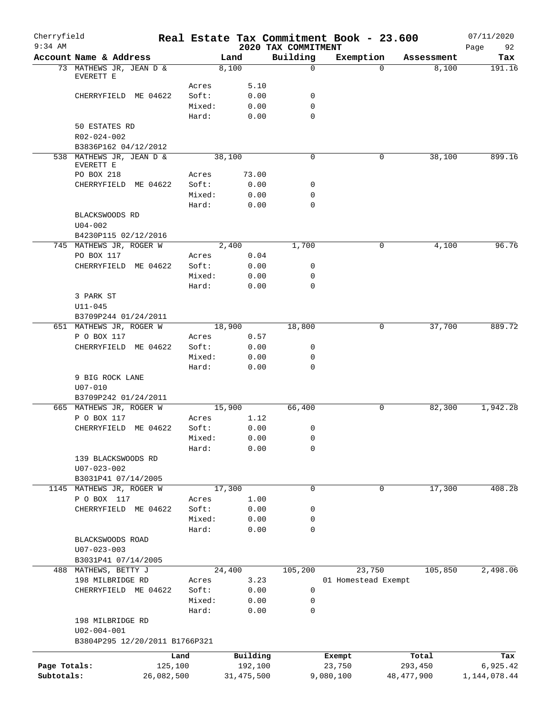| Cherryfield<br>$9:34$ AM |                                       |            |              | 2020 TAX COMMITMENT | Real Estate Tax Commitment Book - 23.600 |              | 07/11/2020<br>Page<br>92 |
|--------------------------|---------------------------------------|------------|--------------|---------------------|------------------------------------------|--------------|--------------------------|
|                          | Account Name & Address                |            | Land         | Building            | Exemption                                | Assessment   | Tax                      |
|                          | 73 MATHEWS JR, JEAN D &               |            | 8,100        | $\mathbf 0$         | $\Omega$                                 | 8,100        | 191.16                   |
|                          | EVERETT E                             |            |              |                     |                                          |              |                          |
|                          |                                       | Acres      | 5.10         |                     |                                          |              |                          |
|                          | CHERRYFIELD ME 04622                  | Soft:      | 0.00         | 0                   |                                          |              |                          |
|                          |                                       | Mixed:     | 0.00         | 0                   |                                          |              |                          |
|                          |                                       | Hard:      | 0.00         | 0                   |                                          |              |                          |
|                          | 50 ESTATES RD                         |            |              |                     |                                          |              |                          |
|                          | R02-024-002                           |            |              |                     |                                          |              |                          |
|                          | B3836P162 04/12/2012                  |            |              |                     |                                          |              |                          |
|                          | 538 MATHEWS JR, JEAN D &<br>EVERETT E |            | 38,100       | 0                   | 0                                        | 38,100       | 899.16                   |
|                          | PO BOX 218                            | Acres      | 73.00        |                     |                                          |              |                          |
|                          | CHERRYFIELD ME 04622                  | Soft:      | 0.00         | 0                   |                                          |              |                          |
|                          |                                       | Mixed:     | 0.00         | 0                   |                                          |              |                          |
|                          |                                       | Hard:      | 0.00         | $\mathbf 0$         |                                          |              |                          |
|                          | BLACKSWOODS RD                        |            |              |                     |                                          |              |                          |
|                          | $U04 - 002$                           |            |              |                     |                                          |              |                          |
|                          | B4230P115 02/12/2016                  |            |              |                     |                                          |              |                          |
|                          | 745 MATHEWS JR, ROGER W               |            | 2,400        | 1,700               | 0                                        | 4,100        | 96.76                    |
|                          | PO BOX 117                            | Acres      | 0.04         |                     |                                          |              |                          |
|                          | CHERRYFIELD ME 04622                  | Soft:      | 0.00         | 0                   |                                          |              |                          |
|                          |                                       | Mixed:     | 0.00         | 0                   |                                          |              |                          |
|                          |                                       | Hard:      | 0.00         | $\mathbf 0$         |                                          |              |                          |
|                          | 3 PARK ST                             |            |              |                     |                                          |              |                          |
|                          | $U11 - 045$                           |            |              |                     |                                          |              |                          |
|                          | B3709P244 01/24/2011                  |            |              |                     |                                          |              |                          |
|                          | 651 MATHEWS JR, ROGER W               |            | 18,900       | 18,800              | 0                                        | 37,700       | 889.72                   |
|                          | P O BOX 117                           | Acres      | 0.57         |                     |                                          |              |                          |
|                          | CHERRYFIELD ME 04622                  | Soft:      | 0.00         | 0                   |                                          |              |                          |
|                          |                                       | Mixed:     | 0.00         | 0                   |                                          |              |                          |
|                          |                                       | Hard:      | 0.00         | $\mathbf 0$         |                                          |              |                          |
|                          | 9 BIG ROCK LANE                       |            |              |                     |                                          |              |                          |
|                          | $U07 - 010$                           |            |              |                     |                                          |              |                          |
|                          | B3709P242 01/24/2011                  |            |              |                     |                                          |              |                          |
|                          | 665 MATHEWS JR, ROGER W               |            | 15,900       | 66,400              | 0                                        | 82,300       | 1,942.28                 |
|                          | P O BOX 117                           | Acres      | 1.12         |                     |                                          |              |                          |
|                          | CHERRYFIELD ME 04622                  | Soft:      | 0.00         | 0                   |                                          |              |                          |
|                          |                                       | Mixed:     | 0.00         | $\mathsf 0$         |                                          |              |                          |
|                          |                                       | Hard:      | 0.00         | 0                   |                                          |              |                          |
|                          | 139 BLACKSWOODS RD                    |            |              |                     |                                          |              |                          |
|                          | $U07 - 023 - 002$                     |            |              |                     |                                          |              |                          |
|                          | B3031P41 07/14/2005                   |            |              |                     |                                          |              |                          |
| 1145                     | MATHEWS JR, ROGER W                   |            | 17,300       | 0                   | 0                                        | 17,300       | 408.28                   |
|                          | P O BOX 117                           | Acres      | 1.00         |                     |                                          |              |                          |
|                          | CHERRYFIELD ME 04622                  | Soft:      | 0.00         | 0                   |                                          |              |                          |
|                          |                                       | Mixed:     | 0.00         | 0                   |                                          |              |                          |
|                          |                                       | Hard:      | 0.00         | $\mathbf 0$         |                                          |              |                          |
|                          | BLACKSWOODS ROAD                      |            |              |                     |                                          |              |                          |
|                          | $U07 - 023 - 003$                     |            |              |                     |                                          |              |                          |
|                          | B3031P41 07/14/2005                   |            |              |                     |                                          |              |                          |
|                          | 488 MATHEWS, BETTY J                  |            | 24,400       | 105,200             | 23,750                                   | 105,850      | 2,498.06                 |
|                          | 198 MILBRIDGE RD                      | Acres      | 3.23         |                     | 01 Homestead Exempt                      |              |                          |
|                          | CHERRYFIELD ME 04622                  | Soft:      | 0.00         | 0                   |                                          |              |                          |
|                          |                                       | Mixed:     | 0.00         | 0                   |                                          |              |                          |
|                          |                                       | Hard:      | 0.00         | $\mathbf 0$         |                                          |              |                          |
|                          | 198 MILBRIDGE RD                      |            |              |                     |                                          |              |                          |
|                          | $U02 - 004 - 001$                     |            |              |                     |                                          |              |                          |
|                          | B3804P295 12/20/2011 B1766P321        |            |              |                     |                                          |              |                          |
|                          |                                       | Land       | Building     |                     | Exempt                                   | Total        | Tax                      |
| Page Totals:             |                                       | 125,100    | 192,100      |                     | 23,750                                   | 293,450      | 6,925.42                 |
| Subtotals:               |                                       | 26,082,500 | 31, 475, 500 |                     | 9,080,100                                | 48, 477, 900 | 1, 144, 078.44           |
|                          |                                       |            |              |                     |                                          |              |                          |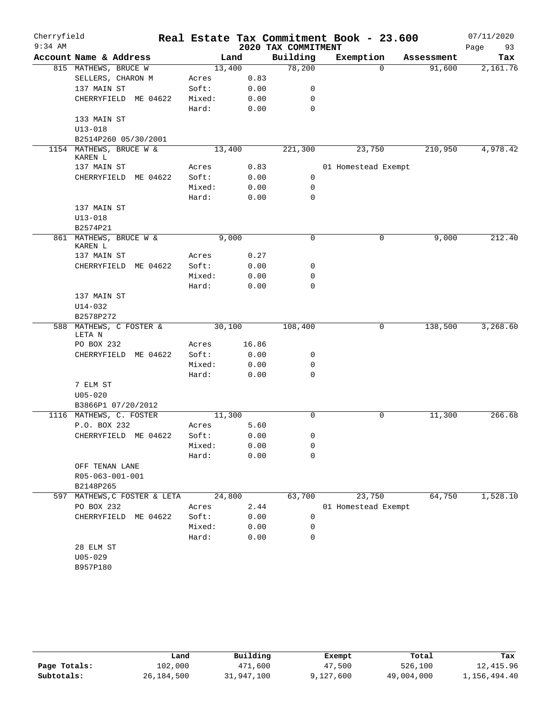| Cherryfield |                                                 |                 |        |                     | Real Estate Tax Commitment Book - 23.600 |            | 07/11/2020 |
|-------------|-------------------------------------------------|-----------------|--------|---------------------|------------------------------------------|------------|------------|
| $9:34$ AM   |                                                 |                 |        | 2020 TAX COMMITMENT |                                          |            | Page<br>93 |
|             | Account Name & Address                          |                 | Land   | Building            | Exemption                                | Assessment | Tax        |
|             | 815 MATHEWS, BRUCE W                            |                 | 13,400 | 78,200              | $\Omega$                                 | 91,600     | 2,161.76   |
|             | SELLERS, CHARON M                               | Acres           | 0.83   |                     |                                          |            |            |
|             | 137 MAIN ST                                     | Soft:           | 0.00   | 0                   |                                          |            |            |
|             | CHERRYFIELD ME 04622                            | Mixed:          | 0.00   | 0                   |                                          |            |            |
|             |                                                 | Hard:           | 0.00   | $\mathbf 0$         |                                          |            |            |
|             | 133 MAIN ST                                     |                 |        |                     |                                          |            |            |
|             | $U13 - 018$                                     |                 |        |                     |                                          |            |            |
|             | B2514P260 05/30/2001<br>1154 MATHEWS, BRUCE W & |                 | 13,400 | 221,300             | 23,750                                   | 210,950    | 4,978.42   |
|             | KAREN L                                         |                 |        |                     |                                          |            |            |
|             | 137 MAIN ST                                     | Acres           | 0.83   | $\mathbf 0$         | 01 Homestead Exempt                      |            |            |
|             | CHERRYFIELD ME 04622                            | Soft:<br>Mixed: | 0.00   | $\mathbf 0$         |                                          |            |            |
|             |                                                 |                 | 0.00   | $\mathbf 0$         |                                          |            |            |
|             | 137 MAIN ST                                     | Hard:           | 0.00   |                     |                                          |            |            |
|             | $U13 - 018$                                     |                 |        |                     |                                          |            |            |
|             | B2574P21                                        |                 |        |                     |                                          |            |            |
|             | 861 MATHEWS, BRUCE W &<br>KAREN L               |                 | 9,000  | $\mathsf{O}$        | 0                                        | 9,000      | 212.40     |
|             | 137 MAIN ST                                     | Acres           | 0.27   |                     |                                          |            |            |
|             | CHERRYFIELD ME 04622                            | Soft:           | 0.00   | 0                   |                                          |            |            |
|             |                                                 | Mixed:          | 0.00   | 0                   |                                          |            |            |
|             |                                                 | Hard:           | 0.00   | $\mathbf 0$         |                                          |            |            |
|             | 137 MAIN ST                                     |                 |        |                     |                                          |            |            |
|             | $U14 - 032$                                     |                 |        |                     |                                          |            |            |
|             | B2578P272                                       |                 |        |                     |                                          |            |            |
|             | 588 MATHEWS, C FOSTER &<br>LETA N               |                 | 30,100 | 108,400             | 0                                        | 138,500    | 3,268.60   |
|             | PO BOX 232                                      | Acres           | 16.86  |                     |                                          |            |            |
|             | CHERRYFIELD ME 04622                            | Soft:           | 0.00   | 0                   |                                          |            |            |
|             |                                                 | Mixed:          | 0.00   | 0                   |                                          |            |            |
|             |                                                 | Hard:           | 0.00   | $\mathbf 0$         |                                          |            |            |
|             | 7 ELM ST                                        |                 |        |                     |                                          |            |            |
|             | $U05 - 020$                                     |                 |        |                     |                                          |            |            |
|             | B3866P1 07/20/2012                              |                 |        |                     |                                          |            |            |
|             | 1116 MATHEWS, C. FOSTER                         |                 | 11,300 | $\mathbf 0$         | 0                                        | 11,300     | 266.68     |
|             | P.O. BOX 232                                    | Acres           | 5.60   |                     |                                          |            |            |
|             | CHERRYFIELD ME 04622                            | Soft:           | 0.00   | 0                   |                                          |            |            |
|             |                                                 | Mixed:          | 0.00   | 0                   |                                          |            |            |
|             |                                                 | Hard:           | 0.00   | 0                   |                                          |            |            |
|             | OFF TENAN LANE                                  |                 |        |                     |                                          |            |            |
|             | R05-063-001-001                                 |                 |        |                     |                                          |            |            |
|             | B2148P265<br>MATHEWS, C FOSTER & LETA           |                 | 24,800 | 63,700              | 23,750                                   | 64,750     | 1,528.10   |
| 597         | PO BOX 232                                      | Acres           | 2.44   |                     | 01 Homestead Exempt                      |            |            |
|             | CHERRYFIELD ME 04622                            | Soft:           | 0.00   | 0                   |                                          |            |            |
|             |                                                 | Mixed:          | 0.00   | 0                   |                                          |            |            |
|             |                                                 | Hard:           | 0.00   | 0                   |                                          |            |            |
|             | 28 ELM ST                                       |                 |        |                     |                                          |            |            |
|             | $U05 - 029$                                     |                 |        |                     |                                          |            |            |
|             | B957P180                                        |                 |        |                     |                                          |            |            |
|             |                                                 |                 |        |                     |                                          |            |            |

|              | Land         | Building   | Exempt    | Total      | Tax          |
|--------------|--------------|------------|-----------|------------|--------------|
| Page Totals: | 102,000      | 471,600    | 47,500    | 526,100    | 12,415.96    |
| Subtotals:   | 26, 184, 500 | 31,947,100 | 9,127,600 | 49,004,000 | 1,156,494.40 |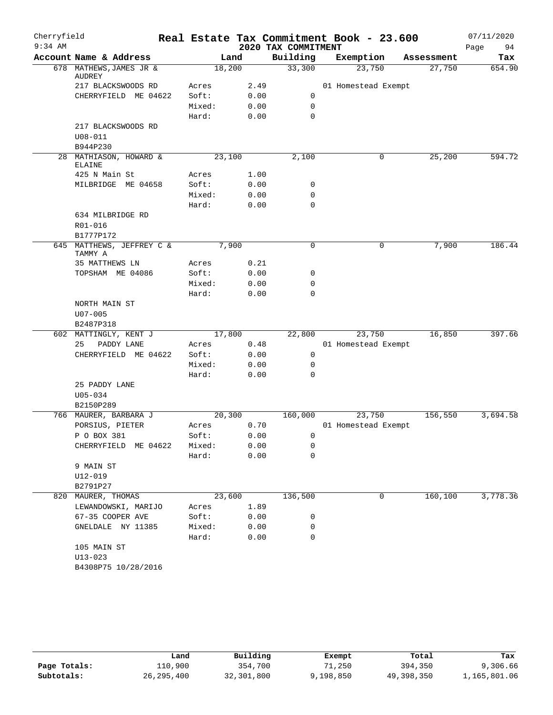| Cherryfield |                                         |        |        |                     | Real Estate Tax Commitment Book - 23.600 |            | 07/11/2020 |
|-------------|-----------------------------------------|--------|--------|---------------------|------------------------------------------|------------|------------|
| $9:34$ AM   |                                         |        |        | 2020 TAX COMMITMENT |                                          |            | 94<br>Page |
|             | Account Name & Address                  |        | Land   | Building            | Exemption                                | Assessment | Tax        |
|             | 678 MATHEWS, JAMES JR &<br>AUDREY       |        | 18,200 | 33,300              | 23,750                                   | 27,750     | 654.90     |
|             | 217 BLACKSWOODS RD                      | Acres  | 2.49   |                     | 01 Homestead Exempt                      |            |            |
|             | CHERRYFIELD ME 04622                    | Soft:  | 0.00   | 0                   |                                          |            |            |
|             |                                         | Mixed: | 0.00   | $\mathbf 0$         |                                          |            |            |
|             |                                         | Hard:  | 0.00   | 0                   |                                          |            |            |
|             | 217 BLACKSWOODS RD                      |        |        |                     |                                          |            |            |
|             | $U08 - 011$                             |        |        |                     |                                          |            |            |
|             | B944P230                                |        |        |                     |                                          |            |            |
|             | 28 MATHIASON, HOWARD &<br><b>ELAINE</b> |        | 23,100 | 2,100               | 0                                        | 25,200     | 594.72     |
|             | 425 N Main St                           | Acres  | 1.00   |                     |                                          |            |            |
|             | MILBRIDGE ME 04658                      | Soft:  | 0.00   | 0                   |                                          |            |            |
|             |                                         | Mixed: | 0.00   | 0                   |                                          |            |            |
|             |                                         | Hard:  | 0.00   | $\mathbf 0$         |                                          |            |            |
|             | 634 MILBRIDGE RD                        |        |        |                     |                                          |            |            |
|             | R01-016                                 |        |        |                     |                                          |            |            |
|             | B1777P172                               |        |        |                     |                                          |            |            |
|             | 645 MATTHEWS, JEFFREY C &<br>TAMMY A    |        | 7,900  | $\mathbf 0$         | 0                                        | 7,900      | 186.44     |
|             | 35 MATTHEWS LN                          | Acres  | 0.21   |                     |                                          |            |            |
|             | TOPSHAM ME 04086                        | Soft:  | 0.00   | 0                   |                                          |            |            |
|             |                                         | Mixed: | 0.00   | $\mathbf 0$         |                                          |            |            |
|             |                                         | Hard:  | 0.00   | 0                   |                                          |            |            |
|             | NORTH MAIN ST                           |        |        |                     |                                          |            |            |
|             | $U07 - 005$                             |        |        |                     |                                          |            |            |
|             | B2487P318                               |        |        |                     |                                          |            |            |
| 602         | MATTINGLY, KENT J                       |        | 17,800 | 22,800              | 23,750                                   | 16,850     | 397.66     |
|             | 25<br>PADDY LANE                        | Acres  | 0.48   |                     | 01 Homestead Exempt                      |            |            |
|             | CHERRYFIELD ME 04622                    | Soft:  | 0.00   | 0                   |                                          |            |            |
|             |                                         | Mixed: | 0.00   | 0                   |                                          |            |            |
|             |                                         | Hard:  | 0.00   | 0                   |                                          |            |            |
|             | 25 PADDY LANE                           |        |        |                     |                                          |            |            |
|             | $U05 - 034$                             |        |        |                     |                                          |            |            |
|             | B2150P289                               |        |        |                     |                                          |            |            |
|             | 766 MAURER, BARBARA J                   |        | 20,300 | 160,000             | 23,750                                   | 156,550    | 3,694.58   |
|             | PORSIUS, PIETER                         | Acres  | 0.70   |                     | 01 Homestead Exempt                      |            |            |
|             | P O BOX 381                             | Soft:  | 0.00   | $\mathbf{0}$        |                                          |            |            |
|             | CHERRYFIELD ME 04622                    | Mixed: | 0.00   | 0                   |                                          |            |            |
|             |                                         | Hard:  | 0.00   | 0                   |                                          |            |            |
|             | 9 MAIN ST                               |        |        |                     |                                          |            |            |
|             | U12-019                                 |        |        |                     |                                          |            |            |
|             | B2791P27                                |        |        |                     |                                          |            |            |
|             | 820 MAURER, THOMAS                      |        | 23,600 | 136,500             | 0                                        | 160,100    | 3,778.36   |
|             | LEWANDOWSKI, MARIJO                     | Acres  | 1.89   |                     |                                          |            |            |
|             | 67-35 COOPER AVE                        | Soft:  | 0.00   | 0                   |                                          |            |            |
|             | GNELDALE NY 11385                       | Mixed: | 0.00   | 0                   |                                          |            |            |
|             |                                         | Hard:  | 0.00   | 0                   |                                          |            |            |
|             | 105 MAIN ST                             |        |        |                     |                                          |            |            |
|             | $U13 - 023$                             |        |        |                     |                                          |            |            |
|             | B4308P75 10/28/2016                     |        |        |                     |                                          |            |            |
|             |                                         |        |        |                     |                                          |            |            |

|              | Land         | Building   | Exempt    | Total      | Tax          |
|--------------|--------------|------------|-----------|------------|--------------|
| Page Totals: | 110,900      | 354,700    | 71,250    | 394,350    | 9,306.66     |
| Subtotals:   | 26, 295, 400 | 32,301,800 | 9,198,850 | 49,398,350 | 1,165,801.06 |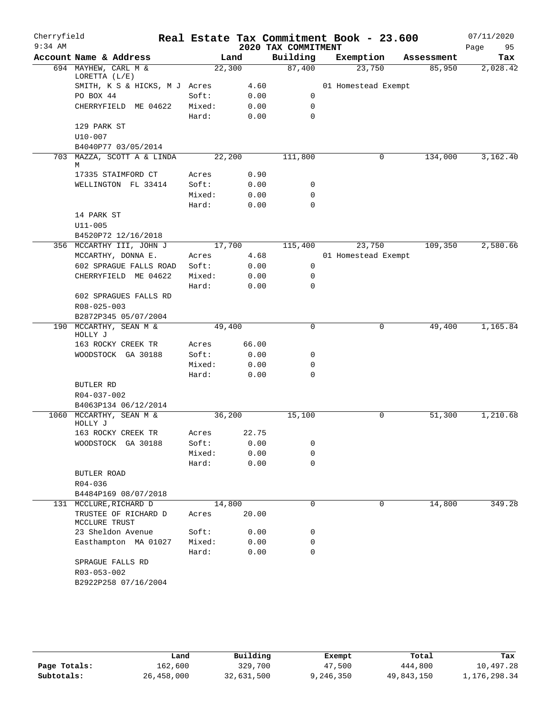| Cherryfield |                                                |        |       |                     | Real Estate Tax Commitment Book - 23.600 |            | 07/11/2020 |
|-------------|------------------------------------------------|--------|-------|---------------------|------------------------------------------|------------|------------|
| $9:34$ AM   |                                                |        |       | 2020 TAX COMMITMENT |                                          |            | Page<br>95 |
|             | Account Name & Address                         |        | Land  | Building            | Exemption                                | Assessment | Tax        |
|             | 694 MAYHEW, CARL M &<br>LORETTA (L/E)          | 22,300 |       | 87,400              | 23,750                                   | 85,950     | 2,028.42   |
|             | SMITH, K S & HICKS, M J Acres                  |        | 4.60  |                     | 01 Homestead Exempt                      |            |            |
|             | PO BOX 44                                      | Soft:  | 0.00  | 0                   |                                          |            |            |
|             | CHERRYFIELD ME 04622                           | Mixed: | 0.00  | 0                   |                                          |            |            |
|             |                                                | Hard:  | 0.00  | 0                   |                                          |            |            |
|             | 129 PARK ST                                    |        |       |                     |                                          |            |            |
|             | U10-007                                        |        |       |                     |                                          |            |            |
|             | B4040P77 03/05/2014                            |        |       |                     |                                          |            |            |
|             | 703 MAZZA, SCOTT A & LINDA<br>M                | 22,200 |       | 111,800             | 0                                        | 134,000    | 3,162.40   |
|             | 17335 STAIMFORD CT                             | Acres  | 0.90  |                     |                                          |            |            |
|             | WELLINGTON FL 33414                            | Soft:  | 0.00  | 0                   |                                          |            |            |
|             |                                                | Mixed: | 0.00  | 0                   |                                          |            |            |
|             |                                                | Hard:  | 0.00  | 0                   |                                          |            |            |
|             | 14 PARK ST                                     |        |       |                     |                                          |            |            |
|             | $U11 - 005$                                    |        |       |                     |                                          |            |            |
|             | B4520P72 12/16/2018                            |        |       |                     |                                          |            |            |
|             | 356 MCCARTHY III, JOHN J                       | 17,700 |       | 115,400             | 23,750                                   | 109,350    | 2,580.66   |
|             | MCCARTHY, DONNA E.                             | Acres  | 4.68  |                     | 01 Homestead Exempt                      |            |            |
|             | 602 SPRAGUE FALLS ROAD                         | Soft:  | 0.00  | 0                   |                                          |            |            |
|             | CHERRYFIELD ME 04622                           | Mixed: | 0.00  | 0                   |                                          |            |            |
|             |                                                | Hard:  | 0.00  | 0                   |                                          |            |            |
|             | 602 SPRAGUES FALLS RD                          |        |       |                     |                                          |            |            |
|             | R08-025-003                                    |        |       |                     |                                          |            |            |
|             | B2872P345 05/07/2004<br>190 MCCARTHY, SEAN M & | 49,400 |       | $\mathbf 0$         | 0                                        | 49,400     | 1,165.84   |
|             | HOLLY J                                        |        |       |                     |                                          |            |            |
|             | 163 ROCKY CREEK TR                             | Acres  | 66.00 |                     |                                          |            |            |
|             | WOODSTOCK GA 30188                             | Soft:  | 0.00  | 0                   |                                          |            |            |
|             |                                                | Mixed: | 0.00  | 0                   |                                          |            |            |
|             |                                                | Hard:  | 0.00  | 0                   |                                          |            |            |
|             | BUTLER RD                                      |        |       |                     |                                          |            |            |
|             | R04-037-002                                    |        |       |                     |                                          |            |            |
|             | B4063P134 06/12/2014                           |        |       |                     |                                          |            |            |
|             | 1060 MCCARTHY, SEAN M &<br>HOLLY J             | 36,200 |       | 15,100              | 0                                        | 51,300     | 1,210.68   |
|             | 163 ROCKY CREEK TR                             | Acres  | 22.75 |                     |                                          |            |            |
|             | WOODSTOCK GA 30188                             | Soft:  | 0.00  | 0                   |                                          |            |            |
|             |                                                | Mixed: | 0.00  | 0                   |                                          |            |            |
|             |                                                | Hard:  | 0.00  | 0                   |                                          |            |            |
|             | BUTLER ROAD                                    |        |       |                     |                                          |            |            |
|             | R04-036                                        |        |       |                     |                                          |            |            |
|             | B4484P169 08/07/2018<br>131 MCCLURE, RICHARD D | 14,800 |       | 0                   | 0                                        | 14,800     | 349.28     |
|             | TRUSTEE OF RICHARD D<br>MCCLURE TRUST          | Acres  | 20.00 |                     |                                          |            |            |
|             | 23 Sheldon Avenue                              | Soft:  | 0.00  | 0                   |                                          |            |            |
|             | Easthampton MA 01027                           | Mixed: | 0.00  | 0                   |                                          |            |            |
|             |                                                | Hard:  | 0.00  | 0                   |                                          |            |            |
|             | SPRAGUE FALLS RD                               |        |       |                     |                                          |            |            |
|             | R03-053-002                                    |        |       |                     |                                          |            |            |
|             | B2922P258 07/16/2004                           |        |       |                     |                                          |            |            |

|              | Land       | Building   | Exempt    | Total      | Tax          |
|--------------|------------|------------|-----------|------------|--------------|
| Page Totals: | 162,600    | 329,700    | 47,500    | 444,800    | 10,497.28    |
| Subtotals:   | 26,458,000 | 32,631,500 | 9,246,350 | 49,843,150 | 1,176,298.34 |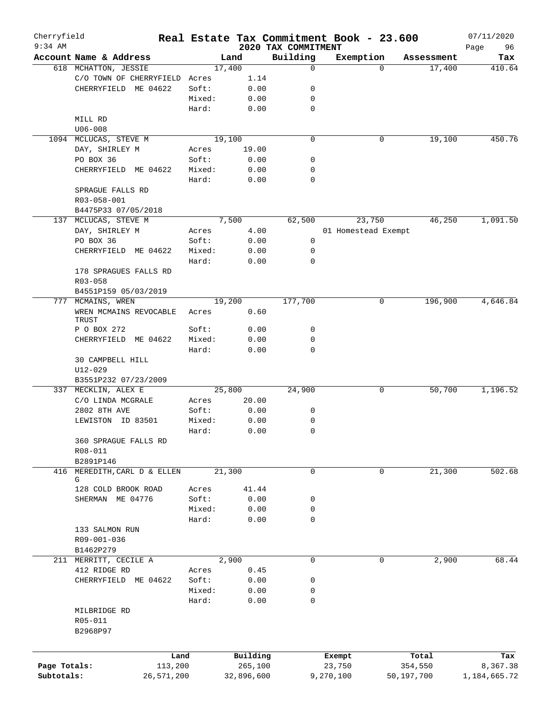| Cherryfield<br>$9:34$ AM |                               |        |            |                                 | Real Estate Tax Commitment Book - 23.600 |                    | 07/11/2020        |
|--------------------------|-------------------------------|--------|------------|---------------------------------|------------------------------------------|--------------------|-------------------|
|                          | Account Name & Address        |        | Land       | 2020 TAX COMMITMENT<br>Building | Exemption                                | Assessment         | 96<br>Page<br>Tax |
|                          | 618 MCHATTON, JESSIE          |        | 17,400     | $\mathbf 0$                     |                                          | 17,400<br>$\Omega$ | 410.64            |
|                          | C/O TOWN OF CHERRYFIELD Acres |        | 1.14       |                                 |                                          |                    |                   |
|                          | CHERRYFIELD ME 04622          | Soft:  | 0.00       | 0                               |                                          |                    |                   |
|                          |                               | Mixed: | 0.00       | 0                               |                                          |                    |                   |
|                          |                               | Hard:  | 0.00       | $\mathbf 0$                     |                                          |                    |                   |
|                          |                               |        |            |                                 |                                          |                    |                   |
|                          | MILL RD<br>$U06 - 008$        |        |            |                                 |                                          |                    |                   |
|                          |                               |        |            | $\mathbf 0$                     |                                          |                    |                   |
|                          | 1094 MCLUCAS, STEVE M         |        | 19,100     |                                 |                                          | 19,100<br>0        | 450.76            |
|                          | DAY, SHIRLEY M                | Acres  | 19.00      |                                 |                                          |                    |                   |
|                          | PO BOX 36                     | Soft:  | 0.00       | 0                               |                                          |                    |                   |
|                          | CHERRYFIELD ME 04622          | Mixed: | 0.00       | 0                               |                                          |                    |                   |
|                          |                               | Hard:  | 0.00       | $\mathbf 0$                     |                                          |                    |                   |
|                          | SPRAGUE FALLS RD              |        |            |                                 |                                          |                    |                   |
|                          | R03-058-001                   |        |            |                                 |                                          |                    |                   |
|                          | B4475P33 07/05/2018           |        |            |                                 |                                          |                    |                   |
|                          | 137 MCLUCAS, STEVE M          |        | 7,500      | 62,500                          | 23,750                                   | 46,250             | 1,091.50          |
|                          | DAY, SHIRLEY M                | Acres  | 4.00       |                                 | 01 Homestead Exempt                      |                    |                   |
|                          | PO BOX 36                     | Soft:  | 0.00       | 0                               |                                          |                    |                   |
|                          | CHERRYFIELD ME 04622          | Mixed: | 0.00       | 0                               |                                          |                    |                   |
|                          |                               | Hard:  | 0.00       | $\mathbf 0$                     |                                          |                    |                   |
|                          | 178 SPRAGUES FALLS RD         |        |            |                                 |                                          |                    |                   |
|                          | $R03 - 058$                   |        |            |                                 |                                          |                    |                   |
|                          | B4551P159 05/03/2019          |        |            |                                 |                                          |                    |                   |
| 777                      | MCMAINS, WREN                 |        | 19,200     | 177,700                         |                                          | 196,900<br>0       | 4,646.84          |
|                          | WREN MCMAINS REVOCABLE        | Acres  | 0.60       |                                 |                                          |                    |                   |
|                          | TRUST                         |        |            |                                 |                                          |                    |                   |
|                          | P O BOX 272                   | Soft:  | 0.00       | 0                               |                                          |                    |                   |
|                          | CHERRYFIELD ME 04622          | Mixed: | 0.00       | $\mathbf 0$                     |                                          |                    |                   |
|                          |                               | Hard:  | 0.00       | $\mathbf 0$                     |                                          |                    |                   |
|                          | 30 CAMPBELL HILL              |        |            |                                 |                                          |                    |                   |
|                          | $U12 - 029$                   |        |            |                                 |                                          |                    |                   |
|                          | B3551P232 07/23/2009          |        |            |                                 |                                          |                    |                   |
|                          | 337 MECKLIN, ALEX E           |        | 25,800     | 24,900                          |                                          | 50,700<br>0        | 1,196.52          |
|                          | C/O LINDA MCGRALE             | Acres  | 20.00      |                                 |                                          |                    |                   |
|                          | 2802 8TH AVE                  | Soft:  | 0.00       | 0                               |                                          |                    |                   |
|                          | LEWISTON ID 83501             | Mixed: | 0.00       | 0                               |                                          |                    |                   |
|                          |                               | Hard:  | 0.00       | 0                               |                                          |                    |                   |
|                          | 360 SPRAGUE FALLS RD          |        |            |                                 |                                          |                    |                   |
|                          | R08-011                       |        |            |                                 |                                          |                    |                   |
|                          | B2891P146                     |        |            |                                 |                                          |                    |                   |
|                          | 416 MEREDITH, CARL D & ELLEN  |        | 21,300     | 0                               |                                          | 0<br>21,300        | 502.68            |
|                          | G                             |        |            |                                 |                                          |                    |                   |
|                          | 128 COLD BROOK ROAD           | Acres  | 41.44      |                                 |                                          |                    |                   |
|                          | SHERMAN ME 04776              | Soft:  | 0.00       | 0                               |                                          |                    |                   |
|                          |                               | Mixed: | 0.00       | 0                               |                                          |                    |                   |
|                          |                               | Hard:  | 0.00       | $\mathbf 0$                     |                                          |                    |                   |
|                          | 133 SALMON RUN                |        |            |                                 |                                          |                    |                   |
|                          | R09-001-036                   |        |            |                                 |                                          |                    |                   |
|                          | B1462P279                     |        |            |                                 |                                          |                    |                   |
| 211                      | MERRITT, CECILE A             |        | 2,900      | $\mathbf 0$                     |                                          | 2,900<br>0         | 68.44             |
|                          | 412 RIDGE RD                  | Acres  | 0.45       |                                 |                                          |                    |                   |
|                          | CHERRYFIELD ME 04622          | Soft:  | 0.00       | 0                               |                                          |                    |                   |
|                          |                               | Mixed: | 0.00       | 0                               |                                          |                    |                   |
|                          |                               |        |            | 0                               |                                          |                    |                   |
|                          |                               | Hard:  | 0.00       |                                 |                                          |                    |                   |
|                          | MILBRIDGE RD                  |        |            |                                 |                                          |                    |                   |
|                          | R05-011                       |        |            |                                 |                                          |                    |                   |
|                          | B2968P97                      |        |            |                                 |                                          |                    |                   |
|                          |                               |        |            |                                 |                                          |                    |                   |
|                          |                               | Land   | Building   |                                 | Exempt                                   | Total              | Tax               |
| Page Totals:             | 113,200                       |        | 265,100    |                                 | 23,750                                   | 354,550            | 8,367.38          |
| Subtotals:               | 26,571,200                    |        | 32,896,600 |                                 | 9,270,100                                | 50,197,700         | 1,184,665.72      |
|                          |                               |        |            |                                 |                                          |                    |                   |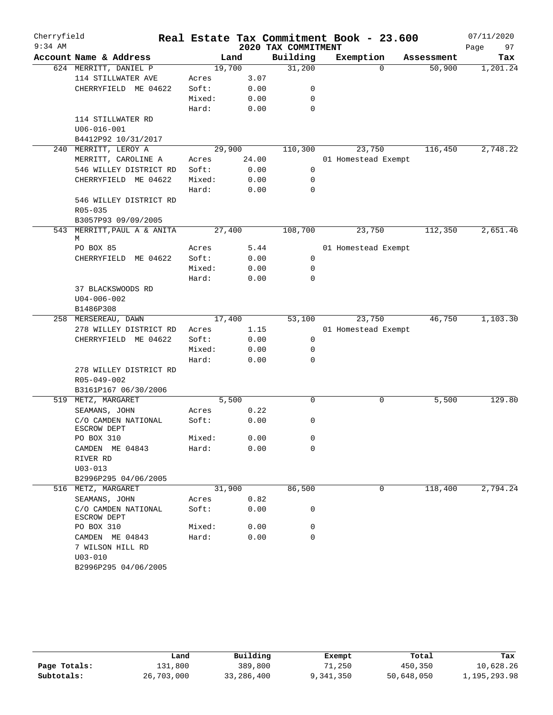| Cherryfield<br>$9:34$ AM |                                                    |        |        | 2020 TAX COMMITMENT | Real Estate Tax Commitment Book - 23.600 |            | 07/11/2020<br>97<br>Page |
|--------------------------|----------------------------------------------------|--------|--------|---------------------|------------------------------------------|------------|--------------------------|
|                          | Account Name & Address                             |        | Land   | Building            | Exemption                                | Assessment | Tax                      |
|                          | 624 MERRITT, DANIEL P                              | 19,700 |        | 31,200              | $\Omega$                                 | 50,900     | 1,201.24                 |
|                          | 114 STILLWATER AVE                                 | Acres  | 3.07   |                     |                                          |            |                          |
|                          | CHERRYFIELD ME 04622                               | Soft:  | 0.00   | 0                   |                                          |            |                          |
|                          |                                                    | Mixed: | 0.00   | 0                   |                                          |            |                          |
|                          |                                                    | Hard:  | 0.00   | $\mathbf 0$         |                                          |            |                          |
|                          | 114 STILLWATER RD                                  |        |        |                     |                                          |            |                          |
|                          | $U06 - 016 - 001$                                  |        |        |                     |                                          |            |                          |
|                          | B4412P92 10/31/2017                                |        |        |                     |                                          |            |                          |
| 240                      | MERRITT, LEROY A                                   |        | 29,900 | 110,300             | 23,750                                   | 116,450    | 2,748.22                 |
|                          | MERRITT, CAROLINE A                                | Acres  | 24.00  |                     | 01 Homestead Exempt                      |            |                          |
|                          | 546 WILLEY DISTRICT RD                             | Soft:  | 0.00   | 0                   |                                          |            |                          |
|                          | CHERRYFIELD ME 04622                               | Mixed: | 0.00   | 0                   |                                          |            |                          |
|                          |                                                    | Hard:  | 0.00   | 0                   |                                          |            |                          |
|                          | 546 WILLEY DISTRICT RD                             |        |        |                     |                                          |            |                          |
|                          | $R05 - 035$                                        |        |        |                     |                                          |            |                          |
|                          | B3057P93 09/09/2005<br>543 MERRITT, PAUL A & ANITA |        | 27,400 | 108,700             | 23,750                                   | 112,350    | 2,651.46                 |
|                          | М                                                  |        |        |                     |                                          |            |                          |
|                          | PO BOX 85                                          | Acres  | 5.44   |                     | 01 Homestead Exempt                      |            |                          |
|                          | CHERRYFIELD ME 04622                               | Soft:  | 0.00   | 0                   |                                          |            |                          |
|                          |                                                    | Mixed: | 0.00   | 0                   |                                          |            |                          |
|                          |                                                    | Hard:  | 0.00   | $\Omega$            |                                          |            |                          |
|                          | 37 BLACKSWOODS RD                                  |        |        |                     |                                          |            |                          |
|                          | $U04 - 006 - 002$                                  |        |        |                     |                                          |            |                          |
|                          | B1486P308                                          |        |        |                     |                                          |            |                          |
|                          | 258 MERSEREAU, DAWN                                |        | 17,400 | 53,100              | 23,750                                   | 46,750     | 1,103.30                 |
|                          | 278 WILLEY DISTRICT RD                             | Acres  | 1.15   |                     | 01 Homestead Exempt                      |            |                          |
|                          | CHERRYFIELD ME 04622                               | Soft:  | 0.00   | $\mathbf 0$         |                                          |            |                          |
|                          |                                                    | Mixed: | 0.00   | 0                   |                                          |            |                          |
|                          |                                                    | Hard:  | 0.00   | 0                   |                                          |            |                          |
|                          | 278 WILLEY DISTRICT RD                             |        |        |                     |                                          |            |                          |
|                          | R05-049-002<br>B3161P167 06/30/2006                |        |        |                     |                                          |            |                          |
|                          | 519 METZ, MARGARET                                 |        | 5,500  | 0                   | $\mathbf 0$                              | 5,500      | 129.80                   |
|                          | SEAMANS, JOHN                                      | Acres  | 0.22   |                     |                                          |            |                          |
|                          | C/O CAMDEN NATIONAL                                | Soft:  | 0.00   | 0                   |                                          |            |                          |
|                          | ESCROW DEPT                                        |        |        |                     |                                          |            |                          |
|                          | PO BOX 310                                         | Mixed: | 0.00   | 0                   |                                          |            |                          |
|                          | CAMDEN ME 04843                                    | Hard:  | 0.00   | 0                   |                                          |            |                          |
|                          | RIVER RD                                           |        |        |                     |                                          |            |                          |
|                          | $U03 - 013$                                        |        |        |                     |                                          |            |                          |
|                          | B2996P295 04/06/2005                               |        |        |                     |                                          |            |                          |
|                          | 516 METZ, MARGARET                                 |        | 31,900 | 86,500              | 0                                        | 118,400    | 2,794.24                 |
|                          | SEAMANS, JOHN                                      | Acres  | 0.82   |                     |                                          |            |                          |
|                          | C/O CAMDEN NATIONAL<br>ESCROW DEPT                 | Soft:  | 0.00   | 0                   |                                          |            |                          |
|                          | PO BOX 310                                         | Mixed: | 0.00   | 0                   |                                          |            |                          |
|                          | CAMDEN ME 04843                                    | Hard:  | 0.00   | $\mathbf 0$         |                                          |            |                          |
|                          | 7 WILSON HILL RD                                   |        |        |                     |                                          |            |                          |
|                          | $U03 - 010$                                        |        |        |                     |                                          |            |                          |
|                          | B2996P295 04/06/2005                               |        |        |                     |                                          |            |                          |
|                          |                                                    |        |        |                     |                                          |            |                          |

|              | Land       | Building   | Exempt    | Total      | Tax          |
|--------------|------------|------------|-----------|------------|--------------|
| Page Totals: | 131,800    | 389,800    | 71,250    | 450,350    | 10,628.26    |
| Subtotals:   | 26,703,000 | 33,286,400 | 9,341,350 | 50,648,050 | 1,195,293.98 |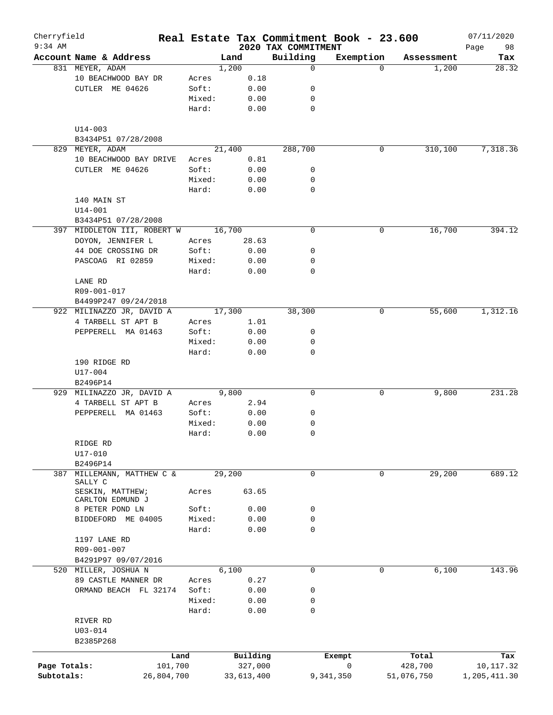| Cherryfield<br>$9:34$ AM |                                                   |                 |              |                                 | Real Estate Tax Commitment Book - 23.600 |            | 07/11/2020        |
|--------------------------|---------------------------------------------------|-----------------|--------------|---------------------------------|------------------------------------------|------------|-------------------|
|                          | Account Name & Address                            |                 | Land         | 2020 TAX COMMITMENT<br>Building | Exemption                                | Assessment | 98<br>Page<br>Tax |
|                          | 831 MEYER, ADAM                                   |                 | 1,200        | $\mathbf 0$                     | $\Omega$                                 | 1,200      | 28.32             |
|                          | 10 BEACHWOOD BAY DR                               | Acres           | 0.18         |                                 |                                          |            |                   |
|                          | CUTLER ME 04626                                   | Soft:           | 0.00         | 0                               |                                          |            |                   |
|                          |                                                   | Mixed:          | 0.00         | 0                               |                                          |            |                   |
|                          |                                                   | Hard:           | 0.00         | 0                               |                                          |            |                   |
|                          | $U14 - 003$                                       |                 |              |                                 |                                          |            |                   |
|                          | B3434P51 07/28/2008<br>MEYER, ADAM                |                 |              | 288,700                         | 0                                        | 310,100    |                   |
| 829                      | 10 BEACHWOOD BAY DRIVE                            |                 | 21,400       |                                 |                                          |            | 7,318.36          |
|                          | CUTLER ME 04626                                   | Acres<br>Soft:  | 0.81<br>0.00 | 0                               |                                          |            |                   |
|                          |                                                   | Mixed:          | 0.00         | 0                               |                                          |            |                   |
|                          |                                                   | Hard:           | 0.00         | $\mathbf 0$                     |                                          |            |                   |
|                          | 140 MAIN ST                                       |                 |              |                                 |                                          |            |                   |
|                          | $U14 - 001$                                       |                 |              |                                 |                                          |            |                   |
|                          |                                                   |                 |              |                                 |                                          |            |                   |
|                          | B3434P51 07/28/2008                               |                 | 16,700       | $\mathbf 0$                     | 0                                        | 16,700     | 394.12            |
|                          | 397 MIDDLETON III, ROBERT W                       |                 |              |                                 |                                          |            |                   |
|                          | DOYON, JENNIFER L                                 | Acres           | 28.63        |                                 |                                          |            |                   |
|                          | 44 DOE CROSSING DR<br>PASCOAG RI 02859            | Soft:           | 0.00         | 0                               |                                          |            |                   |
|                          |                                                   | Mixed:          | 0.00         | 0<br>0                          |                                          |            |                   |
|                          |                                                   | Hard:           | 0.00         |                                 |                                          |            |                   |
|                          | LANE RD<br>R09-001-017                            |                 |              |                                 |                                          |            |                   |
|                          |                                                   |                 |              |                                 |                                          |            |                   |
|                          | B4499P247 09/24/2018<br>922 MILINAZZO JR, DAVID A |                 | 17,300       | 38,300                          | 0                                        | 55,600     | 1,312.16          |
|                          | 4 TARBELL ST APT B                                | Acres           | 1.01         |                                 |                                          |            |                   |
|                          |                                                   |                 |              |                                 |                                          |            |                   |
|                          | PEPPERELL MA 01463                                | Soft:<br>Mixed: | 0.00         | 0<br>0                          |                                          |            |                   |
|                          |                                                   | Hard:           | 0.00<br>0.00 | $\mathbf 0$                     |                                          |            |                   |
|                          | 190 RIDGE RD<br>$U17 - 004$                       |                 |              |                                 |                                          |            |                   |
|                          | B2496P14                                          |                 |              |                                 |                                          |            |                   |
|                          | 929 MILINAZZO JR, DAVID A                         |                 | 9,800        | 0                               | 0                                        | 9,800      | 231.28            |
|                          | 4 TARBELL ST APT B                                | Acres           | 2.94         |                                 |                                          |            |                   |
|                          | PEPPERELL MA 01463                                | Soft:           | 0.00         | 0                               |                                          |            |                   |
|                          |                                                   | Mixed:          | 0.00         | 0                               |                                          |            |                   |
|                          |                                                   | Hard:           | 0.00         | 0                               |                                          |            |                   |
|                          | RIDGE RD                                          |                 |              |                                 |                                          |            |                   |
|                          | $U17 - 010$                                       |                 |              |                                 |                                          |            |                   |
|                          | B2496P14                                          |                 |              |                                 |                                          |            |                   |
| 387                      | MILLEMANN, MATTHEW C &<br>SALLY C                 |                 | 29,200       | 0                               | 0                                        | 29,200     | 689.12            |
|                          | SESKIN, MATTHEW;<br>CARLTON EDMUND J              | Acres           | 63.65        |                                 |                                          |            |                   |
|                          | 8 PETER POND LN                                   | Soft:           | 0.00         | 0                               |                                          |            |                   |
|                          | BIDDEFORD ME 04005                                | Mixed:          | 0.00         | 0                               |                                          |            |                   |
|                          |                                                   | Hard:           | 0.00         | 0                               |                                          |            |                   |
|                          | 1197 LANE RD                                      |                 |              |                                 |                                          |            |                   |
|                          | R09-001-007                                       |                 |              |                                 |                                          |            |                   |
|                          | B4291P97 09/07/2016                               |                 |              |                                 |                                          |            |                   |
|                          | 520 MILLER, JOSHUA N                              |                 | 6,100        | 0                               | 0                                        | 6,100      | 143.96            |
|                          | 89 CASTLE MANNER DR                               | Acres           | 0.27         |                                 |                                          |            |                   |
|                          | ORMAND BEACH FL 32174                             | Soft:           | 0.00         | 0                               |                                          |            |                   |
|                          |                                                   | Mixed:          | 0.00         | 0                               |                                          |            |                   |
|                          |                                                   | Hard:           | 0.00         | $\mathbf 0$                     |                                          |            |                   |
|                          | RIVER RD                                          |                 |              |                                 |                                          |            |                   |
|                          | $U03 - 014$                                       |                 |              |                                 |                                          |            |                   |
|                          | B2385P268                                         |                 |              |                                 |                                          |            |                   |
|                          |                                                   | Land            | Building     |                                 | Exempt                                   | Total      | Tax               |
| Page Totals:             |                                                   | 101,700         | 327,000      |                                 | 0                                        | 428,700    | 10,117.32         |
| Subtotals:               | 26,804,700                                        |                 | 33,613,400   |                                 | 9,341,350                                | 51,076,750 | 1,205,411.30      |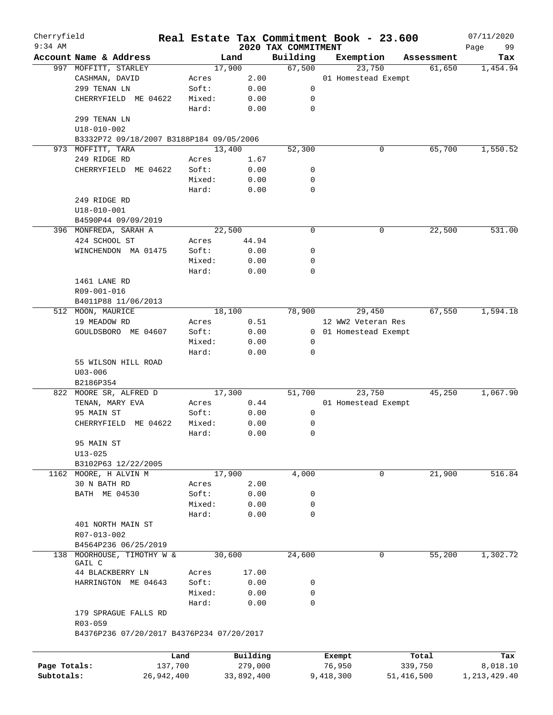| Cherryfield<br>$9:34$ AM |                                           |        |            | 2020 TAX COMMITMENT | Real Estate Tax Commitment Book - 23.600 |            | 07/11/2020        |
|--------------------------|-------------------------------------------|--------|------------|---------------------|------------------------------------------|------------|-------------------|
|                          | Account Name & Address                    |        | Land       | Building            | Exemption                                | Assessment | 99<br>Page<br>Tax |
|                          | 997 MOFFITT, STARLEY                      |        | 17,900     | 67,500              | 23,750                                   | 61,650     | 1,454.94          |
|                          | CASHMAN, DAVID                            | Acres  | 2.00       |                     | 01 Homestead Exempt                      |            |                   |
|                          | 299 TENAN LN                              | Soft:  | 0.00       | 0                   |                                          |            |                   |
|                          | CHERRYFIELD ME 04622                      | Mixed: | 0.00       | 0                   |                                          |            |                   |
|                          |                                           | Hard:  | 0.00       | $\mathbf 0$         |                                          |            |                   |
|                          | 299 TENAN LN                              |        |            |                     |                                          |            |                   |
|                          | $U18 - 010 - 002$                         |        |            |                     |                                          |            |                   |
|                          | B3332P72 09/18/2007 B3188P184 09/05/2006  |        |            |                     |                                          |            |                   |
|                          | 973 MOFFITT, TARA                         |        | 13,400     | 52,300              | 0                                        | 65,700     | 1,550.52          |
|                          | 249 RIDGE RD                              | Acres  | 1.67       |                     |                                          |            |                   |
|                          | CHERRYFIELD ME 04622                      | Soft:  | 0.00       | 0                   |                                          |            |                   |
|                          |                                           | Mixed: | 0.00       | 0                   |                                          |            |                   |
|                          |                                           | Hard:  | 0.00       | 0                   |                                          |            |                   |
|                          | 249 RIDGE RD                              |        |            |                     |                                          |            |                   |
|                          | $U18 - 010 - 001$                         |        |            |                     |                                          |            |                   |
|                          | B4590P44 09/09/2019                       |        |            |                     |                                          |            |                   |
|                          | 396 MONFREDA, SARAH A                     |        | 22,500     | 0                   | 0                                        | 22,500     | 531.00            |
|                          |                                           |        |            |                     |                                          |            |                   |
|                          | 424 SCHOOL ST                             | Acres  | 44.94      |                     |                                          |            |                   |
|                          | WINCHENDON MA 01475                       | Soft:  | 0.00       | 0                   |                                          |            |                   |
|                          |                                           | Mixed: | 0.00       | 0                   |                                          |            |                   |
|                          |                                           | Hard:  | 0.00       | 0                   |                                          |            |                   |
|                          | 1461 LANE RD                              |        |            |                     |                                          |            |                   |
|                          | R09-001-016                               |        |            |                     |                                          |            |                   |
|                          | B4011P88 11/06/2013                       |        |            |                     |                                          |            |                   |
|                          | 512 MOON, MAURICE                         |        | 18,100     | 78,900              | 29,450                                   | 67,550     | 1,594.18          |
|                          | 19 MEADOW RD                              | Acres  | 0.51       |                     | 12 WW2 Veteran Res                       |            |                   |
|                          | GOULDSBORO ME 04607                       | Soft:  | 0.00       | 0                   | 01 Homestead Exempt                      |            |                   |
|                          |                                           | Mixed: | 0.00       | 0                   |                                          |            |                   |
|                          |                                           | Hard:  | 0.00       | 0                   |                                          |            |                   |
|                          | 55 WILSON HILL ROAD<br>$U03 - 006$        |        |            |                     |                                          |            |                   |
|                          | B2186P354                                 |        |            |                     |                                          |            |                   |
|                          | 822 MOORE SR, ALFRED D                    |        | 17,300     | 51,700              | 23,750                                   | 45,250     | 1,067.90          |
|                          | TENAN, MARY EVA                           | Acres  | 0.44       |                     | 01 Homestead Exempt                      |            |                   |
|                          | 95 MAIN ST                                | Soft:  | 0.00       | 0                   |                                          |            |                   |
|                          | ME 04622<br>CHERRYFIELD                   | Mixed: | 0.00       | 0                   |                                          |            |                   |
|                          |                                           | Hard:  | 0.00       | 0                   |                                          |            |                   |
|                          | 95 MAIN ST                                |        |            |                     |                                          |            |                   |
|                          |                                           |        |            |                     |                                          |            |                   |
|                          | $U13 - 025$                               |        |            |                     |                                          |            |                   |
|                          | B3102P63 12/22/2005                       |        |            |                     |                                          |            |                   |
|                          | 1162 MOORE, H ALVIN M                     |        | 17,900     | 4,000               | 0                                        | 21,900     | 516.84            |
|                          | 30 N BATH RD                              | Acres  | 2.00       |                     |                                          |            |                   |
|                          | BATH ME 04530                             | Soft:  | 0.00       | 0                   |                                          |            |                   |
|                          |                                           | Mixed: | 0.00       | 0                   |                                          |            |                   |
|                          |                                           | Hard:  | 0.00       | 0                   |                                          |            |                   |
|                          | 401 NORTH MAIN ST                         |        |            |                     |                                          |            |                   |
|                          | R07-013-002                               |        |            |                     |                                          |            |                   |
|                          | B4564P236 06/25/2019                      |        |            |                     |                                          |            |                   |
|                          | 138 MOORHOUSE, TIMOTHY W &                |        | 30,600     | 24,600              | 0                                        | 55,200     | 1,302.72          |
|                          | GAIL C                                    |        |            |                     |                                          |            |                   |
|                          | 44 BLACKBERRY LN                          | Acres  | 17.00      |                     |                                          |            |                   |
|                          | HARRINGTON ME 04643                       | Soft:  | 0.00       | 0                   |                                          |            |                   |
|                          |                                           | Mixed: | 0.00       | 0                   |                                          |            |                   |
|                          |                                           | Hard:  | 0.00       | 0                   |                                          |            |                   |
|                          | 179 SPRAGUE FALLS RD<br>R03-059           |        |            |                     |                                          |            |                   |
|                          | B4376P236 07/20/2017 B4376P234 07/20/2017 |        |            |                     |                                          |            |                   |
|                          |                                           |        |            |                     |                                          |            |                   |
|                          |                                           | Land   | Building   |                     | Exempt                                   | Total      | Tax               |
| Page Totals:             | 137,700                                   |        | 279,000    |                     | 76,950                                   | 339,750    | 8,018.10          |
| Subtotals:               | 26,942,400                                |        | 33,892,400 |                     | 9,418,300                                | 51,416,500 | 1, 213, 429. 40   |
|                          |                                           |        |            |                     |                                          |            |                   |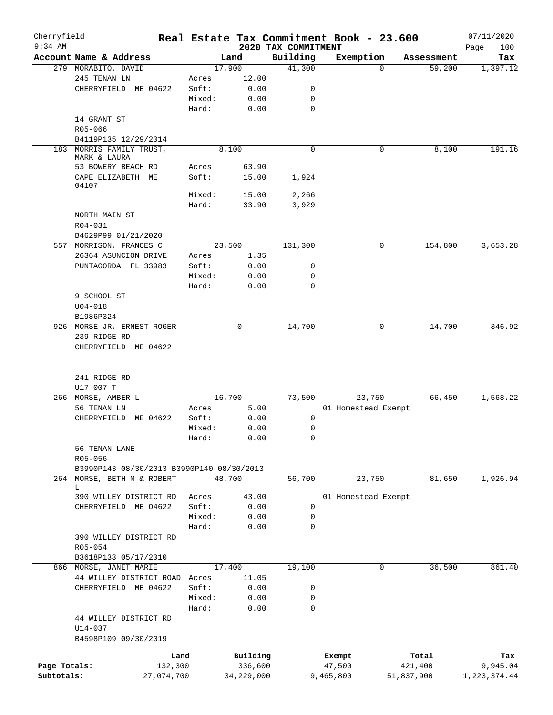| Cherryfield  |                                               |        |                |                     | Real Estate Tax Commitment Book - 23.600 |            |                      | 07/11/2020      |
|--------------|-----------------------------------------------|--------|----------------|---------------------|------------------------------------------|------------|----------------------|-----------------|
| $9:34$ AM    |                                               |        |                | 2020 TAX COMMITMENT |                                          |            |                      | 100<br>Page     |
|              | Account Name & Address<br>279 MORABITO, DAVID |        | Land<br>17,900 | Building<br>41,300  | Exemption                                | $\Omega$   | Assessment<br>59,200 | Tax<br>1,397.12 |
|              | 245 TENAN LN                                  | Acres  | 12.00          |                     |                                          |            |                      |                 |
|              | CHERRYFIELD ME 04622                          | Soft:  | 0.00           | 0                   |                                          |            |                      |                 |
|              |                                               | Mixed: | 0.00           | $\mathbf 0$         |                                          |            |                      |                 |
|              |                                               | Hard:  | 0.00           | $\mathbf 0$         |                                          |            |                      |                 |
|              | 14 GRANT ST                                   |        |                |                     |                                          |            |                      |                 |
|              | R05-066                                       |        |                |                     |                                          |            |                      |                 |
|              | B4119P135 12/29/2014                          |        |                |                     |                                          |            |                      |                 |
| 183          | MORRIS FAMILY TRUST,                          |        | 8,100          | $\mathbf 0$         |                                          | 0          | 8,100                | 191.16          |
|              | MARK & LAURA                                  |        |                |                     |                                          |            |                      |                 |
|              | 53 BOWERY BEACH RD                            | Acres  | 63.90          |                     |                                          |            |                      |                 |
|              | CAPE ELIZABETH ME                             | Soft:  | 15.00          | 1,924               |                                          |            |                      |                 |
|              | 04107                                         |        |                |                     |                                          |            |                      |                 |
|              |                                               | Mixed: | 15.00          | 2,266               |                                          |            |                      |                 |
|              |                                               | Hard:  | 33.90          | 3,929               |                                          |            |                      |                 |
|              | NORTH MAIN ST                                 |        |                |                     |                                          |            |                      |                 |
|              | $R04 - 031$                                   |        |                |                     |                                          |            |                      |                 |
|              | B4629P99 01/21/2020                           |        |                |                     |                                          |            |                      |                 |
|              | 557 MORRISON, FRANCES C                       |        | 23,500         | 131,300             |                                          | 0          | 154,800              | 3,653.28        |
|              | 26364 ASUNCION DRIVE                          | Acres  | 1.35           |                     |                                          |            |                      |                 |
|              | PUNTAGORDA FL 33983                           | Soft:  | 0.00           | 0                   |                                          |            |                      |                 |
|              |                                               | Mixed: | 0.00           | 0                   |                                          |            |                      |                 |
|              |                                               | Hard:  | 0.00           | $\Omega$            |                                          |            |                      |                 |
|              | 9 SCHOOL ST                                   |        |                |                     |                                          |            |                      |                 |
|              | $U04 - 018$                                   |        |                |                     |                                          |            |                      |                 |
|              | B1986P324                                     |        |                |                     |                                          |            |                      |                 |
|              | 926 MORSE JR, ERNEST ROGER                    |        | 0              | 14,700              |                                          | 0          | 14,700               | 346.92          |
|              | 239 RIDGE RD<br>CHERRYFIELD ME 04622          |        |                |                     |                                          |            |                      |                 |
|              | 241 RIDGE RD<br>$U17 - 007 - T$               |        |                |                     |                                          |            |                      |                 |
|              | 266 MORSE, AMBER L                            |        | 16,700         | 73,500              | 23,750                                   |            | 66,450               | 1,568.22        |
|              | 56 TENAN LN                                   | Acres  | 5.00           |                     | 01 Homestead Exempt                      |            |                      |                 |
|              | CHERRYFIELD<br>ME 04622                       | Soft:  | 0.00           | 0                   |                                          |            |                      |                 |
|              |                                               | Mixed: | 0.00           | 0                   |                                          |            |                      |                 |
|              |                                               | Hard:  | 0.00           | 0                   |                                          |            |                      |                 |
|              | 56 TENAN LANE                                 |        |                |                     |                                          |            |                      |                 |
|              | R05-056                                       |        |                |                     |                                          |            |                      |                 |
|              | B3990P143 08/30/2013 B3990P140 08/30/2013     |        |                |                     |                                          |            |                      |                 |
|              | 264 MORSE, BETH M & ROBERT                    |        | 48,700         | 56,700              | 23,750                                   |            | 81,650               | 1,926.94        |
|              | L                                             |        |                |                     |                                          |            |                      |                 |
|              | 390 WILLEY DISTRICT RD                        | Acres  | 43.00          |                     | 01 Homestead Exempt                      |            |                      |                 |
|              | CHERRYFIELD ME 04622                          | Soft:  | 0.00           | 0                   |                                          |            |                      |                 |
|              |                                               | Mixed: | 0.00           | 0                   |                                          |            |                      |                 |
|              |                                               | Hard:  | 0.00           | 0                   |                                          |            |                      |                 |
|              | 390 WILLEY DISTRICT RD                        |        |                |                     |                                          |            |                      |                 |
|              | R05-054                                       |        |                |                     |                                          |            |                      |                 |
|              | B3618P133 05/17/2010                          |        |                |                     |                                          |            |                      |                 |
|              | 866 MORSE, JANET MARIE                        |        | 17,400         | 19,100              |                                          | 0          | 36,500               | 861.40          |
|              | 44 WILLEY DISTRICT ROAD                       | Acres  | 11.05          |                     |                                          |            |                      |                 |
|              | CHERRYFIELD ME 04622                          | Soft:  | 0.00           | 0                   |                                          |            |                      |                 |
|              |                                               | Mixed: | 0.00           | 0                   |                                          |            |                      |                 |
|              |                                               | Hard:  | 0.00           | $\mathbf 0$         |                                          |            |                      |                 |
|              | 44 WILLEY DISTRICT RD                         |        |                |                     |                                          |            |                      |                 |
|              | U14-037                                       |        |                |                     |                                          |            |                      |                 |
|              | B4598P109 09/30/2019                          |        |                |                     |                                          |            |                      |                 |
|              |                                               | Land   | Building       |                     | Exempt                                   |            | Total                | Tax             |
| Page Totals: | 132,300                                       |        | 336,600        |                     | 47,500                                   |            | 421,400              | 9,945.04        |
| Subtotals:   | 27,074,700                                    |        | 34, 229, 000   |                     | 9,465,800                                | 51,837,900 |                      | 1, 223, 374.44  |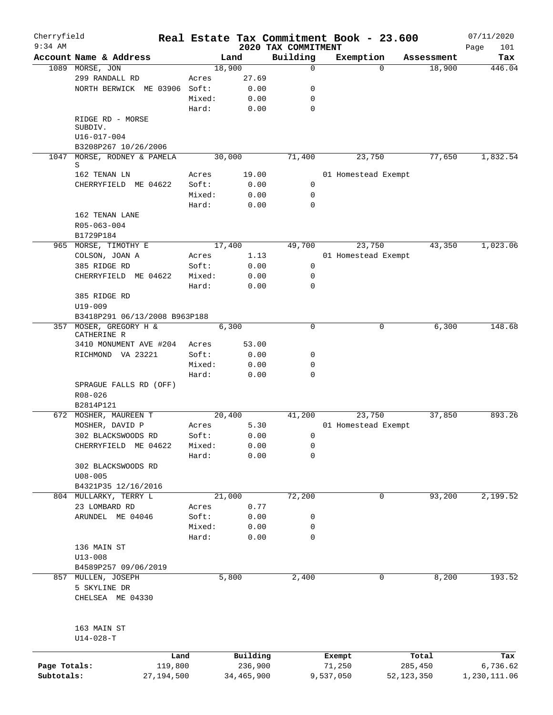| Cherryfield<br>$9:34$ AM   |                                                    |        |                       |                                 | Real Estate Tax Commitment Book - 23.600 |                       |            | 07/11/2020               |
|----------------------------|----------------------------------------------------|--------|-----------------------|---------------------------------|------------------------------------------|-----------------------|------------|--------------------------|
|                            | Account Name & Address                             |        | Land                  | 2020 TAX COMMITMENT<br>Building | Exemption                                |                       | Assessment | Page<br>101<br>Tax       |
|                            | 1089 MORSE, JON                                    |        | 18,900                | 0                               |                                          | $\Omega$              | 18,900     | 446.04                   |
|                            | 299 RANDALL RD                                     | Acres  | 27.69                 |                                 |                                          |                       |            |                          |
|                            | NORTH BERWICK ME 03906 Soft:                       |        | 0.00                  | 0                               |                                          |                       |            |                          |
|                            |                                                    | Mixed: | 0.00                  | $\mathbf 0$                     |                                          |                       |            |                          |
|                            |                                                    | Hard:  | 0.00                  | $\mathbf 0$                     |                                          |                       |            |                          |
|                            | RIDGE RD - MORSE<br>SUBDIV.                        |        |                       |                                 |                                          |                       |            |                          |
|                            | U16-017-004                                        |        |                       |                                 |                                          |                       |            |                          |
|                            | B3208P267 10/26/2006                               |        |                       |                                 |                                          |                       |            |                          |
|                            | 1047 MORSE, RODNEY & PAMELA<br>S                   |        | 30,000                | 71,400                          | 23,750                                   |                       | 77,650     | 1,832.54                 |
|                            | 162 TENAN LN                                       | Acres  | 19.00                 |                                 | 01 Homestead Exempt                      |                       |            |                          |
|                            | CHERRYFIELD ME 04622                               | Soft:  | 0.00                  | 0                               |                                          |                       |            |                          |
|                            |                                                    | Mixed: | 0.00                  | 0                               |                                          |                       |            |                          |
|                            |                                                    | Hard:  | 0.00                  | $\mathbf 0$                     |                                          |                       |            |                          |
|                            | 162 TENAN LANE<br>R05-063-004<br>B1729P184         |        |                       |                                 |                                          |                       |            |                          |
|                            | 965 MORSE, TIMOTHY E                               |        | 17,400                | 49,700                          | 23,750                                   |                       | 43,350     | 1,023.06                 |
|                            | COLSON, JOAN A                                     | Acres  | 1.13                  |                                 | 01 Homestead Exempt                      |                       |            |                          |
|                            | 385 RIDGE RD                                       | Soft:  | 0.00                  | 0                               |                                          |                       |            |                          |
|                            | CHERRYFIELD ME 04622                               | Mixed: | 0.00                  | $\mathbf 0$                     |                                          |                       |            |                          |
|                            |                                                    | Hard:  | 0.00                  | $\Omega$                        |                                          |                       |            |                          |
|                            | 385 RIDGE RD<br>$U19 - 009$                        |        |                       |                                 |                                          |                       |            |                          |
|                            | B3418P291 06/13/2008 B963P188                      |        |                       |                                 |                                          |                       |            |                          |
|                            | 357 MOSER, GREGORY H &<br>CATHERINE R              |        | 6,300                 | $\mathbf 0$                     |                                          | 0                     | 6,300      | 148.68                   |
|                            | 3410 MONUMENT AVE #204                             | Acres  | 53.00                 |                                 |                                          |                       |            |                          |
|                            | RICHMOND VA 23221                                  | Soft:  | 0.00                  | 0                               |                                          |                       |            |                          |
|                            |                                                    | Mixed: | 0.00                  | 0                               |                                          |                       |            |                          |
|                            |                                                    | Hard:  | 0.00                  | $\mathbf 0$                     |                                          |                       |            |                          |
|                            | SPRAGUE FALLS RD (OFF)<br>R08-026                  |        |                       |                                 |                                          |                       |            |                          |
|                            | B2814P121                                          |        |                       |                                 |                                          |                       |            |                          |
| 672                        | MOSHER, MAUREEN T                                  |        | 20,400                | 41,200                          | 23,750                                   |                       | 37,850     | 893.26                   |
|                            | MOSHER, DAVID P                                    | Acres  | 5.30                  |                                 | 01 Homestead Exempt                      |                       |            |                          |
|                            | 302 BLACKSWOODS RD                                 | Soft:  | 0.00                  | 0                               |                                          |                       |            |                          |
|                            | CHERRYFIELD ME 04622                               | Mixed: | 0.00                  | 0                               |                                          |                       |            |                          |
|                            |                                                    | Hard:  | 0.00                  | 0                               |                                          |                       |            |                          |
|                            | 302 BLACKSWOODS RD                                 |        |                       |                                 |                                          |                       |            |                          |
|                            | $U08 - 005$                                        |        |                       |                                 |                                          |                       |            |                          |
|                            | B4321P35 12/16/2016                                |        |                       |                                 |                                          |                       |            |                          |
|                            | 804 MULLARKY, TERRY L                              |        | 21,000                | 72,200                          |                                          | 0                     | 93,200     | 2,199.52                 |
|                            | 23 LOMBARD RD                                      | Acres  | 0.77                  |                                 |                                          |                       |            |                          |
|                            | ARUNDEL ME 04046                                   | Soft:  | 0.00                  | 0                               |                                          |                       |            |                          |
|                            |                                                    | Mixed: | 0.00                  | 0                               |                                          |                       |            |                          |
|                            |                                                    | Hard:  | 0.00                  | 0                               |                                          |                       |            |                          |
|                            | 136 MAIN ST                                        |        |                       |                                 |                                          |                       |            |                          |
|                            | $U13 - 008$                                        |        |                       |                                 |                                          |                       |            |                          |
|                            | B4589P257 09/06/2019                               |        |                       |                                 |                                          |                       |            |                          |
| 857                        | MULLEN, JOSEPH<br>5 SKYLINE DR<br>CHELSEA ME 04330 |        | 5,800                 | 2,400                           |                                          | 0                     | 8,200      | 193.52                   |
|                            | 163 MAIN ST                                        |        |                       |                                 |                                          |                       |            |                          |
|                            | U14-028-T                                          |        |                       |                                 |                                          |                       |            |                          |
|                            | Land                                               |        | Building              |                                 | Exempt                                   | Total                 |            | Tax                      |
| Page Totals:<br>Subtotals: | 119,800<br>27,194,500                              |        | 236,900<br>34,465,900 |                                 | 71,250<br>9,537,050                      | 285,450<br>52,123,350 |            | 6,736.62<br>1,230,111.06 |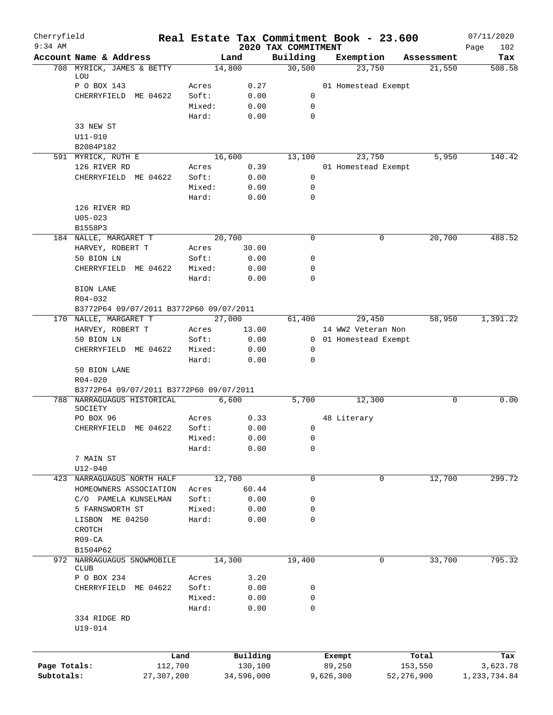| Cherryfield<br>$9:34$ AM |                           |                                                                       |                 |                     |                                 | Real Estate Tax Commitment Book - 23.600 |                  | 07/11/2020         |
|--------------------------|---------------------------|-----------------------------------------------------------------------|-----------------|---------------------|---------------------------------|------------------------------------------|------------------|--------------------|
|                          | Account Name & Address    |                                                                       |                 | Land                | 2020 TAX COMMITMENT<br>Building | Exemption                                | Assessment       | 102<br>Page<br>Tax |
|                          | 708 MYRICK, JAMES & BETTY |                                                                       |                 | 14,800              | 30,500                          | 23,750                                   | 21,550           | 508.58             |
|                          | LOU                       |                                                                       |                 |                     |                                 |                                          |                  |                    |
|                          | P O BOX 143               |                                                                       | Acres           | 0.27                |                                 | 01 Homestead Exempt                      |                  |                    |
|                          |                           | CHERRYFIELD ME 04622                                                  | Soft:           | 0.00                | 0                               |                                          |                  |                    |
|                          |                           |                                                                       | Mixed:<br>Hard: | 0.00<br>0.00        | 0<br>0                          |                                          |                  |                    |
|                          | 33 NEW ST                 |                                                                       |                 |                     |                                 |                                          |                  |                    |
|                          | U11-010                   |                                                                       |                 |                     |                                 |                                          |                  |                    |
|                          | B2084P182                 |                                                                       |                 |                     |                                 |                                          |                  |                    |
|                          | 591 MYRICK, RUTH E        |                                                                       |                 | 16,600              | 13,100                          | 23,750                                   | 5,950            | 140.42             |
|                          | 126 RIVER RD              |                                                                       | Acres           | 0.39                |                                 | 01 Homestead Exempt                      |                  |                    |
|                          |                           | CHERRYFIELD ME 04622                                                  | Soft:           | 0.00                | 0                               |                                          |                  |                    |
|                          |                           |                                                                       | Mixed:          | 0.00                | 0                               |                                          |                  |                    |
|                          |                           |                                                                       | Hard:           | 0.00                | $\mathbf 0$                     |                                          |                  |                    |
|                          | 126 RIVER RD              |                                                                       |                 |                     |                                 |                                          |                  |                    |
|                          | $U05 - 023$               |                                                                       |                 |                     |                                 |                                          |                  |                    |
|                          | B1558P3                   |                                                                       |                 |                     |                                 |                                          |                  |                    |
|                          | 184 NALLE, MARGARET T     |                                                                       |                 | 20,700              | $\mathbf 0$                     | 0                                        | 20,700           | 488.52             |
|                          | HARVEY, ROBERT T          |                                                                       | Acres           | 30.00               |                                 |                                          |                  |                    |
|                          | 50 BION LN                |                                                                       | Soft:           | 0.00                | 0                               |                                          |                  |                    |
|                          |                           | CHERRYFIELD ME 04622                                                  | Mixed:          | 0.00                | 0                               |                                          |                  |                    |
|                          |                           |                                                                       | Hard:           | 0.00                | 0                               |                                          |                  |                    |
|                          | <b>BION LANE</b>          |                                                                       |                 |                     |                                 |                                          |                  |                    |
|                          | R04-032                   |                                                                       |                 |                     |                                 |                                          |                  |                    |
|                          |                           | B3772P64 09/07/2011 B3772P60 09/07/2011                               |                 |                     |                                 |                                          |                  |                    |
|                          | 170 NALLE, MARGARET T     |                                                                       |                 | 27,000              | 61,400                          | 29,450                                   | 58,950           | 1,391.22           |
|                          | HARVEY, ROBERT T          |                                                                       | Acres           | 13.00               |                                 | 14 WW2 Veteran Non                       |                  |                    |
|                          | 50 BION LN                |                                                                       | Soft:           | 0.00                |                                 | 0 01 Homestead Exempt                    |                  |                    |
|                          |                           | CHERRYFIELD ME 04622                                                  | Mixed:          | 0.00                | 0                               |                                          |                  |                    |
|                          |                           |                                                                       | Hard:           | 0.00                | 0                               |                                          |                  |                    |
|                          | 50 BION LANE              |                                                                       |                 |                     |                                 |                                          |                  |                    |
|                          | $R04 - 020$               |                                                                       |                 |                     |                                 |                                          |                  |                    |
|                          |                           | B3772P64 09/07/2011 B3772P60 09/07/2011<br>788 NARRAGUAGUS HISTORICAL |                 | 6,600               | 5,700                           | 12,300                                   | 0                | 0.00               |
|                          | SOCIETY                   |                                                                       |                 |                     |                                 |                                          |                  |                    |
|                          | PO BOX 96                 |                                                                       | Acres           | 0.33                |                                 | 48 Literary                              |                  |                    |
|                          |                           | CHERRYFIELD ME 04622                                                  | Soft:           | 0.00                | 0                               |                                          |                  |                    |
|                          |                           |                                                                       | Mixed:          | 0.00                | 0                               |                                          |                  |                    |
|                          |                           |                                                                       | Hard:           | 0.00                | 0                               |                                          |                  |                    |
|                          | 7 MAIN ST                 |                                                                       |                 |                     |                                 |                                          |                  |                    |
|                          | $U12 - 040$               |                                                                       |                 |                     |                                 |                                          |                  |                    |
| 423                      |                           | NARRAGUAGUS NORTH HALF                                                |                 | 12,700              | 0                               | 0                                        | 12,700           | 299.72             |
|                          |                           | HOMEOWNERS ASSOCIATION                                                | Acres           | 60.44               |                                 |                                          |                  |                    |
|                          |                           | C/O PAMELA KUNSELMAN                                                  | Soft:           | 0.00                | 0                               |                                          |                  |                    |
|                          | 5 FARNSWORTH ST           |                                                                       | Mixed:          | 0.00                | 0                               |                                          |                  |                    |
|                          | LISBON ME 04250           |                                                                       | Hard:           | 0.00                | 0                               |                                          |                  |                    |
|                          | CROTCH                    |                                                                       |                 |                     |                                 |                                          |                  |                    |
|                          | $R09 - CA$                |                                                                       |                 |                     |                                 |                                          |                  |                    |
|                          | B1504P62                  |                                                                       |                 |                     |                                 |                                          |                  |                    |
| 972                      | <b>CLUB</b>               | NARRAGUAGUS SNOWMOBILE                                                |                 | 14,300              | 19,400                          | 0                                        | 33,700           | 795.32             |
|                          | P O BOX 234               |                                                                       | Acres           | 3.20                |                                 |                                          |                  |                    |
|                          |                           | CHERRYFIELD ME 04622                                                  | Soft:           | 0.00                | 0                               |                                          |                  |                    |
|                          |                           |                                                                       | Mixed:          | 0.00                | 0                               |                                          |                  |                    |
|                          |                           |                                                                       | Hard:           | 0.00                | 0                               |                                          |                  |                    |
|                          | 334 RIDGE RD              |                                                                       |                 |                     |                                 |                                          |                  |                    |
|                          | U19-014                   |                                                                       |                 |                     |                                 |                                          |                  |                    |
|                          |                           |                                                                       |                 |                     |                                 |                                          |                  |                    |
|                          |                           |                                                                       |                 |                     |                                 |                                          |                  |                    |
| Page Totals:             |                           | Land<br>112,700                                                       |                 | Building<br>130,100 |                                 | Exempt<br>89,250                         | Total<br>153,550 | Tax<br>3,623.78    |
| Subtotals:               |                           | 27,307,200                                                            |                 | 34,596,000          |                                 | 9,626,300                                | 52, 276, 900     | 1, 233, 734.84     |
|                          |                           |                                                                       |                 |                     |                                 |                                          |                  |                    |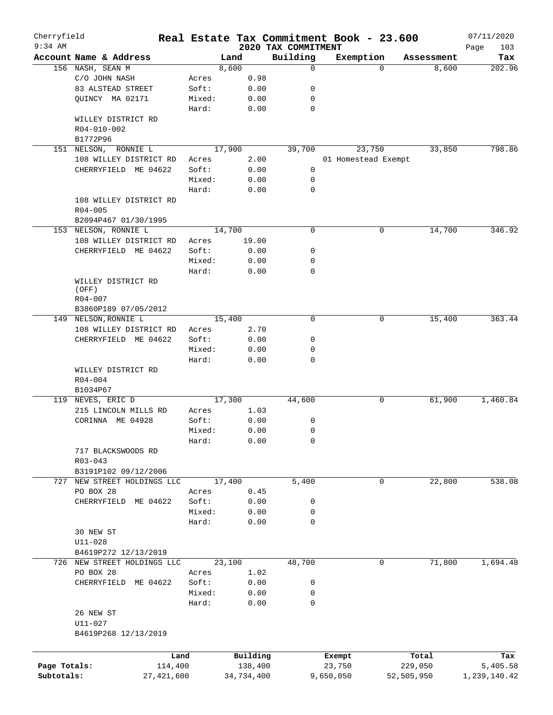| 2020 TAX COMMITMENT<br>Building<br>Account Name & Address<br>Exemption<br>Land<br>Assessment<br>8,600<br>156 NASH, SEAN M<br>8,600<br>0<br>$\Omega$<br>C/O JOHN NASH<br>Acres<br>0.98<br>83 ALSTEAD STREET<br>Soft:<br>0.00<br>0<br>QUINCY MA 02171<br>Mixed:<br>0.00<br>0<br>Hard:<br>0.00<br>0<br>WILLEY DISTRICT RD<br>R04-010-002<br>B1772P96<br>17,900<br>39,700<br>23,750<br>33,850<br>151 NELSON, RONNIE L<br>108 WILLEY DISTRICT RD<br>2.00<br>01 Homestead Exempt<br>Acres<br>CHERRYFIELD ME 04622<br>Soft:<br>0.00<br>0<br>Mixed:<br>0.00<br>0<br>Hard:<br>0.00<br>0<br>108 WILLEY DISTRICT RD<br>$R04 - 005$<br>B2094P467 01/30/1995<br>153 NELSON, RONNIE L<br>14,700<br>$\mathbf 0$<br>14,700<br>0<br>108 WILLEY DISTRICT RD<br>19.00<br>Acres<br>CHERRYFIELD ME 04622<br>Soft:<br>0.00<br>0<br>0.00<br>Mixed:<br>0<br>$\mathbf 0$<br>Hard:<br>0.00<br>WILLEY DISTRICT RD<br>(OFF)<br>R04-007<br>B3860P189 07/05/2012<br>$\mathbf 0$<br>149 NELSON, RONNIE L<br>15,400<br>0<br>108 WILLEY DISTRICT RD<br>2.70<br>Acres<br>0.00<br>CHERRYFIELD ME 04622<br>Soft:<br>0<br>Mixed:<br>0.00<br>0<br>Hard:<br>0.00<br>0<br>WILLEY DISTRICT RD<br>$R04 - 004$<br>B1034P67<br>17,300<br>44,600<br>61,900<br>119 NEVES, ERIC D<br>0<br>1.03<br>215 LINCOLN MILLS RD<br>Acres<br>0.00<br>CORINNA ME 04928<br>Soft:<br>0<br>0<br>0.00<br>Mixed:<br>0.00<br>0<br>Hard:<br>717 BLACKSWOODS RD<br>$R03 - 043$<br>B3191P102 09/12/2006<br>17,400<br>5,400<br>22,800<br>NEW STREET HOLDINGS LLC<br>0<br>727<br>PO BOX 28<br>0.45<br>Acres<br>CHERRYFIELD ME 04622<br>Soft:<br>0.00<br>0<br>Mixed:<br>0.00<br>0<br>Hard:<br>0.00<br>0<br>30 NEW ST<br>$U11 - 028$<br>B4619P272 12/13/2019<br>726 NEW STREET HOLDINGS LLC<br>23,100<br>48,700<br>0<br>PO BOX 28<br>1.02<br>Acres<br>ME 04622<br>Soft:<br>0.00<br>0<br>CHERRYFIELD<br>Mixed:<br>0.00<br>0<br>Hard:<br>0.00<br>0<br>26 NEW ST<br>U11-027<br>B4619P268 12/13/2019<br>Building<br>Land<br>Exempt<br>Total<br>Page Totals:<br>114,400<br>138,400<br>23,750<br>229,050<br>27, 421, 600 | Cherryfield<br>$9:34$ AM |  |            | Real Estate Tax Commitment Book - 23.600 |            | 07/11/2020         |
|---------------------------------------------------------------------------------------------------------------------------------------------------------------------------------------------------------------------------------------------------------------------------------------------------------------------------------------------------------------------------------------------------------------------------------------------------------------------------------------------------------------------------------------------------------------------------------------------------------------------------------------------------------------------------------------------------------------------------------------------------------------------------------------------------------------------------------------------------------------------------------------------------------------------------------------------------------------------------------------------------------------------------------------------------------------------------------------------------------------------------------------------------------------------------------------------------------------------------------------------------------------------------------------------------------------------------------------------------------------------------------------------------------------------------------------------------------------------------------------------------------------------------------------------------------------------------------------------------------------------------------------------------------------------------------------------------------------------------------------------------------------------------------------------------------------------------------------------------------------------------------------------------------------------------------------------------------------------------------------------------------------------------------------------|--------------------------|--|------------|------------------------------------------|------------|--------------------|
|                                                                                                                                                                                                                                                                                                                                                                                                                                                                                                                                                                                                                                                                                                                                                                                                                                                                                                                                                                                                                                                                                                                                                                                                                                                                                                                                                                                                                                                                                                                                                                                                                                                                                                                                                                                                                                                                                                                                                                                                                                             |                          |  |            |                                          |            | Page<br>103<br>Tax |
|                                                                                                                                                                                                                                                                                                                                                                                                                                                                                                                                                                                                                                                                                                                                                                                                                                                                                                                                                                                                                                                                                                                                                                                                                                                                                                                                                                                                                                                                                                                                                                                                                                                                                                                                                                                                                                                                                                                                                                                                                                             |                          |  |            |                                          |            | 202.96             |
|                                                                                                                                                                                                                                                                                                                                                                                                                                                                                                                                                                                                                                                                                                                                                                                                                                                                                                                                                                                                                                                                                                                                                                                                                                                                                                                                                                                                                                                                                                                                                                                                                                                                                                                                                                                                                                                                                                                                                                                                                                             |                          |  |            |                                          |            |                    |
|                                                                                                                                                                                                                                                                                                                                                                                                                                                                                                                                                                                                                                                                                                                                                                                                                                                                                                                                                                                                                                                                                                                                                                                                                                                                                                                                                                                                                                                                                                                                                                                                                                                                                                                                                                                                                                                                                                                                                                                                                                             |                          |  |            |                                          |            |                    |
|                                                                                                                                                                                                                                                                                                                                                                                                                                                                                                                                                                                                                                                                                                                                                                                                                                                                                                                                                                                                                                                                                                                                                                                                                                                                                                                                                                                                                                                                                                                                                                                                                                                                                                                                                                                                                                                                                                                                                                                                                                             |                          |  |            |                                          |            |                    |
|                                                                                                                                                                                                                                                                                                                                                                                                                                                                                                                                                                                                                                                                                                                                                                                                                                                                                                                                                                                                                                                                                                                                                                                                                                                                                                                                                                                                                                                                                                                                                                                                                                                                                                                                                                                                                                                                                                                                                                                                                                             |                          |  |            |                                          |            |                    |
|                                                                                                                                                                                                                                                                                                                                                                                                                                                                                                                                                                                                                                                                                                                                                                                                                                                                                                                                                                                                                                                                                                                                                                                                                                                                                                                                                                                                                                                                                                                                                                                                                                                                                                                                                                                                                                                                                                                                                                                                                                             |                          |  |            |                                          |            |                    |
|                                                                                                                                                                                                                                                                                                                                                                                                                                                                                                                                                                                                                                                                                                                                                                                                                                                                                                                                                                                                                                                                                                                                                                                                                                                                                                                                                                                                                                                                                                                                                                                                                                                                                                                                                                                                                                                                                                                                                                                                                                             |                          |  |            |                                          |            |                    |
|                                                                                                                                                                                                                                                                                                                                                                                                                                                                                                                                                                                                                                                                                                                                                                                                                                                                                                                                                                                                                                                                                                                                                                                                                                                                                                                                                                                                                                                                                                                                                                                                                                                                                                                                                                                                                                                                                                                                                                                                                                             |                          |  |            |                                          |            |                    |
|                                                                                                                                                                                                                                                                                                                                                                                                                                                                                                                                                                                                                                                                                                                                                                                                                                                                                                                                                                                                                                                                                                                                                                                                                                                                                                                                                                                                                                                                                                                                                                                                                                                                                                                                                                                                                                                                                                                                                                                                                                             |                          |  |            |                                          |            |                    |
|                                                                                                                                                                                                                                                                                                                                                                                                                                                                                                                                                                                                                                                                                                                                                                                                                                                                                                                                                                                                                                                                                                                                                                                                                                                                                                                                                                                                                                                                                                                                                                                                                                                                                                                                                                                                                                                                                                                                                                                                                                             |                          |  |            |                                          |            | 798.86             |
|                                                                                                                                                                                                                                                                                                                                                                                                                                                                                                                                                                                                                                                                                                                                                                                                                                                                                                                                                                                                                                                                                                                                                                                                                                                                                                                                                                                                                                                                                                                                                                                                                                                                                                                                                                                                                                                                                                                                                                                                                                             |                          |  |            |                                          |            |                    |
|                                                                                                                                                                                                                                                                                                                                                                                                                                                                                                                                                                                                                                                                                                                                                                                                                                                                                                                                                                                                                                                                                                                                                                                                                                                                                                                                                                                                                                                                                                                                                                                                                                                                                                                                                                                                                                                                                                                                                                                                                                             |                          |  |            |                                          |            |                    |
|                                                                                                                                                                                                                                                                                                                                                                                                                                                                                                                                                                                                                                                                                                                                                                                                                                                                                                                                                                                                                                                                                                                                                                                                                                                                                                                                                                                                                                                                                                                                                                                                                                                                                                                                                                                                                                                                                                                                                                                                                                             |                          |  |            |                                          |            |                    |
|                                                                                                                                                                                                                                                                                                                                                                                                                                                                                                                                                                                                                                                                                                                                                                                                                                                                                                                                                                                                                                                                                                                                                                                                                                                                                                                                                                                                                                                                                                                                                                                                                                                                                                                                                                                                                                                                                                                                                                                                                                             |                          |  |            |                                          |            |                    |
|                                                                                                                                                                                                                                                                                                                                                                                                                                                                                                                                                                                                                                                                                                                                                                                                                                                                                                                                                                                                                                                                                                                                                                                                                                                                                                                                                                                                                                                                                                                                                                                                                                                                                                                                                                                                                                                                                                                                                                                                                                             |                          |  |            |                                          |            |                    |
|                                                                                                                                                                                                                                                                                                                                                                                                                                                                                                                                                                                                                                                                                                                                                                                                                                                                                                                                                                                                                                                                                                                                                                                                                                                                                                                                                                                                                                                                                                                                                                                                                                                                                                                                                                                                                                                                                                                                                                                                                                             |                          |  |            |                                          |            |                    |
|                                                                                                                                                                                                                                                                                                                                                                                                                                                                                                                                                                                                                                                                                                                                                                                                                                                                                                                                                                                                                                                                                                                                                                                                                                                                                                                                                                                                                                                                                                                                                                                                                                                                                                                                                                                                                                                                                                                                                                                                                                             |                          |  |            |                                          |            |                    |
|                                                                                                                                                                                                                                                                                                                                                                                                                                                                                                                                                                                                                                                                                                                                                                                                                                                                                                                                                                                                                                                                                                                                                                                                                                                                                                                                                                                                                                                                                                                                                                                                                                                                                                                                                                                                                                                                                                                                                                                                                                             |                          |  |            |                                          |            | 346.92             |
|                                                                                                                                                                                                                                                                                                                                                                                                                                                                                                                                                                                                                                                                                                                                                                                                                                                                                                                                                                                                                                                                                                                                                                                                                                                                                                                                                                                                                                                                                                                                                                                                                                                                                                                                                                                                                                                                                                                                                                                                                                             |                          |  |            |                                          |            |                    |
|                                                                                                                                                                                                                                                                                                                                                                                                                                                                                                                                                                                                                                                                                                                                                                                                                                                                                                                                                                                                                                                                                                                                                                                                                                                                                                                                                                                                                                                                                                                                                                                                                                                                                                                                                                                                                                                                                                                                                                                                                                             |                          |  |            |                                          |            |                    |
|                                                                                                                                                                                                                                                                                                                                                                                                                                                                                                                                                                                                                                                                                                                                                                                                                                                                                                                                                                                                                                                                                                                                                                                                                                                                                                                                                                                                                                                                                                                                                                                                                                                                                                                                                                                                                                                                                                                                                                                                                                             |                          |  |            |                                          |            |                    |
|                                                                                                                                                                                                                                                                                                                                                                                                                                                                                                                                                                                                                                                                                                                                                                                                                                                                                                                                                                                                                                                                                                                                                                                                                                                                                                                                                                                                                                                                                                                                                                                                                                                                                                                                                                                                                                                                                                                                                                                                                                             |                          |  |            |                                          |            |                    |
|                                                                                                                                                                                                                                                                                                                                                                                                                                                                                                                                                                                                                                                                                                                                                                                                                                                                                                                                                                                                                                                                                                                                                                                                                                                                                                                                                                                                                                                                                                                                                                                                                                                                                                                                                                                                                                                                                                                                                                                                                                             |                          |  |            |                                          |            |                    |
|                                                                                                                                                                                                                                                                                                                                                                                                                                                                                                                                                                                                                                                                                                                                                                                                                                                                                                                                                                                                                                                                                                                                                                                                                                                                                                                                                                                                                                                                                                                                                                                                                                                                                                                                                                                                                                                                                                                                                                                                                                             |                          |  |            |                                          |            |                    |
|                                                                                                                                                                                                                                                                                                                                                                                                                                                                                                                                                                                                                                                                                                                                                                                                                                                                                                                                                                                                                                                                                                                                                                                                                                                                                                                                                                                                                                                                                                                                                                                                                                                                                                                                                                                                                                                                                                                                                                                                                                             |                          |  |            |                                          |            |                    |
|                                                                                                                                                                                                                                                                                                                                                                                                                                                                                                                                                                                                                                                                                                                                                                                                                                                                                                                                                                                                                                                                                                                                                                                                                                                                                                                                                                                                                                                                                                                                                                                                                                                                                                                                                                                                                                                                                                                                                                                                                                             |                          |  |            |                                          |            |                    |
|                                                                                                                                                                                                                                                                                                                                                                                                                                                                                                                                                                                                                                                                                                                                                                                                                                                                                                                                                                                                                                                                                                                                                                                                                                                                                                                                                                                                                                                                                                                                                                                                                                                                                                                                                                                                                                                                                                                                                                                                                                             |                          |  |            |                                          | 15,400     | 363.44             |
|                                                                                                                                                                                                                                                                                                                                                                                                                                                                                                                                                                                                                                                                                                                                                                                                                                                                                                                                                                                                                                                                                                                                                                                                                                                                                                                                                                                                                                                                                                                                                                                                                                                                                                                                                                                                                                                                                                                                                                                                                                             |                          |  |            |                                          |            |                    |
|                                                                                                                                                                                                                                                                                                                                                                                                                                                                                                                                                                                                                                                                                                                                                                                                                                                                                                                                                                                                                                                                                                                                                                                                                                                                                                                                                                                                                                                                                                                                                                                                                                                                                                                                                                                                                                                                                                                                                                                                                                             |                          |  |            |                                          |            |                    |
|                                                                                                                                                                                                                                                                                                                                                                                                                                                                                                                                                                                                                                                                                                                                                                                                                                                                                                                                                                                                                                                                                                                                                                                                                                                                                                                                                                                                                                                                                                                                                                                                                                                                                                                                                                                                                                                                                                                                                                                                                                             |                          |  |            |                                          |            |                    |
|                                                                                                                                                                                                                                                                                                                                                                                                                                                                                                                                                                                                                                                                                                                                                                                                                                                                                                                                                                                                                                                                                                                                                                                                                                                                                                                                                                                                                                                                                                                                                                                                                                                                                                                                                                                                                                                                                                                                                                                                                                             |                          |  |            |                                          |            |                    |
|                                                                                                                                                                                                                                                                                                                                                                                                                                                                                                                                                                                                                                                                                                                                                                                                                                                                                                                                                                                                                                                                                                                                                                                                                                                                                                                                                                                                                                                                                                                                                                                                                                                                                                                                                                                                                                                                                                                                                                                                                                             |                          |  |            |                                          |            |                    |
|                                                                                                                                                                                                                                                                                                                                                                                                                                                                                                                                                                                                                                                                                                                                                                                                                                                                                                                                                                                                                                                                                                                                                                                                                                                                                                                                                                                                                                                                                                                                                                                                                                                                                                                                                                                                                                                                                                                                                                                                                                             |                          |  |            |                                          |            |                    |
|                                                                                                                                                                                                                                                                                                                                                                                                                                                                                                                                                                                                                                                                                                                                                                                                                                                                                                                                                                                                                                                                                                                                                                                                                                                                                                                                                                                                                                                                                                                                                                                                                                                                                                                                                                                                                                                                                                                                                                                                                                             |                          |  |            |                                          |            |                    |
|                                                                                                                                                                                                                                                                                                                                                                                                                                                                                                                                                                                                                                                                                                                                                                                                                                                                                                                                                                                                                                                                                                                                                                                                                                                                                                                                                                                                                                                                                                                                                                                                                                                                                                                                                                                                                                                                                                                                                                                                                                             |                          |  |            |                                          |            | 1,460.84           |
|                                                                                                                                                                                                                                                                                                                                                                                                                                                                                                                                                                                                                                                                                                                                                                                                                                                                                                                                                                                                                                                                                                                                                                                                                                                                                                                                                                                                                                                                                                                                                                                                                                                                                                                                                                                                                                                                                                                                                                                                                                             |                          |  |            |                                          |            |                    |
|                                                                                                                                                                                                                                                                                                                                                                                                                                                                                                                                                                                                                                                                                                                                                                                                                                                                                                                                                                                                                                                                                                                                                                                                                                                                                                                                                                                                                                                                                                                                                                                                                                                                                                                                                                                                                                                                                                                                                                                                                                             |                          |  |            |                                          |            |                    |
|                                                                                                                                                                                                                                                                                                                                                                                                                                                                                                                                                                                                                                                                                                                                                                                                                                                                                                                                                                                                                                                                                                                                                                                                                                                                                                                                                                                                                                                                                                                                                                                                                                                                                                                                                                                                                                                                                                                                                                                                                                             |                          |  |            |                                          |            |                    |
|                                                                                                                                                                                                                                                                                                                                                                                                                                                                                                                                                                                                                                                                                                                                                                                                                                                                                                                                                                                                                                                                                                                                                                                                                                                                                                                                                                                                                                                                                                                                                                                                                                                                                                                                                                                                                                                                                                                                                                                                                                             |                          |  |            |                                          |            |                    |
|                                                                                                                                                                                                                                                                                                                                                                                                                                                                                                                                                                                                                                                                                                                                                                                                                                                                                                                                                                                                                                                                                                                                                                                                                                                                                                                                                                                                                                                                                                                                                                                                                                                                                                                                                                                                                                                                                                                                                                                                                                             |                          |  |            |                                          |            |                    |
|                                                                                                                                                                                                                                                                                                                                                                                                                                                                                                                                                                                                                                                                                                                                                                                                                                                                                                                                                                                                                                                                                                                                                                                                                                                                                                                                                                                                                                                                                                                                                                                                                                                                                                                                                                                                                                                                                                                                                                                                                                             |                          |  |            |                                          |            |                    |
|                                                                                                                                                                                                                                                                                                                                                                                                                                                                                                                                                                                                                                                                                                                                                                                                                                                                                                                                                                                                                                                                                                                                                                                                                                                                                                                                                                                                                                                                                                                                                                                                                                                                                                                                                                                                                                                                                                                                                                                                                                             |                          |  |            |                                          |            |                    |
|                                                                                                                                                                                                                                                                                                                                                                                                                                                                                                                                                                                                                                                                                                                                                                                                                                                                                                                                                                                                                                                                                                                                                                                                                                                                                                                                                                                                                                                                                                                                                                                                                                                                                                                                                                                                                                                                                                                                                                                                                                             |                          |  |            |                                          |            |                    |
|                                                                                                                                                                                                                                                                                                                                                                                                                                                                                                                                                                                                                                                                                                                                                                                                                                                                                                                                                                                                                                                                                                                                                                                                                                                                                                                                                                                                                                                                                                                                                                                                                                                                                                                                                                                                                                                                                                                                                                                                                                             |                          |  |            |                                          |            | 538.08             |
|                                                                                                                                                                                                                                                                                                                                                                                                                                                                                                                                                                                                                                                                                                                                                                                                                                                                                                                                                                                                                                                                                                                                                                                                                                                                                                                                                                                                                                                                                                                                                                                                                                                                                                                                                                                                                                                                                                                                                                                                                                             |                          |  |            |                                          |            |                    |
|                                                                                                                                                                                                                                                                                                                                                                                                                                                                                                                                                                                                                                                                                                                                                                                                                                                                                                                                                                                                                                                                                                                                                                                                                                                                                                                                                                                                                                                                                                                                                                                                                                                                                                                                                                                                                                                                                                                                                                                                                                             |                          |  |            |                                          |            |                    |
|                                                                                                                                                                                                                                                                                                                                                                                                                                                                                                                                                                                                                                                                                                                                                                                                                                                                                                                                                                                                                                                                                                                                                                                                                                                                                                                                                                                                                                                                                                                                                                                                                                                                                                                                                                                                                                                                                                                                                                                                                                             |                          |  |            |                                          |            |                    |
|                                                                                                                                                                                                                                                                                                                                                                                                                                                                                                                                                                                                                                                                                                                                                                                                                                                                                                                                                                                                                                                                                                                                                                                                                                                                                                                                                                                                                                                                                                                                                                                                                                                                                                                                                                                                                                                                                                                                                                                                                                             |                          |  |            |                                          |            |                    |
|                                                                                                                                                                                                                                                                                                                                                                                                                                                                                                                                                                                                                                                                                                                                                                                                                                                                                                                                                                                                                                                                                                                                                                                                                                                                                                                                                                                                                                                                                                                                                                                                                                                                                                                                                                                                                                                                                                                                                                                                                                             |                          |  |            |                                          |            |                    |
|                                                                                                                                                                                                                                                                                                                                                                                                                                                                                                                                                                                                                                                                                                                                                                                                                                                                                                                                                                                                                                                                                                                                                                                                                                                                                                                                                                                                                                                                                                                                                                                                                                                                                                                                                                                                                                                                                                                                                                                                                                             |                          |  |            |                                          |            |                    |
|                                                                                                                                                                                                                                                                                                                                                                                                                                                                                                                                                                                                                                                                                                                                                                                                                                                                                                                                                                                                                                                                                                                                                                                                                                                                                                                                                                                                                                                                                                                                                                                                                                                                                                                                                                                                                                                                                                                                                                                                                                             |                          |  |            |                                          |            |                    |
|                                                                                                                                                                                                                                                                                                                                                                                                                                                                                                                                                                                                                                                                                                                                                                                                                                                                                                                                                                                                                                                                                                                                                                                                                                                                                                                                                                                                                                                                                                                                                                                                                                                                                                                                                                                                                                                                                                                                                                                                                                             |                          |  |            |                                          | 71,800     | 1,694.48           |
|                                                                                                                                                                                                                                                                                                                                                                                                                                                                                                                                                                                                                                                                                                                                                                                                                                                                                                                                                                                                                                                                                                                                                                                                                                                                                                                                                                                                                                                                                                                                                                                                                                                                                                                                                                                                                                                                                                                                                                                                                                             |                          |  |            |                                          |            |                    |
|                                                                                                                                                                                                                                                                                                                                                                                                                                                                                                                                                                                                                                                                                                                                                                                                                                                                                                                                                                                                                                                                                                                                                                                                                                                                                                                                                                                                                                                                                                                                                                                                                                                                                                                                                                                                                                                                                                                                                                                                                                             |                          |  |            |                                          |            |                    |
|                                                                                                                                                                                                                                                                                                                                                                                                                                                                                                                                                                                                                                                                                                                                                                                                                                                                                                                                                                                                                                                                                                                                                                                                                                                                                                                                                                                                                                                                                                                                                                                                                                                                                                                                                                                                                                                                                                                                                                                                                                             |                          |  |            |                                          |            |                    |
|                                                                                                                                                                                                                                                                                                                                                                                                                                                                                                                                                                                                                                                                                                                                                                                                                                                                                                                                                                                                                                                                                                                                                                                                                                                                                                                                                                                                                                                                                                                                                                                                                                                                                                                                                                                                                                                                                                                                                                                                                                             |                          |  |            |                                          |            |                    |
|                                                                                                                                                                                                                                                                                                                                                                                                                                                                                                                                                                                                                                                                                                                                                                                                                                                                                                                                                                                                                                                                                                                                                                                                                                                                                                                                                                                                                                                                                                                                                                                                                                                                                                                                                                                                                                                                                                                                                                                                                                             |                          |  |            |                                          |            |                    |
|                                                                                                                                                                                                                                                                                                                                                                                                                                                                                                                                                                                                                                                                                                                                                                                                                                                                                                                                                                                                                                                                                                                                                                                                                                                                                                                                                                                                                                                                                                                                                                                                                                                                                                                                                                                                                                                                                                                                                                                                                                             |                          |  |            |                                          |            |                    |
|                                                                                                                                                                                                                                                                                                                                                                                                                                                                                                                                                                                                                                                                                                                                                                                                                                                                                                                                                                                                                                                                                                                                                                                                                                                                                                                                                                                                                                                                                                                                                                                                                                                                                                                                                                                                                                                                                                                                                                                                                                             |                          |  |            |                                          |            |                    |
|                                                                                                                                                                                                                                                                                                                                                                                                                                                                                                                                                                                                                                                                                                                                                                                                                                                                                                                                                                                                                                                                                                                                                                                                                                                                                                                                                                                                                                                                                                                                                                                                                                                                                                                                                                                                                                                                                                                                                                                                                                             |                          |  |            |                                          |            |                    |
|                                                                                                                                                                                                                                                                                                                                                                                                                                                                                                                                                                                                                                                                                                                                                                                                                                                                                                                                                                                                                                                                                                                                                                                                                                                                                                                                                                                                                                                                                                                                                                                                                                                                                                                                                                                                                                                                                                                                                                                                                                             |                          |  |            |                                          |            |                    |
|                                                                                                                                                                                                                                                                                                                                                                                                                                                                                                                                                                                                                                                                                                                                                                                                                                                                                                                                                                                                                                                                                                                                                                                                                                                                                                                                                                                                                                                                                                                                                                                                                                                                                                                                                                                                                                                                                                                                                                                                                                             |                          |  |            |                                          |            | Tax                |
|                                                                                                                                                                                                                                                                                                                                                                                                                                                                                                                                                                                                                                                                                                                                                                                                                                                                                                                                                                                                                                                                                                                                                                                                                                                                                                                                                                                                                                                                                                                                                                                                                                                                                                                                                                                                                                                                                                                                                                                                                                             |                          |  |            |                                          |            | 5,405.58           |
|                                                                                                                                                                                                                                                                                                                                                                                                                                                                                                                                                                                                                                                                                                                                                                                                                                                                                                                                                                                                                                                                                                                                                                                                                                                                                                                                                                                                                                                                                                                                                                                                                                                                                                                                                                                                                                                                                                                                                                                                                                             | Subtotals:               |  | 34,734,400 | 9,650,050                                | 52,505,950 | 1,239,140.42       |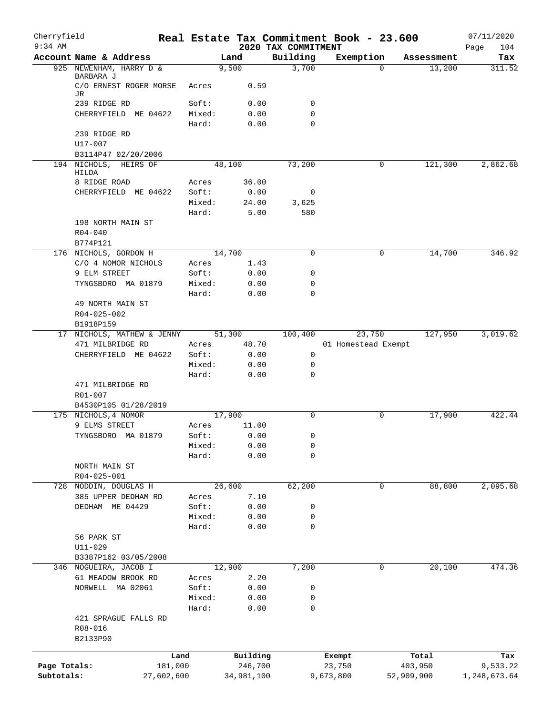| Cherryfield<br>$9:34$ AM |                                              |                 |        |        |                     | 2020 TAX COMMITMENT |          | Real Estate Tax Commitment Book - 23.600 |          |                  | 07/11/2020<br>104<br>Page |
|--------------------------|----------------------------------------------|-----------------|--------|--------|---------------------|---------------------|----------|------------------------------------------|----------|------------------|---------------------------|
|                          | Account Name & Address                       |                 |        | Land   |                     | Building            |          | Exemption                                |          | Assessment       | Tax                       |
|                          | 925 NEWENHAM, HARRY D &                      |                 |        | 9,500  |                     | 3,700               |          |                                          | $\Omega$ | 13,200           | 311.52                    |
|                          | BARBARA J<br>C/O ERNEST ROGER MORSE<br>JR.   |                 | Acres  |        | 0.59                |                     |          |                                          |          |                  |                           |
|                          | 239 RIDGE RD                                 |                 | Soft:  |        | 0.00                | $\mathbf 0$         |          |                                          |          |                  |                           |
|                          | CHERRYFIELD ME 04622                         |                 | Mixed: |        | 0.00                | 0                   |          |                                          |          |                  |                           |
|                          |                                              |                 | Hard:  |        | 0.00                |                     | $\Omega$ |                                          |          |                  |                           |
|                          | 239 RIDGE RD                                 |                 |        |        |                     |                     |          |                                          |          |                  |                           |
|                          | $U17 - 007$                                  |                 |        |        |                     |                     |          |                                          |          |                  |                           |
|                          | B3114P47 02/20/2006                          |                 |        |        |                     |                     |          |                                          |          |                  |                           |
|                          | 194 NICHOLS, HEIRS OF                        |                 |        | 48,100 |                     | 73,200              |          |                                          | 0        | 121,300          | 2,862.68                  |
|                          | HILDA                                        |                 |        |        |                     |                     |          |                                          |          |                  |                           |
|                          | 8 RIDGE ROAD                                 |                 | Acres  |        | 36.00               |                     |          |                                          |          |                  |                           |
|                          | CHERRYFIELD ME 04622                         |                 | Soft:  |        | 0.00                | 0                   |          |                                          |          |                  |                           |
|                          |                                              |                 | Mixed: |        | 24.00               | 3,625               |          |                                          |          |                  |                           |
|                          | 198 NORTH MAIN ST                            |                 | Hard:  |        | 5.00                | 580                 |          |                                          |          |                  |                           |
|                          | $R04 - 040$                                  |                 |        |        |                     |                     |          |                                          |          |                  |                           |
|                          | B774P121                                     |                 |        |        |                     |                     |          |                                          |          |                  |                           |
|                          | 176 NICHOLS, GORDON H                        |                 |        | 14,700 |                     | 0                   |          |                                          | 0        | 14,700           | 346.92                    |
|                          | C/O 4 NOMOR NICHOLS                          |                 | Acres  |        | 1.43                |                     |          |                                          |          |                  |                           |
|                          | 9 ELM STREET                                 |                 | Soft:  |        | 0.00                | 0                   |          |                                          |          |                  |                           |
|                          | TYNGSBORO MA 01879                           |                 | Mixed: |        | 0.00                | 0                   |          |                                          |          |                  |                           |
|                          |                                              |                 | Hard:  |        | 0.00                | 0                   |          |                                          |          |                  |                           |
|                          | 49 NORTH MAIN ST                             |                 |        |        |                     |                     |          |                                          |          |                  |                           |
|                          | R04-025-002                                  |                 |        |        |                     |                     |          |                                          |          |                  |                           |
|                          | B1918P159                                    |                 |        |        |                     |                     |          |                                          |          |                  |                           |
|                          | 17 NICHOLS, MATHEW & JENNY                   |                 |        | 51,300 |                     | 100,400             |          | 23,750                                   |          | 127,950          | 3,019.62                  |
|                          | 471 MILBRIDGE RD                             |                 | Acres  |        | 48.70               |                     |          | 01 Homestead Exempt                      |          |                  |                           |
|                          | CHERRYFIELD ME 04622                         |                 | Soft:  |        | 0.00                |                     | 0        |                                          |          |                  |                           |
|                          |                                              |                 | Mixed: |        | 0.00                | 0                   |          |                                          |          |                  |                           |
|                          |                                              |                 | Hard:  |        | 0.00                | 0                   |          |                                          |          |                  |                           |
|                          | 471 MILBRIDGE RD                             |                 |        |        |                     |                     |          |                                          |          |                  |                           |
|                          | R01-007                                      |                 |        |        |                     |                     |          |                                          |          |                  |                           |
|                          | B4530P105 01/28/2019                         |                 |        |        |                     |                     |          |                                          |          |                  |                           |
|                          | 175 NICHOLS, 4 NOMOR                         |                 |        | 17,900 |                     | $\Omega$            |          |                                          | 0        | 17,900           | 422.44                    |
|                          | 9 ELMS STREET                                |                 | Acres  |        | 11.00               |                     |          |                                          |          |                  |                           |
|                          | TYNGSBORO MA 01879                           |                 | Soft:  |        | 0.00                |                     | 0        |                                          |          |                  |                           |
|                          |                                              |                 | Mixed: |        | 0.00                | 0                   |          |                                          |          |                  |                           |
|                          |                                              |                 | Hard:  |        | 0.00                | 0                   |          |                                          |          |                  |                           |
|                          | NORTH MAIN ST                                |                 |        |        |                     |                     |          |                                          |          |                  |                           |
|                          | R04-025-001                                  |                 |        | 26,600 |                     |                     |          |                                          | 0        |                  |                           |
|                          | 728 NODDIN, DOUGLAS H<br>385 UPPER DEDHAM RD |                 | Acres  |        | 7.10                | 62,200              |          |                                          |          | 88,800           | 2,095.68                  |
|                          | DEDHAM ME 04429                              |                 | Soft:  |        | 0.00                |                     | 0        |                                          |          |                  |                           |
|                          |                                              |                 | Mixed: |        | 0.00                |                     | 0        |                                          |          |                  |                           |
|                          |                                              |                 | Hard:  |        | 0.00                |                     | 0        |                                          |          |                  |                           |
|                          | 56 PARK ST                                   |                 |        |        |                     |                     |          |                                          |          |                  |                           |
|                          | $U11 - 029$                                  |                 |        |        |                     |                     |          |                                          |          |                  |                           |
|                          | B3387P162 03/05/2008                         |                 |        |        |                     |                     |          |                                          |          |                  |                           |
|                          | 346 NOGUEIRA, JACOB I                        |                 |        | 12,900 |                     | 7,200               |          |                                          | 0        | 20,100           | 474.36                    |
|                          | 61 MEADOW BROOK RD                           |                 | Acres  |        | 2.20                |                     |          |                                          |          |                  |                           |
|                          | NORWELL MA 02061                             |                 | Soft:  |        | 0.00                | 0                   |          |                                          |          |                  |                           |
|                          |                                              |                 | Mixed: |        | 0.00                |                     | 0        |                                          |          |                  |                           |
|                          |                                              |                 | Hard:  |        | 0.00                | 0                   |          |                                          |          |                  |                           |
|                          | 421 SPRAGUE FALLS RD                         |                 |        |        |                     |                     |          |                                          |          |                  |                           |
|                          | R08-016                                      |                 |        |        |                     |                     |          |                                          |          |                  |                           |
|                          | B2133P90                                     |                 |        |        |                     |                     |          |                                          |          |                  |                           |
|                          |                                              |                 |        |        |                     |                     |          |                                          |          |                  |                           |
| Page Totals:             |                                              | Land<br>181,000 |        |        | Building<br>246,700 |                     |          | Exempt<br>23,750                         |          | Total<br>403,950 | Tax<br>9,533.22           |
| Subtotals:               |                                              | 27,602,600      |        |        | 34,981,100          |                     |          | 9,673,800                                |          | 52,909,900       | 1,248,673.64              |
|                          |                                              |                 |        |        |                     |                     |          |                                          |          |                  |                           |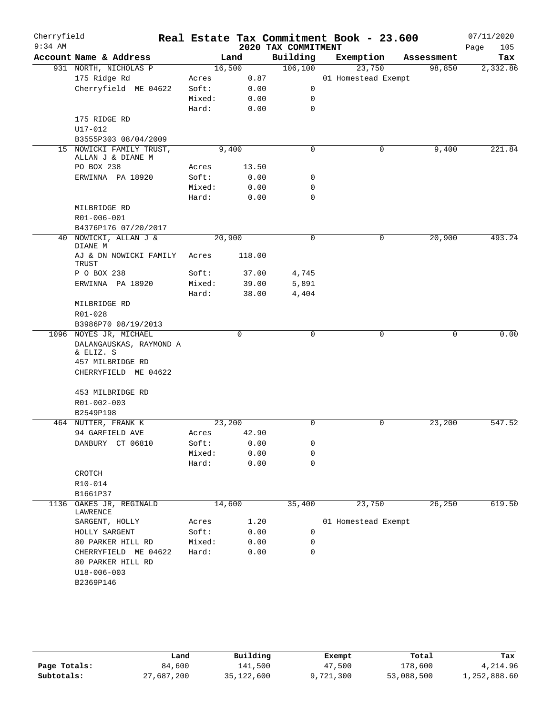| Cherryfield<br>$9:34$ AM |                                                                |        |        | 2020 TAX COMMITMENT | Real Estate Tax Commitment Book - 23.600 |            | 07/11/2020<br>Page<br>105 |
|--------------------------|----------------------------------------------------------------|--------|--------|---------------------|------------------------------------------|------------|---------------------------|
|                          | Account Name & Address                                         |        | Land   | Building            | Exemption                                | Assessment | Tax                       |
|                          | 931 NORTH, NICHOLAS P                                          |        | 16,500 | 106, 100            | 23,750                                   | 98,850     | 2,332.86                  |
|                          | 175 Ridge Rd                                                   | Acres  | 0.87   |                     | 01 Homestead Exempt                      |            |                           |
|                          | Cherryfield ME 04622                                           | Soft:  | 0.00   | $\mathsf{O}$        |                                          |            |                           |
|                          |                                                                | Mixed: | 0.00   | 0                   |                                          |            |                           |
|                          |                                                                | Hard:  | 0.00   | $\mathbf 0$         |                                          |            |                           |
|                          | 175 RIDGE RD                                                   |        |        |                     |                                          |            |                           |
|                          | U17-012                                                        |        |        |                     |                                          |            |                           |
|                          | B3555P303 08/04/2009                                           |        |        |                     |                                          |            |                           |
|                          | 15 NOWICKI FAMILY TRUST,<br>ALLAN J & DIANE M                  |        | 9,400  | $\mathbf 0$         | 0                                        | 9,400      | 221.84                    |
|                          | PO BOX 238                                                     | Acres  | 13.50  |                     |                                          |            |                           |
|                          | ERWINNA PA 18920                                               | Soft:  | 0.00   | 0                   |                                          |            |                           |
|                          |                                                                | Mixed: | 0.00   | $\mathbf 0$         |                                          |            |                           |
|                          |                                                                | Hard:  | 0.00   | $\mathbf 0$         |                                          |            |                           |
|                          | MILBRIDGE RD                                                   |        |        |                     |                                          |            |                           |
|                          | R01-006-001                                                    |        |        |                     |                                          |            |                           |
|                          | B4376P176 07/20/2017                                           |        |        |                     |                                          |            |                           |
|                          | 40 NOWICKI, ALLAN J &<br>DIANE M                               | 20,900 |        | 0                   | 0                                        | 20,900     | 493.24                    |
|                          | AJ & DN NOWICKI FAMILY<br>TRUST                                | Acres  | 118.00 |                     |                                          |            |                           |
|                          | P O BOX 238                                                    | Soft:  | 37.00  | 4,745               |                                          |            |                           |
|                          | ERWINNA PA 18920                                               | Mixed: | 39.00  | 5,891               |                                          |            |                           |
|                          |                                                                | Hard:  | 38.00  | 4,404               |                                          |            |                           |
|                          | MILBRIDGE RD                                                   |        |        |                     |                                          |            |                           |
|                          | R01-028                                                        |        |        |                     |                                          |            |                           |
|                          | B3986P70 08/19/2013                                            |        |        |                     |                                          |            |                           |
|                          | 1096 NOYES JR, MICHAEL<br>DALANGAUSKAS, RAYMOND A<br>& ELIZ. S |        | 0      | 0                   | $\mathbf 0$                              | 0          | 0.00                      |
|                          | 457 MILBRIDGE RD                                               |        |        |                     |                                          |            |                           |
|                          | CHERRYFIELD ME 04622                                           |        |        |                     |                                          |            |                           |
|                          |                                                                |        |        |                     |                                          |            |                           |
|                          | 453 MILBRIDGE RD                                               |        |        |                     |                                          |            |                           |
|                          | R01-002-003                                                    |        |        |                     |                                          |            |                           |
|                          | B2549P198                                                      |        |        |                     |                                          |            |                           |
|                          | 464 NUTTER, FRANK K                                            | 23,200 |        | 0                   | $\mathsf{O}$                             | 23,200     | 547.52                    |
|                          | 94 GARFIELD AVE                                                | Acres  | 42.90  |                     |                                          |            |                           |
|                          | DANBURY CT 06810                                               | Soft:  | 0.00   | 0                   |                                          |            |                           |
|                          |                                                                | Mixed: | 0.00   | $\mathbf 0$         |                                          |            |                           |
|                          |                                                                | Hard:  | 0.00   | $\mathbf 0$         |                                          |            |                           |
|                          | CROTCH                                                         |        |        |                     |                                          |            |                           |
|                          | R10-014                                                        |        |        |                     |                                          |            |                           |
|                          | B1661P37                                                       |        |        |                     |                                          |            |                           |
| 1136                     | OAKES JR, REGINALD<br>LAWRENCE                                 | 14,600 |        | 35,400              | 23,750                                   | 26,250     | 619.50                    |
|                          | SARGENT, HOLLY                                                 | Acres  | 1.20   |                     | 01 Homestead Exempt                      |            |                           |
|                          | HOLLY SARGENT                                                  | Soft:  | 0.00   | 0                   |                                          |            |                           |
|                          | 80 PARKER HILL RD                                              | Mixed: | 0.00   | 0                   |                                          |            |                           |
|                          | CHERRYFIELD ME 04622                                           | Hard:  | 0.00   | 0                   |                                          |            |                           |
|                          | 80 PARKER HILL RD                                              |        |        |                     |                                          |            |                           |
|                          | $U18 - 006 - 003$                                              |        |        |                     |                                          |            |                           |
|                          | B2369P146                                                      |        |        |                     |                                          |            |                           |
|                          |                                                                |        |        |                     |                                          |            |                           |

|              | Land       | Building   | Exempt    | Total      | Tax          |
|--------------|------------|------------|-----------|------------|--------------|
| Page Totals: | 84,600     | 141,500    | 47,500    | 178,600    | 4,214.96     |
| Subtotals:   | 27,687,200 | 35,122,600 | 9,721,300 | 53,088,500 | 1,252,888.60 |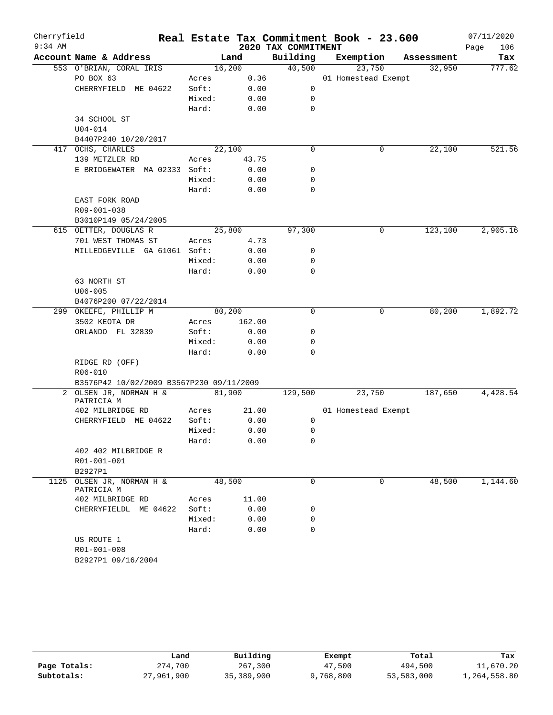| Cherryfield |                                          |        |        |                     | Real Estate Tax Commitment Book - 23.600 |            | 07/11/2020  |
|-------------|------------------------------------------|--------|--------|---------------------|------------------------------------------|------------|-------------|
| $9:34$ AM   |                                          |        |        | 2020 TAX COMMITMENT |                                          |            | 106<br>Page |
|             | Account Name & Address                   |        | Land   | Building            | Exemption                                | Assessment | Tax         |
|             | 553 O'BRIAN, CORAL IRIS                  |        | 16,200 | 40,500              | 23,750                                   | 32,950     | 777.62      |
|             | PO BOX 63                                | Acres  | 0.36   |                     | 01 Homestead Exempt                      |            |             |
|             | CHERRYFIELD ME 04622                     | Soft:  | 0.00   | $\mathbf 0$         |                                          |            |             |
|             |                                          | Mixed: | 0.00   | 0                   |                                          |            |             |
|             |                                          | Hard:  | 0.00   | $\mathbf 0$         |                                          |            |             |
|             | 34 SCHOOL ST                             |        |        |                     |                                          |            |             |
|             | $U04 - 014$                              |        |        |                     |                                          |            |             |
|             | B4407P240 10/20/2017                     |        |        |                     |                                          |            |             |
|             | 417 OCHS, CHARLES                        |        | 22,100 | $\mathbf 0$         | 0                                        | 22,100     | 521.56      |
|             | 139 METZLER RD                           | Acres  | 43.75  |                     |                                          |            |             |
|             | E BRIDGEWATER MA 02333 Soft:             |        | 0.00   | 0                   |                                          |            |             |
|             |                                          | Mixed: | 0.00   | 0                   |                                          |            |             |
|             |                                          | Hard:  | 0.00   | 0                   |                                          |            |             |
|             | EAST FORK ROAD                           |        |        |                     |                                          |            |             |
|             | R09-001-038                              |        |        |                     |                                          |            |             |
|             | B3010P149 05/24/2005                     |        |        |                     |                                          |            |             |
|             | 615 OETTER, DOUGLAS R                    |        | 25,800 | 97,300              | 0                                        | 123,100    | 2,905.16    |
|             | 701 WEST THOMAS ST                       | Acres  | 4.73   |                     |                                          |            |             |
|             | MILLEDGEVILLE GA 61061 Soft:             |        | 0.00   | 0                   |                                          |            |             |
|             |                                          | Mixed: | 0.00   | 0                   |                                          |            |             |
|             |                                          | Hard:  | 0.00   | 0                   |                                          |            |             |
|             | 63 NORTH ST                              |        |        |                     |                                          |            |             |
|             | $U06 - 005$                              |        |        |                     |                                          |            |             |
|             | B4076P200 07/22/2014                     |        |        |                     |                                          |            |             |
|             | 299 OKEEFE, PHILLIP M                    |        | 80,200 | $\mathbf 0$         | $\mathsf{O}$                             | 80,200     | 1,892.72    |
|             | 3502 KEOTA DR                            | Acres  | 162.00 |                     |                                          |            |             |
|             | ORLANDO FL 32839                         | Soft:  | 0.00   | 0                   |                                          |            |             |
|             |                                          | Mixed: | 0.00   | 0                   |                                          |            |             |
|             |                                          | Hard:  | 0.00   | $\Omega$            |                                          |            |             |
|             | RIDGE RD (OFF)                           |        |        |                     |                                          |            |             |
|             | R06-010                                  |        |        |                     |                                          |            |             |
|             | B3576P42 10/02/2009 B3567P230 09/11/2009 |        |        |                     |                                          |            |             |
|             | 2 OLSEN JR, NORMAN H &                   |        | 81,900 | 129,500             | 23,750                                   | 187,650    | 4,428.54    |
|             | PATRICIA M                               |        |        |                     |                                          |            |             |
|             | 402 MILBRIDGE RD                         | Acres  | 21.00  |                     | 01 Homestead Exempt                      |            |             |
|             | CHERRYFIELD ME 04622                     | Soft:  | 0.00   | 0                   |                                          |            |             |
|             |                                          | Mixed: | 0.00   | 0                   |                                          |            |             |
|             |                                          | Hard:  | 0.00   | 0                   |                                          |            |             |
|             | 402 402 MILBRIDGE R                      |        |        |                     |                                          |            |             |
|             | R01-001-001                              |        |        |                     |                                          |            |             |
|             | B2927P1                                  |        |        |                     |                                          |            |             |
|             | 1125 OLSEN JR, NORMAN H &<br>PATRICIA M  |        | 48,500 | $\mathbf 0$         | 0                                        | 48,500     | 1,144.60    |
|             | 402 MILBRIDGE RD                         | Acres  | 11.00  |                     |                                          |            |             |
|             | CHERRYFIELDL ME 04622                    | Soft:  | 0.00   | 0                   |                                          |            |             |
|             |                                          | Mixed: | 0.00   | 0                   |                                          |            |             |
|             |                                          | Hard:  | 0.00   | $\Omega$            |                                          |            |             |
|             | US ROUTE 1                               |        |        |                     |                                          |            |             |
|             | R01-001-008                              |        |        |                     |                                          |            |             |
|             | B2927P1 09/16/2004                       |        |        |                     |                                          |            |             |
|             |                                          |        |        |                     |                                          |            |             |

|              | Land       | Building   | Exempt    | Total      | Tax          |
|--------------|------------|------------|-----------|------------|--------------|
| Page Totals: | 274,700    | 267,300    | 47,500    | 494,500    | 11,670.20    |
| Subtotals:   | 27,961,900 | 35,389,900 | 9,768,800 | 53,583,000 | 1,264,558.80 |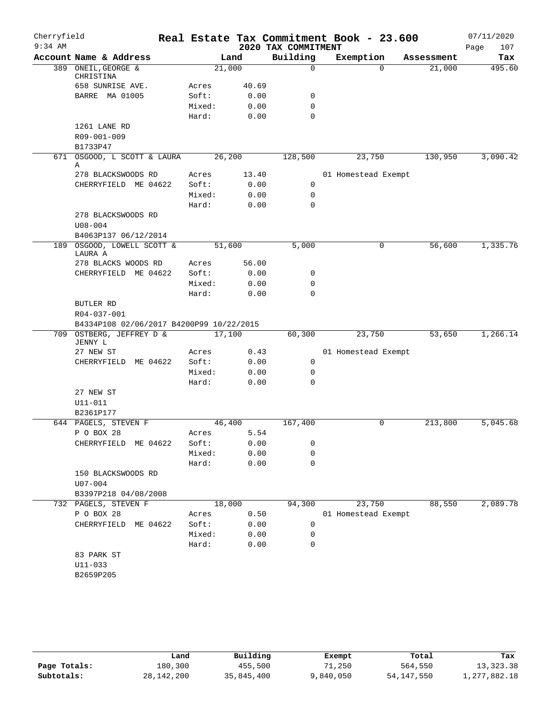| Cherryfield<br>$9:34$ AM |                                                         |        |       |                                 | Real Estate Tax Commitment Book - 23.600 |            | 07/11/2020         |
|--------------------------|---------------------------------------------------------|--------|-------|---------------------------------|------------------------------------------|------------|--------------------|
|                          | Account Name & Address                                  |        | Land  | 2020 TAX COMMITMENT<br>Building | Exemption                                | Assessment | 107<br>Page<br>Tax |
|                          | 389 ONEIL, GEORGE &                                     | 21,000 |       | 0                               | $\Omega$                                 | 21,000     | 495.60             |
|                          | CHRISTINA                                               |        |       |                                 |                                          |            |                    |
|                          | 658 SUNRISE AVE.                                        | Acres  | 40.69 |                                 |                                          |            |                    |
|                          | BARRE MA 01005                                          | Soft:  | 0.00  | 0                               |                                          |            |                    |
|                          |                                                         | Mixed: | 0.00  | $\mathbf 0$                     |                                          |            |                    |
|                          |                                                         | Hard:  | 0.00  | $\mathbf 0$                     |                                          |            |                    |
|                          | 1261 LANE RD                                            |        |       |                                 |                                          |            |                    |
|                          | R09-001-009                                             |        |       |                                 |                                          |            |                    |
|                          | B1733P47                                                |        |       |                                 |                                          |            |                    |
|                          | 671 OSGOOD, L SCOTT & LAURA<br>Α                        | 26,200 |       | 128,500                         | 23,750                                   | 130,950    | 3,090.42           |
|                          | 278 BLACKSWOODS RD                                      | Acres  | 13.40 |                                 | 01 Homestead Exempt                      |            |                    |
|                          | CHERRYFIELD ME 04622                                    | Soft:  | 0.00  | 0                               |                                          |            |                    |
|                          |                                                         | Mixed: | 0.00  | 0                               |                                          |            |                    |
|                          |                                                         | Hard:  | 0.00  | $\mathbf 0$                     |                                          |            |                    |
|                          | 278 BLACKSWOODS RD                                      |        |       |                                 |                                          |            |                    |
|                          | $U08 - 004$                                             |        |       |                                 |                                          |            |                    |
|                          | B4063P137 06/12/2014                                    |        |       |                                 |                                          |            |                    |
|                          | 189 OSGOOD, LOWELL SCOTT &<br>LAURA A                   | 51,600 |       | 5,000                           | 0                                        | 56,600     | 1,335.76           |
|                          | 278 BLACKS WOODS RD                                     | Acres  | 56.00 |                                 |                                          |            |                    |
|                          | CHERRYFIELD ME 04622                                    | Soft:  | 0.00  | 0                               |                                          |            |                    |
|                          |                                                         | Mixed: | 0.00  | $\mathbf 0$                     |                                          |            |                    |
|                          |                                                         | Hard:  | 0.00  | $\mathbf 0$                     |                                          |            |                    |
|                          | BUTLER RD                                               |        |       |                                 |                                          |            |                    |
|                          | R04-037-001<br>B4334P108 02/06/2017 B4200P99 10/22/2015 |        |       |                                 |                                          |            |                    |
|                          | 709 OSTBERG, JEFFREY D &                                | 17,100 |       | 60,300                          | 23,750                                   | 53,650     | 1,266.14           |
|                          | JENNY L                                                 |        |       |                                 |                                          |            |                    |
|                          | 27 NEW ST                                               | Acres  | 0.43  |                                 | 01 Homestead Exempt                      |            |                    |
|                          | CHERRYFIELD ME 04622                                    | Soft:  | 0.00  | $\mathbf 0$                     |                                          |            |                    |
|                          |                                                         | Mixed: | 0.00  | 0                               |                                          |            |                    |
|                          |                                                         | Hard:  | 0.00  | $\mathbf 0$                     |                                          |            |                    |
|                          | 27 NEW ST                                               |        |       |                                 |                                          |            |                    |
|                          | U11-011                                                 |        |       |                                 |                                          |            |                    |
|                          | B2361P177                                               |        |       |                                 |                                          |            |                    |
|                          | 644 PAGELS, STEVEN F                                    | 46,400 |       | 167,400                         | 0                                        | 213,800    | 5,045.68           |
|                          | P O BOX 28                                              | Acres  | 5.54  |                                 |                                          |            |                    |
|                          | CHERRYFIELD ME 04622                                    | Soft:  | 0.00  | 0                               |                                          |            |                    |
|                          |                                                         | Mixed: | 0.00  | 0                               |                                          |            |                    |
|                          |                                                         | Hard:  | 0.00  | $\mathbf 0$                     |                                          |            |                    |
|                          | 150 BLACKSWOODS RD<br>$U07 - 004$                       |        |       |                                 |                                          |            |                    |
|                          | B3397P218 04/08/2008                                    |        |       |                                 |                                          |            |                    |
|                          | 732 PAGELS, STEVEN F                                    | 18,000 |       | 94,300                          | 23,750                                   | 88,550     | 2,089.78           |
|                          | P O BOX 28                                              | Acres  | 0.50  |                                 | 01 Homestead Exempt                      |            |                    |
|                          | CHERRYFIELD ME 04622                                    | Soft:  | 0.00  | 0                               |                                          |            |                    |
|                          |                                                         | Mixed: | 0.00  | 0                               |                                          |            |                    |
|                          |                                                         | Hard:  | 0.00  | $\mathbf 0$                     |                                          |            |                    |
|                          | 83 PARK ST                                              |        |       |                                 |                                          |            |                    |
|                          | $U11 - 033$                                             |        |       |                                 |                                          |            |                    |
|                          | B2659P205                                               |        |       |                                 |                                          |            |                    |
|                          |                                                         |        |       |                                 |                                          |            |                    |
|                          |                                                         |        |       |                                 |                                          |            |                    |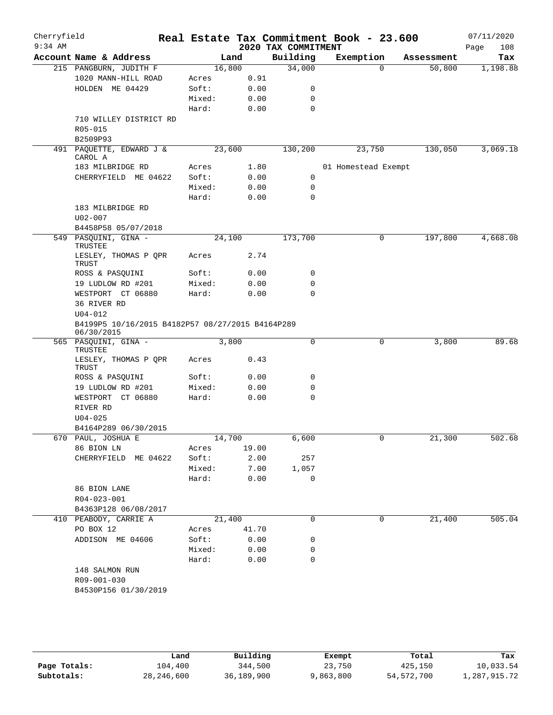| Cherryfield<br>$9:34$ AM |                                                                |                 |        |              | 2020 TAX COMMITMENT | Real Estate Tax Commitment Book - 23.600 |              |            | 07/11/2020<br>108<br>Page |
|--------------------------|----------------------------------------------------------------|-----------------|--------|--------------|---------------------|------------------------------------------|--------------|------------|---------------------------|
|                          | Account Name & Address                                         |                 | Land   |              | Building            | Exemption                                |              | Assessment | Tax                       |
|                          | 215 PANGBURN, JUDITH F                                         |                 | 16,800 |              | 34,000              |                                          | 0            | 50,800     | 1,198.88                  |
|                          | 1020 MANN-HILL ROAD                                            | Acres           |        | 0.91         |                     |                                          |              |            |                           |
|                          | HOLDEN ME 04429                                                | Soft:           |        | 0.00         | 0                   |                                          |              |            |                           |
|                          |                                                                | Mixed:          |        | 0.00         | 0                   |                                          |              |            |                           |
|                          |                                                                | Hard:           |        | 0.00         | $\mathbf 0$         |                                          |              |            |                           |
|                          | 710 WILLEY DISTRICT RD                                         |                 |        |              |                     |                                          |              |            |                           |
|                          | R05-015                                                        |                 |        |              |                     |                                          |              |            |                           |
|                          | B2509P93                                                       |                 |        |              |                     |                                          |              |            |                           |
|                          | 491 PAQUETTE, EDWARD J &<br>CAROL A                            |                 | 23,600 |              | 130,200             | 23,750                                   |              | 130,050    | 3,069.18                  |
|                          | 183 MILBRIDGE RD                                               | Acres           |        | 1.80         |                     | 01 Homestead Exempt                      |              |            |                           |
|                          | CHERRYFIELD ME 04622                                           | Soft:           |        | 0.00         | 0                   |                                          |              |            |                           |
|                          |                                                                | Mixed:          |        | 0.00         | 0                   |                                          |              |            |                           |
|                          |                                                                | Hard:           |        | 0.00         | 0                   |                                          |              |            |                           |
|                          | 183 MILBRIDGE RD                                               |                 |        |              |                     |                                          |              |            |                           |
|                          | $U02 - 007$                                                    |                 |        |              |                     |                                          |              |            |                           |
|                          | B4458P58 05/07/2018                                            |                 |        |              |                     |                                          |              |            |                           |
|                          | 549 PASQUINI, GINA -<br>TRUSTEE                                |                 | 24,100 |              | 173,700             |                                          | $\mathsf{O}$ | 197,800    | 4,668.08                  |
|                          | LESLEY, THOMAS P QPR<br>TRUST                                  | Acres           |        | 2.74         |                     |                                          |              |            |                           |
|                          | ROSS & PASQUINI                                                | Soft:           |        | 0.00         | 0                   |                                          |              |            |                           |
|                          | 19 LUDLOW RD #201                                              | Mixed:          |        | 0.00         | 0                   |                                          |              |            |                           |
|                          | WESTPORT CT 06880                                              | Hard:           |        | 0.00         | $\mathbf 0$         |                                          |              |            |                           |
|                          | 36 RIVER RD                                                    |                 |        |              |                     |                                          |              |            |                           |
|                          | $U04 - 012$                                                    |                 |        |              |                     |                                          |              |            |                           |
|                          | B4199P5 10/16/2015 B4182P57 08/27/2015 B4164P289<br>06/30/2015 |                 |        |              |                     |                                          |              |            |                           |
|                          | 565 PASQUINI, GINA -<br>TRUSTEE                                |                 | 3,800  |              | 0                   |                                          | 0            | 3,800      | 89.68                     |
|                          | LESLEY, THOMAS P QPR<br>TRUST                                  | Acres           |        | 0.43         |                     |                                          |              |            |                           |
|                          | ROSS & PASQUINI                                                | Soft:           |        | 0.00         | 0                   |                                          |              |            |                           |
|                          | 19 LUDLOW RD #201                                              | Mixed:          |        | 0.00         | 0                   |                                          |              |            |                           |
|                          | WESTPORT CT 06880                                              | Hard:           |        | 0.00         | 0                   |                                          |              |            |                           |
|                          | RIVER RD                                                       |                 |        |              |                     |                                          |              |            |                           |
|                          | $U04 - 025$                                                    |                 |        |              |                     |                                          |              |            |                           |
|                          | B4164P289 06/30/2015                                           |                 |        |              |                     |                                          |              |            |                           |
|                          | 670 PAUL, JOSHUA E                                             |                 | 14,700 |              | 6,600               |                                          | 0            | 21,300     | 502.68                    |
|                          | 86 BION LN                                                     | Acres           |        | 19.00        |                     |                                          |              |            |                           |
|                          | CHERRYFIELD ME 04622                                           | Soft:<br>Mixed: |        | 2.00<br>7.00 | 257<br>1,057        |                                          |              |            |                           |
|                          |                                                                | Hard:           |        | 0.00         | $\mathbf 0$         |                                          |              |            |                           |
|                          | 86 BION LANE                                                   |                 |        |              |                     |                                          |              |            |                           |
|                          | R04-023-001                                                    |                 |        |              |                     |                                          |              |            |                           |
|                          | B4363P128 06/08/2017                                           |                 |        |              |                     |                                          |              |            |                           |
|                          | 410 PEABODY, CARRIE A                                          |                 | 21,400 |              | $\Omega$            |                                          | 0            | 21,400     | 505.04                    |
|                          | PO BOX 12                                                      |                 |        | Acres 41.70  |                     |                                          |              |            |                           |
|                          | ADDISON ME 04606                                               | Soft:           |        | 0.00         | 0                   |                                          |              |            |                           |
|                          |                                                                | Mixed:          |        | 0.00         | 0                   |                                          |              |            |                           |
|                          |                                                                | Hard:           |        | 0.00         | 0                   |                                          |              |            |                           |
|                          | 148 SALMON RUN                                                 |                 |        |              |                     |                                          |              |            |                           |
|                          | R09-001-030                                                    |                 |        |              |                     |                                          |              |            |                           |
|                          | B4530P156 01/30/2019                                           |                 |        |              |                     |                                          |              |            |                           |
|                          |                                                                |                 |        |              |                     |                                          |              |            |                           |
|                          |                                                                |                 |        |              |                     |                                          |              |            |                           |

|              | Land         | Building   | Exempt    | Total        | Tax          |
|--------------|--------------|------------|-----------|--------------|--------------|
| Page Totals: | 104,400      | 344,500    | 23,750    | 425,150      | 10,033.54    |
| Subtotals:   | 28, 246, 600 | 36,189,900 | 9,863,800 | 54, 572, 700 | 1,287,915.72 |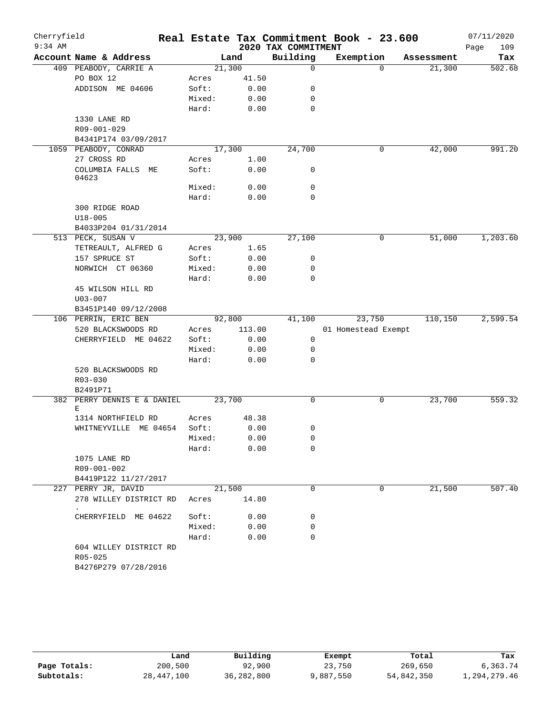| $9:34$ AM<br>2020 TAX COMMITMENT<br>109<br>Page<br>Building<br>Exemption<br>Account Name & Address<br>Land<br>Assessment<br>Tax<br>21,300<br>409 PEABODY, CARRIE A<br>$\mathbf 0$<br>21,300<br>$\Omega$<br>PO BOX 12<br>41.50<br>Acres<br>ADDISON ME 04606<br>Soft:<br>0.00<br>0<br>Mixed:<br>0.00<br>0<br>Hard:<br>0.00<br>0<br>1330 LANE RD<br>R09-001-029<br>B4341P174 03/09/2017<br>17,300<br>24,700<br>42,000<br>1059 PEABODY, CONRAD<br>0<br>27 CROSS RD<br>1.00<br>Acres<br>COLUMBIA FALLS ME<br>Soft:<br>0.00<br>0<br>04623<br>Mixed:<br>0.00<br>0<br>$\mathbf 0$<br>Hard:<br>0.00<br>300 RIDGE ROAD<br>$U18 - 005$<br>B4033P204 01/31/2014<br>513 PECK, SUSAN V<br>23,900<br>27,100<br>51,000<br>0<br>TETREAULT, ALFRED G<br>1.65<br>Acres<br>157 SPRUCE ST<br>Soft:<br>0.00<br>0<br>NORWICH CT 06360<br>Mixed:<br>0.00<br>0<br>Hard:<br>0.00<br>0<br>45 WILSON HILL RD<br>$U03 - 007$<br>B3451P140 09/12/2008<br>110,150<br>106 PERRIN, ERIC BEN<br>92,800<br>41,100<br>23,750<br>113.00<br>01 Homestead Exempt<br>520 BLACKSWOODS RD<br>Acres<br>CHERRYFIELD ME 04622<br>Soft:<br>0.00<br>0<br>Mixed:<br>0.00<br>0<br>Hard:<br>0.00<br>0<br>520 BLACKSWOODS RD<br>R03-030<br>B2491P71<br>23,700<br>$\mathbf 0$<br>23,700<br>382 PERRY DENNIS E & DANIEL<br>0<br>Ε<br>48.38<br>1314 NORTHFIELD RD<br>Acres<br>Soft:<br>0.00<br>WHITNEYVILLE ME 04654<br>0<br>Mixed:<br>0.00<br>0<br>Hard:<br>0.00<br>0<br>1075 LANE RD<br>R09-001-002<br>B4419P122 11/27/2017<br>227 PERRY JR, DAVID<br>21,500<br>21,500<br>$\Omega$<br>0<br>14.80<br>278 WILLEY DISTRICT RD<br>Acres<br>CHERRYFIELD ME 04622<br>Soft:<br>0.00<br>0<br>Mixed:<br>0.00<br>0<br>Hard:<br>0.00<br>0<br>604 WILLEY DISTRICT RD<br>R05-025 | Cherryfield |                      |  | Real Estate Tax Commitment Book - 23.600 | 07/11/2020 |
|-----------------------------------------------------------------------------------------------------------------------------------------------------------------------------------------------------------------------------------------------------------------------------------------------------------------------------------------------------------------------------------------------------------------------------------------------------------------------------------------------------------------------------------------------------------------------------------------------------------------------------------------------------------------------------------------------------------------------------------------------------------------------------------------------------------------------------------------------------------------------------------------------------------------------------------------------------------------------------------------------------------------------------------------------------------------------------------------------------------------------------------------------------------------------------------------------------------------------------------------------------------------------------------------------------------------------------------------------------------------------------------------------------------------------------------------------------------------------------------------------------------------------------------------------------------------------------------------------------------------------------------------------------------------------------------------------------------------|-------------|----------------------|--|------------------------------------------|------------|
| 2,599.54                                                                                                                                                                                                                                                                                                                                                                                                                                                                                                                                                                                                                                                                                                                                                                                                                                                                                                                                                                                                                                                                                                                                                                                                                                                                                                                                                                                                                                                                                                                                                                                                                                                                                                        |             |                      |  |                                          |            |
|                                                                                                                                                                                                                                                                                                                                                                                                                                                                                                                                                                                                                                                                                                                                                                                                                                                                                                                                                                                                                                                                                                                                                                                                                                                                                                                                                                                                                                                                                                                                                                                                                                                                                                                 |             |                      |  |                                          |            |
| 991.20<br>1,203.60                                                                                                                                                                                                                                                                                                                                                                                                                                                                                                                                                                                                                                                                                                                                                                                                                                                                                                                                                                                                                                                                                                                                                                                                                                                                                                                                                                                                                                                                                                                                                                                                                                                                                              |             |                      |  |                                          | 502.68     |
|                                                                                                                                                                                                                                                                                                                                                                                                                                                                                                                                                                                                                                                                                                                                                                                                                                                                                                                                                                                                                                                                                                                                                                                                                                                                                                                                                                                                                                                                                                                                                                                                                                                                                                                 |             |                      |  |                                          |            |
|                                                                                                                                                                                                                                                                                                                                                                                                                                                                                                                                                                                                                                                                                                                                                                                                                                                                                                                                                                                                                                                                                                                                                                                                                                                                                                                                                                                                                                                                                                                                                                                                                                                                                                                 |             |                      |  |                                          |            |
|                                                                                                                                                                                                                                                                                                                                                                                                                                                                                                                                                                                                                                                                                                                                                                                                                                                                                                                                                                                                                                                                                                                                                                                                                                                                                                                                                                                                                                                                                                                                                                                                                                                                                                                 |             |                      |  |                                          |            |
|                                                                                                                                                                                                                                                                                                                                                                                                                                                                                                                                                                                                                                                                                                                                                                                                                                                                                                                                                                                                                                                                                                                                                                                                                                                                                                                                                                                                                                                                                                                                                                                                                                                                                                                 |             |                      |  |                                          |            |
|                                                                                                                                                                                                                                                                                                                                                                                                                                                                                                                                                                                                                                                                                                                                                                                                                                                                                                                                                                                                                                                                                                                                                                                                                                                                                                                                                                                                                                                                                                                                                                                                                                                                                                                 |             |                      |  |                                          |            |
|                                                                                                                                                                                                                                                                                                                                                                                                                                                                                                                                                                                                                                                                                                                                                                                                                                                                                                                                                                                                                                                                                                                                                                                                                                                                                                                                                                                                                                                                                                                                                                                                                                                                                                                 |             |                      |  |                                          |            |
|                                                                                                                                                                                                                                                                                                                                                                                                                                                                                                                                                                                                                                                                                                                                                                                                                                                                                                                                                                                                                                                                                                                                                                                                                                                                                                                                                                                                                                                                                                                                                                                                                                                                                                                 |             |                      |  |                                          |            |
|                                                                                                                                                                                                                                                                                                                                                                                                                                                                                                                                                                                                                                                                                                                                                                                                                                                                                                                                                                                                                                                                                                                                                                                                                                                                                                                                                                                                                                                                                                                                                                                                                                                                                                                 |             |                      |  |                                          |            |
|                                                                                                                                                                                                                                                                                                                                                                                                                                                                                                                                                                                                                                                                                                                                                                                                                                                                                                                                                                                                                                                                                                                                                                                                                                                                                                                                                                                                                                                                                                                                                                                                                                                                                                                 |             |                      |  |                                          |            |
|                                                                                                                                                                                                                                                                                                                                                                                                                                                                                                                                                                                                                                                                                                                                                                                                                                                                                                                                                                                                                                                                                                                                                                                                                                                                                                                                                                                                                                                                                                                                                                                                                                                                                                                 |             |                      |  |                                          |            |
|                                                                                                                                                                                                                                                                                                                                                                                                                                                                                                                                                                                                                                                                                                                                                                                                                                                                                                                                                                                                                                                                                                                                                                                                                                                                                                                                                                                                                                                                                                                                                                                                                                                                                                                 |             |                      |  |                                          |            |
|                                                                                                                                                                                                                                                                                                                                                                                                                                                                                                                                                                                                                                                                                                                                                                                                                                                                                                                                                                                                                                                                                                                                                                                                                                                                                                                                                                                                                                                                                                                                                                                                                                                                                                                 |             |                      |  |                                          |            |
|                                                                                                                                                                                                                                                                                                                                                                                                                                                                                                                                                                                                                                                                                                                                                                                                                                                                                                                                                                                                                                                                                                                                                                                                                                                                                                                                                                                                                                                                                                                                                                                                                                                                                                                 |             |                      |  |                                          |            |
|                                                                                                                                                                                                                                                                                                                                                                                                                                                                                                                                                                                                                                                                                                                                                                                                                                                                                                                                                                                                                                                                                                                                                                                                                                                                                                                                                                                                                                                                                                                                                                                                                                                                                                                 |             |                      |  |                                          |            |
|                                                                                                                                                                                                                                                                                                                                                                                                                                                                                                                                                                                                                                                                                                                                                                                                                                                                                                                                                                                                                                                                                                                                                                                                                                                                                                                                                                                                                                                                                                                                                                                                                                                                                                                 |             |                      |  |                                          |            |
|                                                                                                                                                                                                                                                                                                                                                                                                                                                                                                                                                                                                                                                                                                                                                                                                                                                                                                                                                                                                                                                                                                                                                                                                                                                                                                                                                                                                                                                                                                                                                                                                                                                                                                                 |             |                      |  |                                          |            |
|                                                                                                                                                                                                                                                                                                                                                                                                                                                                                                                                                                                                                                                                                                                                                                                                                                                                                                                                                                                                                                                                                                                                                                                                                                                                                                                                                                                                                                                                                                                                                                                                                                                                                                                 |             |                      |  |                                          |            |
|                                                                                                                                                                                                                                                                                                                                                                                                                                                                                                                                                                                                                                                                                                                                                                                                                                                                                                                                                                                                                                                                                                                                                                                                                                                                                                                                                                                                                                                                                                                                                                                                                                                                                                                 |             |                      |  |                                          |            |
|                                                                                                                                                                                                                                                                                                                                                                                                                                                                                                                                                                                                                                                                                                                                                                                                                                                                                                                                                                                                                                                                                                                                                                                                                                                                                                                                                                                                                                                                                                                                                                                                                                                                                                                 |             |                      |  |                                          |            |
|                                                                                                                                                                                                                                                                                                                                                                                                                                                                                                                                                                                                                                                                                                                                                                                                                                                                                                                                                                                                                                                                                                                                                                                                                                                                                                                                                                                                                                                                                                                                                                                                                                                                                                                 |             |                      |  |                                          |            |
|                                                                                                                                                                                                                                                                                                                                                                                                                                                                                                                                                                                                                                                                                                                                                                                                                                                                                                                                                                                                                                                                                                                                                                                                                                                                                                                                                                                                                                                                                                                                                                                                                                                                                                                 |             |                      |  |                                          |            |
|                                                                                                                                                                                                                                                                                                                                                                                                                                                                                                                                                                                                                                                                                                                                                                                                                                                                                                                                                                                                                                                                                                                                                                                                                                                                                                                                                                                                                                                                                                                                                                                                                                                                                                                 |             |                      |  |                                          |            |
|                                                                                                                                                                                                                                                                                                                                                                                                                                                                                                                                                                                                                                                                                                                                                                                                                                                                                                                                                                                                                                                                                                                                                                                                                                                                                                                                                                                                                                                                                                                                                                                                                                                                                                                 |             |                      |  |                                          |            |
|                                                                                                                                                                                                                                                                                                                                                                                                                                                                                                                                                                                                                                                                                                                                                                                                                                                                                                                                                                                                                                                                                                                                                                                                                                                                                                                                                                                                                                                                                                                                                                                                                                                                                                                 |             |                      |  |                                          |            |
|                                                                                                                                                                                                                                                                                                                                                                                                                                                                                                                                                                                                                                                                                                                                                                                                                                                                                                                                                                                                                                                                                                                                                                                                                                                                                                                                                                                                                                                                                                                                                                                                                                                                                                                 |             |                      |  |                                          |            |
|                                                                                                                                                                                                                                                                                                                                                                                                                                                                                                                                                                                                                                                                                                                                                                                                                                                                                                                                                                                                                                                                                                                                                                                                                                                                                                                                                                                                                                                                                                                                                                                                                                                                                                                 |             |                      |  |                                          |            |
|                                                                                                                                                                                                                                                                                                                                                                                                                                                                                                                                                                                                                                                                                                                                                                                                                                                                                                                                                                                                                                                                                                                                                                                                                                                                                                                                                                                                                                                                                                                                                                                                                                                                                                                 |             |                      |  |                                          |            |
|                                                                                                                                                                                                                                                                                                                                                                                                                                                                                                                                                                                                                                                                                                                                                                                                                                                                                                                                                                                                                                                                                                                                                                                                                                                                                                                                                                                                                                                                                                                                                                                                                                                                                                                 |             |                      |  |                                          |            |
|                                                                                                                                                                                                                                                                                                                                                                                                                                                                                                                                                                                                                                                                                                                                                                                                                                                                                                                                                                                                                                                                                                                                                                                                                                                                                                                                                                                                                                                                                                                                                                                                                                                                                                                 |             |                      |  |                                          |            |
| 559.32<br>507.40                                                                                                                                                                                                                                                                                                                                                                                                                                                                                                                                                                                                                                                                                                                                                                                                                                                                                                                                                                                                                                                                                                                                                                                                                                                                                                                                                                                                                                                                                                                                                                                                                                                                                                |             |                      |  |                                          |            |
|                                                                                                                                                                                                                                                                                                                                                                                                                                                                                                                                                                                                                                                                                                                                                                                                                                                                                                                                                                                                                                                                                                                                                                                                                                                                                                                                                                                                                                                                                                                                                                                                                                                                                                                 |             |                      |  |                                          |            |
|                                                                                                                                                                                                                                                                                                                                                                                                                                                                                                                                                                                                                                                                                                                                                                                                                                                                                                                                                                                                                                                                                                                                                                                                                                                                                                                                                                                                                                                                                                                                                                                                                                                                                                                 |             |                      |  |                                          |            |
|                                                                                                                                                                                                                                                                                                                                                                                                                                                                                                                                                                                                                                                                                                                                                                                                                                                                                                                                                                                                                                                                                                                                                                                                                                                                                                                                                                                                                                                                                                                                                                                                                                                                                                                 |             |                      |  |                                          |            |
|                                                                                                                                                                                                                                                                                                                                                                                                                                                                                                                                                                                                                                                                                                                                                                                                                                                                                                                                                                                                                                                                                                                                                                                                                                                                                                                                                                                                                                                                                                                                                                                                                                                                                                                 |             |                      |  |                                          |            |
|                                                                                                                                                                                                                                                                                                                                                                                                                                                                                                                                                                                                                                                                                                                                                                                                                                                                                                                                                                                                                                                                                                                                                                                                                                                                                                                                                                                                                                                                                                                                                                                                                                                                                                                 |             |                      |  |                                          |            |
|                                                                                                                                                                                                                                                                                                                                                                                                                                                                                                                                                                                                                                                                                                                                                                                                                                                                                                                                                                                                                                                                                                                                                                                                                                                                                                                                                                                                                                                                                                                                                                                                                                                                                                                 |             |                      |  |                                          |            |
|                                                                                                                                                                                                                                                                                                                                                                                                                                                                                                                                                                                                                                                                                                                                                                                                                                                                                                                                                                                                                                                                                                                                                                                                                                                                                                                                                                                                                                                                                                                                                                                                                                                                                                                 |             |                      |  |                                          |            |
|                                                                                                                                                                                                                                                                                                                                                                                                                                                                                                                                                                                                                                                                                                                                                                                                                                                                                                                                                                                                                                                                                                                                                                                                                                                                                                                                                                                                                                                                                                                                                                                                                                                                                                                 |             |                      |  |                                          |            |
|                                                                                                                                                                                                                                                                                                                                                                                                                                                                                                                                                                                                                                                                                                                                                                                                                                                                                                                                                                                                                                                                                                                                                                                                                                                                                                                                                                                                                                                                                                                                                                                                                                                                                                                 |             |                      |  |                                          |            |
|                                                                                                                                                                                                                                                                                                                                                                                                                                                                                                                                                                                                                                                                                                                                                                                                                                                                                                                                                                                                                                                                                                                                                                                                                                                                                                                                                                                                                                                                                                                                                                                                                                                                                                                 |             |                      |  |                                          |            |
|                                                                                                                                                                                                                                                                                                                                                                                                                                                                                                                                                                                                                                                                                                                                                                                                                                                                                                                                                                                                                                                                                                                                                                                                                                                                                                                                                                                                                                                                                                                                                                                                                                                                                                                 |             |                      |  |                                          |            |
|                                                                                                                                                                                                                                                                                                                                                                                                                                                                                                                                                                                                                                                                                                                                                                                                                                                                                                                                                                                                                                                                                                                                                                                                                                                                                                                                                                                                                                                                                                                                                                                                                                                                                                                 |             |                      |  |                                          |            |
|                                                                                                                                                                                                                                                                                                                                                                                                                                                                                                                                                                                                                                                                                                                                                                                                                                                                                                                                                                                                                                                                                                                                                                                                                                                                                                                                                                                                                                                                                                                                                                                                                                                                                                                 |             |                      |  |                                          |            |
|                                                                                                                                                                                                                                                                                                                                                                                                                                                                                                                                                                                                                                                                                                                                                                                                                                                                                                                                                                                                                                                                                                                                                                                                                                                                                                                                                                                                                                                                                                                                                                                                                                                                                                                 |             |                      |  |                                          |            |
|                                                                                                                                                                                                                                                                                                                                                                                                                                                                                                                                                                                                                                                                                                                                                                                                                                                                                                                                                                                                                                                                                                                                                                                                                                                                                                                                                                                                                                                                                                                                                                                                                                                                                                                 |             |                      |  |                                          |            |
|                                                                                                                                                                                                                                                                                                                                                                                                                                                                                                                                                                                                                                                                                                                                                                                                                                                                                                                                                                                                                                                                                                                                                                                                                                                                                                                                                                                                                                                                                                                                                                                                                                                                                                                 |             |                      |  |                                          |            |
|                                                                                                                                                                                                                                                                                                                                                                                                                                                                                                                                                                                                                                                                                                                                                                                                                                                                                                                                                                                                                                                                                                                                                                                                                                                                                                                                                                                                                                                                                                                                                                                                                                                                                                                 |             | B4276P279 07/28/2016 |  |                                          |            |

|              | Land       | Building   | Exempt    | Total      | Tax          |
|--------------|------------|------------|-----------|------------|--------------|
| Page Totals: | 200,500    | 92,900     | 23,750    | 269,650    | 6,363.74     |
| Subtotals:   | 28,447,100 | 36,282,800 | 9,887,550 | 54,842,350 | 1,294,279.46 |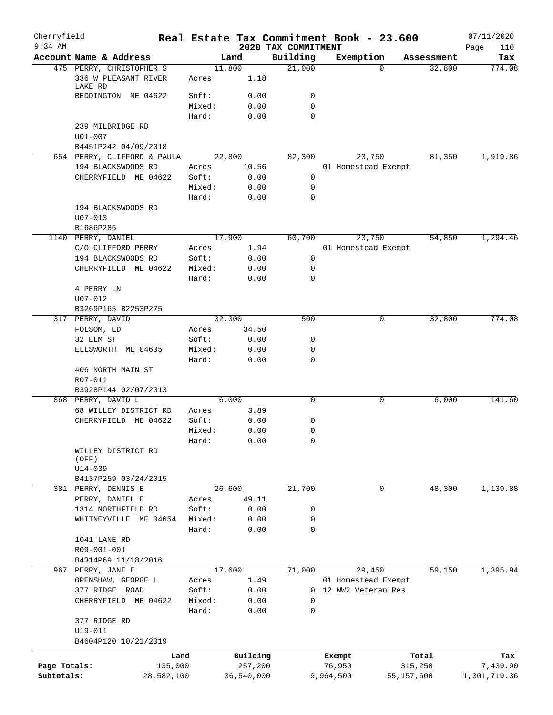| Cherryfield<br>$9:34$ AM |                                 |            |                 |              | Real Estate Tax Commitment Book - 23.600<br>2020 TAX COMMITMENT |          |                                           |            |            | 07/11/2020         |
|--------------------------|---------------------------------|------------|-----------------|--------------|-----------------------------------------------------------------|----------|-------------------------------------------|------------|------------|--------------------|
|                          | Account Name & Address          |            |                 | Land         | Building                                                        |          | Exemption                                 |            | Assessment | Page<br>110<br>Tax |
|                          | 475 PERRY, CHRISTOPHER S        |            |                 | 11,800       | 21,000                                                          |          | $\Omega$                                  |            | 32,800     | 774.08             |
|                          | 336 W PLEASANT RIVER<br>LAKE RD |            | Acres           | 1.18         |                                                                 |          |                                           |            |            |                    |
|                          | BEDDINGTON ME 04622             |            | Soft:           | 0.00         | 0                                                               |          |                                           |            |            |                    |
|                          |                                 |            | Mixed:          | 0.00         | $\mathbf 0$                                                     |          |                                           |            |            |                    |
|                          |                                 |            | Hard:           | 0.00         | 0                                                               |          |                                           |            |            |                    |
|                          | 239 MILBRIDGE RD                |            |                 |              |                                                                 |          |                                           |            |            |                    |
|                          | $U01 - 007$                     |            |                 |              |                                                                 |          |                                           |            |            |                    |
|                          | B4451P242 04/09/2018            |            |                 |              |                                                                 |          |                                           |            |            |                    |
|                          | 654 PERRY, CLIFFORD & PAULA     |            |                 | 22,800       | 82,300                                                          |          | 23,750                                    |            | 81,350     | 1,919.86           |
|                          | 194 BLACKSWOODS RD              |            | Acres           | 10.56        | 0                                                               |          | 01 Homestead Exempt                       |            |            |                    |
|                          | CHERRYFIELD ME 04622            |            | Soft:<br>Mixed: | 0.00<br>0.00 | 0                                                               |          |                                           |            |            |                    |
|                          |                                 |            | Hard:           | 0.00         | 0                                                               |          |                                           |            |            |                    |
|                          | 194 BLACKSWOODS RD              |            |                 |              |                                                                 |          |                                           |            |            |                    |
|                          | $U07 - 013$                     |            |                 |              |                                                                 |          |                                           |            |            |                    |
|                          | B1686P286                       |            |                 |              |                                                                 |          |                                           |            |            |                    |
|                          | 1140 PERRY, DANIEL              |            |                 | 17,900       | 60,700                                                          |          | 23,750                                    |            | 54,850     | 1,294.46           |
|                          | C/O CLIFFORD PERRY              |            | Acres           | 1.94         |                                                                 |          | 01 Homestead Exempt                       |            |            |                    |
|                          | 194 BLACKSWOODS RD              |            | Soft:           | 0.00         | 0                                                               |          |                                           |            |            |                    |
|                          | CHERRYFIELD ME 04622            |            | Mixed:          | 0.00         | 0                                                               |          |                                           |            |            |                    |
|                          |                                 |            | Hard:           | 0.00         | 0                                                               |          |                                           |            |            |                    |
|                          | 4 PERRY LN                      |            |                 |              |                                                                 |          |                                           |            |            |                    |
|                          | $U07 - 012$                     |            |                 |              |                                                                 |          |                                           |            |            |                    |
|                          | B3269P165 B2253P275             |            |                 |              |                                                                 |          |                                           |            |            |                    |
|                          | 317 PERRY, DAVID                |            |                 | 32,300       | 500                                                             |          | 0                                         |            | 32,800     | 774.08             |
|                          | FOLSOM, ED                      |            | Acres           | 34.50        |                                                                 |          |                                           |            |            |                    |
|                          | 32 ELM ST                       |            | Soft:           | 0.00         | 0                                                               |          |                                           |            |            |                    |
|                          | ELLSWORTH ME 04605              |            | Mixed:          | 0.00         | 0                                                               |          |                                           |            |            |                    |
|                          |                                 |            | Hard:           | 0.00         | 0                                                               |          |                                           |            |            |                    |
|                          | 406 NORTH MAIN ST               |            |                 |              |                                                                 |          |                                           |            |            |                    |
|                          | R07-011                         |            |                 |              |                                                                 |          |                                           |            |            |                    |
|                          | B3928P144 02/07/2013            |            |                 |              |                                                                 |          |                                           |            |            |                    |
|                          | 868 PERRY, DAVID L              |            |                 | 6,000        | $\mathbf 0$                                                     |          | 0                                         |            | 6,000      | 141.60             |
|                          | 68 WILLEY DISTRICT RD           |            | Acres           | 3.89         |                                                                 |          |                                           |            |            |                    |
|                          | CHERRYFIELD ME 04622            |            | Soft:<br>Mixed: | 0.00         | 0<br>0                                                          |          |                                           |            |            |                    |
|                          |                                 |            | Hard:           | 0.00<br>0.00 | 0                                                               |          |                                           |            |            |                    |
|                          | WILLEY DISTRICT RD              |            |                 |              |                                                                 |          |                                           |            |            |                    |
|                          | (OFF)                           |            |                 |              |                                                                 |          |                                           |            |            |                    |
|                          | U14-039                         |            |                 |              |                                                                 |          |                                           |            |            |                    |
|                          | B4137P259 03/24/2015            |            |                 |              |                                                                 |          |                                           |            |            |                    |
|                          | 381 PERRY, DENNIS E             |            |                 | 26,600       | 21,700                                                          |          | $\mathbf 0$                               |            | 48,300     | 1,139.88           |
|                          | PERRY, DANIEL E                 |            | Acres           | 49.11        |                                                                 |          |                                           |            |            |                    |
|                          | 1314 NORTHFIELD RD              |            | Soft:           | 0.00         | 0                                                               |          |                                           |            |            |                    |
|                          | WHITNEYVILLE                    | ME 04654   | Mixed:          | 0.00         | 0                                                               |          |                                           |            |            |                    |
|                          |                                 |            | Hard:           | 0.00         | $\mathbf 0$                                                     |          |                                           |            |            |                    |
|                          | 1041 LANE RD                    |            |                 |              |                                                                 |          |                                           |            |            |                    |
|                          | R09-001-001                     |            |                 |              |                                                                 |          |                                           |            |            |                    |
|                          | B4314P69 11/18/2016             |            |                 |              |                                                                 |          |                                           |            |            |                    |
|                          | 967 PERRY, JANE E               |            |                 | 17,600       | 71,000                                                          |          | 29,450                                    |            | 59,150     | 1,395.94           |
|                          | OPENSHAW, GEORGE L              |            | Acres<br>Soft:  | 1.49         |                                                                 | $\Omega$ | 01 Homestead Exempt<br>12 WW2 Veteran Res |            |            |                    |
|                          | 377 RIDGE ROAD                  |            |                 | 0.00         | 0                                                               |          |                                           |            |            |                    |
|                          | CHERRYFIELD ME 04622            |            | Mixed:<br>Hard: | 0.00<br>0.00 | $\mathbf 0$                                                     |          |                                           |            |            |                    |
|                          | 377 RIDGE RD                    |            |                 |              |                                                                 |          |                                           |            |            |                    |
|                          | U19-011                         |            |                 |              |                                                                 |          |                                           |            |            |                    |
|                          | B4604P120 10/21/2019            |            |                 |              |                                                                 |          |                                           |            |            |                    |
|                          |                                 |            |                 |              |                                                                 |          |                                           |            |            |                    |
|                          |                                 | Land       |                 | Building     |                                                                 |          | Exempt                                    |            | Total      | Tax                |
| Page Totals:             |                                 | 135,000    |                 | 257,200      |                                                                 |          | 76,950                                    |            | 315,250    | 7,439.90           |
| Subtotals:               |                                 | 28,582,100 |                 | 36,540,000   |                                                                 |          | 9,964,500                                 | 55,157,600 |            | 1,301,719.36       |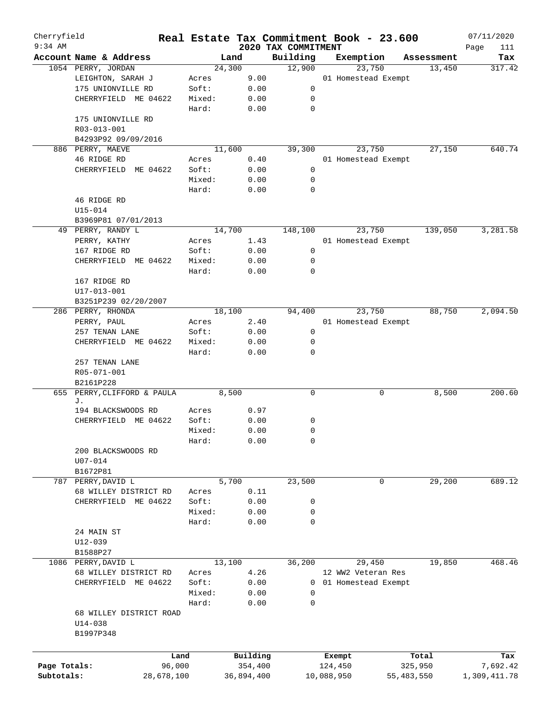| Cherryfield<br>$9:34$ AM |                                                     |        |            |         | Real Estate Tax Commitment Book - 23.600 |            |                     |            |            | 07/11/2020         |
|--------------------------|-----------------------------------------------------|--------|------------|---------|------------------------------------------|------------|---------------------|------------|------------|--------------------|
|                          | Account Name & Address                              |        | Land       |         | 2020 TAX COMMITMENT<br>Building          |            | Exemption           |            | Assessment | Page<br>111<br>Tax |
|                          | 1054 PERRY, JORDAN                                  |        | 24,300     |         | 12,900                                   |            | 23,750              |            | 13,450     | 317.42             |
|                          | LEIGHTON, SARAH J                                   | Acres  |            | 9.00    |                                          |            | 01 Homestead Exempt |            |            |                    |
|                          | 175 UNIONVILLE RD                                   | Soft:  |            | 0.00    | 0                                        |            |                     |            |            |                    |
|                          | CHERRYFIELD ME 04622                                | Mixed: |            | 0.00    | 0                                        |            |                     |            |            |                    |
|                          |                                                     | Hard:  |            | 0.00    | $\mathbf 0$                              |            |                     |            |            |                    |
|                          | 175 UNIONVILLE RD                                   |        |            |         |                                          |            |                     |            |            |                    |
|                          |                                                     |        |            |         |                                          |            |                     |            |            |                    |
|                          | R03-013-001                                         |        |            |         |                                          |            |                     |            |            |                    |
|                          | B4293P92 09/09/2016                                 |        | 11,600     |         |                                          |            | 23,750              |            | 27,150     | 640.74             |
|                          | 886 PERRY, MAEVE<br>46 RIDGE RD                     |        |            |         | 39,300                                   |            |                     |            |            |                    |
|                          |                                                     | Acres  |            | 0.40    |                                          |            | 01 Homestead Exempt |            |            |                    |
|                          | CHERRYFIELD ME 04622                                | Soft:  |            | 0.00    | 0                                        |            |                     |            |            |                    |
|                          |                                                     | Mixed: |            | 0.00    | 0                                        |            |                     |            |            |                    |
|                          |                                                     | Hard:  |            | 0.00    | $\mathbf 0$                              |            |                     |            |            |                    |
|                          | 46 RIDGE RD                                         |        |            |         |                                          |            |                     |            |            |                    |
|                          | U15-014                                             |        |            |         |                                          |            |                     |            |            |                    |
|                          | B3969P81 07/01/2013                                 |        |            |         |                                          |            |                     |            |            |                    |
|                          | 49 PERRY, RANDY L                                   |        | 14,700     |         | 148,100                                  |            | 23,750              |            | 139,050    | 3,281.58           |
|                          | PERRY, KATHY                                        | Acres  |            | 1.43    |                                          |            | 01 Homestead Exempt |            |            |                    |
|                          | 167 RIDGE RD                                        | Soft:  |            | 0.00    | 0                                        |            |                     |            |            |                    |
|                          | CHERRYFIELD ME 04622                                | Mixed: |            | 0.00    | 0                                        |            |                     |            |            |                    |
|                          |                                                     | Hard:  |            | 0.00    | 0                                        |            |                     |            |            |                    |
|                          | 167 RIDGE RD                                        |        |            |         |                                          |            |                     |            |            |                    |
|                          | U17-013-001                                         |        |            |         |                                          |            |                     |            |            |                    |
|                          | B3251P239 02/20/2007                                |        |            |         |                                          |            |                     |            |            |                    |
|                          | 286 PERRY, RHONDA                                   |        | 18,100     |         | 94,400                                   |            | 23,750              |            | 88,750     | 2,094.50           |
|                          | PERRY, PAUL                                         | Acres  |            | 2.40    |                                          |            | 01 Homestead Exempt |            |            |                    |
|                          | 257 TENAN LANE                                      | Soft:  |            | 0.00    | 0                                        |            |                     |            |            |                    |
|                          | CHERRYFIELD ME 04622                                | Mixed: |            | 0.00    | 0                                        |            |                     |            |            |                    |
|                          |                                                     | Hard:  |            | 0.00    | 0                                        |            |                     |            |            |                    |
|                          | 257 TENAN LANE<br>R05-071-001                       |        |            |         |                                          |            |                     |            |            |                    |
|                          | B2161P228                                           |        |            |         |                                          |            |                     |            |            |                    |
| 655                      | PERRY, CLIFFORD & PAULA                             |        | 8,500      |         | $\mathbf 0$                              |            | 0                   |            | 8,500      | 200.60             |
|                          | J.                                                  |        |            |         |                                          |            |                     |            |            |                    |
|                          | 194 BLACKSWOODS RD                                  | Acres  |            | 0.97    |                                          |            |                     |            |            |                    |
|                          | CHERRYFIELD ME 04622                                | Soft:  |            | 0.00    | 0                                        |            |                     |            |            |                    |
|                          |                                                     | Mixed: |            | 0.00    | 0                                        |            |                     |            |            |                    |
|                          |                                                     | Hard:  |            | 0.00    | 0                                        |            |                     |            |            |                    |
|                          | 200 BLACKSWOODS RD                                  |        |            |         |                                          |            |                     |            |            |                    |
|                          | $U07 - 014$                                         |        |            |         |                                          |            |                     |            |            |                    |
|                          | B1672P81                                            |        |            |         |                                          |            |                     |            |            |                    |
|                          | 787 PERRY, DAVID L                                  |        | 5,700      |         | 23,500                                   |            | 0                   |            | 29,200     | 689.12             |
|                          | 68 WILLEY DISTRICT RD                               | Acres  |            | 0.11    |                                          |            |                     |            |            |                    |
|                          | CHERRYFIELD ME 04622                                | Soft:  |            | 0.00    | 0                                        |            |                     |            |            |                    |
|                          |                                                     | Mixed: |            | 0.00    | 0                                        |            |                     |            |            |                    |
|                          |                                                     | Hard:  |            | 0.00    | $\mathbf 0$                              |            |                     |            |            |                    |
|                          | 24 MAIN ST                                          |        |            |         |                                          |            |                     |            |            |                    |
|                          | $U12 - 039$                                         |        |            |         |                                          |            |                     |            |            |                    |
|                          | B1588P27                                            |        |            |         |                                          |            |                     |            |            |                    |
|                          | 1086 PERRY, DAVID L                                 |        | 13,100     |         | 36,200                                   |            | 29,450              |            | 19,850     | 468.46             |
|                          | 68 WILLEY DISTRICT RD                               | Acres  |            | 4.26    |                                          |            | 12 WW2 Veteran Res  |            |            |                    |
|                          | CHERRYFIELD ME 04622                                | Soft:  |            | 0.00    | $\mathbf{0}$                             |            | 01 Homestead Exempt |            |            |                    |
|                          |                                                     | Mixed: |            | 0.00    | 0                                        |            |                     |            |            |                    |
|                          |                                                     | Hard:  |            | 0.00    | 0                                        |            |                     |            |            |                    |
|                          | 68 WILLEY DISTRICT ROAD<br>$U14 - 038$<br>B1997P348 |        |            |         |                                          |            |                     |            |            |                    |
|                          |                                                     |        |            |         |                                          |            |                     |            |            |                    |
|                          | Land                                                |        | Building   |         |                                          | Exempt     |                     |            | Total      | Tax                |
| Page Totals:             | 96,000                                              |        |            | 354,400 |                                          | 124,450    |                     |            | 325,950    | 7,692.42           |
| Subtotals:               | 28,678,100                                          |        | 36,894,400 |         |                                          | 10,088,950 |                     | 55,483,550 |            | 1,309,411.78       |
|                          |                                                     |        |            |         |                                          |            |                     |            |            |                    |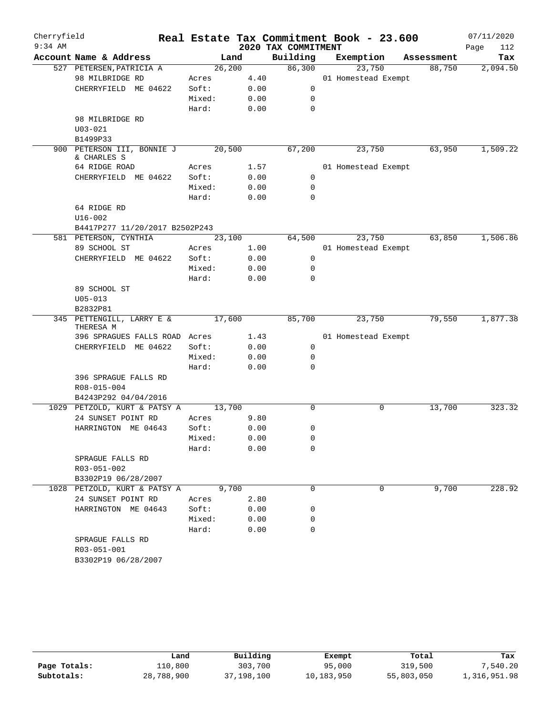| Cherryfield |                                        |                 |      |                     | Real Estate Tax Commitment Book - 23.600 |            | 07/11/2020  |
|-------------|----------------------------------------|-----------------|------|---------------------|------------------------------------------|------------|-------------|
| $9:34$ AM   |                                        |                 |      | 2020 TAX COMMITMENT |                                          |            | Page<br>112 |
|             | Account Name & Address                 | Land            |      | Building            | Exemption                                | Assessment | Tax         |
|             | 527 PETERSEN, PATRICIA A               | 26, 200         |      | 86,300              | 23,750                                   | 88,750     | 2,094.50    |
|             | 98 MILBRIDGE RD                        | Acres           | 4.40 |                     | 01 Homestead Exempt                      |            |             |
|             | CHERRYFIELD ME 04622                   | Soft:           | 0.00 | 0                   |                                          |            |             |
|             |                                        | Mixed:          | 0.00 | 0                   |                                          |            |             |
|             |                                        | Hard:           | 0.00 | 0                   |                                          |            |             |
|             | 98 MILBRIDGE RD                        |                 |      |                     |                                          |            |             |
|             | $U03 - 021$                            |                 |      |                     |                                          |            |             |
|             | B1499P33<br>900 PETERSON III, BONNIE J | 20,500          |      | 67,200              | 23,750                                   | 63,950     | 1,509.22    |
|             | & CHARLES S                            |                 |      |                     |                                          |            |             |
|             | 64 RIDGE ROAD                          | Acres           | 1.57 |                     | 01 Homestead Exempt                      |            |             |
|             | CHERRYFIELD ME 04622                   | Soft:           | 0.00 | 0                   |                                          |            |             |
|             |                                        | Mixed:          | 0.00 | 0                   |                                          |            |             |
|             |                                        | Hard:           | 0.00 | $\mathbf 0$         |                                          |            |             |
|             | 64 RIDGE RD                            |                 |      |                     |                                          |            |             |
|             | $U16 - 002$                            |                 |      |                     |                                          |            |             |
|             | B4417P277 11/20/2017 B2502P243         |                 |      |                     |                                          |            |             |
|             | 581 PETERSON, CYNTHIA                  | 23,100          |      | 64,500              | 23,750                                   | 63,850     | 1,506.86    |
|             | 89 SCHOOL ST                           | Acres           | 1.00 |                     | 01 Homestead Exempt                      |            |             |
|             | CHERRYFIELD ME 04622                   | Soft:           | 0.00 | 0                   |                                          |            |             |
|             |                                        | Mixed:          | 0.00 | 0                   |                                          |            |             |
|             |                                        | Hard:           | 0.00 | 0                   |                                          |            |             |
|             | 89 SCHOOL ST                           |                 |      |                     |                                          |            |             |
|             | $U05 - 013$                            |                 |      |                     |                                          |            |             |
|             | B2832P81                               |                 |      |                     |                                          |            |             |
|             | 345 PETTENGILL, LARRY E &<br>THERESA M | 17,600          |      | 85,700              | 23,750                                   | 79,550     | 1,877.38    |
|             | 396 SPRAGUES FALLS ROAD Acres          |                 | 1.43 |                     | 01 Homestead Exempt                      |            |             |
|             | CHERRYFIELD ME 04622                   | Soft:           | 0.00 | 0                   |                                          |            |             |
|             |                                        | Mixed:          | 0.00 | 0                   |                                          |            |             |
|             |                                        | Hard:           | 0.00 | 0                   |                                          |            |             |
|             | 396 SPRAGUE FALLS RD                   |                 |      |                     |                                          |            |             |
|             | R08-015-004                            |                 |      |                     |                                          |            |             |
|             | B4243P292 04/04/2016                   |                 |      |                     |                                          |            |             |
|             | 1029 PETZOLD, KURT & PATSY A           | 13,700          |      | 0                   | 0                                        | 13,700     | 323.32      |
|             | 24 SUNSET POINT RD                     | Acres           | 9.80 |                     |                                          |            |             |
|             | HARRINGTON ME 04643                    | Soft:           | 0.00 | 0                   |                                          |            |             |
|             |                                        | Mixed:          | 0.00 | 0                   |                                          |            |             |
|             |                                        | Hard:           | 0.00 | 0                   |                                          |            |             |
|             | SPRAGUE FALLS RD                       |                 |      |                     |                                          |            |             |
|             | R03-051-002                            |                 |      |                     |                                          |            |             |
|             | B3302P19 06/28/2007                    |                 |      |                     |                                          |            |             |
|             | 1028 PETZOLD, KURT & PATSY A           | 9,700           |      | 0                   | 0                                        | 9,700      | 228.92      |
|             | 24 SUNSET POINT RD                     | Acres           | 2.80 |                     |                                          |            |             |
|             | HARRINGTON ME 04643                    | Soft:           | 0.00 | 0                   |                                          |            |             |
|             |                                        | Mixed:<br>Hard: | 0.00 | 0<br>$\Omega$       |                                          |            |             |
|             | SPRAGUE FALLS RD                       |                 | 0.00 |                     |                                          |            |             |
|             | R03-051-001                            |                 |      |                     |                                          |            |             |
|             | B3302P19 06/28/2007                    |                 |      |                     |                                          |            |             |
|             |                                        |                 |      |                     |                                          |            |             |

|              | Land       | Building   | Exempt     | Total      | Tax          |
|--------------|------------|------------|------------|------------|--------------|
| Page Totals: | 110,800    | 303,700    | 95,000     | 319,500    | 7,540.20     |
| Subtotals:   | 28,788,900 | 37,198,100 | 10,183,950 | 55,803,050 | 1,316,951.98 |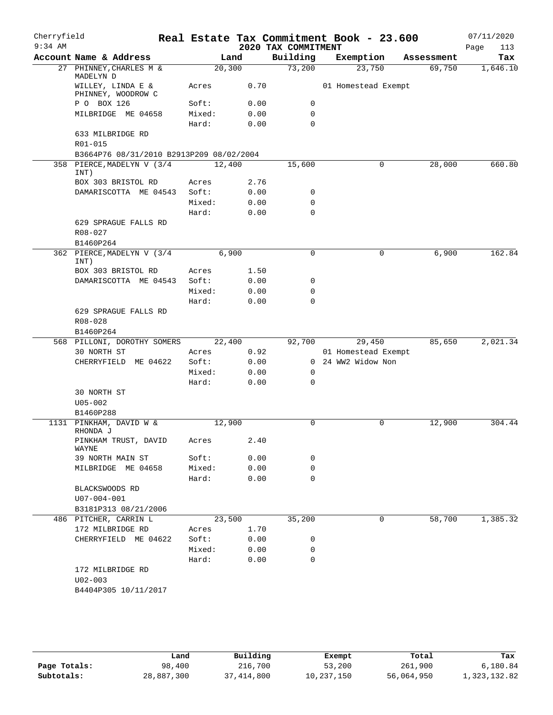| Cherryfield<br>$9:34$ AM |                                           |                |       | 2020 TAX COMMITMENT | Real Estate Tax Commitment Book - 23.600 |            | 07/11/2020<br>113<br>Page |
|--------------------------|-------------------------------------------|----------------|-------|---------------------|------------------------------------------|------------|---------------------------|
|                          | Account Name & Address                    |                | Land  | Building            | Exemption                                | Assessment | Tax                       |
|                          | 27 PHINNEY, CHARLES M &<br>MADELYN D      | 20, 300        |       | 73,200              | 23,750                                   | 69,750     | 1,646.10                  |
|                          | WILLEY, LINDA E &<br>PHINNEY, WOODROW C   | Acres          | 0.70  |                     | 01 Homestead Exempt                      |            |                           |
|                          | P O BOX 126                               | Soft:          | 0.00  | 0                   |                                          |            |                           |
|                          | MILBRIDGE ME 04658                        | Mixed:         | 0.00  | 0                   |                                          |            |                           |
|                          |                                           | Hard:          | 0.00  | $\Omega$            |                                          |            |                           |
|                          | 633 MILBRIDGE RD<br>R01-015               |                |       |                     |                                          |            |                           |
|                          | B3664P76 08/31/2010 B2913P209 08/02/2004  |                |       |                     |                                          |            |                           |
| 358                      | PIERCE, MADELYN V (3/4<br>INT)            | 12,400         |       | 15,600              | 0                                        | 28,000     | 660.80                    |
|                          | BOX 303 BRISTOL RD                        | Acres          | 2.76  |                     |                                          |            |                           |
|                          | DAMARISCOTTA ME 04543                     | Soft:          | 0.00  | 0                   |                                          |            |                           |
|                          |                                           | Mixed:         | 0.00  | $\mathbf 0$         |                                          |            |                           |
|                          |                                           | Hard:          | 0.00  | $\Omega$            |                                          |            |                           |
|                          | 629 SPRAGUE FALLS RD<br>$R08 - 027$       |                |       |                     |                                          |            |                           |
|                          | B1460P264<br>PIERCE, MADELYN V (3/4       |                | 6,900 | 0                   | $\mathbf 0$                              | 6,900      | 162.84                    |
| 362                      | INT)<br>BOX 303 BRISTOL RD                | Acres          | 1.50  |                     |                                          |            |                           |
|                          | DAMARISCOTTA ME 04543                     | Soft:          | 0.00  | 0                   |                                          |            |                           |
|                          |                                           | Mixed:         | 0.00  | $\mathbf 0$         |                                          |            |                           |
|                          |                                           | Hard:          | 0.00  | 0                   |                                          |            |                           |
|                          | 629 SPRAGUE FALLS RD                      |                |       |                     |                                          |            |                           |
|                          | R08-028                                   |                |       |                     |                                          |            |                           |
|                          | B1460P264                                 |                |       |                     |                                          |            |                           |
|                          | 568 PILLONI, DOROTHY SOMERS               | 22,400         |       | 92,700              | 29,450                                   | 85,650     | 2,021.34                  |
|                          | 30 NORTH ST                               | Acres          | 0.92  |                     | 01 Homestead Exempt                      |            |                           |
|                          | CHERRYFIELD ME 04622                      | Soft:          | 0.00  | $\mathbf{0}$        | 24 WW2 Widow Non                         |            |                           |
|                          |                                           | Mixed:         | 0.00  | 0                   |                                          |            |                           |
|                          |                                           | Hard:          | 0.00  | 0                   |                                          |            |                           |
|                          | 30 NORTH ST                               |                |       |                     |                                          |            |                           |
|                          | $U05 - 002$                               |                |       |                     |                                          |            |                           |
|                          | B1460P288                                 |                |       |                     |                                          |            |                           |
|                          | 1131 PINKHAM, DAVID W &<br>RHONDA J       | 12,900         |       | 0                   | $\mathsf{O}$                             | 12,900     | 304.44                    |
|                          | PINKHAM TRUST, DAVID<br>WAYNE             | Acres          | 2.40  |                     |                                          |            |                           |
|                          | 39 NORTH MAIN ST                          | Soft:          | 0.00  | 0                   |                                          |            |                           |
|                          | MILBRIDGE ME 04658                        | Mixed:         | 0.00  | 0                   |                                          |            |                           |
|                          | BLACKSWOODS RD                            | Hard:          | 0.00  | $\Omega$            |                                          |            |                           |
|                          | $U07 - 004 - 001$<br>B3181P313 08/21/2006 |                |       |                     |                                          |            |                           |
|                          | 486 PITCHER, CARRIN L                     | 23,500         |       | 35,200              | 0                                        | 58,700     | 1,385.32                  |
|                          | 172 MILBRIDGE RD                          |                | 1.70  |                     |                                          |            |                           |
|                          | CHERRYFIELD ME 04622                      | Acres<br>Soft: | 0.00  | 0                   |                                          |            |                           |
|                          |                                           | Mixed:         | 0.00  | 0                   |                                          |            |                           |
|                          |                                           | Hard:          | 0.00  | 0                   |                                          |            |                           |
|                          | 172 MILBRIDGE RD                          |                |       |                     |                                          |            |                           |
|                          | $U02 - 003$<br>B4404P305 10/11/2017       |                |       |                     |                                          |            |                           |
|                          |                                           |                |       |                     |                                          |            |                           |

|              | Land       | Building   | Exempt     | Total      | Tax          |
|--------------|------------|------------|------------|------------|--------------|
| Page Totals: | 98,400     | 216,700    | 53,200     | 261,900    | 6,180.84     |
| Subtotals:   | 28,887,300 | 37,414,800 | 10,237,150 | 56,064,950 | 1,323,132.82 |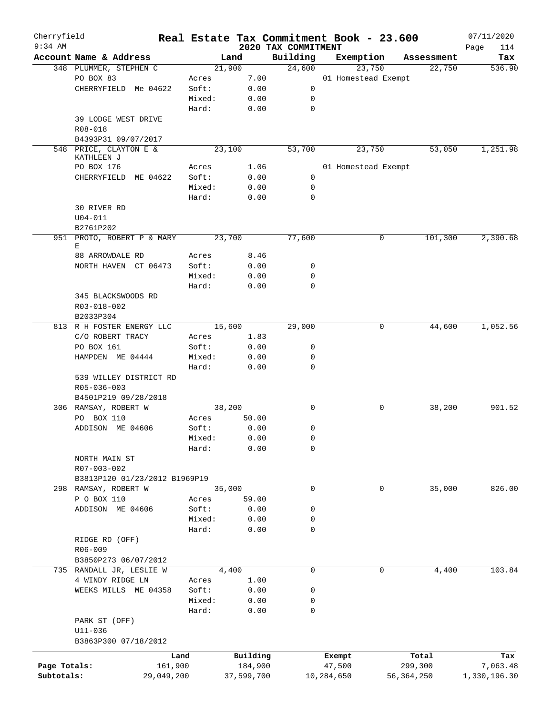| Cherryfield<br>$9:34$ AM |                               |                 |            |                                 | Real Estate Tax Commitment Book - 23.600 |              | 07/11/2020         |
|--------------------------|-------------------------------|-----------------|------------|---------------------------------|------------------------------------------|--------------|--------------------|
|                          | Account Name & Address        |                 | Land       | 2020 TAX COMMITMENT<br>Building | Exemption                                | Assessment   | Page<br>114<br>Tax |
|                          | 348 PLUMMER, STEPHEN C        |                 | 21,900     | 24,600                          | 23,750                                   | 22,750       | 536.90             |
|                          | PO BOX 83                     | Acres           | 7.00       |                                 | 01 Homestead Exempt                      |              |                    |
|                          | CHERRYFIELD Me 04622          | Soft:           | 0.00       | 0                               |                                          |              |                    |
|                          |                               | Mixed:          | 0.00       | 0                               |                                          |              |                    |
|                          |                               | Hard:           | 0.00       | 0                               |                                          |              |                    |
|                          | 39 LODGE WEST DRIVE           |                 |            |                                 |                                          |              |                    |
|                          | R08-018                       |                 |            |                                 |                                          |              |                    |
|                          | B4393P31 09/07/2017           |                 |            |                                 |                                          |              |                    |
|                          | 548 PRICE, CLAYTON E &        |                 | 23,100     | 53,700                          | 23,750                                   | 53,050       | 1,251.98           |
|                          | KATHLEEN J                    |                 |            |                                 |                                          |              |                    |
|                          | PO BOX 176                    | Acres           | 1.06       |                                 | 01 Homestead Exempt                      |              |                    |
|                          | CHERRYFIELD ME 04622          | Soft:           | 0.00       | $\mathbf 0$                     |                                          |              |                    |
|                          |                               | Mixed:          | 0.00       | 0                               |                                          |              |                    |
|                          |                               | Hard:           | 0.00       | 0                               |                                          |              |                    |
|                          | 30 RIVER RD                   |                 |            |                                 |                                          |              |                    |
|                          | $U04 - 011$                   |                 |            |                                 |                                          |              |                    |
|                          | B2761P202                     |                 |            |                                 |                                          |              |                    |
|                          | 951 PROTO, ROBERT P & MARY    |                 | 23,700     | 77,600                          |                                          | 0<br>101,300 | 2,390.68           |
|                          | Е                             |                 |            |                                 |                                          |              |                    |
|                          | 88 ARROWDALE RD               | Acres           | 8.46       |                                 |                                          |              |                    |
|                          | NORTH HAVEN CT 06473          | Soft:<br>Mixed: | 0.00       | 0<br>0                          |                                          |              |                    |
|                          |                               | Hard:           | 0.00       | $\Omega$                        |                                          |              |                    |
|                          | 345 BLACKSWOODS RD            |                 | 0.00       |                                 |                                          |              |                    |
|                          | R03-018-002                   |                 |            |                                 |                                          |              |                    |
|                          | B2033P304                     |                 |            |                                 |                                          |              |                    |
|                          | 813 R H FOSTER ENERGY LLC     |                 | 15,600     | 29,000                          |                                          | 0<br>44,600  | 1,052.56           |
|                          | C/O ROBERT TRACY              | Acres           | 1.83       |                                 |                                          |              |                    |
|                          | PO BOX 161                    | Soft:           | 0.00       | 0                               |                                          |              |                    |
|                          | HAMPDEN ME 04444              | Mixed:          | 0.00       | 0                               |                                          |              |                    |
|                          |                               | Hard:           | 0.00       | 0                               |                                          |              |                    |
|                          | 539 WILLEY DISTRICT RD        |                 |            |                                 |                                          |              |                    |
|                          | R05-036-003                   |                 |            |                                 |                                          |              |                    |
|                          | B4501P219 09/28/2018          |                 |            |                                 |                                          |              |                    |
|                          | 306 RAMSAY, ROBERT W          |                 | 38,200     | 0                               |                                          | 38,200<br>0  | 901.52             |
|                          | PO BOX 110                    | Acres           | 50.00      |                                 |                                          |              |                    |
|                          | ADDISON ME 04606              | Soft:           | 0.00       | 0                               |                                          |              |                    |
|                          |                               | Mixed:          | 0.00       | 0                               |                                          |              |                    |
|                          |                               | Hard:           | 0.00       | 0                               |                                          |              |                    |
|                          | NORTH MAIN ST                 |                 |            |                                 |                                          |              |                    |
|                          | R07-003-002                   |                 |            |                                 |                                          |              |                    |
|                          | B3813P120 01/23/2012 B1969P19 |                 |            |                                 |                                          |              |                    |
|                          | 298 RAMSAY, ROBERT W          |                 | 35,000     | 0                               |                                          | 35,000<br>0  | 826.00             |
|                          | P O BOX 110                   | Acres           | 59.00      |                                 |                                          |              |                    |
|                          | ADDISON ME 04606              | Soft:           | 0.00       | 0                               |                                          |              |                    |
|                          |                               | Mixed:          | 0.00       | 0                               |                                          |              |                    |
|                          |                               | Hard:           | 0.00       | 0                               |                                          |              |                    |
|                          | RIDGE RD (OFF)                |                 |            |                                 |                                          |              |                    |
|                          | $R06 - 009$                   |                 |            |                                 |                                          |              |                    |
|                          | B3850P273 06/07/2012          |                 |            |                                 |                                          |              |                    |
|                          | 735 RANDALL JR, LESLIE W      |                 | 4,400      | 0                               |                                          | 0<br>4,400   | 103.84             |
|                          | 4 WINDY RIDGE LN              | Acres           | 1.00       |                                 |                                          |              |                    |
|                          | WEEKS MILLS ME 04358          | Soft:           | 0.00       | 0                               |                                          |              |                    |
|                          |                               | Mixed:          | 0.00       | 0                               |                                          |              |                    |
|                          |                               | Hard:           | 0.00       | 0                               |                                          |              |                    |
|                          | PARK ST (OFF)                 |                 |            |                                 |                                          |              |                    |
|                          | $U11 - 036$                   |                 |            |                                 |                                          |              |                    |
|                          | B3863P300 07/18/2012          |                 |            |                                 |                                          |              |                    |
|                          |                               | Land            | Building   |                                 | Exempt                                   | Total        | Tax                |
| Page Totals:             | 161,900                       |                 | 184,900    |                                 | 47,500                                   | 299,300      | 7,063.48           |
| Subtotals:               | 29,049,200                    |                 | 37,599,700 |                                 | 10,284,650                               | 56,364,250   | 1,330,196.30       |
|                          |                               |                 |            |                                 |                                          |              |                    |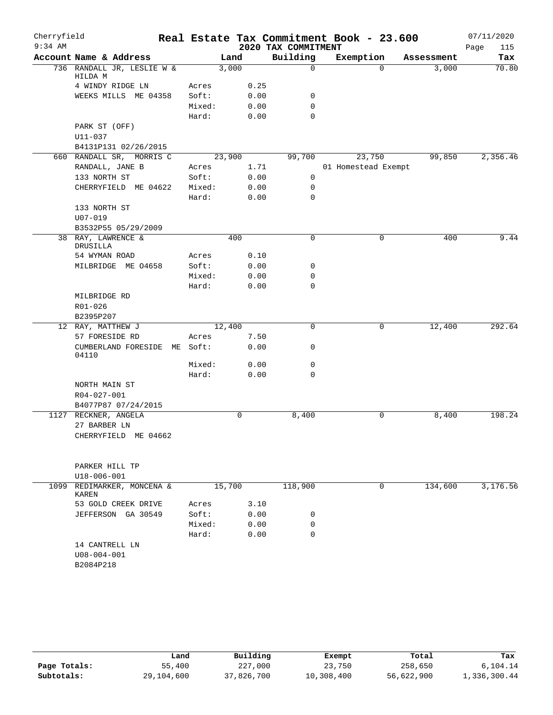| Cherryfield |                                           |          |      |                     | Real Estate Tax Commitment Book - 23.600 |            | 07/11/2020  |
|-------------|-------------------------------------------|----------|------|---------------------|------------------------------------------|------------|-------------|
| $9:34$ AM   |                                           |          |      | 2020 TAX COMMITMENT |                                          |            | Page<br>115 |
|             | Account Name & Address                    | Land     |      | Building            | Exemption                                | Assessment | Tax         |
|             | 736 RANDALL JR, LESLIE W &<br>HILDA M     | 3,000    |      | $\mathbf 0$         | $\Omega$                                 | 3,000      | 70.80       |
|             | 4 WINDY RIDGE LN                          | Acres    | 0.25 |                     |                                          |            |             |
|             | WEEKS MILLS ME 04358                      | Soft:    | 0.00 | 0                   |                                          |            |             |
|             |                                           | Mixed:   | 0.00 | 0                   |                                          |            |             |
|             |                                           | Hard:    | 0.00 | $\Omega$            |                                          |            |             |
|             | PARK ST (OFF)                             |          |      |                     |                                          |            |             |
|             | U11-037                                   |          |      |                     |                                          |            |             |
|             | B4131P131 02/26/2015                      |          |      |                     |                                          |            |             |
|             | 660 RANDALL SR, MORRIS C                  | 23,900   |      | 99,700              | 23,750                                   | 99,850     | 2,356.46    |
|             | RANDALL, JANE B                           | Acres    | 1.71 |                     | 01 Homestead Exempt                      |            |             |
|             | 133 NORTH ST                              | Soft:    | 0.00 | 0                   |                                          |            |             |
|             | CHERRYFIELD ME 04622                      | Mixed:   | 0.00 | 0                   |                                          |            |             |
|             |                                           | Hard:    | 0.00 | 0                   |                                          |            |             |
|             | 133 NORTH ST                              |          |      |                     |                                          |            |             |
|             | $U07 - 019$                               |          |      |                     |                                          |            |             |
|             | B3532P55 05/29/2009<br>38 RAY, LAWRENCE & |          | 400  | 0                   | 0                                        | 400        | 9.44        |
|             | DRUSILLA<br>54 WYMAN ROAD                 | Acres    | 0.10 |                     |                                          |            |             |
|             | MILBRIDGE ME 04658                        | Soft:    | 0.00 | 0                   |                                          |            |             |
|             |                                           | Mixed:   | 0.00 | 0                   |                                          |            |             |
|             |                                           | Hard:    | 0.00 | $\mathbf 0$         |                                          |            |             |
|             | MILBRIDGE RD                              |          |      |                     |                                          |            |             |
|             | R01-026                                   |          |      |                     |                                          |            |             |
|             | B2395P207                                 |          |      |                     |                                          |            |             |
|             | 12 RAY, MATTHEW J                         | 12,400   |      | 0                   | 0                                        | 12,400     | 292.64      |
|             | 57 FORESIDE RD                            | Acres    | 7.50 |                     |                                          |            |             |
|             | CUMBERLAND FORESIDE<br>04110              | ME Soft: | 0.00 | 0                   |                                          |            |             |
|             |                                           | Mixed:   | 0.00 | 0                   |                                          |            |             |
|             |                                           | Hard:    | 0.00 | 0                   |                                          |            |             |
|             | NORTH MAIN ST                             |          |      |                     |                                          |            |             |
|             | R04-027-001                               |          |      |                     |                                          |            |             |
|             | B4077P87 07/24/2015                       |          |      |                     |                                          |            |             |
|             | 1127 RECKNER, ANGELA                      |          | 0    | 8,400               | $\mathbf 0$                              | 8,400      | 198.24      |
|             | 27 BARBER LN                              |          |      |                     |                                          |            |             |
|             | CHERRYFIELD ME 04662                      |          |      |                     |                                          |            |             |
|             |                                           |          |      |                     |                                          |            |             |
|             | PARKER HILL TP                            |          |      |                     |                                          |            |             |
|             | U18-006-001                               |          |      |                     |                                          |            |             |
| 1099        | REDIMARKER, MONCENA &<br>KAREN            | 15,700   |      | 118,900             | 0                                        | 134,600    | 3,176.56    |
|             | 53 GOLD CREEK DRIVE                       | Acres    | 3.10 |                     |                                          |            |             |
|             | JEFFERSON GA 30549                        | Soft:    | 0.00 | 0                   |                                          |            |             |
|             |                                           | Mixed:   | 0.00 | 0                   |                                          |            |             |
|             |                                           | Hard:    | 0.00 | $\Omega$            |                                          |            |             |
|             | 14 CANTRELL LN                            |          |      |                     |                                          |            |             |
|             | $U08 - 004 - 001$                         |          |      |                     |                                          |            |             |
|             | B2084P218                                 |          |      |                     |                                          |            |             |
|             |                                           |          |      |                     |                                          |            |             |

|              | Land       | Building   | Exempt     | Total      | Tax          |
|--------------|------------|------------|------------|------------|--------------|
| Page Totals: | 55,400     | 227,000    | 23,750     | 258,650    | 6,104.14     |
| Subtotals:   | 29,104,600 | 37,826,700 | 10,308,400 | 56,622,900 | 1,336,300.44 |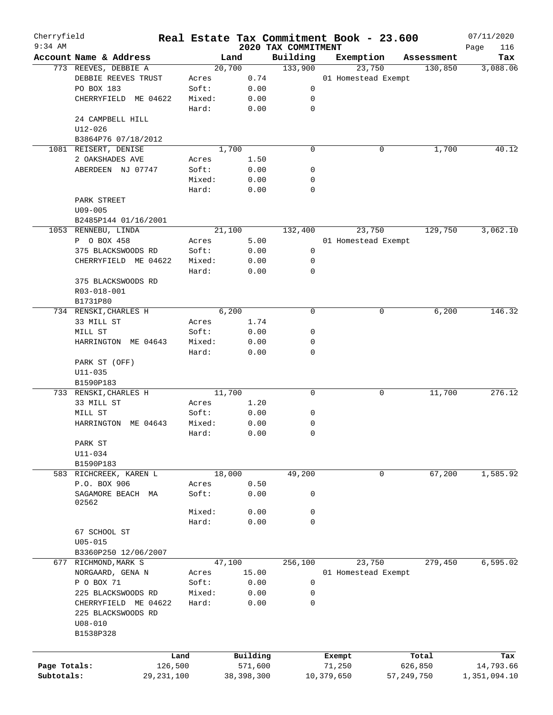| Cherryfield<br>$9:34$ AM |                              |            |        |            |                                 | Real Estate Tax Commitment Book - 23.600 |   |            | 07/11/2020         |
|--------------------------|------------------------------|------------|--------|------------|---------------------------------|------------------------------------------|---|------------|--------------------|
|                          | Account Name & Address       |            |        | Land       | 2020 TAX COMMITMENT<br>Building | Exemption                                |   | Assessment | Page<br>116<br>Tax |
|                          | 773 REEVES, DEBBIE A         |            |        | 20,700     | 133,900                         | 23,750                                   |   | 130,850    | 3,088.06           |
|                          | DEBBIE REEVES TRUST          |            | Acres  | 0.74       |                                 | 01 Homestead Exempt                      |   |            |                    |
|                          | PO BOX 183                   |            | Soft:  | 0.00       | 0                               |                                          |   |            |                    |
|                          | CHERRYFIELD ME 04622         |            | Mixed: | 0.00       | 0                               |                                          |   |            |                    |
|                          |                              |            | Hard:  | 0.00       | $\mathbf 0$                     |                                          |   |            |                    |
|                          | 24 CAMPBELL HILL             |            |        |            |                                 |                                          |   |            |                    |
|                          | $U12 - 026$                  |            |        |            |                                 |                                          |   |            |                    |
|                          | B3864P76 07/18/2012          |            |        |            |                                 |                                          |   |            |                    |
|                          | 1081 REISERT, DENISE         |            |        | 1,700      | $\mathbf 0$                     |                                          | 0 | 1,700      | 40.12              |
|                          | 2 OAKSHADES AVE              |            | Acres  | 1.50       |                                 |                                          |   |            |                    |
|                          | ABERDEEN NJ 07747            |            | Soft:  | 0.00       | 0                               |                                          |   |            |                    |
|                          |                              |            | Mixed: | 0.00       | 0                               |                                          |   |            |                    |
|                          |                              |            | Hard:  | 0.00       | $\mathbf 0$                     |                                          |   |            |                    |
|                          | PARK STREET                  |            |        |            |                                 |                                          |   |            |                    |
|                          | $U09 - 005$                  |            |        |            |                                 |                                          |   |            |                    |
|                          | B2485P144 01/16/2001         |            |        |            |                                 |                                          |   |            |                    |
|                          | 1053 RENNEBU, LINDA          |            |        | 21,100     | 132,400                         | 23,750                                   |   | 129,750    | 3,062.10           |
|                          | P O BOX 458                  |            | Acres  | 5.00       |                                 | 01 Homestead Exempt                      |   |            |                    |
|                          | 375 BLACKSWOODS RD           |            | Soft:  | 0.00       | 0                               |                                          |   |            |                    |
|                          | CHERRYFIELD ME 04622         |            | Mixed: | 0.00       | 0                               |                                          |   |            |                    |
|                          |                              |            | Hard:  | 0.00       | $\mathbf 0$                     |                                          |   |            |                    |
|                          | 375 BLACKSWOODS RD           |            |        |            |                                 |                                          |   |            |                    |
|                          | R03-018-001                  |            |        |            |                                 |                                          |   |            |                    |
|                          | B1731P80                     |            |        |            |                                 |                                          |   |            |                    |
|                          | 734 RENSKI, CHARLES H        |            |        | 6,200      | $\mathbf 0$                     |                                          | 0 | 6,200      | 146.32             |
|                          | 33 MILL ST                   |            | Acres  | 1.74       |                                 |                                          |   |            |                    |
|                          | MILL ST                      |            | Soft:  | 0.00       | 0                               |                                          |   |            |                    |
|                          | HARRINGTON ME 04643          |            | Mixed: | 0.00       | 0                               |                                          |   |            |                    |
|                          |                              |            | Hard:  | 0.00       | $\mathbf 0$                     |                                          |   |            |                    |
|                          | PARK ST (OFF)<br>$U11 - 035$ |            |        |            |                                 |                                          |   |            |                    |
|                          | B1590P183                    |            |        |            |                                 |                                          |   |            |                    |
|                          | 733 RENSKI, CHARLES H        |            |        | 11,700     | 0                               |                                          | 0 | 11,700     | 276.12             |
|                          | 33 MILL ST                   |            | Acres  | 1.20       |                                 |                                          |   |            |                    |
|                          | MILL ST                      |            | Soft:  | 0.00       | 0                               |                                          |   |            |                    |
|                          | HARRINGTON ME 04643          |            | Mixed: | 0.00       | 0                               |                                          |   |            |                    |
|                          |                              |            | Hard:  | 0.00       | $\mathbf 0$                     |                                          |   |            |                    |
|                          | PARK ST                      |            |        |            |                                 |                                          |   |            |                    |
|                          | $U11 - 034$                  |            |        |            |                                 |                                          |   |            |                    |
|                          | B1590P183                    |            |        |            |                                 |                                          |   |            |                    |
|                          | 583 RICHCREEK, KAREN L       |            |        | 18,000     | 49,200                          |                                          | 0 | 67,200     | 1,585.92           |
|                          | P.O. BOX 906                 |            | Acres  | 0.50       |                                 |                                          |   |            |                    |
|                          | SAGAMORE BEACH MA            |            | Soft:  | 0.00       | 0                               |                                          |   |            |                    |
|                          | 02562                        |            |        |            |                                 |                                          |   |            |                    |
|                          |                              |            | Mixed: | 0.00       | 0                               |                                          |   |            |                    |
|                          |                              |            | Hard:  | 0.00       | $\mathbf 0$                     |                                          |   |            |                    |
|                          | 67 SCHOOL ST                 |            |        |            |                                 |                                          |   |            |                    |
|                          | $U05 - 015$                  |            |        |            |                                 |                                          |   |            |                    |
|                          | B3360P250 12/06/2007         |            |        |            |                                 |                                          |   |            |                    |
|                          | 677 RICHMOND, MARK S         |            |        | 47,100     | 256,100                         | 23,750                                   |   | 279,450    | 6,595.02           |
|                          | NORGAARD, GENA N             |            | Acres  | 15.00      |                                 | 01 Homestead Exempt                      |   |            |                    |
|                          | P O BOX 71                   |            | Soft:  | 0.00       | $\mathbf 0$                     |                                          |   |            |                    |
|                          | 225 BLACKSWOODS RD           |            | Mixed: | 0.00       | 0                               |                                          |   |            |                    |
|                          | CHERRYFIELD ME 04622         |            | Hard:  | 0.00       | 0                               |                                          |   |            |                    |
|                          | 225 BLACKSWOODS RD           |            |        |            |                                 |                                          |   |            |                    |
|                          | $U08 - 010$                  |            |        |            |                                 |                                          |   |            |                    |
|                          | B1538P328                    |            |        |            |                                 |                                          |   |            |                    |
|                          |                              |            |        |            |                                 |                                          |   |            |                    |
|                          |                              | Land       |        | Building   |                                 | Exempt                                   |   | Total      | Tax                |
| Page Totals:             |                              | 126,500    |        | 571,600    |                                 | 71,250                                   |   | 626,850    | 14,793.66          |
| Subtotals:               |                              | 29,231,100 |        | 38,398,300 |                                 | 10,379,650                               |   | 57,249,750 | 1,351,094.10       |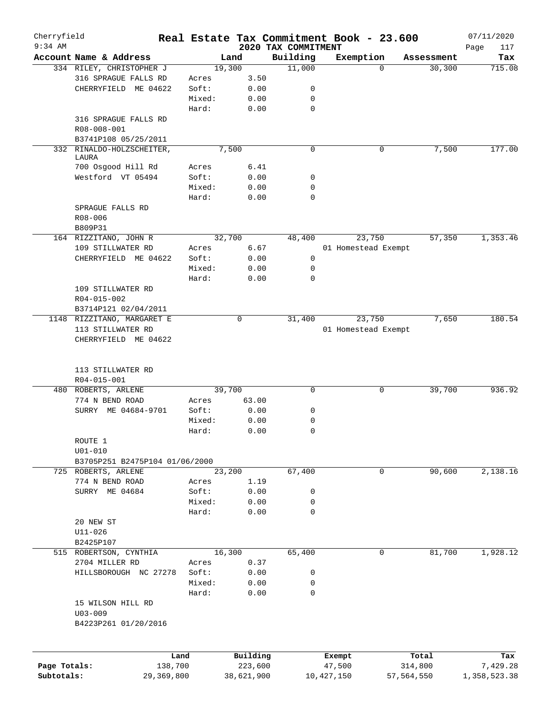| Cherryfield  |                                    |            |            |                                 | Real Estate Tax Commitment Book - 23.600 |                     | 07/11/2020         |
|--------------|------------------------------------|------------|------------|---------------------------------|------------------------------------------|---------------------|--------------------|
| $9:34$ AM    | Account Name & Address             |            | Land       | 2020 TAX COMMITMENT<br>Building | Exemption                                | Assessment          | Page<br>117<br>Tax |
|              | 334 RILEY, CHRISTOPHER J           |            | 19,300     | 11,000                          |                                          | 30, 300<br>$\Omega$ | 715.08             |
|              | 316 SPRAGUE FALLS RD               | Acres      | 3.50       |                                 |                                          |                     |                    |
|              | CHERRYFIELD ME 04622               | Soft:      | 0.00       | 0                               |                                          |                     |                    |
|              |                                    | Mixed:     | 0.00       | $\mathbf 0$                     |                                          |                     |                    |
|              |                                    | Hard:      | 0.00       | $\mathbf 0$                     |                                          |                     |                    |
|              | 316 SPRAGUE FALLS RD               |            |            |                                 |                                          |                     |                    |
|              | R08-008-001                        |            |            |                                 |                                          |                     |                    |
|              | B3741P108 05/25/2011               |            |            |                                 |                                          |                     |                    |
|              |                                    |            | 7,500      | $\mathbf 0$                     |                                          | 7,500<br>0          | 177.00             |
|              | 332 RINALDO-HOLZSCHEITER,<br>LAURA |            |            |                                 |                                          |                     |                    |
|              | 700 Osgood Hill Rd                 | Acres      | 6.41       |                                 |                                          |                     |                    |
|              | Westford VT 05494                  | Soft:      | 0.00       | 0                               |                                          |                     |                    |
|              |                                    | Mixed:     | 0.00       | 0                               |                                          |                     |                    |
|              |                                    | Hard:      | 0.00       | $\mathbf 0$                     |                                          |                     |                    |
|              | SPRAGUE FALLS RD                   |            |            |                                 |                                          |                     |                    |
|              | R08-006                            |            |            |                                 |                                          |                     |                    |
|              |                                    |            |            |                                 |                                          |                     |                    |
|              | B809P31                            |            |            |                                 |                                          |                     |                    |
|              | 164 RIZZITANO, JOHN R              |            | 32,700     | 48,400                          | 23,750                                   | 57,350              | 1,353.46           |
|              | 109 STILLWATER RD                  | Acres      | 6.67       |                                 | 01 Homestead Exempt                      |                     |                    |
|              | CHERRYFIELD ME 04622               | Soft:      | 0.00       | 0                               |                                          |                     |                    |
|              |                                    | Mixed:     | 0.00       | $\mathbf 0$                     |                                          |                     |                    |
|              |                                    | Hard:      | 0.00       | $\mathbf 0$                     |                                          |                     |                    |
|              | 109 STILLWATER RD                  |            |            |                                 |                                          |                     |                    |
|              | R04-015-002                        |            |            |                                 |                                          |                     |                    |
|              | B3714P121 02/04/2011               |            |            |                                 |                                          |                     |                    |
|              | 1148 RIZZITANO, MARGARET E         |            | 0          | 31,400                          | 23,750                                   | 7,650               | 180.54             |
|              | 113 STILLWATER RD                  |            |            |                                 | 01 Homestead Exempt                      |                     |                    |
|              | CHERRYFIELD ME 04622               |            |            |                                 |                                          |                     |                    |
|              | 113 STILLWATER RD<br>R04-015-001   |            |            |                                 |                                          |                     |                    |
|              | 480 ROBERTS, ARLENE                |            | 39,700     | $\mathbf 0$                     |                                          | 0<br>39,700         | 936.92             |
|              | 774 N BEND ROAD                    | Acres      | 63.00      |                                 |                                          |                     |                    |
|              | SURRY ME 04684-9701                | Soft:      | 0.00       | 0                               |                                          |                     |                    |
|              |                                    | Mixed:     | 0.00       | 0                               |                                          |                     |                    |
|              |                                    | Hard:      | 0.00       | $\mathbf 0$                     |                                          |                     |                    |
|              | ROUTE 1                            |            |            |                                 |                                          |                     |                    |
|              | $U01 - 010$                        |            |            |                                 |                                          |                     |                    |
|              | B3705P251 B2475P104 01/06/2000     |            |            |                                 |                                          |                     |                    |
|              | 725 ROBERTS, ARLENE                |            | 23,200     | 67,400                          |                                          | 90,600<br>0         | 2,138.16           |
|              | 774 N BEND ROAD                    | Acres      | 1.19       |                                 |                                          |                     |                    |
|              | SURRY ME 04684                     | Soft:      | 0.00       | 0                               |                                          |                     |                    |
|              |                                    | Mixed:     | 0.00       | 0                               |                                          |                     |                    |
|              |                                    | Hard:      | 0.00       | $\mathbf 0$                     |                                          |                     |                    |
|              | 20 NEW ST                          |            |            |                                 |                                          |                     |                    |
|              | $U11 - 026$                        |            |            |                                 |                                          |                     |                    |
|              | B2425P107                          |            |            |                                 |                                          |                     |                    |
|              | 515 ROBERTSON, CYNTHIA             |            | 16,300     | 65,400                          |                                          | 0<br>81,700         | 1,928.12           |
|              | 2704 MILLER RD                     | Acres      | 0.37       |                                 |                                          |                     |                    |
|              | HILLSBOROUGH NC 27278              | Soft:      | 0.00       | 0                               |                                          |                     |                    |
|              |                                    | Mixed:     | 0.00       | 0                               |                                          |                     |                    |
|              |                                    | Hard:      | 0.00       | 0                               |                                          |                     |                    |
|              | 15 WILSON HILL RD                  |            |            |                                 |                                          |                     |                    |
|              | $U03 - 009$                        |            |            |                                 |                                          |                     |                    |
|              | B4223P261 01/20/2016               |            |            |                                 |                                          |                     |                    |
|              |                                    |            |            |                                 |                                          |                     |                    |
|              |                                    |            |            |                                 |                                          |                     |                    |
|              |                                    | Land       | Building   |                                 | Exempt                                   | Total               | Tax                |
| Page Totals: |                                    | 138,700    | 223,600    |                                 | 47,500                                   | 314,800             | 7,429.28           |
| Subtotals:   |                                    | 29,369,800 | 38,621,900 |                                 | 10,427,150                               | 57,564,550          | 1,358,523.38       |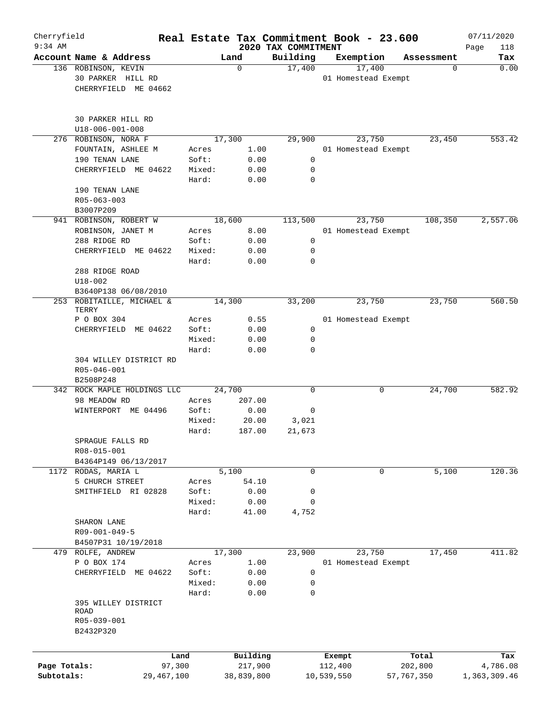| Cherryfield<br>$9:34$ AM |                                                                  |                 |              | 2020 TAX COMMITMENT |            | Real Estate Tax Commitment Book - 23.600 |            | 07/11/2020<br>118 |
|--------------------------|------------------------------------------------------------------|-----------------|--------------|---------------------|------------|------------------------------------------|------------|-------------------|
|                          | Account Name & Address                                           |                 | Land         | Building            |            | Exemption                                | Assessment | Page<br>Tax       |
|                          | 136 ROBINSON, KEVIN<br>30 PARKER HILL RD<br>CHERRYFIELD ME 04662 |                 | 0            | 17,400              |            | 17,400<br>01 Homestead Exempt            | 0          | 0.00              |
|                          | 30 PARKER HILL RD<br>U18-006-001-008                             |                 |              |                     |            |                                          |            |                   |
|                          | 276 ROBINSON, NORA F                                             |                 | 17,300       | 29,900              |            | 23,750                                   | 23,450     | 553.42            |
|                          | FOUNTAIN, ASHLEE M                                               | Acres           | 1.00         |                     |            | 01 Homestead Exempt                      |            |                   |
|                          | 190 TENAN LANE                                                   | Soft:           | 0.00         | 0                   |            |                                          |            |                   |
|                          | CHERRYFIELD ME 04622                                             | Mixed:          | 0.00         | 0                   |            |                                          |            |                   |
|                          | 190 TENAN LANE                                                   | Hard:           | 0.00         | $\mathbf 0$         |            |                                          |            |                   |
|                          | R05-063-003<br>B3007P209                                         |                 |              |                     |            |                                          |            |                   |
|                          | 941 ROBINSON, ROBERT W                                           |                 | 18,600       | 113,500             |            | 23,750                                   | 108,350    | 2,557.06          |
|                          | ROBINSON, JANET M                                                | Acres           | 8.00         |                     |            | 01 Homestead Exempt                      |            |                   |
|                          | 288 RIDGE RD                                                     | Soft:           | 0.00         | 0                   |            |                                          |            |                   |
|                          | CHERRYFIELD ME 04622                                             | Mixed:          | 0.00         | 0                   |            |                                          |            |                   |
|                          |                                                                  | Hard:           | 0.00         | $\mathbf 0$         |            |                                          |            |                   |
|                          | 288 RIDGE ROAD<br>$U18 - 002$                                    |                 |              |                     |            |                                          |            |                   |
|                          | B3640P138 06/08/2010                                             |                 |              |                     |            |                                          |            |                   |
| 253                      | ROBITAILLE, MICHAEL &<br>TERRY                                   |                 | 14,300       | 33,200              |            | 23,750                                   | 23,750     | 560.50            |
|                          | P O BOX 304                                                      | Acres           | 0.55         |                     |            | 01 Homestead Exempt                      |            |                   |
|                          | CHERRYFIELD ME 04622                                             | Soft:           | 0.00         | $\mathbf 0$         |            |                                          |            |                   |
|                          |                                                                  | Mixed:          | 0.00         | 0                   |            |                                          |            |                   |
|                          |                                                                  | Hard:           | 0.00         | 0                   |            |                                          |            |                   |
|                          | 304 WILLEY DISTRICT RD                                           |                 |              |                     |            |                                          |            |                   |
|                          | R05-046-001                                                      |                 |              |                     |            |                                          |            |                   |
|                          | B2508P248<br>342 ROCK MAPLE HOLDINGS LLC                         |                 | 24,700       | $\mathbf 0$         |            | 0                                        | 24,700     | 582.92            |
|                          | 98 MEADOW RD                                                     | Acres           | 207.00       |                     |            |                                          |            |                   |
|                          | WINTERPORT ME 04496                                              | Soft:           | 0.00         | 0                   |            |                                          |            |                   |
|                          |                                                                  | Mixed:          | 20.00        | 3,021               |            |                                          |            |                   |
|                          |                                                                  | Hard:           | 187.00       | 21,673              |            |                                          |            |                   |
|                          | SPRAGUE FALLS RD                                                 |                 |              |                     |            |                                          |            |                   |
|                          | R08-015-001                                                      |                 |              |                     |            |                                          |            |                   |
|                          | B4364P149 06/13/2017                                             |                 |              |                     |            |                                          |            |                   |
|                          | 1172 RODAS, MARIA L                                              |                 | 5,100        | 0                   |            | 0                                        | 5,100      | 120.36            |
|                          | 5 CHURCH STREET                                                  | Acres           | 54.10        |                     |            |                                          |            |                   |
|                          | SMITHFIELD RI 02828                                              | Soft:<br>Mixed: | 0.00<br>0.00 | 0<br>0              |            |                                          |            |                   |
|                          |                                                                  | Hard:           | 41.00        | 4,752               |            |                                          |            |                   |
|                          | SHARON LANE                                                      |                 |              |                     |            |                                          |            |                   |
|                          | R09-001-049-5                                                    |                 |              |                     |            |                                          |            |                   |
|                          | B4507P31 10/19/2018                                              |                 |              |                     |            |                                          |            |                   |
|                          | 479 ROLFE, ANDREW                                                |                 | 17,300       | 23,900              |            | 23,750                                   | 17,450     | 411.82            |
|                          | P O BOX 174                                                      | Acres           | 1.00         |                     |            | 01 Homestead Exempt                      |            |                   |
|                          | CHERRYFIELD ME 04622                                             | Soft:           | 0.00         | $\mathbf 0$         |            |                                          |            |                   |
|                          |                                                                  | Mixed:          | 0.00         | $\mathbf 0$         |            |                                          |            |                   |
|                          |                                                                  | Hard:           | 0.00         | $\mathbf 0$         |            |                                          |            |                   |
|                          | 395 WILLEY DISTRICT<br>ROAD                                      |                 |              |                     |            |                                          |            |                   |
|                          | R05-039-001                                                      |                 |              |                     |            |                                          |            |                   |
|                          | B2432P320                                                        |                 |              |                     |            |                                          |            |                   |
|                          |                                                                  |                 |              |                     |            |                                          |            |                   |
|                          |                                                                  | Land            | Building     |                     | Exempt     |                                          | Total      | Tax               |
| Page Totals:             | 97,300                                                           |                 | 217,900      |                     | 112,400    |                                          | 202,800    | 4,786.08          |
| Subtotals:               | 29,467,100                                                       |                 | 38,839,800   |                     | 10,539,550 |                                          | 57,767,350 | 1,363,309.46      |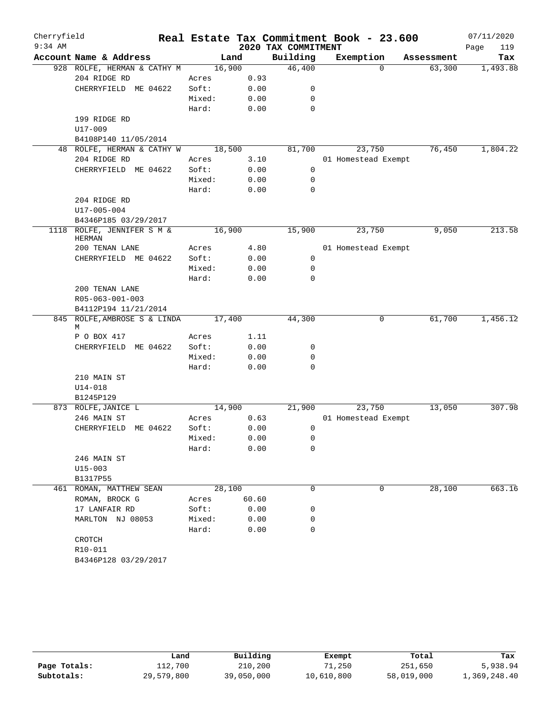| Cherryfield |                                        |        |       |                     | Real Estate Tax Commitment Book - 23.600 |            | 07/11/2020  |
|-------------|----------------------------------------|--------|-------|---------------------|------------------------------------------|------------|-------------|
| $9:34$ AM   |                                        |        |       | 2020 TAX COMMITMENT |                                          |            | Page<br>119 |
|             | Account Name & Address                 |        | Land  | Building            | Exemption                                | Assessment | Tax         |
|             | 928 ROLFE, HERMAN & CATHY M            | 16,900 |       | 46,400              | $\Omega$                                 | 63,300     | 1,493.88    |
|             | 204 RIDGE RD                           | Acres  | 0.93  |                     |                                          |            |             |
|             | CHERRYFIELD ME 04622                   | Soft:  | 0.00  | 0                   |                                          |            |             |
|             |                                        | Mixed: | 0.00  | $\mathbf 0$         |                                          |            |             |
|             |                                        | Hard:  | 0.00  | $\mathbf 0$         |                                          |            |             |
|             | 199 RIDGE RD                           |        |       |                     |                                          |            |             |
|             | U17-009                                |        |       |                     |                                          |            |             |
|             | B4108P140 11/05/2014                   |        |       |                     |                                          |            |             |
|             | 48 ROLFE, HERMAN & CATHY W             | 18,500 |       | 81,700              | 23,750                                   | 76,450     | 1,804.22    |
|             | 204 RIDGE RD                           | Acres  | 3.10  |                     | 01 Homestead Exempt                      |            |             |
|             | CHERRYFIELD ME 04622                   | Soft:  | 0.00  | 0                   |                                          |            |             |
|             |                                        | Mixed: | 0.00  | 0                   |                                          |            |             |
|             |                                        | Hard:  | 0.00  | $\mathbf 0$         |                                          |            |             |
|             | 204 RIDGE RD                           |        |       |                     |                                          |            |             |
|             | U17-005-004                            |        |       |                     |                                          |            |             |
|             | B4346P185 03/29/2017                   |        |       |                     |                                          |            |             |
| 1118        | ROLFE, JENNIFER S M &<br><b>HERMAN</b> | 16,900 |       | 15,900              | 23,750                                   | 9,050      | 213.58      |
|             | 200 TENAN LANE                         | Acres  | 4.80  |                     | 01 Homestead Exempt                      |            |             |
|             | CHERRYFIELD ME 04622                   | Soft:  | 0.00  | $\mathbf 0$         |                                          |            |             |
|             |                                        | Mixed: | 0.00  | $\mathbf 0$         |                                          |            |             |
|             |                                        | Hard:  | 0.00  | $\mathbf 0$         |                                          |            |             |
|             | 200 TENAN LANE                         |        |       |                     |                                          |            |             |
|             | R05-063-001-003                        |        |       |                     |                                          |            |             |
|             | B4112P194 11/21/2014                   |        |       |                     |                                          |            |             |
|             | 845 ROLFE, AMBROSE S & LINDA<br>М      | 17,400 |       | 44,300              | 0                                        | 61,700     | 1,456.12    |
|             | P O BOX 417                            | Acres  | 1.11  |                     |                                          |            |             |
|             | CHERRYFIELD<br>ME 04622                | Soft:  | 0.00  | 0                   |                                          |            |             |
|             |                                        | Mixed: | 0.00  | 0                   |                                          |            |             |
|             |                                        | Hard:  | 0.00  | $\mathbf 0$         |                                          |            |             |
|             | 210 MAIN ST                            |        |       |                     |                                          |            |             |
|             | $U14 - 018$                            |        |       |                     |                                          |            |             |
|             | B1245P129                              |        |       |                     |                                          |            |             |
|             | 873 ROLFE, JANICE L                    | 14,900 |       | 21,900              | 23,750                                   | 13,050     | 307.98      |
|             | 246 MAIN ST                            | Acres  | 0.63  |                     | 01 Homestead Exempt                      |            |             |
|             | CHERRYFIELD ME 04622                   | Soft:  | 0.00  | 0                   |                                          |            |             |
|             |                                        | Mixed: | 0.00  | $\mathsf 0$         |                                          |            |             |
|             |                                        | Hard:  | 0.00  | 0                   |                                          |            |             |
|             | 246 MAIN ST                            |        |       |                     |                                          |            |             |
|             | $U15 - 003$                            |        |       |                     |                                          |            |             |
|             | B1317P55                               |        |       |                     |                                          |            |             |
|             | 461 ROMAN, MATTHEW SEAN                | 28,100 |       | 0                   | $\Omega$                                 | 28,100     | 663.16      |
|             | ROMAN, BROCK G                         | Acres  | 60.60 |                     |                                          |            |             |
|             | 17 LANFAIR RD                          | Soft:  | 0.00  | 0                   |                                          |            |             |
|             | MARLTON NJ 08053                       | Mixed: | 0.00  | 0                   |                                          |            |             |
|             |                                        | Hard:  | 0.00  | $\mathbf 0$         |                                          |            |             |
|             | CROTCH                                 |        |       |                     |                                          |            |             |
|             | R10-011                                |        |       |                     |                                          |            |             |
|             | B4346P128 03/29/2017                   |        |       |                     |                                          |            |             |

|              | Land       | Building   | Exempt     | Total      | Tax          |
|--------------|------------|------------|------------|------------|--------------|
| Page Totals: | 112,700    | 210,200    | 71,250     | 251,650    | 5,938.94     |
| Subtotals:   | 29,579,800 | 39,050,000 | 10,610,800 | 58,019,000 | 1,369,248.40 |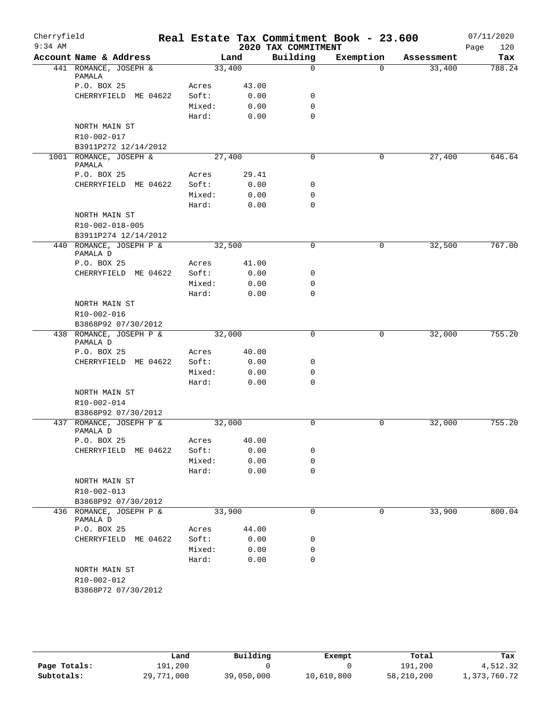| Cherryfield<br>$9:34$ AM |                                     |                 |              | 2020 TAX COMMITMENT | Real Estate Tax Commitment Book - 23.600 |            | 07/11/2020<br>120<br>Page |
|--------------------------|-------------------------------------|-----------------|--------------|---------------------|------------------------------------------|------------|---------------------------|
|                          | Account Name & Address              |                 | Land         | Building            | Exemption                                | Assessment | Tax                       |
|                          | 441 ROMANCE, JOSEPH &<br>PAMALA     | 33,400          |              | 0                   | $\Omega$                                 | 33,400     | 788.24                    |
|                          | P.O. BOX 25                         | Acres           | 43.00        |                     |                                          |            |                           |
|                          | CHERRYFIELD ME 04622                | Soft:           | 0.00         | 0                   |                                          |            |                           |
|                          |                                     | Mixed:          | 0.00         | $\mathbf 0$         |                                          |            |                           |
|                          |                                     | Hard:           | 0.00         | $\mathbf 0$         |                                          |            |                           |
|                          | NORTH MAIN ST                       |                 |              |                     |                                          |            |                           |
|                          | R10-002-017                         |                 |              |                     |                                          |            |                           |
|                          | B3911P272 12/14/2012                |                 |              |                     |                                          |            |                           |
|                          | 1001 ROMANCE, JOSEPH &<br>PAMALA    | 27,400          |              | $\mathbf 0$         | 0                                        | 27,400     | 646.64                    |
|                          | P.O. BOX 25                         | Acres           | 29.41        |                     |                                          |            |                           |
|                          | CHERRYFIELD ME 04622                | Soft:           | 0.00         | 0                   |                                          |            |                           |
|                          |                                     | Mixed:<br>Hard: | 0.00<br>0.00 | 0<br>$\mathbf 0$    |                                          |            |                           |
|                          | NORTH MAIN ST                       |                 |              |                     |                                          |            |                           |
|                          | R10-002-018-005                     |                 |              |                     |                                          |            |                           |
|                          | B3911P274 12/14/2012                |                 |              |                     |                                          |            |                           |
|                          | 440 ROMANCE, JOSEPH P &<br>PAMALA D | 32,500          |              | 0                   | $\mathbf 0$                              | 32,500     | 767.00                    |
|                          | P.O. BOX 25                         | Acres           | 41.00        |                     |                                          |            |                           |
|                          | CHERRYFIELD ME 04622                | Soft:           | 0.00         | 0                   |                                          |            |                           |
|                          |                                     | Mixed:          | 0.00         | 0                   |                                          |            |                           |
|                          |                                     | Hard:           | 0.00         | 0                   |                                          |            |                           |
|                          | NORTH MAIN ST                       |                 |              |                     |                                          |            |                           |
|                          | R10-002-016                         |                 |              |                     |                                          |            |                           |
|                          | B3868P92 07/30/2012                 |                 |              |                     |                                          |            |                           |
|                          | 438 ROMANCE, JOSEPH P &<br>PAMALA D | 32,000          |              | $\mathbf 0$         | 0                                        | 32,000     | 755.20                    |
|                          | P.O. BOX 25                         | Acres           | 40.00        |                     |                                          |            |                           |
|                          | CHERRYFIELD ME 04622                | Soft:           | 0.00         | 0                   |                                          |            |                           |
|                          |                                     | Mixed:          | 0.00         | $\mathbf 0$         |                                          |            |                           |
|                          |                                     | Hard:           | 0.00         | $\Omega$            |                                          |            |                           |
|                          | NORTH MAIN ST                       |                 |              |                     |                                          |            |                           |
|                          | R10-002-014                         |                 |              |                     |                                          |            |                           |
|                          | B3868P92 07/30/2012                 |                 |              |                     |                                          |            |                           |
|                          | 437 ROMANCE, JOSEPH P &<br>PAMALA D | 32,000          |              | 0                   | 0                                        | 32,000     | 755.20                    |
|                          | P.O. BOX 25                         | Acres           | 40.00        |                     |                                          |            |                           |
|                          | CHERRYFIELD ME 04622                | Soft:<br>Mixed: | 0.00<br>0.00 | 0<br>0              |                                          |            |                           |
|                          |                                     | Hard:           | 0.00         | $\mathbf 0$         |                                          |            |                           |
|                          | NORTH MAIN ST                       |                 |              |                     |                                          |            |                           |
|                          | R10-002-013                         |                 |              |                     |                                          |            |                           |
|                          | B3868P92 07/30/2012                 |                 |              |                     |                                          |            |                           |
|                          | 436 ROMANCE, JOSEPH P &             | 33,900          |              | $\mathbf 0$         | 0                                        | 33,900     | 800.04                    |
|                          | PAMALA D<br>P.O. BOX 25             | Acres           | 44.00        |                     |                                          |            |                           |
|                          | CHERRYFIELD ME 04622                | Soft:           | 0.00         | 0                   |                                          |            |                           |
|                          |                                     | Mixed:          | 0.00         | 0                   |                                          |            |                           |
|                          |                                     | Hard:           | 0.00         | 0                   |                                          |            |                           |
|                          | NORTH MAIN ST                       |                 |              |                     |                                          |            |                           |
|                          | R10-002-012                         |                 |              |                     |                                          |            |                           |
|                          | B3868P72 07/30/2012                 |                 |              |                     |                                          |            |                           |

|              | Land       | Building   | Exempt     | Total      | Tax          |
|--------------|------------|------------|------------|------------|--------------|
| Page Totals: | 191,200    |            |            | 191,200    | 4,512.32     |
| Subtotals:   | 29,771,000 | 39,050,000 | 10,610,800 | 58,210,200 | 1,373,760.72 |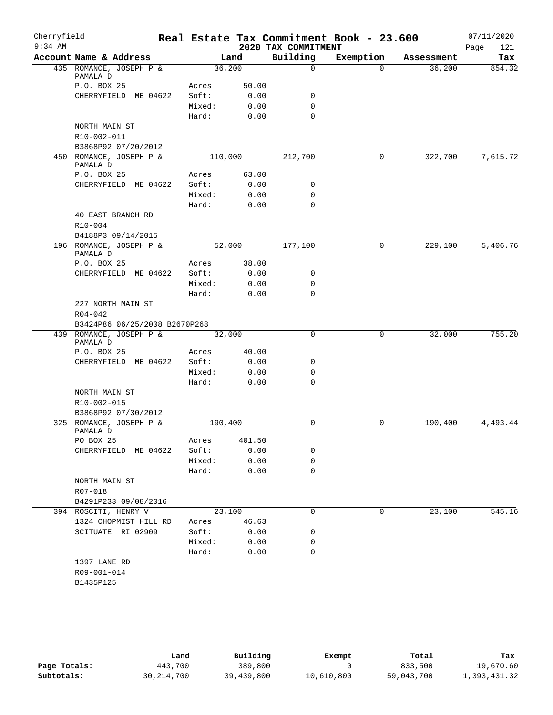| $9:34$ AM<br>2020 TAX COMMITMENT<br>121<br>Page<br>Building<br>Account Name & Address<br>Exemption<br>Land<br>Tax<br>Assessment<br>36,200<br>435 ROMANCE, JOSEPH P &<br>$\mathbf 0$<br>36,200<br>854.32<br>$\Omega$<br>PAMALA D<br>P.O. BOX 25<br>Acres<br>50.00<br>CHERRYFIELD ME 04622<br>Soft:<br>0.00<br>0<br>$\mathbf 0$<br>Mixed:<br>0.00<br>$\Omega$<br>Hard:<br>0.00<br>NORTH MAIN ST<br>R10-002-011<br>B3868P92 07/20/2012<br>450 ROMANCE, JOSEPH P &<br>212,700<br>322,700<br>110,000<br>0<br>PAMALA D<br>P.O. BOX 25<br>63.00<br>Acres<br>Soft:<br>CHERRYFIELD ME 04622<br>0.00<br>0<br>Mixed:<br>0.00<br>0<br>Hard:<br>$\mathbf 0$<br>0.00<br>40 EAST BRANCH RD<br>$R10 - 004$<br>B4188P3 09/14/2015<br>196 ROMANCE, JOSEPH P &<br>52,000<br>177,100<br>229,100<br>0<br>PAMALA D<br>38.00<br>P.O. BOX 25<br>Acres<br>CHERRYFIELD ME 04622<br>0.00<br>Soft:<br>0<br>0.00<br>$\mathbf 0$<br>Mixed:<br>Hard:<br>0.00<br>0<br>227 NORTH MAIN ST<br>$R04 - 042$<br>B3424P86 06/25/2008 B2670P268<br>439 ROMANCE, JOSEPH P &<br>32,000<br>$\mathbf 0$<br>32,000<br>0<br>PAMALA D<br>40.00<br>P.O. BOX 25<br>Acres<br>CHERRYFIELD ME 04622<br>Soft:<br>0.00<br>0<br>Mixed:<br>0.00<br>0<br>$\mathbf 0$<br>Hard:<br>0.00<br>NORTH MAIN ST<br>R10-002-015<br>B3868P92 07/30/2012<br>325 ROMANCE, JOSEPH P &<br>0<br>190,400<br>190,400<br>0<br>PAMALA D<br>PO BOX 25<br>401.50<br>Acres<br>CHERRYFIELD ME 04622<br>Soft:<br>0.00<br>0<br>Mixed:<br>0.00<br>0<br>$\mathbf 0$<br>Hard:<br>0.00<br>NORTH MAIN ST<br>R07-018<br>B4291P233 09/08/2016<br>394 ROSCITI, HENRY V<br>23,100<br>$\mathbf 0$<br>23,100<br>0<br>1324 CHOPMIST HILL RD<br>46.63<br>Acres<br>SCITUATE RI 02909<br>Soft:<br>0.00<br>0<br>Mixed:<br>0.00<br>0<br>$\mathbf 0$<br>Hard:<br>0.00<br>1397 LANE RD<br>R09-001-014 | Cherryfield |  |  | Real Estate Tax Commitment Book - 23.600 | 07/11/2020 |
|-------------------------------------------------------------------------------------------------------------------------------------------------------------------------------------------------------------------------------------------------------------------------------------------------------------------------------------------------------------------------------------------------------------------------------------------------------------------------------------------------------------------------------------------------------------------------------------------------------------------------------------------------------------------------------------------------------------------------------------------------------------------------------------------------------------------------------------------------------------------------------------------------------------------------------------------------------------------------------------------------------------------------------------------------------------------------------------------------------------------------------------------------------------------------------------------------------------------------------------------------------------------------------------------------------------------------------------------------------------------------------------------------------------------------------------------------------------------------------------------------------------------------------------------------------------------------------------------------------------------------------------------------------------------------------------------------------------------------------------------------------------------------------------------------|-------------|--|--|------------------------------------------|------------|
|                                                                                                                                                                                                                                                                                                                                                                                                                                                                                                                                                                                                                                                                                                                                                                                                                                                                                                                                                                                                                                                                                                                                                                                                                                                                                                                                                                                                                                                                                                                                                                                                                                                                                                                                                                                                 |             |  |  |                                          |            |
|                                                                                                                                                                                                                                                                                                                                                                                                                                                                                                                                                                                                                                                                                                                                                                                                                                                                                                                                                                                                                                                                                                                                                                                                                                                                                                                                                                                                                                                                                                                                                                                                                                                                                                                                                                                                 |             |  |  |                                          |            |
|                                                                                                                                                                                                                                                                                                                                                                                                                                                                                                                                                                                                                                                                                                                                                                                                                                                                                                                                                                                                                                                                                                                                                                                                                                                                                                                                                                                                                                                                                                                                                                                                                                                                                                                                                                                                 |             |  |  |                                          |            |
|                                                                                                                                                                                                                                                                                                                                                                                                                                                                                                                                                                                                                                                                                                                                                                                                                                                                                                                                                                                                                                                                                                                                                                                                                                                                                                                                                                                                                                                                                                                                                                                                                                                                                                                                                                                                 |             |  |  |                                          |            |
|                                                                                                                                                                                                                                                                                                                                                                                                                                                                                                                                                                                                                                                                                                                                                                                                                                                                                                                                                                                                                                                                                                                                                                                                                                                                                                                                                                                                                                                                                                                                                                                                                                                                                                                                                                                                 |             |  |  |                                          |            |
| 7,615.72<br>5,406.76<br>755.20<br>4,493.44<br>545.16                                                                                                                                                                                                                                                                                                                                                                                                                                                                                                                                                                                                                                                                                                                                                                                                                                                                                                                                                                                                                                                                                                                                                                                                                                                                                                                                                                                                                                                                                                                                                                                                                                                                                                                                            |             |  |  |                                          |            |
|                                                                                                                                                                                                                                                                                                                                                                                                                                                                                                                                                                                                                                                                                                                                                                                                                                                                                                                                                                                                                                                                                                                                                                                                                                                                                                                                                                                                                                                                                                                                                                                                                                                                                                                                                                                                 |             |  |  |                                          |            |
|                                                                                                                                                                                                                                                                                                                                                                                                                                                                                                                                                                                                                                                                                                                                                                                                                                                                                                                                                                                                                                                                                                                                                                                                                                                                                                                                                                                                                                                                                                                                                                                                                                                                                                                                                                                                 |             |  |  |                                          |            |
|                                                                                                                                                                                                                                                                                                                                                                                                                                                                                                                                                                                                                                                                                                                                                                                                                                                                                                                                                                                                                                                                                                                                                                                                                                                                                                                                                                                                                                                                                                                                                                                                                                                                                                                                                                                                 |             |  |  |                                          |            |
|                                                                                                                                                                                                                                                                                                                                                                                                                                                                                                                                                                                                                                                                                                                                                                                                                                                                                                                                                                                                                                                                                                                                                                                                                                                                                                                                                                                                                                                                                                                                                                                                                                                                                                                                                                                                 |             |  |  |                                          |            |
|                                                                                                                                                                                                                                                                                                                                                                                                                                                                                                                                                                                                                                                                                                                                                                                                                                                                                                                                                                                                                                                                                                                                                                                                                                                                                                                                                                                                                                                                                                                                                                                                                                                                                                                                                                                                 |             |  |  |                                          |            |
|                                                                                                                                                                                                                                                                                                                                                                                                                                                                                                                                                                                                                                                                                                                                                                                                                                                                                                                                                                                                                                                                                                                                                                                                                                                                                                                                                                                                                                                                                                                                                                                                                                                                                                                                                                                                 |             |  |  |                                          |            |
|                                                                                                                                                                                                                                                                                                                                                                                                                                                                                                                                                                                                                                                                                                                                                                                                                                                                                                                                                                                                                                                                                                                                                                                                                                                                                                                                                                                                                                                                                                                                                                                                                                                                                                                                                                                                 |             |  |  |                                          |            |
|                                                                                                                                                                                                                                                                                                                                                                                                                                                                                                                                                                                                                                                                                                                                                                                                                                                                                                                                                                                                                                                                                                                                                                                                                                                                                                                                                                                                                                                                                                                                                                                                                                                                                                                                                                                                 |             |  |  |                                          |            |
|                                                                                                                                                                                                                                                                                                                                                                                                                                                                                                                                                                                                                                                                                                                                                                                                                                                                                                                                                                                                                                                                                                                                                                                                                                                                                                                                                                                                                                                                                                                                                                                                                                                                                                                                                                                                 |             |  |  |                                          |            |
|                                                                                                                                                                                                                                                                                                                                                                                                                                                                                                                                                                                                                                                                                                                                                                                                                                                                                                                                                                                                                                                                                                                                                                                                                                                                                                                                                                                                                                                                                                                                                                                                                                                                                                                                                                                                 |             |  |  |                                          |            |
|                                                                                                                                                                                                                                                                                                                                                                                                                                                                                                                                                                                                                                                                                                                                                                                                                                                                                                                                                                                                                                                                                                                                                                                                                                                                                                                                                                                                                                                                                                                                                                                                                                                                                                                                                                                                 |             |  |  |                                          |            |
|                                                                                                                                                                                                                                                                                                                                                                                                                                                                                                                                                                                                                                                                                                                                                                                                                                                                                                                                                                                                                                                                                                                                                                                                                                                                                                                                                                                                                                                                                                                                                                                                                                                                                                                                                                                                 |             |  |  |                                          |            |
|                                                                                                                                                                                                                                                                                                                                                                                                                                                                                                                                                                                                                                                                                                                                                                                                                                                                                                                                                                                                                                                                                                                                                                                                                                                                                                                                                                                                                                                                                                                                                                                                                                                                                                                                                                                                 |             |  |  |                                          |            |
|                                                                                                                                                                                                                                                                                                                                                                                                                                                                                                                                                                                                                                                                                                                                                                                                                                                                                                                                                                                                                                                                                                                                                                                                                                                                                                                                                                                                                                                                                                                                                                                                                                                                                                                                                                                                 |             |  |  |                                          |            |
|                                                                                                                                                                                                                                                                                                                                                                                                                                                                                                                                                                                                                                                                                                                                                                                                                                                                                                                                                                                                                                                                                                                                                                                                                                                                                                                                                                                                                                                                                                                                                                                                                                                                                                                                                                                                 |             |  |  |                                          |            |
|                                                                                                                                                                                                                                                                                                                                                                                                                                                                                                                                                                                                                                                                                                                                                                                                                                                                                                                                                                                                                                                                                                                                                                                                                                                                                                                                                                                                                                                                                                                                                                                                                                                                                                                                                                                                 |             |  |  |                                          |            |
|                                                                                                                                                                                                                                                                                                                                                                                                                                                                                                                                                                                                                                                                                                                                                                                                                                                                                                                                                                                                                                                                                                                                                                                                                                                                                                                                                                                                                                                                                                                                                                                                                                                                                                                                                                                                 |             |  |  |                                          |            |
|                                                                                                                                                                                                                                                                                                                                                                                                                                                                                                                                                                                                                                                                                                                                                                                                                                                                                                                                                                                                                                                                                                                                                                                                                                                                                                                                                                                                                                                                                                                                                                                                                                                                                                                                                                                                 |             |  |  |                                          |            |
|                                                                                                                                                                                                                                                                                                                                                                                                                                                                                                                                                                                                                                                                                                                                                                                                                                                                                                                                                                                                                                                                                                                                                                                                                                                                                                                                                                                                                                                                                                                                                                                                                                                                                                                                                                                                 |             |  |  |                                          |            |
|                                                                                                                                                                                                                                                                                                                                                                                                                                                                                                                                                                                                                                                                                                                                                                                                                                                                                                                                                                                                                                                                                                                                                                                                                                                                                                                                                                                                                                                                                                                                                                                                                                                                                                                                                                                                 |             |  |  |                                          |            |
|                                                                                                                                                                                                                                                                                                                                                                                                                                                                                                                                                                                                                                                                                                                                                                                                                                                                                                                                                                                                                                                                                                                                                                                                                                                                                                                                                                                                                                                                                                                                                                                                                                                                                                                                                                                                 |             |  |  |                                          |            |
|                                                                                                                                                                                                                                                                                                                                                                                                                                                                                                                                                                                                                                                                                                                                                                                                                                                                                                                                                                                                                                                                                                                                                                                                                                                                                                                                                                                                                                                                                                                                                                                                                                                                                                                                                                                                 |             |  |  |                                          |            |
|                                                                                                                                                                                                                                                                                                                                                                                                                                                                                                                                                                                                                                                                                                                                                                                                                                                                                                                                                                                                                                                                                                                                                                                                                                                                                                                                                                                                                                                                                                                                                                                                                                                                                                                                                                                                 |             |  |  |                                          |            |
|                                                                                                                                                                                                                                                                                                                                                                                                                                                                                                                                                                                                                                                                                                                                                                                                                                                                                                                                                                                                                                                                                                                                                                                                                                                                                                                                                                                                                                                                                                                                                                                                                                                                                                                                                                                                 |             |  |  |                                          |            |
|                                                                                                                                                                                                                                                                                                                                                                                                                                                                                                                                                                                                                                                                                                                                                                                                                                                                                                                                                                                                                                                                                                                                                                                                                                                                                                                                                                                                                                                                                                                                                                                                                                                                                                                                                                                                 |             |  |  |                                          |            |
|                                                                                                                                                                                                                                                                                                                                                                                                                                                                                                                                                                                                                                                                                                                                                                                                                                                                                                                                                                                                                                                                                                                                                                                                                                                                                                                                                                                                                                                                                                                                                                                                                                                                                                                                                                                                 |             |  |  |                                          |            |
|                                                                                                                                                                                                                                                                                                                                                                                                                                                                                                                                                                                                                                                                                                                                                                                                                                                                                                                                                                                                                                                                                                                                                                                                                                                                                                                                                                                                                                                                                                                                                                                                                                                                                                                                                                                                 |             |  |  |                                          |            |
|                                                                                                                                                                                                                                                                                                                                                                                                                                                                                                                                                                                                                                                                                                                                                                                                                                                                                                                                                                                                                                                                                                                                                                                                                                                                                                                                                                                                                                                                                                                                                                                                                                                                                                                                                                                                 |             |  |  |                                          |            |
|                                                                                                                                                                                                                                                                                                                                                                                                                                                                                                                                                                                                                                                                                                                                                                                                                                                                                                                                                                                                                                                                                                                                                                                                                                                                                                                                                                                                                                                                                                                                                                                                                                                                                                                                                                                                 |             |  |  |                                          |            |
|                                                                                                                                                                                                                                                                                                                                                                                                                                                                                                                                                                                                                                                                                                                                                                                                                                                                                                                                                                                                                                                                                                                                                                                                                                                                                                                                                                                                                                                                                                                                                                                                                                                                                                                                                                                                 |             |  |  |                                          |            |
|                                                                                                                                                                                                                                                                                                                                                                                                                                                                                                                                                                                                                                                                                                                                                                                                                                                                                                                                                                                                                                                                                                                                                                                                                                                                                                                                                                                                                                                                                                                                                                                                                                                                                                                                                                                                 |             |  |  |                                          |            |
|                                                                                                                                                                                                                                                                                                                                                                                                                                                                                                                                                                                                                                                                                                                                                                                                                                                                                                                                                                                                                                                                                                                                                                                                                                                                                                                                                                                                                                                                                                                                                                                                                                                                                                                                                                                                 |             |  |  |                                          |            |
|                                                                                                                                                                                                                                                                                                                                                                                                                                                                                                                                                                                                                                                                                                                                                                                                                                                                                                                                                                                                                                                                                                                                                                                                                                                                                                                                                                                                                                                                                                                                                                                                                                                                                                                                                                                                 |             |  |  |                                          |            |
|                                                                                                                                                                                                                                                                                                                                                                                                                                                                                                                                                                                                                                                                                                                                                                                                                                                                                                                                                                                                                                                                                                                                                                                                                                                                                                                                                                                                                                                                                                                                                                                                                                                                                                                                                                                                 |             |  |  |                                          |            |
|                                                                                                                                                                                                                                                                                                                                                                                                                                                                                                                                                                                                                                                                                                                                                                                                                                                                                                                                                                                                                                                                                                                                                                                                                                                                                                                                                                                                                                                                                                                                                                                                                                                                                                                                                                                                 |             |  |  |                                          |            |
|                                                                                                                                                                                                                                                                                                                                                                                                                                                                                                                                                                                                                                                                                                                                                                                                                                                                                                                                                                                                                                                                                                                                                                                                                                                                                                                                                                                                                                                                                                                                                                                                                                                                                                                                                                                                 |             |  |  |                                          |            |
|                                                                                                                                                                                                                                                                                                                                                                                                                                                                                                                                                                                                                                                                                                                                                                                                                                                                                                                                                                                                                                                                                                                                                                                                                                                                                                                                                                                                                                                                                                                                                                                                                                                                                                                                                                                                 |             |  |  |                                          |            |
|                                                                                                                                                                                                                                                                                                                                                                                                                                                                                                                                                                                                                                                                                                                                                                                                                                                                                                                                                                                                                                                                                                                                                                                                                                                                                                                                                                                                                                                                                                                                                                                                                                                                                                                                                                                                 |             |  |  |                                          |            |
|                                                                                                                                                                                                                                                                                                                                                                                                                                                                                                                                                                                                                                                                                                                                                                                                                                                                                                                                                                                                                                                                                                                                                                                                                                                                                                                                                                                                                                                                                                                                                                                                                                                                                                                                                                                                 |             |  |  |                                          |            |
|                                                                                                                                                                                                                                                                                                                                                                                                                                                                                                                                                                                                                                                                                                                                                                                                                                                                                                                                                                                                                                                                                                                                                                                                                                                                                                                                                                                                                                                                                                                                                                                                                                                                                                                                                                                                 |             |  |  |                                          |            |
|                                                                                                                                                                                                                                                                                                                                                                                                                                                                                                                                                                                                                                                                                                                                                                                                                                                                                                                                                                                                                                                                                                                                                                                                                                                                                                                                                                                                                                                                                                                                                                                                                                                                                                                                                                                                 |             |  |  |                                          |            |
|                                                                                                                                                                                                                                                                                                                                                                                                                                                                                                                                                                                                                                                                                                                                                                                                                                                                                                                                                                                                                                                                                                                                                                                                                                                                                                                                                                                                                                                                                                                                                                                                                                                                                                                                                                                                 |             |  |  |                                          |            |
|                                                                                                                                                                                                                                                                                                                                                                                                                                                                                                                                                                                                                                                                                                                                                                                                                                                                                                                                                                                                                                                                                                                                                                                                                                                                                                                                                                                                                                                                                                                                                                                                                                                                                                                                                                                                 |             |  |  |                                          |            |
| B1435P125                                                                                                                                                                                                                                                                                                                                                                                                                                                                                                                                                                                                                                                                                                                                                                                                                                                                                                                                                                                                                                                                                                                                                                                                                                                                                                                                                                                                                                                                                                                                                                                                                                                                                                                                                                                       |             |  |  |                                          |            |

|              | Land         | Building   | Exempt     | Total      | Tax          |
|--------------|--------------|------------|------------|------------|--------------|
| Page Totals: | 443,700      | 389,800    |            | 833,500    | 19,670.60    |
| Subtotals:   | 30, 214, 700 | 39,439,800 | 10,610,800 | 59,043,700 | 1,393,431.32 |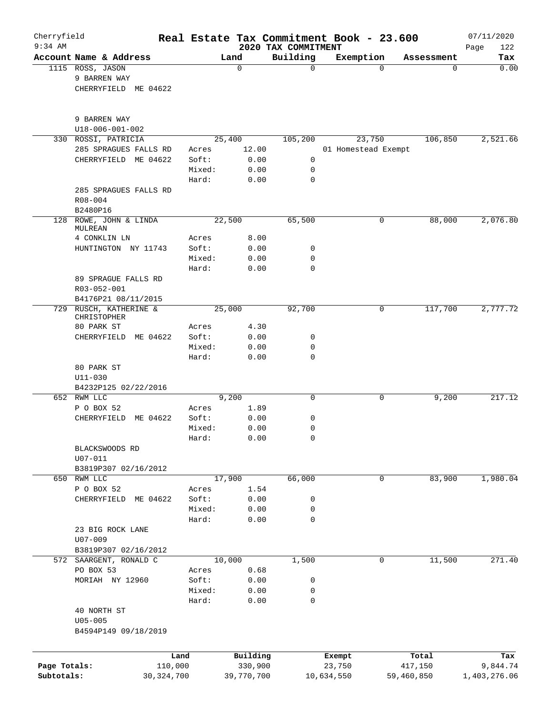| $9:34$ AM    | Cherryfield                                              |                 |               | 2020 TAX COMMITMENT | Real Estate Tax Commitment Book - 23.600 |            | 07/11/2020         |
|--------------|----------------------------------------------------------|-----------------|---------------|---------------------|------------------------------------------|------------|--------------------|
|              | Account Name & Address                                   |                 | Land          | Building            | Exemption                                | Assessment | 122<br>Page<br>Tax |
|              | 1115 ROSS, JASON<br>9 BARREN WAY<br>CHERRYFIELD ME 04622 |                 | 0             | 0                   | $\Omega$                                 | 0          | 0.00               |
|              | 9 BARREN WAY<br>$U18 - 006 - 001 - 002$                  |                 |               |                     |                                          |            |                    |
| 330          | ROSSI, PATRICIA                                          |                 | 25,400        | 105,200             | 23,750                                   | 106,850    | 2,521.66           |
|              | 285 SPRAGUES FALLS RD                                    | Acres           | 12.00         |                     | 01 Homestead Exempt                      |            |                    |
|              | CHERRYFIELD<br>ME 04622                                  | Soft:           | 0.00          | 0                   |                                          |            |                    |
|              |                                                          | Mixed:          | 0.00          | 0                   |                                          |            |                    |
|              | 285 SPRAGUES FALLS RD                                    | Hard:           | 0.00          | 0                   |                                          |            |                    |
|              | R08-004<br>B2480P16                                      |                 |               |                     |                                          |            |                    |
| 128          | ROWE, JOHN & LINDA                                       |                 | 22,500        | 65,500              | 0                                        | 88,000     | 2,076.80           |
|              | MULREAN                                                  |                 |               |                     |                                          |            |                    |
|              | 4 CONKLIN LN                                             | Acres           | 8.00          |                     |                                          |            |                    |
|              | HUNTINGTON NY 11743                                      | Soft:           | 0.00          | 0                   |                                          |            |                    |
|              |                                                          | Mixed:<br>Hard: | 0.00<br>0.00  | 0<br>0              |                                          |            |                    |
|              | 89 SPRAGUE FALLS RD<br>R03-052-001                       |                 |               |                     |                                          |            |                    |
|              | B4176P21 08/11/2015                                      |                 |               |                     |                                          |            |                    |
|              | 729 RUSCH, KATHERINE &<br>CHRISTOPHER                    |                 | 25,000        | 92,700              | 0                                        | 117,700    | 2,777.72           |
|              | 80 PARK ST                                               | Acres           | 4.30          |                     |                                          |            |                    |
|              | ME 04622<br>CHERRYFIELD                                  | Soft:           | 0.00          | 0                   |                                          |            |                    |
|              |                                                          | Mixed:<br>Hard: | 0.00<br>0.00  | 0<br>0              |                                          |            |                    |
|              | 80 PARK ST<br>$U11 - 030$                                |                 |               |                     |                                          |            |                    |
|              | B4232P125 02/22/2016                                     |                 |               |                     |                                          |            |                    |
|              | 652 RWM LLC<br>P O BOX 52                                | Acres           | 9,200<br>1.89 | 0                   | 0                                        | 9,200      | 217.12             |
|              | ME 04622<br>CHERRYFIELD                                  | Soft:           | 0.00          | 0                   |                                          |            |                    |
|              |                                                          | Mixed:          | 0.00          | 0                   |                                          |            |                    |
|              |                                                          | Hard:           | 0.00          | $\Omega$            |                                          |            |                    |
|              | BLACKSWOODS RD                                           |                 |               |                     |                                          |            |                    |
|              | $U07 - 011$                                              |                 |               |                     |                                          |            |                    |
|              | B3819P307 02/16/2012                                     |                 |               |                     |                                          |            |                    |
|              | 650 RWM LLC                                              |                 | 17,900        | 66,000              | 0                                        | 83,900     | 1,980.04           |
|              | P O BOX 52<br>CHERRYFIELD ME 04622                       | Acres<br>Soft:  | 1.54<br>0.00  | 0                   |                                          |            |                    |
|              |                                                          | Mixed:          | 0.00          | 0                   |                                          |            |                    |
|              |                                                          | Hard:           | 0.00          | 0                   |                                          |            |                    |
|              | 23 BIG ROCK LANE                                         |                 |               |                     |                                          |            |                    |
|              | U07-009                                                  |                 |               |                     |                                          |            |                    |
|              | B3819P307 02/16/2012                                     |                 |               |                     |                                          |            |                    |
|              | 572 SAARGENT, RONALD C                                   |                 | 10,000        | 1,500               | 0                                        | 11,500     | 271.40             |
|              | PO BOX 53                                                | Acres           | 0.68          |                     |                                          |            |                    |
|              | MORIAH NY 12960                                          | Soft:           | 0.00          | 0                   |                                          |            |                    |
|              |                                                          | Mixed:          | 0.00          | 0                   |                                          |            |                    |
|              |                                                          | Hard:           | 0.00          | 0                   |                                          |            |                    |
|              | 40 NORTH ST<br>$U05 - 005$<br>B4594P149 09/18/2019       |                 |               |                     |                                          |            |                    |
|              | Land                                                     |                 | Building      |                     | Exempt                                   | Total      | Tax                |
| Page Totals: | 110,000                                                  |                 | 330,900       |                     | 23,750                                   | 417,150    | 9,844.74           |
|              |                                                          | 30, 324, 700    | 39,770,700    |                     | 10,634,550                               | 59,460,850 |                    |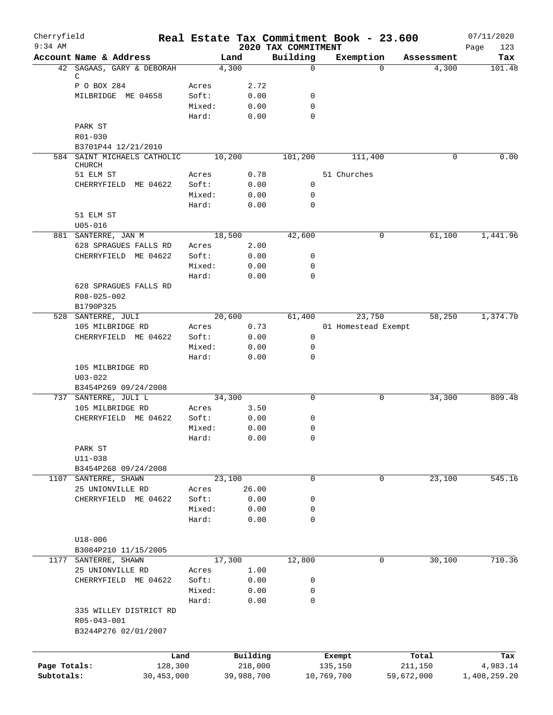| Cherryfield  |                             |            |        |        |            | Real Estate Tax Commitment Book - 23.600 |             |                     |            | 07/11/2020         |
|--------------|-----------------------------|------------|--------|--------|------------|------------------------------------------|-------------|---------------------|------------|--------------------|
| $9:34$ AM    | Account Name & Address      |            |        | Land   |            | 2020 TAX COMMITMENT<br>Building          |             | Exemption           | Assessment | 123<br>Page<br>Tax |
|              | 42 SAGAAS, GARY & DEBORAH   |            |        | 4,300  |            | $\Omega$                                 |             | $\Omega$            | 4,300      | 101.48             |
|              | С                           |            |        |        |            |                                          |             |                     |            |                    |
|              | P O BOX 284                 |            | Acres  |        | 2.72       |                                          |             |                     |            |                    |
|              | MILBRIDGE ME 04658          |            | Soft:  |        | 0.00       | 0                                        |             |                     |            |                    |
|              |                             |            | Mixed: |        | 0.00       | 0<br>0                                   |             |                     |            |                    |
|              | PARK ST                     |            | Hard:  |        | 0.00       |                                          |             |                     |            |                    |
|              | R01-030                     |            |        |        |            |                                          |             |                     |            |                    |
|              | B3701P44 12/21/2010         |            |        |        |            |                                          |             |                     |            |                    |
|              | 584 SAINT MICHAELS CATHOLIC |            |        | 10,200 |            | 101,200                                  |             | 111,400             | 0          | 0.00               |
|              | <b>CHURCH</b>               |            |        |        |            |                                          |             |                     |            |                    |
|              | 51 ELM ST                   |            | Acres  |        | 0.78       |                                          | 51 Churches |                     |            |                    |
|              | CHERRYFIELD ME 04622        |            | Soft:  |        | 0.00       | 0                                        |             |                     |            |                    |
|              |                             |            | Mixed: |        | 0.00       | 0                                        |             |                     |            |                    |
|              |                             |            | Hard:  |        | 0.00       | $\mathbf 0$                              |             |                     |            |                    |
|              | 51 ELM ST                   |            |        |        |            |                                          |             |                     |            |                    |
|              | $U05 - 016$                 |            |        |        |            |                                          |             |                     |            |                    |
|              | 881 SANTERRE, JAN M         |            |        | 18,500 |            | 42,600                                   |             | 0                   | 61,100     | 1,441.96           |
|              | 628 SPRAGUES FALLS RD       |            | Acres  |        | 2.00       |                                          |             |                     |            |                    |
|              | CHERRYFIELD ME 04622        |            | Soft:  |        | 0.00       | 0                                        |             |                     |            |                    |
|              |                             |            | Mixed: |        | 0.00       | 0                                        |             |                     |            |                    |
|              |                             |            | Hard:  |        | 0.00       | 0                                        |             |                     |            |                    |
|              | 628 SPRAGUES FALLS RD       |            |        |        |            |                                          |             |                     |            |                    |
|              | R08-025-002                 |            |        |        |            |                                          |             |                     |            |                    |
|              | B1790P325                   |            |        |        |            |                                          |             |                     |            |                    |
|              | 528 SANTERRE, JULI          |            |        | 20,600 |            | 61,400                                   |             | 23,750              | 58,250     | 1,374.70           |
|              | 105 MILBRIDGE RD            |            | Acres  |        | 0.73       |                                          |             | 01 Homestead Exempt |            |                    |
|              | CHERRYFIELD ME 04622        |            | Soft:  |        | 0.00       | $\mathbf 0$                              |             |                     |            |                    |
|              |                             |            | Mixed: |        | 0.00       | 0                                        |             |                     |            |                    |
|              |                             |            | Hard:  |        | 0.00       | 0                                        |             |                     |            |                    |
|              | 105 MILBRIDGE RD            |            |        |        |            |                                          |             |                     |            |                    |
|              | $U03 - 022$                 |            |        |        |            |                                          |             |                     |            |                    |
|              | B3454P269 09/24/2008        |            |        |        |            |                                          |             |                     |            |                    |
| 737          | SANTERRE, JULI L            |            |        | 34,300 |            | $\mathbf 0$                              |             | 0                   | 34,300     | 809.48             |
|              | 105 MILBRIDGE RD            |            | Acres  |        | 3.50       |                                          |             |                     |            |                    |
|              | CHERRYFIELD ME 04622        |            | Soft:  |        | 0.00       | 0                                        |             |                     |            |                    |
|              |                             |            | Mixed: |        | 0.00       | 0                                        |             |                     |            |                    |
|              |                             |            | Hard:  |        | 0.00       | 0                                        |             |                     |            |                    |
|              | PARK ST                     |            |        |        |            |                                          |             |                     |            |                    |
|              | $U11 - 038$                 |            |        |        |            |                                          |             |                     |            |                    |
|              | B3454P268 09/24/2008        |            |        |        |            |                                          |             |                     |            |                    |
| 1107         | SANTERRE, SHAWN             |            |        | 23,100 |            | $\mathbf 0$                              |             | 0                   | 23,100     | 545.16             |
|              | 25 UNIONVILLE RD            |            | Acres  |        | 26.00      |                                          |             |                     |            |                    |
|              | CHERRYFIELD ME 04622        |            | Soft:  |        | 0.00       | 0                                        |             |                     |            |                    |
|              |                             |            | Mixed: |        | 0.00       | 0                                        |             |                     |            |                    |
|              |                             |            | Hard:  |        | 0.00       | 0                                        |             |                     |            |                    |
|              |                             |            |        |        |            |                                          |             |                     |            |                    |
|              | $U18 - 006$                 |            |        |        |            |                                          |             |                     |            |                    |
|              | B3084P210 11/15/2005        |            |        |        |            |                                          |             |                     |            |                    |
| 1177         | SANTERRE, SHAWN             |            |        | 17,300 |            | 12,800                                   |             | 0                   | 30,100     | 710.36             |
|              | 25 UNIONVILLE RD            |            | Acres  |        | 1.00       |                                          |             |                     |            |                    |
|              | CHERRYFIELD ME 04622        |            | Soft:  |        | 0.00       | 0                                        |             |                     |            |                    |
|              |                             |            | Mixed: |        | 0.00       | 0                                        |             |                     |            |                    |
|              |                             |            | Hard:  |        | 0.00       | 0                                        |             |                     |            |                    |
|              | 335 WILLEY DISTRICT RD      |            |        |        |            |                                          |             |                     |            |                    |
|              | R05-043-001                 |            |        |        |            |                                          |             |                     |            |                    |
|              | B3244P276 02/01/2007        |            |        |        |            |                                          |             |                     |            |                    |
|              |                             |            |        |        |            |                                          |             |                     |            |                    |
|              |                             | Land       |        |        | Building   |                                          | Exempt      |                     | Total      | Tax                |
| Page Totals: |                             | 128,300    |        |        | 218,000    |                                          | 135,150     |                     | 211,150    | 4,983.14           |
| Subtotals:   |                             | 30,453,000 |        |        | 39,988,700 |                                          | 10,769,700  |                     | 59,672,000 | 1,408,259.20       |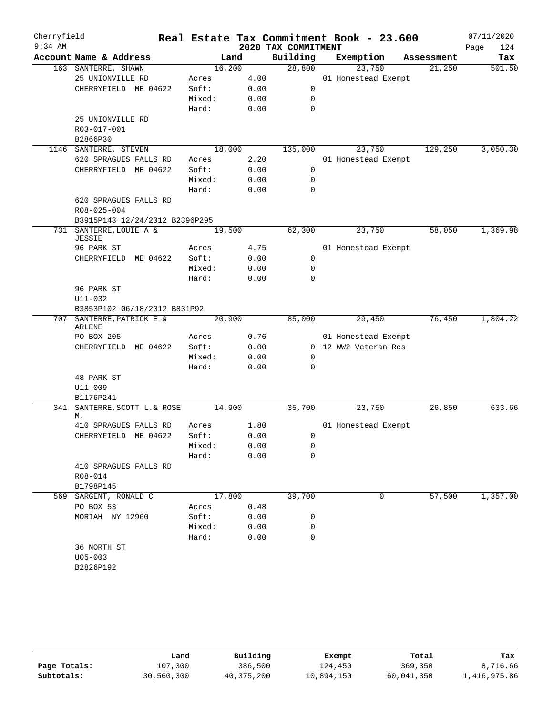| Cherryfield |                                               |                 |              |                     | Real Estate Tax Commitment Book - 23.600 |            | 07/11/2020  |
|-------------|-----------------------------------------------|-----------------|--------------|---------------------|------------------------------------------|------------|-------------|
| $9:34$ AM   |                                               |                 |              | 2020 TAX COMMITMENT |                                          |            | 124<br>Page |
|             | Account Name & Address                        | Land            |              | Building            | Exemption                                | Assessment | Tax         |
|             | 163 SANTERRE, SHAWN                           | 16,200          |              | 28,800              | 23,750                                   | 21,250     | 501.50      |
|             | 25 UNIONVILLE RD                              | Acres           | 4.00         |                     | 01 Homestead Exempt                      |            |             |
|             | CHERRYFIELD ME 04622                          | Soft:           | 0.00         | $\mathbf 0$         |                                          |            |             |
|             |                                               | Mixed:          | 0.00         | $\mathbf 0$         |                                          |            |             |
|             |                                               | Hard:           | 0.00         | $\mathbf 0$         |                                          |            |             |
|             | 25 UNIONVILLE RD                              |                 |              |                     |                                          |            |             |
|             | R03-017-001                                   |                 |              |                     |                                          |            |             |
|             | B2866P30                                      |                 |              |                     |                                          |            |             |
|             | 1146 SANTERRE, STEVEN                         | 18,000          |              | 135,000             | 23,750                                   | 129,250    | 3,050.30    |
|             | 620 SPRAGUES FALLS RD                         | Acres           | 2.20         |                     | 01 Homestead Exempt                      |            |             |
|             | CHERRYFIELD ME 04622                          | Soft:           | 0.00         | 0                   |                                          |            |             |
|             |                                               | Mixed:          | 0.00         | 0                   |                                          |            |             |
|             |                                               | Hard:           | 0.00         | 0                   |                                          |            |             |
|             | 620 SPRAGUES FALLS RD                         |                 |              |                     |                                          |            |             |
|             | R08-025-004                                   |                 |              |                     |                                          |            |             |
|             | B3915P143 12/24/2012 B2396P295                |                 |              |                     |                                          |            |             |
| 731         | SANTERRE, LOUIE A &<br>JESSIE                 | 19,500          |              | 62,300              | 23,750                                   | 58,050     | 1,369.98    |
|             | 96 PARK ST                                    | Acres           | 4.75         |                     | 01 Homestead Exempt                      |            |             |
|             | CHERRYFIELD ME 04622                          | Soft:           | 0.00         | 0                   |                                          |            |             |
|             |                                               | Mixed:          | 0.00         | 0                   |                                          |            |             |
|             |                                               | Hard:           | 0.00         | $\Omega$            |                                          |            |             |
|             | 96 PARK ST                                    |                 |              |                     |                                          |            |             |
|             | U11-032                                       |                 |              |                     |                                          |            |             |
|             | B3853P102 06/18/2012 B831P92                  |                 |              |                     |                                          |            |             |
|             | 707 SANTERRE, PATRICK E &                     | 20,900          |              | 85,000              | 29,450                                   | 76,450     | 1,804.22    |
|             | <b>ARLENE</b>                                 |                 |              |                     |                                          |            |             |
|             | PO BOX 205                                    | Acres           | 0.76         |                     | 01 Homestead Exempt                      |            |             |
|             | CHERRYFIELD ME 04622                          | Soft:           | 0.00         |                     | 0 12 WW2 Veteran Res                     |            |             |
|             |                                               | Mixed:          | 0.00         | 0                   |                                          |            |             |
|             |                                               | Hard:           | 0.00         | $\mathbf 0$         |                                          |            |             |
|             | 48 PARK ST                                    |                 |              |                     |                                          |            |             |
|             | U11-009                                       |                 |              |                     |                                          |            |             |
|             | B1176P241                                     |                 |              |                     |                                          |            |             |
| 341         | SANTERRE, SCOTT L. & ROSE                     | 14,900          |              | 35,700              | 23,750                                   | 26,850     | 633.66      |
|             | М.                                            |                 |              |                     |                                          |            |             |
|             | 410 SPRAGUES FALLS RD<br>CHERRYFIELD ME 04622 | Acres           | 1.80         |                     | 01 Homestead Exempt                      |            |             |
|             |                                               | Soft:           | 0.00         | 0                   |                                          |            |             |
|             |                                               | Mixed:<br>Hard: | 0.00<br>0.00 | 0<br>0              |                                          |            |             |
|             |                                               |                 |              |                     |                                          |            |             |
|             | 410 SPRAGUES FALLS RD<br>R08-014              |                 |              |                     |                                          |            |             |
|             |                                               |                 |              |                     |                                          |            |             |
|             | B1798P145<br>569 SARGENT, RONALD C            | 17,800          |              | 39,700              | 0                                        | 57,500     | 1,357.00    |
|             | PO BOX 53                                     |                 | 0.48         |                     |                                          |            |             |
|             |                                               | Acres           |              |                     |                                          |            |             |
|             | MORIAH NY 12960                               | Soft:           | 0.00         | 0                   |                                          |            |             |
|             |                                               | Mixed:          | 0.00         | 0                   |                                          |            |             |
|             |                                               | Hard:           | 0.00         | 0                   |                                          |            |             |
|             | 36 NORTH ST                                   |                 |              |                     |                                          |            |             |
|             | $U05 - 003$                                   |                 |              |                     |                                          |            |             |
|             | B2826P192                                     |                 |              |                     |                                          |            |             |
|             |                                               |                 |              |                     |                                          |            |             |

|              | Land       | Building   | Exempt     | Total      | Tax          |
|--------------|------------|------------|------------|------------|--------------|
| Page Totals: | 107,300    | 386,500    | 124,450    | 369,350    | 8,716.66     |
| Subtotals:   | 30,560,300 | 40,375,200 | 10,894,150 | 60,041,350 | 1,416,975.86 |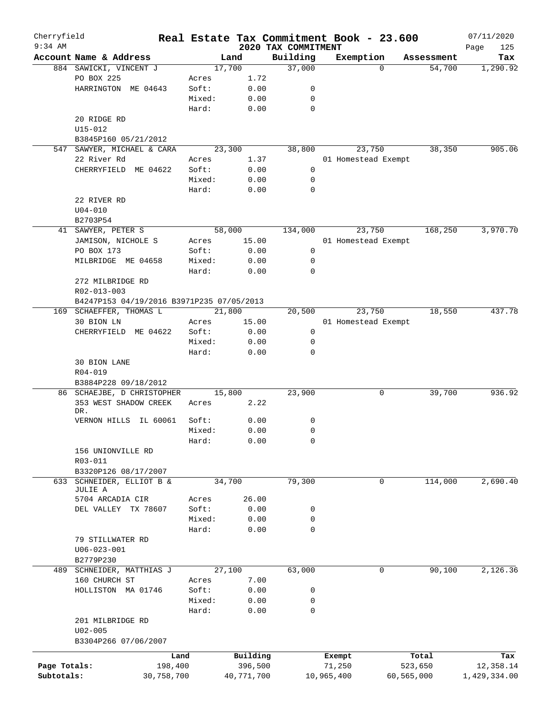| Cherryfield  |                            |                                                          |            |                                 | Real Estate Tax Commitment Book - 23.600 |            | 07/11/2020         |
|--------------|----------------------------|----------------------------------------------------------|------------|---------------------------------|------------------------------------------|------------|--------------------|
| $9:34$ AM    | Account Name & Address     |                                                          | Land       | 2020 TAX COMMITMENT<br>Building | Exemption                                | Assessment | Page<br>125<br>Tax |
|              | 884 SAWICKI, VINCENT J     |                                                          | 17,700     | 37,000                          | $\Omega$                                 | 54,700     | 1,290.92           |
|              | PO BOX 225                 | Acres                                                    | 1.72       |                                 |                                          |            |                    |
|              | HARRINGTON ME 04643        | Soft:                                                    | 0.00       | 0                               |                                          |            |                    |
|              |                            | Mixed:                                                   | 0.00       | 0                               |                                          |            |                    |
|              |                            | Hard:                                                    | 0.00       | 0                               |                                          |            |                    |
|              | 20 RIDGE RD                |                                                          |            |                                 |                                          |            |                    |
|              | U15-012                    |                                                          |            |                                 |                                          |            |                    |
|              |                            |                                                          |            |                                 |                                          |            |                    |
|              | B3845P160 05/21/2012       |                                                          |            |                                 |                                          |            |                    |
| 547          | SAWYER, MICHAEL & CARA     |                                                          | 23,300     | 38,800                          | 23,750                                   | 38,350     | 905.06             |
|              | 22 River Rd                | Acres                                                    | 1.37       |                                 | 01 Homestead Exempt                      |            |                    |
|              | CHERRYFIELD ME 04622       | Soft:                                                    | 0.00       | 0                               |                                          |            |                    |
|              |                            | Mixed:                                                   | 0.00       | 0                               |                                          |            |                    |
|              |                            | Hard:                                                    | 0.00       | 0                               |                                          |            |                    |
|              | 22 RIVER RD                |                                                          |            |                                 |                                          |            |                    |
|              | $U04 - 010$                |                                                          |            |                                 |                                          |            |                    |
|              | B2703P54                   |                                                          |            |                                 |                                          |            |                    |
|              | 41 SAWYER, PETER S         |                                                          | 58,000     | 134,000                         | 23,750                                   | 168,250    | 3,970.70           |
|              | JAMISON, NICHOLE S         | Acres                                                    | 15.00      |                                 | 01 Homestead Exempt                      |            |                    |
|              | PO BOX 173                 | Soft:                                                    | 0.00       | 0                               |                                          |            |                    |
|              | MILBRIDGE ME 04658         | Mixed:                                                   | 0.00       | 0                               |                                          |            |                    |
|              |                            | Hard:                                                    | 0.00       | 0                               |                                          |            |                    |
|              | 272 MILBRIDGE RD           |                                                          |            |                                 |                                          |            |                    |
|              |                            |                                                          |            |                                 |                                          |            |                    |
|              |                            | R02-013-003<br>B4247P153 04/19/2016 B3971P235 07/05/2013 |            |                                 |                                          |            |                    |
|              | 169 SCHAEFFER, THOMAS L    |                                                          | 21,800     | 20,500                          | 23,750                                   | 18,550     | 437.78             |
|              |                            |                                                          |            |                                 |                                          |            |                    |
|              | 30 BION LN                 | Acres                                                    | 15.00      |                                 | 01 Homestead Exempt                      |            |                    |
|              | CHERRYFIELD ME 04622       | Soft:                                                    | 0.00       | 0                               |                                          |            |                    |
|              |                            | Mixed:                                                   | 0.00       | 0                               |                                          |            |                    |
|              |                            | Hard:                                                    | 0.00       | 0                               |                                          |            |                    |
|              | 30 BION LANE               |                                                          |            |                                 |                                          |            |                    |
|              | $R04 - 019$                |                                                          |            |                                 |                                          |            |                    |
|              | B3884P228 09/18/2012       |                                                          |            |                                 |                                          |            |                    |
|              | 86 SCHAEJBE, D CHRISTOPHER |                                                          | 15,800     | 23,900                          | 0                                        | 39,700     | 936.92             |
|              | 353 WEST SHADOW CREEK      | Acres                                                    | 2.22       |                                 |                                          |            |                    |
|              | DR.                        |                                                          |            |                                 |                                          |            |                    |
|              | VERNON HILLS<br>IL 60061   | Soft:                                                    | 0.00       | 0                               |                                          |            |                    |
|              |                            | Mixed:                                                   | 0.00       | 0                               |                                          |            |                    |
|              |                            | Hard:                                                    | 0.00       | 0                               |                                          |            |                    |
|              | 156 UNIONVILLE RD          |                                                          |            |                                 |                                          |            |                    |
|              | R03-011                    |                                                          |            |                                 |                                          |            |                    |
|              | B3320P126 08/17/2007       |                                                          |            |                                 |                                          |            |                    |
| 633          | SCHNEIDER, ELLIOT B &      |                                                          | 34,700     | 79,300                          | $\mathbf 0$                              | 114,000    | 2,690.40           |
|              | JULIE A                    |                                                          |            |                                 |                                          |            |                    |
|              | 5704 ARCADIA CIR           | Acres                                                    | 26.00      |                                 |                                          |            |                    |
|              | DEL VALLEY TX 78607        | Soft:                                                    | 0.00       | 0                               |                                          |            |                    |
|              |                            | Mixed:                                                   | 0.00       | 0                               |                                          |            |                    |
|              |                            | Hard:                                                    | 0.00       | $\mathbf 0$                     |                                          |            |                    |
|              | 79 STILLWATER RD           |                                                          |            |                                 |                                          |            |                    |
|              | $U06 - 023 - 001$          |                                                          |            |                                 |                                          |            |                    |
|              | B2779P230                  |                                                          |            |                                 |                                          |            |                    |
|              | 489 SCHNEIDER, MATTHIAS J  |                                                          | 27,100     | 63,000                          | 0                                        | 90,100     | 2,126.36           |
|              | 160 CHURCH ST              | Acres                                                    | 7.00       |                                 |                                          |            |                    |
|              | HOLLISTON MA 01746         | Soft:                                                    | 0.00       | 0                               |                                          |            |                    |
|              |                            | Mixed:                                                   | 0.00       | 0                               |                                          |            |                    |
|              |                            | Hard:                                                    | 0.00       | 0                               |                                          |            |                    |
|              |                            |                                                          |            |                                 |                                          |            |                    |
|              | 201 MILBRIDGE RD           |                                                          |            |                                 |                                          |            |                    |
|              | $U02 - 005$                |                                                          |            |                                 |                                          |            |                    |
|              | B3304P266 07/06/2007       |                                                          |            |                                 |                                          |            |                    |
|              |                            | Land                                                     | Building   |                                 | Exempt                                   | Total      | Tax                |
| Page Totals: | 198,400                    |                                                          | 396,500    |                                 | 71,250                                   | 523,650    | 12,358.14          |
| Subtotals:   | 30,758,700                 |                                                          | 40,771,700 |                                 | 10,965,400                               | 60,565,000 | 1,429,334.00       |
|              |                            |                                                          |            |                                 |                                          |            |                    |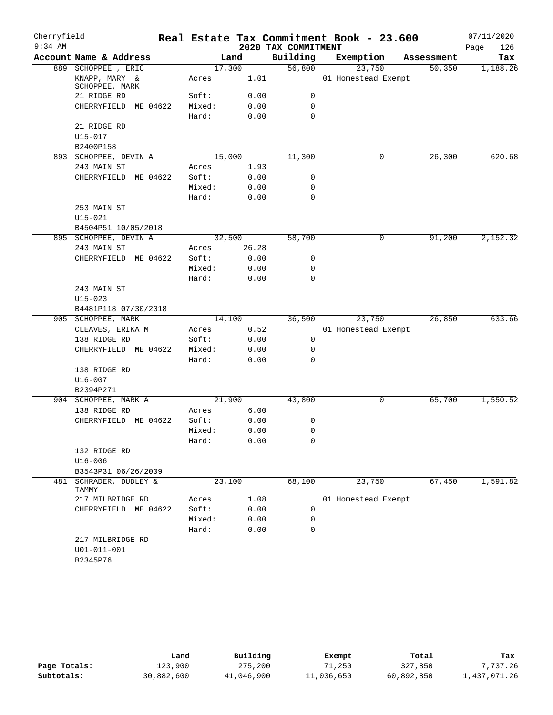| Cherryfield |                                                   |        |        |                     | Real Estate Tax Commitment Book - 23.600 |            | 07/11/2020  |
|-------------|---------------------------------------------------|--------|--------|---------------------|------------------------------------------|------------|-------------|
| $9:34$ AM   |                                                   |        |        | 2020 TAX COMMITMENT |                                          |            | Page<br>126 |
|             | Account Name & Address                            |        | Land   | Building            | Exemption                                | Assessment | Tax         |
|             | 889 SCHOPPEE, ERIC                                |        | 17,300 | 56,800              | 23,750                                   | 50, 350    | 1,188.26    |
|             | KNAPP, MARY &<br>SCHOPPEE, MARK                   | Acres  | 1.01   |                     | 01 Homestead Exempt                      |            |             |
|             | 21 RIDGE RD                                       | Soft:  | 0.00   | 0                   |                                          |            |             |
|             | CHERRYFIELD<br>ME 04622                           | Mixed: | 0.00   | 0                   |                                          |            |             |
|             |                                                   | Hard:  | 0.00   | 0                   |                                          |            |             |
|             | 21 RIDGE RD                                       |        |        |                     |                                          |            |             |
|             | U15-017                                           |        |        |                     |                                          |            |             |
|             | B2400P158                                         |        |        |                     |                                          |            |             |
|             | 893 SCHOPPEE, DEVIN A                             |        | 15,000 | 11,300              | 0                                        | 26,300     | 620.68      |
|             | 243 MAIN ST                                       | Acres  | 1.93   |                     |                                          |            |             |
|             | CHERRYFIELD ME 04622                              | Soft:  | 0.00   | 0                   |                                          |            |             |
|             |                                                   | Mixed: | 0.00   | 0                   |                                          |            |             |
|             |                                                   | Hard:  | 0.00   | $\mathbf 0$         |                                          |            |             |
|             | 253 MAIN ST                                       |        |        |                     |                                          |            |             |
|             | $U15 - 021$                                       |        |        |                     |                                          |            |             |
|             | B4504P51 10/05/2018                               |        |        |                     |                                          |            |             |
|             | 895 SCHOPPEE, DEVIN A                             |        | 32,500 | 58,700              | $\mathsf{O}$                             | 91,200     | 2,152.32    |
|             | 243 MAIN ST                                       | Acres  | 26.28  |                     |                                          |            |             |
|             | CHERRYFIELD ME 04622                              | Soft:  | 0.00   | 0                   |                                          |            |             |
|             |                                                   | Mixed: | 0.00   | 0                   |                                          |            |             |
|             |                                                   | Hard:  | 0.00   | 0                   |                                          |            |             |
|             | 243 MAIN ST                                       |        |        |                     |                                          |            |             |
|             | $U15 - 023$                                       |        |        |                     |                                          |            |             |
|             | B4481P118 07/30/2018                              |        |        |                     |                                          |            |             |
|             | 905 SCHOPPEE, MARK                                |        | 14,100 | 36,500              | 23,750                                   | 26,850     | 633.66      |
|             | CLEAVES, ERIKA M                                  | Acres  | 0.52   |                     | 01 Homestead Exempt                      |            |             |
|             | 138 RIDGE RD                                      | Soft:  | 0.00   | 0                   |                                          |            |             |
|             | CHERRYFIELD ME 04622                              | Mixed: | 0.00   | 0                   |                                          |            |             |
|             |                                                   | Hard:  | 0.00   | 0                   |                                          |            |             |
|             | 138 RIDGE RD                                      |        |        |                     |                                          |            |             |
|             | U16-007                                           |        |        |                     |                                          |            |             |
|             | B2394P271                                         |        |        |                     |                                          |            |             |
|             | 904 SCHOPPEE, MARK A                              |        | 21,900 | 43,800              | $\mathsf{O}$                             | 65,700     | 1,550.52    |
|             | 138 RIDGE RD                                      | Acres  | 6.00   |                     |                                          |            |             |
|             | CHERRYFIELD ME 04622                              | Soft:  | 0.00   | 0                   |                                          |            |             |
|             |                                                   | Mixed: | 0.00   | 0                   |                                          |            |             |
|             |                                                   | Hard:  | 0.00   | 0                   |                                          |            |             |
|             | 132 RIDGE RD                                      |        |        |                     |                                          |            |             |
|             | $U16 - 006$                                       |        |        |                     |                                          |            |             |
|             | B3543P31 06/26/2009                               |        |        |                     |                                          |            |             |
| 481         | SCHRADER, DUDLEY &<br>TAMMY                       |        | 23,100 | 68,100              | 23,750                                   | 67,450     | 1,591.82    |
|             | 217 MILBRIDGE RD                                  | Acres  | 1.08   |                     | 01 Homestead Exempt                      |            |             |
|             | CHERRYFIELD ME 04622                              | Soft:  | 0.00   | 0                   |                                          |            |             |
|             |                                                   | Mixed: | 0.00   | 0                   |                                          |            |             |
|             |                                                   | Hard:  | 0.00   | 0                   |                                          |            |             |
|             | 217 MILBRIDGE RD<br>$U01 - 011 - 001$<br>B2345P76 |        |        |                     |                                          |            |             |

|              | Land       | Building   | Exempt     | Total      | Tax          |
|--------------|------------|------------|------------|------------|--------------|
| Page Totals: | 123,900    | 275,200    | 71,250     | 327,850    | 7.737.26     |
| Subtotals:   | 30,882,600 | 41,046,900 | 11,036,650 | 60,892,850 | 1,437,071.26 |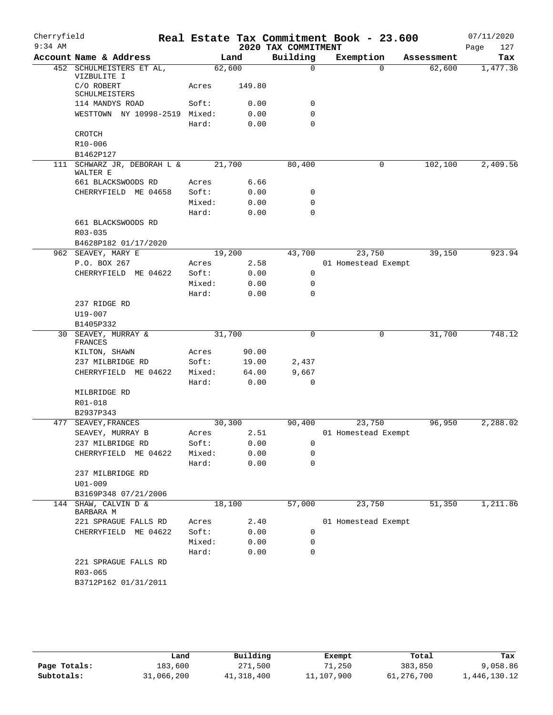| Cherryfield |                                         |        |        |                     | Real Estate Tax Commitment Book - 23.600 |            | 07/11/2020  |
|-------------|-----------------------------------------|--------|--------|---------------------|------------------------------------------|------------|-------------|
| $9:34$ AM   |                                         |        |        | 2020 TAX COMMITMENT |                                          |            | 127<br>Page |
|             | Account Name & Address                  |        | Land   | Building            | Exemption                                | Assessment | Tax         |
|             | 452 SCHULMEISTERS ET AL,<br>VIZBULITE I | 62,600 |        | $\mathbf 0$         | $\Omega$                                 | 62,600     | 1,477.36    |
|             | C/O ROBERT<br>SCHULMEISTERS             | Acres  | 149.80 |                     |                                          |            |             |
|             | 114 MANDYS ROAD                         | Soft:  | 0.00   | 0                   |                                          |            |             |
|             | WESTTOWN NY 10998-2519 Mixed:           |        | 0.00   | 0                   |                                          |            |             |
|             |                                         | Hard:  | 0.00   | $\mathbf 0$         |                                          |            |             |
|             | CROTCH                                  |        |        |                     |                                          |            |             |
|             | R10-006                                 |        |        |                     |                                          |            |             |
|             | B1462P127                               |        |        |                     |                                          |            |             |
|             | 111 SCHWARZ JR, DEBORAH L &<br>WALTER E | 21,700 |        | 80,400              | 0                                        | 102,100    | 2,409.56    |
|             | 661 BLACKSWOODS RD                      | Acres  | 6.66   |                     |                                          |            |             |
|             | CHERRYFIELD ME 04658                    | Soft:  | 0.00   | 0                   |                                          |            |             |
|             |                                         | Mixed: | 0.00   | 0                   |                                          |            |             |
|             |                                         | Hard:  | 0.00   | 0                   |                                          |            |             |
|             | 661 BLACKSWOODS RD                      |        |        |                     |                                          |            |             |
|             | $R03 - 035$                             |        |        |                     |                                          |            |             |
|             | B4628P182 01/17/2020                    |        |        |                     |                                          |            |             |
|             | 962 SEAVEY, MARY E                      | 19,200 |        | 43,700              | 23,750                                   | 39,150     | 923.94      |
|             | P.O. BOX 267                            | Acres  | 2.58   |                     | 01 Homestead Exempt                      |            |             |
|             | CHERRYFIELD ME 04622                    | Soft:  | 0.00   | 0                   |                                          |            |             |
|             |                                         | Mixed: | 0.00   | 0                   |                                          |            |             |
|             |                                         | Hard:  | 0.00   | 0                   |                                          |            |             |
|             | 237 RIDGE RD                            |        |        |                     |                                          |            |             |
|             | U19-007                                 |        |        |                     |                                          |            |             |
|             | B1405P332                               |        |        |                     |                                          |            |             |
| 30          | SEAVEY, MURRAY &                        | 31,700 |        | 0                   | 0                                        | 31,700     | 748.12      |
|             | FRANCES                                 | Acres  | 90.00  |                     |                                          |            |             |
|             | KILTON, SHAWN<br>237 MILBRIDGE RD       | Soft:  | 19.00  | 2,437               |                                          |            |             |
|             | CHERRYFIELD ME 04622                    | Mixed: | 64.00  | 9,667               |                                          |            |             |
|             |                                         | Hard:  | 0.00   | $\mathbf 0$         |                                          |            |             |
|             | MILBRIDGE RD                            |        |        |                     |                                          |            |             |
|             | R01-018                                 |        |        |                     |                                          |            |             |
|             | B2937P343                               |        |        |                     |                                          |            |             |
|             | 477 SEAVEY, FRANCES                     | 30,300 |        | 90,400              | 23,750                                   | 96,950     | 2,288.02    |
|             | SEAVEY, MURRAY B                        | Acres  | 2.51   |                     | 01 Homestead Exempt                      |            |             |
|             | 237 MILBRIDGE RD                        | Soft:  | 0.00   | 0                   |                                          |            |             |
|             | CHERRYFIELD ME 04622                    | Mixed: | 0.00   | 0                   |                                          |            |             |
|             |                                         | Hard:  | 0.00   | $\mathbf 0$         |                                          |            |             |
|             | 237 MILBRIDGE RD                        |        |        |                     |                                          |            |             |
|             | $U01 - 009$                             |        |        |                     |                                          |            |             |
|             | B3169P348 07/21/2006                    |        |        |                     |                                          |            |             |
|             | 144 SHAW, CALVIN D &<br>BARBARA M       | 18,100 |        | 57,000              | 23,750                                   | 51,350     | 1,211.86    |
|             | 221 SPRAGUE FALLS RD                    | Acres  | 2.40   |                     | 01 Homestead Exempt                      |            |             |
|             | CHERRYFIELD ME 04622                    | Soft:  | 0.00   | 0                   |                                          |            |             |
|             |                                         | Mixed: | 0.00   | 0                   |                                          |            |             |
|             |                                         | Hard:  | 0.00   | $\mathbf 0$         |                                          |            |             |
|             | 221 SPRAGUE FALLS RD                    |        |        |                     |                                          |            |             |
|             | R03-065                                 |        |        |                     |                                          |            |             |
|             | B3712P162 01/31/2011                    |        |        |                     |                                          |            |             |
|             |                                         |        |        |                     |                                          |            |             |

|              | Land       | Building   | Exempt     | Total      | Tax          |
|--------------|------------|------------|------------|------------|--------------|
| Page Totals: | 183,600    | 271,500    | 71,250     | 383,850    | 9,058.86     |
| Subtotals:   | 31,066,200 | 41,318,400 | 11,107,900 | 61,276,700 | 1,446,130.12 |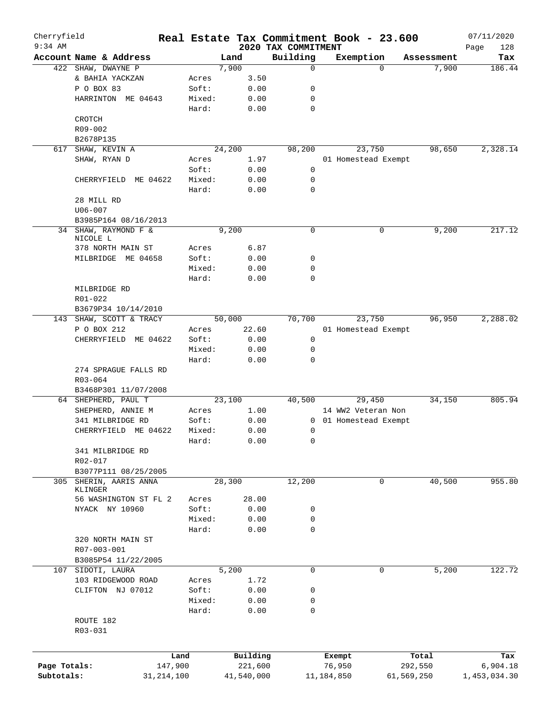| Cherryfield  |                         |        |            |                                 | Real Estate Tax Commitment Book - 23.600 |            | 07/11/2020         |
|--------------|-------------------------|--------|------------|---------------------------------|------------------------------------------|------------|--------------------|
| $9:34$ AM    | Account Name & Address  |        | Land       | 2020 TAX COMMITMENT<br>Building | Exemption                                | Assessment | Page<br>128<br>Tax |
|              | 422 SHAW, DWAYNE P      |        | 7,900      | $\mathbf 0$                     | $\Omega$                                 | 7,900      | 186.44             |
|              | & BAHIA YACKZAN         | Acres  | 3.50       |                                 |                                          |            |                    |
|              | P O BOX 83              | Soft:  | 0.00       | 0                               |                                          |            |                    |
|              | HARRINTON ME 04643      | Mixed: | 0.00       | 0                               |                                          |            |                    |
|              |                         | Hard:  | 0.00       | 0                               |                                          |            |                    |
|              |                         |        |            |                                 |                                          |            |                    |
|              | CROTCH                  |        |            |                                 |                                          |            |                    |
|              | R09-002                 |        |            |                                 |                                          |            |                    |
|              | B2678P135               |        |            |                                 |                                          |            |                    |
| 617          | SHAW, KEVIN A           |        | 24,200     | 98,200                          | 23,750                                   | 98,650     | 2,328.14           |
|              | SHAW, RYAN D            | Acres  | 1.97       |                                 | 01 Homestead Exempt                      |            |                    |
|              |                         | Soft:  | 0.00       | 0                               |                                          |            |                    |
|              | CHERRYFIELD ME 04622    | Mixed: | 0.00       | 0                               |                                          |            |                    |
|              |                         | Hard:  | 0.00       | 0                               |                                          |            |                    |
|              | 28 MILL RD              |        |            |                                 |                                          |            |                    |
|              | $U06 - 007$             |        |            |                                 |                                          |            |                    |
|              | B3985P164 08/16/2013    |        |            |                                 |                                          |            |                    |
|              | 34 SHAW, RAYMOND F &    |        | 9,200      | 0                               | 0                                        | 9,200      | 217.12             |
|              | NICOLE L                |        |            |                                 |                                          |            |                    |
|              | 378 NORTH MAIN ST       | Acres  | 6.87       |                                 |                                          |            |                    |
|              | MILBRIDGE ME 04658      | Soft:  | 0.00       | 0                               |                                          |            |                    |
|              |                         | Mixed: | 0.00       | 0                               |                                          |            |                    |
|              |                         | Hard:  | 0.00       | 0                               |                                          |            |                    |
|              | MILBRIDGE RD            |        |            |                                 |                                          |            |                    |
|              | R01-022                 |        |            |                                 |                                          |            |                    |
|              | B3679P34 10/14/2010     |        |            |                                 |                                          |            |                    |
|              | 143 SHAW, SCOTT & TRACY |        | 50,000     | 70,700                          | 23,750                                   | 96,950     | 2,288.02           |
|              | P O BOX 212             | Acres  | 22.60      |                                 | 01 Homestead Exempt                      |            |                    |
|              | CHERRYFIELD ME 04622    | Soft:  | 0.00       | $\mathsf{O}$                    |                                          |            |                    |
|              |                         | Mixed: | 0.00       | 0                               |                                          |            |                    |
|              |                         | Hard:  | 0.00       | $\mathbf 0$                     |                                          |            |                    |
|              | 274 SPRAGUE FALLS RD    |        |            |                                 |                                          |            |                    |
|              |                         |        |            |                                 |                                          |            |                    |
|              | R03-064                 |        |            |                                 |                                          |            |                    |
|              | B3468P301 11/07/2008    |        |            |                                 |                                          |            |                    |
|              | 64 SHEPHERD, PAUL T     |        | 23,100     | 40,500                          | 29,450                                   | 34,150     | 805.94             |
|              | SHEPHERD, ANNIE M       | Acres  | 1.00       |                                 | 14 WW2 Veteran Non                       |            |                    |
|              | 341 MILBRIDGE RD        | Soft:  | 0.00       |                                 | 0 01 Homestead Exempt                    |            |                    |
|              | CHERRYFIELD ME 04622    | Mixed: | 0.00       | 0                               |                                          |            |                    |
|              |                         | Hard:  | 0.00       | 0                               |                                          |            |                    |
|              | 341 MILBRIDGE RD        |        |            |                                 |                                          |            |                    |
|              | R02-017                 |        |            |                                 |                                          |            |                    |
|              | B3077P111 08/25/2005    |        |            |                                 |                                          |            |                    |
|              | 305 SHERIN, AARIS ANNA  |        | 28,300     | 12,200                          | 0                                        | 40,500     | 955.80             |
|              | KLINGER                 |        |            |                                 |                                          |            |                    |
|              | 56 WASHINGTON ST FL 2   | Acres  | 28.00      |                                 |                                          |            |                    |
|              | NYACK NY 10960          | Soft:  | 0.00       | 0                               |                                          |            |                    |
|              |                         | Mixed: | 0.00       | 0                               |                                          |            |                    |
|              |                         | Hard:  | 0.00       | $\mathbf 0$                     |                                          |            |                    |
|              | 320 NORTH MAIN ST       |        |            |                                 |                                          |            |                    |
|              | R07-003-001             |        |            |                                 |                                          |            |                    |
|              | B3085P54 11/22/2005     |        |            |                                 |                                          |            |                    |
|              | 107 SIDOTI, LAURA       |        | 5,200      | 0                               | 0                                        | 5,200      | 122.72             |
|              | 103 RIDGEWOOD ROAD      | Acres  | 1.72       |                                 |                                          |            |                    |
|              | CLIFTON NJ 07012        | Soft:  | 0.00       | 0                               |                                          |            |                    |
|              |                         | Mixed: | 0.00       | 0                               |                                          |            |                    |
|              |                         | Hard:  | 0.00       | 0                               |                                          |            |                    |
|              |                         |        |            |                                 |                                          |            |                    |
|              | ROUTE 182               |        |            |                                 |                                          |            |                    |
|              | R03-031                 |        |            |                                 |                                          |            |                    |
|              |                         |        |            |                                 |                                          |            |                    |
|              |                         | Land   | Building   |                                 | Exempt                                   | Total      | Tax                |
| Page Totals: | 147,900                 |        | 221,600    |                                 | 76,950                                   | 292,550    | 6,904.18           |
| Subtotals:   | 31, 214, 100            |        | 41,540,000 |                                 | 11,184,850                               | 61,569,250 | 1,453,034.30       |
|              |                         |        |            |                                 |                                          |            |                    |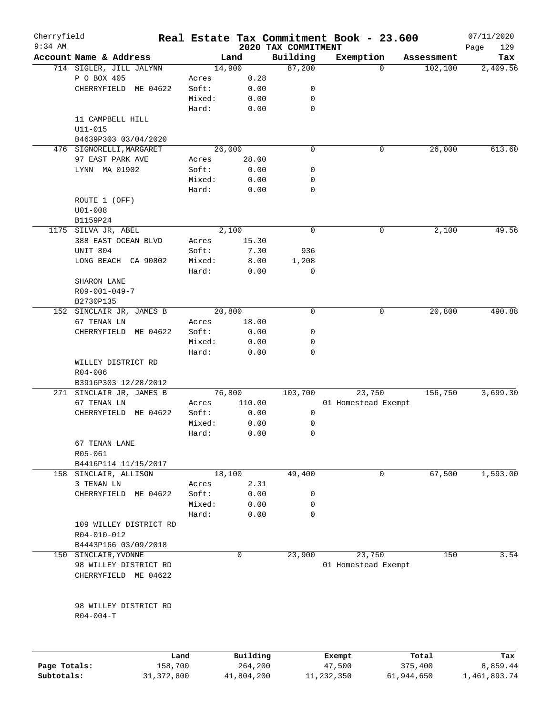| Cherryfield<br>$9:34$ AM |                          |        |        | 2020 TAX COMMITMENT | Real Estate Tax Commitment Book - 23.600 |            | 07/11/2020<br>129<br>Page |
|--------------------------|--------------------------|--------|--------|---------------------|------------------------------------------|------------|---------------------------|
|                          | Account Name & Address   |        | Land   | Building            | Exemption                                | Assessment | Tax                       |
|                          | 714 SIGLER, JILL JALYNN  |        | 14,900 | 87,200              | $\Omega$                                 | 102,100    | 2,409.56                  |
|                          | P O BOX 405              | Acres  | 0.28   |                     |                                          |            |                           |
|                          | CHERRYFIELD ME 04622     | Soft:  | 0.00   | 0                   |                                          |            |                           |
|                          |                          | Mixed: | 0.00   | 0                   |                                          |            |                           |
|                          |                          | Hard:  | 0.00   | $\mathbf 0$         |                                          |            |                           |
|                          | 11 CAMPBELL HILL         |        |        |                     |                                          |            |                           |
|                          | $U11 - 015$              |        |        |                     |                                          |            |                           |
|                          | B4639P303 03/04/2020     |        |        |                     |                                          |            |                           |
|                          | 476 SIGNORELLI, MARGARET |        | 26,000 | 0                   | 0                                        | 26,000     | 613.60                    |
|                          | 97 EAST PARK AVE         | Acres  | 28.00  |                     |                                          |            |                           |
|                          | LYNN MA 01902            | Soft:  | 0.00   | 0                   |                                          |            |                           |
|                          |                          | Mixed: | 0.00   | 0                   |                                          |            |                           |
|                          |                          | Hard:  | 0.00   | $\mathbf 0$         |                                          |            |                           |
|                          | ROUTE 1 (OFF)            |        |        |                     |                                          |            |                           |
|                          | $U01 - 008$              |        |        |                     |                                          |            |                           |
|                          | B1159P24                 |        |        |                     |                                          |            |                           |
|                          | 1175 SILVA JR, ABEL      |        | 2,100  | 0                   | 0                                        | 2,100      | 49.56                     |
|                          | 388 EAST OCEAN BLVD      | Acres  | 15.30  |                     |                                          |            |                           |
|                          | UNIT 804                 | Soft:  | 7.30   | 936                 |                                          |            |                           |
|                          | LONG BEACH CA 90802      | Mixed: | 8.00   | 1,208               |                                          |            |                           |
|                          |                          | Hard:  | 0.00   | 0                   |                                          |            |                           |
|                          | SHARON LANE              |        |        |                     |                                          |            |                           |
|                          | R09-001-049-7            |        |        |                     |                                          |            |                           |
|                          | B2730P135                |        |        |                     |                                          |            |                           |
|                          | 152 SINCLAIR JR, JAMES B |        | 20,800 | $\mathbf 0$         | 0                                        | 20,800     | 490.88                    |
|                          | 67 TENAN LN              | Acres  | 18.00  |                     |                                          |            |                           |
|                          | CHERRYFIELD ME 04622     | Soft:  | 0.00   | 0                   |                                          |            |                           |
|                          |                          | Mixed: | 0.00   | 0                   |                                          |            |                           |
|                          |                          | Hard:  | 0.00   | 0                   |                                          |            |                           |
|                          | WILLEY DISTRICT RD       |        |        |                     |                                          |            |                           |
|                          | $R04 - 006$              |        |        |                     |                                          |            |                           |
|                          | B3916P303 12/28/2012     |        |        |                     |                                          |            |                           |
|                          | 271 SINCLAIR JR, JAMES B |        | 76,800 | 103,700             | 23,750                                   | 156,750    | 3,699.30                  |
|                          | 67 TENAN LN              | Acres  | 110.00 |                     | 01 Homestead Exempt                      |            |                           |
|                          | ME 04622<br>CHERRYFIELD  | Soft:  | 0.00   | 0                   |                                          |            |                           |
|                          |                          | Mixed: | 0.00   | 0                   |                                          |            |                           |
|                          |                          | Hard:  | 0.00   | 0                   |                                          |            |                           |
|                          | 67 TENAN LANE            |        |        |                     |                                          |            |                           |
|                          | R05-061                  |        |        |                     |                                          |            |                           |
|                          | B4416P114 11/15/2017     |        |        |                     |                                          |            |                           |
|                          | 158 SINCLAIR, ALLISON    |        | 18,100 | 49,400              | 0                                        | 67,500     | 1,593.00                  |
|                          | 3 TENAN LN               | Acres  | 2.31   |                     |                                          |            |                           |
|                          | CHERRYFIELD ME 04622     | Soft:  | 0.00   | 0                   |                                          |            |                           |
|                          |                          | Mixed: | 0.00   | 0                   |                                          |            |                           |
|                          |                          | Hard:  | 0.00   | $\Omega$            |                                          |            |                           |
|                          | 109 WILLEY DISTRICT RD   |        |        |                     |                                          |            |                           |
|                          | R04-010-012              |        |        |                     |                                          |            |                           |
|                          | B4443P166 03/09/2018     |        |        |                     |                                          |            |                           |
|                          | 150 SINCLAIR, YVONNE     |        | 0      | 23,900              | 23,750                                   | 150        | 3.54                      |
|                          | 98 WILLEY DISTRICT RD    |        |        |                     | 01 Homestead Exempt                      |            |                           |
|                          | CHERRYFIELD ME 04622     |        |        |                     |                                          |            |                           |
|                          |                          |        |        |                     |                                          |            |                           |
|                          |                          |        |        |                     |                                          |            |                           |
|                          | 98 WILLEY DISTRICT RD    |        |        |                     |                                          |            |                           |
|                          | $R04 - 004 - T$          |        |        |                     |                                          |            |                           |
|                          |                          |        |        |                     |                                          |            |                           |

|              | Land         | Building   | Exempt     | Total      | Tax          |
|--------------|--------------|------------|------------|------------|--------------|
| Page Totals: | 158,700      | 264,200    | 47,500     | 375,400    | 8,859.44     |
| Subtotals:   | 31, 372, 800 | 41,804,200 | 11,232,350 | 61,944,650 | l,461,893.74 |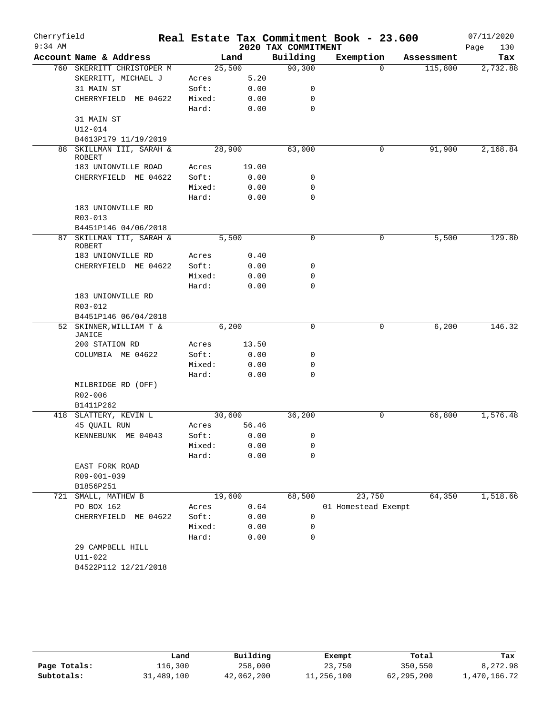| Cherryfield |                                                  |        |        |                     | Real Estate Tax Commitment Book - 23.600 |            | 07/11/2020  |
|-------------|--------------------------------------------------|--------|--------|---------------------|------------------------------------------|------------|-------------|
| $9:34$ AM   |                                                  |        |        | 2020 TAX COMMITMENT |                                          |            | 130<br>Page |
|             | Account Name & Address                           |        | Land   | Building            | Exemption                                | Assessment | Tax         |
|             | 760 SKERRITT CHRISTOPER M                        | 25,500 |        | 90, 300             | $\Omega$                                 | 115,800    | 2,732.88    |
|             | SKERRITT, MICHAEL J                              | Acres  | 5.20   |                     |                                          |            |             |
|             | 31 MAIN ST                                       | Soft:  | 0.00   | 0                   |                                          |            |             |
|             | CHERRYFIELD ME 04622                             | Mixed: | 0.00   | 0                   |                                          |            |             |
|             |                                                  | Hard:  | 0.00   | $\mathbf 0$         |                                          |            |             |
|             | 31 MAIN ST                                       |        |        |                     |                                          |            |             |
|             | $U12 - 014$<br>B4613P179 11/19/2019              |        |        |                     |                                          |            |             |
|             | 88 SKILLMAN III, SARAH &                         | 28,900 |        | 63,000              | 0                                        | 91,900     | 2,168.84    |
|             | <b>ROBERT</b>                                    |        |        |                     |                                          |            |             |
|             | 183 UNIONVILLE ROAD                              | Acres  | 19.00  |                     |                                          |            |             |
|             | CHERRYFIELD ME 04622                             | Soft:  | 0.00   | 0                   |                                          |            |             |
|             |                                                  | Mixed: | 0.00   | $\mathbf 0$         |                                          |            |             |
|             |                                                  | Hard:  | 0.00   | $\mathbf 0$         |                                          |            |             |
|             | 183 UNIONVILLE RD                                |        |        |                     |                                          |            |             |
|             | R03-013                                          |        |        |                     |                                          |            |             |
|             | B4451P146 04/06/2018<br>87 SKILLMAN III, SARAH & |        | 5,500  | 0                   | 0                                        | 5,500      | 129.80      |
|             | <b>ROBERT</b>                                    |        |        |                     |                                          |            |             |
|             | 183 UNIONVILLE RD                                | Acres  | 0.40   |                     |                                          |            |             |
|             | CHERRYFIELD ME 04622                             | Soft:  | 0.00   | 0                   |                                          |            |             |
|             |                                                  | Mixed: | 0.00   | 0                   |                                          |            |             |
|             |                                                  | Hard:  | 0.00   | $\mathbf 0$         |                                          |            |             |
|             | 183 UNIONVILLE RD                                |        |        |                     |                                          |            |             |
|             | R03-012                                          |        |        |                     |                                          |            |             |
|             | B4451P146 06/04/2018                             |        |        |                     |                                          |            |             |
|             | 52 SKINNER, WILLIAM T &<br>JANICE                |        | 6,200  | 0                   | 0                                        | 6,200      | 146.32      |
|             | 200 STATION RD                                   | Acres  | 13.50  |                     |                                          |            |             |
|             | COLUMBIA ME 04622                                | Soft:  | 0.00   | 0                   |                                          |            |             |
|             |                                                  | Mixed: | 0.00   | 0                   |                                          |            |             |
|             |                                                  | Hard:  | 0.00   | $\mathbf 0$         |                                          |            |             |
|             | MILBRIDGE RD (OFF)                               |        |        |                     |                                          |            |             |
|             | R02-006                                          |        |        |                     |                                          |            |             |
|             | B1411P262                                        |        |        |                     |                                          |            |             |
|             | 418 SLATTERY, KEVIN L                            |        | 30,600 | 36,200              | 0                                        | 66,800     | 1,576.48    |
|             | 45 OUAIL RUN                                     | Acres  | 56.46  |                     |                                          |            |             |
|             | KENNEBUNK ME 04043                               | Soft:  | 0.00   | 0                   |                                          |            |             |
|             |                                                  | Mixed: | 0.00   | 0                   |                                          |            |             |
|             |                                                  | Hard:  | 0.00   | 0                   |                                          |            |             |
|             | EAST FORK ROAD                                   |        |        |                     |                                          |            |             |
|             | R09-001-039                                      |        |        |                     |                                          |            |             |
| 721         | B1856P251<br>SMALL, MATHEW B                     | 19,600 |        | 68,500              | 23,750                                   | 64,350     | 1,518.66    |
|             | PO BOX 162                                       | Acres  | 0.64   |                     | 01 Homestead Exempt                      |            |             |
|             | CHERRYFIELD ME 04622                             | Soft:  | 0.00   | 0                   |                                          |            |             |
|             |                                                  | Mixed: | 0.00   | 0                   |                                          |            |             |
|             |                                                  | Hard:  | 0.00   | 0                   |                                          |            |             |
|             | 29 CAMPBELL HILL                                 |        |        |                     |                                          |            |             |
|             | $U11 - 022$                                      |        |        |                     |                                          |            |             |
|             | B4522P112 12/21/2018                             |        |        |                     |                                          |            |             |
|             |                                                  |        |        |                     |                                          |            |             |

|              | Land       | Building   | Exempt     | Total        | Tax          |
|--------------|------------|------------|------------|--------------|--------------|
| Page Totals: | 116,300    | 258,000    | 23,750     | 350,550      | 8,272.98     |
| Subtotals:   | 31,489,100 | 42,062,200 | 11,256,100 | 62, 295, 200 | 1,470,166.72 |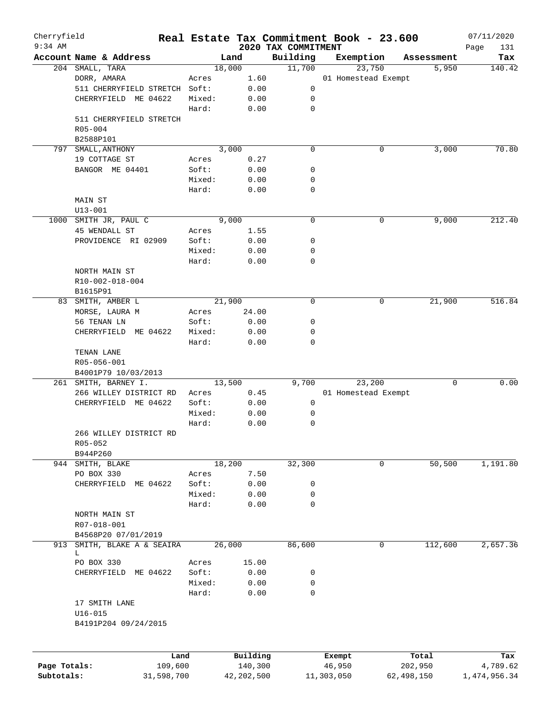| Cherryfield  |                                            |            |                |              |                                 | Real Estate Tax Commitment Book - 23.600 |                     | 07/11/2020    |
|--------------|--------------------------------------------|------------|----------------|--------------|---------------------------------|------------------------------------------|---------------------|---------------|
| $9:34$ AM    | Account Name & Address                     |            |                | Land         | 2020 TAX COMMITMENT<br>Building |                                          |                     | Page<br>131   |
|              | 204 SMALL, TARA                            |            |                | 18,000       | 11,700                          | Exemption<br>23,750                      | Assessment<br>5,950 | Tax<br>140.42 |
|              | DORR, AMARA                                |            | Acres          | 1.60         |                                 | 01 Homestead Exempt                      |                     |               |
|              | 511 CHERRYFIELD STRETCH Soft:              |            |                | 0.00         | 0                               |                                          |                     |               |
|              | CHERRYFIELD ME 04622                       |            | Mixed:         | 0.00         | 0                               |                                          |                     |               |
|              |                                            |            | Hard:          | 0.00         | $\mathbf 0$                     |                                          |                     |               |
|              | 511 CHERRYFIELD STRETCH                    |            |                |              |                                 |                                          |                     |               |
|              | R05-004                                    |            |                |              |                                 |                                          |                     |               |
|              | B2588P101                                  |            |                |              |                                 |                                          |                     |               |
| 797          | SMALL, ANTHONY                             |            |                | 3,000        | $\mathbf 0$                     | 0                                        | 3,000               | 70.80         |
|              | 19 COTTAGE ST                              |            | Acres          | 0.27         |                                 |                                          |                     |               |
|              | BANGOR ME 04401                            |            | Soft:          | 0.00         | 0                               |                                          |                     |               |
|              |                                            |            | Mixed:         | 0.00         | 0                               |                                          |                     |               |
|              |                                            |            | Hard:          | 0.00         | $\mathbf 0$                     |                                          |                     |               |
|              | MAIN ST                                    |            |                |              |                                 |                                          |                     |               |
|              | $U13 - 001$                                |            |                |              |                                 |                                          |                     |               |
| 1000         | SMITH JR, PAUL C                           |            |                | 9,000        | $\mathbf 0$                     | 0                                        | 9,000               | 212.40        |
|              | 45 WENDALL ST                              |            | Acres          | 1.55         |                                 |                                          |                     |               |
|              | PROVIDENCE RI 02909                        |            | Soft:          | 0.00         | 0                               |                                          |                     |               |
|              |                                            |            | Mixed:         | 0.00         | 0                               |                                          |                     |               |
|              |                                            |            | Hard:          | 0.00         | $\mathbf 0$                     |                                          |                     |               |
|              | NORTH MAIN ST                              |            |                |              |                                 |                                          |                     |               |
|              | R10-002-018-004                            |            |                |              |                                 |                                          |                     |               |
|              | B1615P91                                   |            |                |              |                                 |                                          |                     |               |
| 83           | SMITH, AMBER L                             |            |                | 21,900       | $\mathbf 0$                     | 0                                        | 21,900              | 516.84        |
|              | MORSE, LAURA M                             |            | Acres          | 24.00        |                                 |                                          |                     |               |
|              | 56 TENAN LN                                |            | Soft:          | 0.00         | 0                               |                                          |                     |               |
|              | CHERRYFIELD<br>ME 04622                    |            | Mixed:         | 0.00         | 0                               |                                          |                     |               |
|              |                                            |            | Hard:          | 0.00         | $\mathbf 0$                     |                                          |                     |               |
|              | TENAN LANE                                 |            |                |              |                                 |                                          |                     |               |
|              | R05-056-001                                |            |                |              |                                 |                                          |                     |               |
|              | B4001P79 10/03/2013                        |            |                |              |                                 |                                          | 0                   | 0.00          |
| 261          | SMITH, BARNEY I.<br>266 WILLEY DISTRICT RD |            |                | 13,500       | 9,700                           | 23,200                                   |                     |               |
|              | CHERRYFIELD ME 04622                       |            | Acres<br>Soft: | 0.45<br>0.00 | 0                               | 01 Homestead Exempt                      |                     |               |
|              |                                            |            | Mixed:         | 0.00         | 0                               |                                          |                     |               |
|              |                                            |            | Hard:          | 0.00         | 0                               |                                          |                     |               |
|              | 266 WILLEY DISTRICT RD                     |            |                |              |                                 |                                          |                     |               |
|              | R05-052                                    |            |                |              |                                 |                                          |                     |               |
|              | B944P260                                   |            |                |              |                                 |                                          |                     |               |
|              | 944 SMITH, BLAKE                           |            |                | 18,200       | 32,300                          | 0                                        | 50,500              | 1,191.80      |
|              | PO BOX 330                                 |            | Acres          | 7.50         |                                 |                                          |                     |               |
|              | CHERRYFIELD<br>ME 04622                    |            | Soft:          | 0.00         | 0                               |                                          |                     |               |
|              |                                            |            | Mixed:         | 0.00         | 0                               |                                          |                     |               |
|              |                                            |            | Hard:          | 0.00         | $\mathbf 0$                     |                                          |                     |               |
|              | NORTH MAIN ST                              |            |                |              |                                 |                                          |                     |               |
|              | R07-018-001                                |            |                |              |                                 |                                          |                     |               |
|              | B4568P20 07/01/2019                        |            |                |              |                                 |                                          |                     |               |
| 913          | SMITH, BLAKE A & SEAIRA                    |            |                | 26,000       | 86,600                          | 0                                        | 112,600             | 2,657.36      |
|              | L                                          |            |                |              |                                 |                                          |                     |               |
|              | PO BOX 330                                 |            | Acres          | 15.00        |                                 |                                          |                     |               |
|              | CHERRYFIELD<br>ME 04622                    |            | Soft:          | 0.00         | 0                               |                                          |                     |               |
|              |                                            |            | Mixed:         | 0.00         | $\mathbf 0$                     |                                          |                     |               |
|              |                                            |            | Hard:          | 0.00         | 0                               |                                          |                     |               |
|              | 17 SMITH LANE                              |            |                |              |                                 |                                          |                     |               |
|              | $U16 - 015$                                |            |                |              |                                 |                                          |                     |               |
|              | B4191P204 09/24/2015                       |            |                |              |                                 |                                          |                     |               |
|              |                                            |            |                |              |                                 |                                          |                     |               |
|              |                                            | Land       |                | Building     |                                 | Exempt                                   | Total               | Tax           |
| Page Totals: |                                            | 109,600    |                | 140,300      |                                 | 46,950                                   | 202,950             | 4,789.62      |
| Subtotals:   |                                            | 31,598,700 |                | 42, 202, 500 |                                 | 11,303,050                               | 62,498,150          | 1,474,956.34  |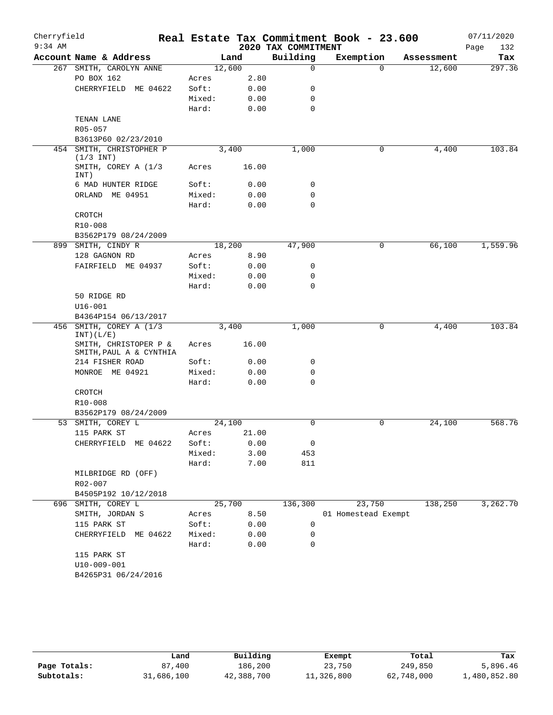| Cherryfield<br>$9:34$ AM |                                                  |                 |              | 2020 TAX COMMITMENT | Real Estate Tax Commitment Book - 23.600 |            | 07/11/2020<br>Page<br>132 |
|--------------------------|--------------------------------------------------|-----------------|--------------|---------------------|------------------------------------------|------------|---------------------------|
|                          | Account Name & Address                           |                 | Land         | Building            | Exemption                                | Assessment | Tax                       |
|                          | 267 SMITH, CAROLYN ANNE                          |                 | 12,600       | $\mathbf 0$         | $\Omega$                                 | 12,600     | 297.36                    |
|                          | PO BOX 162                                       | Acres           | 2.80         |                     |                                          |            |                           |
|                          | CHERRYFIELD ME 04622                             | Soft:           | 0.00         | 0                   |                                          |            |                           |
|                          |                                                  | Mixed:          | 0.00         | 0                   |                                          |            |                           |
|                          |                                                  | Hard:           | 0.00         | $\mathbf 0$         |                                          |            |                           |
|                          | TENAN LANE                                       |                 |              |                     |                                          |            |                           |
|                          | R05-057                                          |                 |              |                     |                                          |            |                           |
|                          | B3613P60 02/23/2010                              |                 |              |                     |                                          |            |                           |
| 454                      | SMITH, CHRISTOPHER P<br>$(1/3$ INT)              |                 | 3,400        | 1,000               | 0                                        | 4,400      | 103.84                    |
|                          | SMITH, COREY A (1/3<br>INT)                      | Acres           | 16.00        |                     |                                          |            |                           |
|                          | 6 MAD HUNTER RIDGE                               | Soft:           | 0.00         | 0                   |                                          |            |                           |
|                          | ORLAND ME 04951                                  | Mixed:          | 0.00         | 0                   |                                          |            |                           |
|                          |                                                  | Hard:           | 0.00         | $\mathbf 0$         |                                          |            |                           |
|                          | CROTCH                                           |                 |              |                     |                                          |            |                           |
|                          | R10-008                                          |                 |              |                     |                                          |            |                           |
|                          | B3562P179 08/24/2009                             |                 |              |                     |                                          |            |                           |
|                          | 899 SMITH, CINDY R                               |                 | 18,200       | 47,900              | 0                                        | 66,100     | 1,559.96                  |
|                          | 128 GAGNON RD                                    | Acres           | 8.90         |                     |                                          |            |                           |
|                          | FAIRFIELD ME 04937                               | Soft:           | 0.00         | 0                   |                                          |            |                           |
|                          |                                                  | Mixed:          | 0.00         | 0                   |                                          |            |                           |
|                          |                                                  | Hard:           | 0.00         | $\Omega$            |                                          |            |                           |
|                          | 50 RIDGE RD                                      |                 |              |                     |                                          |            |                           |
|                          | $U16 - 001$                                      |                 |              |                     |                                          |            |                           |
|                          | B4364P154 06/13/2017                             |                 |              |                     |                                          |            | 103.84                    |
|                          | 456 SMITH, COREY A (1/3<br>INT) (L/E)            | 3,400           |              | 1,000               | 0                                        | 4,400      |                           |
|                          | SMITH, CHRISTOPER P &<br>SMITH, PAUL A & CYNTHIA | Acres           | 16.00        |                     |                                          |            |                           |
|                          | 214 FISHER ROAD                                  | Soft:           | 0.00         | 0                   |                                          |            |                           |
|                          | MONROE ME 04921                                  | Mixed:          | 0.00         | 0                   |                                          |            |                           |
|                          |                                                  | Hard:           | 0.00         | $\mathbf 0$         |                                          |            |                           |
|                          | CROTCH                                           |                 |              |                     |                                          |            |                           |
|                          | R10-008                                          |                 |              |                     |                                          |            |                           |
|                          | B3562P179 08/24/2009                             |                 |              |                     |                                          |            |                           |
|                          | 53 SMITH, COREY L                                |                 | 24,100       | 0                   | $\mathsf{O}$                             | 24,100     | 568.76                    |
|                          | 115 PARK ST                                      | Acres           | 21.00        |                     |                                          |            |                           |
|                          | CHERRYFIELD ME 04622                             | Soft:<br>Mixed: | 0.00<br>3.00 | 0<br>453            |                                          |            |                           |
|                          |                                                  | Hard:           | 7.00         | 811                 |                                          |            |                           |
|                          | MILBRIDGE RD (OFF)                               |                 |              |                     |                                          |            |                           |
|                          | R02-007                                          |                 |              |                     |                                          |            |                           |
|                          | B4505P192 10/12/2018                             |                 |              |                     |                                          |            |                           |
|                          | 696 SMITH, COREY L                               |                 | 25,700       | 136,300             | 23,750                                   | 138,250    | 3,262.70                  |
|                          | SMITH, JORDAN S                                  | Acres           | 8.50         |                     | 01 Homestead Exempt                      |            |                           |
|                          | 115 PARK ST                                      | Soft:           | 0.00         | 0                   |                                          |            |                           |
|                          | CHERRYFIELD ME 04622                             | Mixed:          | 0.00         | 0                   |                                          |            |                           |
|                          |                                                  | Hard:           | 0.00         | 0                   |                                          |            |                           |
|                          | 115 PARK ST                                      |                 |              |                     |                                          |            |                           |
|                          | $U10-009-001$                                    |                 |              |                     |                                          |            |                           |
|                          | B4265P31 06/24/2016                              |                 |              |                     |                                          |            |                           |
|                          |                                                  |                 |              |                     |                                          |            |                           |

|              | Land       | Building   | Exempt     | Total      | Tax          |
|--------------|------------|------------|------------|------------|--------------|
| Page Totals: | 87,400     | 186,200    | 23,750     | 249,850    | 5,896.46     |
| Subtotals:   | 31,686,100 | 42,388,700 | 11,326,800 | 62,748,000 | 1,480,852.80 |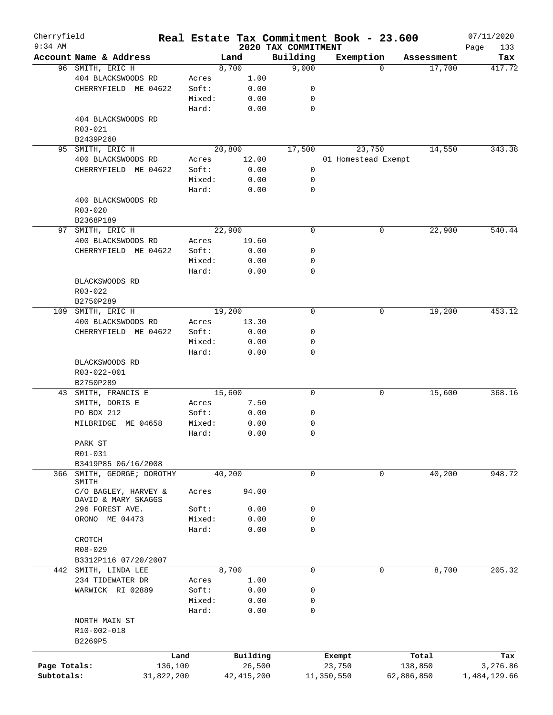| Cherryfield<br>$9:34$ AM |                                            |            |        |        |              |                                 | Real Estate Tax Commitment Book - 23.600 |        |            | 07/11/2020         |
|--------------------------|--------------------------------------------|------------|--------|--------|--------------|---------------------------------|------------------------------------------|--------|------------|--------------------|
|                          | Account Name & Address                     |            |        | Land   |              | 2020 TAX COMMITMENT<br>Building | Exemption                                |        | Assessment | Page<br>133<br>Tax |
|                          | 96 SMITH, ERIC H                           |            |        | 8,700  |              | 9,000                           |                                          | 0      | 17,700     | 417.72             |
|                          | 404 BLACKSWOODS RD                         |            | Acres  |        | 1.00         |                                 |                                          |        |            |                    |
|                          | CHERRYFIELD ME 04622                       |            | Soft:  |        | 0.00         | 0                               |                                          |        |            |                    |
|                          |                                            |            | Mixed: |        | 0.00         | 0                               |                                          |        |            |                    |
|                          |                                            |            | Hard:  |        | 0.00         | 0                               |                                          |        |            |                    |
|                          | 404 BLACKSWOODS RD                         |            |        |        |              |                                 |                                          |        |            |                    |
|                          | R03-021                                    |            |        |        |              |                                 |                                          |        |            |                    |
|                          | B2439P260                                  |            |        |        |              |                                 |                                          |        |            |                    |
| 95                       | SMITH, ERIC H                              |            |        | 20,800 |              | 17,500                          |                                          | 23,750 | 14,550     | 343.38             |
|                          | 400 BLACKSWOODS RD                         |            | Acres  |        | 12.00        |                                 | 01 Homestead Exempt                      |        |            |                    |
|                          | CHERRYFIELD ME 04622                       |            | Soft:  |        | 0.00         | 0                               |                                          |        |            |                    |
|                          |                                            |            | Mixed: |        | 0.00         | 0                               |                                          |        |            |                    |
|                          |                                            |            | Hard:  |        | 0.00         | 0                               |                                          |        |            |                    |
|                          | 400 BLACKSWOODS RD                         |            |        |        |              |                                 |                                          |        |            |                    |
|                          | R03-020                                    |            |        |        |              |                                 |                                          |        |            |                    |
|                          | B2368P189                                  |            |        |        |              |                                 |                                          |        |            |                    |
| 97                       | SMITH, ERIC H                              |            |        | 22,900 |              | $\mathbf 0$                     |                                          | 0      | 22,900     | 540.44             |
|                          | 400 BLACKSWOODS RD                         |            | Acres  |        | 19.60        |                                 |                                          |        |            |                    |
|                          | CHERRYFIELD ME 04622                       |            | Soft:  |        | 0.00         | 0                               |                                          |        |            |                    |
|                          |                                            |            | Mixed: |        | 0.00         | 0                               |                                          |        |            |                    |
|                          |                                            |            | Hard:  |        | 0.00         | 0                               |                                          |        |            |                    |
|                          | BLACKSWOODS RD                             |            |        |        |              |                                 |                                          |        |            |                    |
|                          | $R03 - 022$                                |            |        |        |              |                                 |                                          |        |            |                    |
|                          | B2750P289                                  |            |        |        |              |                                 |                                          |        |            |                    |
|                          | 109 SMITH, ERIC H                          |            |        | 19,200 |              | $\mathbf 0$                     |                                          | 0      | 19,200     | 453.12             |
|                          | 400 BLACKSWOODS RD                         |            | Acres  |        | 13.30        |                                 |                                          |        |            |                    |
|                          | CHERRYFIELD ME 04622                       |            | Soft:  |        | 0.00         | 0                               |                                          |        |            |                    |
|                          |                                            |            | Mixed: |        | 0.00         | 0                               |                                          |        |            |                    |
|                          |                                            |            | Hard:  |        | 0.00         | 0                               |                                          |        |            |                    |
|                          | BLACKSWOODS RD<br>R03-022-001<br>B2750P289 |            |        |        |              |                                 |                                          |        |            |                    |
| 43                       | SMITH, FRANCIS E                           |            |        | 15,600 |              | $\mathbf 0$                     |                                          | 0      | 15,600     | 368.16             |
|                          | SMITH, DORIS E                             |            | Acres  |        | 7.50         |                                 |                                          |        |            |                    |
|                          | PO BOX 212                                 |            | Soft:  |        | 0.00         | 0                               |                                          |        |            |                    |
|                          | MILBRIDGE<br>ME 04658                      |            | Mixed: |        | 0.00         | 0                               |                                          |        |            |                    |
|                          |                                            |            | Hard:  |        | 0.00         | $\mathbf 0$                     |                                          |        |            |                    |
|                          | PARK ST                                    |            |        |        |              |                                 |                                          |        |            |                    |
|                          | R01-031                                    |            |        |        |              |                                 |                                          |        |            |                    |
|                          | B3419P85 06/16/2008                        |            |        |        |              |                                 |                                          |        |            |                    |
| 366                      | SMITH, GEORGE; DOROTHY                     |            |        | 40,200 |              | 0                               |                                          | 0      | 40,200     | 948.72             |
|                          | SMITH                                      |            |        |        |              |                                 |                                          |        |            |                    |
|                          | C/O BAGLEY, HARVEY &                       |            | Acres  |        | 94.00        |                                 |                                          |        |            |                    |
|                          | DAVID & MARY SKAGGS                        |            |        |        |              |                                 |                                          |        |            |                    |
|                          | 296 FOREST AVE.                            |            | Soft:  |        | 0.00         | 0                               |                                          |        |            |                    |
|                          | ORONO ME 04473                             |            | Mixed: |        | 0.00         | 0                               |                                          |        |            |                    |
|                          |                                            |            | Hard:  |        | 0.00         | $\mathbf 0$                     |                                          |        |            |                    |
|                          | CROTCH                                     |            |        |        |              |                                 |                                          |        |            |                    |
|                          | R08-029                                    |            |        |        |              |                                 |                                          |        |            |                    |
|                          | B3312P116 07/20/2007                       |            |        |        |              |                                 |                                          |        |            |                    |
|                          | 442 SMITH, LINDA LEE                       |            |        | 8,700  |              | 0                               |                                          | 0      | 8,700      | 205.32             |
|                          | 234 TIDEWATER DR                           |            | Acres  |        | 1.00         |                                 |                                          |        |            |                    |
|                          | WARWICK RI 02889                           |            | Soft:  |        | 0.00         | 0                               |                                          |        |            |                    |
|                          |                                            |            | Mixed: |        | 0.00         | 0                               |                                          |        |            |                    |
|                          |                                            |            | Hard:  |        | 0.00         | $\mathbf 0$                     |                                          |        |            |                    |
|                          | NORTH MAIN ST                              |            |        |        |              |                                 |                                          |        |            |                    |
|                          | R10-002-018                                |            |        |        |              |                                 |                                          |        |            |                    |
|                          | B2269P5                                    |            |        |        |              |                                 |                                          |        |            |                    |
|                          |                                            | Land       |        |        | Building     |                                 | Exempt                                   |        | Total      | Tax                |
| Page Totals:             |                                            | 136,100    |        |        | 26,500       |                                 | 23,750                                   |        | 138,850    | 3,276.86           |
| Subtotals:               |                                            | 31,822,200 |        |        | 42, 415, 200 |                                 | 11,350,550                               |        | 62,886,850 | 1,484,129.66       |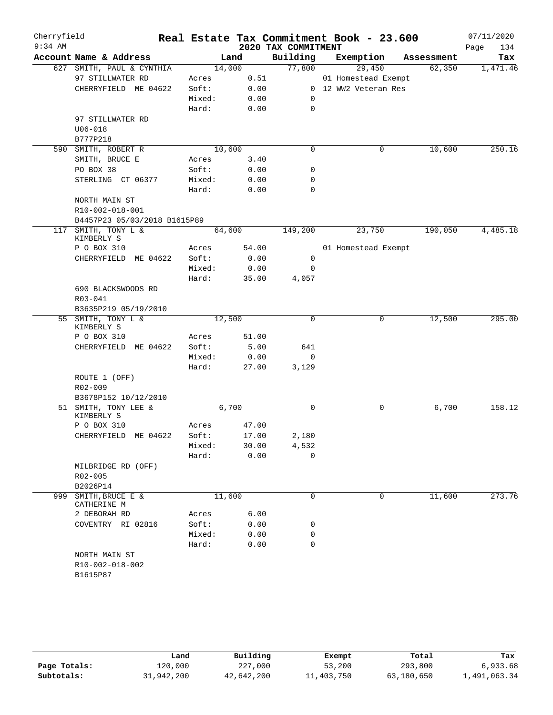| Cherryfield<br>$9:34$ AM |                                 |        |        | 2020 TAX COMMITMENT | Real Estate Tax Commitment Book - 23.600 |            | 07/11/2020<br>Page<br>134 |
|--------------------------|---------------------------------|--------|--------|---------------------|------------------------------------------|------------|---------------------------|
|                          | Account Name & Address          |        | Land   | Building            | Exemption                                | Assessment | Tax                       |
|                          | 627 SMITH, PAUL & CYNTHIA       |        | 14,000 | 77,800              | 29,450                                   | 62,350     | 1,471.46                  |
|                          | 97 STILLWATER RD                | Acres  | 0.51   |                     | 01 Homestead Exempt                      |            |                           |
|                          | CHERRYFIELD ME 04622            | Soft:  | 0.00   |                     | 0 12 WW2 Veteran Res                     |            |                           |
|                          |                                 | Mixed: | 0.00   | 0                   |                                          |            |                           |
|                          |                                 | Hard:  | 0.00   | $\mathbf 0$         |                                          |            |                           |
|                          | 97 STILLWATER RD                |        |        |                     |                                          |            |                           |
|                          | $U06 - 018$                     |        |        |                     |                                          |            |                           |
|                          | B777P218                        |        |        |                     |                                          |            |                           |
| 590                      | SMITH, ROBERT R                 |        | 10,600 | $\mathbf 0$         | 0                                        | 10,600     | 250.16                    |
|                          | SMITH, BRUCE E                  | Acres  | 3.40   |                     |                                          |            |                           |
|                          | PO BOX 38                       | Soft:  | 0.00   | 0                   |                                          |            |                           |
|                          | STERLING CT 06377               | Mixed: | 0.00   | 0                   |                                          |            |                           |
|                          |                                 | Hard:  | 0.00   | 0                   |                                          |            |                           |
|                          | NORTH MAIN ST                   |        |        |                     |                                          |            |                           |
|                          | R10-002-018-001                 |        |        |                     |                                          |            |                           |
|                          | B4457P23 05/03/2018 B1615P89    |        |        |                     |                                          |            |                           |
| 117                      | SMITH, TONY L &<br>KIMBERLY S   |        | 64,600 | 149,200             | 23,750                                   | 190,050    | 4,485.18                  |
|                          | P O BOX 310                     | Acres  | 54.00  |                     | 01 Homestead Exempt                      |            |                           |
|                          | CHERRYFIELD ME 04622            | Soft:  | 0.00   | 0                   |                                          |            |                           |
|                          |                                 | Mixed: | 0.00   | 0                   |                                          |            |                           |
|                          |                                 | Hard:  | 35.00  | 4,057               |                                          |            |                           |
|                          | 690 BLACKSWOODS RD              |        |        |                     |                                          |            |                           |
|                          | R03-041                         |        |        |                     |                                          |            |                           |
|                          | B3635P219 05/19/2010            |        |        |                     |                                          |            |                           |
|                          | 55 SMITH, TONY L &              |        | 12,500 | $\Omega$            | 0                                        | 12,500     | 295.00                    |
|                          | KIMBERLY S                      |        |        |                     |                                          |            |                           |
|                          | P O BOX 310                     | Acres  | 51.00  |                     |                                          |            |                           |
|                          | CHERRYFIELD ME 04622            | Soft:  | 5.00   | 641                 |                                          |            |                           |
|                          |                                 | Mixed: | 0.00   | 0                   |                                          |            |                           |
|                          |                                 | Hard:  | 27.00  | 3,129               |                                          |            |                           |
|                          | ROUTE 1 (OFF)                   |        |        |                     |                                          |            |                           |
|                          | R02-009                         |        |        |                     |                                          |            |                           |
|                          | B3678P152 10/12/2010            |        |        |                     |                                          |            |                           |
|                          | 51 SMITH, TONY LEE &            |        | 6,700  | 0                   | 0                                        | 6,700      | 158.12                    |
|                          | KIMBERLY S                      |        |        |                     |                                          |            |                           |
|                          | P O BOX 310                     | Acres  | 47.00  |                     |                                          |            |                           |
|                          | CHERRYFIELD ME 04622            | Soft:  | 17.00  | 2,180               |                                          |            |                           |
|                          |                                 | Mixed: | 30.00  | 4,532               |                                          |            |                           |
|                          |                                 | Hard:  | 0.00   | $\Omega$            |                                          |            |                           |
|                          | MILBRIDGE RD (OFF)              |        |        |                     |                                          |            |                           |
|                          | R02-005                         |        |        |                     |                                          |            |                           |
|                          | B2026P14                        |        |        |                     |                                          |            |                           |
| 999                      | SMITH, BRUCE E &<br>CATHERINE M |        | 11,600 | $\mathbf 0$         | 0                                        | 11,600     | 273.76                    |
|                          | 2 DEBORAH RD                    | Acres  | 6.00   |                     |                                          |            |                           |
|                          | COVENTRY RI 02816               | Soft:  | 0.00   | 0                   |                                          |            |                           |
|                          |                                 | Mixed: | 0.00   | 0                   |                                          |            |                           |
|                          |                                 | Hard:  | 0.00   | $\Omega$            |                                          |            |                           |
|                          | NORTH MAIN ST                   |        |        |                     |                                          |            |                           |
|                          | R10-002-018-002                 |        |        |                     |                                          |            |                           |
|                          | B1615P87                        |        |        |                     |                                          |            |                           |
|                          |                                 |        |        |                     |                                          |            |                           |

|              | Land       | Building   | Exempt     | Total      | Tax          |
|--------------|------------|------------|------------|------------|--------------|
| Page Totals: | 120,000    | 227,000    | 53,200     | 293,800    | 6,933.68     |
| Subtotals:   | 31,942,200 | 42,642,200 | 11,403,750 | 63,180,650 | 1,491,063.34 |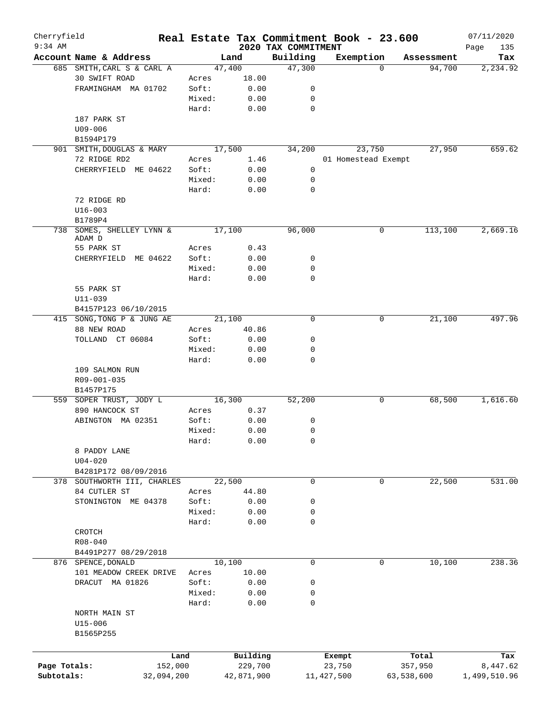| Cherryfield  |                             |        |            |                                 | Real Estate Tax Commitment Book - 23.600 |            | 07/11/2020         |
|--------------|-----------------------------|--------|------------|---------------------------------|------------------------------------------|------------|--------------------|
| $9:34$ AM    | Account Name & Address      | Land   |            | 2020 TAX COMMITMENT<br>Building | Exemption                                | Assessment | Page<br>135<br>Tax |
|              | 685 SMITH, CARL S & CARL A  | 47,400 |            | 47,300                          | $\Omega$                                 | 94,700     | 2,234.92           |
|              | 30 SWIFT ROAD               | Acres  | 18.00      |                                 |                                          |            |                    |
|              | FRAMINGHAM MA 01702         | Soft:  | 0.00       | 0                               |                                          |            |                    |
|              |                             | Mixed: | 0.00       | 0                               |                                          |            |                    |
|              |                             | Hard:  | 0.00       | 0                               |                                          |            |                    |
|              | 187 PARK ST                 |        |            |                                 |                                          |            |                    |
|              | $U09 - 006$                 |        |            |                                 |                                          |            |                    |
|              | B1594P179                   |        |            |                                 |                                          |            |                    |
|              | 901 SMITH, DOUGLAS & MARY   | 17,500 |            | 34,200                          | 23,750                                   | 27,950     | 659.62             |
|              | 72 RIDGE RD2                | Acres  | 1.46       |                                 | 01 Homestead Exempt                      |            |                    |
|              | CHERRYFIELD ME 04622        | Soft:  | 0.00       | 0                               |                                          |            |                    |
|              |                             | Mixed: | 0.00       | 0                               |                                          |            |                    |
|              |                             | Hard:  | 0.00       | 0                               |                                          |            |                    |
|              |                             |        |            |                                 |                                          |            |                    |
|              | 72 RIDGE RD                 |        |            |                                 |                                          |            |                    |
|              | $U16 - 003$                 |        |            |                                 |                                          |            |                    |
|              | B1789P4                     |        |            |                                 |                                          |            |                    |
| 738          | SOMES, SHELLEY LYNN &       | 17,100 |            | 96,000                          | 0                                        | 113,100    | 2,669.16           |
|              | ADAM D                      |        |            |                                 |                                          |            |                    |
|              | 55 PARK ST                  | Acres  | 0.43       |                                 |                                          |            |                    |
|              | CHERRYFIELD ME 04622        | Soft:  | 0.00       | 0                               |                                          |            |                    |
|              |                             | Mixed: | 0.00       | 0                               |                                          |            |                    |
|              |                             | Hard:  | 0.00       | 0                               |                                          |            |                    |
|              | 55 PARK ST                  |        |            |                                 |                                          |            |                    |
|              | U11-039                     |        |            |                                 |                                          |            |                    |
|              | B4157P123 06/10/2015        |        |            |                                 |                                          |            |                    |
|              | 415 SONG, TONG P & JUNG AE  | 21,100 |            | 0                               | 0                                        | 21,100     | 497.96             |
|              | 88 NEW ROAD                 | Acres  | 40.86      |                                 |                                          |            |                    |
|              | TOLLAND CT 06084            | Soft:  | 0.00       | 0                               |                                          |            |                    |
|              |                             | Mixed: | 0.00       | 0                               |                                          |            |                    |
|              |                             | Hard:  | 0.00       | 0                               |                                          |            |                    |
|              | 109 SALMON RUN              |        |            |                                 |                                          |            |                    |
|              | R09-001-035                 |        |            |                                 |                                          |            |                    |
|              | B1457P175                   |        |            |                                 |                                          |            |                    |
|              | 559 SOPER TRUST, JODY L     | 16,300 |            | 52,200                          | 0                                        | 68,500     | 1,616.60           |
|              | 890 HANCOCK ST              | Acres  | 0.37       |                                 |                                          |            |                    |
|              | ABINGTON MA 02351           | Soft:  | 0.00       | 0                               |                                          |            |                    |
|              |                             | Mixed: | 0.00       | 0                               |                                          |            |                    |
|              |                             | Hard:  | 0.00       | 0                               |                                          |            |                    |
|              | 8 PADDY LANE                |        |            |                                 |                                          |            |                    |
|              | $U04 - 020$                 |        |            |                                 |                                          |            |                    |
|              | B4281P172 08/09/2016        |        |            |                                 |                                          |            |                    |
|              | 378 SOUTHWORTH III, CHARLES | 22,500 |            | $\mathbf 0$                     | 0                                        | 22,500     | 531.00             |
|              | 84 CUTLER ST                | Acres  | 44.80      |                                 |                                          |            |                    |
|              | STONINGTON ME 04378         | Soft:  | 0.00       | 0                               |                                          |            |                    |
|              |                             | Mixed: | 0.00       | 0                               |                                          |            |                    |
|              |                             | Hard:  | 0.00       | 0                               |                                          |            |                    |
|              | CROTCH                      |        |            |                                 |                                          |            |                    |
|              | R08-040                     |        |            |                                 |                                          |            |                    |
|              | B4491P277 08/29/2018        |        |            |                                 |                                          |            |                    |
|              | 876 SPENCE, DONALD          | 10,100 |            | $\mathbf 0$                     | 0                                        | 10,100     | 238.36             |
|              | 101 MEADOW CREEK DRIVE      |        | 10.00      |                                 |                                          |            |                    |
|              |                             | Acres  |            |                                 |                                          |            |                    |
|              | DRACUT MA 01826             | Soft:  | 0.00       | 0                               |                                          |            |                    |
|              |                             | Mixed: | 0.00       | 0                               |                                          |            |                    |
|              |                             | Hard:  | 0.00       | 0                               |                                          |            |                    |
|              | NORTH MAIN ST               |        |            |                                 |                                          |            |                    |
|              | U15-006                     |        |            |                                 |                                          |            |                    |
|              | B1565P255                   |        |            |                                 |                                          |            |                    |
|              |                             |        |            |                                 |                                          |            |                    |
|              | Land                        |        | Building   |                                 | Exempt                                   | Total      | Tax                |
| Page Totals: | 152,000                     |        | 229,700    |                                 | 23,750                                   | 357,950    | 8,447.62           |
| Subtotals:   | 32,094,200                  |        | 42,871,900 |                                 | 11, 427, 500                             | 63,538,600 | 1,499,510.96       |
|              |                             |        |            |                                 |                                          |            |                    |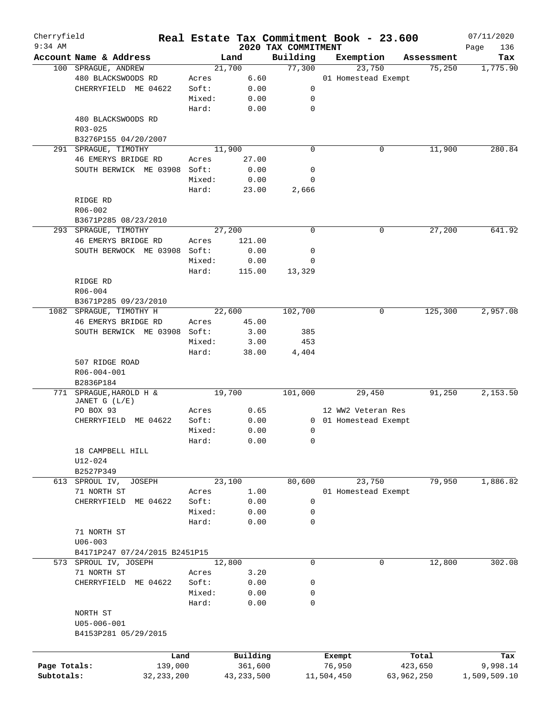| Cherryfield<br>$9:34$ AM |                               |        |              |                                 | Real Estate Tax Commitment Book - 23.600 |            |            | 07/11/2020         |
|--------------------------|-------------------------------|--------|--------------|---------------------------------|------------------------------------------|------------|------------|--------------------|
|                          | Account Name & Address        |        | Land         | 2020 TAX COMMITMENT<br>Building | Exemption                                |            | Assessment | Page<br>136<br>Tax |
|                          | 100 SPRAGUE, ANDREW           |        | 21,700       | 77,300                          | 23,750                                   |            | 75,250     | 1,775.90           |
|                          | 480 BLACKSWOODS RD            | Acres  | 6.60         |                                 | 01 Homestead Exempt                      |            |            |                    |
|                          | CHERRYFIELD ME 04622          | Soft:  | 0.00         | 0                               |                                          |            |            |                    |
|                          |                               | Mixed: | 0.00         | 0                               |                                          |            |            |                    |
|                          |                               | Hard:  | 0.00         | $\mathbf 0$                     |                                          |            |            |                    |
|                          | 480 BLACKSWOODS RD            |        |              |                                 |                                          |            |            |                    |
|                          | R03-025                       |        |              |                                 |                                          |            |            |                    |
|                          | B3276P155 04/20/2007          |        |              |                                 |                                          |            |            |                    |
| 291                      | SPRAGUE, TIMOTHY              |        | 11,900       | $\mathbf 0$                     |                                          | 0          | 11,900     | 280.84             |
|                          |                               |        |              |                                 |                                          |            |            |                    |
|                          | 46 EMERYS BRIDGE RD           | Acres  | 27.00        |                                 |                                          |            |            |                    |
|                          | SOUTH BERWICK ME 03908        | Soft:  | 0.00         | 0                               |                                          |            |            |                    |
|                          |                               | Mixed: | 0.00         | 0                               |                                          |            |            |                    |
|                          |                               | Hard:  | 23.00        | 2,666                           |                                          |            |            |                    |
|                          | RIDGE RD                      |        |              |                                 |                                          |            |            |                    |
|                          | R06-002                       |        |              |                                 |                                          |            |            |                    |
|                          | B3671P285 08/23/2010          |        |              |                                 |                                          |            |            |                    |
|                          | 293 SPRAGUE, TIMOTHY          |        | 27,200       | $\mathbf 0$                     |                                          | 0          | 27,200     | 641.92             |
|                          | 46 EMERYS BRIDGE RD           | Acres  | 121.00       |                                 |                                          |            |            |                    |
|                          | SOUTH BERWOCK ME 03908        | Soft:  | 0.00         | 0                               |                                          |            |            |                    |
|                          |                               | Mixed: | 0.00         | 0                               |                                          |            |            |                    |
|                          |                               | Hard:  | 115.00       | 13,329                          |                                          |            |            |                    |
|                          | RIDGE RD                      |        |              |                                 |                                          |            |            |                    |
|                          | $R06 - 004$                   |        |              |                                 |                                          |            |            |                    |
|                          | B3671P285 09/23/2010          |        |              |                                 |                                          |            |            |                    |
|                          | 1082 SPRAGUE, TIMOTHY H       |        | 22,600       | 102,700                         |                                          | 0          | 125,300    | 2,957.08           |
|                          | 46 EMERYS BRIDGE RD           | Acres  | 45.00        |                                 |                                          |            |            |                    |
|                          | SOUTH BERWICK ME 03908        | Soft:  | 3.00         | 385                             |                                          |            |            |                    |
|                          |                               | Mixed: | 3.00         | 453                             |                                          |            |            |                    |
|                          |                               | Hard:  | 38.00        | 4,404                           |                                          |            |            |                    |
|                          | 507 RIDGE ROAD                |        |              |                                 |                                          |            |            |                    |
|                          | R06-004-001                   |        |              |                                 |                                          |            |            |                    |
|                          | B2836P184                     |        |              |                                 |                                          |            |            |                    |
| 771                      | SPRAGUE, HAROLD H &           |        | 19,700       | 101,000                         | 29,450                                   |            | 91,250     | 2,153.50           |
|                          | JANET G (L/E)                 |        |              |                                 |                                          |            |            |                    |
|                          | PO BOX 93                     | Acres  | 0.65         |                                 | 12 WW2 Veteran Res                       |            |            |                    |
|                          | CHERRYFIELD ME 04622          | Soft:  | 0.00         |                                 | 0 01 Homestead Exempt                    |            |            |                    |
|                          |                               | Mixed: | 0.00         | 0                               |                                          |            |            |                    |
|                          |                               | Hard:  | 0.00         | 0                               |                                          |            |            |                    |
|                          | 18 CAMPBELL HILL              |        |              |                                 |                                          |            |            |                    |
|                          | U12-024                       |        |              |                                 |                                          |            |            |                    |
|                          | B2527P349                     |        |              |                                 |                                          |            |            |                    |
|                          | 613 SPROUL IV,<br>JOSEPH      |        | 23,100       | 80,600                          | 23,750                                   |            | 79,950     | 1,886.82           |
|                          | 71 NORTH ST                   | Acres  | 1.00         |                                 | 01 Homestead Exempt                      |            |            |                    |
|                          | CHERRYFIELD<br>ME 04622       | Soft:  | 0.00         | $\mathsf{O}$                    |                                          |            |            |                    |
|                          |                               | Mixed: | 0.00         | 0                               |                                          |            |            |                    |
|                          |                               | Hard:  | 0.00         | 0                               |                                          |            |            |                    |
|                          | 71 NORTH ST                   |        |              |                                 |                                          |            |            |                    |
|                          | $U06 - 003$                   |        |              |                                 |                                          |            |            |                    |
|                          | B4171P247 07/24/2015 B2451P15 |        |              |                                 |                                          |            |            |                    |
|                          | 573 SPROUL IV, JOSEPH         |        | 12,800       | 0                               |                                          | 0          | 12,800     | 302.08             |
|                          | 71 NORTH ST                   | Acres  | 3.20         |                                 |                                          |            |            |                    |
|                          | CHERRYFIELD ME 04622          | Soft:  | 0.00         | 0                               |                                          |            |            |                    |
|                          |                               | Mixed: | 0.00         | 0                               |                                          |            |            |                    |
|                          |                               | Hard:  | 0.00         | 0                               |                                          |            |            |                    |
|                          | NORTH ST                      |        |              |                                 |                                          |            |            |                    |
|                          | $U05 - 006 - 001$             |        |              |                                 |                                          |            |            |                    |
|                          | B4153P281 05/29/2015          |        |              |                                 |                                          |            |            |                    |
|                          |                               |        |              |                                 |                                          |            |            |                    |
|                          |                               |        |              |                                 |                                          |            |            |                    |
|                          | Land                          |        | Building     |                                 | Exempt                                   |            | Total      | Tax                |
| Page Totals:             | 139,000                       |        | 361,600      |                                 | 76,950                                   |            | 423,650    | 9,998.14           |
| Subtotals:               | 32, 233, 200                  |        | 43, 233, 500 |                                 | 11,504,450                               | 63,962,250 |            | 1,509,509.10       |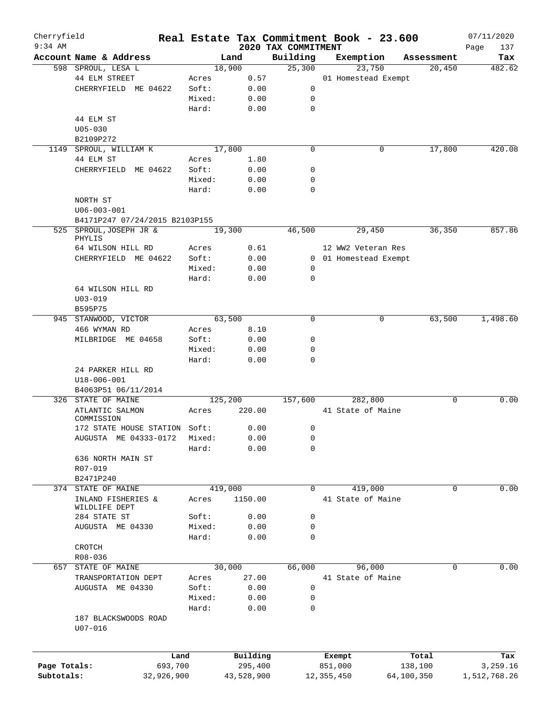| Cherryfield  |                                     |        |            |                                 |              | Real Estate Tax Commitment Book - 23.600 |            |            | 07/11/2020         |
|--------------|-------------------------------------|--------|------------|---------------------------------|--------------|------------------------------------------|------------|------------|--------------------|
| $9:34$ AM    | Account Name & Address              |        | Land       | 2020 TAX COMMITMENT<br>Building |              |                                          |            | Assessment | Page<br>137<br>Tax |
|              | 598 SPROUL, LESA L                  |        | 18,900     | 25,300                          |              | Exemption<br>23,750                      |            | 20,450     | 482.62             |
|              | 44 ELM STREET                       | Acres  | 0.57       |                                 |              | 01 Homestead Exempt                      |            |            |                    |
|              | CHERRYFIELD ME 04622                | Soft:  | 0.00       | 0                               |              |                                          |            |            |                    |
|              |                                     | Mixed: |            |                                 |              |                                          |            |            |                    |
|              |                                     |        | 0.00       | 0                               |              |                                          |            |            |                    |
|              |                                     | Hard:  | 0.00       | 0                               |              |                                          |            |            |                    |
|              | 44 ELM ST                           |        |            |                                 |              |                                          |            |            |                    |
|              | $U05 - 030$                         |        |            |                                 |              |                                          |            |            |                    |
|              | B2109P272                           |        |            |                                 |              |                                          |            |            |                    |
| 1149         | SPROUL, WILLIAM K                   |        | 17,800     | $\mathbf 0$                     |              | 0                                        |            | 17,800     | 420.08             |
|              | 44 ELM ST                           | Acres  | 1.80       |                                 |              |                                          |            |            |                    |
|              | CHERRYFIELD ME 04622                | Soft:  | 0.00       | 0                               |              |                                          |            |            |                    |
|              |                                     | Mixed: | 0.00       | 0                               |              |                                          |            |            |                    |
|              |                                     | Hard:  | 0.00       | 0                               |              |                                          |            |            |                    |
|              | NORTH ST                            |        |            |                                 |              |                                          |            |            |                    |
|              | $U06 - 003 - 001$                   |        |            |                                 |              |                                          |            |            |                    |
|              | B4171P247 07/24/2015 B2103P155      |        |            |                                 |              |                                          |            |            |                    |
|              | 525 SPROUL, JOSEPH JR &<br>PHYLIS   |        | 19,300     | 46,500                          |              | 29,450                                   |            | 36,350     | 857.86             |
|              | 64 WILSON HILL RD                   | Acres  | 0.61       |                                 |              | 12 WW2 Veteran Res                       |            |            |                    |
|              | CHERRYFIELD ME 04622                | Soft:  | 0.00       |                                 |              | 0 01 Homestead Exempt                    |            |            |                    |
|              |                                     | Mixed: | 0.00       | 0                               |              |                                          |            |            |                    |
|              |                                     | Hard:  | 0.00       | 0                               |              |                                          |            |            |                    |
|              | 64 WILSON HILL RD                   |        |            |                                 |              |                                          |            |            |                    |
|              | $U03 - 019$                         |        |            |                                 |              |                                          |            |            |                    |
|              | B595P75                             |        |            |                                 |              |                                          |            |            |                    |
|              | 945 STANWOOD, VICTOR                |        | 63,500     | $\Omega$                        |              | 0                                        |            | 63,500     | 1,498.60           |
|              |                                     |        |            |                                 |              |                                          |            |            |                    |
|              | 466 WYMAN RD                        | Acres  | 8.10       |                                 |              |                                          |            |            |                    |
|              | MILBRIDGE ME 04658                  | Soft:  | 0.00       | 0                               |              |                                          |            |            |                    |
|              |                                     | Mixed: | 0.00       | 0                               |              |                                          |            |            |                    |
|              |                                     | Hard:  | 0.00       | 0                               |              |                                          |            |            |                    |
|              | 24 PARKER HILL RD                   |        |            |                                 |              |                                          |            |            |                    |
|              | U18-006-001                         |        |            |                                 |              |                                          |            |            |                    |
|              | B4063P51 06/11/2014                 |        |            |                                 |              |                                          |            |            |                    |
|              | 326 STATE OF MAINE                  |        | 125,200    | 157,600                         |              | 282,800                                  |            | 0          | 0.00               |
|              | ATLANTIC SALMON<br>COMMISSION       | Acres  | 220.00     |                                 |              | 41 State of Maine                        |            |            |                    |
|              | 172 STATE HOUSE STATION Soft:       |        | 0.00       | 0                               |              |                                          |            |            |                    |
|              | AUGUSTA ME 04333-0172 Mixed:        |        | 0.00       | 0                               |              |                                          |            |            |                    |
|              |                                     | Hard:  | 0.00       | 0                               |              |                                          |            |            |                    |
|              | 636 NORTH MAIN ST                   |        |            |                                 |              |                                          |            |            |                    |
|              | R07-019                             |        |            |                                 |              |                                          |            |            |                    |
|              | B2471P240                           |        |            |                                 |              |                                          |            |            |                    |
|              | 374 STATE OF MAINE                  |        | 419,000    | 0                               |              | 419,000                                  |            | 0          | 0.00               |
|              | INLAND FISHERIES &                  | Acres  | 1150.00    |                                 |              | 41 State of Maine                        |            |            |                    |
|              | WILDLIFE DEPT                       |        |            |                                 |              |                                          |            |            |                    |
|              | 284 STATE ST                        | Soft:  | 0.00       | 0                               |              |                                          |            |            |                    |
|              | AUGUSTA ME 04330                    | Mixed: | 0.00       | 0                               |              |                                          |            |            |                    |
|              |                                     | Hard:  | 0.00       | 0                               |              |                                          |            |            |                    |
|              | CROTCH                              |        |            |                                 |              |                                          |            |            |                    |
|              | R08-036                             |        |            |                                 |              |                                          |            |            |                    |
| 657          | STATE OF MAINE                      |        | 30,000     | 66,000                          |              | 96,000                                   |            | 0          | 0.00               |
|              | TRANSPORTATION DEPT                 | Acres  | 27.00      |                                 |              | 41 State of Maine                        |            |            |                    |
|              | AUGUSTA ME 04330                    | Soft:  | 0.00       | 0                               |              |                                          |            |            |                    |
|              |                                     | Mixed: | 0.00       | 0                               |              |                                          |            |            |                    |
|              |                                     | Hard:  | 0.00       | 0                               |              |                                          |            |            |                    |
|              | 187 BLACKSWOODS ROAD<br>$U07 - 016$ |        |            |                                 |              |                                          |            |            |                    |
|              |                                     | Land   | Building   |                                 |              |                                          |            | Total      | Tax                |
| Page Totals: | 693,700                             |        | 295,400    |                                 | 851,000      | Exempt                                   |            | 138,100    | 3,259.16           |
|              |                                     |        |            |                                 |              |                                          |            |            |                    |
| Subtotals:   | 32,926,900                          |        | 43,528,900 |                                 | 12, 355, 450 |                                          | 64,100,350 |            | 1,512,768.26       |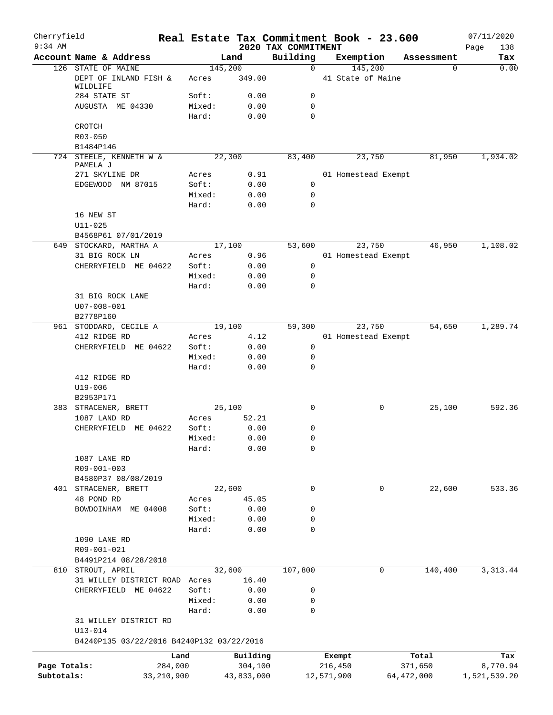| Cherryfield<br>$9:34$ AM |                                                    |                 |              |                                 | Real Estate Tax Commitment Book - 23.600 |              |            | 07/11/2020         |
|--------------------------|----------------------------------------------------|-----------------|--------------|---------------------------------|------------------------------------------|--------------|------------|--------------------|
|                          | Account Name & Address                             |                 | Land         | 2020 TAX COMMITMENT<br>Building | Exemption                                |              | Assessment | Page<br>138<br>Tax |
|                          | 126 STATE OF MAINE                                 |                 | 145,200      | $\mathbf 0$                     | 145,200                                  |              | 0          | 0.00               |
|                          | DEPT OF INLAND FISH &<br>WILDLIFE                  | Acres           | 349.00       |                                 | 41 State of Maine                        |              |            |                    |
|                          | 284 STATE ST                                       | Soft:           | 0.00         | 0                               |                                          |              |            |                    |
|                          | AUGUSTA ME 04330                                   | Mixed:<br>Hard: | 0.00<br>0.00 | 0<br>0                          |                                          |              |            |                    |
|                          | CROTCH                                             |                 |              |                                 |                                          |              |            |                    |
|                          | R03-050                                            |                 |              |                                 |                                          |              |            |                    |
|                          | B1484P146                                          |                 |              |                                 |                                          |              |            |                    |
|                          | 724 STEELE, KENNETH W &<br>PAMELA J                |                 | 22,300       | 83,400                          | 23,750                                   |              | 81,950     | 1,934.02           |
|                          | 271 SKYLINE DR                                     | Acres           | 0.91         |                                 | 01 Homestead Exempt                      |              |            |                    |
|                          | EDGEWOOD NM 87015                                  | Soft:           | 0.00         | 0                               |                                          |              |            |                    |
|                          |                                                    | Mixed:          | 0.00         | 0                               |                                          |              |            |                    |
|                          | 16 NEW ST<br>$U11 - 025$                           | Hard:           | 0.00         | 0                               |                                          |              |            |                    |
|                          | B4568P61 07/01/2019                                |                 |              |                                 |                                          |              |            |                    |
|                          | 649 STOCKARD, MARTHA A                             |                 | 17,100       | 53,600                          | 23,750                                   |              | 46,950     | 1,108.02           |
|                          | 31 BIG ROCK LN                                     | Acres           | 0.96         |                                 | 01 Homestead Exempt                      |              |            |                    |
|                          | CHERRYFIELD ME 04622                               | Soft:           | 0.00         | 0                               |                                          |              |            |                    |
|                          |                                                    | Mixed:          | 0.00         | 0                               |                                          |              |            |                    |
|                          |                                                    | Hard:           | 0.00         | 0                               |                                          |              |            |                    |
|                          | 31 BIG ROCK LANE<br>$U07 - 008 - 001$              |                 |              |                                 |                                          |              |            |                    |
|                          | B2778P160<br>961 STODDARD, CECILE A                |                 | 19,100       | 59,300                          | 23,750                                   |              | 54,650     | 1,289.74           |
|                          | 412 RIDGE RD                                       | Acres           | 4.12         |                                 | 01 Homestead Exempt                      |              |            |                    |
|                          | CHERRYFIELD ME 04622                               | Soft:           | 0.00         | 0                               |                                          |              |            |                    |
|                          |                                                    | Mixed:          | 0.00         | 0                               |                                          |              |            |                    |
|                          |                                                    | Hard:           | 0.00         | 0                               |                                          |              |            |                    |
|                          | 412 RIDGE RD<br>$U19 - 006$                        |                 |              |                                 |                                          |              |            |                    |
|                          | B2953P171                                          |                 |              |                                 |                                          |              |            |                    |
|                          | 383 STRACENER, BRETT                               |                 | 25,100       | 0                               |                                          | 0            | 25,100     | 592.36             |
|                          | 1087 LAND RD                                       | Acres           | 52.21        |                                 |                                          |              |            |                    |
|                          | CHERRYFIELD ME 04622                               | Soft:           | 0.00         | 0                               |                                          |              |            |                    |
|                          |                                                    | Mixed:          | 0.00         | 0                               |                                          |              |            |                    |
|                          |                                                    | Hard:           | 0.00         | 0                               |                                          |              |            |                    |
|                          | 1087 LANE RD<br>R09-001-003<br>B4580P37 08/08/2019 |                 |              |                                 |                                          |              |            |                    |
|                          | 401 STRACENER, BRETT                               |                 | 22,600       | 0                               |                                          | 0            | 22,600     | 533.36             |
|                          | 48 POND RD                                         | Acres           | 45.05        |                                 |                                          |              |            |                    |
|                          | BOWDOINHAM ME 04008                                | Soft:           | 0.00         | 0                               |                                          |              |            |                    |
|                          |                                                    | Mixed:          | 0.00         | 0                               |                                          |              |            |                    |
|                          |                                                    | Hard:           | 0.00         | 0                               |                                          |              |            |                    |
|                          | 1090 LANE RD<br>R09-001-021                        |                 |              |                                 |                                          |              |            |                    |
|                          | B4491P214 08/28/2018                               |                 |              |                                 |                                          |              |            |                    |
|                          | 810 STROUT, APRIL                                  |                 | 32,600       | 107,800                         |                                          | 0            | 140,400    | 3, 313.44          |
|                          | 31 WILLEY DISTRICT ROAD Acres                      |                 | 16.40        |                                 |                                          |              |            |                    |
|                          | CHERRYFIELD ME 04622                               | Soft:           | 0.00         | 0                               |                                          |              |            |                    |
|                          |                                                    | Mixed:<br>Hard: | 0.00         | 0<br>0                          |                                          |              |            |                    |
|                          | 31 WILLEY DISTRICT RD<br>$U13 - 014$               |                 | 0.00         |                                 |                                          |              |            |                    |
|                          | B4240P135 03/22/2016 B4240P132 03/22/2016          |                 |              |                                 |                                          |              |            |                    |
|                          | Land                                               |                 | Building     |                                 | Exempt                                   |              | Total      | Tax                |
| Page Totals:             | 284,000                                            |                 | 304,100      |                                 | 216,450                                  |              | 371,650    | 8,770.94           |
| Subtotals:               | 33, 210, 900                                       |                 | 43,833,000   |                                 | 12,571,900                               | 64, 472, 000 |            | 1,521,539.20       |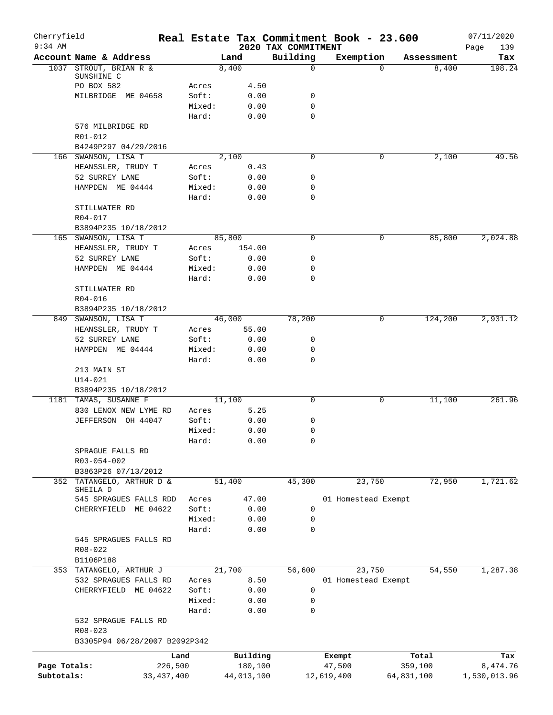| Cherryfield<br>$9:34$ AM |                                             |                 |              | 2020 TAX COMMITMENT | Real Estate Tax Commitment Book - 23.600 |            | 07/11/2020         |
|--------------------------|---------------------------------------------|-----------------|--------------|---------------------|------------------------------------------|------------|--------------------|
|                          | Account Name & Address                      |                 | Land         | Building            | Exemption                                | Assessment | Page<br>139<br>Tax |
|                          | 1037 STROUT, BRIAN R &                      |                 | 8,400        | $\mathbf 0$         | $\Omega$                                 | 8,400      | 198.24             |
|                          | SUNSHINE C                                  |                 |              |                     |                                          |            |                    |
|                          | PO BOX 582                                  | Acres           | 4.50         |                     |                                          |            |                    |
|                          | MILBRIDGE ME 04658                          | Soft:           | 0.00         | 0<br>$\mathbf 0$    |                                          |            |                    |
|                          |                                             | Mixed:<br>Hard: | 0.00<br>0.00 | $\mathbf 0$         |                                          |            |                    |
|                          | 576 MILBRIDGE RD                            |                 |              |                     |                                          |            |                    |
|                          | R01-012                                     |                 |              |                     |                                          |            |                    |
|                          | B4249P297 04/29/2016                        |                 |              |                     |                                          |            |                    |
|                          | 166 SWANSON, LISA T                         |                 | 2,100        | 0                   | 0                                        | 2,100      | 49.56              |
|                          | HEANSSLER, TRUDY T                          | Acres           | 0.43         |                     |                                          |            |                    |
|                          | 52 SURREY LANE                              | Soft:           | 0.00         | 0                   |                                          |            |                    |
|                          | HAMPDEN ME 04444                            | Mixed:          | 0.00         | 0                   |                                          |            |                    |
|                          |                                             | Hard:           | 0.00         | $\mathbf 0$         |                                          |            |                    |
|                          | STILLWATER RD                               |                 |              |                     |                                          |            |                    |
|                          | R04-017                                     |                 |              |                     |                                          |            |                    |
|                          | B3894P235 10/18/2012<br>165 SWANSON, LISA T |                 | 85,800       | $\mathbf 0$         | 0                                        | 85,800     | 2,024.88           |
|                          | HEANSSLER, TRUDY T                          | Acres           | 154.00       |                     |                                          |            |                    |
|                          | 52 SURREY LANE                              | Soft:           | 0.00         | 0                   |                                          |            |                    |
|                          | HAMPDEN ME 04444                            | Mixed:          | 0.00         | 0                   |                                          |            |                    |
|                          |                                             | Hard:           | 0.00         | $\mathbf 0$         |                                          |            |                    |
|                          | STILLWATER RD                               |                 |              |                     |                                          |            |                    |
|                          | R04-016                                     |                 |              |                     |                                          |            |                    |
|                          | B3894P235 10/18/2012                        |                 |              |                     |                                          |            |                    |
|                          | 849 SWANSON, LISA T                         |                 | 46,000       | 78,200              | 0                                        | 124,200    | 2,931.12           |
|                          | HEANSSLER, TRUDY T                          | Acres           | 55.00        |                     |                                          |            |                    |
|                          | 52 SURREY LANE                              | Soft:           | 0.00         | 0                   |                                          |            |                    |
|                          | HAMPDEN ME 04444                            | Mixed:          | 0.00         | 0                   |                                          |            |                    |
|                          |                                             | Hard:           | 0.00         | $\mathbf 0$         |                                          |            |                    |
|                          | 213 MAIN ST<br>$U14 - 021$                  |                 |              |                     |                                          |            |                    |
|                          | B3894P235 10/18/2012                        |                 |              |                     |                                          |            |                    |
|                          | 1181 TAMAS, SUSANNE F                       |                 | 11,100       | $\mathsf{O}$        | 0                                        | 11,100     | 261.96             |
|                          | 830 LENOX NEW LYME RD                       | Acres           | 5.25         |                     |                                          |            |                    |
|                          | JEFFERSON OH 44047                          | Soft:           | 0.00         | 0                   |                                          |            |                    |
|                          |                                             | Mixed:          | 0.00         | 0                   |                                          |            |                    |
|                          |                                             | Hard:           | 0.00         | 0                   |                                          |            |                    |
|                          | SPRAGUE FALLS RD                            |                 |              |                     |                                          |            |                    |
|                          | R03-054-002                                 |                 |              |                     |                                          |            |                    |
|                          | B3863P26 07/13/2012                         |                 |              |                     |                                          |            |                    |
| 352                      | TATANGELO, ARTHUR D &<br>SHEILA D           |                 | 51,400       | 45,300              | 23,750                                   | 72,950     | 1,721.62           |
|                          | 545 SPRAGUES FALLS RDD                      | Acres           | 47.00        |                     | 01 Homestead Exempt                      |            |                    |
|                          | CHERRYFIELD ME 04622                        | Soft:           | 0.00         | 0                   |                                          |            |                    |
|                          |                                             | Mixed:          | 0.00         | 0                   |                                          |            |                    |
|                          |                                             | Hard:           | 0.00         | $\mathbf 0$         |                                          |            |                    |
|                          | 545 SPRAGUES FALLS RD                       |                 |              |                     |                                          |            |                    |
|                          | R08-022                                     |                 |              |                     |                                          |            |                    |
|                          | B1106P188                                   |                 |              |                     |                                          |            |                    |
|                          | 353 TATANGELO, ARTHUR J                     |                 | 21,700       | 56,600              | 23,750                                   | 54,550     | 1,287.38           |
|                          | 532 SPRAGUES FALLS RD                       | Acres           | 8.50         |                     | 01 Homestead Exempt                      |            |                    |
|                          | CHERRYFIELD ME 04622                        | Soft:<br>Mixed: | 0.00         | 0<br>0              |                                          |            |                    |
|                          |                                             | Hard:           | 0.00<br>0.00 | $\mathbf 0$         |                                          |            |                    |
|                          | 532 SPRAGUE FALLS RD                        |                 |              |                     |                                          |            |                    |
|                          | $R08 - 023$                                 |                 |              |                     |                                          |            |                    |
|                          | B3305P94 06/28/2007 B2092P342               |                 |              |                     |                                          |            |                    |
|                          |                                             | Land            | Building     |                     | Exempt                                   | Total      | Tax                |
| Page Totals:             |                                             | 226,500         | 180,100      |                     | 47,500                                   | 359,100    | 8,474.76           |
| Subtotals:               | 33, 437, 400                                |                 | 44,013,100   |                     | 12,619,400                               | 64,831,100 | 1,530,013.96       |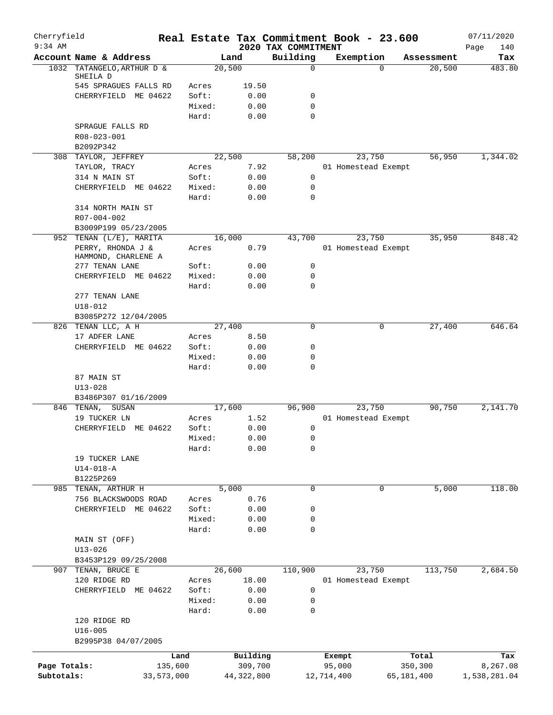| Cherryfield  |                                      |            |                 |              | Real Estate Tax Commitment Book - 23.600 |                  |                     |          |            | 07/11/2020         |
|--------------|--------------------------------------|------------|-----------------|--------------|------------------------------------------|------------------|---------------------|----------|------------|--------------------|
| $9:34$ AM    | Account Name & Address               |            |                 | Land         | 2020 TAX COMMITMENT<br>Building          |                  | Exemption           |          | Assessment | Page<br>140<br>Tax |
|              | 1032 TATANGELO, ARTHUR D &           |            |                 | 20,500       |                                          | $\mathbf 0$      |                     | $\Omega$ | 20,500     | 483.80             |
|              | SHEILA D                             |            |                 |              |                                          |                  |                     |          |            |                    |
|              | 545 SPRAGUES FALLS RD                |            | Acres           | 19.50        |                                          |                  |                     |          |            |                    |
|              | CHERRYFIELD ME 04622                 |            | Soft:<br>Mixed: | 0.00<br>0.00 |                                          | 0<br>$\mathbf 0$ |                     |          |            |                    |
|              |                                      |            | Hard:           | 0.00         |                                          | $\mathbf 0$      |                     |          |            |                    |
|              | SPRAGUE FALLS RD                     |            |                 |              |                                          |                  |                     |          |            |                    |
|              | R08-023-001                          |            |                 |              |                                          |                  |                     |          |            |                    |
|              | B2092P342                            |            |                 |              |                                          |                  |                     |          |            |                    |
|              | 308 TAYLOR, JEFFREY                  |            |                 | 22,500       | 58,200                                   |                  | 23,750              |          | 56,950     | 1,344.02           |
|              | TAYLOR, TRACY                        |            | Acres           | 7.92         |                                          |                  | 01 Homestead Exempt |          |            |                    |
|              | 314 N MAIN ST                        |            | Soft:           | 0.00         |                                          | 0                |                     |          |            |                    |
|              | CHERRYFIELD ME 04622                 |            | Mixed:          | 0.00         |                                          | $\mathbf 0$      |                     |          |            |                    |
|              | 314 NORTH MAIN ST                    |            | Hard:           | 0.00         |                                          | $\mathbf 0$      |                     |          |            |                    |
|              | R07-004-002                          |            |                 |              |                                          |                  |                     |          |            |                    |
|              | B3009P199 05/23/2005                 |            |                 |              |                                          |                  |                     |          |            |                    |
|              | 952 TENAN (L/E), MARITA              |            |                 | 16,000       | 43,700                                   |                  | 23,750              |          | 35,950     | 848.42             |
|              | PERRY, RHONDA J &                    |            | Acres           | 0.79         |                                          |                  | 01 Homestead Exempt |          |            |                    |
|              | HAMMOND, CHARLENE A                  |            |                 |              |                                          |                  |                     |          |            |                    |
|              | 277 TENAN LANE                       |            | Soft:           | 0.00         |                                          | 0                |                     |          |            |                    |
|              | CHERRYFIELD ME 04622                 |            | Mixed:          | 0.00         |                                          | $\mathbf 0$      |                     |          |            |                    |
|              |                                      |            | Hard:           | 0.00         |                                          | $\Omega$         |                     |          |            |                    |
|              | 277 TENAN LANE                       |            |                 |              |                                          |                  |                     |          |            |                    |
|              | $U18 - 012$<br>B3085P272 12/04/2005  |            |                 |              |                                          |                  |                     |          |            |                    |
|              | 826 TENAN LLC, A H                   |            |                 | 27,400       |                                          | $\mathbf 0$      |                     | 0        | 27,400     | 646.64             |
|              | 17 ADFER LANE                        |            | Acres           | 8.50         |                                          |                  |                     |          |            |                    |
|              | CHERRYFIELD ME 04622                 |            | Soft:           | 0.00         |                                          | 0                |                     |          |            |                    |
|              |                                      |            | Mixed:          | 0.00         |                                          | 0                |                     |          |            |                    |
|              |                                      |            | Hard:           | 0.00         |                                          | $\mathbf 0$      |                     |          |            |                    |
|              | 87 MAIN ST                           |            |                 |              |                                          |                  |                     |          |            |                    |
|              | $U13 - 028$                          |            |                 |              |                                          |                  |                     |          |            |                    |
|              | B3486P307 01/16/2009                 |            |                 |              |                                          |                  |                     |          |            |                    |
|              | 846 TENAN, SUSAN                     |            |                 | 17,600       | 96,900                                   |                  | 23,750              |          | 90,750     | 2,141.70           |
|              | 19 TUCKER LN<br>CHERRYFIELD ME 04622 |            | Acres<br>Soft:  | 1.52         |                                          |                  | 01 Homestead Exempt |          |            |                    |
|              |                                      |            | Mixed:          | 0.00<br>0.00 |                                          | 0<br>0           |                     |          |            |                    |
|              |                                      |            | Hard:           | 0.00         |                                          | 0                |                     |          |            |                    |
|              | 19 TUCKER LANE                       |            |                 |              |                                          |                  |                     |          |            |                    |
|              | $U14 - 018 - A$                      |            |                 |              |                                          |                  |                     |          |            |                    |
|              | B1225P269                            |            |                 |              |                                          |                  |                     |          |            |                    |
| 985          | TENAN, ARTHUR H                      |            |                 | 5,000        |                                          | 0                |                     | 0        | 5,000      | 118.00             |
|              | 756 BLACKSWOODS ROAD                 |            | Acres           | 0.76         |                                          |                  |                     |          |            |                    |
|              | CHERRYFIELD ME 04622                 |            | Soft:           | 0.00         |                                          | 0                |                     |          |            |                    |
|              |                                      |            | Mixed:          | 0.00         |                                          | 0                |                     |          |            |                    |
|              |                                      |            | Hard:           | 0.00         |                                          | 0                |                     |          |            |                    |
|              | MAIN ST (OFF)<br>$U13 - 026$         |            |                 |              |                                          |                  |                     |          |            |                    |
|              | B3453P129 09/25/2008                 |            |                 |              |                                          |                  |                     |          |            |                    |
| 907          | TENAN, BRUCE E                       |            |                 | 26,600       | 110,900                                  |                  | 23,750              |          | 113,750    | 2,684.50           |
|              | 120 RIDGE RD                         |            | Acres           | 18.00        |                                          |                  | 01 Homestead Exempt |          |            |                    |
|              | CHERRYFIELD ME 04622                 |            | Soft:           | 0.00         |                                          | $\mathsf 0$      |                     |          |            |                    |
|              |                                      |            | Mixed:          | 0.00         |                                          | 0                |                     |          |            |                    |
|              |                                      |            | Hard:           | 0.00         |                                          | 0                |                     |          |            |                    |
|              | 120 RIDGE RD                         |            |                 |              |                                          |                  |                     |          |            |                    |
|              | $U16 - 005$                          |            |                 |              |                                          |                  |                     |          |            |                    |
|              | B2995P38 04/07/2005                  |            |                 |              |                                          |                  |                     |          |            |                    |
|              |                                      | Land       |                 | Building     |                                          |                  | Exempt              |          | Total      | Tax                |
| Page Totals: |                                      | 135,600    |                 | 309,700      |                                          |                  | 95,000              |          | 350,300    | 8,267.08           |
| Subtotals:   |                                      | 33,573,000 |                 | 44, 322, 800 |                                          |                  | 12,714,400          |          | 65,181,400 | 1,538,281.04       |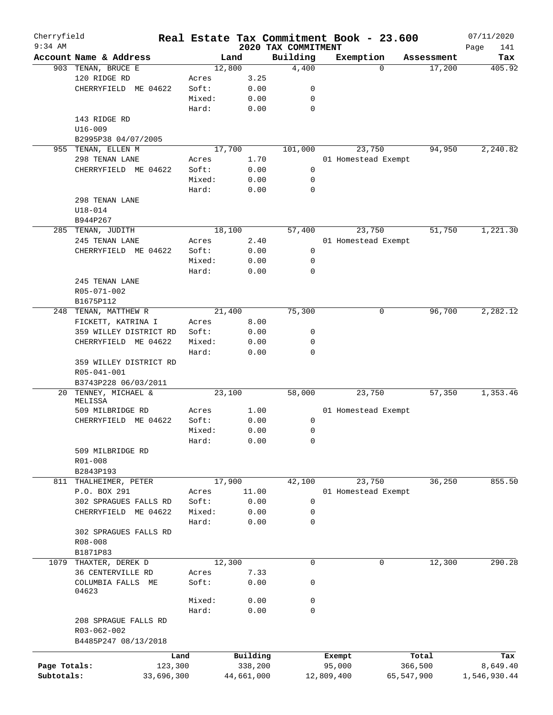| Cherryfield<br>$9:34$ AM |                          |            |        |            |                                 | Real Estate Tax Commitment Book - 23.600 |            |            | 07/11/2020         |
|--------------------------|--------------------------|------------|--------|------------|---------------------------------|------------------------------------------|------------|------------|--------------------|
|                          | Account Name & Address   |            |        | Land       | 2020 TAX COMMITMENT<br>Building | Exemption                                |            | Assessment | Page<br>141<br>Tax |
|                          | 903 TENAN, BRUCE E       |            |        | 12,800     | 4,400                           |                                          | $\Omega$   | 17,200     | 405.92             |
|                          | 120 RIDGE RD             |            | Acres  | 3.25       |                                 |                                          |            |            |                    |
|                          | CHERRYFIELD ME 04622     |            | Soft:  | 0.00       | 0                               |                                          |            |            |                    |
|                          |                          |            | Mixed: | 0.00       | 0                               |                                          |            |            |                    |
|                          |                          |            | Hard:  | 0.00       | 0                               |                                          |            |            |                    |
|                          | 143 RIDGE RD             |            |        |            |                                 |                                          |            |            |                    |
|                          | $U16 - 009$              |            |        |            |                                 |                                          |            |            |                    |
|                          | B2995P38 04/07/2005      |            |        |            |                                 |                                          |            |            |                    |
|                          | 955 TENAN, ELLEN M       |            |        | 17,700     | 101,000                         | 23,750                                   |            | 94,950     | 2,240.82           |
|                          | 298 TENAN LANE           |            | Acres  | 1.70       |                                 | 01 Homestead Exempt                      |            |            |                    |
|                          | CHERRYFIELD ME 04622     |            | Soft:  | 0.00       | 0                               |                                          |            |            |                    |
|                          |                          |            | Mixed: | 0.00       | 0                               |                                          |            |            |                    |
|                          |                          |            | Hard:  | 0.00       | 0                               |                                          |            |            |                    |
|                          | 298 TENAN LANE           |            |        |            |                                 |                                          |            |            |                    |
|                          | $U18 - 014$              |            |        |            |                                 |                                          |            |            |                    |
|                          |                          |            |        |            |                                 |                                          |            |            |                    |
|                          | B944P267                 |            |        |            |                                 |                                          |            | 51,750     |                    |
|                          | 285 TENAN, JUDITH        |            |        | 18,100     | 57,400                          | 23,750                                   |            |            | 1,221.30           |
|                          | 245 TENAN LANE           |            | Acres  | 2.40       |                                 | 01 Homestead Exempt                      |            |            |                    |
|                          | CHERRYFIELD ME 04622     |            | Soft:  | 0.00       | 0                               |                                          |            |            |                    |
|                          |                          |            | Mixed: | 0.00       | 0                               |                                          |            |            |                    |
|                          |                          |            | Hard:  | 0.00       | 0                               |                                          |            |            |                    |
|                          | 245 TENAN LANE           |            |        |            |                                 |                                          |            |            |                    |
|                          | R05-071-002              |            |        |            |                                 |                                          |            |            |                    |
|                          | B1675P112                |            |        |            |                                 |                                          |            |            |                    |
| 248                      | TENAN, MATTHEW R         |            |        | 21,400     | 75,300                          |                                          | 0          | 96,700     | 2,282.12           |
|                          | FICKETT, KATRINA I       |            | Acres  | 8.00       |                                 |                                          |            |            |                    |
|                          | 359 WILLEY DISTRICT RD   |            | Soft:  | 0.00       | 0                               |                                          |            |            |                    |
|                          | CHERRYFIELD ME 04622     |            | Mixed: | 0.00       | 0                               |                                          |            |            |                    |
|                          |                          |            | Hard:  | 0.00       | 0                               |                                          |            |            |                    |
|                          | 359 WILLEY DISTRICT RD   |            |        |            |                                 |                                          |            |            |                    |
|                          | R05-041-001              |            |        |            |                                 |                                          |            |            |                    |
|                          | B3743P228 06/03/2011     |            |        |            |                                 |                                          |            |            |                    |
| 20                       | TENNEY, MICHAEL &        |            |        | 23,100     | 58,000                          | 23,750                                   |            | 57,350     | 1,353.46           |
|                          | MELISSA                  |            |        |            |                                 |                                          |            |            |                    |
|                          | 509 MILBRIDGE RD         |            | Acres  | 1.00       |                                 | 01 Homestead Exempt                      |            |            |                    |
|                          | CHERRYFIELD ME 04622     |            | Soft:  | 0.00       | 0                               |                                          |            |            |                    |
|                          |                          |            | Mixed: | 0.00       | 0                               |                                          |            |            |                    |
|                          |                          |            | Hard:  | 0.00       | 0                               |                                          |            |            |                    |
|                          | 509 MILBRIDGE RD         |            |        |            |                                 |                                          |            |            |                    |
|                          | R01-008                  |            |        |            |                                 |                                          |            |            |                    |
|                          | B2843P193                |            |        |            |                                 |                                          |            |            |                    |
|                          | 811 THALHEIMER, PETER    |            |        | 17,900     | 42,100                          | 23,750                                   |            | 36,250     | 855.50             |
|                          | P.O. BOX 291             |            | Acres  | 11.00      |                                 | 01 Homestead Exempt                      |            |            |                    |
|                          | 302 SPRAGUES FALLS RD    |            | Soft:  | 0.00       | $\mathbf 0$                     |                                          |            |            |                    |
|                          | CHERRYFIELD ME 04622     |            | Mixed: | 0.00       | 0                               |                                          |            |            |                    |
|                          |                          |            | Hard:  | 0.00       | 0                               |                                          |            |            |                    |
|                          | 302 SPRAGUES FALLS RD    |            |        |            |                                 |                                          |            |            |                    |
|                          | $R08 - 008$              |            |        |            |                                 |                                          |            |            |                    |
|                          | B1871P83                 |            |        |            |                                 |                                          |            |            |                    |
|                          | 1079 THAXTER, DEREK D    |            |        | 12,300     | 0                               |                                          | 0          | 12,300     | 290.28             |
|                          | <b>36 CENTERVILLE RD</b> |            | Acres  | 7.33       |                                 |                                          |            |            |                    |
|                          | COLUMBIA FALLS ME        |            | Soft:  | 0.00       | 0                               |                                          |            |            |                    |
|                          | 04623                    |            |        |            |                                 |                                          |            |            |                    |
|                          |                          |            | Mixed: | 0.00       | 0                               |                                          |            |            |                    |
|                          |                          |            | Hard:  | 0.00       | $\mathbf 0$                     |                                          |            |            |                    |
|                          | 208 SPRAGUE FALLS RD     |            |        |            |                                 |                                          |            |            |                    |
|                          | R03-062-002              |            |        |            |                                 |                                          |            |            |                    |
|                          | B4485P247 08/13/2018     |            |        |            |                                 |                                          |            |            |                    |
|                          |                          |            |        |            |                                 |                                          |            |            |                    |
|                          |                          | Land       |        | Building   |                                 | Exempt                                   |            | Total      | Tax                |
| Page Totals:             |                          | 123,300    |        | 338,200    |                                 | 95,000                                   | 366,500    |            | 8,649.40           |
| Subtotals:               |                          | 33,696,300 |        | 44,661,000 |                                 | 12,809,400                               | 65,547,900 |            | 1,546,930.44       |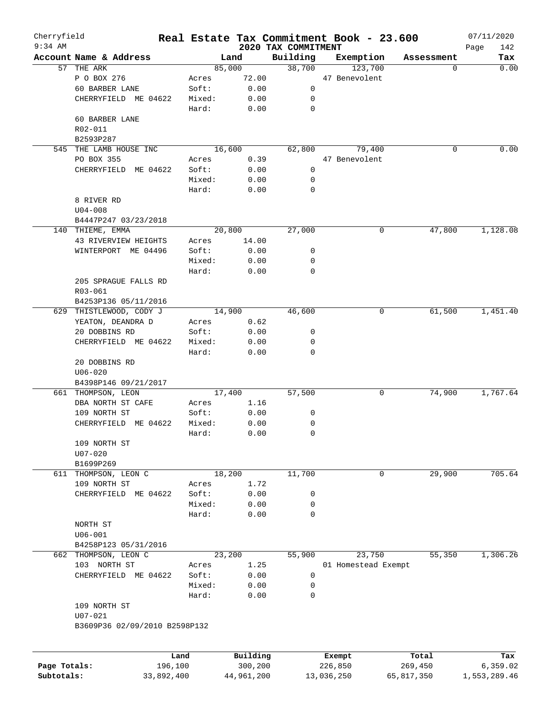| Cherryfield<br>$9:34$ AM  |                                  |         |            |                                 | Real Estate Tax Commitment Book - 23.600 |            | 07/11/2020         |
|---------------------------|----------------------------------|---------|------------|---------------------------------|------------------------------------------|------------|--------------------|
|                           | Account Name & Address           |         | Land       | 2020 TAX COMMITMENT<br>Building | Exemption                                | Assessment | Page<br>142<br>Tax |
| 57                        | THE ARK                          |         | 85,000     | 38,700                          | 123,700                                  | 0          | 0.00               |
|                           | P O BOX 276                      | Acres   | 72.00      |                                 | 47 Benevolent                            |            |                    |
|                           | 60 BARBER LANE                   | Soft:   | 0.00       | 0                               |                                          |            |                    |
|                           | CHERRYFIELD ME 04622             | Mixed:  | 0.00       | 0                               |                                          |            |                    |
|                           |                                  | Hard:   | 0.00       | 0                               |                                          |            |                    |
|                           | 60 BARBER LANE                   |         |            |                                 |                                          |            |                    |
|                           | R02-011                          |         |            |                                 |                                          |            |                    |
|                           |                                  |         |            |                                 |                                          |            |                    |
|                           | B2593P287                        |         |            |                                 |                                          |            | 0.00               |
| 545                       | THE LAMB HOUSE INC<br>PO BOX 355 |         | 16,600     | 62,800                          | 79,400                                   | 0          |                    |
|                           |                                  | Acres   | 0.39       |                                 | 47 Benevolent                            |            |                    |
|                           | CHERRYFIELD ME 04622             | Soft:   | 0.00       | 0                               |                                          |            |                    |
|                           |                                  | Mixed:  | 0.00       | 0                               |                                          |            |                    |
| 8 RIVER RD<br>$U04 - 008$ |                                  | Hard:   | 0.00       | 0                               |                                          |            |                    |
|                           |                                  |         |            |                                 |                                          |            |                    |
|                           |                                  |         |            |                                 |                                          |            |                    |
|                           | B4447P247 03/23/2018             |         |            |                                 |                                          |            |                    |
|                           | 140 THIEME, EMMA                 |         | 20,800     | 27,000                          | 0                                        | 47,800     | 1,128.08           |
|                           | 43 RIVERVIEW HEIGHTS             | Acres   | 14.00      |                                 |                                          |            |                    |
|                           | WINTERPORT ME 04496              | Soft:   | 0.00       | 0                               |                                          |            |                    |
|                           |                                  | Mixed:  | 0.00       | 0                               |                                          |            |                    |
|                           |                                  | Hard:   | 0.00       | 0                               |                                          |            |                    |
|                           | 205 SPRAGUE FALLS RD             |         |            |                                 |                                          |            |                    |
|                           | R03-061                          |         |            |                                 |                                          |            |                    |
|                           | B4253P136 05/11/2016             |         |            |                                 |                                          |            |                    |
|                           |                                  |         |            | 46,600                          |                                          | 61,500     | 1,451.40           |
|                           | 629 THISTLEWOOD, CODY J          |         | 14,900     |                                 | 0                                        |            |                    |
|                           | YEATON, DEANDRA D                | Acres   | 0.62       |                                 |                                          |            |                    |
|                           | 20 DOBBINS RD                    | Soft:   | 0.00       | 0                               |                                          |            |                    |
|                           | CHERRYFIELD ME 04622             | Mixed:  | 0.00       | 0                               |                                          |            |                    |
|                           |                                  | Hard:   | 0.00       | 0                               |                                          |            |                    |
|                           | 20 DOBBINS RD                    |         |            |                                 |                                          |            |                    |
|                           | $U06 - 020$                      |         |            |                                 |                                          |            |                    |
|                           | B4398P146 09/21/2017             |         |            |                                 |                                          |            |                    |
|                           | 661 THOMPSON, LEON               |         | 17,400     | 57,500                          | 0                                        | 74,900     | 1,767.64           |
|                           | DBA NORTH ST CAFE                | Acres   | 1.16       |                                 |                                          |            |                    |
|                           | 109 NORTH ST                     | Soft:   | 0.00       | 0                               |                                          |            |                    |
|                           | CHERRYFIELD<br>ME 04622          | Mixed:  | 0.00       | 0                               |                                          |            |                    |
|                           |                                  | Hard:   | 0.00       | 0                               |                                          |            |                    |
|                           | 109 NORTH ST                     |         |            |                                 |                                          |            |                    |
|                           | $U07 - 020$                      |         |            |                                 |                                          |            |                    |
|                           | B1699P269                        |         |            |                                 |                                          |            |                    |
|                           | 611 THOMPSON, LEON C             |         | 18,200     | 11,700                          | 0                                        | 29,900     | 705.64             |
|                           | 109 NORTH ST                     | Acres   | 1.72       |                                 |                                          |            |                    |
|                           | CHERRYFIELD ME 04622             | Soft:   |            |                                 |                                          |            |                    |
|                           |                                  |         | 0.00       | 0                               |                                          |            |                    |
|                           |                                  | Mixed:  | 0.00       | 0                               |                                          |            |                    |
|                           |                                  | Hard:   | 0.00       | $\mathbf 0$                     |                                          |            |                    |
|                           | NORTH ST                         |         |            |                                 |                                          |            |                    |
|                           | $U06 - 001$                      |         |            |                                 |                                          |            |                    |
|                           | B4258P123 05/31/2016             |         |            |                                 |                                          |            |                    |
|                           | 662 THOMPSON, LEON C             |         | 23,200     | 55,900                          | 23,750                                   | 55,350     | 1,306.26           |
|                           | 103 NORTH ST                     | Acres   | 1.25       |                                 | 01 Homestead Exempt                      |            |                    |
|                           | CHERRYFIELD ME 04622             | Soft:   | 0.00       | 0                               |                                          |            |                    |
|                           |                                  | Mixed:  | 0.00       | 0                               |                                          |            |                    |
|                           |                                  | Hard:   | 0.00       | 0                               |                                          |            |                    |
|                           | 109 NORTH ST                     |         |            |                                 |                                          |            |                    |
|                           | $U07 - 021$                      |         |            |                                 |                                          |            |                    |
|                           | B3609P36 02/09/2010 B2598P132    |         |            |                                 |                                          |            |                    |
|                           |                                  |         |            |                                 |                                          |            |                    |
|                           |                                  | Land    | Building   |                                 | Exempt                                   | Total      | Tax                |
| Page Totals:              |                                  | 196,100 | 300,200    |                                 | 226,850                                  | 269,450    | 6, 359.02          |
| Subtotals:                | 33,892,400                       |         | 44,961,200 |                                 | 13,036,250                               | 65,817,350 | 1,553,289.46       |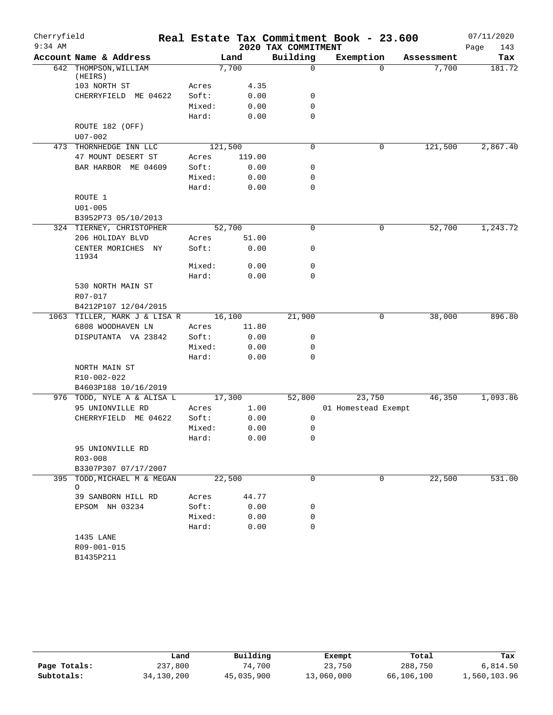| Cherryfield |                                                |         |                |                     | Real Estate Tax Commitment Book - 23.600 |            | 07/11/2020  |
|-------------|------------------------------------------------|---------|----------------|---------------------|------------------------------------------|------------|-------------|
| $9:34$ AM   |                                                |         |                | 2020 TAX COMMITMENT |                                          |            | Page<br>143 |
|             | Account Name & Address                         |         | Land           | Building            | Exemption                                | Assessment | Tax         |
|             | 642 THOMPSON, WILLIAM                          |         | 7,700          | $\mathbf 0$         | $\Omega$                                 | 7,700      | 181.72      |
|             | (HEIRS)<br>103 NORTH ST                        | Acres   | 4.35           |                     |                                          |            |             |
|             | CHERRYFIELD ME 04622                           | Soft:   | 0.00           | 0                   |                                          |            |             |
|             |                                                | Mixed:  | 0.00           | $\mathbf 0$         |                                          |            |             |
|             |                                                | Hard:   | 0.00           | $\mathbf 0$         |                                          |            |             |
|             | ROUTE 182 (OFF)<br>$U07 - 002$                 |         |                |                     |                                          |            |             |
|             | 473 THORNHEDGE INN LLC                         | 121,500 |                | 0                   | 0                                        | 121,500    | 2,867.40    |
|             | 47 MOUNT DESERT ST                             | Acres   | 119.00         |                     |                                          |            |             |
|             | BAR HARBOR ME 04609                            | Soft:   | 0.00           | 0                   |                                          |            |             |
|             |                                                | Mixed:  | 0.00           | $\mathbf 0$         |                                          |            |             |
|             |                                                | Hard:   | 0.00           | $\mathbf 0$         |                                          |            |             |
|             | ROUTE 1                                        |         |                |                     |                                          |            |             |
|             | $U01 - 005$                                    |         |                |                     |                                          |            |             |
|             | B3952P73 05/10/2013                            |         |                |                     |                                          |            |             |
|             | 324 TIERNEY, CHRISTOPHER                       |         | 52,700         | 0                   | 0                                        | 52,700     | 1,243.72    |
|             | 206 HOLIDAY BLVD                               | Acres   | 51.00          |                     |                                          |            |             |
|             | CENTER MORICHES NY<br>11934                    | Soft:   | 0.00           | 0                   |                                          |            |             |
|             |                                                | Mixed:  | 0.00           | $\mathbf 0$         |                                          |            |             |
|             |                                                | Hard:   | 0.00           | $\mathbf 0$         |                                          |            |             |
|             | 530 NORTH MAIN ST<br>R07-017                   |         |                |                     |                                          |            |             |
|             | B4212P107 12/04/2015                           |         |                |                     |                                          |            |             |
|             | 1063 TILLER, MARK J & LISA R                   |         | 16,100         | 21,900              | 0                                        | 38,000     | 896.80      |
|             | 6808 WOODHAVEN LN                              | Acres   | 11.80          |                     |                                          |            |             |
|             | DISPUTANTA VA 23842                            | Soft:   | 0.00           | 0                   |                                          |            |             |
|             |                                                | Mixed:  | 0.00           | 0                   |                                          |            |             |
|             |                                                | Hard:   | 0.00           | $\mathbf 0$         |                                          |            |             |
|             | NORTH MAIN ST                                  |         |                |                     |                                          |            |             |
|             | R10-002-022                                    |         |                |                     |                                          |            |             |
|             | B4603P188 10/16/2019                           |         |                |                     |                                          |            |             |
|             | 976 TODD, NYLE A & ALISA L<br>95 UNIONVILLE RD | Acres   | 17,300<br>1.00 | 52,800              | 23,750<br>01 Homestead Exempt            | 46,350     | 1,093.86    |
|             | CHERRYFIELD ME 04622                           | Soft:   | 0.00           | 0                   |                                          |            |             |
|             |                                                | Mixed:  | 0.00           | 0                   |                                          |            |             |
|             |                                                | Hard:   | 0.00           | 0                   |                                          |            |             |
|             | 95 UNIONVILLE RD                               |         |                |                     |                                          |            |             |
|             | R03-008                                        |         |                |                     |                                          |            |             |
|             | B3307P307 07/17/2007                           |         |                |                     |                                          |            |             |
|             | 395 TODD, MICHAEL M & MEGAN<br>$\circ$         |         | 22,500         | $\mathbf 0$         | 0                                        | 22,500     | 531.00      |
|             | 39 SANBORN HILL RD                             | Acres   | 44.77          |                     |                                          |            |             |
|             | EPSOM NH 03234                                 | Soft:   | 0.00           | 0                   |                                          |            |             |
|             |                                                | Mixed:  | 0.00           | 0                   |                                          |            |             |
|             |                                                | Hard:   | 0.00           | 0                   |                                          |            |             |
|             | 1435 LANE<br>R09-001-015<br>B1435P211          |         |                |                     |                                          |            |             |

|              | Land       | Building   | Exempt     | Total      | Tax          |
|--------------|------------|------------|------------|------------|--------------|
| Page Totals: | 237,800    | 74,700     | 23,750     | 288,750    | 6,814.50     |
| Subtotals:   | 34,130,200 | 45,035,900 | 13,060,000 | 66,106,100 | 1,560,103.96 |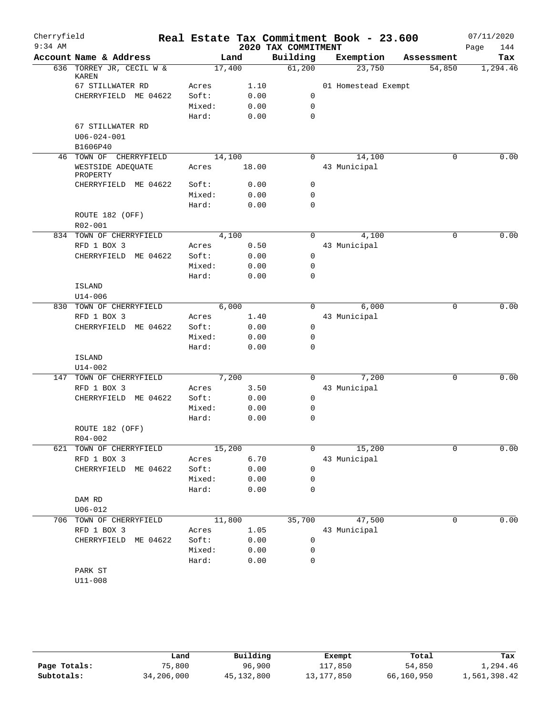| Cherryfield |                                          |                |              |                     | Real Estate Tax Commitment Book - 23.600 |            |        | 07/11/2020  |
|-------------|------------------------------------------|----------------|--------------|---------------------|------------------------------------------|------------|--------|-------------|
| $9:34$ AM   |                                          |                |              | 2020 TAX COMMITMENT |                                          |            |        | 144<br>Page |
|             | Account Name & Address                   |                | Land         | Building            | Exemption                                | Assessment |        | Tax         |
|             | 636 TORREY JR, CECIL W &<br><b>KAREN</b> |                | 17,400       | 61,200              | 23,750                                   |            | 54,850 | 1,294.46    |
|             | 67 STILLWATER RD                         | Acres          | 1.10         |                     | 01 Homestead Exempt                      |            |        |             |
|             | CHERRYFIELD ME 04622                     | Soft:          | 0.00         | 0                   |                                          |            |        |             |
|             |                                          | Mixed:         | 0.00         | $\mathbf 0$         |                                          |            |        |             |
|             |                                          | Hard:          | 0.00         | $\mathbf 0$         |                                          |            |        |             |
|             | 67 STILLWATER RD                         |                |              |                     |                                          |            |        |             |
|             | $U06 - 024 - 001$                        |                |              |                     |                                          |            |        |             |
|             | B1606P40                                 |                |              |                     |                                          |            |        |             |
|             | 46 TOWN OF CHERRYFIELD                   |                | 14,100       | $\Omega$            | 14,100                                   |            | 0      | 0.00        |
|             | WESTSIDE ADEQUATE<br>PROPERTY            | Acres          | 18.00        |                     | 43 Municipal                             |            |        |             |
|             | CHERRYFIELD ME 04622                     | Soft:          | 0.00         | 0                   |                                          |            |        |             |
|             |                                          | Mixed:         | 0.00         | 0                   |                                          |            |        |             |
|             |                                          | Hard:          | 0.00         | $\mathbf 0$         |                                          |            |        |             |
|             | ROUTE 182 (OFF)                          |                |              |                     |                                          |            |        |             |
|             | R02-001                                  |                |              |                     |                                          |            |        |             |
|             | 834 TOWN OF CHERRYFIELD                  |                | 4,100        | 0                   | 4,100                                    |            | 0      | 0.00        |
|             | RFD 1 BOX 3                              | Acres          | 0.50         |                     | 43 Municipal                             |            |        |             |
|             | CHERRYFIELD ME 04622                     | Soft:          | 0.00         | 0                   |                                          |            |        |             |
|             |                                          | Mixed:         | 0.00         | 0                   |                                          |            |        |             |
|             |                                          | Hard:          | 0.00         | $\mathbf 0$         |                                          |            |        |             |
|             | ISLAND                                   |                |              |                     |                                          |            |        |             |
|             | $U14 - 006$                              |                |              |                     |                                          |            |        |             |
| 830         | TOWN OF CHERRYFIELD                      |                | 6,000        | $\Omega$            | 6,000                                    |            | 0      | 0.00        |
|             | RFD 1 BOX 3                              | Acres          | 1.40         |                     | 43 Municipal                             |            |        |             |
|             | CHERRYFIELD ME 04622                     | Soft:          | 0.00         | $\mathbf 0$         |                                          |            |        |             |
|             |                                          | Mixed:         | 0.00         | 0                   |                                          |            |        |             |
|             |                                          | Hard:          | 0.00         | $\mathbf 0$         |                                          |            |        |             |
|             | ISLAND                                   |                |              |                     |                                          |            |        |             |
|             | $U14 - 002$<br>TOWN OF CHERRYFIELD       |                | 7,200        | 0                   | 7,200                                    |            | 0      | 0.00        |
| 147         | RFD 1 BOX 3                              |                |              |                     |                                          |            |        |             |
|             | CHERRYFIELD ME 04622                     | Acres<br>Soft: | 3.50<br>0.00 | 0                   | 43 Municipal                             |            |        |             |
|             |                                          | Mixed:         |              | 0                   |                                          |            |        |             |
|             |                                          | Hard:          | 0.00         | $\mathbf 0$         |                                          |            |        |             |
|             | ROUTE 182 (OFF)                          |                | 0.00         |                     |                                          |            |        |             |
|             | $R04 - 002$                              |                |              |                     |                                          |            |        |             |
|             | 621 TOWN OF CHERRYFIELD                  |                | 15,200       | 0                   | 15,200                                   |            | 0      | 0.00        |
|             | RFD 1 BOX 3                              | Acres          | 6.70         |                     | 43 Municipal                             |            |        |             |
|             | CHERRYFIELD ME 04622                     | Soft:          | 0.00         | $\mathbf 0$         |                                          |            |        |             |
|             |                                          | Mixed:         | 0.00         | 0                   |                                          |            |        |             |
|             |                                          | Hard:          | 0.00         | 0                   |                                          |            |        |             |
|             | DAM RD                                   |                |              |                     |                                          |            |        |             |
|             | $U06 - 012$<br>706 TOWN OF CHERRYFIELD   |                | 11,800       | 35,700              | 47,500                                   |            | 0      | 0.00        |
|             | RFD 1 BOX 3                              | Acres          | 1.05         |                     | 43 Municipal                             |            |        |             |
|             | CHERRYFIELD ME 04622                     | Soft:          | 0.00         | 0                   |                                          |            |        |             |
|             |                                          | Mixed:         | 0.00         | $\mathbf 0$         |                                          |            |        |             |
|             |                                          | Hard:          | 0.00         | $\mathbf 0$         |                                          |            |        |             |
|             | PARK ST                                  |                |              |                     |                                          |            |        |             |
|             | $U11 - 008$                              |                |              |                     |                                          |            |        |             |
|             |                                          |                |              |                     |                                          |            |        |             |

**Page Totals:** 75,800 96,900 117,850 54,850 1,294.46<br>**Subtotals:** 34,206,000 45,132,800 13,177,850 66,160,950 1,561,398.42 **Subtotals:** 34,206,000 45,132,800 13,177,850 66,160,950 1,561,398.42 **Land Building Exempt Total Tax**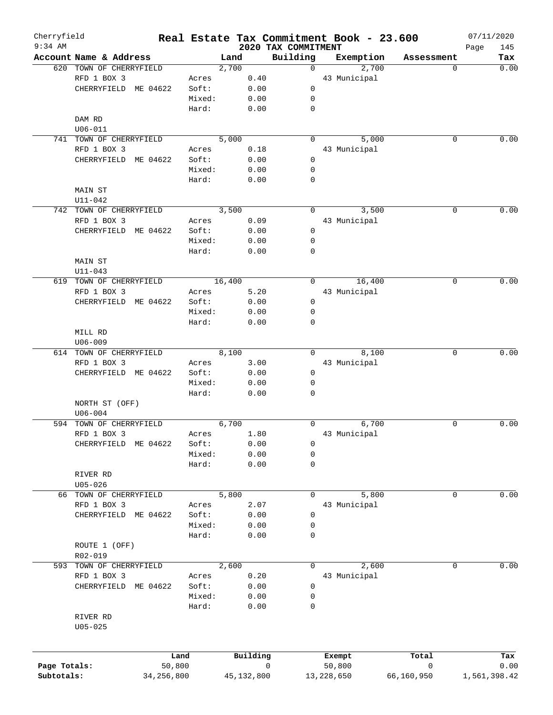| Cherryfield<br>$9:34$ AM |                         |              |        |              |      | Real Estate Tax Commitment Book - 23.600<br>2020 TAX COMMITMENT |              |            | 07/11/2020   | 145  |
|--------------------------|-------------------------|--------------|--------|--------------|------|-----------------------------------------------------------------|--------------|------------|--------------|------|
|                          | Account Name & Address  |              |        | Land         |      | Building                                                        | Exemption    | Assessment | Page         | Tax  |
|                          | 620 TOWN OF CHERRYFIELD |              |        | 2,700        |      | $\Omega$                                                        |              | 2,700      | 0            | 0.00 |
|                          | RFD 1 BOX 3             |              | Acres  |              | 0.40 |                                                                 | 43 Municipal |            |              |      |
|                          | CHERRYFIELD             | ME 04622     | Soft:  |              | 0.00 | 0                                                               |              |            |              |      |
|                          |                         |              | Mixed: |              | 0.00 | 0                                                               |              |            |              |      |
|                          |                         |              | Hard:  |              | 0.00 | $\mathbf 0$                                                     |              |            |              |      |
|                          | DAM RD                  |              |        |              |      |                                                                 |              |            |              |      |
|                          | $U06 - 011$             |              |        |              |      |                                                                 |              |            |              |      |
|                          | 741 TOWN OF CHERRYFIELD |              |        | 5,000        |      | $\Omega$                                                        |              | 5,000      | 0            | 0.00 |
|                          | RFD 1 BOX 3             |              | Acres  |              | 0.18 |                                                                 | 43 Municipal |            |              |      |
|                          | CHERRYFIELD             | ME 04622     | Soft:  |              |      | 0                                                               |              |            |              |      |
|                          |                         |              |        |              | 0.00 |                                                                 |              |            |              |      |
|                          |                         |              | Mixed: |              | 0.00 | 0                                                               |              |            |              |      |
|                          |                         |              | Hard:  |              | 0.00 | 0                                                               |              |            |              |      |
|                          | <b>MAIN ST</b>          |              |        |              |      |                                                                 |              |            |              |      |
|                          | $U11 - 042$             |              |        |              |      |                                                                 |              |            |              |      |
|                          | 742 TOWN OF CHERRYFIELD |              |        | 3,500        |      | $\Omega$                                                        |              | 3,500      | 0            | 0.00 |
|                          | RFD 1 BOX 3             |              | Acres  |              | 0.09 |                                                                 | 43 Municipal |            |              |      |
|                          | CHERRYFIELD             | ME 04622     | Soft:  |              | 0.00 | 0                                                               |              |            |              |      |
|                          |                         |              | Mixed: |              | 0.00 | 0                                                               |              |            |              |      |
|                          |                         |              | Hard:  |              | 0.00 | 0                                                               |              |            |              |      |
|                          | MAIN ST                 |              |        |              |      |                                                                 |              |            |              |      |
|                          | $U11 - 043$             |              |        |              |      |                                                                 |              |            |              |      |
|                          | 619 TOWN OF CHERRYFIELD |              |        | 16,400       |      | 0                                                               | 16,400       |            | 0            | 0.00 |
|                          | RFD 1 BOX 3             |              | Acres  |              | 5.20 |                                                                 | 43 Municipal |            |              |      |
|                          | CHERRYFIELD ME 04622    |              | Soft:  |              | 0.00 | 0                                                               |              |            |              |      |
|                          |                         |              | Mixed: |              | 0.00 | 0                                                               |              |            |              |      |
|                          |                         |              | Hard:  |              | 0.00 | 0                                                               |              |            |              |      |
|                          | MILL RD                 |              |        |              |      |                                                                 |              |            |              |      |
|                          | $U06 - 009$             |              |        |              |      |                                                                 |              |            |              |      |
|                          |                         |              |        | 8,100        |      | $\Omega$                                                        |              | 8,100      | 0            | 0.00 |
|                          | 614 TOWN OF CHERRYFIELD |              |        |              |      |                                                                 |              |            |              |      |
|                          | RFD 1 BOX 3             |              | Acres  |              | 3.00 |                                                                 | 43 Municipal |            |              |      |
|                          | CHERRYFIELD ME 04622    |              | Soft:  |              | 0.00 | 0                                                               |              |            |              |      |
|                          |                         |              | Mixed: |              | 0.00 | 0                                                               |              |            |              |      |
|                          |                         |              | Hard:  |              | 0.00 | 0                                                               |              |            |              |      |
|                          | NORTH ST (OFF)          |              |        |              |      |                                                                 |              |            |              |      |
|                          | $U06 - 004$             |              |        |              |      |                                                                 |              |            |              |      |
| 594                      | TOWN OF CHERRYFIELD     |              |        | 6,700        |      | 0                                                               |              | 6,700      | 0            | 0.00 |
|                          | RFD 1 BOX 3             |              | Acres  |              | 1.80 |                                                                 | 43 Municipal |            |              |      |
|                          | CHERRYFIELD             | ME 04622     | Soft:  |              | 0.00 | 0                                                               |              |            |              |      |
|                          |                         |              | Mixed: |              | 0.00 | 0                                                               |              |            |              |      |
|                          |                         |              | Hard:  |              | 0.00 | 0                                                               |              |            |              |      |
|                          | RIVER RD                |              |        |              |      |                                                                 |              |            |              |      |
|                          | $U05 - 026$             |              |        |              |      |                                                                 |              |            |              |      |
|                          | 66 TOWN OF CHERRYFIELD  |              |        | 5,800        |      | 0                                                               |              | 5,800      | 0            | 0.00 |
|                          | RFD 1 BOX 3             |              | Acres  |              | 2.07 |                                                                 | 43 Municipal |            |              |      |
|                          | CHERRYFIELD             | ME 04622     | Soft:  |              | 0.00 | 0                                                               |              |            |              |      |
|                          |                         |              | Mixed: |              | 0.00 | 0                                                               |              |            |              |      |
|                          |                         |              | Hard:  |              | 0.00 | 0                                                               |              |            |              |      |
|                          | ROUTE 1 (OFF)           |              |        |              |      |                                                                 |              |            |              |      |
|                          | R02-019                 |              |        |              |      |                                                                 |              |            |              |      |
|                          |                         |              |        |              |      |                                                                 |              |            |              |      |
| 593                      | TOWN OF CHERRYFIELD     |              |        | 2,600        |      | 0                                                               |              | 2,600      | 0            | 0.00 |
|                          | RFD 1 BOX 3             |              | Acres  |              | 0.20 |                                                                 | 43 Municipal |            |              |      |
|                          | CHERRYFIELD             | ME 04622     | Soft:  |              | 0.00 | 0                                                               |              |            |              |      |
|                          |                         |              | Mixed: |              | 0.00 | 0                                                               |              |            |              |      |
|                          |                         |              | Hard:  |              | 0.00 | 0                                                               |              |            |              |      |
|                          | RIVER RD                |              |        |              |      |                                                                 |              |            |              |      |
|                          | $U05 - 025$             |              |        |              |      |                                                                 |              |            |              |      |
|                          |                         |              |        |              |      |                                                                 |              |            |              |      |
|                          |                         |              |        |              |      |                                                                 |              |            |              |      |
|                          |                         | Land         |        | Building     |      |                                                                 | Exempt       | Total      |              | Tax  |
| Page Totals:             |                         | 50,800       |        |              |      | $\mathbf 0$                                                     | 50,800       | 0          |              | 0.00 |
| Subtotals:               |                         | 34, 256, 800 |        | 45, 132, 800 |      |                                                                 | 13, 228, 650 | 66,160,950 | 1,561,398.42 |      |
|                          |                         |              |        |              |      |                                                                 |              |            |              |      |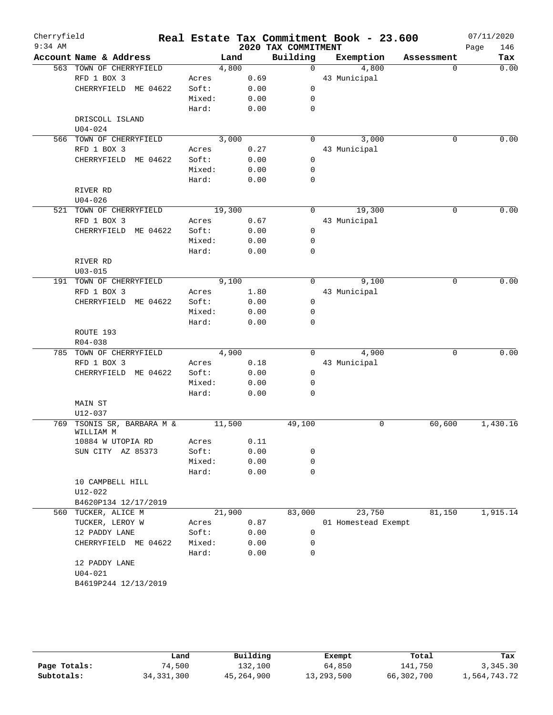| Cherryfield<br>$9:34$ AM |                         |        |      |                                 | Real Estate Tax Commitment Book - 23.600 |            | 07/11/2020  |
|--------------------------|-------------------------|--------|------|---------------------------------|------------------------------------------|------------|-------------|
|                          | Account Name & Address  |        |      | 2020 TAX COMMITMENT<br>Building | Exemption                                |            | 146<br>Page |
|                          |                         | Land   |      |                                 |                                          | Assessment | Tax         |
|                          | 563 TOWN OF CHERRYFIELD | 4,800  |      | $\Omega$                        | 4,800                                    | $\Omega$   | 0.00        |
|                          | RFD 1 BOX 3             | Acres  | 0.69 |                                 | 43 Municipal                             |            |             |
|                          | CHERRYFIELD ME 04622    | Soft:  | 0.00 | $\mathbf 0$                     |                                          |            |             |
|                          |                         | Mixed: | 0.00 | $\mathbf 0$                     |                                          |            |             |
|                          |                         | Hard:  | 0.00 | $\mathbf 0$                     |                                          |            |             |
|                          | DRISCOLL ISLAND         |        |      |                                 |                                          |            |             |
|                          | $U04 - 024$             |        |      |                                 |                                          |            |             |
|                          | 566 TOWN OF CHERRYFIELD | 3,000  |      | $\mathbf 0$                     | 3,000                                    | 0          | 0.00        |
|                          | RFD 1 BOX 3             | Acres  | 0.27 |                                 | 43 Municipal                             |            |             |
|                          | CHERRYFIELD ME 04622    | Soft:  | 0.00 | $\mathbf 0$                     |                                          |            |             |
|                          |                         | Mixed: | 0.00 | $\mathbf 0$                     |                                          |            |             |
|                          |                         | Hard:  | 0.00 | $\mathbf 0$                     |                                          |            |             |
|                          | RIVER RD                |        |      |                                 |                                          |            |             |
|                          | $U04 - 026$             |        |      |                                 |                                          |            |             |
|                          | 521 TOWN OF CHERRYFIELD | 19,300 |      | $\Omega$                        | 19,300                                   | 0          | 0.00        |
|                          | RFD 1 BOX 3             | Acres  | 0.67 |                                 | 43 Municipal                             |            |             |
|                          | CHERRYFIELD ME 04622    | Soft:  | 0.00 | 0                               |                                          |            |             |
|                          |                         | Mixed: | 0.00 | $\mathbf 0$                     |                                          |            |             |
|                          |                         | Hard:  | 0.00 | $\mathbf 0$                     |                                          |            |             |
|                          |                         |        |      |                                 |                                          |            |             |
|                          | RIVER RD                |        |      |                                 |                                          |            |             |
|                          | $U03 - 015$             |        |      |                                 |                                          |            |             |
|                          | 191 TOWN OF CHERRYFIELD | 9,100  |      | 0                               | 9,100                                    | 0          | 0.00        |
|                          | RFD 1 BOX 3             | Acres  | 1.80 |                                 | 43 Municipal                             |            |             |
|                          | CHERRYFIELD ME 04622    | Soft:  | 0.00 | $\mathbf 0$                     |                                          |            |             |
|                          |                         | Mixed: | 0.00 | 0                               |                                          |            |             |
|                          |                         | Hard:  | 0.00 | $\mathbf 0$                     |                                          |            |             |
|                          | ROUTE 193               |        |      |                                 |                                          |            |             |
|                          | R04-038                 |        |      |                                 |                                          |            |             |
|                          | 785 TOWN OF CHERRYFIELD | 4,900  |      | $\Omega$                        | 4,900                                    | 0          | 0.00        |
|                          | RFD 1 BOX 3             | Acres  | 0.18 |                                 | 43 Municipal                             |            |             |
|                          | CHERRYFIELD ME 04622    | Soft:  | 0.00 | 0                               |                                          |            |             |
|                          |                         | Mixed: | 0.00 | $\mathbf 0$                     |                                          |            |             |
|                          |                         | Hard:  | 0.00 | $\mathbf 0$                     |                                          |            |             |
|                          | MAIN ST                 |        |      |                                 |                                          |            |             |
|                          | $U12 - 037$             |        |      |                                 |                                          |            |             |
| 769                      | TSONIS SR, BARBARA M &  | 11,500 |      | 49,100                          | 0                                        | 60,600     | 1,430.16    |
|                          | WILLIAM M               |        |      |                                 |                                          |            |             |
|                          | 10884 W UTOPIA RD       | Acres  | 0.11 |                                 |                                          |            |             |
|                          | SUN CITY AZ 85373       | Soft:  | 0.00 | 0                               |                                          |            |             |
|                          |                         | Mixed: | 0.00 | $\mathbf 0$                     |                                          |            |             |
|                          |                         | Hard:  | 0.00 | $\mathbf 0$                     |                                          |            |             |
|                          | 10 CAMPBELL HILL        |        |      |                                 |                                          |            |             |
|                          | U12-022                 |        |      |                                 |                                          |            |             |
|                          |                         |        |      |                                 |                                          |            |             |
|                          | B4620P134 12/17/2019    |        |      |                                 |                                          |            |             |
| 560                      | TUCKER, ALICE M         | 21,900 |      | 83,000                          | 23,750                                   | 81,150     | 1,915.14    |
|                          | TUCKER, LEROY W         | Acres  | 0.87 |                                 | 01 Homestead Exempt                      |            |             |
|                          | 12 PADDY LANE           | Soft:  | 0.00 | 0                               |                                          |            |             |
|                          | CHERRYFIELD ME 04622    | Mixed: | 0.00 | 0                               |                                          |            |             |
|                          |                         | Hard:  | 0.00 | $\mathbf 0$                     |                                          |            |             |
|                          | 12 PADDY LANE           |        |      |                                 |                                          |            |             |
|                          | $U04 - 021$             |        |      |                                 |                                          |            |             |
|                          | B4619P244 12/13/2019    |        |      |                                 |                                          |            |             |
|                          |                         |        |      |                                 |                                          |            |             |

**Page Totals:** 74,500 132,100 64,850 141,750 3,345.30<br>**Subtotals:** 34,331,300 45,264,900 13,293,500 66,302,700 1,564,743.72 **Subtotals:** 34,331,300 45,264,900 13,293,500 66,302,700 1,564,743.72 **Land Building Exempt Total Tax**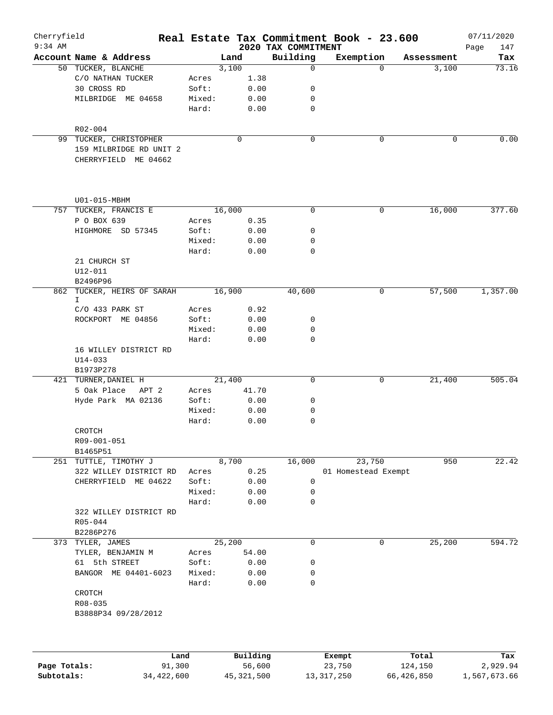| Cherryfield  |                                                 |                |               |                                 | Real Estate Tax Commitment Book - 23.600 |          |            | 07/11/2020         |
|--------------|-------------------------------------------------|----------------|---------------|---------------------------------|------------------------------------------|----------|------------|--------------------|
| $9:34$ AM    | Account Name & Address                          |                | Land          | 2020 TAX COMMITMENT<br>Building | Exemption                                |          | Assessment | 147<br>Page<br>Tax |
|              | 50 TUCKER, BLANCHE                              |                | 3,100         | $\Omega$                        |                                          | $\Omega$ | 3,100      | 73.16              |
|              | C/O NATHAN TUCKER                               | Acres          | 1.38          |                                 |                                          |          |            |                    |
|              | 30 CROSS RD                                     | Soft:          | 0.00          | 0                               |                                          |          |            |                    |
|              | MILBRIDGE ME 04658                              | Mixed:         | 0.00          | 0                               |                                          |          |            |                    |
|              |                                                 | Hard:          | 0.00          | 0                               |                                          |          |            |                    |
|              | R02-004                                         |                |               |                                 |                                          |          |            |                    |
|              | 99 TUCKER, CHRISTOPHER                          |                | 0             | 0                               |                                          | 0        | 0          | 0.00               |
|              | 159 MILBRIDGE RD UNIT 2<br>CHERRYFIELD ME 04662 |                |               |                                 |                                          |          |            |                    |
|              | $U01 - 015 - MBHM$                              |                |               |                                 |                                          |          |            |                    |
|              | 757 TUCKER, FRANCIS E                           |                | 16,000        | 0                               |                                          | 0        | 16,000     | 377.60             |
|              | P O BOX 639                                     | Acres          | 0.35          |                                 |                                          |          |            |                    |
|              | HIGHMORE SD 57345                               | Soft:          | 0.00          | 0                               |                                          |          |            |                    |
|              |                                                 | Mixed:         | 0.00          | 0                               |                                          |          |            |                    |
|              |                                                 | Hard:          | 0.00          | 0                               |                                          |          |            |                    |
|              | 21 CHURCH ST                                    |                |               |                                 |                                          |          |            |                    |
|              | U12-011                                         |                |               |                                 |                                          |          |            |                    |
|              | B2496P96                                        |                |               |                                 |                                          |          |            |                    |
|              | 862 TUCKER, HEIRS OF SARAH                      |                | 16,900        | 40,600                          |                                          | 0        | 57,500     | 1,357.00           |
|              | I.                                              |                |               |                                 |                                          |          |            |                    |
|              | C/O 433 PARK ST                                 | Acres          | 0.92          |                                 |                                          |          |            |                    |
|              | ROCKPORT ME 04856                               | Soft:          | 0.00          | 0                               |                                          |          |            |                    |
|              |                                                 | Mixed:         | 0.00          | 0                               |                                          |          |            |                    |
|              |                                                 | Hard:          | 0.00          | 0                               |                                          |          |            |                    |
|              | 16 WILLEY DISTRICT RD                           |                |               |                                 |                                          |          |            |                    |
|              | $U14 - 033$                                     |                |               |                                 |                                          |          |            |                    |
|              | B1973P278                                       |                |               | 0                               |                                          | 0        |            | 505.04             |
|              | 421 TURNER, DANIEL H<br>5 Oak Place<br>APT 2    |                | 21,400        |                                 |                                          |          | 21,400     |                    |
|              | Hyde Park MA 02136                              | Acres<br>Soft: | 41.70<br>0.00 | 0                               |                                          |          |            |                    |
|              |                                                 | Mixed:         | 0.00          | 0                               |                                          |          |            |                    |
|              |                                                 | Hard:          | 0.00          | 0                               |                                          |          |            |                    |
|              | CROTCH                                          |                |               |                                 |                                          |          |            |                    |
|              | R09-001-051<br>B1465P51                         |                |               |                                 |                                          |          |            |                    |
|              | 251 TUTTLE, TIMOTHY J                           |                | 8,700         | 16,000                          | 23,750                                   |          | 950        | 22.42              |
|              | 322 WILLEY DISTRICT RD                          | Acres          | 0.25          |                                 | 01 Homestead Exempt                      |          |            |                    |
|              | CHERRYFIELD ME 04622                            | Soft:          | 0.00          | 0                               |                                          |          |            |                    |
|              |                                                 | Mixed:         | 0.00          | 0                               |                                          |          |            |                    |
|              |                                                 | Hard:          | 0.00          | 0                               |                                          |          |            |                    |
|              | 322 WILLEY DISTRICT RD<br>R05-044               |                |               |                                 |                                          |          |            |                    |
|              | B2286P276                                       |                |               |                                 |                                          |          |            |                    |
|              | 373 TYLER, JAMES                                |                | 25,200        | $\mathbf 0$                     |                                          | 0        | 25,200     | 594.72             |
|              | TYLER, BENJAMIN M                               | Acres          | 54.00         |                                 |                                          |          |            |                    |
|              | 61 5th STREET                                   | Soft:          | 0.00          | 0                               |                                          |          |            |                    |
|              | BANGOR ME 04401-6023                            | Mixed:         | 0.00          | 0                               |                                          |          |            |                    |
|              |                                                 | Hard:          | 0.00          | 0                               |                                          |          |            |                    |
|              | CROTCH                                          |                |               |                                 |                                          |          |            |                    |
|              | R08-035                                         |                |               |                                 |                                          |          |            |                    |
|              | B3888P34 09/28/2012                             |                |               |                                 |                                          |          |            |                    |
|              |                                                 |                |               |                                 |                                          |          |            |                    |
|              | Land                                            |                | Building      |                                 | Exempt                                   | Total    |            | Tax                |
| Page Totals: | 91,300                                          |                | 56,600        |                                 | 23,750                                   | 124,150  |            | 2,929.94           |
|              |                                                 |                |               |                                 |                                          |          |            |                    |

**Subtotals:** 34,422,600 45,321,500 13,317,250 66,426,850 1,567,673.66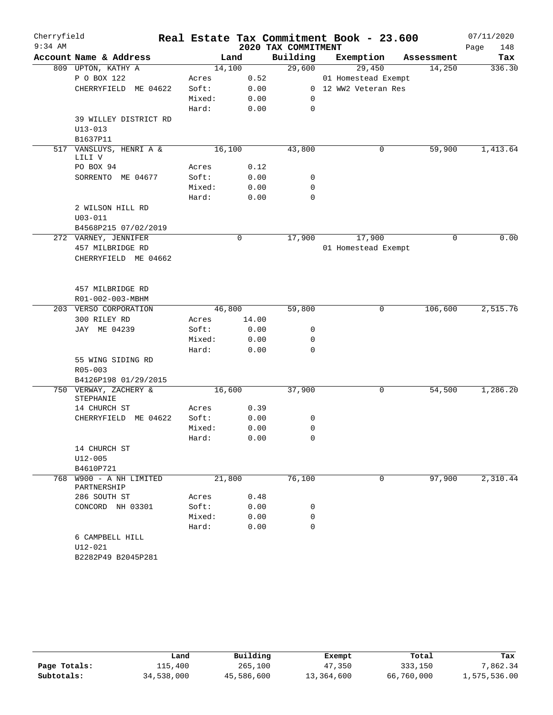| Cherryfield<br>$9:34$ AM |                                   |        |              | 2020 TAX COMMITMENT | Real Estate Tax Commitment Book - 23.600 |            | 07/11/2020<br>Page<br>148 |
|--------------------------|-----------------------------------|--------|--------------|---------------------|------------------------------------------|------------|---------------------------|
|                          | Account Name & Address            |        | Land         | Building            | Exemption                                | Assessment | Tax                       |
|                          | 809 UPTON, KATHY A                |        | 14,100       | 29,600              | 29,450                                   | 14,250     | 336.30                    |
|                          | P O BOX 122                       | Acres  | 0.52         |                     | 01 Homestead Exempt                      |            |                           |
|                          | CHERRYFIELD ME 04622              | Soft:  | 0.00         |                     | 0 12 WW2 Veteran Res                     |            |                           |
|                          |                                   | Mixed: | 0.00         | 0                   |                                          |            |                           |
|                          |                                   | Hard:  | 0.00         | 0                   |                                          |            |                           |
|                          | 39 WILLEY DISTRICT RD             |        |              |                     |                                          |            |                           |
|                          | $U13 - 013$                       |        |              |                     |                                          |            |                           |
|                          | B1637P11                          |        |              |                     |                                          |            |                           |
|                          | 517 VANSLUYS, HENRI A &<br>LILI V |        | 16,100       | 43,800              | 0                                        | 59,900     | 1,413.64                  |
|                          | PO BOX 94                         | Acres  | 0.12         |                     |                                          |            |                           |
|                          | SORRENTO ME 04677                 | Soft:  | 0.00         | 0                   |                                          |            |                           |
|                          |                                   | Mixed: | 0.00         | 0                   |                                          |            |                           |
|                          |                                   | Hard:  | 0.00         | 0                   |                                          |            |                           |
|                          | 2 WILSON HILL RD                  |        |              |                     |                                          |            |                           |
|                          | $U03 - 011$                       |        |              |                     |                                          |            |                           |
|                          | B4568P215 07/02/2019              |        |              |                     |                                          |            |                           |
|                          | 272 VARNEY, JENNIFER              |        | $\mathsf{O}$ | 17,900              | 17,900                                   | 0          | 0.00                      |
|                          | 457 MILBRIDGE RD                  |        |              |                     | 01 Homestead Exempt                      |            |                           |
|                          | CHERRYFIELD ME 04662              |        |              |                     |                                          |            |                           |
|                          |                                   |        |              |                     |                                          |            |                           |
|                          |                                   |        |              |                     |                                          |            |                           |
|                          | 457 MILBRIDGE RD                  |        |              |                     |                                          |            |                           |
|                          | R01-002-003-MBHM                  |        |              |                     |                                          |            |                           |
|                          | 203 VERSO CORPORATION             |        | 46,800       | 59,800              | 0                                        | 106,600    | 2,515.76                  |
|                          | 300 RILEY RD                      | Acres  | 14.00        |                     |                                          |            |                           |
|                          | JAY ME 04239                      | Soft:  | 0.00         | 0                   |                                          |            |                           |
|                          |                                   | Mixed: | 0.00         | 0                   |                                          |            |                           |
|                          |                                   | Hard:  | 0.00         | $\Omega$            |                                          |            |                           |
|                          | 55 WING SIDING RD                 |        |              |                     |                                          |            |                           |
|                          | R05-003                           |        |              |                     |                                          |            |                           |
|                          | B4126P198 01/29/2015              |        |              |                     |                                          |            |                           |
|                          | 750 VERWAY, ZACHERY &             |        | 16,600       | 37,900              | 0                                        | 54,500     | 1,286.20                  |
|                          | STEPHANIE                         |        |              |                     |                                          |            |                           |
|                          | 14 CHURCH ST                      | Acres  | 0.39         |                     |                                          |            |                           |
|                          | CHERRYFIELD ME 04622              | Soft:  | 0.00         | 0                   |                                          |            |                           |
|                          |                                   | Mixed: | 0.00         | 0                   |                                          |            |                           |
|                          |                                   | Hard:  | 0.00         | $\mathbf 0$         |                                          |            |                           |
|                          | 14 CHURCH ST                      |        |              |                     |                                          |            |                           |
|                          | $U12 - 005$                       |        |              |                     |                                          |            |                           |
|                          | B4610P721                         |        |              |                     |                                          |            |                           |
|                          | 768 W900 - A NH LIMITED           |        | 21,800       | 76,100              | 0                                        | 97,900     | 2,310.44                  |
|                          | PARTNERSHIP                       |        |              |                     |                                          |            |                           |
|                          | 286 SOUTH ST                      | Acres  | 0.48         |                     |                                          |            |                           |
|                          | CONCORD NH 03301                  | Soft:  | 0.00         | 0                   |                                          |            |                           |
|                          |                                   | Mixed: | 0.00         | 0                   |                                          |            |                           |
|                          |                                   | Hard:  | 0.00         | $\mathbf 0$         |                                          |            |                           |
|                          | 6 CAMPBELL HILL                   |        |              |                     |                                          |            |                           |
|                          | U12-021                           |        |              |                     |                                          |            |                           |
|                          | B2282P49 B2045P281                |        |              |                     |                                          |            |                           |

|              | Land       | Building   | Exempt     | Total      | Tax          |
|--------------|------------|------------|------------|------------|--------------|
| Page Totals: | 115,400    | 265,100    | 47,350     | 333,150    | 7.862.34     |
| Subtotals:   | 34,538,000 | 45,586,600 | 13,364,600 | 66,760,000 | 1,575,536.00 |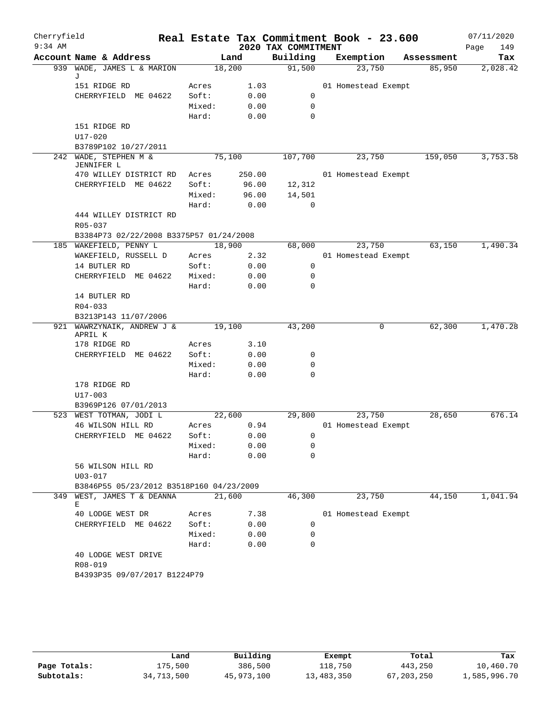| Cherryfield<br>$9:34$ AM |                                                 |                 |              | 2020 TAX COMMITMENT | Real Estate Tax Commitment Book - 23.600 |            | 07/11/2020<br>Page<br>149 |
|--------------------------|-------------------------------------------------|-----------------|--------------|---------------------|------------------------------------------|------------|---------------------------|
|                          | Account Name & Address                          |                 | Land         | Building            | Exemption                                | Assessment | Tax                       |
|                          | 939 WADE, JAMES L & MARION                      |                 | 18,200       | 91,500              | 23,750                                   | 85,950     | 2,028.42                  |
|                          | J                                               |                 |              |                     |                                          |            |                           |
|                          | 151 RIDGE RD                                    | Acres           | 1.03         |                     | 01 Homestead Exempt                      |            |                           |
|                          | CHERRYFIELD ME 04622                            | Soft:           | 0.00         | 0                   |                                          |            |                           |
|                          |                                                 | Mixed:          | 0.00         | 0                   |                                          |            |                           |
|                          |                                                 | Hard:           | 0.00         | 0                   |                                          |            |                           |
|                          | 151 RIDGE RD                                    |                 |              |                     |                                          |            |                           |
|                          | U17-020                                         |                 |              |                     |                                          |            |                           |
|                          | B3789P102 10/27/2011<br>242 WADE, STEPHEN M &   |                 | 75,100       | 107,700             | 23,750                                   | 159,050    | 3,753.58                  |
|                          | JENNIFER L                                      |                 |              |                     |                                          |            |                           |
|                          | 470 WILLEY DISTRICT RD                          | Acres           | 250.00       |                     | 01 Homestead Exempt                      |            |                           |
|                          | CHERRYFIELD ME 04622                            | Soft:           | 96.00        | 12,312              |                                          |            |                           |
|                          |                                                 | Mixed:          | 96.00        | 14,501              |                                          |            |                           |
|                          |                                                 | Hard:           | 0.00         | 0                   |                                          |            |                           |
|                          | 444 WILLEY DISTRICT RD                          |                 |              |                     |                                          |            |                           |
|                          | R05-037                                         |                 |              |                     |                                          |            |                           |
|                          | B3384P73 02/22/2008 B3375P57 01/24/2008         |                 |              |                     |                                          |            |                           |
|                          | 185 WAKEFIELD, PENNY L                          |                 | 18,900       | 68,000              | 23,750                                   | 63,150     | 1,490.34                  |
|                          | WAKEFIELD, RUSSELL D                            | Acres           | 2.32         |                     | 01 Homestead Exempt                      |            |                           |
|                          | 14 BUTLER RD                                    | Soft:           | 0.00         | 0                   |                                          |            |                           |
|                          | CHERRYFIELD ME 04622                            | Mixed:<br>Hard: | 0.00<br>0.00 | 0<br>0              |                                          |            |                           |
|                          | 14 BUTLER RD                                    |                 |              |                     |                                          |            |                           |
|                          | $R04 - 033$                                     |                 |              |                     |                                          |            |                           |
|                          | B3213P143 11/07/2006                            |                 |              |                     |                                          |            |                           |
|                          | 921 WAWRZYNAIK, ANDREW J &                      |                 | 19,100       |                     | 0                                        | 62,300     | 1,470.28                  |
|                          | APRIL K                                         |                 |              |                     |                                          |            |                           |
|                          | 178 RIDGE RD                                    | Acres           | 3.10         |                     |                                          |            |                           |
|                          | CHERRYFIELD ME 04622                            | Soft:           | 0.00         | 0                   |                                          |            |                           |
|                          |                                                 | Mixed:          | 0.00         | 0                   |                                          |            |                           |
|                          |                                                 | Hard:           | 0.00         | 0                   |                                          |            |                           |
|                          | 178 RIDGE RD<br>$U17 - 003$                     |                 |              |                     |                                          |            |                           |
|                          |                                                 |                 |              |                     |                                          |            |                           |
|                          | B3969P126 07/01/2013<br>523 WEST TOTMAN, JODI L |                 | 22,600       | 29,800              | 23,750                                   | 28,650     | 676.14                    |
|                          | 46 WILSON HILL RD                               | Acres           | 0.94         |                     | 01 Homestead Exempt                      |            |                           |
|                          | CHERRYFIELD ME 04622                            | Soft:           | 0.00         | $\Box$ 0            |                                          |            |                           |
|                          |                                                 | Mixed:          | 0.00         | 0                   |                                          |            |                           |
|                          |                                                 | Hard:           | 0.00         | 0                   |                                          |            |                           |
|                          | 56 WILSON HILL RD                               |                 |              |                     |                                          |            |                           |
|                          | $U03 - 017$                                     |                 |              |                     |                                          |            |                           |
|                          | B3846P55 05/23/2012 B3518P160 04/23/2009        |                 |              |                     |                                          |            |                           |
|                          | 349 WEST, JAMES T & DEANNA                      |                 | 21,600       | 46,300              | 23,750                                   | 44,150     | 1,041.94                  |
|                          | Е                                               |                 |              |                     |                                          |            |                           |
|                          | 40 LODGE WEST DR                                | Acres           | 7.38         |                     | 01 Homestead Exempt                      |            |                           |
|                          | CHERRYFIELD ME 04622                            | Soft:           | 0.00         | 0                   |                                          |            |                           |
|                          |                                                 | Mixed:          | 0.00         | 0                   |                                          |            |                           |
|                          |                                                 | Hard:           | 0.00         | 0                   |                                          |            |                           |
|                          | 40 LODGE WEST DRIVE<br>R08-019                  |                 |              |                     |                                          |            |                           |
|                          | B4393P35 09/07/2017 B1224P79                    |                 |              |                     |                                          |            |                           |
|                          |                                                 |                 |              |                     |                                          |            |                           |
|                          |                                                 |                 |              |                     |                                          |            |                           |

|              | úand       | Building   | Exempt     | Total        | Tax          |
|--------------|------------|------------|------------|--------------|--------------|
| Page Totals: | 175,500    | 386,500    | 118,750    | 443,250      | 10,460.70    |
| Subtotals:   | 34,713,500 | 45,973,100 | 13,483,350 | 67, 203, 250 | 1,585,996.70 |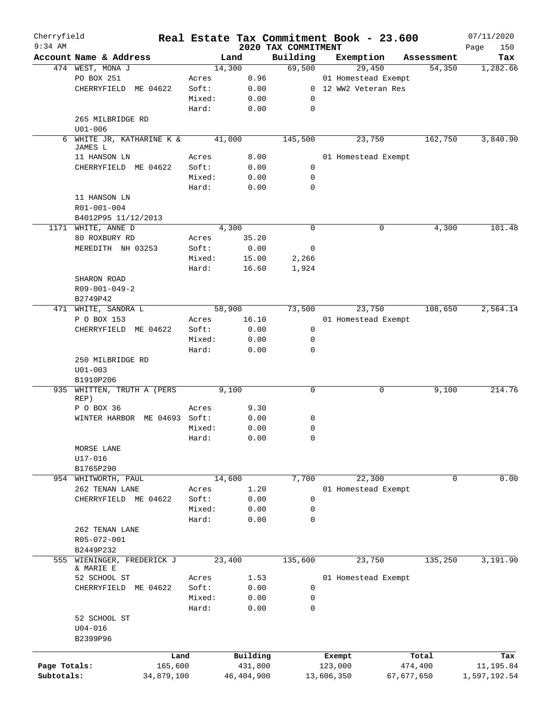| Cherryfield<br>$9:34$ AM |                                     |            |        |              |                                 | Real Estate Tax Commitment Book - 23.600 |            | 07/11/2020         |
|--------------------------|-------------------------------------|------------|--------|--------------|---------------------------------|------------------------------------------|------------|--------------------|
|                          | Account Name & Address              |            |        | Land         | 2020 TAX COMMITMENT<br>Building | Exemption                                | Assessment | Page<br>150<br>Tax |
|                          | 474 WEST, MONA J                    |            | 14,300 |              | 69,500                          | 29,450                                   | 54,350     | 1,282.66           |
|                          | PO BOX 251                          |            | Acres  | 0.96         |                                 | 01 Homestead Exempt                      |            |                    |
|                          | CHERRYFIELD ME 04622                |            | Soft:  | 0.00         |                                 | 0 12 WW2 Veteran Res                     |            |                    |
|                          |                                     |            | Mixed: | 0.00         | 0                               |                                          |            |                    |
|                          |                                     |            | Hard:  | 0.00         | 0                               |                                          |            |                    |
|                          | 265 MILBRIDGE RD                    |            |        |              |                                 |                                          |            |                    |
|                          | $U01 - 006$                         |            |        |              |                                 |                                          |            |                    |
|                          | 6 WHITE JR, KATHARINE K &           |            | 41,000 |              | 145,500                         | 23,750                                   | 162,750    | 3,840.90           |
|                          | JAMES L                             |            |        |              |                                 |                                          |            |                    |
|                          | 11 HANSON LN                        |            | Acres  | 8.00         |                                 | 01 Homestead Exempt                      |            |                    |
|                          | CHERRYFIELD ME 04622                |            | Soft:  | 0.00         | 0                               |                                          |            |                    |
|                          |                                     |            | Mixed: | 0.00         | 0                               |                                          |            |                    |
|                          |                                     |            | Hard:  | 0.00         | 0                               |                                          |            |                    |
|                          | 11 HANSON LN                        |            |        |              |                                 |                                          |            |                    |
|                          | R01-001-004                         |            |        |              |                                 |                                          |            |                    |
|                          | B4012P95 11/12/2013                 |            |        |              |                                 |                                          |            |                    |
|                          | 1171 WHITE, ANNE D                  |            |        | 4,300        | $\mathbf 0$                     | 0                                        | 4,300      | 101.48             |
|                          | 80 ROXBURY RD                       |            | Acres  | 35.20        |                                 |                                          |            |                    |
|                          | MEREDITH NH 03253                   |            | Soft:  | 0.00         | 0                               |                                          |            |                    |
|                          |                                     |            | Mixed: | 15.00        | 2,266                           |                                          |            |                    |
|                          |                                     |            | Hard:  | 16.60        | 1,924                           |                                          |            |                    |
|                          | SHARON ROAD                         |            |        |              |                                 |                                          |            |                    |
|                          | $R09 - 001 - 049 - 2$               |            |        |              |                                 |                                          |            |                    |
|                          | B2749P42                            |            |        |              |                                 |                                          |            |                    |
|                          | 471 WHITE, SANDRA L                 |            |        | 58,900       | 73,500                          | 23,750                                   | 108,650    | 2,564.14           |
|                          | P O BOX 153                         |            | Acres  | 16.10        |                                 | 01 Homestead Exempt                      |            |                    |
|                          | CHERRYFIELD ME 04622                |            | Soft:  | 0.00         | 0                               |                                          |            |                    |
|                          |                                     |            | Mixed: | 0.00         | 0                               |                                          |            |                    |
|                          |                                     |            | Hard:  | 0.00         | 0                               |                                          |            |                    |
|                          | 250 MILBRIDGE RD                    |            |        |              |                                 |                                          |            |                    |
|                          | $U01 - 003$                         |            |        |              |                                 |                                          |            |                    |
| 935                      | B1910P206<br>WHITTEN, TRUTH A (PERS |            |        | 9,100        | 0                               | 0                                        | 9,100      | 214.76             |
|                          | REP)                                |            |        |              |                                 |                                          |            |                    |
|                          | P O BOX 36                          |            | Acres  | 9.30         |                                 |                                          |            |                    |
|                          | WINTER HARBOR ME 04693 Soft:        |            |        | 0.00         | 0                               |                                          |            |                    |
|                          |                                     |            | Mixed: | 0.00         | 0                               |                                          |            |                    |
|                          |                                     |            | Hard:  | 0.00         | $\Omega$                        |                                          |            |                    |
|                          | MORSE LANE                          |            |        |              |                                 |                                          |            |                    |
|                          | $U17 - 016$                         |            |        |              |                                 |                                          |            |                    |
|                          | B1765P290                           |            |        |              |                                 |                                          |            |                    |
|                          | 954 WHITWORTH, PAUL                 |            | 14,600 |              | 7,700                           | 22,300                                   | 0          | 0.00               |
|                          | 262 TENAN LANE                      |            | Acres  | 1.20         |                                 | 01 Homestead Exempt                      |            |                    |
|                          | CHERRYFIELD ME 04622                |            | Soft:  | 0.00         | 0                               |                                          |            |                    |
|                          |                                     |            | Mixed: | 0.00         | 0                               |                                          |            |                    |
|                          |                                     |            | Hard:  | 0.00         | 0                               |                                          |            |                    |
|                          | 262 TENAN LANE                      |            |        |              |                                 |                                          |            |                    |
|                          | R05-072-001                         |            |        |              |                                 |                                          |            |                    |
|                          | B2449P232                           |            |        |              |                                 |                                          |            |                    |
| 555                      | WIENINGER, FREDERICK J              |            | 23,400 |              | 135,600                         | 23,750                                   | 135,250    | 3,191.90           |
|                          | & MARIE E                           |            |        |              |                                 |                                          |            |                    |
|                          | 52 SCHOOL ST                        |            | Acres  | 1.53         |                                 | 01 Homestead Exempt                      |            |                    |
|                          | CHERRYFIELD ME 04622                |            | Soft:  | 0.00         | 0                               |                                          |            |                    |
|                          |                                     |            | Mixed: | 0.00         | 0                               |                                          |            |                    |
|                          |                                     |            | Hard:  | 0.00         | 0                               |                                          |            |                    |
|                          | 52 SCHOOL ST                        |            |        |              |                                 |                                          |            |                    |
|                          | U04-016                             |            |        |              |                                 |                                          |            |                    |
|                          | B2399P96                            |            |        |              |                                 |                                          |            |                    |
|                          |                                     | Land       |        | Building     |                                 | Exempt                                   | Total      | Tax                |
| Page Totals:             |                                     | 165,600    |        | 431,800      |                                 | 123,000                                  | 474,400    | 11,195.84          |
| Subtotals:               |                                     | 34,879,100 |        | 46, 404, 900 |                                 | 13,606,350                               | 67,677,650 | 1,597,192.54       |
|                          |                                     |            |        |              |                                 |                                          |            |                    |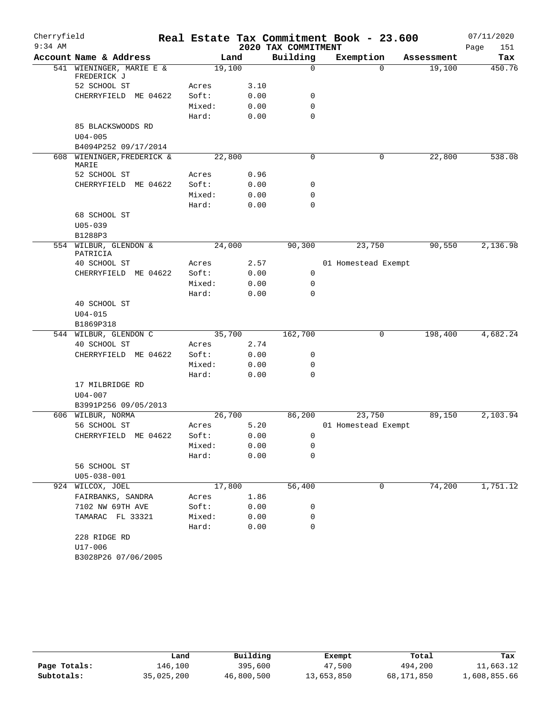| Cherryfield |                                         |                 |              |                     | Real Estate Tax Commitment Book - 23.600 |            | 07/11/2020  |
|-------------|-----------------------------------------|-----------------|--------------|---------------------|------------------------------------------|------------|-------------|
| $9:34$ AM   |                                         |                 |              | 2020 TAX COMMITMENT |                                          |            | Page<br>151 |
|             | Account Name & Address                  |                 | Land         | Building            | Exemption                                | Assessment | Tax         |
|             | 541 WIENINGER, MARIE E &<br>FREDERICK J |                 | 19,100       | $\mathbf 0$         | $\Omega$                                 | 19,100     | 450.76      |
|             | 52 SCHOOL ST                            | Acres           | 3.10         |                     |                                          |            |             |
|             | CHERRYFIELD ME 04622                    | Soft:           | 0.00         | 0                   |                                          |            |             |
|             |                                         | Mixed:          | 0.00         | $\mathbf 0$         |                                          |            |             |
|             |                                         | Hard:           | 0.00         | $\mathbf 0$         |                                          |            |             |
|             | 85 BLACKSWOODS RD                       |                 |              |                     |                                          |            |             |
|             | $U04 - 005$                             |                 |              |                     |                                          |            |             |
|             | B4094P252 09/17/2014                    |                 |              |                     |                                          |            |             |
|             | 608 WIENINGER, FREDERICK &<br>MARIE     |                 | 22,800       | 0                   | 0                                        | 22,800     | 538.08      |
|             | 52 SCHOOL ST                            | Acres           | 0.96         |                     |                                          |            |             |
|             | CHERRYFIELD ME 04622                    | Soft:           | 0.00         | 0                   |                                          |            |             |
|             |                                         | Mixed:          | 0.00         | 0                   |                                          |            |             |
|             |                                         | Hard:           | 0.00         | $\mathbf 0$         |                                          |            |             |
|             | 68 SCHOOL ST                            |                 |              |                     |                                          |            |             |
|             | $U05 - 039$                             |                 |              |                     |                                          |            |             |
|             | B1288P3                                 |                 |              |                     |                                          |            |             |
|             | 554 WILBUR, GLENDON &<br>PATRICIA       |                 | 24,000       | 90,300              | 23,750                                   | 90,550     | 2,136.98    |
|             | 40 SCHOOL ST                            | Acres           | 2.57         |                     | 01 Homestead Exempt                      |            |             |
|             | CHERRYFIELD ME 04622                    | Soft:           | 0.00         | $\mathbf 0$         |                                          |            |             |
|             |                                         | Mixed:          | 0.00         | 0                   |                                          |            |             |
|             |                                         | Hard:           | 0.00         | 0                   |                                          |            |             |
|             | 40 SCHOOL ST                            |                 |              |                     |                                          |            |             |
|             | $U04 - 015$                             |                 |              |                     |                                          |            |             |
|             | B1869P318<br>544 WILBUR, GLENDON C      |                 | 35,700       | 162,700             | 0                                        | 198,400    | 4,682.24    |
|             | 40 SCHOOL ST                            | Acres           | 2.74         |                     |                                          |            |             |
|             | CHERRYFIELD ME 04622                    | Soft:           | 0.00         | 0                   |                                          |            |             |
|             |                                         | Mixed:          | 0.00         | 0                   |                                          |            |             |
|             |                                         | Hard:           | 0.00         | 0                   |                                          |            |             |
|             | 17 MILBRIDGE RD                         |                 |              |                     |                                          |            |             |
|             | $U04 - 007$                             |                 |              |                     |                                          |            |             |
|             | B3991P256 09/05/2013                    |                 |              |                     |                                          |            |             |
|             | 606 WILBUR, NORMA                       |                 | 26,700       | 86,200              | 23,750                                   | 89,150     | 2,103.94    |
|             | 56 SCHOOL ST                            | Acres           | 5.20         |                     | 01 Homestead Exempt                      |            |             |
|             | CHERRYFIELD ME 04622                    | Soft:           | 0.00         | 0                   |                                          |            |             |
|             |                                         | Mixed:          | 0.00         | 0                   |                                          |            |             |
|             |                                         | Hard:           | 0.00         | 0                   |                                          |            |             |
|             | 56 SCHOOL ST                            |                 |              |                     |                                          |            |             |
|             | $U05 - 038 - 001$                       |                 |              |                     |                                          |            |             |
|             | 924 WILCOX, JOEL                        |                 | 17,800       | 56,400              | 0                                        | 74,200     | 1,751.12    |
|             | FAIRBANKS, SANDRA                       | Acres           | 1.86         |                     |                                          |            |             |
|             | 7102 NW 69TH AVE<br>TAMARAC FL 33321    | Soft:           | 0.00         | 0                   |                                          |            |             |
|             |                                         | Mixed:<br>Hard: | 0.00<br>0.00 | 0<br>0              |                                          |            |             |
|             | 228 RIDGE RD                            |                 |              |                     |                                          |            |             |
|             | U17-006                                 |                 |              |                     |                                          |            |             |
|             | B3028P26 07/06/2005                     |                 |              |                     |                                          |            |             |
|             |                                         |                 |              |                     |                                          |            |             |

|              | Land       | Building   | Exempt     | Total      | Tax          |
|--------------|------------|------------|------------|------------|--------------|
| Page Totals: | 146,100    | 395,600    | 47,500     | 494,200    | 11,663.12    |
| Subtotals:   | 35,025,200 | 46,800,500 | 13,653,850 | 68,171,850 | 1,608,855.66 |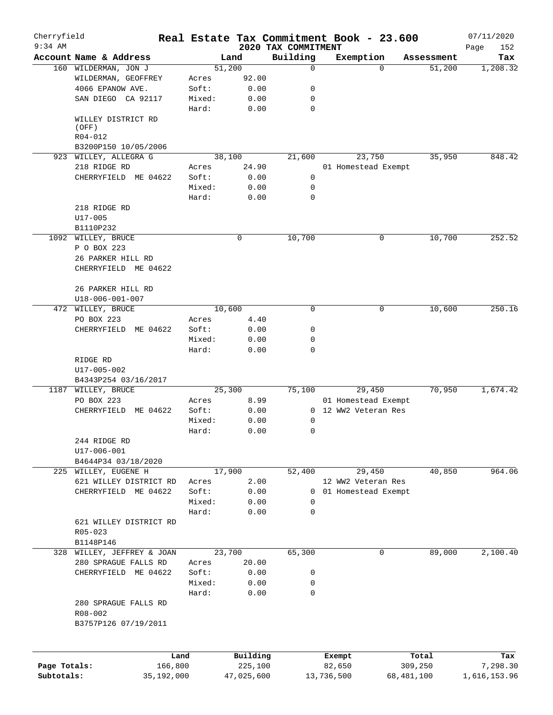| Cherryfield<br>$9:34$ AM |                                                |            |        |                |                                 | Real Estate Tax Commitment Book - 23.600  |            | 07/11/2020         |
|--------------------------|------------------------------------------------|------------|--------|----------------|---------------------------------|-------------------------------------------|------------|--------------------|
|                          | Account Name & Address                         |            |        | Land           | 2020 TAX COMMITMENT<br>Building | Exemption                                 | Assessment | Page<br>152<br>Tax |
|                          | 160 WILDERMAN, JON J                           |            |        | 51,200         | $\mathbf 0$                     | $\Omega$                                  | 51,200     | 1,208.32           |
|                          | WILDERMAN, GEOFFREY                            |            | Acres  | 92.00          |                                 |                                           |            |                    |
|                          | 4066 EPANOW AVE.                               |            | Soft:  | 0.00           | 0                               |                                           |            |                    |
|                          | SAN DIEGO CA 92117                             |            | Mixed: | 0.00           | 0                               |                                           |            |                    |
|                          |                                                |            | Hard:  | 0.00           | $\mathbf 0$                     |                                           |            |                    |
|                          | WILLEY DISTRICT RD                             |            |        |                |                                 |                                           |            |                    |
|                          | (OFF)                                          |            |        |                |                                 |                                           |            |                    |
|                          | R04-012                                        |            |        |                |                                 |                                           |            |                    |
|                          | B3200P150 10/05/2006                           |            |        |                |                                 |                                           |            |                    |
|                          | 923 WILLEY, ALLEGRA G                          |            |        | 38,100         | 21,600                          | 23,750                                    | 35,950     | 848.42             |
|                          | 218 RIDGE RD                                   |            | Acres  | 24.90          |                                 | 01 Homestead Exempt                       |            |                    |
|                          | CHERRYFIELD ME 04622                           |            | Soft:  | 0.00           | 0                               |                                           |            |                    |
|                          |                                                |            | Mixed: | 0.00           | $\mathbf 0$                     |                                           |            |                    |
|                          |                                                |            | Hard:  | 0.00           | $\mathbf 0$                     |                                           |            |                    |
|                          | 218 RIDGE RD                                   |            |        |                |                                 |                                           |            |                    |
|                          | U17-005<br>B1110P232                           |            |        |                |                                 |                                           |            |                    |
|                          | 1092 WILLEY, BRUCE                             |            |        | 0              | 10,700                          | 0                                         | 10,700     | 252.52             |
|                          | P O BOX 223                                    |            |        |                |                                 |                                           |            |                    |
|                          | 26 PARKER HILL RD                              |            |        |                |                                 |                                           |            |                    |
|                          | CHERRYFIELD ME 04622                           |            |        |                |                                 |                                           |            |                    |
|                          |                                                |            |        |                |                                 |                                           |            |                    |
|                          | 26 PARKER HILL RD                              |            |        |                |                                 |                                           |            |                    |
|                          | U18-006-001-007                                |            |        |                |                                 |                                           |            |                    |
|                          | 472 WILLEY, BRUCE                              |            |        | 10,600         | $\mathbf 0$                     | 0                                         | 10,600     | 250.16             |
|                          | PO BOX 223                                     |            | Acres  | 4.40           |                                 |                                           |            |                    |
|                          | CHERRYFIELD ME 04622                           |            | Soft:  | 0.00           | 0                               |                                           |            |                    |
|                          |                                                |            | Mixed: | 0.00           | $\mathbf 0$                     |                                           |            |                    |
|                          |                                                |            | Hard:  | 0.00           | $\mathbf 0$                     |                                           |            |                    |
|                          | RIDGE RD                                       |            |        |                |                                 |                                           |            |                    |
|                          | U17-005-002                                    |            |        |                |                                 |                                           |            |                    |
|                          | B4343P254 03/16/2017                           |            |        |                |                                 |                                           |            |                    |
|                          | 1187 WILLEY, BRUCE                             |            |        | 25,300         | 75,100                          | 29,450                                    | 70,950     | 1,674.42           |
|                          | PO BOX 223                                     |            | Acres  | 8.99           |                                 | 01 Homestead Exempt                       |            |                    |
|                          | CHERRYFIELD ME 04622                           |            | Soft:  | 0.00           |                                 | 0 12 WW2 Veteran Res                      |            |                    |
|                          |                                                |            | Mixed: | 0.00           | $\mathbf 0$                     |                                           |            |                    |
|                          |                                                |            | Hard:  | 0.00           | $\mathbf 0$                     |                                           |            |                    |
|                          | 244 RIDGE RD                                   |            |        |                |                                 |                                           |            |                    |
|                          | U17-006-001                                    |            |        |                |                                 |                                           |            |                    |
|                          | B4644P34 03/18/2020                            |            |        |                |                                 |                                           |            |                    |
|                          | 225 WILLEY, EUGENE H                           |            | Acres  | 17,900<br>2.00 | 52,400                          | 29,450                                    | 40,850     | 964.06             |
|                          | 621 WILLEY DISTRICT RD<br>CHERRYFIELD ME 04622 |            | Soft:  | 0.00           | $\mathbf{0}$                    | 12 WW2 Veteran Res<br>01 Homestead Exempt |            |                    |
|                          |                                                |            | Mixed: | 0.00           | 0                               |                                           |            |                    |
|                          |                                                |            | Hard:  | 0.00           | $\mathbf 0$                     |                                           |            |                    |
|                          | 621 WILLEY DISTRICT RD                         |            |        |                |                                 |                                           |            |                    |
|                          | R05-023                                        |            |        |                |                                 |                                           |            |                    |
|                          | B1148P146                                      |            |        |                |                                 |                                           |            |                    |
|                          | 328 WILLEY, JEFFREY & JOAN                     |            |        | 23,700         | 65,300                          | 0                                         | 89,000     | 2,100.40           |
|                          | 280 SPRAGUE FALLS RD                           |            | Acres  | 20.00          |                                 |                                           |            |                    |
|                          | CHERRYFIELD ME 04622                           |            | Soft:  | 0.00           | 0                               |                                           |            |                    |
|                          |                                                |            | Mixed: | 0.00           | 0                               |                                           |            |                    |
|                          |                                                |            | Hard:  | 0.00           | 0                               |                                           |            |                    |
|                          | 280 SPRAGUE FALLS RD                           |            |        |                |                                 |                                           |            |                    |
|                          | R08-002                                        |            |        |                |                                 |                                           |            |                    |
|                          | B3757P126 07/19/2011                           |            |        |                |                                 |                                           |            |                    |
|                          |                                                |            |        |                |                                 |                                           |            |                    |
|                          |                                                |            |        |                |                                 |                                           |            |                    |
|                          |                                                | Land       |        | Building       |                                 | Exempt                                    | Total      | Tax                |
| Page Totals:             |                                                | 166,800    |        | 225,100        |                                 | 82,650                                    | 309,250    | 7,298.30           |
| Subtotals:               |                                                | 35,192,000 |        | 47,025,600     |                                 | 13,736,500                                | 68,481,100 | 1,616,153.96       |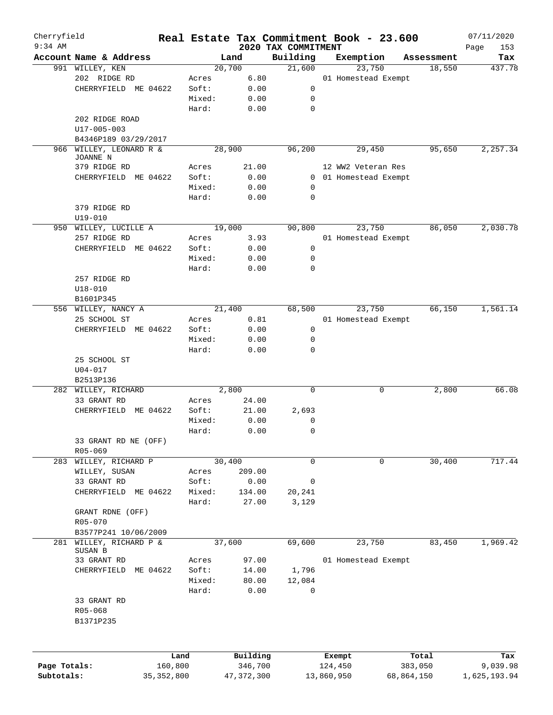| Cherryfield<br>$9:34$ AM |                         |              |        |              | 2020 TAX COMMITMENT | Real Estate Tax Commitment Book - 23.600 |            |            | 07/11/2020         |
|--------------------------|-------------------------|--------------|--------|--------------|---------------------|------------------------------------------|------------|------------|--------------------|
|                          | Account Name & Address  |              |        | Land         | Building            | Exemption                                |            | Assessment | Page<br>153<br>Tax |
|                          | 991 WILLEY, KEN         |              |        | 20,700       | 21,600              | 23,750                                   |            | 18,550     | 437.78             |
|                          | 202 RIDGE RD            |              | Acres  | 6.80         |                     | 01 Homestead Exempt                      |            |            |                    |
|                          | CHERRYFIELD ME 04622    |              | Soft:  | 0.00         | 0                   |                                          |            |            |                    |
|                          |                         |              | Mixed: | 0.00         | 0                   |                                          |            |            |                    |
|                          |                         |              | Hard:  | 0.00         | $\mathbf 0$         |                                          |            |            |                    |
|                          | 202 RIDGE ROAD          |              |        |              |                     |                                          |            |            |                    |
|                          | $U17 - 005 - 003$       |              |        |              |                     |                                          |            |            |                    |
|                          | B4346P189 03/29/2017    |              |        |              |                     |                                          |            |            |                    |
|                          | 966 WILLEY, LEONARD R & |              |        | 28,900       | 96,200              | 29,450                                   |            | 95,650     | 2,257.34           |
|                          | JOANNE N                |              |        |              |                     |                                          |            |            |                    |
|                          | 379 RIDGE RD            |              | Acres  | 21.00        |                     | 12 WW2 Veteran Res                       |            |            |                    |
|                          | ME 04622<br>CHERRYFIELD |              | Soft:  | 0.00         |                     | 0 01 Homestead Exempt                    |            |            |                    |
|                          |                         |              | Mixed: | 0.00         | 0                   |                                          |            |            |                    |
|                          |                         |              | Hard:  | 0.00         | 0                   |                                          |            |            |                    |
|                          | 379 RIDGE RD            |              |        |              |                     |                                          |            |            |                    |
|                          | $U19 - 010$             |              |        |              |                     |                                          |            |            |                    |
|                          | 950 WILLEY, LUCILLE A   |              |        | 19,000       | 90,800              | 23,750                                   |            | 86,050     | 2,030.78           |
|                          | 257 RIDGE RD            |              | Acres  | 3.93         |                     | 01 Homestead Exempt                      |            |            |                    |
|                          | CHERRYFIELD ME 04622    |              | Soft:  | 0.00         | 0                   |                                          |            |            |                    |
|                          |                         |              | Mixed: | 0.00         | 0                   |                                          |            |            |                    |
|                          |                         |              |        |              |                     |                                          |            |            |                    |
|                          |                         |              | Hard:  | 0.00         | 0                   |                                          |            |            |                    |
|                          | 257 RIDGE RD            |              |        |              |                     |                                          |            |            |                    |
|                          | $U18 - 010$             |              |        |              |                     |                                          |            |            |                    |
|                          | B1601P345               |              |        |              |                     |                                          |            |            |                    |
|                          | 556 WILLEY, NANCY A     |              |        | 21,400       | 68,500              | 23,750                                   |            | 66,150     | 1,561.14           |
|                          | 25 SCHOOL ST            |              | Acres  | 0.81         |                     | 01 Homestead Exempt                      |            |            |                    |
|                          | CHERRYFIELD ME 04622    |              | Soft:  | 0.00         | 0                   |                                          |            |            |                    |
|                          |                         |              | Mixed: | 0.00         | 0                   |                                          |            |            |                    |
|                          |                         |              | Hard:  | 0.00         | 0                   |                                          |            |            |                    |
|                          | 25 SCHOOL ST            |              |        |              |                     |                                          |            |            |                    |
|                          | $U04 - 017$             |              |        |              |                     |                                          |            |            |                    |
|                          | B2513P136               |              |        |              |                     |                                          |            |            |                    |
|                          | 282 WILLEY, RICHARD     |              |        | 2,800        | 0                   | 0                                        |            | 2,800      | 66.08              |
|                          | 33 GRANT RD             |              | Acres  | 24.00        |                     |                                          |            |            |                    |
|                          | CHERRYFIELD<br>ME 04622 |              | Soft:  | 21.00        | 2,693               |                                          |            |            |                    |
|                          |                         |              | Mixed: | 0.00         | 0                   |                                          |            |            |                    |
|                          |                         |              | Hard:  | 0.00         | $\mathbf 0$         |                                          |            |            |                    |
|                          | 33 GRANT RD NE (OFF)    |              |        |              |                     |                                          |            |            |                    |
|                          | R05-069                 |              |        |              |                     |                                          |            |            |                    |
|                          | 283 WILLEY, RICHARD P   |              |        | 30,400       | 0                   | 0                                        |            | 30,400     | 717.44             |
|                          | WILLEY, SUSAN           |              | Acres  | 209.00       |                     |                                          |            |            |                    |
|                          | 33 GRANT RD             |              |        |              |                     |                                          |            |            |                    |
|                          |                         |              | Soft:  | 0.00         | 0                   |                                          |            |            |                    |
|                          | CHERRYFIELD<br>ME 04622 |              | Mixed: | 134.00       | 20,241              |                                          |            |            |                    |
|                          |                         |              | Hard:  | 27.00        | 3,129               |                                          |            |            |                    |
|                          | GRANT RDNE (OFF)        |              |        |              |                     |                                          |            |            |                    |
|                          | R05-070                 |              |        |              |                     |                                          |            |            |                    |
|                          | B3577P241 10/06/2009    |              |        |              |                     |                                          |            |            |                    |
|                          | 281 WILLEY, RICHARD P & |              |        | 37,600       | 69,600              | 23,750                                   |            | 83,450     | 1,969.42           |
|                          | SUSAN B                 |              |        |              |                     |                                          |            |            |                    |
|                          | 33 GRANT RD             |              | Acres  | 97.00        |                     | 01 Homestead Exempt                      |            |            |                    |
|                          | ME 04622<br>CHERRYFIELD |              | Soft:  | 14.00        | 1,796               |                                          |            |            |                    |
|                          |                         |              | Mixed: | 80.00        | 12,084              |                                          |            |            |                    |
|                          |                         |              | Hard:  | 0.00         | 0                   |                                          |            |            |                    |
|                          | 33 GRANT RD             |              |        |              |                     |                                          |            |            |                    |
|                          | R05-068                 |              |        |              |                     |                                          |            |            |                    |
|                          | B1371P235               |              |        |              |                     |                                          |            |            |                    |
|                          |                         |              |        |              |                     |                                          |            |            |                    |
|                          |                         |              |        |              |                     |                                          |            |            |                    |
|                          |                         | Land         |        | Building     |                     | Exempt                                   | Total      |            | Tax                |
| Page Totals:             |                         | 160,800      |        | 346,700      |                     | 124,450                                  | 383,050    |            | 9,039.98           |
| Subtotals:               |                         | 35, 352, 800 |        | 47, 372, 300 |                     | 13,860,950                               | 68,864,150 |            | 1,625,193.94       |
|                          |                         |              |        |              |                     |                                          |            |            |                    |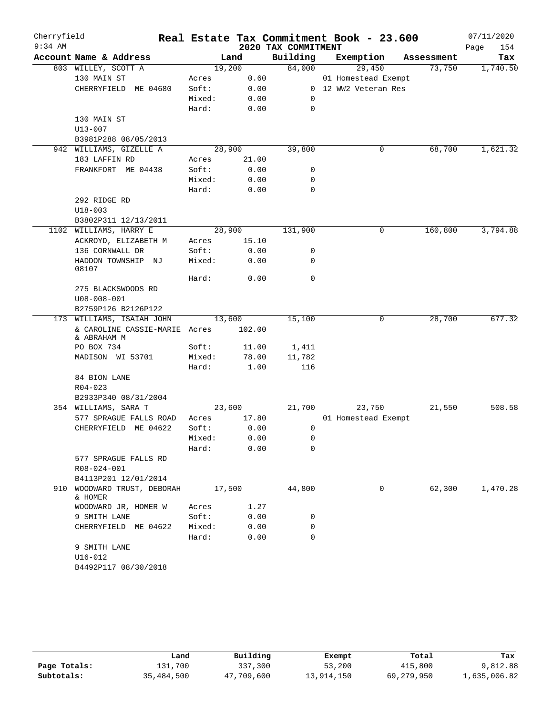| Cherryfield |                                          |        |        |                     | Real Estate Tax Commitment Book - 23.600 |            | 07/11/2020  |
|-------------|------------------------------------------|--------|--------|---------------------|------------------------------------------|------------|-------------|
| $9:34$ AM   |                                          |        |        | 2020 TAX COMMITMENT |                                          |            | Page<br>154 |
|             | Account Name & Address                   |        | Land   | Building            | Exemption                                | Assessment | Tax         |
|             | 803 WILLEY, SCOTT A                      |        | 19,200 | 84,000              | 29,450                                   | 73,750     | 1,740.50    |
|             | 130 MAIN ST                              | Acres  | 0.60   |                     | 01 Homestead Exempt                      |            |             |
|             | CHERRYFIELD ME 04680                     | Soft:  | 0.00   |                     | 0 12 WW2 Veteran Res                     |            |             |
|             |                                          | Mixed: | 0.00   | 0                   |                                          |            |             |
|             |                                          | Hard:  | 0.00   | $\mathbf 0$         |                                          |            |             |
|             | 130 MAIN ST                              |        |        |                     |                                          |            |             |
|             | $U13 - 007$                              |        |        |                     |                                          |            |             |
|             | B3981P288 08/05/2013                     |        |        |                     |                                          |            |             |
|             | 942 WILLIAMS, GIZELLE A                  |        | 28,900 | 39,800              | 0                                        | 68,700     | 1,621.32    |
|             | 183 LAFFIN RD                            | Acres  | 21.00  |                     |                                          |            |             |
|             | FRANKFORT ME 04438                       | Soft:  | 0.00   | 0                   |                                          |            |             |
|             |                                          | Mixed: | 0.00   | 0                   |                                          |            |             |
|             |                                          | Hard:  | 0.00   | 0                   |                                          |            |             |
|             | 292 RIDGE RD                             |        |        |                     |                                          |            |             |
|             | $U18 - 003$                              |        |        |                     |                                          |            |             |
|             | B3802P311 12/13/2011                     |        |        |                     |                                          |            |             |
|             | 1102 WILLIAMS, HARRY E                   |        | 28,900 | 131,900             | $\mathbf 0$                              | 160,800    | 3,794.88    |
|             | ACKROYD, ELIZABETH M                     | Acres  | 15.10  |                     |                                          |            |             |
|             | 136 CORNWALL DR                          | Soft:  | 0.00   | 0                   |                                          |            |             |
|             | HADDON TOWNSHIP NJ                       | Mixed: | 0.00   | 0                   |                                          |            |             |
|             | 08107                                    |        |        |                     |                                          |            |             |
|             |                                          | Hard:  | 0.00   | 0                   |                                          |            |             |
|             | 275 BLACKSWOODS RD                       |        |        |                     |                                          |            |             |
|             | $U08 - 008 - 001$<br>B2759P126 B2126P122 |        |        |                     |                                          |            |             |
|             | 173 WILLIAMS, ISAIAH JOHN                |        | 13,600 | 15,100              | 0                                        | 28,700     | 677.32      |
|             | & CAROLINE CASSIE-MARIE Acres            |        | 102.00 |                     |                                          |            |             |
|             | & ABRAHAM M                              |        |        |                     |                                          |            |             |
|             | PO BOX 734                               | Soft:  | 11.00  | 1,411               |                                          |            |             |
|             | MADISON WI 53701                         | Mixed: | 78.00  | 11,782              |                                          |            |             |
|             |                                          | Hard:  | 1.00   | 116                 |                                          |            |             |
|             | 84 BION LANE                             |        |        |                     |                                          |            |             |
|             | $R04 - 023$                              |        |        |                     |                                          |            |             |
|             | B2933P340 08/31/2004                     |        |        |                     |                                          |            |             |
|             | 354 WILLIAMS, SARA T                     |        | 23,600 | 21,700              | 23,750                                   | 21,550     | 508.58      |
|             | 577 SPRAGUE FALLS ROAD                   | Acres  | 17.80  |                     | 01 Homestead Exempt                      |            |             |
|             | CHERRYFIELD ME 04622                     | Soft:  | 0.00   | 0                   |                                          |            |             |
|             |                                          | Mixed: | 0.00   | 0                   |                                          |            |             |
|             |                                          | Hard:  | 0.00   | 0                   |                                          |            |             |
|             | 577 SPRAGUE FALLS RD                     |        |        |                     |                                          |            |             |
|             | R08-024-001                              |        |        |                     |                                          |            |             |
|             | B4113P201 12/01/2014                     |        |        |                     |                                          |            |             |
|             | 910 WOODWARD TRUST, DEBORAH              |        | 17,500 | 44,800              | 0                                        | 62,300     | 1,470.28    |
|             | & HOMER                                  |        |        |                     |                                          |            |             |
|             | WOODWARD JR, HOMER W                     | Acres  | 1.27   |                     |                                          |            |             |
|             | 9 SMITH LANE                             | Soft:  | 0.00   | 0                   |                                          |            |             |
|             | CHERRYFIELD ME 04622                     | Mixed: | 0.00   | 0                   |                                          |            |             |
|             |                                          | Hard:  | 0.00   | $\mathbf 0$         |                                          |            |             |
|             | 9 SMITH LANE                             |        |        |                     |                                          |            |             |
|             | $U16 - 012$                              |        |        |                     |                                          |            |             |
|             | B4492P117 08/30/2018                     |        |        |                     |                                          |            |             |

|              | Land       | Building   | Exempt     | Total      | Tax          |
|--------------|------------|------------|------------|------------|--------------|
| Page Totals: | 131,700    | 337,300    | 53,200     | 415,800    | 9,812.88     |
| Subtotals:   | 35,484,500 | 47,709,600 | 13,914,150 | 69,279,950 | 1,635,006.82 |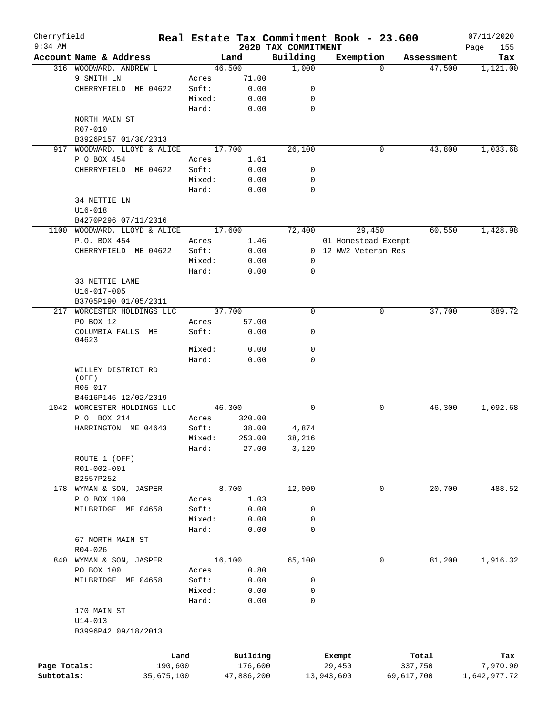| Cherryfield  |                              |         |            |                                 | Real Estate Tax Commitment Book - 23.600 |            | 07/11/2020         |
|--------------|------------------------------|---------|------------|---------------------------------|------------------------------------------|------------|--------------------|
| $9:34$ AM    | Account Name & Address       |         | Land       | 2020 TAX COMMITMENT<br>Building | Exemption                                | Assessment | Page<br>155<br>Tax |
|              | 316 WOODWARD, ANDREW L       |         | 46,500     | 1,000                           | $\Omega$                                 | 47,500     | 1,121.00           |
|              | 9 SMITH LN                   | Acres   | 71.00      |                                 |                                          |            |                    |
|              |                              | Soft:   |            | 0                               |                                          |            |                    |
|              | CHERRYFIELD ME 04622         |         | 0.00       |                                 |                                          |            |                    |
|              |                              | Mixed:  | 0.00       | 0                               |                                          |            |                    |
|              |                              | Hard:   | 0.00       | $\mathbf 0$                     |                                          |            |                    |
|              | NORTH MAIN ST                |         |            |                                 |                                          |            |                    |
|              | R07-010                      |         |            |                                 |                                          |            |                    |
|              | B3926P157 01/30/2013         |         |            |                                 |                                          |            |                    |
| 917          | WOODWARD, LLOYD & ALICE      |         | 17,700     | 26,100                          | 0                                        | 43,800     | 1,033.68           |
|              | P O BOX 454                  | Acres   | 1.61       |                                 |                                          |            |                    |
|              | CHERRYFIELD ME 04622         | Soft:   | 0.00       | 0                               |                                          |            |                    |
|              |                              | Mixed:  | 0.00       | 0                               |                                          |            |                    |
|              |                              | Hard:   | 0.00       | 0                               |                                          |            |                    |
|              | 34 NETTIE LN                 |         |            |                                 |                                          |            |                    |
|              | $U16 - 018$                  |         |            |                                 |                                          |            |                    |
|              | B4270P296 07/11/2016         |         |            |                                 |                                          |            |                    |
|              | 1100 WOODWARD, LLOYD & ALICE |         | 17,600     | 72,400                          | 29,450                                   | 60,550     | 1,428.98           |
|              | P.O. BOX 454                 | Acres   | 1.46       |                                 | 01 Homestead Exempt                      |            |                    |
|              | CHERRYFIELD ME 04622         | Soft:   | 0.00       |                                 | 0 12 WW2 Veteran Res                     |            |                    |
|              |                              | Mixed:  | 0.00       | 0                               |                                          |            |                    |
|              |                              | Hard:   | 0.00       | $\mathbf 0$                     |                                          |            |                    |
|              | 33 NETTIE LANE               |         |            |                                 |                                          |            |                    |
|              | $U16 - 017 - 005$            |         |            |                                 |                                          |            |                    |
|              |                              |         |            |                                 |                                          |            |                    |
|              | B3705P190 01/05/2011         |         |            |                                 |                                          |            |                    |
| 217          | WORCESTER HOLDINGS LLC       |         | 37,700     | 0                               | 0                                        | 37,700     | 889.72             |
|              | PO BOX 12                    | Acres   | 57.00      |                                 |                                          |            |                    |
|              | COLUMBIA FALLS ME            | Soft:   | 0.00       | 0                               |                                          |            |                    |
|              | 04623                        |         |            |                                 |                                          |            |                    |
|              |                              | Mixed:  | 0.00       | 0                               |                                          |            |                    |
|              |                              | Hard:   | 0.00       | 0                               |                                          |            |                    |
|              | WILLEY DISTRICT RD           |         |            |                                 |                                          |            |                    |
|              | (OFF)                        |         |            |                                 |                                          |            |                    |
|              | R05-017                      |         |            |                                 |                                          |            |                    |
|              | B4616P146 12/02/2019         |         |            |                                 |                                          |            |                    |
|              | 1042 WORCESTER HOLDINGS LLC  |         | 46,300     | $\Omega$                        | 0                                        | 46,300     | 1,092.68           |
|              | P O BOX 214                  | Acres   | 320.00     |                                 |                                          |            |                    |
|              | HARRINGTON ME 04643          | Soft:   | 38.00      | 4,874                           |                                          |            |                    |
|              |                              | Mixed:  | 253.00     | 38,216                          |                                          |            |                    |
|              |                              | Hard:   | 27.00      | 3,129                           |                                          |            |                    |
|              | ROUTE 1 (OFF)                |         |            |                                 |                                          |            |                    |
|              | R01-002-001                  |         |            |                                 |                                          |            |                    |
|              | B2557P252                    |         |            |                                 |                                          |            |                    |
|              | 178 WYMAN & SON, JASPER      |         | 8,700      | 12,000                          | 0                                        | 20,700     | 488.52             |
|              | P O BOX 100                  | Acres   | 1.03       |                                 |                                          |            |                    |
|              | MILBRIDGE ME 04658           | Soft:   | 0.00       | 0                               |                                          |            |                    |
|              |                              | Mixed:  | 0.00       | 0                               |                                          |            |                    |
|              |                              | Hard:   | 0.00       | 0                               |                                          |            |                    |
|              | 67 NORTH MAIN ST             |         |            |                                 |                                          |            |                    |
|              | $R04 - 026$                  |         |            |                                 |                                          |            |                    |
|              | 840 WYMAN & SON, JASPER      |         | 16,100     | 65,100                          | 0                                        | 81,200     | 1,916.32           |
|              |                              |         |            |                                 |                                          |            |                    |
|              | PO BOX 100                   | Acres   | 0.80       |                                 |                                          |            |                    |
|              | MILBRIDGE ME 04658           | Soft:   | 0.00       | 0                               |                                          |            |                    |
|              |                              | Mixed:  | 0.00       | 0                               |                                          |            |                    |
|              |                              | Hard:   | 0.00       | 0                               |                                          |            |                    |
|              | 170 MAIN ST                  |         |            |                                 |                                          |            |                    |
|              | $U14 - 013$                  |         |            |                                 |                                          |            |                    |
|              | B3996P42 09/18/2013          |         |            |                                 |                                          |            |                    |
|              |                              |         |            |                                 |                                          |            |                    |
|              |                              | Land    | Building   |                                 | Exempt                                   | Total      | Tax                |
| Page Totals: |                              | 190,600 | 176,600    |                                 | 29,450                                   | 337,750    | 7,970.90           |
| Subtotals:   | 35,675,100                   |         | 47,886,200 |                                 | 13,943,600                               | 69,617,700 | 1,642,977.72       |
|              |                              |         |            |                                 |                                          |            |                    |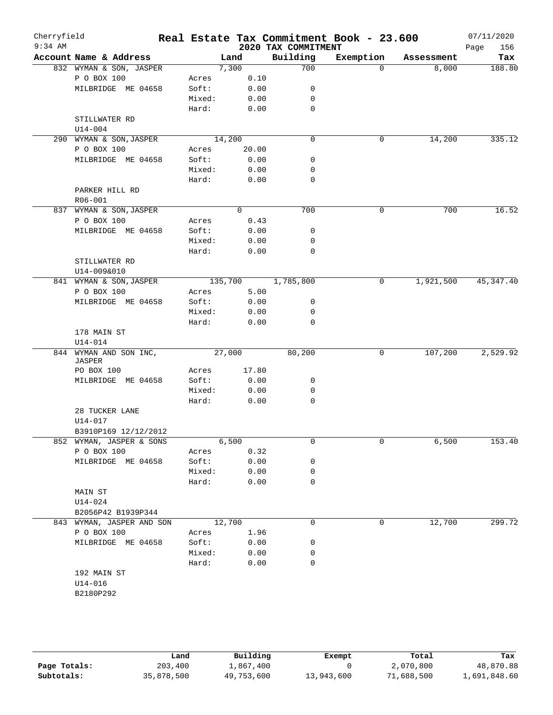| Cherryfield<br>$9:34$ AM |                           |                 |                |              | 2020 TAX COMMITMENT | Real Estate Tax Commitment Book - 23.600 |            | 07/11/2020<br>156<br>Page |
|--------------------------|---------------------------|-----------------|----------------|--------------|---------------------|------------------------------------------|------------|---------------------------|
|                          | Account Name & Address    |                 | Land           |              | Building            | Exemption                                | Assessment | Tax                       |
|                          | 832 WYMAN & SON, JASPER   |                 | 7,300          |              | 700                 | $\Omega$                                 | 8,000      | 188.80                    |
|                          | P O BOX 100               | Acres           |                | 0.10         |                     |                                          |            |                           |
|                          | MILBRIDGE ME 04658        | Soft:           |                | 0.00         | 0                   |                                          |            |                           |
|                          |                           | Mixed:          |                | 0.00         | 0                   |                                          |            |                           |
|                          |                           | Hard:           |                | 0.00         | 0                   |                                          |            |                           |
|                          | STILLWATER RD             |                 |                |              |                     |                                          |            |                           |
|                          | $U14 - 004$               |                 |                |              |                     |                                          |            |                           |
|                          | 290 WYMAN & SON, JASPER   |                 | 14,200         |              | $\mathbf 0$         | 0                                        | 14,200     | 335.12                    |
|                          | P O BOX 100               | Acres           |                | 20.00        |                     |                                          |            |                           |
|                          | MILBRIDGE ME 04658        | Soft:           |                | 0.00         | 0                   |                                          |            |                           |
|                          |                           | Mixed:          |                | 0.00         | 0                   |                                          |            |                           |
|                          |                           | Hard:           |                | 0.00         | 0                   |                                          |            |                           |
|                          | PARKER HILL RD            |                 |                |              |                     |                                          |            |                           |
|                          | $R06 - 001$               |                 |                |              |                     |                                          |            |                           |
|                          | 837 WYMAN & SON, JASPER   |                 | $\overline{0}$ |              | 700                 | $\mathbf 0$                              | 700        | 16.52                     |
|                          | P O BOX 100               | Acres           |                | 0.43         |                     |                                          |            |                           |
|                          | MILBRIDGE ME 04658        | Soft:           |                | 0.00         | 0                   |                                          |            |                           |
|                          |                           | Mixed:          |                | 0.00         | 0                   |                                          |            |                           |
|                          |                           | Hard:           |                | 0.00         | 0                   |                                          |            |                           |
|                          | STILLWATER RD             |                 |                |              |                     |                                          |            |                           |
|                          | U14-009&010               |                 |                |              |                     |                                          |            |                           |
|                          | 841 WYMAN & SON, JASPER   |                 | 135,700        |              | 1,785,800           | 0                                        | 1,921,500  | 45, 347.40                |
|                          | P O BOX 100               | Acres           |                | 5.00         |                     |                                          |            |                           |
|                          | MILBRIDGE ME 04658        | Soft:           |                | 0.00         | 0<br>0              |                                          |            |                           |
|                          |                           | Mixed:<br>Hard: |                | 0.00<br>0.00 | 0                   |                                          |            |                           |
|                          | 178 MAIN ST               |                 |                |              |                     |                                          |            |                           |
|                          | $U14 - 014$               |                 |                |              |                     |                                          |            |                           |
|                          | 844 WYMAN AND SON INC,    |                 | 27,000         |              | 80,200              | 0                                        | 107,200    | 2,529.92                  |
|                          | JASPER                    |                 |                |              |                     |                                          |            |                           |
|                          | PO BOX 100                | Acres           |                | 17.80        |                     |                                          |            |                           |
|                          | MILBRIDGE ME 04658        | Soft:           |                | 0.00         | 0                   |                                          |            |                           |
|                          |                           | Mixed:          |                | 0.00         | 0                   |                                          |            |                           |
|                          |                           | Hard:           |                | 0.00         | 0                   |                                          |            |                           |
|                          | 28 TUCKER LANE            |                 |                |              |                     |                                          |            |                           |
|                          | U14-017                   |                 |                |              |                     |                                          |            |                           |
|                          | B3910P169 12/12/2012      |                 |                |              |                     |                                          |            |                           |
|                          | 852 WYMAN, JASPER & SONS  |                 | 6,500          |              | 0                   | 0                                        | 6,500      | 153.40                    |
|                          | P O BOX 100               | Acres           |                | 0.32         |                     |                                          |            |                           |
|                          | MILBRIDGE ME 04658        | Soft:           |                | 0.00         | 0                   |                                          |            |                           |
|                          |                           | Mixed:          |                | 0.00         | 0                   |                                          |            |                           |
|                          |                           | Hard:           |                | 0.00         | 0                   |                                          |            |                           |
|                          | MAIN ST                   |                 |                |              |                     |                                          |            |                           |
|                          | U14-024                   |                 |                |              |                     |                                          |            |                           |
|                          | B2056P42 B1939P344        |                 |                |              |                     |                                          |            |                           |
|                          | 843 WYMAN, JASPER AND SON |                 | 12,700         |              | $\mathbf 0$         | $\mathbf 0$                              | 12,700     | 299.72                    |
|                          | P O BOX 100               | Acres           |                | 1.96         |                     |                                          |            |                           |
|                          | MILBRIDGE ME 04658        | Soft:           |                | 0.00         | 0                   |                                          |            |                           |
|                          |                           | Mixed:          |                | 0.00         | 0                   |                                          |            |                           |
|                          |                           | Hard:           |                | 0.00         | $\mathbf 0$         |                                          |            |                           |
|                          | 192 MAIN ST               |                 |                |              |                     |                                          |            |                           |
|                          | $U14 - 016$<br>B2180P292  |                 |                |              |                     |                                          |            |                           |
|                          |                           |                 |                |              |                     |                                          |            |                           |

|              | Land       | Building   | Exempt     | Total      | Tax          |
|--------------|------------|------------|------------|------------|--------------|
| Page Totals: | 203,400    | 1,867,400  |            | 2,070,800  | 48,870.88    |
| Subtotals:   | 35,878,500 | 49,753,600 | 13,943,600 | 71,688,500 | 1,691,848.60 |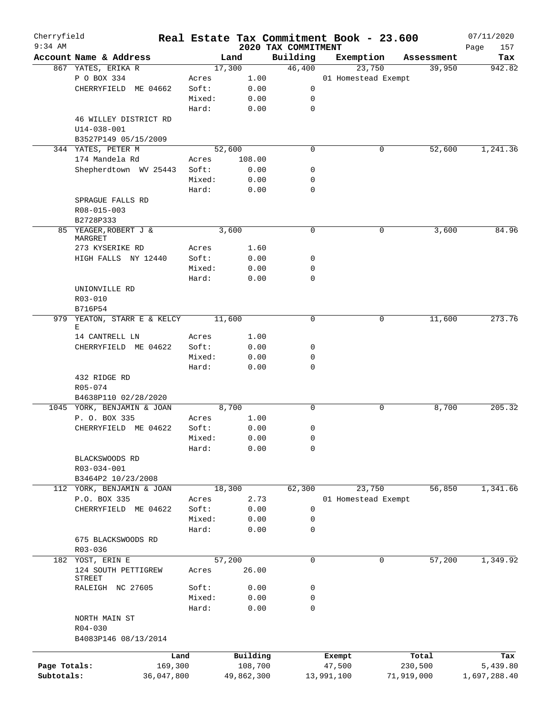| Cherryfield  |                                    |         |            |                                 | Real Estate Tax Commitment Book - 23.600 |                      | 07/11/2020         |
|--------------|------------------------------------|---------|------------|---------------------------------|------------------------------------------|----------------------|--------------------|
| $9:34$ AM    | Account Name & Address             |         | Land       | 2020 TAX COMMITMENT<br>Building |                                          |                      | Page<br>157<br>Tax |
|              | 867 YATES, ERIKA R                 |         | 17,300     | 46,400                          | Exemption<br>23,750                      | Assessment<br>39,950 | 942.82             |
|              | P O BOX 334                        | Acres   | 1.00       |                                 | 01 Homestead Exempt                      |                      |                    |
|              | CHERRYFIELD ME 04662               | Soft:   | 0.00       | 0                               |                                          |                      |                    |
|              |                                    | Mixed:  |            | 0                               |                                          |                      |                    |
|              |                                    |         | 0.00       | $\mathbf 0$                     |                                          |                      |                    |
|              |                                    | Hard:   | 0.00       |                                 |                                          |                      |                    |
|              | 46 WILLEY DISTRICT RD              |         |            |                                 |                                          |                      |                    |
|              | $U14 - 038 - 001$                  |         |            |                                 |                                          |                      |                    |
|              | B3527P149 05/15/2009               |         |            |                                 |                                          |                      |                    |
|              | 344 YATES, PETER M                 |         | 52,600     | $\mathbf 0$                     | 0                                        | 52,600               | 1,241.36           |
|              | 174 Mandela Rd                     | Acres   | 108.00     |                                 |                                          |                      |                    |
|              | Shepherdtown WV 25443              | Soft:   | 0.00       | 0                               |                                          |                      |                    |
|              |                                    | Mixed:  | 0.00       | 0                               |                                          |                      |                    |
|              |                                    | Hard:   | 0.00       | $\mathbf 0$                     |                                          |                      |                    |
|              | SPRAGUE FALLS RD                   |         |            |                                 |                                          |                      |                    |
|              | R08-015-003                        |         |            |                                 |                                          |                      |                    |
|              | B2728P333                          |         |            |                                 |                                          |                      |                    |
|              | 85 YEAGER, ROBERT J &<br>MARGRET   |         | 3,600      | $\mathbf 0$                     | 0                                        | 3,600                | 84.96              |
|              | 273 KYSERIKE RD                    | Acres   | 1.60       |                                 |                                          |                      |                    |
|              | HIGH FALLS NY 12440                | Soft:   | 0.00       | 0                               |                                          |                      |                    |
|              |                                    | Mixed:  |            | 0                               |                                          |                      |                    |
|              |                                    | Hard:   | 0.00       | 0                               |                                          |                      |                    |
|              |                                    |         | 0.00       |                                 |                                          |                      |                    |
|              | UNIONVILLE RD                      |         |            |                                 |                                          |                      |                    |
|              | R03-010                            |         |            |                                 |                                          |                      |                    |
|              | B716P54<br>YEATON, STARR E & KELCY |         |            | 0                               | 0                                        | 11,600               | 273.76             |
| 979          | Е                                  |         | 11,600     |                                 |                                          |                      |                    |
|              | 14 CANTRELL LN                     | Acres   | 1.00       |                                 |                                          |                      |                    |
|              | CHERRYFIELD ME 04622               | Soft:   | 0.00       | 0                               |                                          |                      |                    |
|              |                                    | Mixed:  | 0.00       | 0                               |                                          |                      |                    |
|              |                                    | Hard:   | 0.00       | $\mathbf 0$                     |                                          |                      |                    |
|              | 432 RIDGE RD                       |         |            |                                 |                                          |                      |                    |
|              | R05-074                            |         |            |                                 |                                          |                      |                    |
|              | B4638P110 02/28/2020               |         |            |                                 |                                          |                      |                    |
|              | 1045 YORK, BENJAMIN & JOAN         |         | 8,700      | $\mathbf 0$                     | 0                                        | 8,700                | 205.32             |
|              | P. O. BOX 335                      | Acres   | 1.00       |                                 |                                          |                      |                    |
|              | CHERRYFIELD ME 04622               | Soft:   | 0.00       | 0                               |                                          |                      |                    |
|              |                                    | Mixed:  | 0.00       | 0                               |                                          |                      |                    |
|              |                                    | Hard:   | 0.00       | 0                               |                                          |                      |                    |
|              | BLACKSWOODS RD                     |         |            |                                 |                                          |                      |                    |
|              | R03-034-001                        |         |            |                                 |                                          |                      |                    |
|              | B3464P2 10/23/2008                 |         |            |                                 |                                          |                      |                    |
|              | 112 YORK, BENJAMIN & JOAN          |         | 18,300     | 62,300                          | 23,750                                   | 56,850               | 1,341.66           |
|              | P.O. BOX 335                       | Acres   | 2.73       |                                 | 01 Homestead Exempt                      |                      |                    |
|              | CHERRYFIELD ME 04622               | Soft:   | 0.00       | 0                               |                                          |                      |                    |
|              |                                    | Mixed:  | 0.00       | 0                               |                                          |                      |                    |
|              |                                    | Hard:   | 0.00       | 0                               |                                          |                      |                    |
|              | 675 BLACKSWOODS RD                 |         |            |                                 |                                          |                      |                    |
|              | R03-036                            |         |            |                                 |                                          |                      |                    |
|              | 182 YOST, ERIN E                   |         | 57,200     | 0                               | 0                                        | 57,200               | 1,349.92           |
|              | 124 SOUTH PETTIGREW                | Acres   | 26.00      |                                 |                                          |                      |                    |
|              | STREET                             |         |            |                                 |                                          |                      |                    |
|              | RALEIGH NC 27605                   | Soft:   | 0.00       | 0                               |                                          |                      |                    |
|              |                                    | Mixed:  | 0.00       | 0                               |                                          |                      |                    |
|              |                                    | Hard:   | 0.00       | 0                               |                                          |                      |                    |
|              | NORTH MAIN ST                      |         |            |                                 |                                          |                      |                    |
|              | $R04 - 030$                        |         |            |                                 |                                          |                      |                    |
|              | B4083P146 08/13/2014               |         |            |                                 |                                          |                      |                    |
|              |                                    |         |            |                                 |                                          |                      |                    |
|              |                                    | Land    | Building   |                                 | Exempt                                   | Total                | Tax                |
| Page Totals: |                                    | 169,300 | 108,700    |                                 | 47,500                                   | 230,500              | 5,439.80           |
| Subtotals:   | 36,047,800                         |         | 49,862,300 |                                 | 13,991,100                               | 71,919,000           | 1,697,288.40       |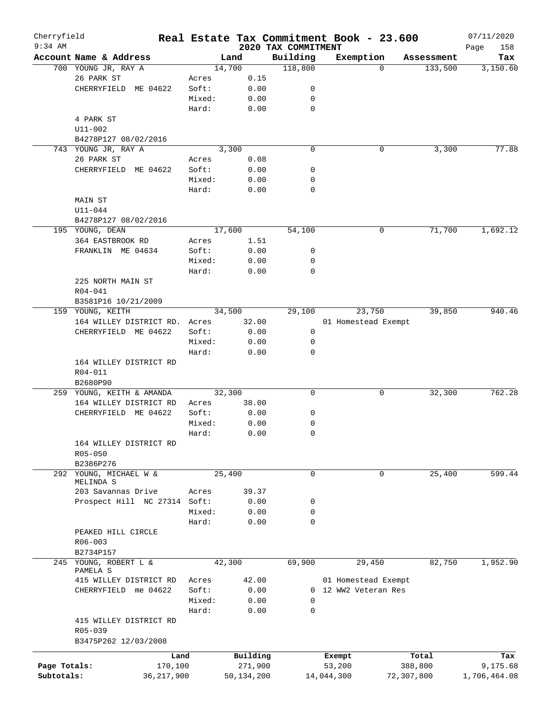| Cherryfield<br>$9:34$ AM |                              |        |            |                                 | Real Estate Tax Commitment Book - 23.600 |                     | 07/11/2020         |
|--------------------------|------------------------------|--------|------------|---------------------------------|------------------------------------------|---------------------|--------------------|
|                          | Account Name & Address       |        | Land       | 2020 TAX COMMITMENT<br>Building | Exemption                                | Assessment          | Page<br>158<br>Tax |
|                          | 700 YOUNG JR, RAY A          |        | 14,700     | 118,800                         |                                          | 133,500<br>$\Omega$ | 3,150.60           |
|                          | 26 PARK ST                   | Acres  | 0.15       |                                 |                                          |                     |                    |
|                          | CHERRYFIELD ME 04622         | Soft:  | 0.00       | 0                               |                                          |                     |                    |
|                          |                              | Mixed: | 0.00       | 0                               |                                          |                     |                    |
|                          |                              | Hard:  | 0.00       | 0                               |                                          |                     |                    |
|                          | 4 PARK ST                    |        |            |                                 |                                          |                     |                    |
|                          | U11-002                      |        |            |                                 |                                          |                     |                    |
|                          | B4278P127 08/02/2016         |        |            |                                 |                                          |                     |                    |
|                          | 743 YOUNG JR, RAY A          |        | 3,300      | $\mathbf 0$                     | 0                                        | 3,300               | 77.88              |
|                          | 26 PARK ST                   | Acres  | 0.08       |                                 |                                          |                     |                    |
|                          | CHERRYFIELD ME 04622         | Soft:  | 0.00       | 0                               |                                          |                     |                    |
|                          |                              | Mixed: | 0.00       | 0                               |                                          |                     |                    |
|                          |                              | Hard:  | 0.00       | 0                               |                                          |                     |                    |
|                          | MAIN ST                      |        |            |                                 |                                          |                     |                    |
|                          | $U11 - 044$                  |        |            |                                 |                                          |                     |                    |
|                          | B4278P127 08/02/2016         |        |            |                                 |                                          |                     |                    |
|                          | 195 YOUNG, DEAN              |        | 17,600     | 54,100                          | 0                                        | 71,700              | 1,692.12           |
|                          | 364 EASTBROOK RD             | Acres  | 1.51       |                                 |                                          |                     |                    |
|                          | FRANKLIN ME 04634            | Soft:  | 0.00       | 0                               |                                          |                     |                    |
|                          |                              | Mixed: | 0.00       | 0                               |                                          |                     |                    |
|                          |                              | Hard:  | 0.00       | 0                               |                                          |                     |                    |
|                          | 225 NORTH MAIN ST            |        |            |                                 |                                          |                     |                    |
|                          | R04-041                      |        |            |                                 |                                          |                     |                    |
|                          | B3581P16 10/21/2009          |        |            |                                 |                                          |                     |                    |
|                          | 159 YOUNG, KEITH             |        | 34,500     | 29,100                          | 23,750                                   | 39,850              | 940.46             |
|                          | 164 WILLEY DISTRICT RD.      | Acres  | 32.00      |                                 | 01 Homestead Exempt                      |                     |                    |
|                          | CHERRYFIELD ME 04622         | Soft:  | 0.00       | 0                               |                                          |                     |                    |
|                          |                              | Mixed: | 0.00       | 0                               |                                          |                     |                    |
|                          |                              | Hard:  | 0.00       | 0                               |                                          |                     |                    |
|                          | 164 WILLEY DISTRICT RD       |        |            |                                 |                                          |                     |                    |
|                          | R04-011                      |        |            |                                 |                                          |                     |                    |
|                          | B2680P90                     |        |            |                                 |                                          |                     |                    |
|                          | 259 YOUNG, KEITH & AMANDA    |        | 32,300     | 0                               | 0                                        | 32,300              | 762.28             |
|                          | 164 WILLEY DISTRICT RD       | Acres  | 38.00      |                                 |                                          |                     |                    |
|                          | CHERRYFIELD ME 04622         | Soft:  | 0.00       | 0                               |                                          |                     |                    |
|                          |                              | Mixed: | 0.00       | 0                               |                                          |                     |                    |
|                          |                              | Hard:  | 0.00       | 0                               |                                          |                     |                    |
|                          | 164 WILLEY DISTRICT RD       |        |            |                                 |                                          |                     |                    |
|                          | R05-050                      |        |            |                                 |                                          |                     |                    |
|                          | B2386P276                    |        |            |                                 |                                          |                     |                    |
|                          | 292 YOUNG, MICHAEL W &       |        | 25,400     | 0                               | 0                                        | 25,400              | 599.44             |
|                          | MELINDA S                    |        |            |                                 |                                          |                     |                    |
|                          | 203 Savannas Drive           | Acres  | 39.37      |                                 |                                          |                     |                    |
|                          | Prospect Hill NC 27314 Soft: |        | 0.00       | 0                               |                                          |                     |                    |
|                          |                              | Mixed: | 0.00       | 0                               |                                          |                     |                    |
|                          |                              | Hard:  | 0.00       | 0                               |                                          |                     |                    |
|                          | PEAKED HILL CIRCLE           |        |            |                                 |                                          |                     |                    |
|                          | $R06 - 003$                  |        |            |                                 |                                          |                     |                    |
|                          | B2734P157                    |        |            |                                 |                                          |                     |                    |
|                          | 245 YOUNG, ROBERT L &        |        | 42,300     | 69,900                          | 29,450                                   | 82,750              | 1,952.90           |
|                          | PAMELA S                     |        |            |                                 |                                          |                     |                    |
|                          | 415 WILLEY DISTRICT RD       | Acres  | 42.00      |                                 | 01 Homestead Exempt                      |                     |                    |
|                          | CHERRYFIELD me 04622         | Soft:  | 0.00       |                                 | 0 12 WW2 Veteran Res                     |                     |                    |
|                          |                              | Mixed: | 0.00       | 0                               |                                          |                     |                    |
|                          |                              | Hard:  | 0.00       | 0                               |                                          |                     |                    |
|                          | 415 WILLEY DISTRICT RD       |        |            |                                 |                                          |                     |                    |
|                          | R05-039                      |        |            |                                 |                                          |                     |                    |
|                          | B3475P262 12/03/2008         |        |            |                                 |                                          |                     |                    |
|                          | Land                         |        | Building   |                                 | Exempt                                   | Total               | Tax                |
| Page Totals:             | 170,100                      |        | 271,900    |                                 | 53,200                                   | 388,800             | 9,175.68           |
| Subtotals:               | 36, 217, 900                 |        | 50,134,200 |                                 | 14,044,300                               | 72,307,800          | 1,706,464.08       |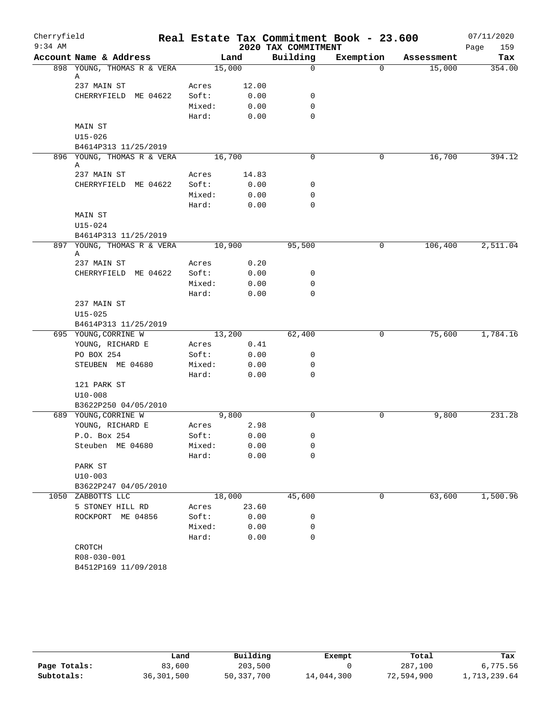| Cherryfield |                                 |        |        |                     | Real Estate Tax Commitment Book - 23.600 |            | 07/11/2020  |
|-------------|---------------------------------|--------|--------|---------------------|------------------------------------------|------------|-------------|
| $9:34$ AM   |                                 |        |        | 2020 TAX COMMITMENT |                                          |            | 159<br>Page |
|             | Account Name & Address          |        | Land   | Building            | Exemption                                | Assessment | Tax         |
|             | 898 YOUNG, THOMAS R & VERA      | 15,000 |        | $\mathbf 0$         | $\Omega$                                 | 15,000     | 354.00      |
|             | Α<br>237 MAIN ST                | Acres  | 12.00  |                     |                                          |            |             |
|             | CHERRYFIELD ME 04622            | Soft:  | 0.00   | 0                   |                                          |            |             |
|             |                                 | Mixed: | 0.00   | 0                   |                                          |            |             |
|             |                                 | Hard:  | 0.00   | 0                   |                                          |            |             |
|             | MAIN ST                         |        |        |                     |                                          |            |             |
|             | U15-026                         |        |        |                     |                                          |            |             |
|             | B4614P313 11/25/2019            |        |        |                     |                                          |            |             |
|             | 896 YOUNG, THOMAS R & VERA      | 16,700 |        | 0                   | 0                                        | 16,700     | 394.12      |
|             | Α                               |        |        |                     |                                          |            |             |
|             | 237 MAIN ST                     | Acres  | 14.83  |                     |                                          |            |             |
|             | CHERRYFIELD ME 04622            | Soft:  | 0.00   | 0                   |                                          |            |             |
|             |                                 | Mixed: | 0.00   | 0                   |                                          |            |             |
|             |                                 | Hard:  | 0.00   | $\mathbf 0$         |                                          |            |             |
|             | MAIN ST                         |        |        |                     |                                          |            |             |
|             | $U15 - 024$                     |        |        |                     |                                          |            |             |
|             | B4614P313 11/25/2019            |        |        |                     |                                          |            |             |
|             | 897 YOUNG, THOMAS R & VERA<br>Α | 10,900 |        | 95,500              | 0                                        | 106,400    | 2,511.04    |
|             | 237 MAIN ST                     | Acres  | 0.20   |                     |                                          |            |             |
|             | CHERRYFIELD ME 04622            | Soft:  | 0.00   | 0                   |                                          |            |             |
|             |                                 | Mixed: | 0.00   | 0                   |                                          |            |             |
|             |                                 | Hard:  | 0.00   | 0                   |                                          |            |             |
|             | 237 MAIN ST                     |        |        |                     |                                          |            |             |
|             | $U15 - 025$                     |        |        |                     |                                          |            |             |
|             | B4614P313 11/25/2019            |        |        |                     |                                          |            |             |
|             | 695 YOUNG, CORRINE W            | 13,200 |        | 62,400              | 0                                        | 75,600     | 1,784.16    |
|             | YOUNG, RICHARD E                | Acres  | 0.41   |                     |                                          |            |             |
|             | PO BOX 254                      | Soft:  | 0.00   | 0                   |                                          |            |             |
|             | STEUBEN ME 04680                | Mixed: | 0.00   | 0                   |                                          |            |             |
|             |                                 | Hard:  | 0.00   | 0                   |                                          |            |             |
|             | 121 PARK ST                     |        |        |                     |                                          |            |             |
|             | $U10-008$                       |        |        |                     |                                          |            |             |
|             | B3622P250 04/05/2010            |        |        |                     |                                          |            |             |
|             | 689 YOUNG, CORRINE W            |        | 9,800  | $\Omega$            | 0                                        | 9,800      | 231.28      |
|             | YOUNG, RICHARD E                | Acres  | 2.98   |                     |                                          |            |             |
|             | P.O. Box 254                    | Soft:  | 0.00   | 0                   |                                          |            |             |
|             | Steuben ME 04680                | Mixed: | 0.00   | 0                   |                                          |            |             |
|             |                                 | Hard:  | 0.00   | 0                   |                                          |            |             |
|             | PARK ST                         |        |        |                     |                                          |            |             |
|             | $U10-003$                       |        |        |                     |                                          |            |             |
|             | B3622P247 04/05/2010            |        |        |                     |                                          |            |             |
| 1050        | ZABBOTTS LLC                    |        | 18,000 | 45,600              | 0                                        | 63,600     | 1,500.96    |
|             | 5 STONEY HILL RD                | Acres  | 23.60  |                     |                                          |            |             |
|             | ROCKPORT ME 04856               | Soft:  | 0.00   | 0                   |                                          |            |             |
|             |                                 | Mixed: | 0.00   | 0                   |                                          |            |             |
|             |                                 | Hard:  | 0.00   | 0                   |                                          |            |             |
|             | CROTCH                          |        |        |                     |                                          |            |             |
|             | R08-030-001                     |        |        |                     |                                          |            |             |
|             | B4512P169 11/09/2018            |        |        |                     |                                          |            |             |

|              | Land       | Building     | Exempt     | Total      | Tax          |
|--------------|------------|--------------|------------|------------|--------------|
| Page Totals: | 83,600     | 203,500      |            | 287,100    | 6,775.56     |
| Subtotals:   | 36,301,500 | 50, 337, 700 | 14,044,300 | 72,594,900 | 1,713,239.64 |